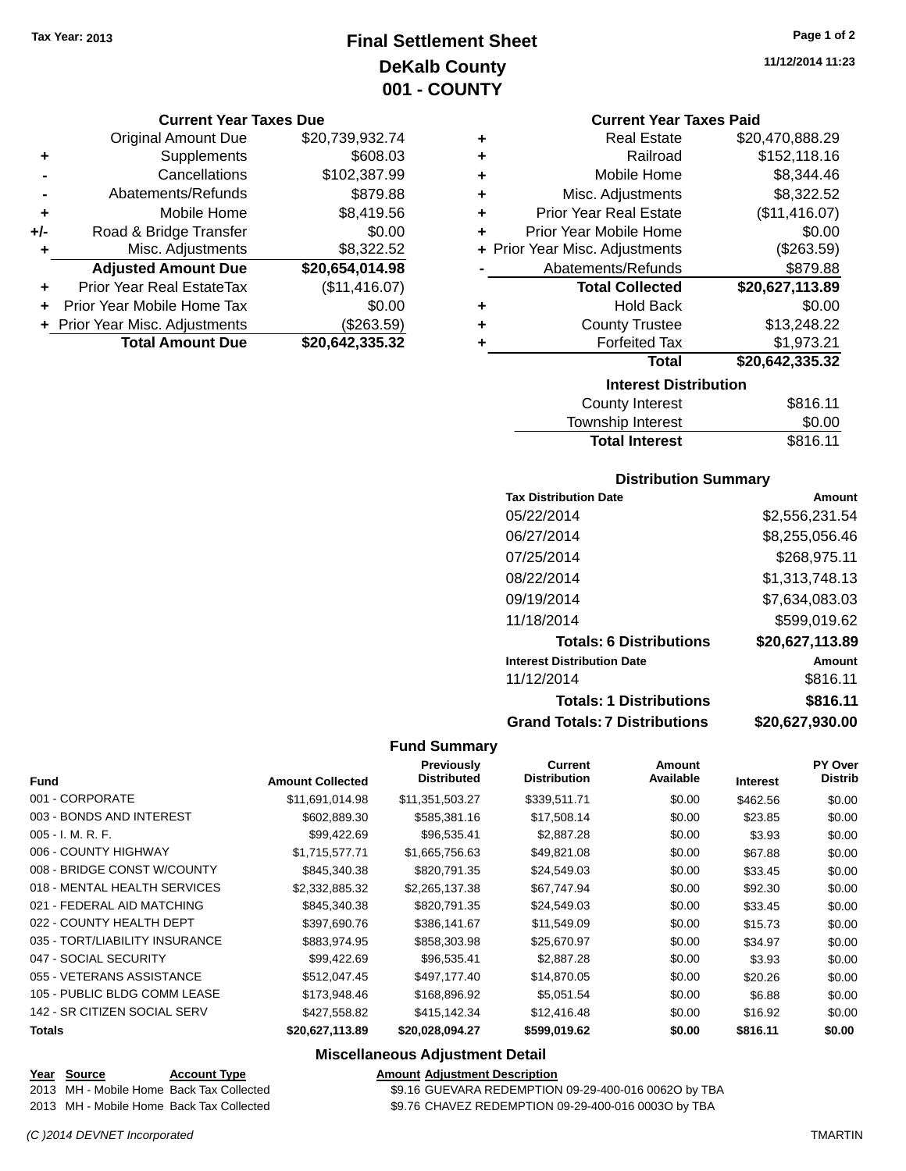### **Final Settlement Sheet Tax Year: 2013 Page 1 of 2 DeKalb County 001 - COUNTY**

#### **Current Year Taxes Due**

|     | <b>Original Amount Due</b>       | \$20,739,932.74 |
|-----|----------------------------------|-----------------|
| ٠   | Supplements                      | \$608.03        |
|     | Cancellations                    | \$102,387.99    |
|     | Abatements/Refunds               | \$879.88        |
| ÷   | Mobile Home                      | \$8,419.56      |
| +/- | Road & Bridge Transfer           | \$0.00          |
| ٠   | Misc. Adjustments                | \$8,322.52      |
|     | <b>Adjusted Amount Due</b>       | \$20,654,014.98 |
|     | <b>Prior Year Real EstateTax</b> | (\$11,416.07)   |
|     | Prior Year Mobile Home Tax       | \$0.00          |
|     | + Prior Year Misc. Adjustments   | (\$263.59)      |
|     | <b>Total Amount Due</b>          | \$20,642,335.32 |

#### **Current Year Taxes Paid**

| ٠ | <b>Real Estate</b>             | \$20,470,888.29 |  |  |
|---|--------------------------------|-----------------|--|--|
| ٠ | Railroad                       | \$152,118.16    |  |  |
| ٠ | Mobile Home                    | \$8,344.46      |  |  |
| ٠ | Misc. Adjustments              | \$8,322.52      |  |  |
| ٠ | <b>Prior Year Real Estate</b>  | (\$11,416.07)   |  |  |
| ٠ | Prior Year Mobile Home         | \$0.00          |  |  |
|   | + Prior Year Misc. Adjustments | (\$263.59)      |  |  |
|   | Abatements/Refunds             | \$879.88        |  |  |
|   | <b>Total Collected</b>         | \$20,627,113.89 |  |  |
| ٠ | <b>Hold Back</b>               | \$0.00          |  |  |
| ٠ | <b>County Trustee</b>          | \$13,248.22     |  |  |
| ٠ | <b>Forfeited Tax</b>           | \$1,973.21      |  |  |
|   | Total                          | \$20,642,335.32 |  |  |
|   | <b>Interest Distribution</b>   |                 |  |  |

| County Interest       | \$816.11 |
|-----------------------|----------|
| Township Interest     | \$0.00   |
| <b>Total Interest</b> | \$816.11 |

### **Distribution Summary**

| <b>Tax Distribution Date</b>         | Amount          |
|--------------------------------------|-----------------|
| 05/22/2014                           | \$2,556,231.54  |
| 06/27/2014                           | \$8,255,056.46  |
| 07/25/2014                           | \$268,975.11    |
| 08/22/2014                           | \$1,313,748.13  |
| 09/19/2014                           | \$7,634,083.03  |
| 11/18/2014                           | \$599,019.62    |
| <b>Totals: 6 Distributions</b>       | \$20,627,113.89 |
| <b>Interest Distribution Date</b>    | Amount          |
| 11/12/2014                           | \$816.11        |
| <b>Totals: 1 Distributions</b>       | \$816.11        |
| <b>Grand Totals: 7 Distributions</b> | \$20,627,930.00 |

#### **Fund Summary**

|                                |                         | <b>Previously</b><br><b>Distributed</b> | <b>Current</b><br><b>Distribution</b> | Amount<br>Available |                 | <b>PY Over</b> |
|--------------------------------|-------------------------|-----------------------------------------|---------------------------------------|---------------------|-----------------|----------------|
| <b>Fund</b>                    | <b>Amount Collected</b> |                                         |                                       |                     | <b>Interest</b> | <b>Distrib</b> |
| 001 - CORPORATE                | \$11.691.014.98         | \$11,351,503.27                         | \$339.511.71                          | \$0.00              | \$462.56        | \$0.00         |
| 003 - BONDS AND INTEREST       | \$602,889.30            | \$585,381.16                            | \$17,508.14                           | \$0.00              | \$23.85         | \$0.00         |
| $005 - I. M. R. F.$            | \$99,422.69             | \$96,535.41                             | \$2,887.28                            | \$0.00              | \$3.93          | \$0.00         |
| 006 - COUNTY HIGHWAY           | \$1,715,577.71          | \$1,665,756.63                          | \$49,821.08                           | \$0.00              | \$67.88         | \$0.00         |
| 008 - BRIDGE CONST W/COUNTY    | \$845,340.38            | \$820,791.35                            | \$24,549.03                           | \$0.00              | \$33.45         | \$0.00         |
| 018 - MENTAL HEALTH SERVICES   | \$2,332,885.32          | \$2,265,137.38                          | \$67,747.94                           | \$0.00              | \$92.30         | \$0.00         |
| 021 - FEDERAL AID MATCHING     | \$845,340.38            | \$820,791.35                            | \$24,549.03                           | \$0.00              | \$33.45         | \$0.00         |
| 022 - COUNTY HEALTH DEPT       | \$397,690.76            | \$386,141,67                            | \$11,549.09                           | \$0.00              | \$15.73         | \$0.00         |
| 035 - TORT/LIABILITY INSURANCE | \$883,974.95            | \$858,303.98                            | \$25,670.97                           | \$0.00              | \$34.97         | \$0.00         |
| 047 - SOCIAL SECURITY          | \$99,422.69             | \$96,535.41                             | \$2,887.28                            | \$0.00              | \$3.93          | \$0.00         |
| 055 - VETERANS ASSISTANCE      | \$512.047.45            | \$497,177,40                            | \$14,870.05                           | \$0.00              | \$20.26         | \$0.00         |
| 105 - PUBLIC BLDG COMM LEASE   | \$173,948.46            | \$168,896.92                            | \$5,051.54                            | \$0.00              | \$6.88          | \$0.00         |
| 142 - SR CITIZEN SOCIAL SERV   | \$427,558.82            | \$415,142.34                            | \$12,416.48                           | \$0.00              | \$16.92         | \$0.00         |
| Totals                         | \$20,627,113.89         | \$20,028,094.27                         | \$599,019.62                          | \$0.00              | \$816.11        | \$0.00         |

#### **Miscellaneous Adjustment Detail**

# **Year** Source **Account Type Account Type Amount Adjustment Description**

## 2013 MH - Mobile Home Back Tax Collected \$9.16 GUEVARA REDEMPTION 09-29-400-016 0062O by TBA

2013 MH - Mobile Home Back Tax Collected \$9.76 CHAVEZ REDEMPTION 09-29-400-016 0003O by TBA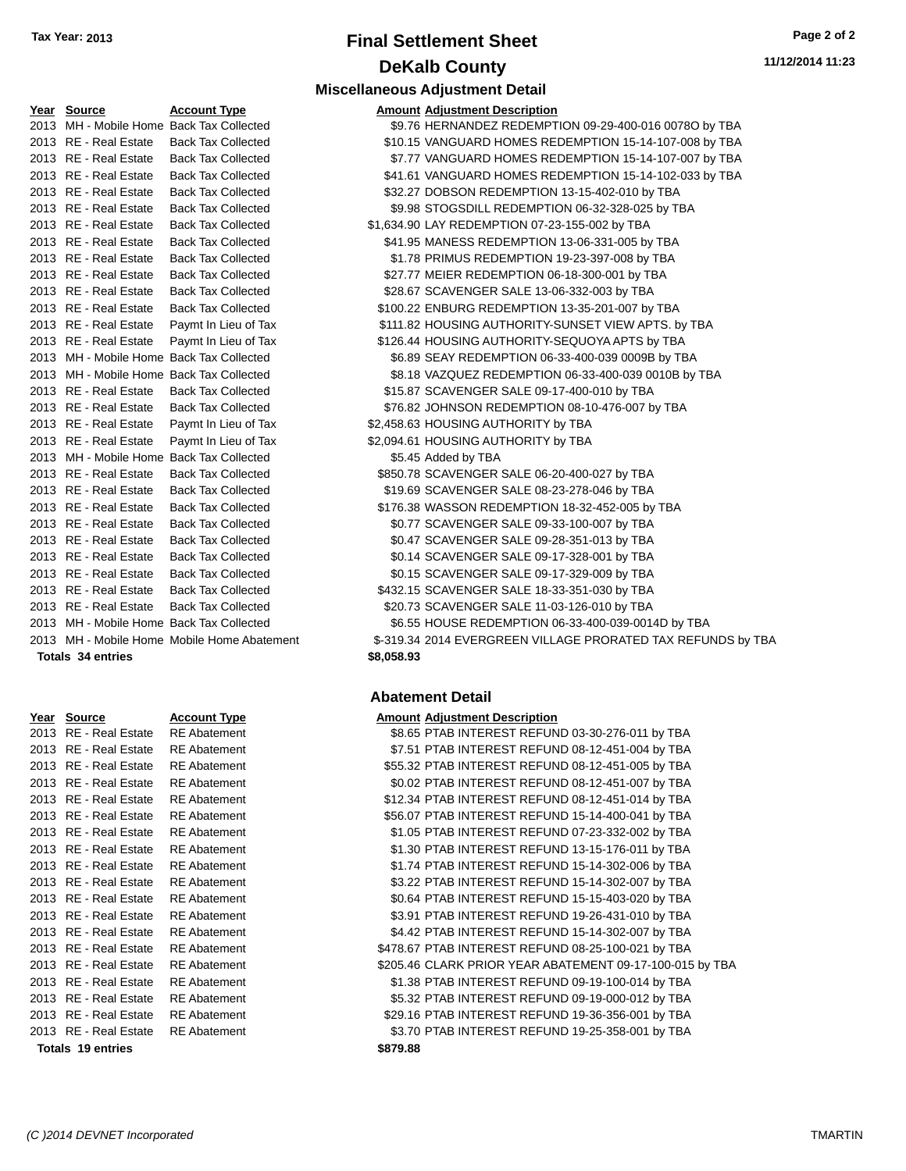## **Final Settlement Sheet Tax Year: 2013 Page 2 of 2 DeKalb County**

| <u>Year Source</u>                       | <b>Account Type</b>                         |            | <b>Amount Adjustment Description</b>  |
|------------------------------------------|---------------------------------------------|------------|---------------------------------------|
| 2013 MH - Mobile Home Back Tax Collected |                                             |            | \$9.76 HERNANDEZ REDEMPTION 09        |
| 2013 RE - Real Estate                    | <b>Back Tax Collected</b>                   |            | \$10.15 VANGUARD HOMES REDEMP         |
| 2013 RE - Real Estate                    | <b>Back Tax Collected</b>                   |            | \$7.77 VANGUARD HOMES REDEMP          |
| 2013 RE - Real Estate                    | <b>Back Tax Collected</b>                   |            | \$41.61 VANGUARD HOMES REDEMP         |
| 2013 RE - Real Estate                    | <b>Back Tax Collected</b>                   |            | \$32.27 DOBSON REDEMPTION 13-15       |
| 2013 RE - Real Estate                    | <b>Back Tax Collected</b>                   |            | \$9.98 STOGSDILL REDEMPTION 06-       |
| 2013 RE - Real Estate                    | <b>Back Tax Collected</b>                   |            | \$1,634.90 LAY REDEMPTION 07-23-155-0 |
| 2013 RE - Real Estate                    | <b>Back Tax Collected</b>                   |            | \$41.95 MANESS REDEMPTION 13-06       |
| 2013 RE - Real Estate                    | <b>Back Tax Collected</b>                   |            | \$1.78 PRIMUS REDEMPTION 19-23-       |
| 2013 RE - Real Estate                    | <b>Back Tax Collected</b>                   |            | \$27.77 MEIER REDEMPTION 06-18-30     |
| 2013 RE - Real Estate                    | <b>Back Tax Collected</b>                   |            | \$28.67 SCAVENGER SALE 13-06-332-     |
| 2013 RE - Real Estate                    | <b>Back Tax Collected</b>                   |            | \$100.22 ENBURG REDEMPTION 13-35      |
| 2013 RE - Real Estate                    | Paymt In Lieu of Tax                        |            | \$111.82 HOUSING AUTHORITY-SUNSE      |
| 2013 RE - Real Estate                    | Paymt In Lieu of Tax                        |            | \$126.44 HOUSING AUTHORITY-SEQUO      |
| 2013 MH - Mobile Home Back Tax Collected |                                             |            | \$6.89 SEAY REDEMPTION 06-33-400      |
| 2013 MH - Mobile Home Back Tax Collected |                                             |            | \$8.18 VAZQUEZ REDEMPTION 06-33       |
| 2013 RE - Real Estate                    | <b>Back Tax Collected</b>                   |            | \$15.87 SCAVENGER SALE 09-17-400-     |
| 2013 RE - Real Estate                    | <b>Back Tax Collected</b>                   |            | \$76.82 JOHNSON REDEMPTION 08-1       |
| 2013 RE - Real Estate                    | Paymt In Lieu of Tax                        |            | \$2,458.63 HOUSING AUTHORITY by TBA   |
| 2013 RE - Real Estate                    | Paymt In Lieu of Tax                        |            | \$2,094.61 HOUSING AUTHORITY by TBA   |
| 2013 MH - Mobile Home Back Tax Collected |                                             |            | \$5.45 Added by TBA                   |
| 2013 RE - Real Estate                    | <b>Back Tax Collected</b>                   |            | \$850.78 SCAVENGER SALE 06-20-400-    |
| 2013 RE - Real Estate                    | <b>Back Tax Collected</b>                   |            | \$19.69 SCAVENGER SALE 08-23-278-     |
| 2013 RE - Real Estate                    | <b>Back Tax Collected</b>                   |            | \$176.38 WASSON REDEMPTION 18-32      |
| 2013 RE - Real Estate                    | <b>Back Tax Collected</b>                   |            | \$0.77 SCAVENGER SALE 09-33-100-      |
| 2013 RE - Real Estate                    | <b>Back Tax Collected</b>                   |            | \$0.47 SCAVENGER SALE 09-28-351-      |
| 2013 RE - Real Estate                    | <b>Back Tax Collected</b>                   |            | \$0.14 SCAVENGER SALE 09-17-328-      |
| 2013 RE - Real Estate                    | <b>Back Tax Collected</b>                   |            | \$0.15 SCAVENGER SALE 09-17-329-      |
| 2013 RE - Real Estate                    | <b>Back Tax Collected</b>                   |            | \$432.15 SCAVENGER SALE 18-33-351-    |
| 2013 RE - Real Estate                    | <b>Back Tax Collected</b>                   |            | \$20.73 SCAVENGER SALE 11-03-126-     |
| 2013 MH - Mobile Home Back Tax Collected |                                             |            | \$6.55 HOUSE REDEMPTION 06-33-4       |
|                                          | 2013 MH - Mobile Home Mobile Home Abatement |            | \$-319.34 2014 EVERGREEN VILLAGE P    |
| Totals 34 entries                        |                                             | \$8.058.93 |                                       |

| Year | <b>Source</b>            | Account Type        | Amount   |
|------|--------------------------|---------------------|----------|
| 2013 | <b>RE</b> - Real Estate  | <b>RE</b> Abatement | \$8.65   |
| 2013 | <b>RE</b> - Real Estate  | <b>RE</b> Abatement | \$7.51   |
| 2013 | RE - Real Estate         | <b>RE</b> Abatement | \$55.32  |
| 2013 | <b>RE</b> - Real Estate  | <b>RE</b> Abatement | \$0.02   |
| 2013 | <b>RE</b> - Real Estate  | <b>RE</b> Abatement | \$12.34  |
| 2013 | <b>RE</b> - Real Estate  | <b>RE</b> Abatement | \$56.07  |
| 2013 | <b>RE</b> - Real Estate  | <b>RE</b> Abatement | \$1.05   |
| 2013 | <b>RE</b> - Real Estate  | <b>RE</b> Abatement | \$1.30   |
| 2013 | <b>RE</b> - Real Estate  | <b>RE</b> Abatement | \$1.74   |
| 2013 | <b>RE</b> - Real Estate  | <b>RE</b> Abatement | \$3.22   |
| 2013 | <b>RE</b> - Real Estate  | <b>RE</b> Abatement | \$0.64   |
| 2013 | <b>RE</b> - Real Estate  | <b>RE</b> Abatement | \$3.91   |
| 2013 | <b>RE</b> - Real Estate  | <b>RE</b> Abatement | \$4.42   |
| 2013 | <b>RE</b> - Real Estate  | <b>RE</b> Abatement | \$478.67 |
| 2013 | <b>RE</b> - Real Estate  | <b>RE</b> Abatement | \$205.46 |
| 2013 | <b>RE</b> - Real Estate  | <b>RE</b> Abatement | \$1.38   |
| 2013 | <b>RE</b> - Real Estate  | <b>RE</b> Abatement | \$5.32   |
| 2013 | RE - Real Estate         | <b>RE</b> Abatement | \$29.16  |
| 2013 | RE - Real Estate         | <b>RE</b> Abatement | \$3.70   |
|      | <b>Totals 19 entries</b> |                     | \$879.88 |
|      |                          |                     |          |

### **Miscellaneous Adjustment Detail Amount Adiustment Description**

| 2013 MH - Mobile Home Back Tax Collected |                                             |                                                 | \$9.76 HERNANDEZ REDEMPTION 09-29-400-016 0078O by TBA       |
|------------------------------------------|---------------------------------------------|-------------------------------------------------|--------------------------------------------------------------|
| 2013 RE - Real Estate                    | <b>Back Tax Collected</b>                   |                                                 | \$10.15 VANGUARD HOMES REDEMPTION 15-14-107-008 by TBA       |
| 2013 RE - Real Estate                    | <b>Back Tax Collected</b>                   |                                                 | \$7.77 VANGUARD HOMES REDEMPTION 15-14-107-007 by TBA        |
| 2013 RE - Real Estate                    | <b>Back Tax Collected</b>                   |                                                 | \$41.61 VANGUARD HOMES REDEMPTION 15-14-102-033 by TBA       |
| 2013 RE - Real Estate                    | <b>Back Tax Collected</b>                   | \$32.27 DOBSON REDEMPTION 13-15-402-010 by TBA  |                                                              |
| 2013 RE - Real Estate                    | <b>Back Tax Collected</b>                   |                                                 | \$9.98 STOGSDILL REDEMPTION 06-32-328-025 by TBA             |
| 2013 RE - Real Estate                    | <b>Back Tax Collected</b>                   | \$1,634.90 LAY REDEMPTION 07-23-155-002 by TBA  |                                                              |
| 2013 RE - Real Estate                    | <b>Back Tax Collected</b>                   | \$41.95 MANESS REDEMPTION 13-06-331-005 by TBA  |                                                              |
| 2013 RE - Real Estate                    | <b>Back Tax Collected</b>                   | \$1.78 PRIMUS REDEMPTION 19-23-397-008 by TBA   |                                                              |
| 2013 RE - Real Estate                    | <b>Back Tax Collected</b>                   | \$27.77 MEIER REDEMPTION 06-18-300-001 by TBA   |                                                              |
| 2013 RE - Real Estate                    | <b>Back Tax Collected</b>                   | \$28.67 SCAVENGER SALE 13-06-332-003 by TBA     |                                                              |
| 2013 RE - Real Estate                    | <b>Back Tax Collected</b>                   | \$100.22 ENBURG REDEMPTION 13-35-201-007 by TBA |                                                              |
| 2013 RE - Real Estate                    | Paymt In Lieu of Tax                        |                                                 | \$111.82 HOUSING AUTHORITY-SUNSET VIEW APTS. by TBA          |
| 2013 RE - Real Estate                    | Paymt In Lieu of Tax                        | \$126.44 HOUSING AUTHORITY-SEQUOYA APTS by TBA  |                                                              |
| 2013 MH - Mobile Home Back Tax Collected |                                             |                                                 | \$6.89 SEAY REDEMPTION 06-33-400-039 0009B by TBA            |
| 2013 MH - Mobile Home Back Tax Collected |                                             |                                                 | \$8.18 VAZQUEZ REDEMPTION 06-33-400-039 0010B by TBA         |
| 2013 RE - Real Estate                    | <b>Back Tax Collected</b>                   | \$15.87 SCAVENGER SALE 09-17-400-010 by TBA     |                                                              |
| 2013 RE - Real Estate                    | <b>Back Tax Collected</b>                   | \$76.82 JOHNSON REDEMPTION 08-10-476-007 by TBA |                                                              |
| 2013 RE - Real Estate                    | Paymt In Lieu of Tax                        | \$2,458.63 HOUSING AUTHORITY by TBA             |                                                              |
| 2013 RE - Real Estate                    | Paymt In Lieu of Tax                        | \$2,094.61 HOUSING AUTHORITY by TBA             |                                                              |
|                                          | 2013 MH - Mobile Home Back Tax Collected    | \$5.45 Added by TBA                             |                                                              |
| 2013 RE - Real Estate                    | <b>Back Tax Collected</b>                   | \$850.78 SCAVENGER SALE 06-20-400-027 by TBA    |                                                              |
| 2013 RE - Real Estate                    | <b>Back Tax Collected</b>                   | \$19.69 SCAVENGER SALE 08-23-278-046 by TBA     |                                                              |
| 2013 RE - Real Estate                    | <b>Back Tax Collected</b>                   | \$176.38 WASSON REDEMPTION 18-32-452-005 by TBA |                                                              |
| 2013 RE - Real Estate                    | <b>Back Tax Collected</b>                   | \$0.77 SCAVENGER SALE 09-33-100-007 by TBA      |                                                              |
| 2013 RE - Real Estate                    | <b>Back Tax Collected</b>                   | \$0.47 SCAVENGER SALE 09-28-351-013 by TBA      |                                                              |
| 2013 RE - Real Estate                    | <b>Back Tax Collected</b>                   | \$0.14 SCAVENGER SALE 09-17-328-001 by TBA      |                                                              |
| 2013 RE - Real Estate                    | <b>Back Tax Collected</b>                   | \$0.15 SCAVENGER SALE 09-17-329-009 by TBA      |                                                              |
| 2013 RE - Real Estate                    | <b>Back Tax Collected</b>                   | \$432.15 SCAVENGER SALE 18-33-351-030 by TBA    |                                                              |
| 2013 RE - Real Estate                    | <b>Back Tax Collected</b>                   | \$20.73 SCAVENGER SALE 11-03-126-010 by TBA     |                                                              |
| 2013 MH - Mobile Home Back Tax Collected |                                             |                                                 | \$6.55 HOUSE REDEMPTION 06-33-400-039-0014D by TBA           |
|                                          | 2013 MH - Mobile Home Mobile Home Abatement |                                                 | \$-319.34 2014 EVERGREEN VILLAGE PRORATED TAX REFUNDS by TBA |
| <b>Totals 34 entries</b>                 |                                             | \$8,058.93                                      |                                                              |

### **Abatement Detail**

#### **<u>Amount Adjustment Description</u>**

| 2013 RE - Real Estate | <b>RE</b> Abatement | \$8.65 PTAB INTEREST REFUND 03-30-276-011 by TBA         |
|-----------------------|---------------------|----------------------------------------------------------|
| 2013 RE - Real Estate | <b>RE</b> Abatement | \$7.51 PTAB INTEREST REFUND 08-12-451-004 by TBA         |
| 2013 RE - Real Estate | <b>RE</b> Abatement | \$55.32 PTAB INTEREST REFUND 08-12-451-005 by TBA        |
| 2013 RE - Real Estate | <b>RE</b> Abatement | \$0.02 PTAB INTEREST REFUND 08-12-451-007 by TBA         |
| 2013 RE - Real Estate | <b>RE</b> Abatement | \$12.34 PTAB INTEREST REFUND 08-12-451-014 by TBA        |
| 2013 RE - Real Estate | <b>RE</b> Abatement | \$56.07 PTAB INTEREST REFUND 15-14-400-041 by TBA        |
| 2013 RE - Real Estate | <b>RE</b> Abatement | \$1.05 PTAB INTEREST REFUND 07-23-332-002 by TBA         |
| 2013 RE - Real Estate | <b>RE</b> Abatement | \$1.30 PTAB INTEREST REFUND 13-15-176-011 by TBA         |
| 2013 RE - Real Estate | <b>RE</b> Abatement | \$1.74 PTAB INTEREST REFUND 15-14-302-006 by TBA         |
| 2013 RE - Real Estate | <b>RE</b> Abatement | \$3.22 PTAB INTEREST REFUND 15-14-302-007 by TBA         |
| 2013 RE - Real Estate | <b>RE</b> Abatement | \$0.64 PTAB INTEREST REFUND 15-15-403-020 by TBA         |
| 2013 RE - Real Estate | <b>RE</b> Abatement | \$3.91 PTAB INTEREST REFUND 19-26-431-010 by TBA         |
| 2013 RE - Real Estate | <b>RE</b> Abatement | \$4.42 PTAB INTEREST REFUND 15-14-302-007 by TBA         |
| 2013 RE - Real Estate | <b>RE</b> Abatement | \$478.67 PTAB INTEREST REFUND 08-25-100-021 by TBA       |
| 2013 RE - Real Estate | <b>RE</b> Abatement | \$205.46 CLARK PRIOR YEAR ABATEMENT 09-17-100-015 by TBA |
| 2013 RE - Real Estate | <b>RE</b> Abatement | \$1.38 PTAB INTEREST REFUND 09-19-100-014 by TBA         |
| 2013 RE - Real Estate | <b>RE</b> Abatement | \$5.32 PTAB INTEREST REFUND 09-19-000-012 by TBA         |
| 2013 RE - Real Estate | <b>RE</b> Abatement | \$29.16 PTAB INTEREST REFUND 19-36-356-001 by TBA        |
| 2013 RE - Real Estate | <b>RE</b> Abatement | \$3.70 PTAB INTEREST REFUND 19-25-358-001 by TBA         |
| Totals 19 entries     |                     | \$879.88                                                 |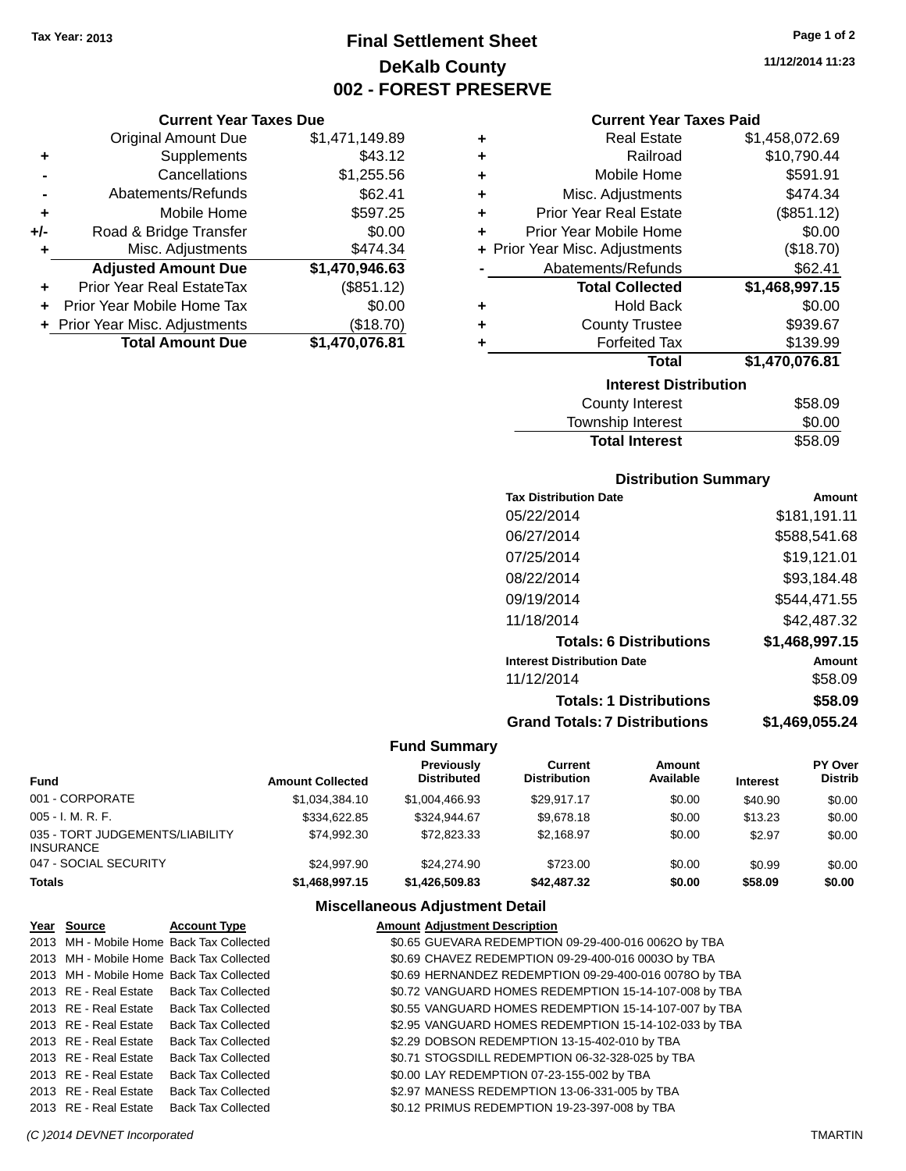### **Final Settlement Sheet Tax Year: 2013 Page 1 of 2 DeKalb County 002 - FOREST PRESERVE**

### **Current Year Taxes Due**

|     | <b>Original Amount Due</b>     | \$1,471,149.89 |
|-----|--------------------------------|----------------|
| ٠   | Supplements                    | \$43.12        |
|     | Cancellations                  | \$1,255.56     |
|     | Abatements/Refunds             | \$62.41        |
| ٠   | Mobile Home                    | \$597.25       |
| +/- | Road & Bridge Transfer         | \$0.00         |
| ٠   | Misc. Adjustments              | \$474.34       |
|     | <b>Adjusted Amount Due</b>     | \$1,470,946.63 |
|     | Prior Year Real EstateTax      | (\$851.12)     |
|     | Prior Year Mobile Home Tax     | \$0.00         |
|     | + Prior Year Misc. Adjustments | (\$18.70)      |
|     | <b>Total Amount Due</b>        | \$1,470,076.81 |

| ٠ | <b>Real Estate</b>             | \$1,458,072.69 |
|---|--------------------------------|----------------|
| ٠ | Railroad                       | \$10,790.44    |
| ٠ | Mobile Home                    | \$591.91       |
| ٠ | Misc. Adjustments              | \$474.34       |
| ٠ | <b>Prior Year Real Estate</b>  | (\$851.12)     |
| ٠ | Prior Year Mobile Home         | \$0.00         |
|   | + Prior Year Misc. Adjustments | (\$18.70)      |
|   | Abatements/Refunds             | \$62.41        |
|   |                                |                |
|   | <b>Total Collected</b>         | \$1,468,997.15 |
| ٠ | <b>Hold Back</b>               | \$0.00         |
| ٠ | <b>County Trustee</b>          | \$939.67       |
| ٠ | <b>Forfeited Tax</b>           | \$139.99       |
|   | <b>Total</b>                   | \$1,470,076.81 |
|   | <b>Interest Distribution</b>   |                |

| County Interest       | \$58.09 |
|-----------------------|---------|
| Township Interest     | \$0.00  |
| <b>Total Interest</b> | \$58.09 |

### **Distribution Summary**

| <b>Tax Distribution Date</b>         | Amount         |
|--------------------------------------|----------------|
| 05/22/2014                           | \$181,191.11   |
| 06/27/2014                           | \$588,541.68   |
| 07/25/2014                           | \$19,121.01    |
| 08/22/2014                           | \$93,184.48    |
| 09/19/2014                           | \$544.471.55   |
| 11/18/2014                           | \$42,487.32    |
| <b>Totals: 6 Distributions</b>       | \$1,468,997.15 |
| <b>Interest Distribution Date</b>    | Amount         |
| 11/12/2014                           | \$58.09        |
| <b>Totals: 1 Distributions</b>       | \$58.09        |
| <b>Grand Totals: 7 Distributions</b> | \$1.469.055.24 |

### **Fund Summary**

| <b>Fund</b>                                  | <b>Amount Collected</b> | <b>Previously</b><br><b>Distributed</b> | Current<br><b>Distribution</b> | Amount<br>Available | <b>Interest</b> | <b>PY Over</b><br><b>Distrib</b> |
|----------------------------------------------|-------------------------|-----------------------------------------|--------------------------------|---------------------|-----------------|----------------------------------|
| 001 - CORPORATE                              | \$1,034,384.10          | \$1,004,466.93                          | \$29.917.17                    | \$0.00              | \$40.90         | \$0.00                           |
| 005 - I. M. R. F.                            | \$334.622.85            | \$324,944.67                            | \$9,678.18                     | \$0.00              | \$13.23         | \$0.00                           |
| 035 - TORT JUDGEMENTS/LIABILITY<br>INSURANCE | \$74.992.30             | \$72,823,33                             | \$2,168.97                     | \$0.00              | \$2.97          | \$0.00                           |
| 047 - SOCIAL SECURITY                        | \$24.997.90             | \$24.274.90                             | \$723.00                       | \$0.00              | \$0.99          | \$0.00                           |
| Totals                                       | \$1,468,997.15          | \$1,426,509.83                          | \$42,487.32                    | \$0.00              | \$58.09         | \$0.00                           |

### **Miscellaneous Adjustment Detail**

| <u>Year Source</u>    | <b>Account Type</b>                      | <b>Amount Adjustment Description</b>                   |
|-----------------------|------------------------------------------|--------------------------------------------------------|
|                       | 2013 MH - Mobile Home Back Tax Collected | \$0.65 GUEVARA REDEMPTION 09-29-400-016 0062O by TBA   |
|                       | 2013 MH - Mobile Home Back Tax Collected | \$0.69 CHAVEZ REDEMPTION 09-29-400-016 0003O by TBA    |
|                       | 2013 MH - Mobile Home Back Tax Collected | \$0.69 HERNANDEZ REDEMPTION 09-29-400-016 0078O by TBA |
|                       | 2013 RE - Real Estate Back Tax Collected | \$0.72 VANGUARD HOMES REDEMPTION 15-14-107-008 by TBA  |
|                       | 2013 RE - Real Estate Back Tax Collected | \$0.55 VANGUARD HOMES REDEMPTION 15-14-107-007 by TBA  |
| 2013 RE - Real Estate | <b>Back Tax Collected</b>                | \$2.95 VANGUARD HOMES REDEMPTION 15-14-102-033 by TBA  |
| 2013 RE - Real Estate | <b>Back Tax Collected</b>                | \$2.29 DOBSON REDEMPTION 13-15-402-010 by TBA          |
| 2013 RE - Real Estate | <b>Back Tax Collected</b>                | \$0.71 STOGSDILL REDEMPTION 06-32-328-025 by TBA       |
| 2013 RE - Real Estate | <b>Back Tax Collected</b>                | \$0.00 LAY REDEMPTION 07-23-155-002 by TBA             |
| 2013 RE - Real Estate | <b>Back Tax Collected</b>                | \$2.97 MANESS REDEMPTION 13-06-331-005 by TBA          |
| 2013 RE - Real Estate | <b>Back Tax Collected</b>                | \$0.12 PRIMUS REDEMPTION 19-23-397-008 by TBA          |

**11/12/2014 11:23**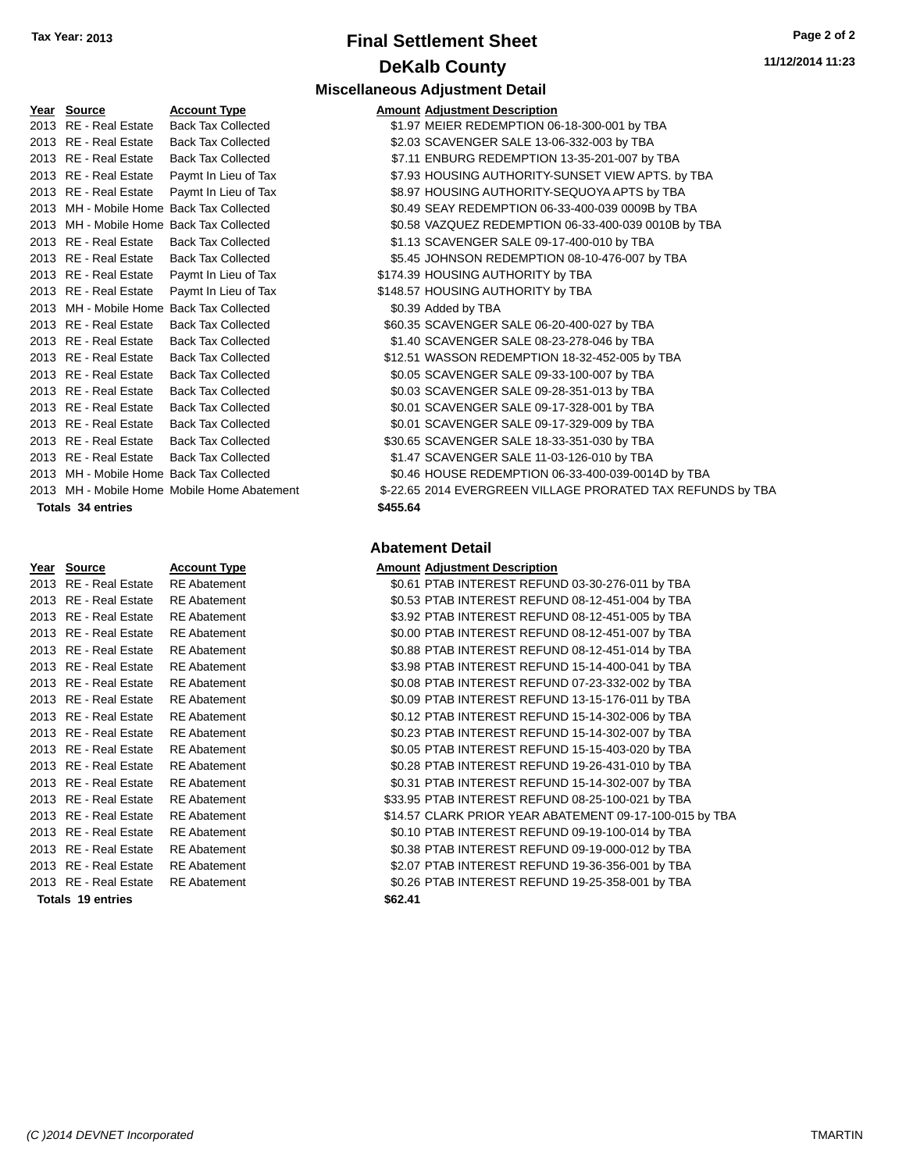## **Final Settlement Sheet Tax Year: 2013 Page 2 of 2 DeKalb County**

**11/12/2014 11:23**

| Year Source                              | <b>Account Type</b>                         |          | <b>Amount Adjustment Description</b>                |
|------------------------------------------|---------------------------------------------|----------|-----------------------------------------------------|
| 2013 RE - Real Estate                    | <b>Back Tax Collected</b>                   |          | \$1.97 MEIER REDEMPTION 06-18-300-001 by TBA        |
| 2013 RE - Real Estate                    | <b>Back Tax Collected</b>                   |          | \$2.03 SCAVENGER SALE 13-06-332-003 by TBA          |
| 2013 RE - Real Estate                    | <b>Back Tax Collected</b>                   |          | \$7.11 ENBURG REDEMPTION 13-35-201-007 by TBA       |
| 2013 RE - Real Estate                    | Paymt In Lieu of Tax                        |          | \$7.93 HOUSING AUTHORITY-SUNSET VIEW APTS. by TBA   |
| 2013 RE - Real Estate                    | Paymt In Lieu of Tax                        |          | \$8.97 HOUSING AUTHORITY-SEQUOYA APTS by TBA        |
| 2013 MH - Mobile Home Back Tax Collected |                                             |          | \$0.49 SEAY REDEMPTION 06-33-400-039 0009B by TBA   |
| 2013 MH - Mobile Home Back Tax Collected |                                             |          | \$0.58 VAZQUEZ REDEMPTION 06-33-400-039 0010B by TB |
| 2013 RE - Real Estate                    | <b>Back Tax Collected</b>                   |          | \$1.13 SCAVENGER SALE 09-17-400-010 by TBA          |
| 2013 RE - Real Estate                    | <b>Back Tax Collected</b>                   |          | \$5.45 JOHNSON REDEMPTION 08-10-476-007 by TBA      |
| 2013 RE - Real Estate                    | Paymt In Lieu of Tax                        |          | \$174.39 HOUSING AUTHORITY by TBA                   |
| 2013 RE - Real Estate                    | Paymt In Lieu of Tax                        |          | \$148.57 HOUSING AUTHORITY by TBA                   |
| 2013 MH - Mobile Home Back Tax Collected |                                             |          | \$0.39 Added by TBA                                 |
| 2013 RE - Real Estate                    | <b>Back Tax Collected</b>                   |          | \$60.35 SCAVENGER SALE 06-20-400-027 by TBA         |
| 2013 RE - Real Estate                    | <b>Back Tax Collected</b>                   |          | \$1.40 SCAVENGER SALE 08-23-278-046 by TBA          |
| 2013 RE - Real Estate                    | <b>Back Tax Collected</b>                   |          | \$12.51 WASSON REDEMPTION 18-32-452-005 by TBA      |
| 2013 RE - Real Estate                    | <b>Back Tax Collected</b>                   |          | \$0.05 SCAVENGER SALE 09-33-100-007 by TBA          |
| 2013 RE - Real Estate                    | <b>Back Tax Collected</b>                   |          | \$0.03 SCAVENGER SALE 09-28-351-013 by TBA          |
| 2013 RE - Real Estate                    | <b>Back Tax Collected</b>                   |          | \$0.01 SCAVENGER SALE 09-17-328-001 by TBA          |
| 2013 RE - Real Estate                    | <b>Back Tax Collected</b>                   |          | \$0.01 SCAVENGER SALE 09-17-329-009 by TBA          |
| 2013 RE - Real Estate                    | <b>Back Tax Collected</b>                   |          | \$30.65 SCAVENGER SALE 18-33-351-030 by TBA         |
| 2013 RE - Real Estate                    | <b>Back Tax Collected</b>                   |          | \$1.47 SCAVENGER SALE 11-03-126-010 by TBA          |
| 2013 MH - Mobile Home Back Tax Collected |                                             |          | \$0.46 HOUSE REDEMPTION 06-33-400-039-0014D by TBA  |
|                                          | 2013 MH - Mobile Home Mobile Home Abatement |          | \$-22.65 2014 EVERGREEN VILLAGE PRORATED TAX REFUI  |
| <b>Totals 34 entries</b>                 |                                             | \$455.64 |                                                     |

| Year | Source                  | <b>Account Typ</b> |
|------|-------------------------|--------------------|
| 2013 | RE - Real Estate        | <b>RE Abatemer</b> |
| 2013 | RE - Real Estate        | RE Abatemer        |
| 2013 | RE - Real Estate        | <b>RE Abatemer</b> |
| 2013 | <b>RE</b> - Real Estate | <b>RE Abatemer</b> |
| 2013 | <b>RE</b> - Real Estate | RE Abatemer        |
| 2013 | RE - Real Estate        | <b>RE Abatemer</b> |
| 2013 | <b>RE</b> - Real Estate | <b>RE Abatemer</b> |
| 2013 | RE - Real Estate        | <b>RE Abatemer</b> |
| 2013 | <b>RE</b> - Real Estate | <b>RE Abatemer</b> |
| 2013 | RE - Real Estate        | RE Abatemer        |
| 2013 | <b>RE</b> - Real Estate | <b>RE Abatemer</b> |
| 2013 | RE - Real Estate        | <b>RE Abatemer</b> |
| 2013 | RE - Real Estate        | <b>RE Abatemer</b> |
| 2013 | <b>RE</b> - Real Estate | <b>RE Abatemer</b> |
| 2013 | <b>RE</b> - Real Estate | <b>RE Abatemer</b> |
| 2013 | RE - Real Estate        | <b>RE Abatemer</b> |
| 2013 | <b>RE</b> - Real Estate | <b>RE Abatemer</b> |
| 2013 | <b>RE</b> - Real Estate | <b>RE Abatemer</b> |
| 2013 | <b>RE</b> - Real Estate | <b>RE Abatemer</b> |
|      |                         |                    |

### **Totals 19 entries \$62.41**

|                       |                                             | <b>Miscellaneous Adjustment Detail</b>               |
|-----------------------|---------------------------------------------|------------------------------------------------------|
| Year Source           | <b>Account Type</b>                         | <b>Amount Adjustment Description</b>                 |
| 2013 RE - Real Estate | <b>Back Tax Collected</b>                   | \$1.97 MEIER REDEMPTION 06-18-300-001 by TBA         |
| 2013 RE - Real Estate | Back Tax Collected                          | \$2.03 SCAVENGER SALE 13-06-332-003 by TBA           |
| 2013 RE - Real Estate | <b>Back Tax Collected</b>                   | \$7.11 ENBURG REDEMPTION 13-35-201-007 by TBA        |
|                       | 2013 RE - Real Estate  Paymt In Lieu of Tax | \$7.93 HOUSING AUTHORITY-SUNSET VIEW APTS. by TBA    |
|                       | 2013 RE - Real Estate Paymt In Lieu of Tax  | \$8.97 HOUSING AUTHORITY-SEQUOYA APTS by TBA         |
|                       | 2013 MH - Mobile Home Back Tax Collected    | \$0.49 SEAY REDEMPTION 06-33-400-039 0009B by TBA    |
|                       | 2013 MH - Mobile Home Back Tax Collected    | \$0.58 VAZQUEZ REDEMPTION 06-33-400-039 0010B by TBA |
|                       | 2013 RE - Real Estate Back Tax Collected    | \$1.13 SCAVENGER SALE 09-17-400-010 by TBA           |
|                       | 2013 RE - Real Estate Back Tax Collected    | \$5.45 JOHNSON REDEMPTION 08-10-476-007 by TBA       |

\$174.39 HOUSING AUTHORITY by TBA \$148.57 HOUSING AUTHORITY by TBA \$0.39 Added by TBA \$60.35 SCAVENGER SALE 06-20-400-027 by TBA \$1.40 SCAVENGER SALE 08-23-278-046 by TBA \$12.51 WASSON REDEMPTION 18-32-452-005 by TBA \$0.05 SCAVENGER SALE 09-33-100-007 by TBA \$0.03 SCAVENGER SALE 09-28-351-013 by TBA \$0.01 SCAVENGER SALE 09-17-328-001 by TBA \$0.01 SCAVENGER SALE 09-17-329-009 by TBA \$30.65 SCAVENGER SALE 18-33-351-030 by TBA \$1.47 SCAVENGER SALE 11-03-126-010 by TBA \$0.46 HOUSE REDEMPTION 06-33-400-039-0014D by TBA 1t - \$-22.65 2014 EVERGREEN VILLAGE PRORATED TAX REFUNDS by TBA

#### **Totals 34 entries \$455.64**

#### **Abatement Detail**

### **PEREFIGEE ACCOUNTER ACCOUNTER ACCOUNT** Adjustment Description

| $\cdots$ | <u>sourve</u>         | AVVVUIL TYPY        | AMOUN AUJUSTINGIN DOSSI IPNON                           |
|----------|-----------------------|---------------------|---------------------------------------------------------|
|          | 2013 RE - Real Estate | <b>RE</b> Abatement | \$0.61 PTAB INTEREST REFUND 03-30-276-011 by TBA        |
|          | 2013 RE - Real Estate | <b>RE</b> Abatement | \$0.53 PTAB INTEREST REFUND 08-12-451-004 by TBA        |
|          | 2013 RE - Real Estate | <b>RE</b> Abatement | \$3.92 PTAB INTEREST REFUND 08-12-451-005 by TBA        |
|          | 2013 RE - Real Estate | <b>RE</b> Abatement | \$0.00 PTAB INTEREST REFUND 08-12-451-007 by TBA        |
|          | 2013 RE - Real Estate | <b>RE</b> Abatement | \$0.88 PTAB INTEREST REFUND 08-12-451-014 by TBA        |
|          | 2013 RE - Real Estate | <b>RE</b> Abatement | \$3.98 PTAB INTEREST REFUND 15-14-400-041 by TBA        |
|          | 2013 RE - Real Estate | <b>RE</b> Abatement | \$0.08 PTAB INTEREST REFUND 07-23-332-002 by TBA        |
|          | 2013 RE - Real Estate | <b>RE</b> Abatement | \$0.09 PTAB INTEREST REFUND 13-15-176-011 by TBA        |
|          | 2013 RE - Real Estate | <b>RE</b> Abatement | \$0.12 PTAB INTEREST REFUND 15-14-302-006 by TBA        |
|          | 2013 RE - Real Estate | <b>RE</b> Abatement | \$0.23 PTAB INTEREST REFUND 15-14-302-007 by TBA        |
|          | 2013 RE - Real Estate | <b>RE</b> Abatement | \$0.05 PTAB INTEREST REFUND 15-15-403-020 by TBA        |
|          | 2013 RE - Real Estate | <b>RE</b> Abatement | \$0.28 PTAB INTEREST REFUND 19-26-431-010 by TBA        |
|          | 2013 RE - Real Estate | <b>RE</b> Abatement | \$0.31 PTAB INTEREST REFUND 15-14-302-007 by TBA        |
|          | 2013 RE - Real Estate | <b>RE</b> Abatement | \$33.95 PTAB INTEREST REFUND 08-25-100-021 by TBA       |
|          | 2013 RE - Real Estate | <b>RE</b> Abatement | \$14.57 CLARK PRIOR YEAR ABATEMENT 09-17-100-015 by TBA |
|          | 2013 RE - Real Estate | <b>RE</b> Abatement | \$0.10 PTAB INTEREST REFUND 09-19-100-014 by TBA        |
|          | 2013 RE - Real Estate | <b>RE</b> Abatement | \$0.38 PTAB INTEREST REFUND 09-19-000-012 by TBA        |
|          | 2013 RE - Real Estate | <b>RE</b> Abatement | \$2.07 PTAB INTEREST REFUND 19-36-356-001 by TBA        |
|          | 2013 RE - Real Estate | <b>RE</b> Abatement | \$0.26 PTAB INTEREST REFUND 19-25-358-001 by TBA        |
|          | Totals 19 entries     |                     | <b>\$62.41</b>                                          |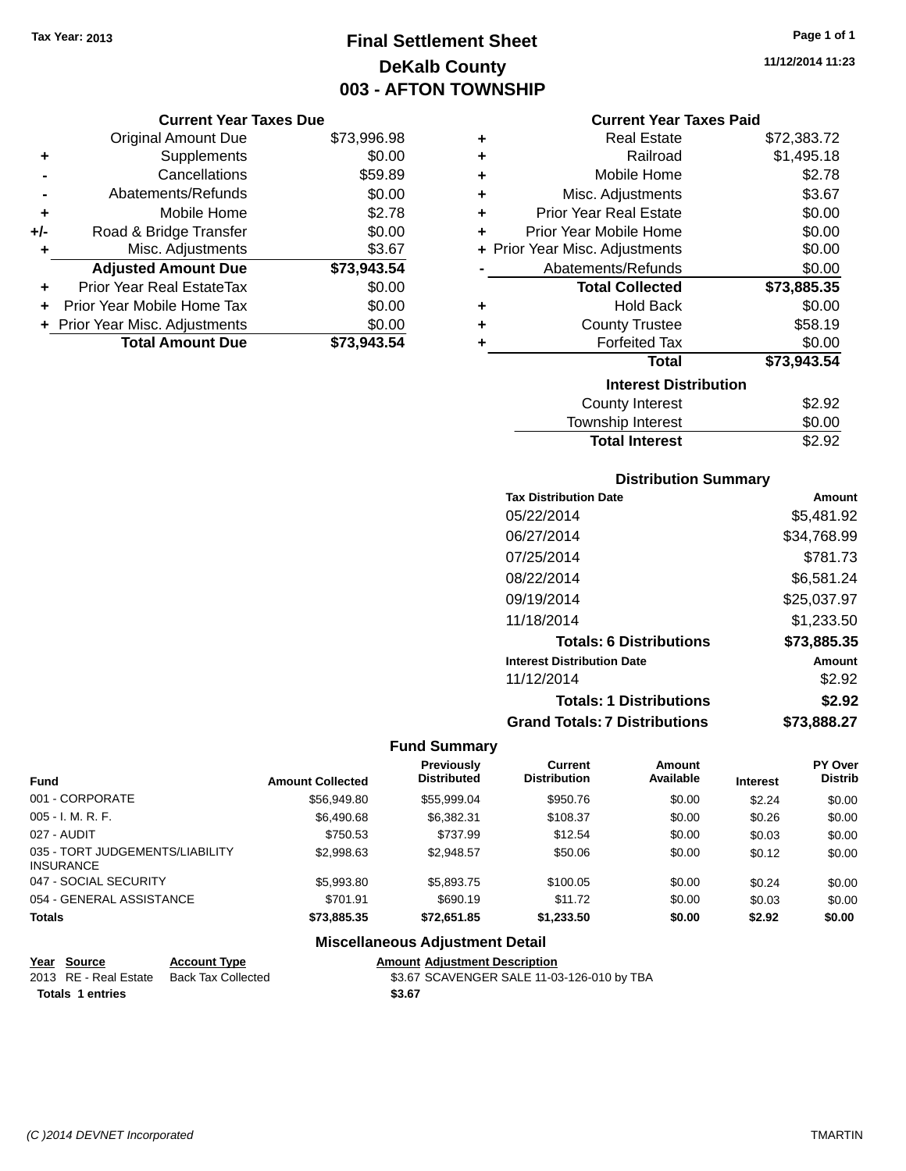### **Final Settlement Sheet Tax Year: 2013 Page 1 of 1 DeKalb County 003 - AFTON TOWNSHIP**

**11/12/2014 11:23**

|       | <b>Original Amount Due</b>       | \$73,996.98 |
|-------|----------------------------------|-------------|
| ٠     | Supplements                      | \$0.00      |
|       | Cancellations                    | \$59.89     |
|       | Abatements/Refunds               | \$0.00      |
| ٠     | Mobile Home                      | \$2.78      |
| $+/-$ | Road & Bridge Transfer           | \$0.00      |
| ٠     | Misc. Adjustments                | \$3.67      |
|       | <b>Adjusted Amount Due</b>       | \$73,943.54 |
|       | <b>Prior Year Real EstateTax</b> | \$0.00      |
|       | Prior Year Mobile Home Tax       | \$0.00      |
|       | + Prior Year Misc. Adjustments   | \$0.00      |
|       | <b>Total Amount Due</b>          | \$73.943.54 |

| <b>Current Year Taxes Paid</b> |  |  |  |
|--------------------------------|--|--|--|
|--------------------------------|--|--|--|

| ٠ | Real Estate                    | \$72,383.72 |
|---|--------------------------------|-------------|
| ÷ | Railroad                       | \$1,495.18  |
| ÷ | Mobile Home                    | \$2.78      |
| ÷ | Misc. Adjustments              | \$3.67      |
| ÷ | <b>Prior Year Real Estate</b>  | \$0.00      |
| ٠ | Prior Year Mobile Home         | \$0.00      |
|   | + Prior Year Misc. Adjustments | \$0.00      |
|   | Abatements/Refunds             | \$0.00      |
|   | <b>Total Collected</b>         | \$73,885.35 |
| ٠ | <b>Hold Back</b>               | \$0.00      |
| ٠ | <b>County Trustee</b>          | \$58.19     |
| ٠ | <b>Forfeited Tax</b>           | \$0.00      |
|   | <b>Total</b>                   | \$73,943.54 |
|   | <b>Interest Distribution</b>   |             |
|   | <b>County Interest</b>         | \$2.92      |
|   | Township Interest              | \$0.00      |
|   | <b>Total Interest</b>          | \$2.92      |

| <b>Distribution Summary</b> |  |
|-----------------------------|--|

| Amount      |
|-------------|
| \$5,481.92  |
| \$34,768.99 |
| \$781.73    |
| \$6,581.24  |
| \$25.037.97 |
| \$1.233.50  |
| \$73,885.35 |
| Amount      |
| \$2.92      |
| \$2.92      |
| \$73,888.27 |
|             |

### **Fund Summary**

|                                                     |                         | <b>Previously</b>  | Current             | Amount    |                 | <b>PY Over</b> |
|-----------------------------------------------------|-------------------------|--------------------|---------------------|-----------|-----------------|----------------|
| <b>Fund</b>                                         | <b>Amount Collected</b> | <b>Distributed</b> | <b>Distribution</b> | Available | <b>Interest</b> | <b>Distrib</b> |
| 001 - CORPORATE                                     | \$56,949.80             | \$55,999.04        | \$950.76            | \$0.00    | \$2.24          | \$0.00         |
| $005 - I. M. R. F.$                                 | \$6,490.68              | \$6,382.31         | \$108.37            | \$0.00    | \$0.26          | \$0.00         |
| 027 - AUDIT                                         | \$750.53                | \$737.99           | \$12.54             | \$0.00    | \$0.03          | \$0.00         |
| 035 - TORT JUDGEMENTS/LIABILITY<br><b>INSURANCE</b> | \$2,998.63              | \$2,948.57         | \$50.06             | \$0.00    | \$0.12          | \$0.00         |
| 047 - SOCIAL SECURITY                               | \$5,993.80              | \$5,893.75         | \$100.05            | \$0.00    | \$0.24          | \$0.00         |
| 054 - GENERAL ASSISTANCE                            | \$701.91                | \$690.19           | \$11.72             | \$0.00    | \$0.03          | \$0.00         |
| <b>Totals</b>                                       | \$73,885,35             | \$72.651.85        | \$1,233,50          | \$0.00    | \$2.92          | \$0.00         |

### **Miscellaneous Adjustment Detail**

| Year Source           | <b>Account Type</b> | <b>Amount Adjustment Description</b>       |
|-----------------------|---------------------|--------------------------------------------|
| 2013 RE - Real Estate | Back Tax Collected  | \$3.67 SCAVENGER SALE 11-03-126-010 by TBA |
| Totals 1 entries      |                     | \$3.67                                     |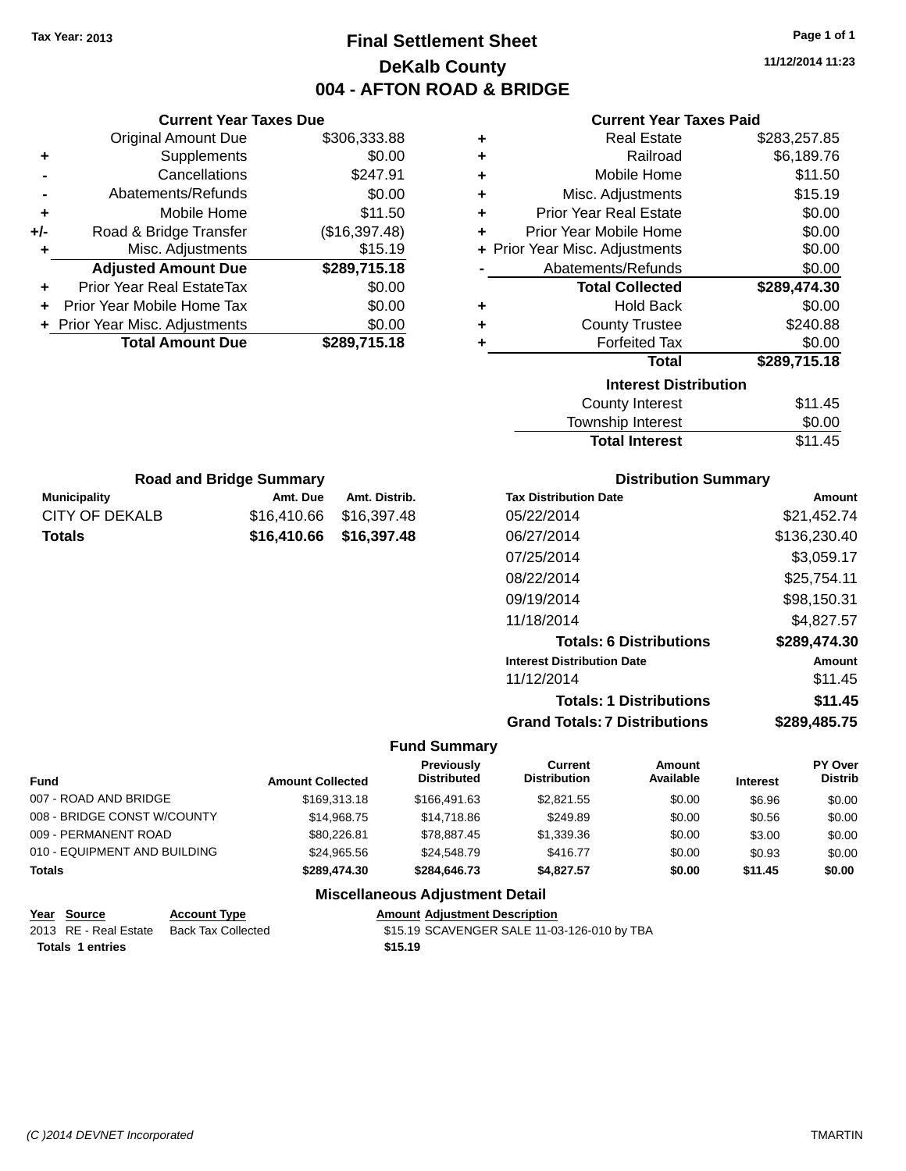### **Final Settlement Sheet Tax Year: 2013 Page 1 of 1 DeKalb County 004 - AFTON ROAD & BRIDGE**

**11/12/2014 11:23**

|               | <b>Current Year Taxes Due</b>                      |                            |                                         |                                             | <b>Current Year Taxes Paid</b> |              |                    |
|---------------|----------------------------------------------------|----------------------------|-----------------------------------------|---------------------------------------------|--------------------------------|--------------|--------------------|
|               | <b>Original Amount Due</b>                         | \$306,333.88               | ٠                                       |                                             | <b>Real Estate</b>             |              | \$283,257.85       |
|               | Supplements                                        |                            | \$0.00<br>٠                             |                                             | Railroad                       |              | \$6,189.76         |
|               | Cancellations                                      | \$247.91                   | ٠                                       |                                             | Mobile Home                    |              | \$11.50            |
|               | Abatements/Refunds                                 |                            | \$0.00<br>٠                             |                                             | Misc. Adjustments              |              | \$15.19            |
| ٠             | Mobile Home                                        | \$11.50                    | ٠                                       | <b>Prior Year Real Estate</b>               |                                |              | \$0.00             |
| +/-           | Road & Bridge Transfer                             | (\$16,397.48)              | ٠                                       | Prior Year Mobile Home                      |                                |              | \$0.00             |
|               | Misc. Adjustments                                  | \$15.19                    |                                         | + Prior Year Misc. Adjustments              |                                |              | \$0.00             |
|               | <b>Adjusted Amount Due</b>                         | \$289,715.18               |                                         | Abatements/Refunds                          |                                |              | \$0.00             |
|               | Prior Year Real EstateTax                          |                            | \$0.00                                  |                                             | <b>Total Collected</b>         |              | \$289,474.30       |
|               | Prior Year Mobile Home Tax                         |                            | \$0.00<br>٠                             |                                             | <b>Hold Back</b>               |              | \$0.00             |
|               | Prior Year Misc. Adjustments                       |                            | \$0.00<br>٠                             |                                             | <b>County Trustee</b>          |              | \$240.88           |
|               | <b>Total Amount Due</b>                            | \$289,715.18               | ٠                                       |                                             | <b>Forfeited Tax</b>           |              | \$0.00             |
|               |                                                    |                            |                                         |                                             | <b>Total</b>                   |              | \$289,715.18       |
|               |                                                    |                            |                                         |                                             | <b>Interest Distribution</b>   |              |                    |
|               |                                                    |                            |                                         |                                             | <b>County Interest</b>         |              | \$11.45            |
|               |                                                    |                            |                                         |                                             | Township Interest              |              | \$0.00             |
|               |                                                    |                            |                                         |                                             | <b>Total Interest</b>          |              | \$11.45            |
|               |                                                    |                            |                                         |                                             |                                |              |                    |
|               | <b>Road and Bridge Summary</b>                     |                            |                                         |                                             | <b>Distribution Summary</b>    |              |                    |
|               | <b>Municipality</b>                                | Amt. Due<br>Amt. Distrib.  |                                         | <b>Tax Distribution Date</b>                |                                |              | Amount             |
|               | <b>CITY OF DEKALB</b>                              | \$16,410.66<br>\$16,397.48 |                                         | 05/22/2014                                  |                                |              | \$21,452.74        |
|               | <b>Totals</b>                                      | \$16,410.66<br>\$16,397.48 |                                         | 06/27/2014                                  |                                | \$136,230.40 |                    |
|               |                                                    |                            |                                         | 07/25/2014                                  |                                |              | \$3,059.17         |
|               |                                                    |                            |                                         | 08/22/2014                                  |                                |              | \$25,754.11        |
|               |                                                    |                            |                                         | 09/19/2014                                  |                                |              | \$98,150.31        |
|               |                                                    |                            |                                         | 11/18/2014                                  |                                |              | \$4,827.57         |
|               |                                                    |                            |                                         |                                             | <b>Totals: 6 Distributions</b> |              | \$289,474.30       |
|               |                                                    |                            |                                         | <b>Interest Distribution Date</b>           |                                |              |                    |
|               |                                                    |                            |                                         | 11/12/2014                                  |                                |              | Amount<br>\$11.45  |
|               |                                                    |                            |                                         |                                             |                                |              |                    |
|               |                                                    |                            |                                         |                                             | <b>Totals: 1 Distributions</b> |              | \$11.45            |
|               |                                                    |                            |                                         | <b>Grand Totals: 7 Distributions</b>        |                                |              | \$289,485.75       |
|               |                                                    |                            | <b>Fund Summary</b>                     |                                             |                                |              |                    |
| Fund          |                                                    | <b>Amount Collected</b>    | <b>Previously</b><br><b>Distributed</b> | <b>Current</b><br><b>Distribution</b>       | Amount<br>Available            | Interest     | PY Over<br>Distrib |
|               | 007 - ROAD AND BRIDGE                              | \$169,313.18               | \$166,491.63                            | \$2,821.55                                  | \$0.00                         | \$6.96       | \$0.00             |
|               | 008 - BRIDGE CONST W/COUNTY                        | \$14,968.75                | \$14,718.86                             | \$249.89                                    | \$0.00                         | \$0.56       | \$0.00             |
|               | 009 - PERMANENT ROAD                               | \$80,226.81                | \$78,887.45                             | \$1,339.36                                  | \$0.00                         | \$3.00       | \$0.00             |
|               | 010 - EQUIPMENT AND BUILDING                       | \$24,965.56                | \$24,548.79                             | \$416.77                                    | \$0.00                         | \$0.93       | \$0.00             |
| <b>Totals</b> |                                                    | \$289,474.30               | \$284,646.73                            | \$4,827.57                                  | \$0.00                         | \$11.45      | \$0.00             |
|               |                                                    |                            | <b>Miscellaneous Adjustment Detail</b>  |                                             |                                |              |                    |
|               | <b>Account Type</b><br>Year Source                 |                            | <b>Amount Adjustment Description</b>    |                                             |                                |              |                    |
|               | 2013 RE - Real Estate<br><b>Back Tax Collected</b> |                            |                                         | \$15.19 SCAVENGER SALE 11-03-126-010 by TBA |                                |              |                    |
|               | <b>Totals 1 entries</b>                            |                            | \$15.19                                 |                                             |                                |              |                    |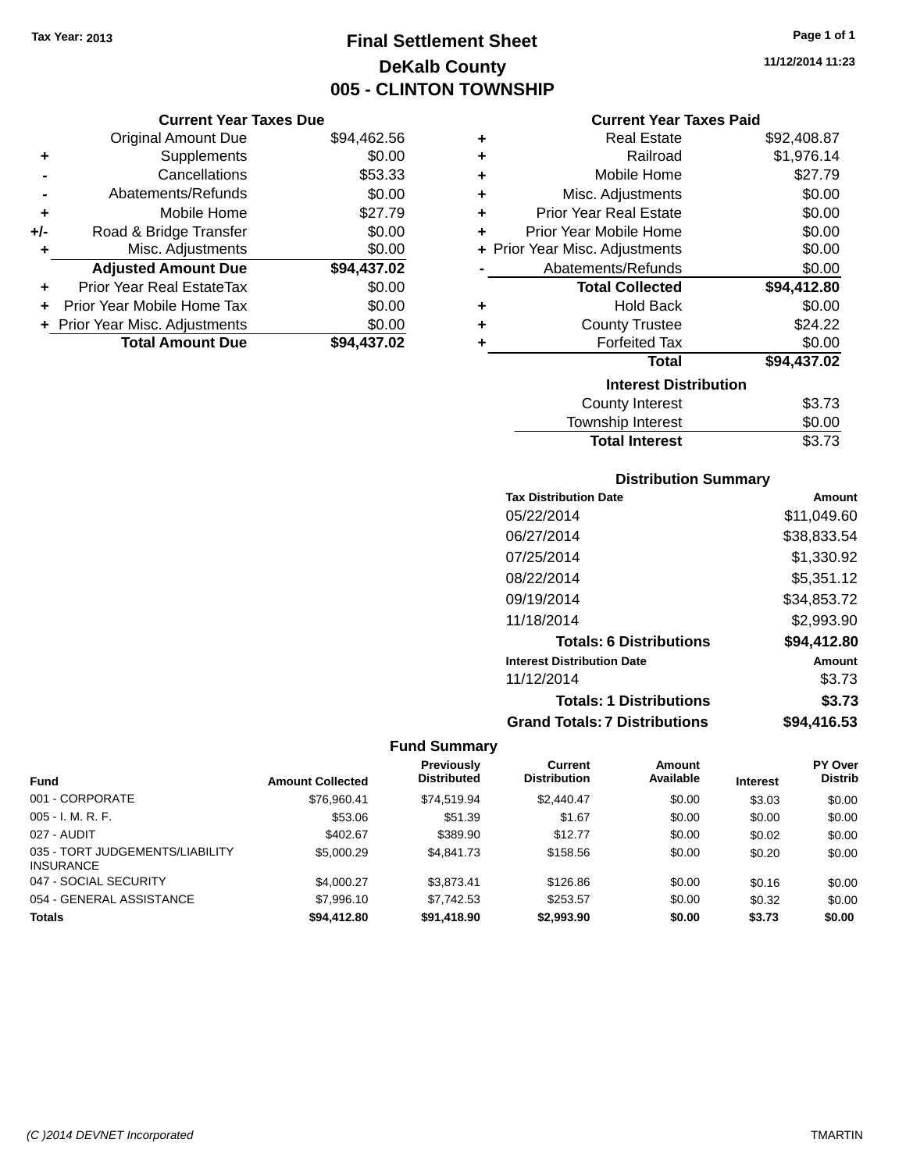### **Final Settlement Sheet Tax Year: 2013 Page 1 of 1 DeKalb County 005 - CLINTON TOWNSHIP**

**11/12/2014 11:23**

### **Current Year Taxes Paid**

|     | <b>Current Year Taxes Due</b>  |             |
|-----|--------------------------------|-------------|
|     | <b>Original Amount Due</b>     | \$94,462.56 |
| ٠   | Supplements                    | \$0.00      |
|     | Cancellations                  | \$53.33     |
|     | Abatements/Refunds             | \$0.00      |
| ٠   | Mobile Home                    | \$27.79     |
| +/- | Road & Bridge Transfer         | \$0.00      |
| ٠   | Misc. Adjustments              | \$0.00      |
|     | <b>Adjusted Amount Due</b>     | \$94,437.02 |
|     | Prior Year Real EstateTax      | \$0.00      |
| ÷   | Prior Year Mobile Home Tax     | \$0.00      |
|     | + Prior Year Misc. Adjustments | \$0.00      |
|     | <b>Total Amount Due</b>        | \$94.437.02 |

| ٠ | <b>Real Estate</b>             | \$92,408.87 |
|---|--------------------------------|-------------|
| ٠ | Railroad                       | \$1,976.14  |
| ٠ | Mobile Home                    | \$27.79     |
| ٠ | Misc. Adjustments              | \$0.00      |
| ٠ | Prior Year Real Estate         | \$0.00      |
| ٠ | Prior Year Mobile Home         | \$0.00      |
|   | + Prior Year Misc. Adjustments | \$0.00      |
|   | Abatements/Refunds             | \$0.00      |
|   | <b>Total Collected</b>         | \$94,412.80 |
| ٠ | <b>Hold Back</b>               | \$0.00      |
| ٠ | <b>County Trustee</b>          | \$24.22     |
| ٠ | <b>Forfeited Tax</b>           | \$0.00      |
|   | Total                          | \$94,437.02 |
|   | <b>Interest Distribution</b>   |             |
|   | <b>County Interest</b>         | \$3.73      |
|   | <b>Township Interest</b>       | \$0.00      |
|   | <b>Total Interest</b>          | \$3.73      |

### **Distribution Summary**

| <b>Tax Distribution Date</b>         | Amount      |
|--------------------------------------|-------------|
| 05/22/2014                           | \$11,049.60 |
| 06/27/2014                           | \$38,833.54 |
| 07/25/2014                           | \$1,330.92  |
| 08/22/2014                           | \$5,351.12  |
| 09/19/2014                           | \$34,853.72 |
| 11/18/2014                           | \$2,993.90  |
| <b>Totals: 6 Distributions</b>       | \$94,412.80 |
| <b>Interest Distribution Date</b>    | Amount      |
| 11/12/2014                           | \$3.73      |
| <b>Totals: 1 Distributions</b>       | \$3.73      |
| <b>Grand Totals: 7 Distributions</b> | \$94,416.53 |

|                                                     |                         | Previously         | Current             | <b>Amount</b> |                 | PY Over        |
|-----------------------------------------------------|-------------------------|--------------------|---------------------|---------------|-----------------|----------------|
| <b>Fund</b>                                         | <b>Amount Collected</b> | <b>Distributed</b> | <b>Distribution</b> | Available     | <b>Interest</b> | <b>Distrib</b> |
| 001 - CORPORATE                                     | \$76,960.41             | \$74.519.94        | \$2,440.47          | \$0.00        | \$3.03          | \$0.00         |
| $005 - I. M. R. F.$                                 | \$53.06                 | \$51.39            | \$1.67              | \$0.00        | \$0.00          | \$0.00         |
| 027 - AUDIT                                         | \$402.67                | \$389.90           | \$12.77             | \$0.00        | \$0.02          | \$0.00         |
| 035 - TORT JUDGEMENTS/LIABILITY<br><b>INSURANCE</b> | \$5,000.29              | \$4,841.73         | \$158.56            | \$0.00        | \$0.20          | \$0.00         |
| 047 - SOCIAL SECURITY                               | \$4,000.27              | \$3.873.41         | \$126.86            | \$0.00        | \$0.16          | \$0.00         |
| 054 - GENERAL ASSISTANCE                            | \$7,996.10              | \$7.742.53         | \$253.57            | \$0.00        | \$0.32          | \$0.00         |
| <b>Totals</b>                                       | \$94,412.80             | \$91.418.90        | \$2,993.90          | \$0.00        | \$3.73          | \$0.00         |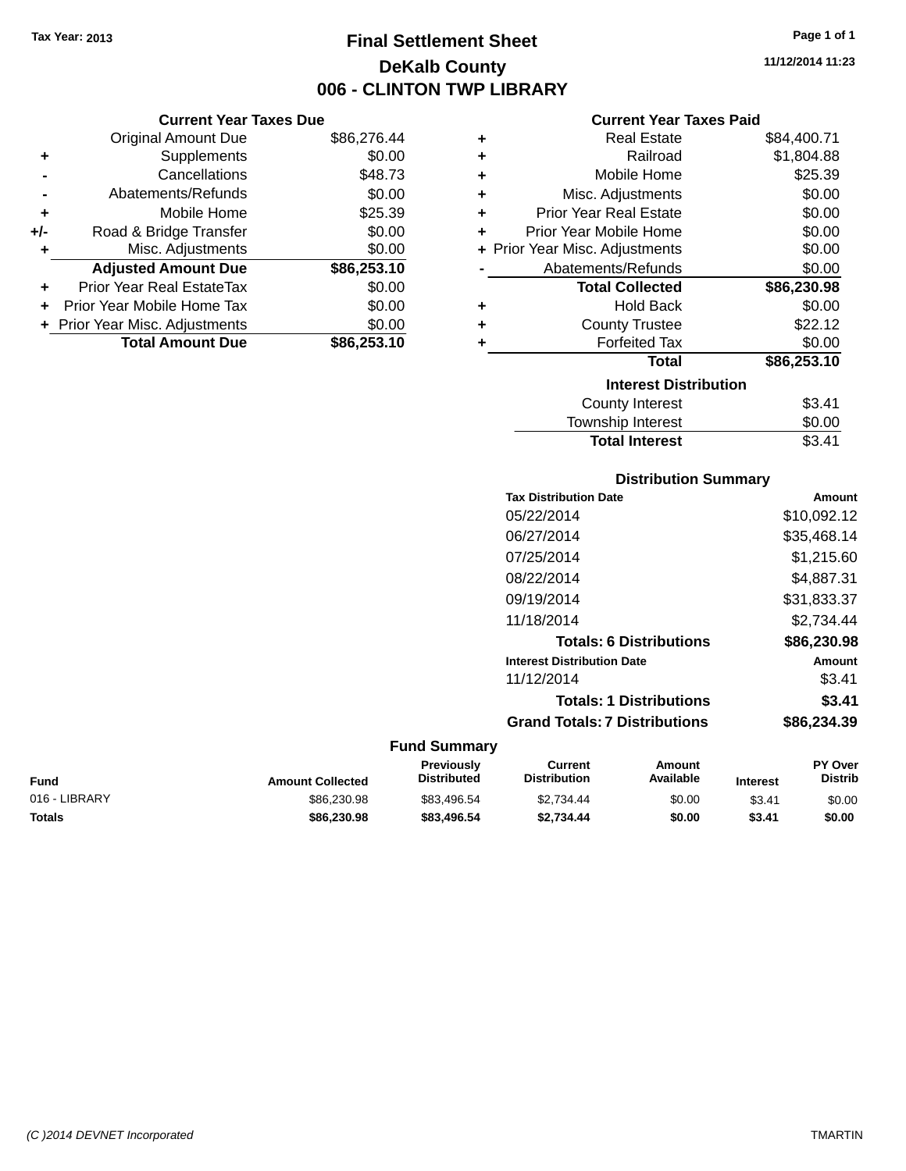### **Final Settlement Sheet Tax Year: 2013 Page 1 of 1 DeKalb County 006 - CLINTON TWP LIBRARY**

**11/12/2014 11:23**

### **Current Year Taxes Paid**

|     | <b>Current Year Taxes Due</b>  |             |  |
|-----|--------------------------------|-------------|--|
|     | <b>Original Amount Due</b>     | \$86,276.44 |  |
| ٠   | Supplements                    | \$0.00      |  |
|     | Cancellations                  | \$48.73     |  |
|     | Abatements/Refunds             | \$0.00      |  |
| ٠   | Mobile Home                    | \$25.39     |  |
| +/- | Road & Bridge Transfer         | \$0.00      |  |
| ٠   | Misc. Adjustments              | \$0.00      |  |
|     | <b>Adjusted Amount Due</b>     | \$86,253.10 |  |
| ٠   | Prior Year Real EstateTax      | \$0.00      |  |
| ÷   | Prior Year Mobile Home Tax     | \$0.00      |  |
|     | + Prior Year Misc. Adjustments | \$0.00      |  |
|     | <b>Total Amount Due</b>        | \$86,253.10 |  |

| ٠ | <b>Real Estate</b>             | \$84,400.71 |
|---|--------------------------------|-------------|
| ٠ | Railroad                       | \$1,804.88  |
| ٠ | Mobile Home                    | \$25.39     |
| ٠ | Misc. Adjustments              | \$0.00      |
| ٠ | Prior Year Real Estate         | \$0.00      |
| ٠ | Prior Year Mobile Home         | \$0.00      |
|   | + Prior Year Misc. Adjustments | \$0.00      |
|   | Abatements/Refunds             | \$0.00      |
|   | <b>Total Collected</b>         | \$86,230.98 |
| ٠ | <b>Hold Back</b>               | \$0.00      |
| ٠ | <b>County Trustee</b>          | \$22.12     |
| ٠ | <b>Forfeited Tax</b>           | \$0.00      |
|   | <b>Total</b>                   | \$86,253.10 |
|   | <b>Interest Distribution</b>   |             |
|   | <b>County Interest</b>         | \$3.41      |
|   | Township Interest              | \$0.00      |
|   | <b>Total Interest</b>          | \$3.41      |

### **Distribution Summary**

| <b>Tax Distribution Date</b>         | Amount      |
|--------------------------------------|-------------|
| 05/22/2014                           | \$10,092.12 |
| 06/27/2014                           | \$35,468.14 |
| 07/25/2014                           | \$1.215.60  |
| 08/22/2014                           | \$4,887.31  |
| 09/19/2014                           | \$31,833.37 |
| 11/18/2014                           | \$2.734.44  |
| <b>Totals: 6 Distributions</b>       | \$86,230.98 |
| <b>Interest Distribution Date</b>    | Amount      |
| 11/12/2014                           | \$3.41      |
| <b>Totals: 1 Distributions</b>       | \$3.41      |
| <b>Grand Totals: 7 Distributions</b> | \$86,234.39 |
|                                      |             |

#### **Fund Summary Current Previously**

| Fund          | <b>Amount Collected</b> | Previously<br><b>Distributed</b> | Current<br>Distribution | Amount<br>Available | <b>Interest</b> | <b>PY Over</b><br><b>Distrib</b> |
|---------------|-------------------------|----------------------------------|-------------------------|---------------------|-----------------|----------------------------------|
| 016 - LIBRARY | \$86,230.98             | \$83.496.54                      | \$2.734.44              | \$0.00              | \$3.41          | \$0.00                           |
| Totals        | \$86,230,98             | \$83,496.54                      | \$2,734.44              | \$0.00              | \$3.41          | \$0.00                           |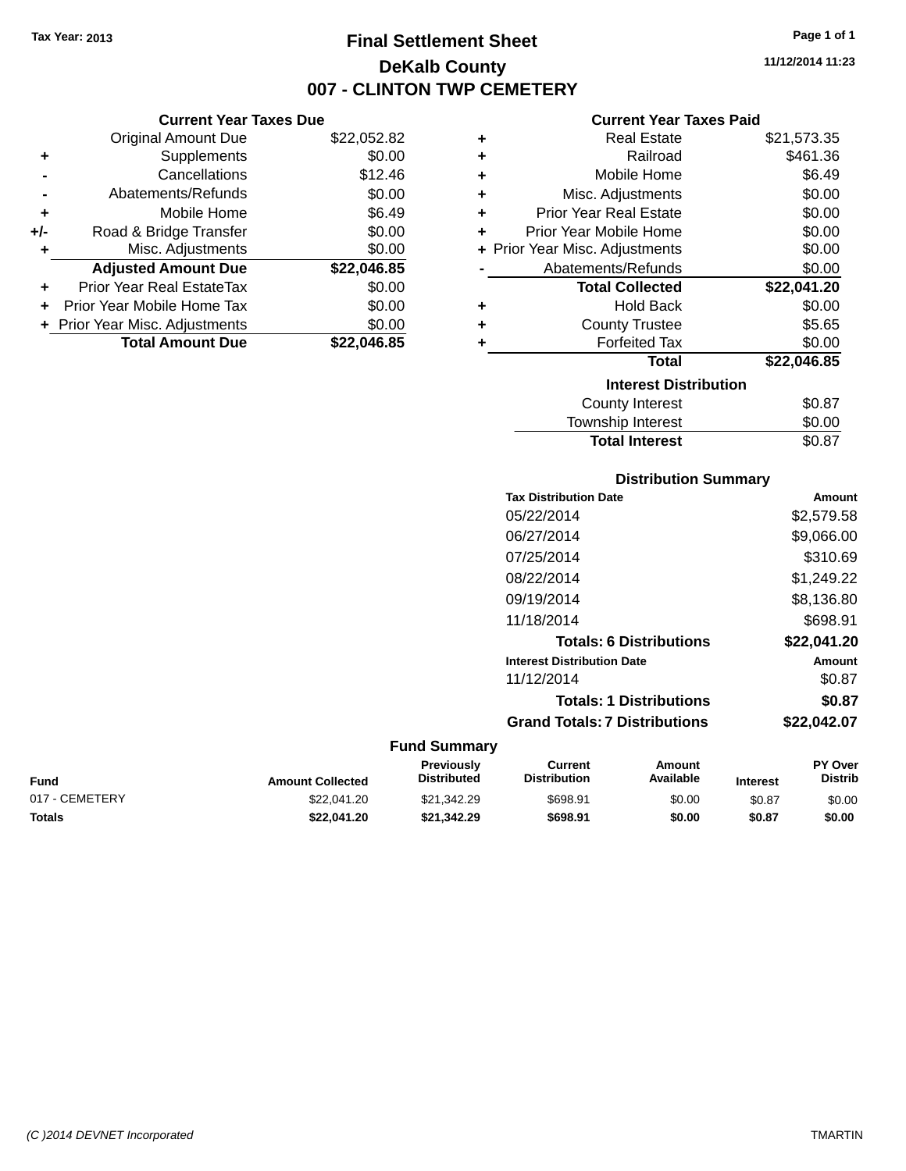### **Final Settlement Sheet Tax Year: 2013 Page 1 of 1 DeKalb County 007 - CLINTON TWP CEMETERY**

**11/12/2014 11:23**

### **Current Year Taxes Paid**

|     | <b>Current Year Taxes Due</b>  |             |
|-----|--------------------------------|-------------|
|     | <b>Original Amount Due</b>     | \$22,052.82 |
| ٠   | Supplements                    | \$0.00      |
|     | Cancellations                  | \$12.46     |
|     | Abatements/Refunds             | \$0.00      |
| ٠   | Mobile Home                    | \$6.49      |
| +/- | Road & Bridge Transfer         | \$0.00      |
| ٠   | Misc. Adjustments              | \$0.00      |
|     | <b>Adjusted Amount Due</b>     | \$22,046.85 |
| ٠   | Prior Year Real EstateTax      | \$0.00      |
| ÷   | Prior Year Mobile Home Tax     | \$0.00      |
|     | + Prior Year Misc. Adjustments | \$0.00      |
|     | <b>Total Amount Due</b>        | \$22.046.85 |

| ٠ | <b>Real Estate</b>             | \$21,573.35 |
|---|--------------------------------|-------------|
| ÷ | Railroad                       | \$461.36    |
| ÷ | Mobile Home                    | \$6.49      |
| ÷ | Misc. Adjustments              | \$0.00      |
| ÷ | <b>Prior Year Real Estate</b>  | \$0.00      |
| ٠ | Prior Year Mobile Home         | \$0.00      |
|   | + Prior Year Misc. Adjustments | \$0.00      |
|   | Abatements/Refunds             | \$0.00      |
|   | <b>Total Collected</b>         | \$22,041.20 |
| ٠ | Hold Back                      | \$0.00      |
| ٠ | <b>County Trustee</b>          | \$5.65      |
| ٠ | <b>Forfeited Tax</b>           | \$0.00      |
|   | <b>Total</b>                   | \$22,046.85 |
|   | <b>Interest Distribution</b>   |             |
|   | <b>County Interest</b>         | \$0.87      |
|   | Township Interest              | \$0.00      |
|   | <b>Total Interest</b>          | \$0.87      |

| <b>Distribution Summary</b>          |             |
|--------------------------------------|-------------|
| <b>Tax Distribution Date</b>         | Amount      |
| 05/22/2014                           | \$2,579.58  |
| 06/27/2014                           | \$9,066.00  |
| 07/25/2014                           | \$310.69    |
| 08/22/2014                           | \$1,249.22  |
| 09/19/2014                           | \$8.136.80  |
| 11/18/2014                           | \$698.91    |
| <b>Totals: 6 Distributions</b>       | \$22,041.20 |
| <b>Interest Distribution Date</b>    | Amount      |
| 11/12/2014                           | \$0.87      |
| <b>Totals: 1 Distributions</b>       | \$0.87      |
| <b>Grand Totals: 7 Distributions</b> | \$22.042.07 |

| Fund           | <b>Amount Collected</b> | <b>Previously</b><br><b>Distributed</b> | Current<br><b>Distribution</b> | Amount<br>Available | <b>Interest</b> | <b>PY Over</b><br>Distrib |
|----------------|-------------------------|-----------------------------------------|--------------------------------|---------------------|-----------------|---------------------------|
| 017 - CEMETERY | \$22.041.20             | \$21.342.29                             | \$698.91                       | \$0.00              | \$0.87          | \$0.00                    |
| Totals         | \$22,041.20             | \$21.342.29                             | \$698.91                       | \$0.00              | \$0.87          | \$0.00                    |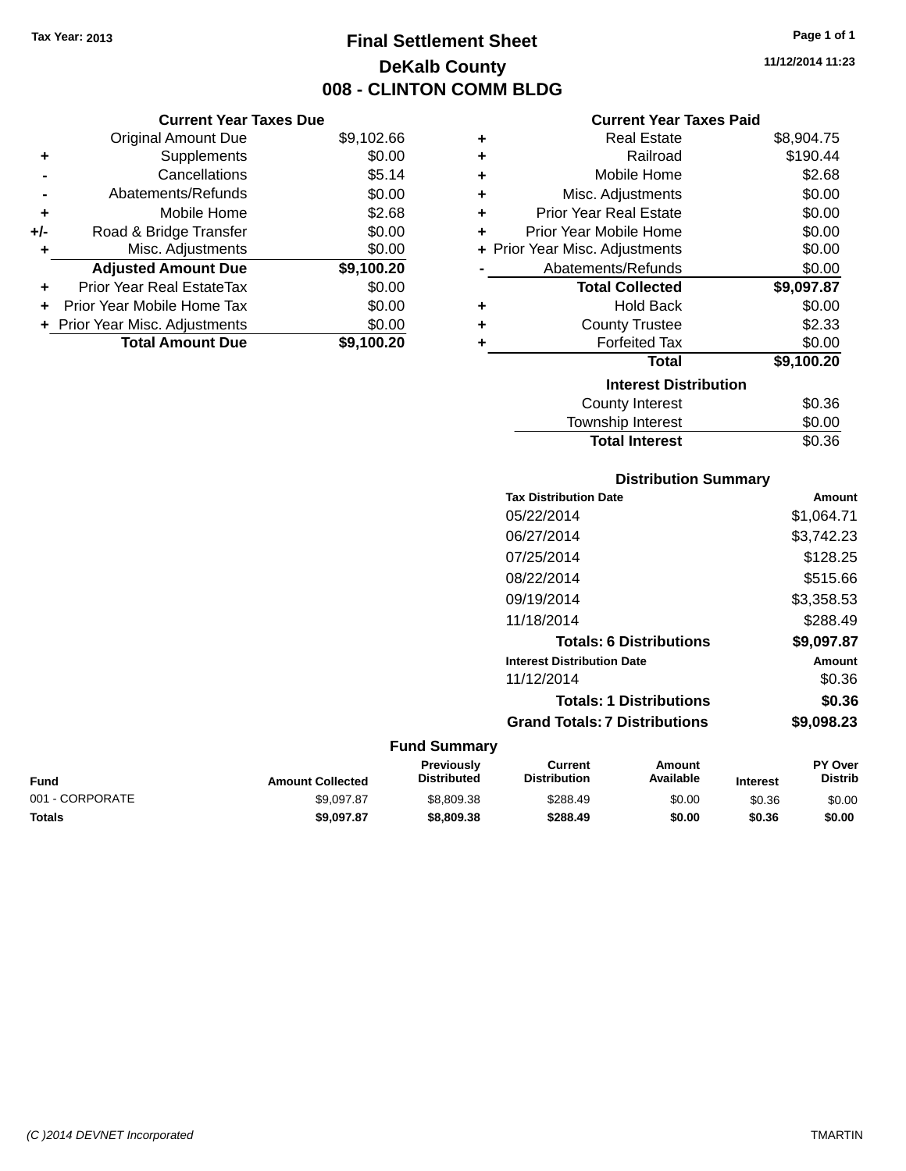### **Final Settlement Sheet Tax Year: 2013 Page 1 of 1 DeKalb County 008 - CLINTON COMM BLDG**

**11/12/2014 11:23**

| <b>Current Year Taxes Paid</b> |  |  |  |
|--------------------------------|--|--|--|
|--------------------------------|--|--|--|

| ٠ | <b>Real Estate</b>             | \$8,904.75 |
|---|--------------------------------|------------|
| ٠ | Railroad                       | \$190.44   |
| ÷ | Mobile Home                    | \$2.68     |
| ÷ | Misc. Adjustments              | \$0.00     |
| ٠ | <b>Prior Year Real Estate</b>  | \$0.00     |
| ÷ | Prior Year Mobile Home         | \$0.00     |
|   | + Prior Year Misc. Adjustments | \$0.00     |
|   | Abatements/Refunds             | \$0.00     |
|   | <b>Total Collected</b>         | \$9,097.87 |
| ٠ | <b>Hold Back</b>               | \$0.00     |
| ٠ | <b>County Trustee</b>          | \$2.33     |
| ٠ | <b>Forfeited Tax</b>           | \$0.00     |
|   | <b>Total</b>                   | \$9,100.20 |
|   | <b>Interest Distribution</b>   |            |
|   | County Interest                | \$0.36     |
|   | <b>Township Interest</b>       | \$0.00     |
|   | <b>Total Interest</b>          | \$0.36     |

| <b>Distribution Summary</b>  |        |
|------------------------------|--------|
| <b>Tax Distribution Date</b> | Amount |

|                     | тах слытопной саге                   | AIIIOUIIL     |
|---------------------|--------------------------------------|---------------|
|                     | 05/22/2014                           | \$1,064.71    |
|                     | 06/27/2014                           | \$3.742.23    |
|                     | 07/25/2014                           | \$128.25      |
|                     | 08/22/2014                           | \$515.66      |
|                     | 09/19/2014                           | \$3,358.53    |
|                     | 11/18/2014                           | \$288.49      |
|                     | <b>Totals: 6 Distributions</b>       | \$9,097.87    |
|                     | <b>Interest Distribution Date</b>    | <b>Amount</b> |
|                     | 11/12/2014                           | \$0.36        |
|                     | <b>Totals: 1 Distributions</b>       | \$0.36        |
|                     | <b>Grand Totals: 7 Distributions</b> | \$9,098.23    |
| <b>Fund Summary</b> |                                      |               |

| <b>Distrib</b> |
|----------------|
| \$0.00         |
| \$0.00         |
| \$0.36         |

|       | Abatements/Refunds             | \$0.00     |
|-------|--------------------------------|------------|
| ٠     | Mobile Home                    | \$2.68     |
| $+/-$ | Road & Bridge Transfer         | \$0.00     |
| ÷     | Misc. Adjustments              | \$0.00     |
|       | <b>Adjusted Amount Due</b>     | \$9,100.20 |
|       | Prior Year Real EstateTax      | \$0.00     |
|       | + Prior Year Mobile Home Tax   | \$0.00     |
|       | + Prior Year Misc. Adjustments | \$0.00     |
|       | <b>Total Amount Due</b>        | \$9,100.20 |

 $+$  Supplements

**Current Year Taxes Due**

**-** Cancellations \$5.14

Original Amount Due \$9,102.66<br>Supplements \$0.00

*(C )2014 DEVNET Incorporated* TMARTIN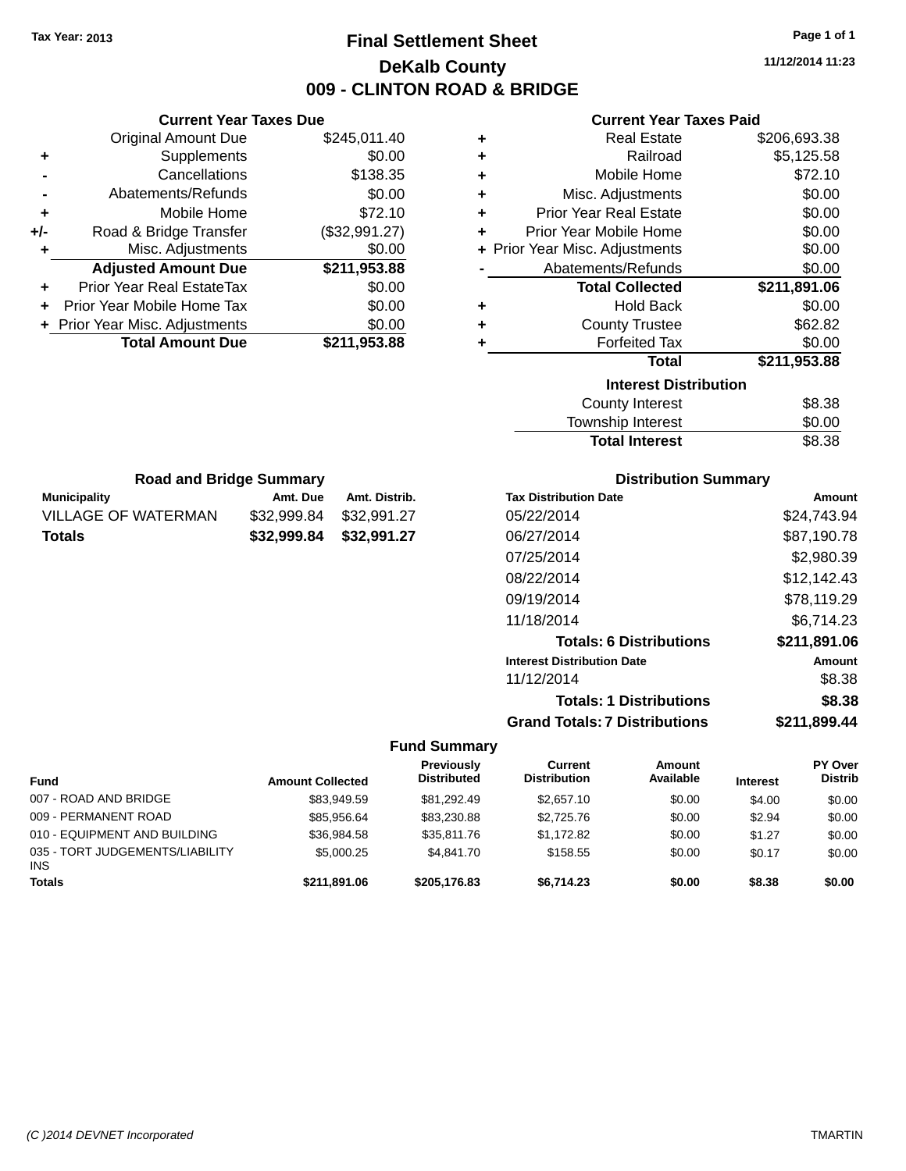### **Final Settlement Sheet Tax Year: 2013 Page 1 of 1 DeKalb County 009 - CLINTON ROAD & BRIDGE**

**11/12/2014 11:23**

### **Current Year Taxes Paid**

| <b>Current Year Taxes Due</b>  |               |
|--------------------------------|---------------|
| <b>Original Amount Due</b>     | \$245,011.40  |
| Supplements                    | \$0.00        |
| Cancellations                  | \$138.35      |
| Abatements/Refunds             | \$0.00        |
| Mobile Home                    | \$72.10       |
| Road & Bridge Transfer         | (\$32,991.27) |
| Misc. Adjustments              | \$0.00        |
| <b>Adjusted Amount Due</b>     | \$211,953.88  |
| Prior Year Real EstateTax      | \$0.00        |
| Prior Year Mobile Home Tax     | \$0.00        |
| + Prior Year Misc. Adjustments | \$0.00        |
| <b>Total Amount Due</b>        | \$211,953.88  |
|                                |               |

**Municipality Amt. Due Amt. Distrib. Road and Bridge Summary**

VILLAGE OF WATERMAN \$32,999.84 \$32,991.27 **Totals \$32,999.84 \$32,991.27**

| ٠ | <b>Real Estate</b>             | \$206,693.38 |
|---|--------------------------------|--------------|
| ÷ | Railroad                       | \$5,125.58   |
| ٠ | Mobile Home                    | \$72.10      |
| ٠ | Misc. Adjustments              | \$0.00       |
| ٠ | <b>Prior Year Real Estate</b>  | \$0.00       |
| ÷ | Prior Year Mobile Home         | \$0.00       |
|   | + Prior Year Misc. Adjustments | \$0.00       |
|   | Abatements/Refunds             | \$0.00       |
|   | <b>Total Collected</b>         | \$211,891.06 |
| ٠ | <b>Hold Back</b>               | \$0.00       |
|   |                                |              |
| ÷ | <b>County Trustee</b>          | \$62.82      |
| ٠ | <b>Forfeited Tax</b>           | \$0.00       |
|   | <b>Total</b>                   | \$211,953.88 |
|   | <b>Interest Distribution</b>   |              |
|   | <b>County Interest</b>         | \$8.38       |

| <b>Total Interest</b>  | \$8.38 |
|------------------------|--------|
| Township Interest      | \$0.00 |
| <b>County Interest</b> | აი.აი  |

| <b>Distribution Summary</b>       |              |
|-----------------------------------|--------------|
| <b>Tax Distribution Date</b>      | Amount       |
| 05/22/2014                        | \$24,743.94  |
| 06/27/2014                        | \$87,190.78  |
| 07/25/2014                        | \$2,980.39   |
| 08/22/2014                        | \$12,142.43  |
| 09/19/2014                        | \$78,119.29  |
| 11/18/2014                        | \$6,714.23   |
| <b>Totals: 6 Distributions</b>    | \$211,891.06 |
| <b>Interest Distribution Date</b> | Amount       |
| 11/12/2014                        | \$8.38       |

**Totals: 1 Distributions \$8.38**

**Grand Totals: 7 Distributions \$211,899.44**

| <b>Fund</b>                                   | <b>Amount Collected</b> | Previously<br><b>Distributed</b> | Current<br><b>Distribution</b> | Amount<br>Available | <b>Interest</b> | <b>PY Over</b><br><b>Distrib</b> |
|-----------------------------------------------|-------------------------|----------------------------------|--------------------------------|---------------------|-----------------|----------------------------------|
| 007 - ROAD AND BRIDGE                         | \$83.949.59             | \$81.292.49                      | \$2,657.10                     | \$0.00              | \$4.00          | \$0.00                           |
| 009 - PERMANENT ROAD                          | \$85.956.64             | \$83,230.88                      | \$2,725,76                     | \$0.00              | \$2.94          | \$0.00                           |
| 010 - EQUIPMENT AND BUILDING                  | \$36,984.58             | \$35,811.76                      | \$1.172.82                     | \$0.00              | \$1.27          | \$0.00                           |
| 035 - TORT JUDGEMENTS/LIABILITY<br><b>INS</b> | \$5,000.25              | \$4.841.70                       | \$158.55                       | \$0.00              | \$0.17          | \$0.00                           |
| <b>Totals</b>                                 | \$211.891.06            | \$205,176.83                     | \$6.714.23                     | \$0.00              | \$8.38          | \$0.00                           |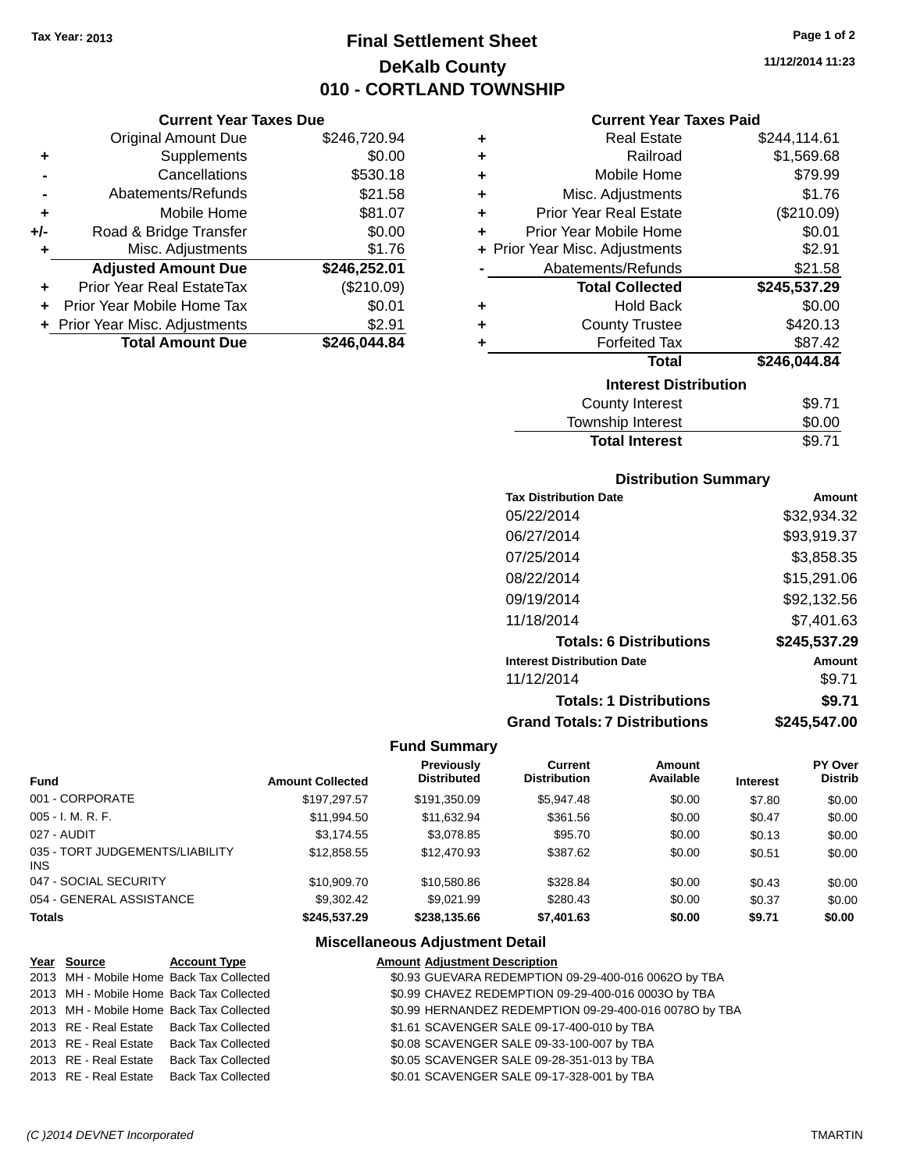### **Final Settlement Sheet Tax Year: 2013 Page 1 of 2 DeKalb County 010 - CORTLAND TOWNSHIP**

**11/12/2014 11:23**

### **Current Year Taxes Paid**

|       | <b>Current Year Taxes Due</b>  |              |   |                    |
|-------|--------------------------------|--------------|---|--------------------|
|       | Original Amount Due            | \$246,720.94 | ÷ |                    |
|       | <b>Supplements</b>             | \$0.00       |   |                    |
|       | Cancellations                  | \$530.18     | ٠ |                    |
|       | Abatements/Refunds             | \$21.58      | ٠ | Misc.              |
| ٠     | Mobile Home                    | \$81.07      | ٠ | <b>Prior Year</b>  |
| $+/-$ | Road & Bridge Transfer         | \$0.00       |   | Prior Year N       |
| ٠     | Misc. Adjustments              | \$1.76       |   | + Prior Year Misc. |
|       | <b>Adjusted Amount Due</b>     | \$246,252.01 |   | Abateme            |
|       | Prior Year Real EstateTax      | (\$210.09)   |   | Tot                |
|       | Prior Year Mobile Home Tax     | \$0.01       | ٠ |                    |
|       | + Prior Year Misc. Adjustments | \$2.91       | ٠ | Co                 |
|       | <b>Total Amount Due</b>        | \$246,044.84 |   |                    |
|       |                                |              |   |                    |

| ٠ | <b>Real Estate</b>             | \$244,114.61 |
|---|--------------------------------|--------------|
| ٠ | Railroad                       | \$1,569.68   |
| ٠ | Mobile Home                    | \$79.99      |
| ٠ | Misc. Adjustments              | \$1.76       |
| ٠ | <b>Prior Year Real Estate</b>  | (\$210.09)   |
| ٠ | Prior Year Mobile Home         | \$0.01       |
|   | + Prior Year Misc. Adjustments | \$2.91       |
|   | Abatements/Refunds             | \$21.58      |
|   | <b>Total Collected</b>         | \$245,537.29 |
| ٠ | <b>Hold Back</b>               | \$0.00       |
| ٠ | <b>County Trustee</b>          | \$420.13     |
| ٠ | <b>Forfeited Tax</b>           | \$87.42      |
|   | <b>Total</b>                   | \$246,044.84 |
|   | <b>Interest Distribution</b>   |              |
|   | County Interest                | \$9.71       |
|   |                                |              |

| <b>Total Interest</b> | \$9.71        |
|-----------------------|---------------|
| Township Interest     | \$0.00        |
| County interest       | <b>১</b> ৬.।। |

### **Distribution Summary**

| <b>Tax Distribution Date</b>         | Amount       |
|--------------------------------------|--------------|
| 05/22/2014                           | \$32,934.32  |
| 06/27/2014                           | \$93,919.37  |
| 07/25/2014                           | \$3,858.35   |
| 08/22/2014                           | \$15,291.06  |
| 09/19/2014                           | \$92,132.56  |
| 11/18/2014                           | \$7,401.63   |
| <b>Totals: 6 Distributions</b>       | \$245,537.29 |
| <b>Interest Distribution Date</b>    | Amount       |
| 11/12/2014                           | \$9.71       |
| <b>Totals: 1 Distributions</b>       | \$9.71       |
| <b>Grand Totals: 7 Distributions</b> | \$245,547.00 |

#### **Fund Summary**

| <b>Fund</b>                             | <b>Amount Collected</b> | <b>Previously</b><br><b>Distributed</b> | Current<br><b>Distribution</b> | Amount<br>Available | <b>Interest</b> | PY Over<br><b>Distrib</b> |
|-----------------------------------------|-------------------------|-----------------------------------------|--------------------------------|---------------------|-----------------|---------------------------|
| 001 - CORPORATE                         | \$197.297.57            | \$191,350.09                            | \$5,947.48                     | \$0.00              | \$7.80          | \$0.00                    |
| 005 - I. M. R. F.                       | \$11,994.50             | \$11,632.94                             | \$361.56                       | \$0.00              | \$0.47          | \$0.00                    |
| 027 - AUDIT                             | \$3,174.55              | \$3,078.85                              | \$95.70                        | \$0.00              | \$0.13          | \$0.00                    |
| 035 - TORT JUDGEMENTS/LIABILITY<br>INS. | \$12,858.55             | \$12,470.93                             | \$387.62                       | \$0.00              | \$0.51          | \$0.00                    |
| 047 - SOCIAL SECURITY                   | \$10,909.70             | \$10,580.86                             | \$328.84                       | \$0.00              | \$0.43          | \$0.00                    |
| 054 - GENERAL ASSISTANCE                | \$9.302.42              | \$9.021.99                              | \$280.43                       | \$0.00              | \$0.37          | \$0.00                    |
| <b>Totals</b>                           | \$245,537.29            | \$238,135.66                            | \$7,401.63                     | \$0.00              | \$9.71          | \$0.00                    |

### **Miscellaneous Adjustment Detail**

| Year Source | <b>Account Type</b>                      | <b>Amount Adjustment Description</b>                   |  |
|-------------|------------------------------------------|--------------------------------------------------------|--|
|             | 2013 MH - Mobile Home Back Tax Collected | \$0.93 GUEVARA REDEMPTION 09-29-400-016 00620 by TBA   |  |
|             | 2013 MH - Mobile Home Back Tax Collected | \$0.99 CHAVEZ REDEMPTION 09-29-400-016 0003O by TBA    |  |
|             | 2013 MH - Mobile Home Back Tax Collected | \$0.99 HERNANDEZ REDEMPTION 09-29-400-016 0078O by TBA |  |
|             | 2013 RE - Real Estate Back Tax Collected | \$1.61 SCAVENGER SALE 09-17-400-010 by TBA             |  |
|             | 2013 RE - Real Estate Back Tax Collected | \$0.08 SCAVENGER SALE 09-33-100-007 by TBA             |  |
|             | 2013 RE - Real Estate Back Tax Collected | \$0.05 SCAVENGER SALE 09-28-351-013 by TBA             |  |
|             | 2013 RE - Real Estate Back Tax Collected | \$0.01 SCAVENGER SALE 09-17-328-001 by TBA             |  |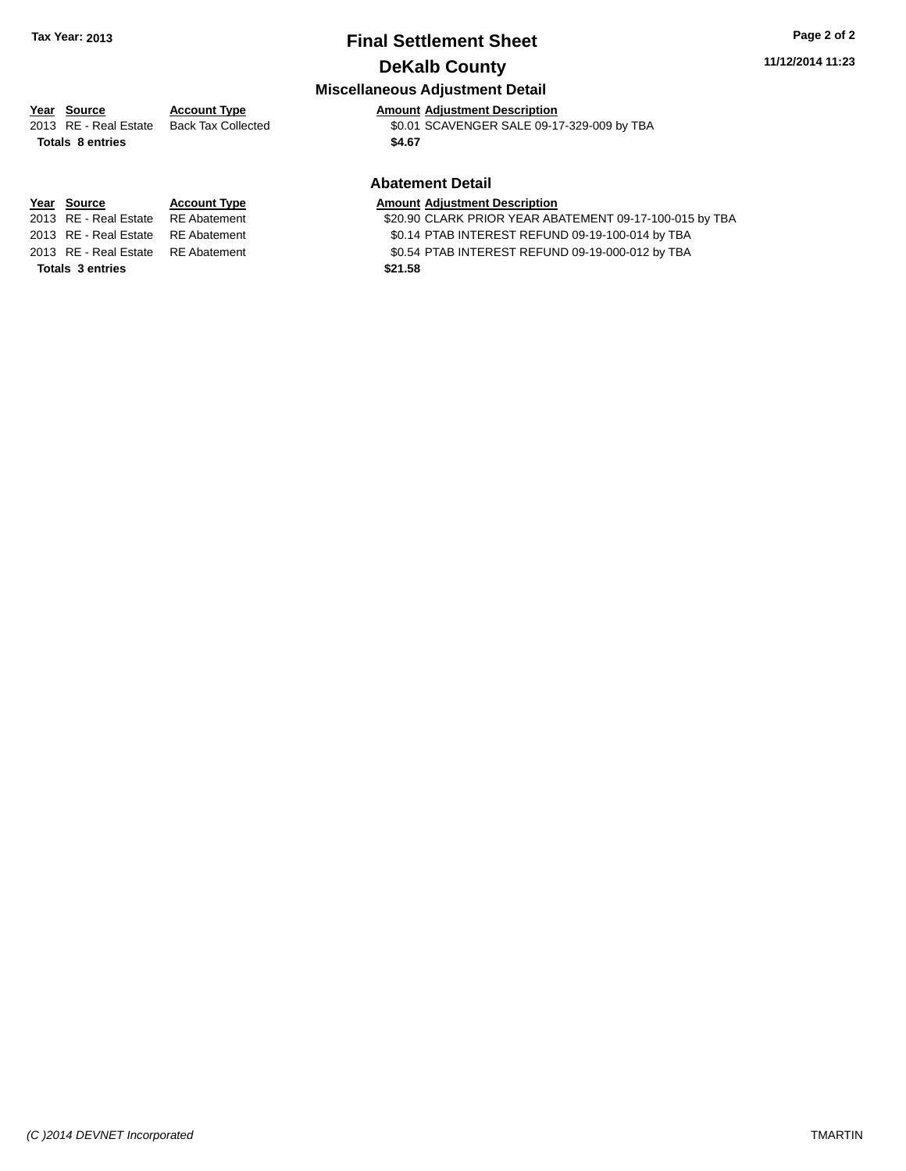### **Final Settlement Sheet Tax Year: 2013 Page 2 of 2 DeKalb County**

#### **11/12/2014 11:23**

### **Miscellaneous Adjustment Detail**

### **Year** Source **Account Type And Amount Adjustment Description**

2013 RE - Real Estate Back Tax Collected \$0.01 SCAVENGER SALE 09-17-329-009 by TBA **Totals \$4.67 8 entries**

**Totals 3 entries \$21.58**

### **Abatement Detail**

#### **Year** Source **Account Type A** Account Adjustment Description

2013 RE - Real Estate RE Abatement \$20.90 CLARK PRIOR YEAR ABATEMENT 09-17-100-015 by TBA

- 2013 RE Real Estate RE Abatement \$0.14 PTAB INTEREST REFUND 09-19-100-014 by TBA
- 2013 RE Real Estate RE Abatement \$0.54 PTAB INTEREST REFUND 09-19-000-012 by TBA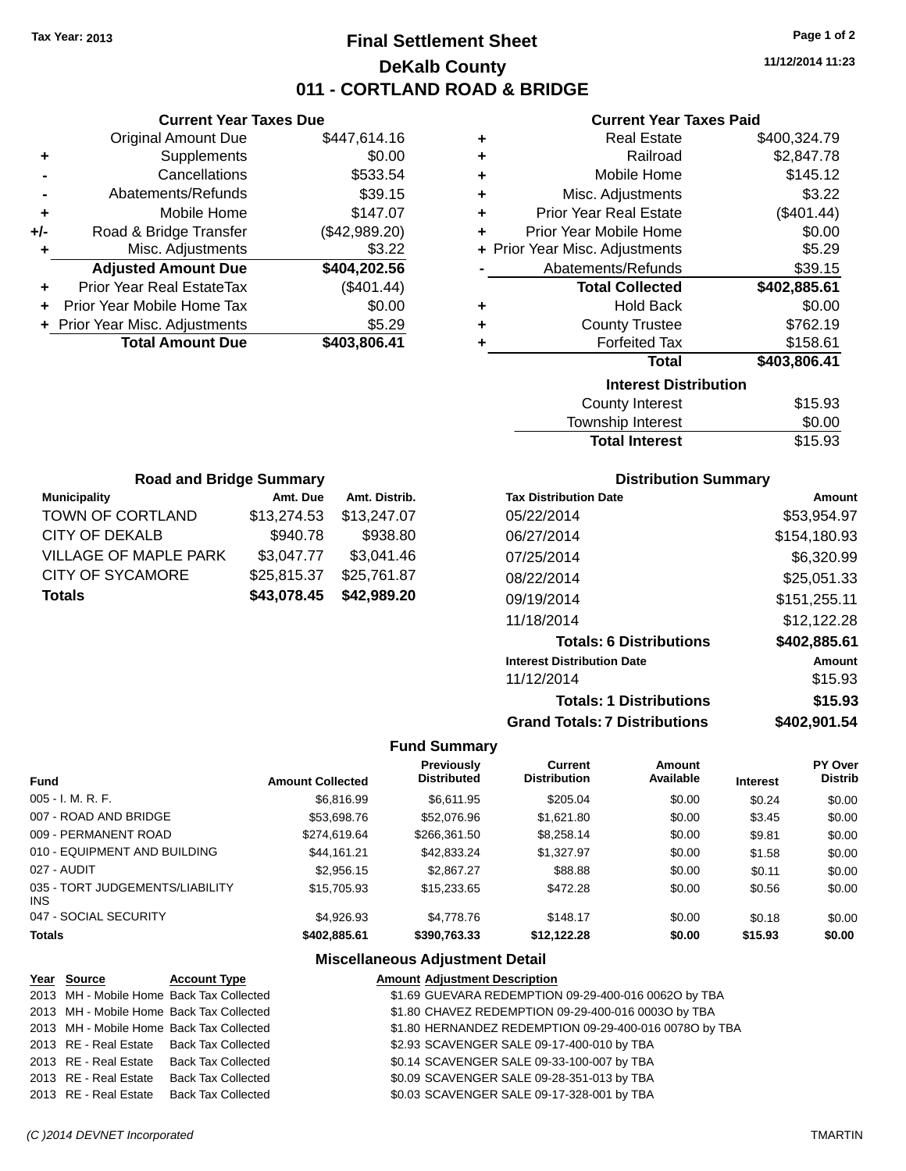### **Final Settlement Sheet Tax Year: 2013 Page 1 of 2 DeKalb County 011 - CORTLAND ROAD & BRIDGE**

**11/12/2014 11:23**

### **Current Year Taxes Paid**

|     | <b>Current Year Taxes Due</b>  |               |
|-----|--------------------------------|---------------|
|     | <b>Original Amount Due</b>     | \$447,614.16  |
| ٠   | Supplements                    | \$0.00        |
|     | Cancellations                  | \$533.54      |
|     | Abatements/Refunds             | \$39.15       |
| ٠   | Mobile Home                    | \$147.07      |
| +/- | Road & Bridge Transfer         | (\$42,989.20) |
| ٠   | Misc. Adjustments              | \$3.22        |
|     | <b>Adjusted Amount Due</b>     | \$404,202.56  |
| ÷   | Prior Year Real EstateTax      | (\$401.44)    |
|     | Prior Year Mobile Home Tax     | \$0.00        |
|     | + Prior Year Misc. Adjustments | \$5.29        |
|     | <b>Total Amount Due</b>        | \$403,806.41  |
|     |                                |               |

| ٠ | <b>Real Estate</b>             | \$400,324.79 |
|---|--------------------------------|--------------|
| ٠ | Railroad                       | \$2,847.78   |
| ٠ | Mobile Home                    | \$145.12     |
| ٠ | Misc. Adjustments              | \$3.22       |
| ٠ | <b>Prior Year Real Estate</b>  | (\$401.44)   |
| ٠ | Prior Year Mobile Home         | \$0.00       |
|   | + Prior Year Misc. Adjustments | \$5.29       |
|   | Abatements/Refunds             | \$39.15      |
|   | <b>Total Collected</b>         | \$402,885.61 |
| ٠ | <b>Hold Back</b>               | \$0.00       |
| ٠ | <b>County Trustee</b>          | \$762.19     |
| ٠ | <b>Forfeited Tax</b>           | \$158.61     |
|   | <b>Total</b>                   |              |
|   |                                | \$403,806.41 |
|   | <b>Interest Distribution</b>   |              |

| <b>Total Interest</b> | \$15.93 |
|-----------------------|---------|
| Township Interest     | \$0.00  |
| County Interest       | \$15.93 |

| <b>Road and Bridge Summary</b> |             |               |  |  |
|--------------------------------|-------------|---------------|--|--|
| <b>Municipality</b>            | Amt. Due    | Amt. Distrib. |  |  |
| TOWN OF CORTLAND               | \$13,274.53 | \$13,247.07   |  |  |
| <b>CITY OF DEKALB</b>          | \$940.78    | \$938.80      |  |  |
| <b>VILLAGE OF MAPLE PARK</b>   | \$3,047.77  | \$3,041.46    |  |  |
| <b>CITY OF SYCAMORE</b>        | \$25,815.37 | \$25,761.87   |  |  |
| <b>Totals</b>                  | \$43,078.45 | \$42,989.20   |  |  |

### **Distribution Summary**

| <b>Tax Distribution Date</b>         | Amount       |
|--------------------------------------|--------------|
| 05/22/2014                           | \$53,954.97  |
| 06/27/2014                           | \$154.180.93 |
| 07/25/2014                           | \$6,320.99   |
| 08/22/2014                           | \$25,051.33  |
| 09/19/2014                           | \$151,255.11 |
| 11/18/2014                           | \$12,122.28  |
| <b>Totals: 6 Distributions</b>       | \$402,885.61 |
| <b>Interest Distribution Date</b>    | Amount       |
| 11/12/2014                           | \$15.93      |
| <b>Totals: 1 Distributions</b>       | \$15.93      |
| <b>Grand Totals: 7 Distributions</b> | \$402,901.54 |

### **Fund Summary**

| <b>Fund</b>                             | <b>Amount Collected</b> | Previously<br><b>Distributed</b> | Current<br><b>Distribution</b> | Amount<br>Available | <b>Interest</b> | <b>PY Over</b><br><b>Distrib</b> |
|-----------------------------------------|-------------------------|----------------------------------|--------------------------------|---------------------|-----------------|----------------------------------|
| 005 - I. M. R. F.                       | \$6,816.99              | \$6.611.95                       | \$205.04                       | \$0.00              | \$0.24          | \$0.00                           |
| 007 - ROAD AND BRIDGE                   | \$53,698.76             | \$52,076.96                      | \$1,621.80                     | \$0.00              | \$3.45          | \$0.00                           |
| 009 - PERMANENT ROAD                    | \$274.619.64            | \$266,361.50                     | \$8,258.14                     | \$0.00              | \$9.81          | \$0.00                           |
| 010 - EQUIPMENT AND BUILDING            | \$44.161.21             | \$42,833.24                      | \$1,327.97                     | \$0.00              | \$1.58          | \$0.00                           |
| 027 - AUDIT                             | \$2.956.15              | \$2,867.27                       | \$88.88                        | \$0.00              | \$0.11          | \$0.00                           |
| 035 - TORT JUDGEMENTS/LIABILITY<br>INS. | \$15,705.93             | \$15,233.65                      | \$472.28                       | \$0.00              | \$0.56          | \$0.00                           |
| 047 - SOCIAL SECURITY                   | \$4.926.93              | \$4,778,76                       | \$148.17                       | \$0.00              | \$0.18          | \$0.00                           |
| <b>Totals</b>                           | \$402,885.61            | \$390,763,33                     | \$12.122.28                    | \$0.00              | \$15.93         | \$0.00                           |

### **Miscellaneous Adjustment Detail**

| Year Source | <b>Account Type</b>                      | <b>Amount Adjustment Description</b>                   |
|-------------|------------------------------------------|--------------------------------------------------------|
|             | 2013 MH - Mobile Home Back Tax Collected | \$1.69 GUEVARA REDEMPTION 09-29-400-016 00620 by TBA   |
|             | 2013 MH - Mobile Home Back Tax Collected | \$1.80 CHAVEZ REDEMPTION 09-29-400-016 0003O by TBA    |
|             | 2013 MH - Mobile Home Back Tax Collected | \$1.80 HERNANDEZ REDEMPTION 09-29-400-016 0078O by TBA |
|             | 2013 RE - Real Estate Back Tax Collected | \$2.93 SCAVENGER SALE 09-17-400-010 by TBA             |
|             | 2013 RE - Real Estate Back Tax Collected | \$0.14 SCAVENGER SALE 09-33-100-007 by TBA             |
|             | 2013 RE - Real Estate Back Tax Collected | \$0.09 SCAVENGER SALE 09-28-351-013 by TBA             |
|             | 2013 RE - Real Estate Back Tax Collected | \$0.03 SCAVENGER SALE 09-17-328-001 by TBA             |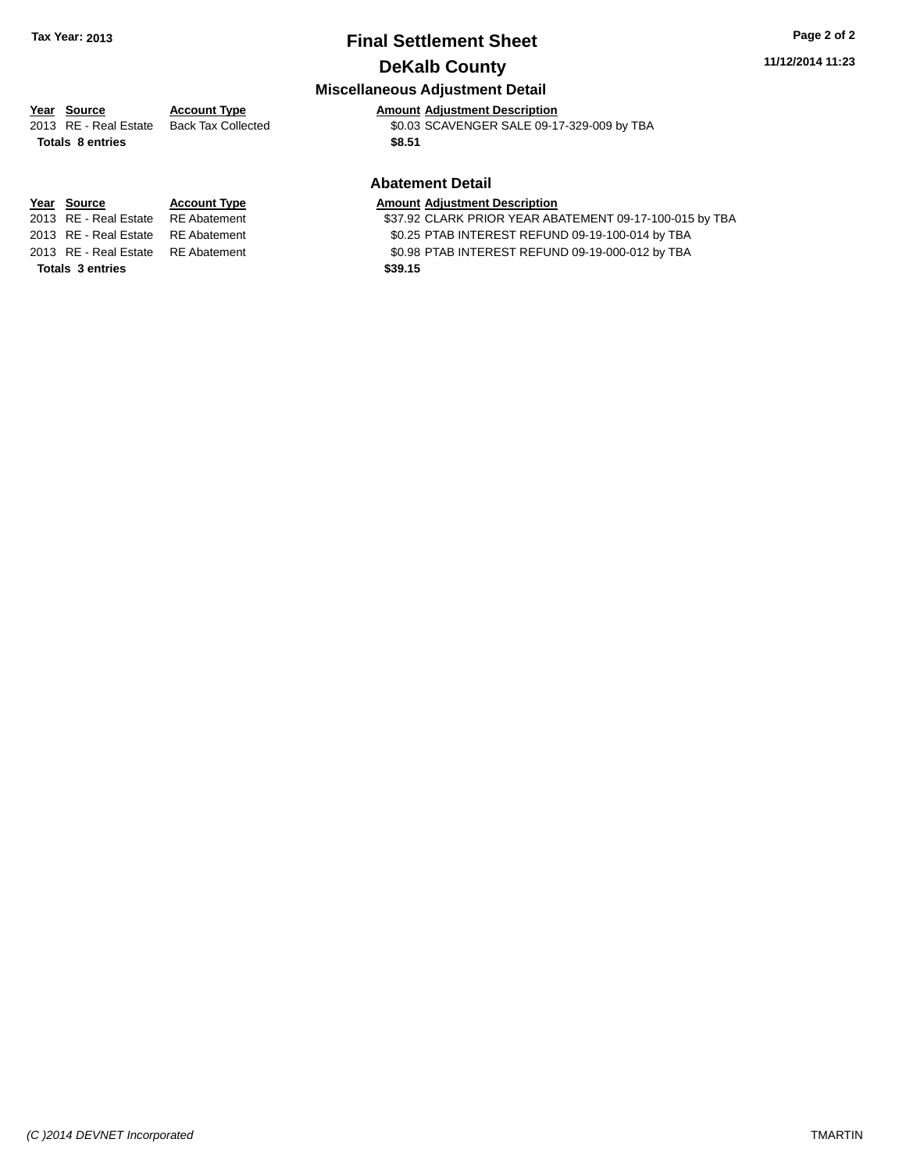### **Final Settlement Sheet Tax Year: 2013 Page 2 of 2 DeKalb County**

#### **11/12/2014 11:23**

### **Miscellaneous Adjustment Detail**

### **Year** Source **Account Type And Amount Adjustment Description**

**Totals \$8.51 8 entries**

2013 RE - Real Estate Back Tax Collected \$0.03 SCAVENGER SALE 09-17-329-009 by TBA

### **Abatement Detail**

#### **Year** Source **Account Type A** Account Adjustment Description

2013 RE - Real Estate RE Abatement \$37.92 CLARK PRIOR YEAR ABATEMENT 09-17-100-015 by TBA 2013 RE - Real Estate RE Abatement \$0.25 PTAB INTEREST REFUND 09-19-100-014 by TBA

2013 RE - Real Estate RE Abatement \$0.98 PTAB INTEREST REFUND 09-19-000-012 by TBA

**Totals 3 entries \$39.15**

*(C )2014 DEVNET Incorporated* TMARTIN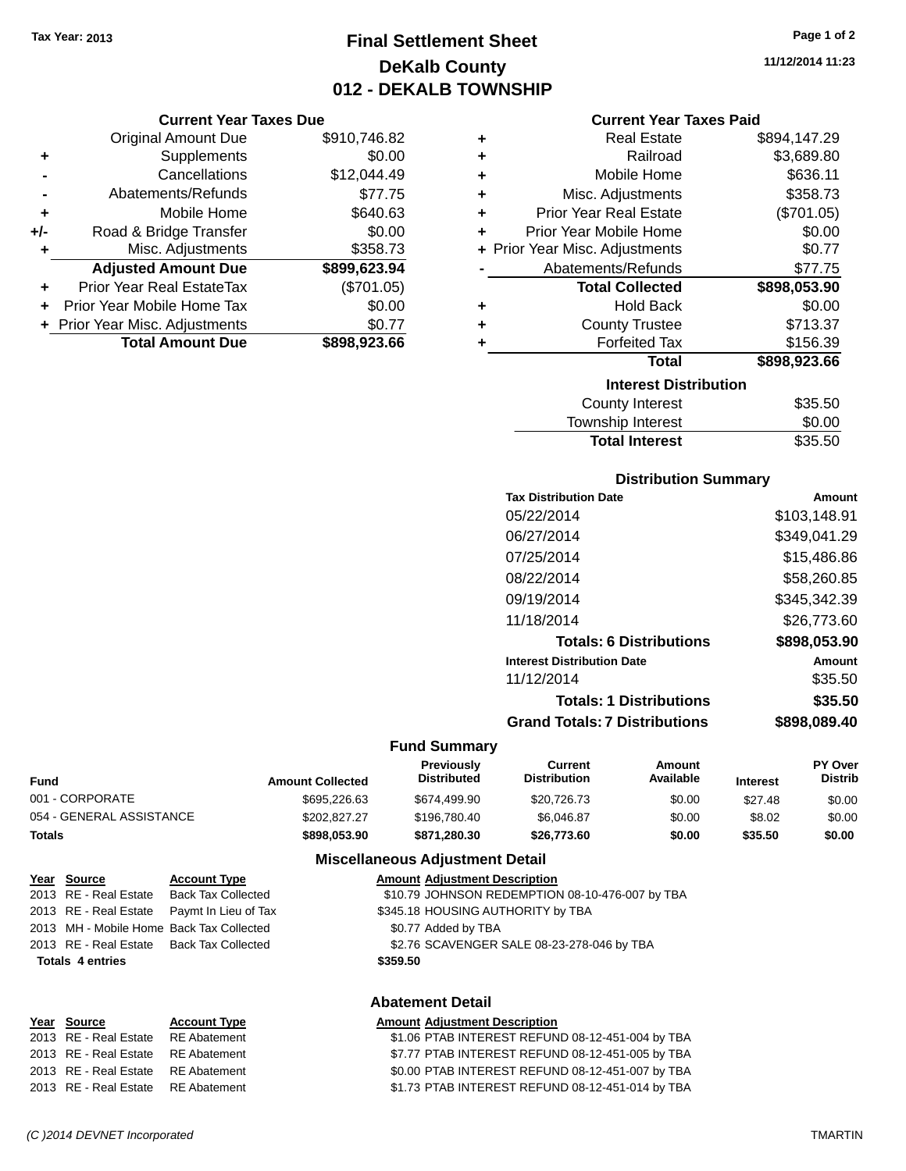### **Final Settlement Sheet Tax Year: 2013 Page 1 of 2 DeKalb County 012 - DEKALB TOWNSHIP**

**11/12/2014 11:23**

### **Current Year Taxes Paid**

|     | <b>Current Year Taxes Due</b>    |              |   | <b>Current Year Taxes Paid</b> |              |
|-----|----------------------------------|--------------|---|--------------------------------|--------------|
|     | <b>Original Amount Due</b>       | \$910,746.82 |   | <b>Real Estate</b>             | \$894,147.29 |
| ٠   | Supplements                      | \$0.00       |   | Railroad                       | \$3,689.80   |
|     | Cancellations                    | \$12,044.49  | ٠ | Mobile Home                    | \$636.11     |
|     | Abatements/Refunds               | \$77.75      |   | Misc. Adjustments              | \$358.73     |
| ٠   | Mobile Home                      | \$640.63     | ٠ | <b>Prior Year Real Estate</b>  | (\$701.05)   |
| +/- | Road & Bridge Transfer           | \$0.00       |   | Prior Year Mobile Home         | \$0.00       |
|     | Misc. Adjustments                | \$358.73     |   | + Prior Year Misc. Adjustments | \$0.77       |
|     | <b>Adjusted Amount Due</b>       | \$899,623.94 |   | Abatements/Refunds             | \$77.75      |
| ÷   | <b>Prior Year Real EstateTax</b> | (\$701.05)   |   | <b>Total Collected</b>         | \$898,053.90 |
|     | Prior Year Mobile Home Tax       | \$0.00       |   | <b>Hold Back</b>               | \$0.00       |
|     | + Prior Year Misc. Adjustments   | \$0.77       |   | <b>County Trustee</b>          | \$713.37     |
|     | <b>Total Amount Due</b>          | \$898,923.66 |   | <b>Forfeited Tax</b>           | \$156.39     |
|     |                                  |              |   | <b>Total</b>                   | \$898,923.66 |
|     |                                  |              |   | ومعلك بطلعاه أحامهم وعاويا     |              |

| <b>Interest Distribution</b> |         |  |  |
|------------------------------|---------|--|--|
| <b>County Interest</b>       | \$35.50 |  |  |
| Township Interest            | \$0.00  |  |  |
| <b>Total Interest</b>        | \$35.50 |  |  |

#### **Distribution Summary**

| <b>Tax Distribution Date</b>         | Amount       |
|--------------------------------------|--------------|
| 05/22/2014                           | \$103,148.91 |
| 06/27/2014                           | \$349,041.29 |
| 07/25/2014                           | \$15,486.86  |
| 08/22/2014                           | \$58,260.85  |
| 09/19/2014                           | \$345,342.39 |
| 11/18/2014                           | \$26,773.60  |
| <b>Totals: 6 Distributions</b>       | \$898,053.90 |
| <b>Interest Distribution Date</b>    | Amount       |
| 11/12/2014                           | \$35.50      |
| <b>Totals: 1 Distributions</b>       | \$35.50      |
| <b>Grand Totals: 7 Distributions</b> | \$898,089.40 |

#### **Fund Summary**

| Fund                     | <b>Amount Collected</b> | Previously<br><b>Distributed</b> | Current<br>Distribution | Amount<br>Available | <b>Interest</b> | <b>PY Over</b><br><b>Distrib</b> |
|--------------------------|-------------------------|----------------------------------|-------------------------|---------------------|-----------------|----------------------------------|
| 001 - CORPORATE          | \$695,226.63            | \$674,499.90                     | \$20,726,73             | \$0.00              | \$27.48         | \$0.00                           |
| 054 - GENERAL ASSISTANCE | \$202,827.27            | \$196.780.40                     | \$6.046.87              | \$0.00              | \$8.02          | \$0.00                           |
| Totals                   | \$898.053.90            | \$871.280.30                     | \$26,773.60             | \$0.00              | \$35.50         | \$0.00                           |

#### **Miscellaneous Adjustment Detail**

| <u>Year Source</u>      | <b>Account Type</b>                        | <b>Amount Adjustment Description</b>            |
|-------------------------|--------------------------------------------|-------------------------------------------------|
| 2013 RE - Real Estate   | Back Tax Collected                         | \$10.79 JOHNSON REDEMPTION 08-10-476-007 by TBA |
|                         | 2013 RE - Real Estate Paymt In Lieu of Tax | \$345.18 HOUSING AUTHORITY by TBA               |
|                         | 2013 MH - Mobile Home Back Tax Collected   | \$0.77 Added by TBA                             |
|                         | 2013 RE - Real Estate Back Tax Collected   | \$2.76 SCAVENGER SALE 08-23-278-046 by TBA      |
| <b>Totals 4 entries</b> |                                            | \$359.50                                        |
|                         |                                            |                                                 |

#### **Abatement Detail**

#### **Year Source Account Type Amount Adjustment Description** 2013 RE - Real Estate \$1.06 PTAB INTEREST REFUND 08-12-451-004 by TBA RE Abatement 2013 RE - Real Estate RE Abatement \$7.77 PTAB INTEREST REFUND 08-12-451-005 by TBA 2013 RE - Real Estate RE Abatement \$0.00 PTAB INTEREST REFUND 08-12-451-007 by TBA 2013 RE - Real Estate RE Abatement \$1.73 PTAB INTEREST REFUND 08-12-451-014 by TBA

*(C )2014 DEVNET Incorporated* TMARTIN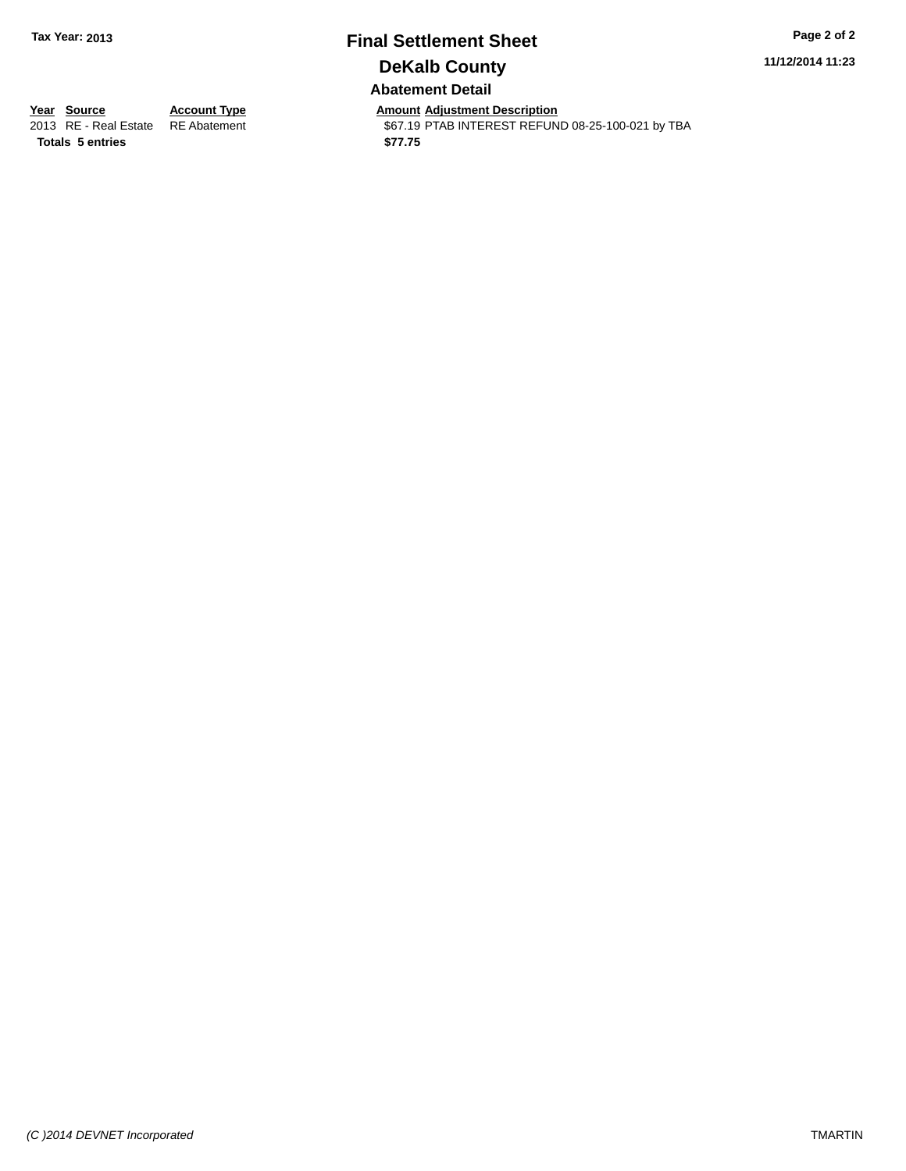### **Final Settlement Sheet Tax Year: 2013 Page 2 of 2 DeKalb County Abatement Detail**

**11/12/2014 11:23**

**Totals \$77.75 5 entries**

**Year Source Account Type Anneurs Amount Adjustment Description**<br>
2013 RE - Real Estate RE Abatement **Adjustment** \$67.19 PTAB INTEREST REFUN \$67.19 PTAB INTEREST REFUND 08-25-100-021 by TBA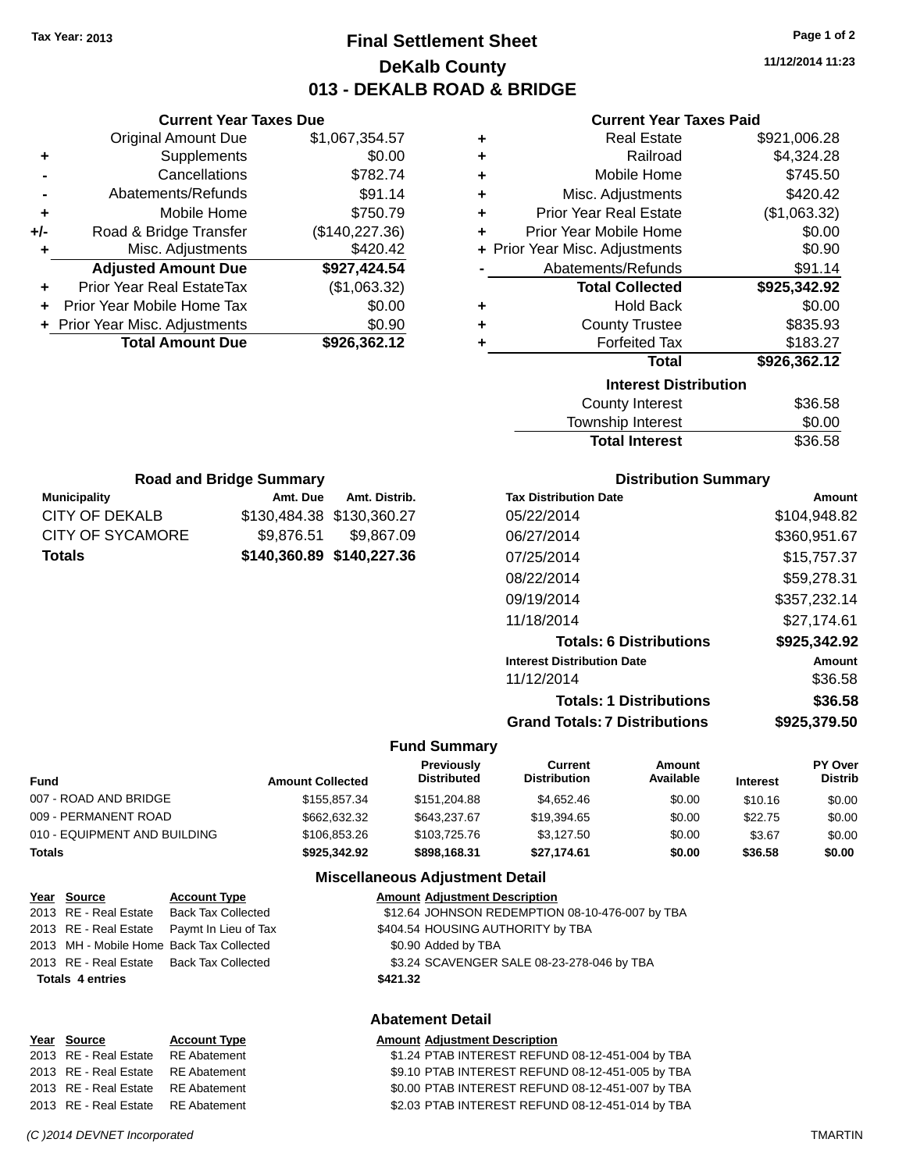### **Final Settlement Sheet Tax Year: 2013 Page 1 of 2 DeKalb County 013 - DEKALB ROAD & BRIDGE**

**11/12/2014 11:23**

#### **Current Year Taxes Paid**

| ٠                            | <b>Real Estate</b>             | \$921,006.28 |  |  |
|------------------------------|--------------------------------|--------------|--|--|
| ٠                            | Railroad                       | \$4,324.28   |  |  |
| ÷                            | Mobile Home                    | \$745.50     |  |  |
| ÷                            | Misc. Adjustments              | \$420.42     |  |  |
| ÷                            | <b>Prior Year Real Estate</b>  | (\$1,063.32) |  |  |
| ÷                            | Prior Year Mobile Home         | \$0.00       |  |  |
|                              | + Prior Year Misc. Adjustments | \$0.90       |  |  |
|                              | Abatements/Refunds             | \$91.14      |  |  |
|                              | <b>Total Collected</b>         | \$925,342.92 |  |  |
| ٠                            | <b>Hold Back</b>               | \$0.00       |  |  |
| ٠                            | <b>County Trustee</b>          | \$835.93     |  |  |
| ٠                            | <b>Forfeited Tax</b>           | \$183.27     |  |  |
|                              | <b>Total</b>                   | \$926,362.12 |  |  |
| <b>Interest Distribution</b> |                                |              |  |  |
|                              | <b>County Interest</b>         | \$36.58      |  |  |
|                              | <b>Townehin Interact</b>       | ቁስ ስስ        |  |  |

| County Interest       | \$36.58 |
|-----------------------|---------|
| Township Interest     | \$0.00  |
| <b>Total Interest</b> | \$36.58 |

| <b>Road and Bridge Summary</b>             |                           |                       |  |  |
|--------------------------------------------|---------------------------|-----------------------|--|--|
| <b>Municipality</b>                        | Amt. Due                  | Amt. Distrib.         |  |  |
| CITY OF DEKALB                             | \$130,484.38 \$130,360.27 |                       |  |  |
| <b>CITY OF SYCAMORE</b>                    |                           | \$9,876.51 \$9,867.09 |  |  |
| \$140,360.89 \$140,227.36<br><b>Totals</b> |                           |                       |  |  |

**Current Year Taxes Due** Original Amount Due \$1,067,354.57

**Adjusted Amount Due \$927,424.54**

**Total Amount Due \$926,362.12**

**+** Supplements \$0.00 **-** Cancellations \$782.74 **-** Abatements/Refunds **\$91.14 +** Mobile Home \$750.79 **+/-** Road & Bridge Transfer (\$140,227.36) **+** Misc. Adjustments \$420.42

**+** Prior Year Real EstateTax (\$1,063.32) **+** Prior Year Mobile Home Tax \$0.00 **+ Prior Year Misc. Adjustments**  $$0.90$ 

#### **Distribution Summary**

| <b>Tax Distribution Date</b>         | Amount       |
|--------------------------------------|--------------|
| 05/22/2014                           | \$104.948.82 |
| 06/27/2014                           | \$360,951.67 |
| 07/25/2014                           | \$15,757.37  |
| 08/22/2014                           | \$59,278.31  |
| 09/19/2014                           | \$357.232.14 |
| 11/18/2014                           | \$27.174.61  |
| <b>Totals: 6 Distributions</b>       | \$925,342.92 |
| <b>Interest Distribution Date</b>    | Amount       |
| 11/12/2014                           | \$36.58      |
| <b>Totals: 1 Distributions</b>       | \$36.58      |
| <b>Grand Totals: 7 Distributions</b> | \$925.379.50 |

### **Fund Summary**

| <b>Fund</b>                  | <b>Amount Collected</b> | Previously<br><b>Distributed</b> | Current<br><b>Distribution</b> | Amount<br>Available | <b>Interest</b> | <b>PY Over</b><br><b>Distrib</b> |
|------------------------------|-------------------------|----------------------------------|--------------------------------|---------------------|-----------------|----------------------------------|
| 007 - ROAD AND BRIDGE        | \$155,857,34            | \$151,204.88                     | \$4.652.46                     | \$0.00              | \$10.16         | \$0.00                           |
| 009 - PERMANENT ROAD         | \$662,632,32            | \$643.237.67                     | \$19,394.65                    | \$0.00              | \$22.75         | \$0.00                           |
| 010 - EQUIPMENT AND BUILDING | \$106,853,26            | \$103,725,76                     | \$3.127.50                     | \$0.00              | \$3.67          | \$0.00                           |
| Totals                       | \$925.342.92            | \$898,168,31                     | \$27.174.61                    | \$0.00              | \$36.58         | \$0.00                           |

#### **Miscellaneous Adjustment Detail**

#### **Year Source Account Type Amount Adjustment Description**

2013 RE - Real Estate Back Tax Collected \$12.64 JOHNSON REDEMPTION 08-10-476-007 by TBA 2013 RE - Real Estate Paymt In Lieu of Tax \$404.54 HOUSING AUTHORITY by TBA 2013 MH - Mobile Home Back Tax Collected \$0.90 Added by TBA 2013 RE - Real Estate Back Tax Collected \$3.24 SCAVENGER SALE 08-23-278-046 by TBA

**Totals 4 entries \$421.32**

### **Abatement Detail**

#### **Year Source Account Type Amount Adjustment Description**

2013 RE - Real Estate RE Abatement \$1.24 PTAB INTEREST REFUND 08-12-451-004 by TBA 2013 RE - Real Estate RE Abatement \$9.10 PTAB INTEREST REFUND 08-12-451-005 by TBA 2013 RE - Real Estate RE Abatement \$0.00 PTAB INTEREST REFUND 08-12-451-007 by TBA 2013 RE - Real Estate RE Abatement \$2.03 PTAB INTEREST REFUND 08-12-451-014 by TBA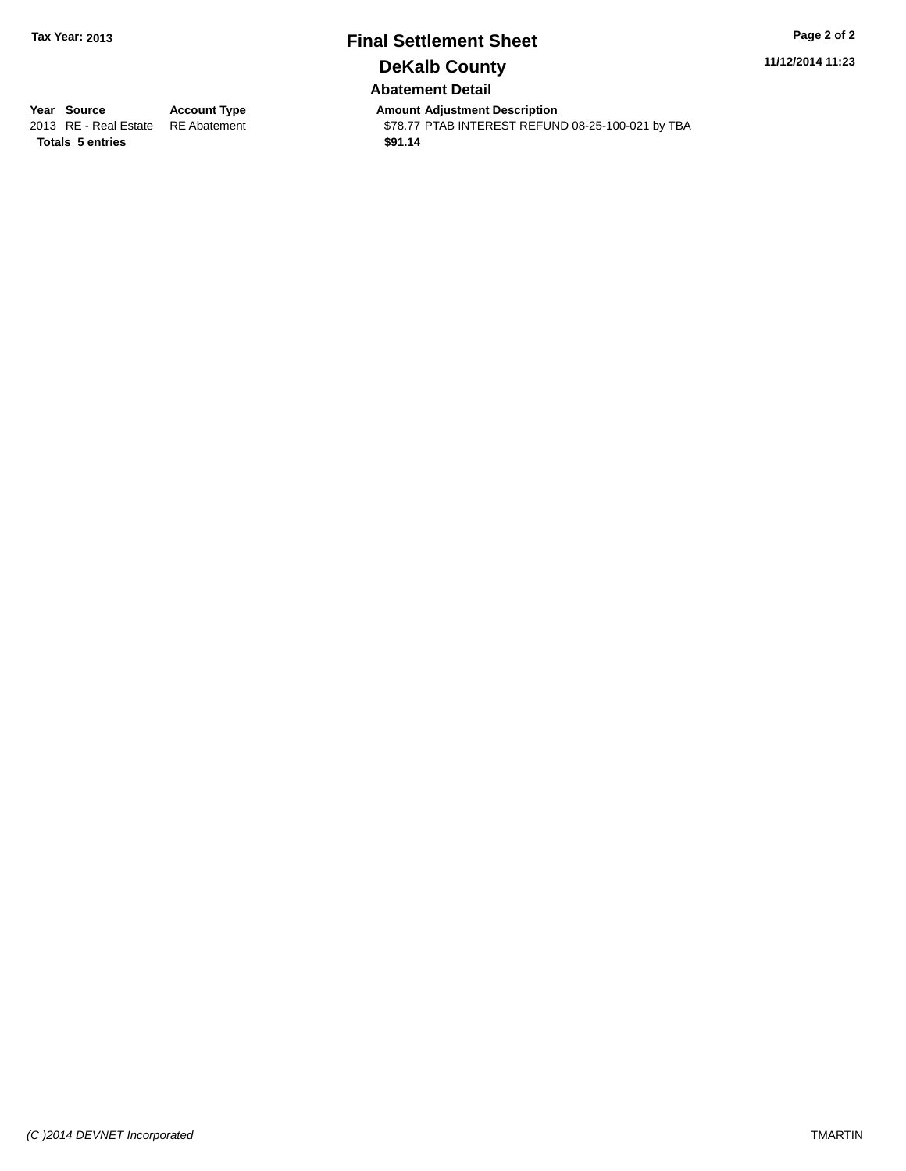### **Final Settlement Sheet Tax Year: 2013 Page 2 of 2 DeKalb County Abatement Detail**

**11/12/2014 11:23**

**Totals \$91.14 5 entries**

**Year Source Account Type Anneunt Adjustment Description**<br>
2013 RE - Real Estate RE Abatement **Account 1978-77 PTAB INTEREST REFUN** \$78.77 PTAB INTEREST REFUND 08-25-100-021 by TBA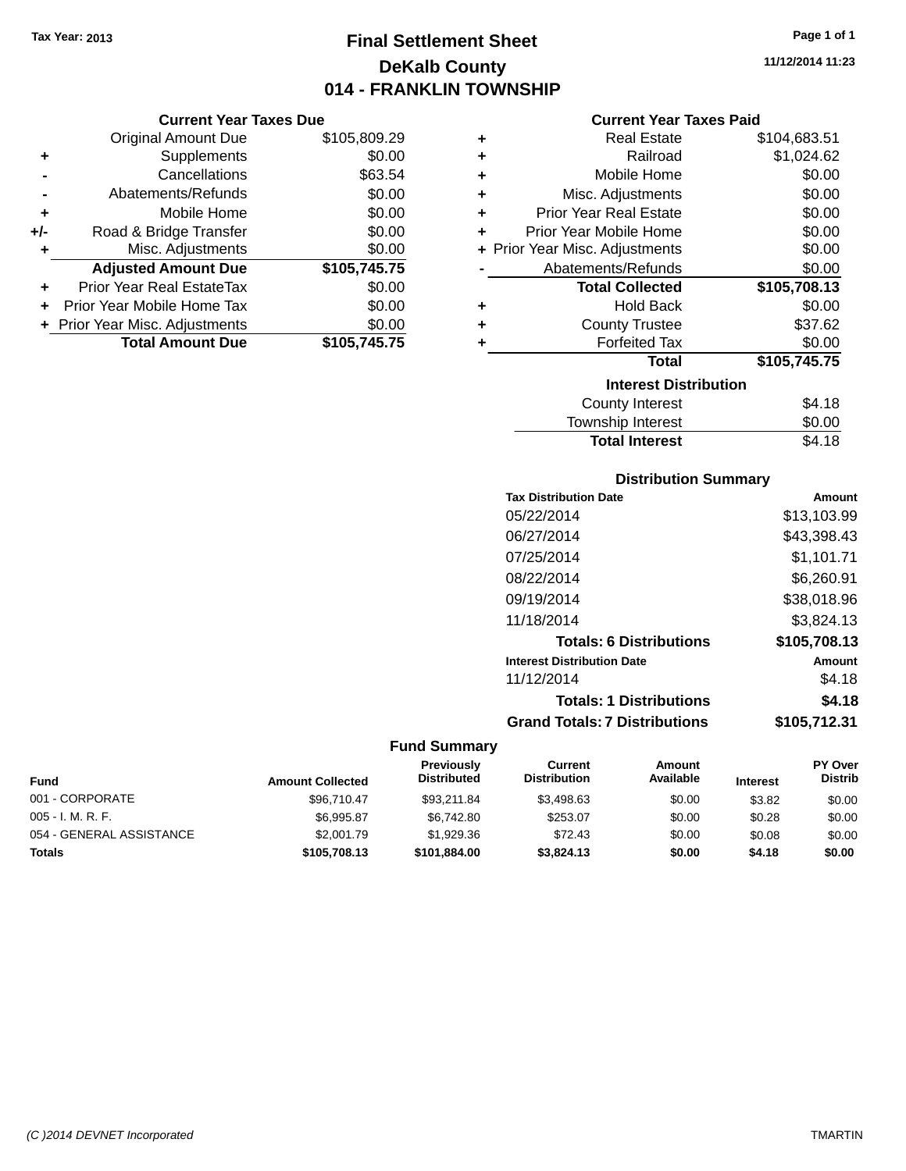### **Final Settlement Sheet Tax Year: 2013 Page 1 of 1 DeKalb County 014 - FRANKLIN TOWNSHIP**

**11/12/2014 11:23**

|     | <b>Original Amount Due</b>       | \$105,809.29 |
|-----|----------------------------------|--------------|
| ٠   | Supplements                      | \$0.00       |
|     | Cancellations                    | \$63.54      |
|     | Abatements/Refunds               | \$0.00       |
| ٠   | Mobile Home                      | \$0.00       |
| +/- | Road & Bridge Transfer           | \$0.00       |
|     | Misc. Adjustments                | \$0.00       |
|     | <b>Adjusted Amount Due</b>       | \$105,745.75 |
|     | <b>Prior Year Real EstateTax</b> | \$0.00       |
|     | Prior Year Mobile Home Tax       | \$0.00       |
|     | + Prior Year Misc. Adjustments   | \$0.00       |
|     | <b>Total Amount Due</b>          | \$105.745.75 |
|     |                                  |              |

### **Current Year Taxes Paid**

|   | Real Estate                    | \$104,683.51 |
|---|--------------------------------|--------------|
| ٠ | Railroad                       | \$1,024.62   |
| ٠ | Mobile Home                    | \$0.00       |
| ٠ | Misc. Adjustments              | \$0.00       |
| ٠ | <b>Prior Year Real Estate</b>  | \$0.00       |
| ÷ | Prior Year Mobile Home         | \$0.00       |
|   | + Prior Year Misc. Adjustments | \$0.00       |
|   | Abatements/Refunds             | \$0.00       |
|   | <b>Total Collected</b>         | \$105,708.13 |
|   |                                |              |
| ٠ | <b>Hold Back</b>               | \$0.00       |
| ٠ | <b>County Trustee</b>          | \$37.62      |
|   | <b>Forfeited Tax</b>           | \$0.00       |
|   | Total                          | \$105,745.75 |
|   | <b>Interest Distribution</b>   |              |

| <b>Total Interest</b> | \$4.18 |
|-----------------------|--------|
| Township Interest     | \$0.00 |
| County Interest       | \$4.18 |

### **Distribution Summary**

| <b>Tax Distribution Date</b>         | Amount       |
|--------------------------------------|--------------|
| 05/22/2014                           | \$13,103.99  |
| 06/27/2014                           | \$43,398.43  |
| 07/25/2014                           | \$1,101.71   |
| 08/22/2014                           | \$6,260.91   |
| 09/19/2014                           | \$38,018.96  |
| 11/18/2014                           | \$3,824.13   |
| <b>Totals: 6 Distributions</b>       | \$105,708.13 |
| <b>Interest Distribution Date</b>    | Amount       |
| 11/12/2014                           | \$4.18       |
| <b>Totals: 1 Distributions</b>       | \$4.18       |
| <b>Grand Totals: 7 Distributions</b> | \$105.712.31 |
|                                      |              |

| <b>Fund</b>              | <b>Amount Collected</b> | Previously<br><b>Distributed</b> | Current<br><b>Distribution</b> | Amount<br>Available | <b>Interest</b> | <b>PY Over</b><br><b>Distrib</b> |
|--------------------------|-------------------------|----------------------------------|--------------------------------|---------------------|-----------------|----------------------------------|
| 001 - CORPORATE          | \$96,710.47             | \$93.211.84                      | \$3.498.63                     | \$0.00              | \$3.82          | \$0.00                           |
| $005 - I. M. R. F.$      | \$6,995.87              | \$6,742.80                       | \$253.07                       | \$0.00              | \$0.28          | \$0.00                           |
| 054 - GENERAL ASSISTANCE | \$2,001.79              | \$1,929.36                       | \$72.43                        | \$0.00              | \$0.08          | \$0.00                           |
| <b>Totals</b>            | \$105,708.13            | \$101,884.00                     | \$3,824.13                     | \$0.00              | \$4.18          | \$0.00                           |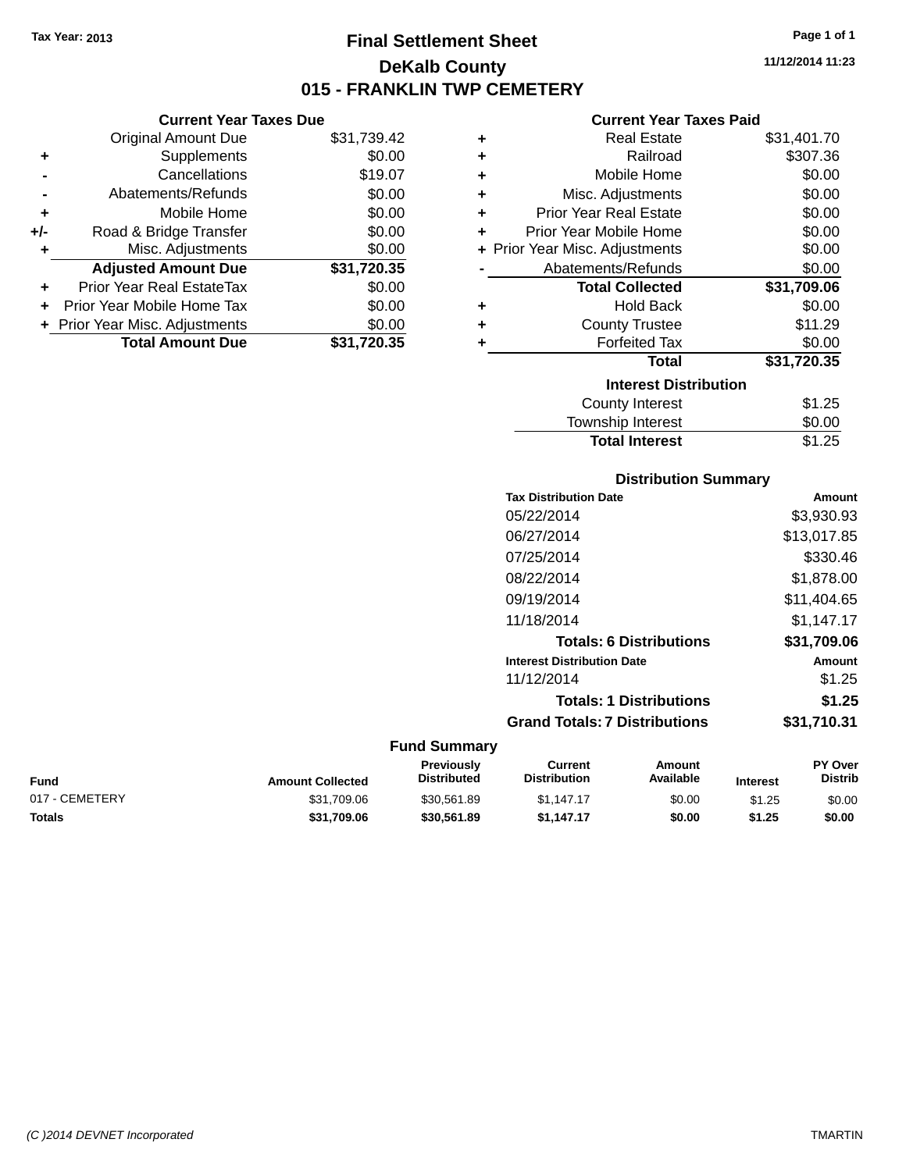### **Final Settlement Sheet Tax Year: 2013 Page 1 of 1 DeKalb County 015 - FRANKLIN TWP CEMETERY**

**11/12/2014 11:23**

### **Current Year Taxes Paid**

|     | <b>Original Amount Due</b>     | \$31,739.42 | ٠ | <b>Real Estate</b>             | \$31,401.70 |
|-----|--------------------------------|-------------|---|--------------------------------|-------------|
| ٠   | Supplements                    | \$0.00      | ٠ | Railroad                       | \$307.36    |
|     | Cancellations                  | \$19.07     | ٠ | Mobile Home                    | \$0.00      |
|     | Abatements/Refunds             | \$0.00      | ٠ | Misc. Adjustments              | \$0.00      |
| ٠   | Mobile Home                    | \$0.00      | ٠ | <b>Prior Year Real Estate</b>  | \$0.00      |
| +/- | Road & Bridge Transfer         | \$0.00      | ٠ | Prior Year Mobile Home         | \$0.00      |
| ٠   | Misc. Adjustments              | \$0.00      |   | + Prior Year Misc. Adjustments | \$0.00      |
|     | <b>Adjusted Amount Due</b>     | \$31,720.35 |   | Abatements/Refunds             | \$0.00      |
| ÷.  | Prior Year Real EstateTax      | \$0.00      |   | <b>Total Collected</b>         | \$31,709.06 |
|     | Prior Year Mobile Home Tax     | \$0.00      | ٠ | <b>Hold Back</b>               | \$0.00      |
|     | + Prior Year Misc. Adjustments | \$0.00      | ٠ | <b>County Trustee</b>          | \$11.29     |
|     | <b>Total Amount Due</b>        | \$31,720.35 |   | <b>Forfeited Tax</b>           | \$0.00      |
|     |                                |             |   | Total                          | \$31,720.35 |
|     |                                |             |   | <b>Interest Distribution</b>   |             |
|     |                                |             |   | County Interest                | \$1.25      |
|     |                                |             |   | Township Interest              | \$0.00      |

| <b>Distribution Summary</b>  |             |
|------------------------------|-------------|
| <b>Tax Distribution Date</b> | Amount      |
| 05/22/2014                   | \$3,930.93  |
| 06/27/2014                   | \$13,017.85 |
| 07/25/2014                   | \$330.46    |
| 08/22/2014                   | \$1,878.00  |
| 09/19/2014                   | \$11,404.65 |
| 11/18/2014                   | \$1,147.17  |
|                              | ዮኅፈ ማስሰ ስር  |

**Total Interest** \$1.25

| <b>Totals: 6 Distributions</b>       | \$31,709.06 |
|--------------------------------------|-------------|
| <b>Interest Distribution Date</b>    | Amount      |
| 11/12/2014                           | \$1.25      |
| <b>Totals: 1 Distributions</b>       | \$1.25      |
| <b>Grand Totals: 7 Distributions</b> | \$31,710.31 |

#### **Fund Summary**

| Fund           | <b>Amount Collected</b> | <b>Previously</b><br><b>Distributed</b> | Current<br>Distribution | Amount<br>Available | <b>Interest</b> | <b>PY Over</b><br><b>Distrib</b> |
|----------------|-------------------------|-----------------------------------------|-------------------------|---------------------|-----------------|----------------------------------|
| 017 - CEMETERY | \$31,709.06             | \$30.561.89                             | \$1.147.17              | \$0.00              | \$1.25          | \$0.00                           |
| Totals         | \$31.709.06             | \$30,561.89                             | \$1.147.17              | \$0.00              | \$1.25          | \$0.00                           |

**Current Year Taxes Due**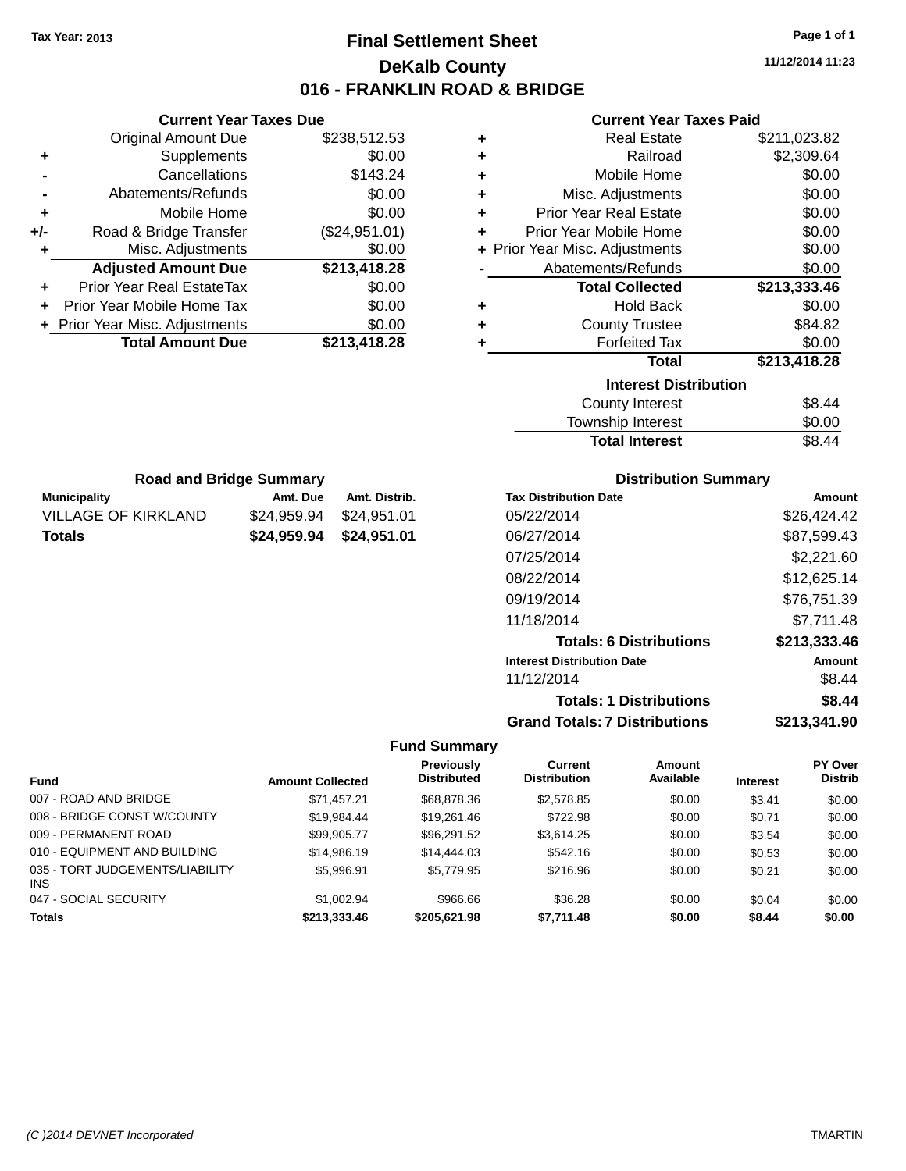### **Final Settlement Sheet Tax Year: 2013 Page 1 of 1 DeKalb County 016 - FRANKLIN ROAD & BRIDGE**

**11/12/2014 11:23**

### **Current Year Taxes Paid**

| ٠ | <b>Real Estate</b>             | \$211,023.82 |
|---|--------------------------------|--------------|
| ٠ | Railroad                       | \$2,309.64   |
| ٠ | Mobile Home                    | \$0.00       |
| ٠ | Misc. Adjustments              | \$0.00       |
| ٠ | <b>Prior Year Real Estate</b>  | \$0.00       |
| ÷ | Prior Year Mobile Home         | \$0.00       |
|   | + Prior Year Misc. Adjustments | \$0.00       |
|   | Abatements/Refunds             | \$0.00       |
|   | <b>Total Collected</b>         | \$213,333.46 |
| ٠ | <b>Hold Back</b>               | \$0.00       |
| ٠ | <b>County Trustee</b>          | \$84.82      |
| ٠ | <b>Forfeited Tax</b>           | \$0.00       |
|   | <b>Total</b>                   | \$213,418.28 |
|   | <b>Interest Distribution</b>   |              |
|   | <b>County Interest</b>         | \$8.44       |
|   | Taunaakin latasaat             | ጦ ለለ         |

| <b>Total Interest</b> | \$8.44 |
|-----------------------|--------|
| Township Interest     | \$0.00 |
| County Interest       | \$8.44 |

| <b>Distribution Summary</b> |  |
|-----------------------------|--|
|                             |  |

| <b>Tax Distribution Date</b>         | Amount       |
|--------------------------------------|--------------|
| 05/22/2014                           | \$26,424.42  |
| 06/27/2014                           | \$87,599.43  |
| 07/25/2014                           | \$2,221.60   |
| 08/22/2014                           | \$12,625.14  |
| 09/19/2014                           | \$76,751.39  |
| 11/18/2014                           | \$7.711.48   |
| <b>Totals: 6 Distributions</b>       | \$213,333.46 |
| <b>Interest Distribution Date</b>    | Amount       |
| 11/12/2014                           | \$8.44       |
| <b>Totals: 1 Distributions</b>       | \$8.44       |
| <b>Grand Totals: 7 Distributions</b> | \$213,341.90 |

### **Fund Summary**

|                                        |                         | <b>Previously</b>  | Current             | Amount    |                 | <b>PY Over</b> |
|----------------------------------------|-------------------------|--------------------|---------------------|-----------|-----------------|----------------|
| <b>Fund</b>                            | <b>Amount Collected</b> | <b>Distributed</b> | <b>Distribution</b> | Available | <b>Interest</b> | <b>Distrib</b> |
| 007 - ROAD AND BRIDGE                  | \$71.457.21             | \$68,878,36        | \$2,578.85          | \$0.00    | \$3.41          | \$0.00         |
| 008 - BRIDGE CONST W/COUNTY            | \$19,984.44             | \$19,261.46        | \$722.98            | \$0.00    | \$0.71          | \$0.00         |
| 009 - PERMANENT ROAD                   | \$99.905.77             | \$96.291.52        | \$3,614.25          | \$0.00    | \$3.54          | \$0.00         |
| 010 - EQUIPMENT AND BUILDING           | \$14,986.19             | \$14,444.03        | \$542.16            | \$0.00    | \$0.53          | \$0.00         |
| 035 - TORT JUDGEMENTS/LIABILITY<br>INS | \$5,996.91              | \$5,779.95         | \$216.96            | \$0.00    | \$0.21          | \$0.00         |
| 047 - SOCIAL SECURITY                  | \$1,002.94              | \$966.66           | \$36.28             | \$0.00    | \$0.04          | \$0.00         |
| <b>Totals</b>                          | \$213.333.46            | \$205.621.98       | \$7,711.48          | \$0.00    | \$8.44          | \$0.00         |

|     | <b>Current Year Taxes Due</b>    |               |
|-----|----------------------------------|---------------|
|     | <b>Original Amount Due</b>       | \$238,512.53  |
| ٠   | Supplements                      | \$0.00        |
|     | Cancellations                    | \$143.24      |
|     | Abatements/Refunds               | \$0.00        |
| ٠   | Mobile Home                      | \$0.00        |
| +/- | Road & Bridge Transfer           | (\$24,951.01) |
| ٠   | Misc. Adjustments                | \$0.00        |
|     | <b>Adjusted Amount Due</b>       | \$213,418.28  |
|     | <b>Prior Year Real EstateTax</b> | \$0.00        |
|     | Prior Year Mobile Home Tax       | \$0.00        |
|     | + Prior Year Misc. Adjustments   | \$0.00        |
|     | <b>Total Amount Due</b>          | \$213,418.28  |

**Municipality Amt. Due Amt. Distrib. Road and Bridge Summary**

VILLAGE OF KIRKLAND \$24,959.94 \$24,951.01 **Totals \$24,959.94 \$24,951.01**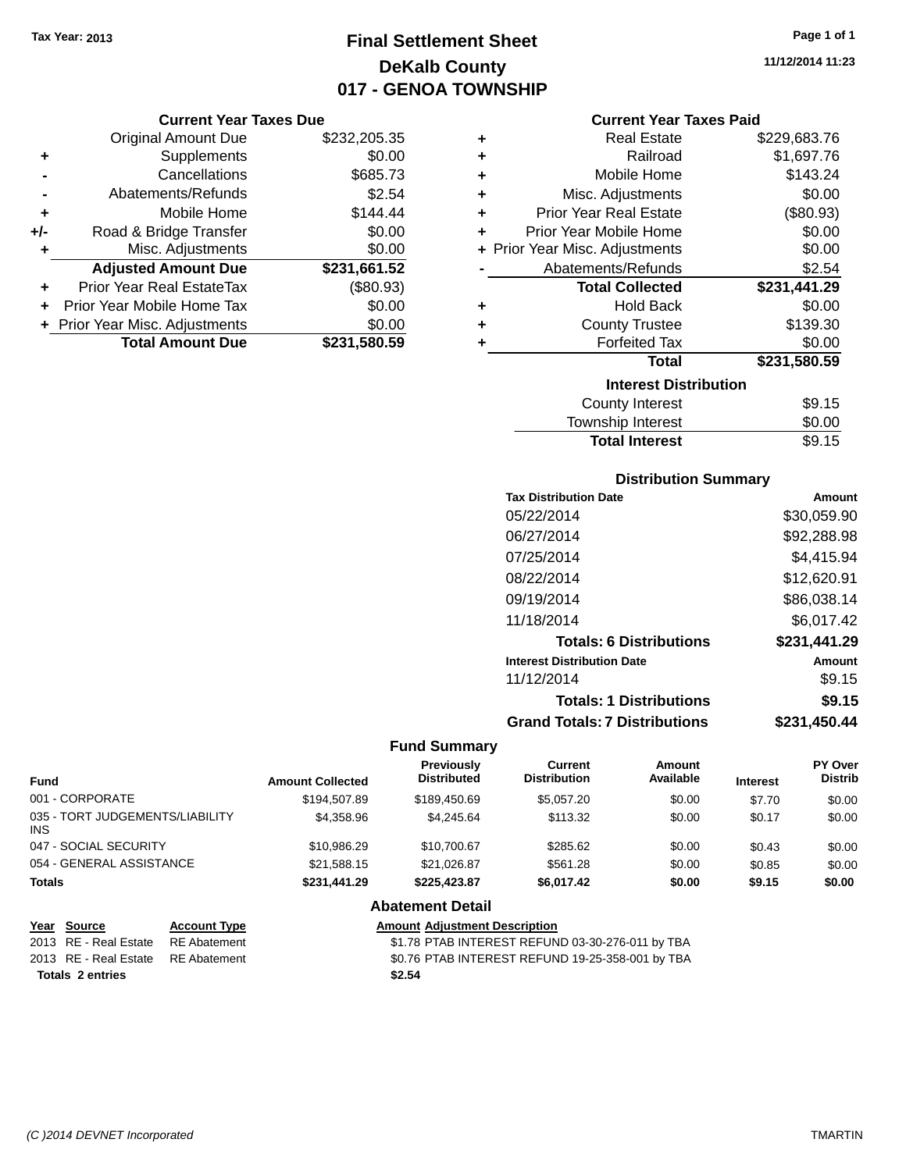### **Final Settlement Sheet Tax Year: 2013 Page 1 of 1 DeKalb County 017 - GENOA TOWNSHIP**

**11/12/2014 11:23**

#### **Current Year Taxes Due**

|       | <b>Original Amount Due</b>       | \$232,205.35 |
|-------|----------------------------------|--------------|
| ٠     | Supplements                      | \$0.00       |
|       | Cancellations                    | \$685.73     |
|       | Abatements/Refunds               | \$2.54       |
| ٠     | Mobile Home                      | \$144.44     |
| $+/-$ | Road & Bridge Transfer           | \$0.00       |
| ٠     | Misc. Adjustments                | \$0.00       |
|       | <b>Adjusted Amount Due</b>       | \$231,661.52 |
|       | <b>Prior Year Real EstateTax</b> | (\$80.93)    |
|       | Prior Year Mobile Home Tax       | \$0.00       |
|       | + Prior Year Misc. Adjustments   | \$0.00       |
|       | <b>Total Amount Due</b>          | \$231,580.59 |

|   | <b>Current Year Taxes Paid</b> |              |
|---|--------------------------------|--------------|
| ٠ | <b>Real Estate</b>             | \$229,683.76 |
| ٠ | Railroad                       | \$1,697.76   |
| ÷ | Mobile Home                    | \$143.24     |
| ٠ | Misc. Adjustments              | \$0.00       |
| ٠ | <b>Prior Year Real Estate</b>  | (\$80.93)    |
| ٠ | Prior Year Mobile Home         | \$0.00       |
|   | + Prior Year Misc. Adjustments | \$0.00       |
|   | Abatements/Refunds             | \$2.54       |
|   | <b>Total Collected</b>         | \$231,441.29 |
| ٠ | <b>Hold Back</b>               | \$0.00       |
| ٠ | <b>County Trustee</b>          | \$139.30     |
| ٠ | <b>Forfeited Tax</b>           | \$0.00       |
|   | <b>Total</b>                   | \$231,580.59 |
|   | <b>Interest Distribution</b>   |              |
|   | County Interest                | \$9.15       |
|   | <b>Township Interest</b>       | \$0.00       |
|   | <b>Total Interest</b>          | \$9.15       |

### **Distribution Summary**

| <b>Tax Distribution Date</b>         | Amount       |
|--------------------------------------|--------------|
| 05/22/2014                           | \$30,059.90  |
| 06/27/2014                           | \$92,288.98  |
| 07/25/2014                           | \$4,415.94   |
| 08/22/2014                           | \$12,620.91  |
| 09/19/2014                           | \$86,038.14  |
| 11/18/2014                           | \$6,017.42   |
| <b>Totals: 6 Distributions</b>       | \$231,441.29 |
| <b>Interest Distribution Date</b>    | Amount       |
| 11/12/2014                           | \$9.15       |
| <b>Totals: 1 Distributions</b>       | \$9.15       |
| <b>Grand Totals: 7 Distributions</b> | \$231.450.44 |

#### **Fund Summary**

| <b>Fund</b>                            | <b>Amount Collected</b> | <b>Previously</b><br><b>Distributed</b> | Current<br><b>Distribution</b> | Amount<br>Available | <b>Interest</b> | PY Over<br><b>Distrib</b> |
|----------------------------------------|-------------------------|-----------------------------------------|--------------------------------|---------------------|-----------------|---------------------------|
| 001 - CORPORATE                        | \$194,507.89            | \$189,450.69                            | \$5,057.20                     | \$0.00              | \$7.70          | \$0.00                    |
| 035 - TORT JUDGEMENTS/LIABILITY<br>INS | \$4,358.96              | \$4.245.64                              | \$113.32                       | \$0.00              | \$0.17          | \$0.00                    |
| 047 - SOCIAL SECURITY                  | \$10.986.29             | \$10.700.67                             | \$285.62                       | \$0.00              | \$0.43          | \$0.00                    |
| 054 - GENERAL ASSISTANCE               | \$21.588.15             | \$21.026.87                             | \$561.28                       | \$0.00              | \$0.85          | \$0.00                    |
| Totals                                 | \$231,441.29            | \$225.423.87                            | \$6,017.42                     | \$0.00              | \$9.15          | \$0.00                    |
|                                        |                         | <b>Abatement Detail</b>                 |                                |                     |                 |                           |

### **Year Source Account Type Amount Adjustment Description** 2013 RE - Real Estate RE Abatement \$1.78 PTAB INTEREST REFUND 03-30-276-011 by TBA

**Totals 2 entries \$2.54**

2013 RE - Real Estate RE Abatement \$0.76 PTAB INTEREST REFUND 19-25-358-001 by TBA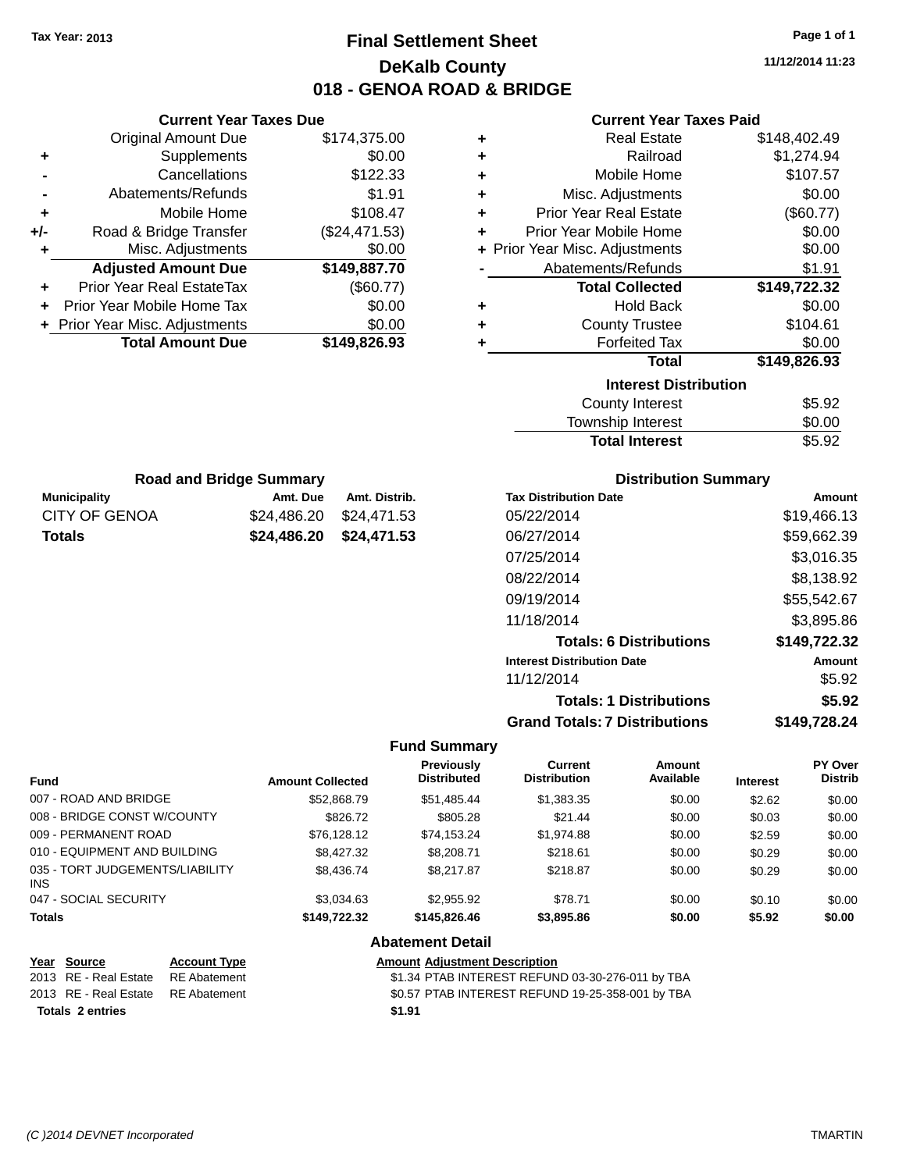### **Final Settlement Sheet Tax Year: 2013 Page 1 of 1 DeKalb County 018 - GENOA ROAD & BRIDGE**

**11/12/2014 11:23**

### **Current Year Taxes Paid**

|     | <b>Current Year Taxes Due</b>  |               |  |
|-----|--------------------------------|---------------|--|
|     | <b>Original Amount Due</b>     | \$174,375.00  |  |
| ٠   | Supplements                    | \$0.00        |  |
|     | Cancellations                  | \$122.33      |  |
|     | Abatements/Refunds             | \$1.91        |  |
| ٠   | Mobile Home                    | \$108.47      |  |
| +/- | Road & Bridge Transfer         | (\$24,471.53) |  |
| ٠   | Misc. Adjustments              | \$0.00        |  |
|     | <b>Adjusted Amount Due</b>     | \$149,887.70  |  |
| ٠   | Prior Year Real EstateTax      | (\$60.77)     |  |
|     | Prior Year Mobile Home Tax     | \$0.00        |  |
|     | + Prior Year Misc. Adjustments | \$0.00        |  |
|     | <b>Total Amount Due</b>        | \$149,826.93  |  |
|     |                                |               |  |

**Municipality Amt. Due Amt. Distrib. Road and Bridge Summary**

CITY OF GENOA \$24,486.20 \$24,471.53 **Totals \$24,486.20 \$24,471.53**

| ٠ | <b>Real Estate</b>             | \$148,402.49 |
|---|--------------------------------|--------------|
| ÷ | Railroad                       | \$1,274.94   |
| ٠ | Mobile Home                    | \$107.57     |
| ٠ | Misc. Adjustments              | \$0.00       |
| ÷ | <b>Prior Year Real Estate</b>  | (\$60.77)    |
| ٠ | Prior Year Mobile Home         | \$0.00       |
|   | + Prior Year Misc. Adjustments | \$0.00       |
|   | Abatements/Refunds             | \$1.91       |
|   |                                |              |
|   | <b>Total Collected</b>         | \$149,722.32 |
| ٠ | <b>Hold Back</b>               | \$0.00       |
| ÷ | <b>County Trustee</b>          | \$104.61     |
| ٠ | <b>Forfeited Tax</b>           | \$0.00       |
|   | Total                          | \$149,826.93 |
|   | <b>Interest Distribution</b>   |              |
|   | <b>County Interest</b>         | \$5.92       |

## **Distribution Summary**

Total Interest \$5.92

| <b>Tax Distribution Date</b>         | Amount       |
|--------------------------------------|--------------|
| 05/22/2014                           | \$19,466.13  |
| 06/27/2014                           | \$59,662.39  |
| 07/25/2014                           | \$3.016.35   |
| 08/22/2014                           | \$8,138.92   |
| 09/19/2014                           | \$55,542.67  |
| 11/18/2014                           | \$3,895.86   |
| <b>Totals: 6 Distributions</b>       | \$149,722.32 |
| <b>Interest Distribution Date</b>    | Amount       |
| 11/12/2014                           | \$5.92       |
| <b>Totals: 1 Distributions</b>       | \$5.92       |
| <b>Grand Totals: 7 Distributions</b> | \$149.728.24 |

#### **Fund Summary**

|                                               |                         | Previously         | Current             | <b>Amount</b> |                 | PY Over        |
|-----------------------------------------------|-------------------------|--------------------|---------------------|---------------|-----------------|----------------|
| <b>Fund</b>                                   | <b>Amount Collected</b> | <b>Distributed</b> | <b>Distribution</b> | Available     | <b>Interest</b> | <b>Distrib</b> |
| 007 - ROAD AND BRIDGE                         | \$52,868.79             | \$51,485.44        | \$1,383.35          | \$0.00        | \$2.62          | \$0.00         |
| 008 - BRIDGE CONST W/COUNTY                   | \$826.72                | \$805.28           | \$21.44             | \$0.00        | \$0.03          | \$0.00         |
| 009 - PERMANENT ROAD                          | \$76.128.12             | \$74.153.24        | \$1,974.88          | \$0.00        | \$2.59          | \$0.00         |
| 010 - EQUIPMENT AND BUILDING                  | \$8,427.32              | \$8,208.71         | \$218.61            | \$0.00        | \$0.29          | \$0.00         |
| 035 - TORT JUDGEMENTS/LIABILITY<br><b>INS</b> | \$8,436,74              | \$8,217.87         | \$218.87            | \$0.00        | \$0.29          | \$0.00         |
| 047 - SOCIAL SECURITY                         | \$3.034.63              | \$2,955.92         | \$78.71             | \$0.00        | \$0.10          | \$0.00         |
| <b>Totals</b>                                 | \$149.722.32            | \$145,826,46       | \$3,895.86          | \$0.00        | \$5.92          | \$0.00         |

#### **Abatement Detail**

| Year Source                        | <b>Account Type</b> | <b>Amount Adiustment Description</b>             |
|------------------------------------|---------------------|--------------------------------------------------|
| 2013 RE - Real Estate RE Abatement |                     | \$1.34 PTAB INTEREST REFUND 03-30-276-011 by TBA |
| 2013 RE - Real Estate RE Abatement |                     | \$0.57 PTAB INTEREST REFUND 19-25-358-001 by TBA |
| <b>Totals 2 entries</b>            |                     | \$1.91                                           |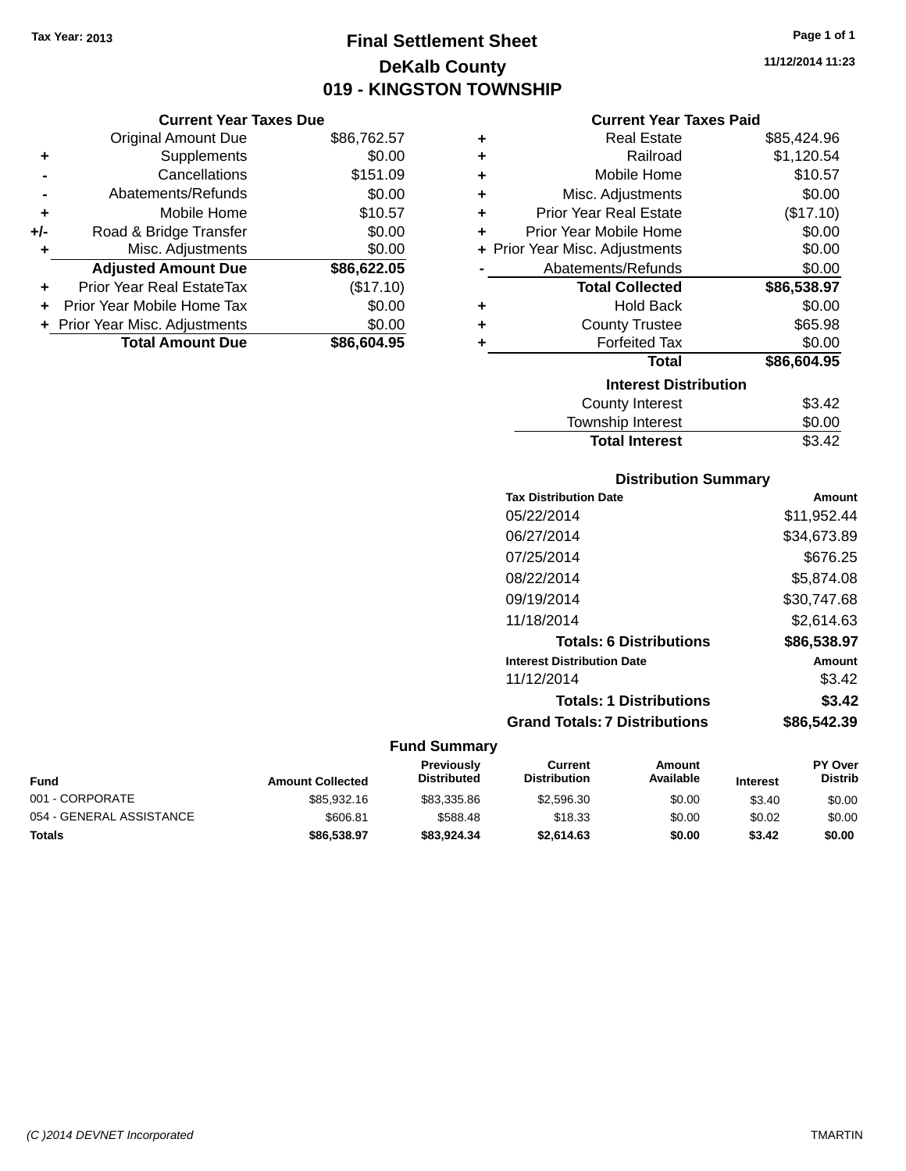### **Final Settlement Sheet Tax Year: 2013 Page 1 of 1 DeKalb County 019 - KINGSTON TOWNSHIP**

**11/12/2014 11:23**

### **Current Year Taxes Paid**

|     | <b>Current Year Taxes Due</b>  |             |  |  |  |
|-----|--------------------------------|-------------|--|--|--|
|     | <b>Original Amount Due</b>     | \$86,762.57 |  |  |  |
| ٠   | Supplements                    | \$0.00      |  |  |  |
|     | Cancellations                  | \$151.09    |  |  |  |
|     | Abatements/Refunds             | \$0.00      |  |  |  |
| ٠   | Mobile Home                    | \$10.57     |  |  |  |
| +/- | Road & Bridge Transfer         | \$0.00      |  |  |  |
| ٠   | Misc. Adjustments              | \$0.00      |  |  |  |
|     | <b>Adjusted Amount Due</b>     | \$86,622.05 |  |  |  |
| ٠   | Prior Year Real EstateTax      | (\$17.10)   |  |  |  |
|     | Prior Year Mobile Home Tax     | \$0.00      |  |  |  |
|     | + Prior Year Misc. Adjustments | \$0.00      |  |  |  |
|     | <b>Total Amount Due</b>        | \$86,604.95 |  |  |  |

| ٠ | <b>Real Estate</b>             | \$85,424.96 |
|---|--------------------------------|-------------|
| ٠ | Railroad                       | \$1,120.54  |
| ٠ | Mobile Home                    | \$10.57     |
| ٠ | Misc. Adjustments              | \$0.00      |
| ٠ | <b>Prior Year Real Estate</b>  | (\$17.10)   |
| ٠ | Prior Year Mobile Home         | \$0.00      |
|   | + Prior Year Misc. Adjustments | \$0.00      |
|   | Abatements/Refunds             | \$0.00      |
|   | <b>Total Collected</b>         | \$86,538.97 |
| ٠ | <b>Hold Back</b>               | \$0.00      |
| ٠ | <b>County Trustee</b>          | \$65.98     |
| ٠ | <b>Forfeited Tax</b>           | \$0.00      |
|   | <b>Total</b>                   | \$86,604.95 |
|   | <b>Interest Distribution</b>   |             |
|   | <b>County Interest</b>         | \$3.42      |
|   | <b>Township Interest</b>       | \$0.00      |
|   | <b>Total Interest</b>          | \$3.42      |

### **Distribution Summary**

| <b>Tax Distribution Date</b>         | Amount      |
|--------------------------------------|-------------|
| 05/22/2014                           | \$11.952.44 |
| 06/27/2014                           | \$34,673.89 |
| 07/25/2014                           | \$676.25    |
| 08/22/2014                           | \$5.874.08  |
| 09/19/2014                           | \$30.747.68 |
| 11/18/2014                           | \$2.614.63  |
| <b>Totals: 6 Distributions</b>       | \$86,538.97 |
| <b>Interest Distribution Date</b>    | Amount      |
| 11/12/2014                           | \$3.42      |
| <b>Totals: 1 Distributions</b>       | \$3.42      |
| <b>Grand Totals: 7 Distributions</b> | \$86,542,39 |
|                                      |             |

| Fund                     | <b>Amount Collected</b> | <b>Previously</b><br><b>Distributed</b> | Current<br><b>Distribution</b> | Amount<br>Available | <b>Interest</b> | <b>PY Over</b><br><b>Distrib</b> |
|--------------------------|-------------------------|-----------------------------------------|--------------------------------|---------------------|-----------------|----------------------------------|
| 001 - CORPORATE          | \$85,932.16             | \$83,335.86                             | \$2,596.30                     | \$0.00              | \$3.40          | \$0.00                           |
| 054 - GENERAL ASSISTANCE | \$606.81                | \$588.48                                | \$18.33                        | \$0.00              | \$0.02          | \$0.00                           |
| Totals                   | \$86,538,97             | \$83.924.34                             | \$2.614.63                     | \$0.00              | \$3.42          | \$0.00                           |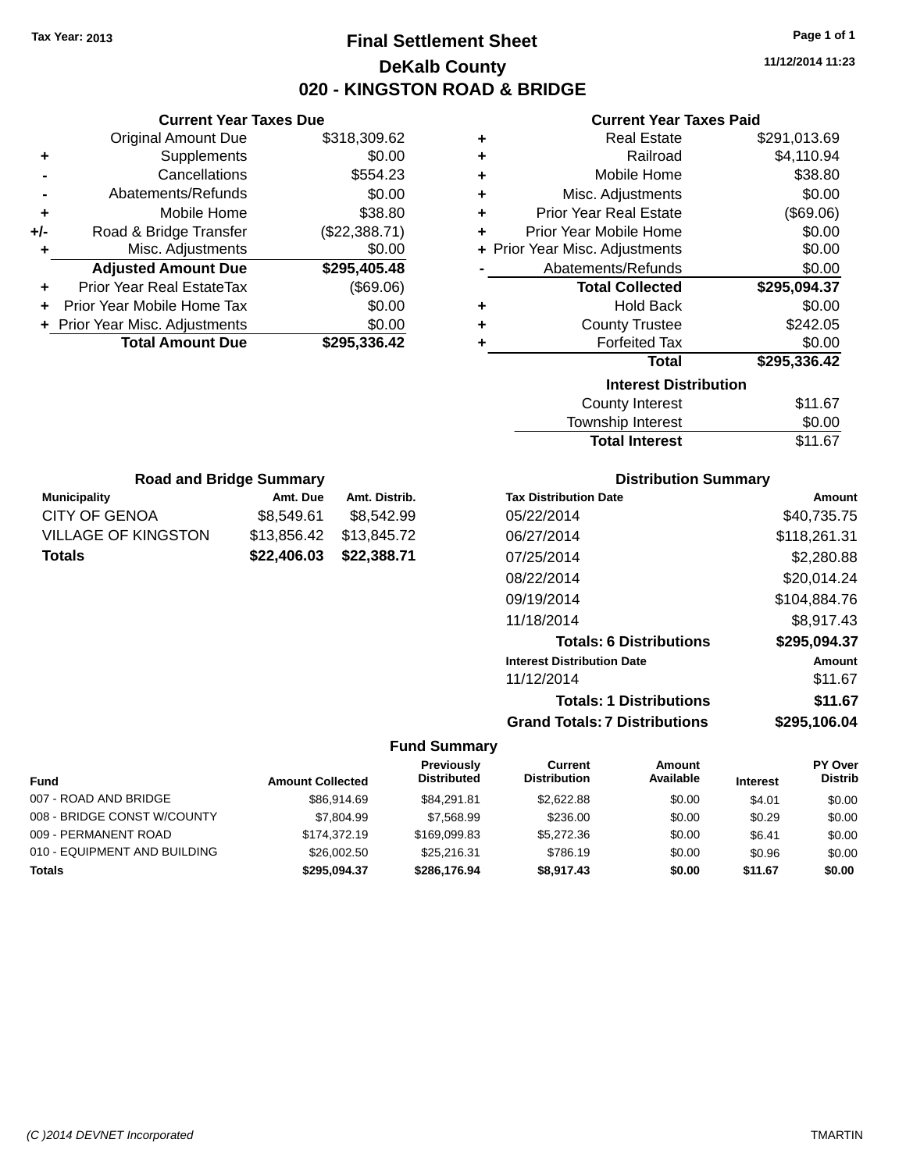### **Final Settlement Sheet Tax Year: 2013 Page 1 of 1 DeKalb County 020 - KINGSTON ROAD & BRIDGE**

**11/12/2014 11:23**

### **Current Year Taxes Paid**

| ٠ | <b>Real Estate</b>             | \$291,013.69 |
|---|--------------------------------|--------------|
| ÷ | Railroad                       | \$4,110.94   |
| ÷ | Mobile Home                    | \$38.80      |
| ÷ | Misc. Adjustments              | \$0.00       |
| ÷ | <b>Prior Year Real Estate</b>  | (\$69.06)    |
| ÷ | Prior Year Mobile Home         | \$0.00       |
|   | + Prior Year Misc. Adjustments | \$0.00       |
|   | Abatements/Refunds             | \$0.00       |
|   | <b>Total Collected</b>         | \$295,094.37 |
| ٠ | <b>Hold Back</b>               | \$0.00       |
| ÷ | <b>County Trustee</b>          | \$242.05     |
|   | <b>Forfeited Tax</b>           | \$0.00       |
|   | <b>Total</b>                   | \$295,336.42 |
|   | <b>Interest Distribution</b>   |              |
|   | <b>County Interest</b>         | \$11.67      |
|   | <b>Township Interest</b>       | ፍስ ሰስ        |

| <b>Total Interest</b> | \$11.67 |
|-----------------------|---------|
| Township Interest     | \$0.00  |
| County Interest       | \$11.67 |

| <b>Road and Bridge Summary</b>           |             |               |  |
|------------------------------------------|-------------|---------------|--|
| <b>Municipality</b>                      | Amt. Due    | Amt. Distrib. |  |
| CITY OF GENOA                            | \$8,549.61  | \$8,542.99    |  |
| <b>VILLAGE OF KINGSTON</b>               | \$13,856.42 | \$13,845.72   |  |
| \$22,406.03 \$22,388.71<br><b>Totals</b> |             |               |  |

**Current Year Taxes Due** Original Amount Due \$318,309.62

**Adjusted Amount Due \$295,405.48**

**+** Supplements \$0.00 **-** Cancellations \$554.23 **-** Abatements/Refunds \$0.00 **+** Mobile Home \$38.80 **+/-** Road & Bridge Transfer (\$22,388.71) **+** Misc. Adjustments \$0.00

**+** Prior Year Real EstateTax (\$69.06) **+** Prior Year Mobile Home Tax \$0.00 **+** Prior Year Misc. Adjustments \$0.00<br> **1995,336.42**<br> **1995,336.42** 

**Total Amount Due** 

### **Distribution Summary**

| <b>Tax Distribution Date</b>         | Amount       |
|--------------------------------------|--------------|
| 05/22/2014                           | \$40,735.75  |
| 06/27/2014                           | \$118,261.31 |
| 07/25/2014                           | \$2,280.88   |
| 08/22/2014                           | \$20,014.24  |
| 09/19/2014                           | \$104,884.76 |
| 11/18/2014                           | \$8,917.43   |
| <b>Totals: 6 Distributions</b>       | \$295,094.37 |
| <b>Interest Distribution Date</b>    | Amount       |
| 11/12/2014                           | \$11.67      |
| <b>Totals: 1 Distributions</b>       | \$11.67      |
| <b>Grand Totals: 7 Distributions</b> | \$295.106.04 |

|                              |                         | <b>Previously</b>  | Current             | Amount    |                 | <b>PY Over</b> |
|------------------------------|-------------------------|--------------------|---------------------|-----------|-----------------|----------------|
| <b>Fund</b>                  | <b>Amount Collected</b> | <b>Distributed</b> | <b>Distribution</b> | Available | <b>Interest</b> | <b>Distrib</b> |
| 007 - ROAD AND BRIDGE        | \$86,914.69             | \$84.291.81        | \$2.622.88          | \$0.00    | \$4.01          | \$0.00         |
| 008 - BRIDGE CONST W/COUNTY  | \$7,804.99              | \$7,568.99         | \$236.00            | \$0.00    | \$0.29          | \$0.00         |
| 009 - PERMANENT ROAD         | \$174,372.19            | \$169,099.83       | \$5,272.36          | \$0.00    | \$6.41          | \$0.00         |
| 010 - EQUIPMENT AND BUILDING | \$26,002.50             | \$25,216.31        | \$786.19            | \$0.00    | \$0.96          | \$0.00         |
| <b>Totals</b>                | \$295.094.37            | \$286,176.94       | \$8.917.43          | \$0.00    | \$11.67         | \$0.00         |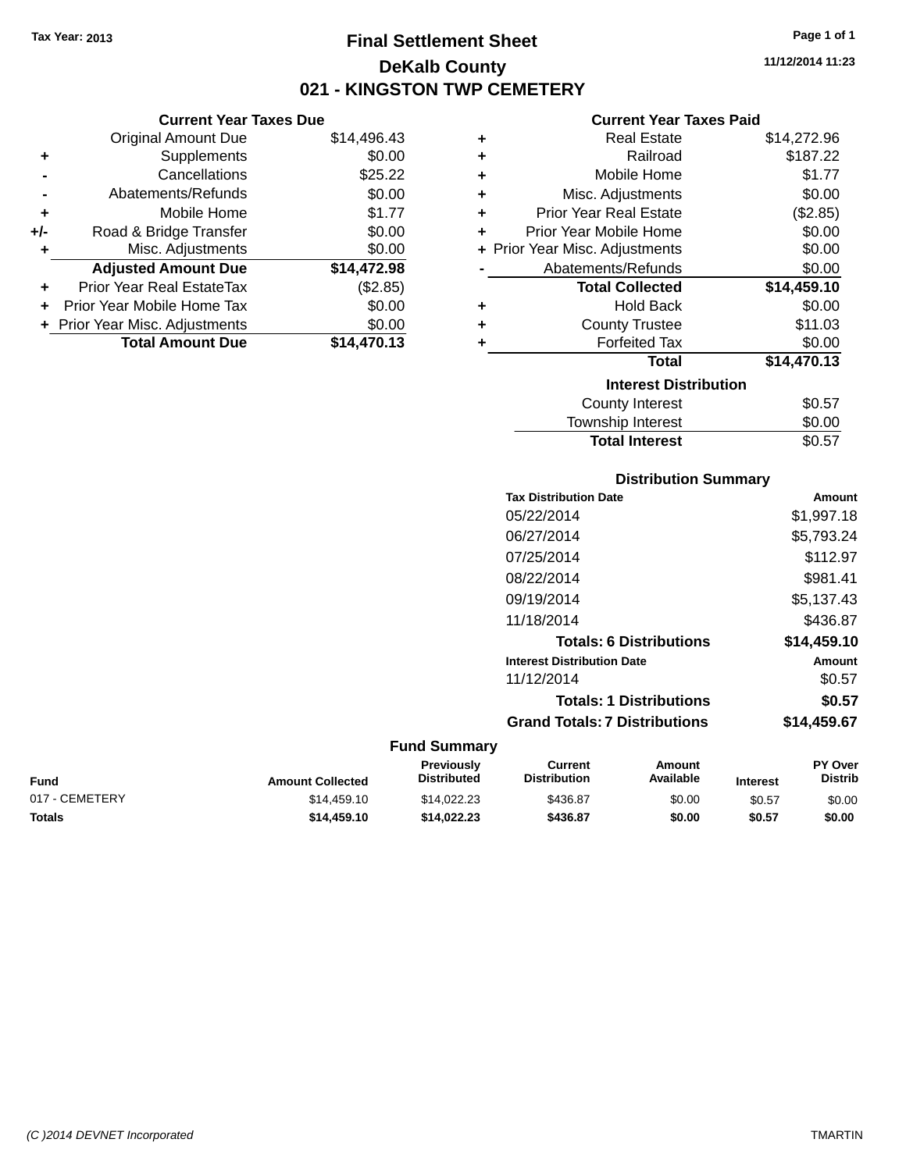**Current Year Taxes Due** Original Amount Due \$14,496.43

**Adjusted Amount Due \$14,472.98**

**+** Supplements \$0.00 **-** Cancellations \$25.22 **-** Abatements/Refunds \$0.00 **+** Mobile Home \$1.77 **+/-** Road & Bridge Transfer \$0.00 **+** Misc. Adjustments \$0.00

**+** Prior Year Real EstateTax (\$2.85) **+** Prior Year Mobile Home Tax \$0.00 **+** Prior Year Misc. Adjustments \$0.00<br> **14,470.13** 

**Total Amount Due** 

### **Final Settlement Sheet Tax Year: 2013 Page 1 of 1 DeKalb County 021 - KINGSTON TWP CEMETERY**

**11/12/2014 11:23**

### **Current Year Taxes Paid**

| ٠ | <b>Real Estate</b>             | \$14,272.96 |
|---|--------------------------------|-------------|
| ÷ | Railroad                       | \$187.22    |
| ٠ | Mobile Home                    | \$1.77      |
| ٠ | Misc. Adjustments              | \$0.00      |
| ٠ | <b>Prior Year Real Estate</b>  | (\$2.85)    |
| ٠ | Prior Year Mobile Home         | \$0.00      |
|   | + Prior Year Misc. Adjustments | \$0.00      |
|   | Abatements/Refunds             | \$0.00      |
|   | <b>Total Collected</b>         | \$14,459.10 |
| ٠ | <b>Hold Back</b>               | \$0.00      |
| ٠ | <b>County Trustee</b>          | \$11.03     |
| ٠ | <b>Forfeited Tax</b>           | \$0.00      |
|   | <b>Total</b>                   | \$14,470.13 |
|   | <b>Interest Distribution</b>   |             |
|   | <b>County Interest</b>         | \$0.57      |
|   | <b>Township Interest</b>       | \$0.00      |

| <b>Distribution Summary</b>          |             |
|--------------------------------------|-------------|
| <b>Tax Distribution Date</b>         | Amount      |
| 05/22/2014                           | \$1,997.18  |
| 06/27/2014                           | \$5,793.24  |
| 07/25/2014                           | \$112.97    |
| 08/22/2014                           | \$981.41    |
| 09/19/2014                           | \$5,137.43  |
| 11/18/2014                           | \$436.87    |
| <b>Totals: 6 Distributions</b>       | \$14,459.10 |
| <b>Interest Distribution Date</b>    | Amount      |
| 11/12/2014                           | \$0.57      |
| <b>Totals: 1 Distributions</b>       | \$0.57      |
| <b>Grand Totals: 7 Distributions</b> | \$14,459.67 |

Total Interest \$0.57

| Fund           | <b>Amount Collected</b> | <b>Previously</b><br><b>Distributed</b> | Current<br><b>Distribution</b> | Amount<br>Available | <b>Interest</b> | <b>PY Over</b><br><b>Distrib</b> |
|----------------|-------------------------|-----------------------------------------|--------------------------------|---------------------|-----------------|----------------------------------|
| 017 - CEMETERY | \$14,459.10             | \$14.022.23                             | \$436.87                       | \$0.00              | \$0.57          | \$0.00                           |
| <b>Totals</b>  | \$14,459.10             | \$14.022.23                             | \$436.87                       | \$0.00              | \$0.57          | \$0.00                           |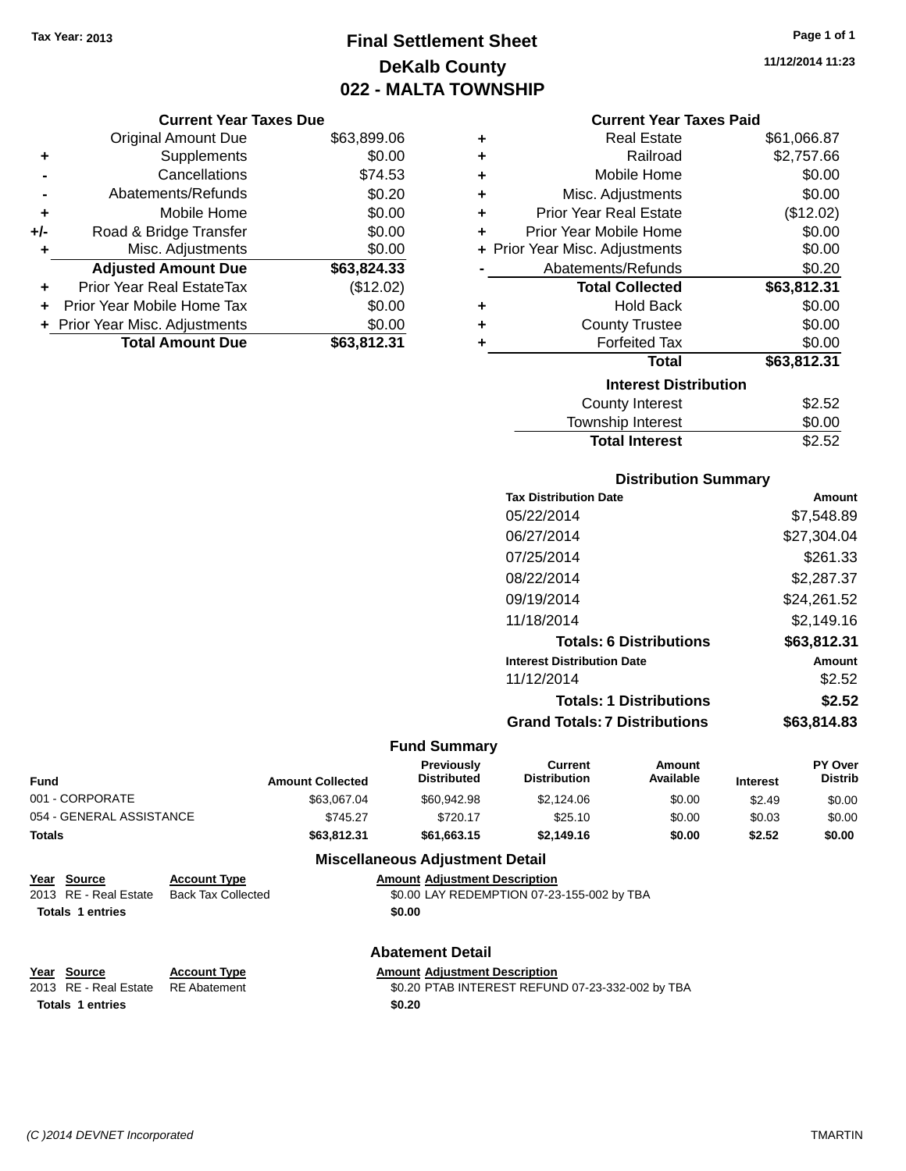### **Final Settlement Sheet Tax Year: 2013 Page 1 of 1 DeKalb County 022 - MALTA TOWNSHIP**

**11/12/2014 11:23**

#### **Current Year Taxes Paid**

|     | <b>Current Year Taxes Due</b>  |             |
|-----|--------------------------------|-------------|
|     | <b>Original Amount Due</b>     | \$63,899.06 |
| ٠   | Supplements                    | \$0.00      |
|     | Cancellations                  | \$74.53     |
|     | Abatements/Refunds             | \$0.20      |
| ٠   | Mobile Home                    | \$0.00      |
| +/- | Road & Bridge Transfer         | \$0.00      |
| ٠   | Misc. Adjustments              | \$0.00      |
|     | <b>Adjusted Amount Due</b>     | \$63,824.33 |
| ٠   | Prior Year Real EstateTax      | (\$12.02)   |
| ÷   | Prior Year Mobile Home Tax     | \$0.00      |
|     | + Prior Year Misc. Adjustments | \$0.00      |
|     | <b>Total Amount Due</b>        | \$63,812,31 |

| ٠ | <b>Real Estate</b>             | \$61,066.87 |
|---|--------------------------------|-------------|
| ٠ | Railroad                       | \$2,757.66  |
| ٠ | Mobile Home                    | \$0.00      |
| ٠ | Misc. Adjustments              | \$0.00      |
| ٠ | <b>Prior Year Real Estate</b>  | (\$12.02)   |
| ٠ | Prior Year Mobile Home         | \$0.00      |
|   | + Prior Year Misc. Adjustments | \$0.00      |
|   | Abatements/Refunds             | \$0.20      |
|   | <b>Total Collected</b>         | \$63,812.31 |
| ٠ | <b>Hold Back</b>               | \$0.00      |
| ٠ | <b>County Trustee</b>          | \$0.00      |
| ٠ | <b>Forfeited Tax</b>           | \$0.00      |
|   | <b>Total</b>                   | \$63,812.31 |
|   | <b>Interest Distribution</b>   |             |
|   | <b>County Interest</b>         | \$2.52      |
|   | <b>Township Interest</b>       | \$0.00      |
|   | <b>Total Interest</b>          | \$2.52      |

### **Distribution Summary**

| <b>Tax Distribution Date</b>         | Amount      |
|--------------------------------------|-------------|
| 05/22/2014                           | \$7,548.89  |
| 06/27/2014                           | \$27,304.04 |
| 07/25/2014                           | \$261.33    |
| 08/22/2014                           | \$2,287.37  |
| 09/19/2014                           | \$24,261.52 |
| 11/18/2014                           | \$2.149.16  |
| <b>Totals: 6 Distributions</b>       | \$63,812,31 |
| <b>Interest Distribution Date</b>    | Amount      |
| 11/12/2014                           | \$2.52      |
| <b>Totals: 1 Distributions</b>       | \$2.52      |
| <b>Grand Totals: 7 Distributions</b> | \$63.814.83 |
|                                      |             |

#### **Fund Summary**

| <b>Fund</b>              | <b>Amount Collected</b> | <b>Previously</b><br><b>Distributed</b> | Current<br><b>Distribution</b> | Amount<br>Available | <b>Interest</b> | <b>PY Over</b><br><b>Distrib</b> |
|--------------------------|-------------------------|-----------------------------------------|--------------------------------|---------------------|-----------------|----------------------------------|
| 001 - CORPORATE          | \$63,067.04             | \$60.942.98                             | \$2.124.06                     | \$0.00              | \$2.49          | \$0.00                           |
| 054 - GENERAL ASSISTANCE | \$745.27                | \$720.17                                | \$25.10                        | \$0.00              | \$0.03          | \$0.00                           |
| <b>Totals</b>            | \$63.812.31             | \$61,663.15                             | \$2.149.16                     | \$0.00              | \$2.52          | \$0.00                           |

### **Miscellaneous Adjustment Detail**

| Year Source           | <b>Account Type</b>       | <b>Amount Adiustment Description</b>       |
|-----------------------|---------------------------|--------------------------------------------|
| 2013 RE - Real Estate | <b>Back Tax Collected</b> | \$0.00 LAY REDEMPTION 07-23-155-002 by TBA |
| Totals 1 entries      |                           | \$0.00                                     |

Totals 1 entries \$0.20

### **Abatement Detail**

**Year Source Account Type Amount Adjustment Description**

2013 RE - Real Estate RE Abatement \$0.20 PTAB INTEREST REFUND 07-23-332-002 by TBA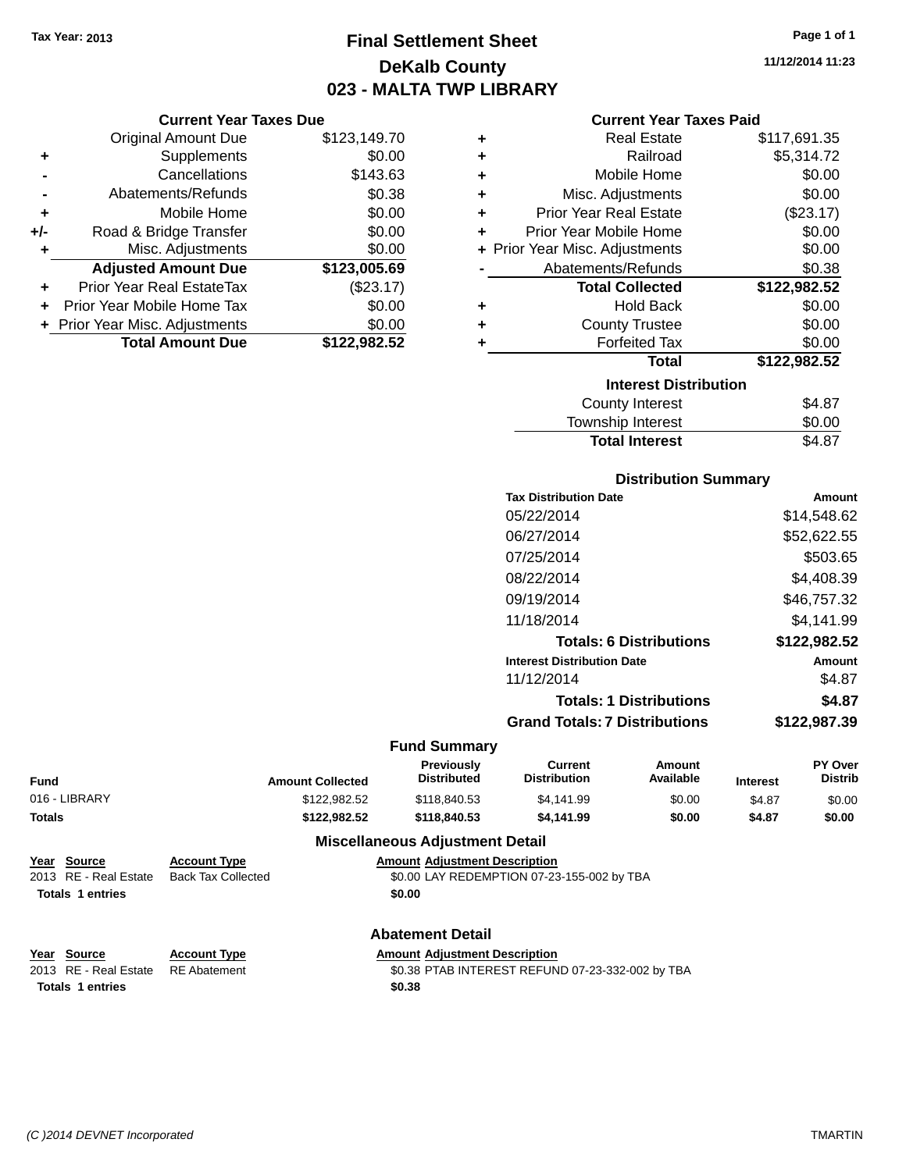### **Final Settlement Sheet Tax Year: 2013 Page 1 of 1 DeKalb County 023 - MALTA TWP LIBRARY**

**11/12/2014 11:23**

### **Current Year Taxes Due**

|     | <b>Original Amount Due</b>       | \$123,149.70 |
|-----|----------------------------------|--------------|
| ٠   | Supplements                      | \$0.00       |
|     | Cancellations                    | \$143.63     |
|     | Abatements/Refunds               | \$0.38       |
| ٠   | Mobile Home                      | \$0.00       |
| +/- | Road & Bridge Transfer           | \$0.00       |
| ÷   | Misc. Adjustments                | \$0.00       |
|     | <b>Adjusted Amount Due</b>       | \$123,005.69 |
|     | <b>Prior Year Real EstateTax</b> | (\$23.17)    |
|     | Prior Year Mobile Home Tax       | \$0.00       |
|     | + Prior Year Misc. Adjustments   | \$0.00       |
|     | <b>Total Amount Due</b>          | \$122.982.52 |

### **Current Year Taxes Paid**

|   | <b>Real Estate</b>             | \$117,691.35 |
|---|--------------------------------|--------------|
| ÷ | Railroad                       | \$5,314.72   |
| ٠ | Mobile Home                    | \$0.00       |
| ٠ | Misc. Adjustments              | \$0.00       |
| ٠ | <b>Prior Year Real Estate</b>  | (\$23.17)    |
| ٠ | Prior Year Mobile Home         | \$0.00       |
|   | + Prior Year Misc. Adjustments | \$0.00       |
|   | Abatements/Refunds             | \$0.38       |
|   | <b>Total Collected</b>         | \$122,982.52 |
| ٠ | <b>Hold Back</b>               | \$0.00       |
| ٠ | <b>County Trustee</b>          | \$0.00       |
|   | <b>Forfeited Tax</b>           | \$0.00       |
|   | <b>Total</b>                   | \$122,982.52 |
|   | <b>Interest Distribution</b>   |              |
|   |                                |              |
|   | County Interest                | \$4.87       |

### Township Interest \$0.00 Total Interest \$4.87

### **Distribution Summary**

| \$14.548.62  |
|--------------|
|              |
| \$52,622.55  |
| \$503.65     |
| \$4.408.39   |
| \$46,757.32  |
| \$4.141.99   |
| \$122,982.52 |
| Amount       |
| \$4.87       |
| \$4.87       |
| \$122,987.39 |
|              |

### **Fund Summary**

| <b>Amount Collected</b> | Previously<br><b>Distributed</b> | Current<br>Distribution | Amount<br>Available | <b>Interest</b> | <b>PY Over</b><br><b>Distrib</b> |
|-------------------------|----------------------------------|-------------------------|---------------------|-----------------|----------------------------------|
| \$122,982.52            | \$118,840.53                     | \$4.141.99              | \$0.00              | \$4.87          | \$0.00                           |
| \$122.982.52            | \$118,840,53                     | \$4.141.99              | \$0.00              | \$4.87          | \$0.00                           |
|                         |                                  |                         |                     |                 |                                  |

### **Miscellaneous Adjustment Detail**

| Year Source           | <b>Account Type</b> | <b>Amount Adjustment Description</b>       |
|-----------------------|---------------------|--------------------------------------------|
| 2013 RE - Real Estate | Back Tax Collected  | \$0.00 LAY REDEMPTION 07-23-155-002 by TBA |
| Totals 1 entries      |                     | \$0.00                                     |
|                       |                     |                                            |

### **Abatement Detail**

| Year Source                        | <b>Account Type</b> | <b>Amount Adiustment Description</b> |
|------------------------------------|---------------------|--------------------------------------|
| 2013 RE - Real Estate RE Abatement |                     | \$0.38 PTAB INTEREST REFUN           |

\$0.38 PTAB INTEREST REFUND 07-23-332-002 by TBA **Totals \$0.38 1 entries**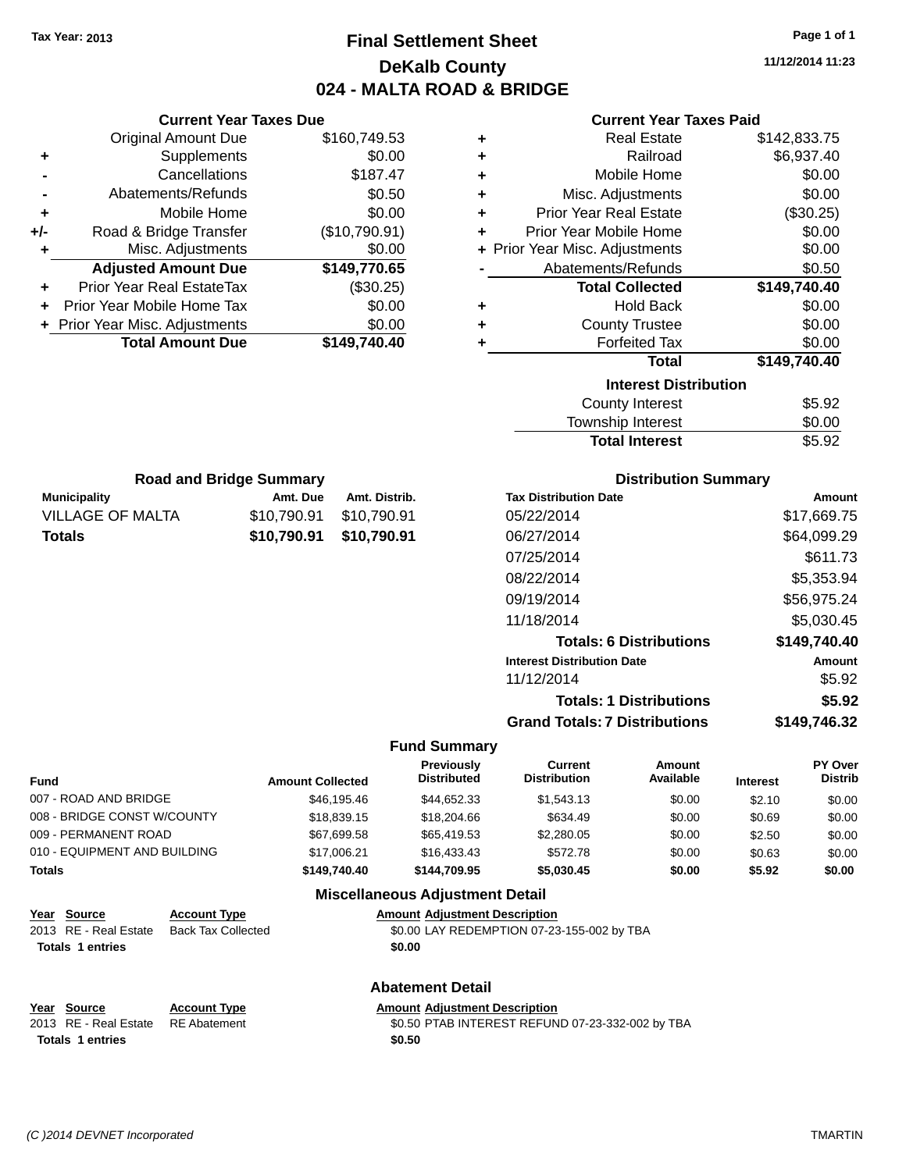### **Final Settlement Sheet Tax Year: 2013 Page 1 of 1 DeKalb County 024 - MALTA ROAD & BRIDGE**

**11/12/2014 11:23**

|  |  | 11/14/4014 11.4 |  |  |  |
|--|--|-----------------|--|--|--|
|  |  |                 |  |  |  |
|  |  |                 |  |  |  |

|        | <b>Current Year Taxes Due</b>                                                 |                            |                                        |                            |                                                 | <b>Current Year Taxes Paid</b> |                  |                  |
|--------|-------------------------------------------------------------------------------|----------------------------|----------------------------------------|----------------------------|-------------------------------------------------|--------------------------------|------------------|------------------|
|        | <b>Original Amount Due</b>                                                    | \$160,749.53               |                                        | ٠                          |                                                 | <b>Real Estate</b>             |                  | \$142,833.75     |
| ٠      | Supplements                                                                   |                            | \$0.00                                 | ٠                          |                                                 | Railroad                       |                  | \$6,937.40       |
|        | Cancellations                                                                 |                            | \$187.47                               | ٠                          |                                                 | Mobile Home                    |                  | \$0.00           |
|        | Abatements/Refunds                                                            |                            | \$0.50                                 | ٠                          |                                                 | Misc. Adjustments              |                  | \$0.00           |
| ٠      | Mobile Home                                                                   |                            | \$0.00                                 | ٠                          | <b>Prior Year Real Estate</b>                   |                                |                  | (\$30.25)        |
| +/-    | Road & Bridge Transfer                                                        | (\$10,790.91)              |                                        | ٠                          | Prior Year Mobile Home                          |                                |                  | \$0.00           |
| ٠      | Misc. Adjustments                                                             |                            | \$0.00                                 | ÷                          | Prior Year Misc. Adjustments                    |                                |                  | \$0.00           |
|        | <b>Adjusted Amount Due</b>                                                    | \$149,770.65               |                                        |                            | Abatements/Refunds                              |                                |                  | \$0.50           |
| ٠      | Prior Year Real EstateTax                                                     |                            | (\$30.25)                              |                            |                                                 | <b>Total Collected</b>         |                  | \$149,740.40     |
|        | Prior Year Mobile Home Tax                                                    |                            | \$0.00                                 | ٠                          |                                                 | <b>Hold Back</b>               |                  | \$0.00           |
|        | Prior Year Misc. Adjustments                                                  |                            | \$0.00                                 | ٠                          |                                                 | <b>County Trustee</b>          |                  | \$0.00           |
|        | <b>Total Amount Due</b>                                                       | \$149,740.40               |                                        | ٠                          |                                                 | <b>Forfeited Tax</b>           |                  | \$0.00           |
|        |                                                                               |                            |                                        |                            |                                                 | <b>Total</b>                   | \$149,740.40     |                  |
|        |                                                                               |                            |                                        |                            |                                                 | <b>Interest Distribution</b>   |                  |                  |
|        |                                                                               |                            |                                        |                            |                                                 | <b>County Interest</b>         |                  | \$5.92           |
|        |                                                                               |                            |                                        |                            |                                                 | Township Interest              |                  | \$0.00           |
|        |                                                                               |                            |                                        |                            |                                                 | <b>Total Interest</b>          |                  | \$5.92           |
|        |                                                                               |                            |                                        |                            |                                                 |                                |                  |                  |
|        | <b>Road and Bridge Summary</b>                                                |                            |                                        |                            |                                                 | <b>Distribution Summary</b>    |                  |                  |
|        | <b>Municipality</b>                                                           | Amt. Due                   | Amt. Distrib.                          |                            | <b>Tax Distribution Date</b>                    |                                |                  | Amount           |
|        | <b>VILLAGE OF MALTA</b>                                                       | \$10,790.91                | \$10,790.91                            |                            | 05/22/2014                                      |                                |                  | \$17,669.75      |
|        | <b>Totals</b>                                                                 | \$10,790.91                | \$10,790.91                            |                            | 06/27/2014                                      |                                |                  | \$64,099.29      |
|        |                                                                               |                            |                                        |                            | 07/25/2014                                      |                                |                  | \$611.73         |
|        |                                                                               |                            |                                        |                            | 08/22/2014                                      |                                |                  | \$5,353.94       |
|        |                                                                               |                            |                                        |                            | 09/19/2014                                      |                                |                  | \$56,975.24      |
|        |                                                                               |                            |                                        |                            | 11/18/2014                                      |                                |                  | \$5,030.45       |
|        |                                                                               |                            |                                        |                            |                                                 |                                |                  |                  |
|        |                                                                               |                            |                                        |                            |                                                 | <b>Totals: 6 Distributions</b> |                  | \$149,740.40     |
|        |                                                                               |                            |                                        |                            | <b>Interest Distribution Date</b><br>11/12/2014 |                                |                  | Amount           |
|        |                                                                               |                            |                                        |                            |                                                 |                                |                  | \$5.92           |
|        |                                                                               |                            |                                        |                            |                                                 | <b>Totals: 1 Distributions</b> |                  | \$5.92           |
|        |                                                                               |                            |                                        |                            | <b>Grand Totals: 7 Distributions</b>            |                                |                  | \$149,746.32     |
|        |                                                                               |                            | <b>Fund Summary</b>                    |                            |                                                 |                                |                  |                  |
|        |                                                                               |                            |                                        | Previously                 | <b>Current</b>                                  | Amount                         |                  | <b>PY Over</b>   |
| Fund   |                                                                               | <b>Amount Collected</b>    |                                        | <b>Distributed</b>         | <b>Distribution</b>                             | Available                      | <b>Interest</b>  | Distrib          |
|        | 007 - ROAD AND BRIDGE                                                         | \$46,195.46                |                                        | \$44,652.33                | \$1,543.13                                      | \$0.00                         | \$2.10           | \$0.00           |
|        | 008 - BRIDGE CONST W/COUNTY<br>009 - PERMANENT ROAD                           | \$18,839.15                |                                        | \$18,204.66                | \$634.49                                        | \$0.00                         | \$0.69           | \$0.00           |
|        | 010 - EQUIPMENT AND BUILDING                                                  | \$67,699.58<br>\$17,006.21 |                                        | \$65,419.53<br>\$16,433.43 | \$2,280.05<br>\$572.78                          | \$0.00<br>\$0.00               | \$2.50           | \$0.00           |
| Totals |                                                                               | \$149,740.40               | \$144,709.95                           |                            | \$5,030.45                                      | \$0.00                         | \$0.63<br>\$5.92 | \$0.00<br>\$0.00 |
|        |                                                                               |                            |                                        |                            |                                                 |                                |                  |                  |
|        |                                                                               |                            | <b>Miscellaneous Adjustment Detail</b> |                            |                                                 |                                |                  |                  |
|        | <b>Account Type</b><br>Year Source                                            |                            | <b>Amount Adjustment Description</b>   |                            |                                                 |                                |                  |                  |
|        | 2013 RE - Real Estate<br><b>Back Tax Collected</b><br><b>Totals 1 entries</b> |                            | \$0.00                                 |                            | \$0.00 LAY REDEMPTION 07-23-155-002 by TBA      |                                |                  |                  |
|        |                                                                               |                            |                                        |                            |                                                 |                                |                  |                  |
|        |                                                                               |                            | <b>Abatement Detail</b>                |                            |                                                 |                                |                  |                  |
|        |                                                                               |                            |                                        |                            |                                                 |                                |                  |                  |

| Year Source                        | <b>Account Type</b> | <b>Amount Adiustment Description</b>             |
|------------------------------------|---------------------|--------------------------------------------------|
| 2013 RE - Real Estate RE Abatement |                     | \$0.50 PTAB INTEREST REFUND 07-23-332-002 by TBA |
| <b>Totals 1 entries</b>            |                     | \$0.50                                           |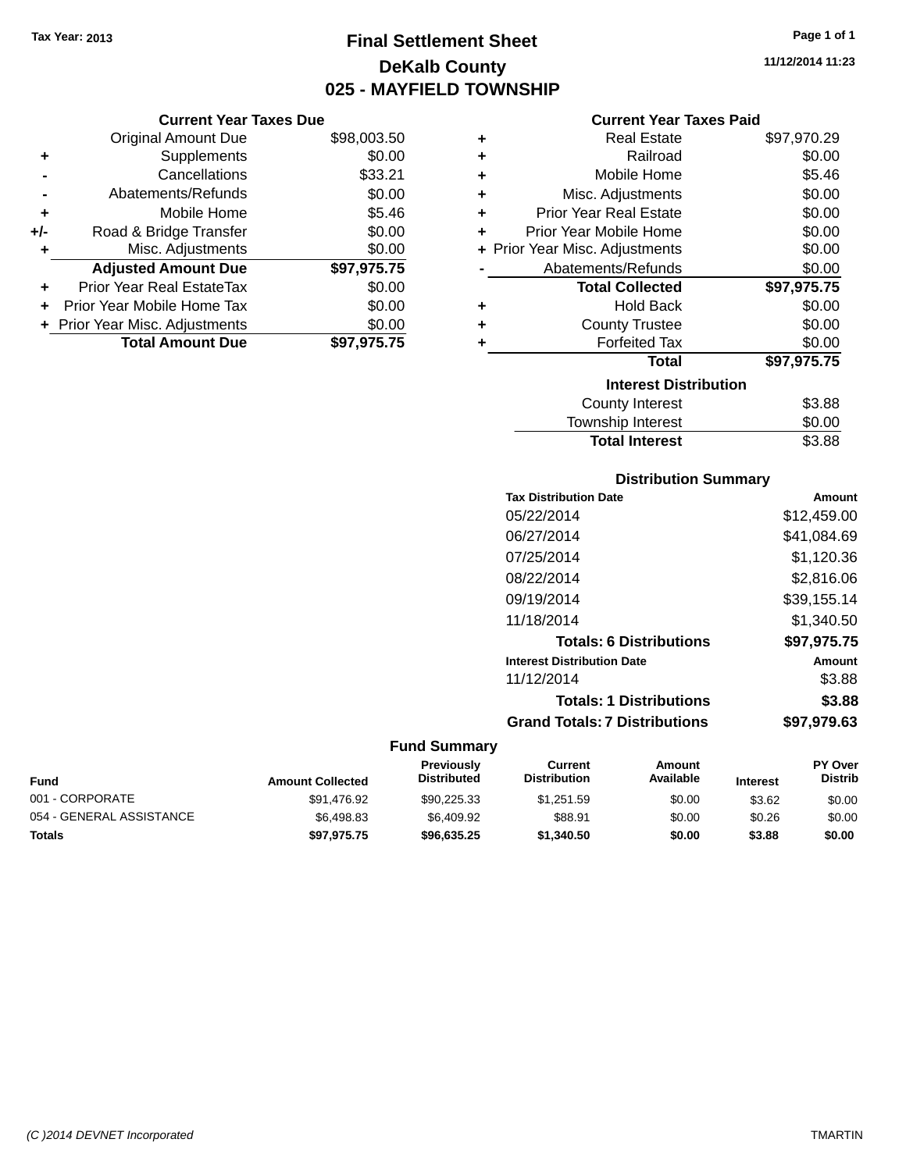### **Final Settlement Sheet Tax Year: 2013 Page 1 of 1 DeKalb County 025 - MAYFIELD TOWNSHIP**

**11/12/2014 11:23**

### **Current Year Taxes Paid**

|       | <b>Current Year Taxes Due</b>    |             |   | C۱                     |
|-------|----------------------------------|-------------|---|------------------------|
|       | Original Amount Due              | \$98,003.50 | ÷ |                        |
|       | Supplements                      | \$0.00      |   |                        |
|       | Cancellations                    | \$33.21     | ٠ | M                      |
|       | Abatements/Refunds               | \$0.00      | ٠ | Misc. $\ell$           |
|       | Mobile Home                      | \$5.46      |   | <b>Prior Year</b>      |
| $+/-$ | Road & Bridge Transfer           | \$0.00      |   | Prior Year M           |
| ٠     | Misc. Adjustments                | \$0.00      |   | $+$ Prior Year Misc. A |
|       | <b>Adjusted Amount Due</b>       | \$97,975.75 |   | Abateme                |
|       | <b>Prior Year Real EstateTax</b> | \$0.00      |   | Tota                   |
| ÷     | Prior Year Mobile Home Tax       | \$0.00      | ٠ |                        |
|       | + Prior Year Misc. Adjustments   | \$0.00      |   | Cοι                    |
|       | <b>Total Amount Due</b>          | \$97,975.75 |   | F                      |
|       |                                  |             |   |                        |

| ٠ | <b>Real Estate</b>             | \$97,970.29 |
|---|--------------------------------|-------------|
| ÷ | Railroad                       | \$0.00      |
| ٠ | Mobile Home                    | \$5.46      |
| ٠ | Misc. Adjustments              | \$0.00      |
| ÷ | <b>Prior Year Real Estate</b>  | \$0.00      |
| ÷ | Prior Year Mobile Home         | \$0.00      |
|   | + Prior Year Misc. Adjustments | \$0.00      |
|   | Abatements/Refunds             | \$0.00      |
|   | <b>Total Collected</b>         | \$97,975.75 |
| ٠ | <b>Hold Back</b>               | \$0.00      |
| ٠ | <b>County Trustee</b>          | \$0.00      |
| ٠ | <b>Forfeited Tax</b>           | \$0.00      |
|   | Total                          | \$97,975.75 |
|   | <b>Interest Distribution</b>   |             |
|   | <b>County Interest</b>         | \$3.88      |
|   | Township Interest              | \$0.00      |
|   | <b>Total Interest</b>          | \$3.88      |

### **Distribution Summary**

| <b>Tax Distribution Date</b>         | Amount      |
|--------------------------------------|-------------|
| 05/22/2014                           | \$12,459.00 |
| 06/27/2014                           | \$41,084.69 |
| 07/25/2014                           | \$1,120.36  |
| 08/22/2014                           | \$2,816.06  |
| 09/19/2014                           | \$39,155.14 |
| 11/18/2014                           | \$1,340.50  |
| <b>Totals: 6 Distributions</b>       | \$97,975.75 |
| <b>Interest Distribution Date</b>    | Amount      |
| 11/12/2014                           | \$3.88      |
| <b>Totals: 1 Distributions</b>       | \$3.88      |
| <b>Grand Totals: 7 Distributions</b> | \$97.979.63 |
|                                      |             |

| Fund                     | <b>Amount Collected</b> | <b>Previously</b><br><b>Distributed</b> | Current<br><b>Distribution</b> | Amount<br>Available | <b>Interest</b> | <b>PY Over</b><br><b>Distrib</b> |
|--------------------------|-------------------------|-----------------------------------------|--------------------------------|---------------------|-----------------|----------------------------------|
| 001 - CORPORATE          | \$91.476.92             | \$90.225.33                             | \$1.251.59                     | \$0.00              | \$3.62          | \$0.00                           |
| 054 - GENERAL ASSISTANCE | \$6,498.83              | \$6.409.92                              | \$88.91                        | \$0.00              | \$0.26          | \$0.00                           |
| Totals                   | \$97,975.75             | \$96,635.25                             | \$1,340.50                     | \$0.00              | \$3.88          | \$0.00                           |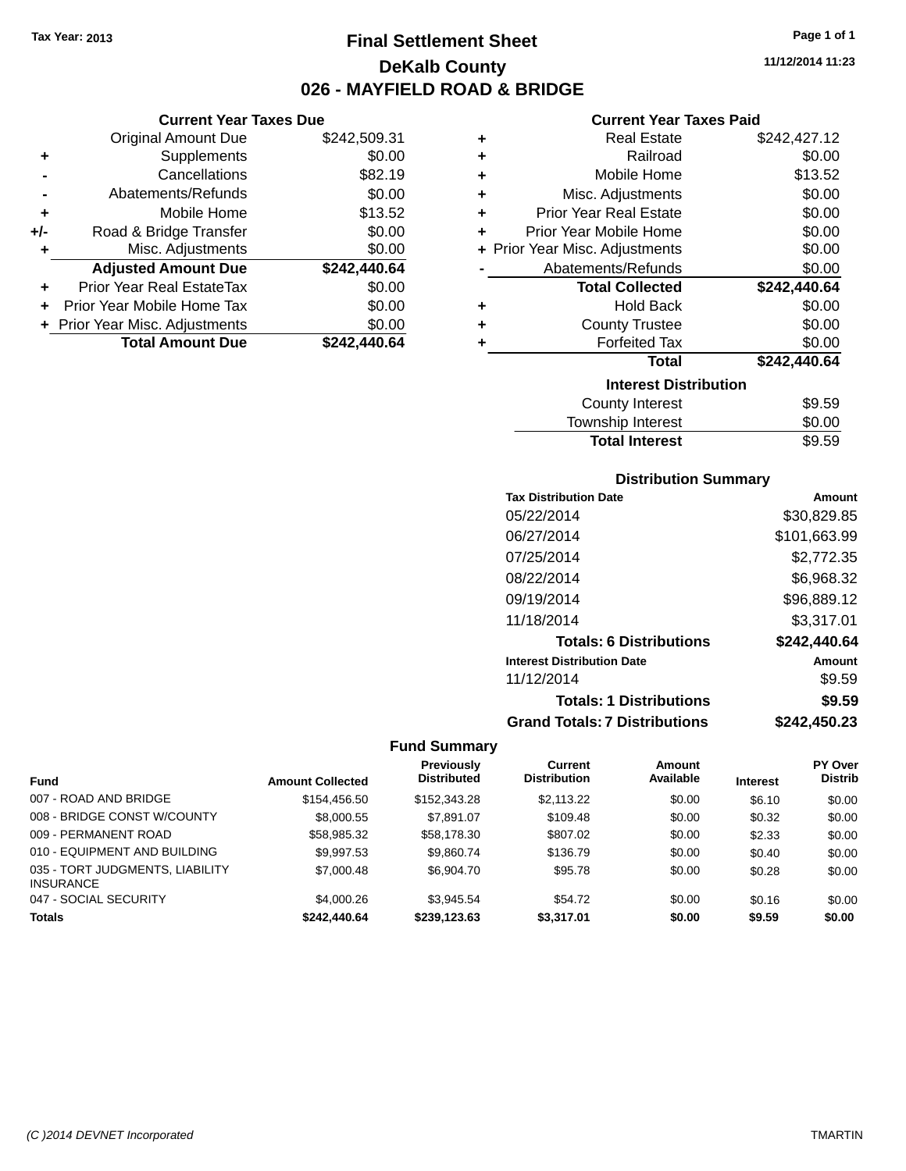**Current Year Taxes Due** Original Amount Due \$242,509.31

**Adjusted Amount Due \$242,440.64**

**Total Amount Due \$242,440.64**

**+** Supplements \$0.00 **-** Cancellations \$82.19 **-** Abatements/Refunds \$0.00 **+** Mobile Home \$13.52 **+/-** Road & Bridge Transfer \$0.00 **+** Misc. Adjustments \$0.00

**+** Prior Year Real EstateTax \$0.00 **+** Prior Year Mobile Home Tax \$0.00 **+ Prior Year Misc. Adjustments**  $$0.00$ 

### **Final Settlement Sheet Tax Year: 2013 Page 1 of 1 DeKalb County 026 - MAYFIELD ROAD & BRIDGE**

**11/12/2014 11:23**

### **Current Year Taxes Paid**

| ٠ | <b>Real Estate</b>             | \$242,427.12 |
|---|--------------------------------|--------------|
| ÷ | Railroad                       | \$0.00       |
| ÷ | Mobile Home                    | \$13.52      |
| ÷ | Misc. Adjustments              | \$0.00       |
| ٠ | <b>Prior Year Real Estate</b>  | \$0.00       |
| ٠ | Prior Year Mobile Home         | \$0.00       |
|   | + Prior Year Misc. Adjustments | \$0.00       |
|   | Abatements/Refunds             | \$0.00       |
|   | <b>Total Collected</b>         | \$242,440.64 |
| ٠ | <b>Hold Back</b>               | \$0.00       |
| ٠ | <b>County Trustee</b>          | \$0.00       |
| ٠ | <b>Forfeited Tax</b>           | \$0.00       |
|   | Total                          | \$242,440.64 |
|   | <b>Interest Distribution</b>   |              |
|   | <b>County Interest</b>         | \$9.59       |
|   | <b>Township Interest</b>       | \$0.00       |

### Total Interest \$9.59

| <b>Distribution Summary</b>          |              |
|--------------------------------------|--------------|
| <b>Tax Distribution Date</b>         | Amount       |
| 05/22/2014                           | \$30,829.85  |
| 06/27/2014                           | \$101,663.99 |
| 07/25/2014                           | \$2,772.35   |
| 08/22/2014                           | \$6,968.32   |
| 09/19/2014                           | \$96,889.12  |
| 11/18/2014                           | \$3.317.01   |
| <b>Totals: 6 Distributions</b>       | \$242,440.64 |
| <b>Interest Distribution Date</b>    | Amount       |
| 11/12/2014                           | \$9.59       |
| <b>Totals: 1 Distributions</b>       | \$9.59       |
| <b>Grand Totals: 7 Distributions</b> | \$242,450.23 |

|                                                     |                         | <b>Previously</b>  | Current             | Amount    |                 | PY Over        |
|-----------------------------------------------------|-------------------------|--------------------|---------------------|-----------|-----------------|----------------|
| <b>Fund</b>                                         | <b>Amount Collected</b> | <b>Distributed</b> | <b>Distribution</b> | Available | <b>Interest</b> | <b>Distrib</b> |
| 007 - ROAD AND BRIDGE                               | \$154,456.50            | \$152,343,28       | \$2,113.22          | \$0.00    | \$6.10          | \$0.00         |
| 008 - BRIDGE CONST W/COUNTY                         | \$8,000.55              | \$7.891.07         | \$109.48            | \$0.00    | \$0.32          | \$0.00         |
| 009 - PERMANENT ROAD                                | \$58.985.32             | \$58,178,30        | \$807.02            | \$0.00    | \$2.33          | \$0.00         |
| 010 - EQUIPMENT AND BUILDING                        | \$9,997.53              | \$9,860.74         | \$136.79            | \$0.00    | \$0.40          | \$0.00         |
| 035 - TORT JUDGMENTS, LIABILITY<br><b>INSURANCE</b> | \$7,000.48              | \$6,904.70         | \$95.78             | \$0.00    | \$0.28          | \$0.00         |
| 047 - SOCIAL SECURITY                               | \$4,000.26              | \$3.945.54         | \$54.72             | \$0.00    | \$0.16          | \$0.00         |
| <b>Totals</b>                                       | \$242,440.64            | \$239,123,63       | \$3,317.01          | \$0.00    | \$9.59          | \$0.00         |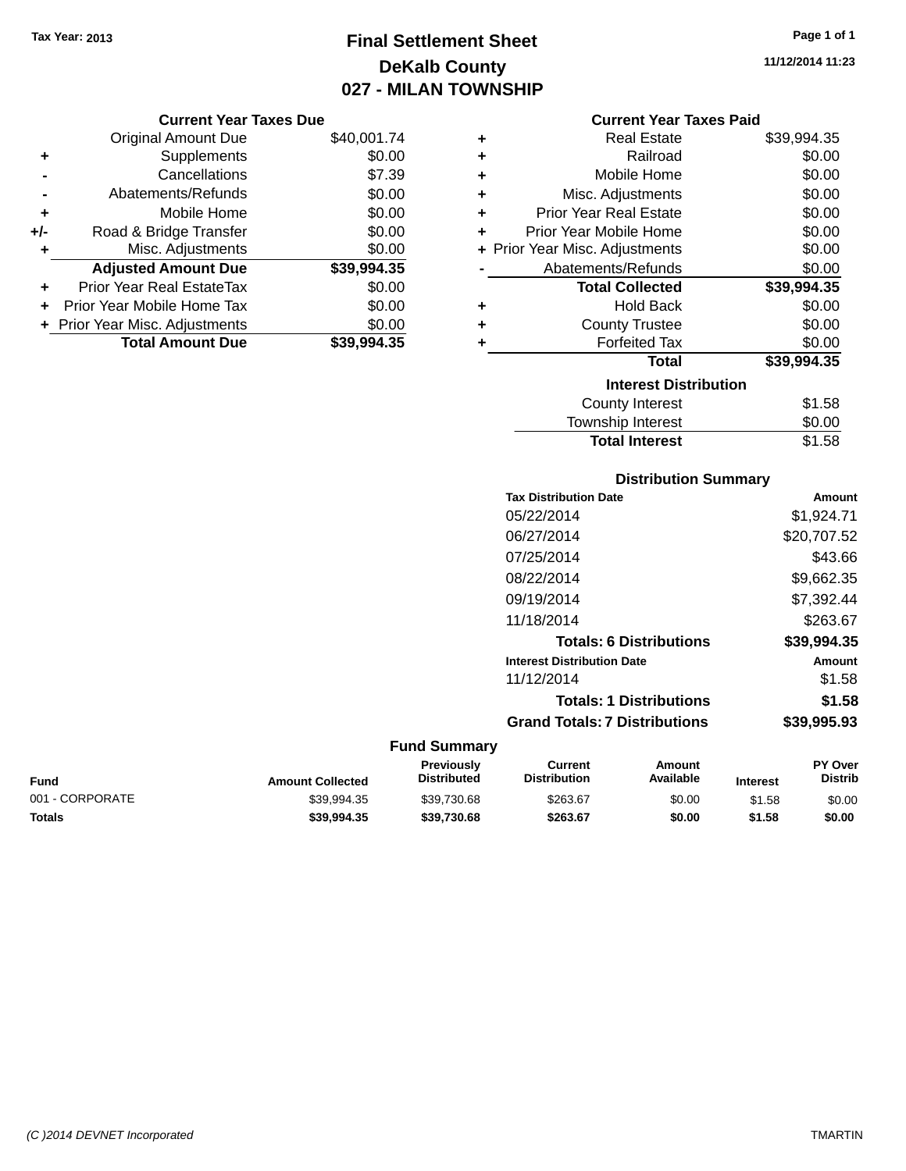**Current Year Taxes Due** Original Amount Due \$40,001.74

**Adjusted Amount Due \$39,994.35**

**Total Amount Due \$39,994.35**

**+** Supplements \$0.00 **-** Cancellations \$7.39 **-** Abatements/Refunds \$0.00 **+** Mobile Home \$0.00 **+/-** Road & Bridge Transfer \$0.00 **+** Misc. Adjustments \$0.00

**+** Prior Year Real EstateTax \$0.00 **+** Prior Year Mobile Home Tax \$0.00 **+ Prior Year Misc. Adjustments**  $$0.00$ 

### **Final Settlement Sheet Tax Year: 2013 Page 1 of 1 DeKalb County 027 - MILAN TOWNSHIP**

#### **Current Year Taxes Paid**

| ٠                            | <b>Real Estate</b>             | \$39,994.35 |  |  |  |  |  |
|------------------------------|--------------------------------|-------------|--|--|--|--|--|
| ٠                            | Railroad                       | \$0.00      |  |  |  |  |  |
| ÷                            | Mobile Home                    | \$0.00      |  |  |  |  |  |
| ÷                            | Misc. Adjustments              | \$0.00      |  |  |  |  |  |
| ÷                            | <b>Prior Year Real Estate</b>  | \$0.00      |  |  |  |  |  |
| ٠                            | Prior Year Mobile Home         | \$0.00      |  |  |  |  |  |
|                              | + Prior Year Misc. Adjustments | \$0.00      |  |  |  |  |  |
|                              | Abatements/Refunds             | \$0.00      |  |  |  |  |  |
|                              | <b>Total Collected</b>         | \$39,994.35 |  |  |  |  |  |
| ٠                            | Hold Back                      | \$0.00      |  |  |  |  |  |
| ٠                            | <b>County Trustee</b>          | \$0.00      |  |  |  |  |  |
| ٠                            | <b>Forfeited Tax</b>           | \$0.00      |  |  |  |  |  |
|                              | Total                          | \$39,994.35 |  |  |  |  |  |
| <b>Interest Distribution</b> |                                |             |  |  |  |  |  |
|                              | County Interest                | \$1.58      |  |  |  |  |  |
|                              | Township Interest              | \$0.00      |  |  |  |  |  |
|                              | <b>Total Interest</b>          | \$1.58      |  |  |  |  |  |

### **Distribution Summary**

| <b>Tax Distribution Date</b>         | Amount      |
|--------------------------------------|-------------|
| 05/22/2014                           | \$1.924.71  |
| 06/27/2014                           | \$20,707.52 |
| 07/25/2014                           | \$43.66     |
| 08/22/2014                           | \$9,662.35  |
| 09/19/2014                           | \$7,392.44  |
| 11/18/2014                           | \$263.67    |
| <b>Totals: 6 Distributions</b>       | \$39,994.35 |
| <b>Interest Distribution Date</b>    | Amount      |
| 11/12/2014                           | \$1.58      |
| <b>Totals: 1 Distributions</b>       | \$1.58      |
| <b>Grand Totals: 7 Distributions</b> | \$39,995.93 |
|                                      |             |

| Fund            | <b>Amount Collected</b> | Previously<br><b>Distributed</b> | Current<br>Distribution | Amount<br>Available | <b>Interest</b> | <b>PY Over</b><br><b>Distrib</b> |
|-----------------|-------------------------|----------------------------------|-------------------------|---------------------|-----------------|----------------------------------|
| 001 - CORPORATE | \$39.994.35             | \$39.730.68                      | \$263.67                | \$0.00              | \$1.58          | \$0.00                           |
| Totals          | \$39.994.35             | \$39.730.68                      | \$263.67                | \$0.00              | \$1.58          | \$0.00                           |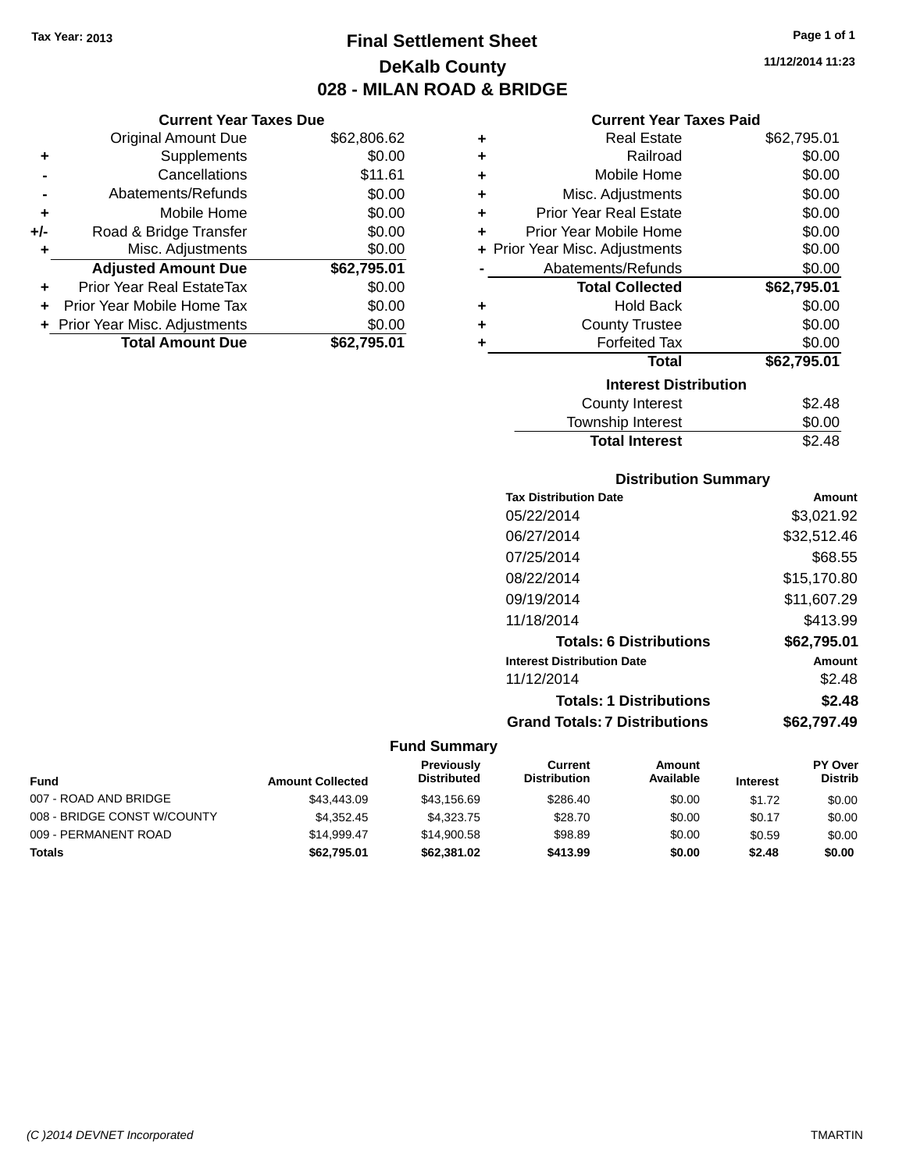**+** Supplements

**Current Year Taxes Due**

**-** Cancellations \$11.61 **-** Abatements/Refunds \$0.00 **+** Mobile Home \$0.00 **+/-** Road & Bridge Transfer \$0.00 **+** Misc. Adjustments \$0.00

**+** Prior Year Real EstateTax \$0.00 **+** Prior Year Mobile Home Tax \$0.00 **+ Prior Year Misc. Adjustments**  $$0.00$ 

Original Amount Due \$62,806.62<br>Supplements \$0.00

**Adjusted Amount Due \$62,795.01**

**Total Amount Due \$62,795.01**

### **Final Settlement Sheet Tax Year: 2013 Page 1 of 1 DeKalb County 028 - MILAN ROAD & BRIDGE**

**11/12/2014 11:23**

### **Current Year Taxes Paid**

| ٠ | <b>Real Estate</b>             | \$62,795.01 |
|---|--------------------------------|-------------|
| ٠ | Railroad                       | \$0.00      |
| ٠ | Mobile Home                    | \$0.00      |
| ÷ | Misc. Adjustments              | \$0.00      |
| ÷ | <b>Prior Year Real Estate</b>  | \$0.00      |
| ٠ | Prior Year Mobile Home         | \$0.00      |
|   | + Prior Year Misc. Adjustments | \$0.00      |
|   | Abatements/Refunds             | \$0.00      |
|   |                                |             |
|   | <b>Total Collected</b>         | \$62,795.01 |
| ٠ | <b>Hold Back</b>               | \$0.00      |
| ٠ | <b>County Trustee</b>          | \$0.00      |
| ÷ | <b>Forfeited Tax</b>           | \$0.00      |
|   | <b>Total</b>                   | \$62,795.01 |
|   | <b>Interest Distribution</b>   |             |
|   | <b>County Interest</b>         | \$2.48      |

| <b>Total Interest</b> | \$2.48 |
|-----------------------|--------|
| Township Interest     | \$0.00 |
| County Interest       | \$2.48 |

### **Distribution Summary**

| <b>Tax Distribution Date</b>         | Amount      |
|--------------------------------------|-------------|
| 05/22/2014                           | \$3,021.92  |
| 06/27/2014                           | \$32,512.46 |
| 07/25/2014                           | \$68.55     |
| 08/22/2014                           | \$15.170.80 |
| 09/19/2014                           | \$11,607.29 |
| 11/18/2014                           | \$413.99    |
| <b>Totals: 6 Distributions</b>       | \$62,795.01 |
| <b>Interest Distribution Date</b>    | Amount      |
| 11/12/2014                           | \$2.48      |
| <b>Totals: 1 Distributions</b>       | \$2.48      |
| <b>Grand Totals: 7 Distributions</b> | \$62.797.49 |
|                                      |             |

| <b>Fund</b>                 | <b>Amount Collected</b> | Previously<br><b>Distributed</b> | Current<br><b>Distribution</b> | Amount<br>Available | <b>Interest</b> | <b>PY Over</b><br><b>Distrib</b> |
|-----------------------------|-------------------------|----------------------------------|--------------------------------|---------------------|-----------------|----------------------------------|
| 007 - ROAD AND BRIDGE       | \$43,443.09             | \$43.156.69                      | \$286.40                       | \$0.00              | \$1.72          | \$0.00                           |
| 008 - BRIDGE CONST W/COUNTY | \$4.352.45              | \$4,323,75                       | \$28.70                        | \$0.00              | \$0.17          | \$0.00                           |
| 009 - PERMANENT ROAD        | \$14.999.47             | \$14,900.58                      | \$98.89                        | \$0.00              | \$0.59          | \$0.00                           |
| <b>Totals</b>               | \$62,795.01             | \$62,381.02                      | \$413.99                       | \$0.00              | \$2.48          | \$0.00                           |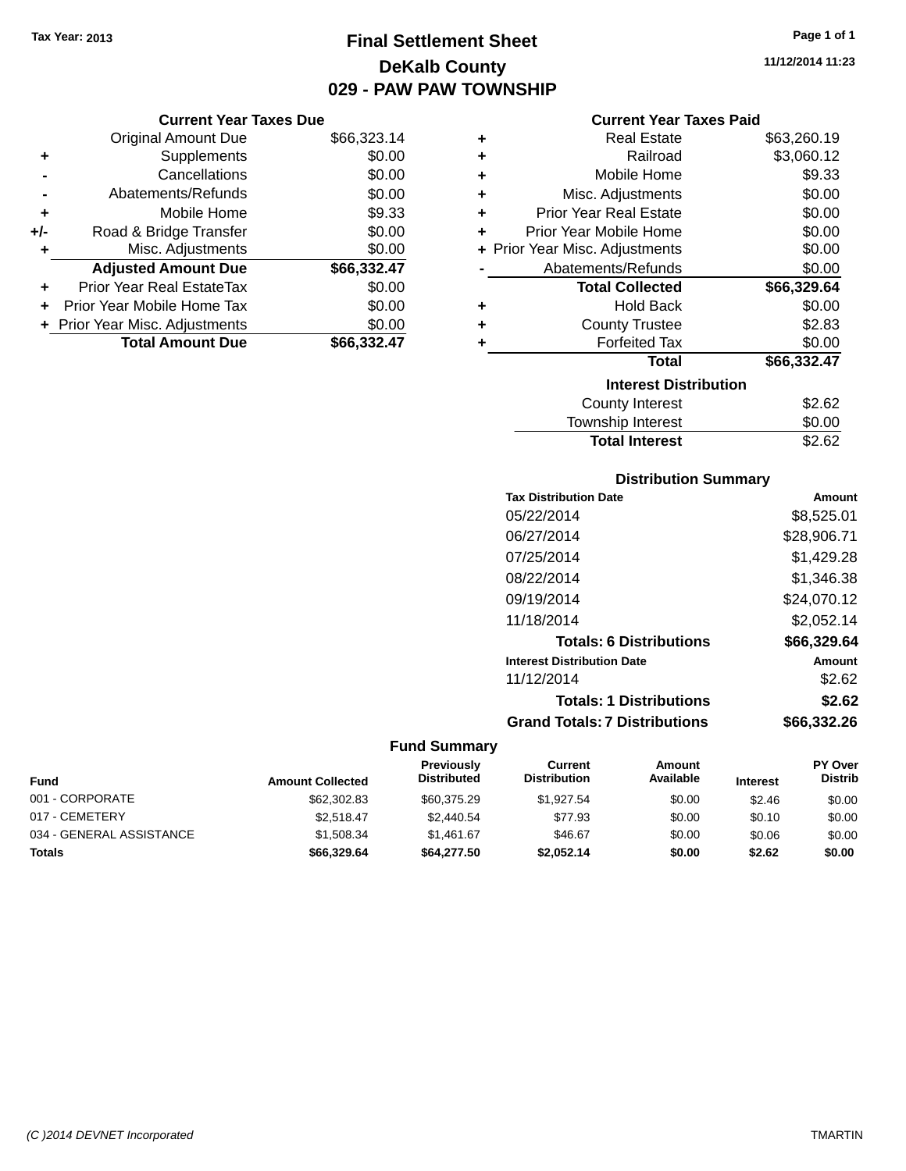**Current Year Taxes Due** Original Amount Due \$66,323.14

**Adjusted Amount Due \$66,332.47**

**Total Amount Due \$66,332.47**

**+** Supplements \$0.00 **-** Cancellations \$0.00 **-** Abatements/Refunds \$0.00 **+** Mobile Home \$9.33 **+/-** Road & Bridge Transfer \$0.00 **+** Misc. Adjustments \$0.00

**+** Prior Year Real EstateTax \$0.00 **+** Prior Year Mobile Home Tax \$0.00 **+ Prior Year Misc. Adjustments**  $$0.00$ 

### **Final Settlement Sheet Tax Year: 2013 Page 1 of 1 DeKalb County 029 - PAW PAW TOWNSHIP**

#### **Current Year Taxes Paid**

|   | VUITUILTUAI TAAUST AIU         |             |
|---|--------------------------------|-------------|
| ٠ | <b>Real Estate</b>             | \$63,260.19 |
| ٠ | Railroad                       | \$3,060.12  |
| ٠ | Mobile Home                    | \$9.33      |
| ÷ | Misc. Adjustments              | \$0.00      |
| ÷ | <b>Prior Year Real Estate</b>  | \$0.00      |
| ٠ | Prior Year Mobile Home         | \$0.00      |
|   | + Prior Year Misc. Adjustments | \$0.00      |
|   | Abatements/Refunds             | \$0.00      |
|   | <b>Total Collected</b>         | \$66,329.64 |
| ٠ | <b>Hold Back</b>               | \$0.00      |
| ٠ | <b>County Trustee</b>          | \$2.83      |
| ٠ | <b>Forfeited Tax</b>           | \$0.00      |
|   | Total                          | \$66,332.47 |
|   | <b>Interest Distribution</b>   |             |
|   | <b>County Interest</b>         | \$2.62      |
|   | Township Interest              | \$0.00      |
|   | <b>Total Interest</b>          | \$2.62      |

### **Distribution Summary**

| <b>Tax Distribution Date</b>         | Amount      |
|--------------------------------------|-------------|
| 05/22/2014                           | \$8,525.01  |
| 06/27/2014                           | \$28,906.71 |
| 07/25/2014                           | \$1,429.28  |
| 08/22/2014                           | \$1.346.38  |
| 09/19/2014                           | \$24,070.12 |
| 11/18/2014                           | \$2,052.14  |
| <b>Totals: 6 Distributions</b>       | \$66,329.64 |
| <b>Interest Distribution Date</b>    | Amount      |
| 11/12/2014                           | \$2.62      |
| <b>Totals: 1 Distributions</b>       | \$2.62      |
| <b>Grand Totals: 7 Distributions</b> | \$66,332.26 |
|                                      |             |

#### **Fund Summary**

| <b>Fund</b>              | <b>Amount Collected</b> | <b>Previously</b><br><b>Distributed</b> | Current<br><b>Distribution</b> | Amount<br>Available | <b>Interest</b> | <b>PY Over</b><br><b>Distrib</b> |
|--------------------------|-------------------------|-----------------------------------------|--------------------------------|---------------------|-----------------|----------------------------------|
| 001 - CORPORATE          | \$62,302.83             | \$60,375.29                             | \$1.927.54                     | \$0.00              | \$2.46          | \$0.00                           |
| 017 - CEMETERY           | \$2.518.47              | \$2,440.54                              | \$77.93                        | \$0.00              | \$0.10          | \$0.00                           |
| 034 - GENERAL ASSISTANCE | \$1,508.34              | \$1.461.67                              | \$46.67                        | \$0.00              | \$0.06          | \$0.00                           |
| <b>Totals</b>            | \$66,329.64             | \$64,277.50                             | \$2.052.14                     | \$0.00              | \$2.62          | \$0.00                           |

**11/12/2014 11:23**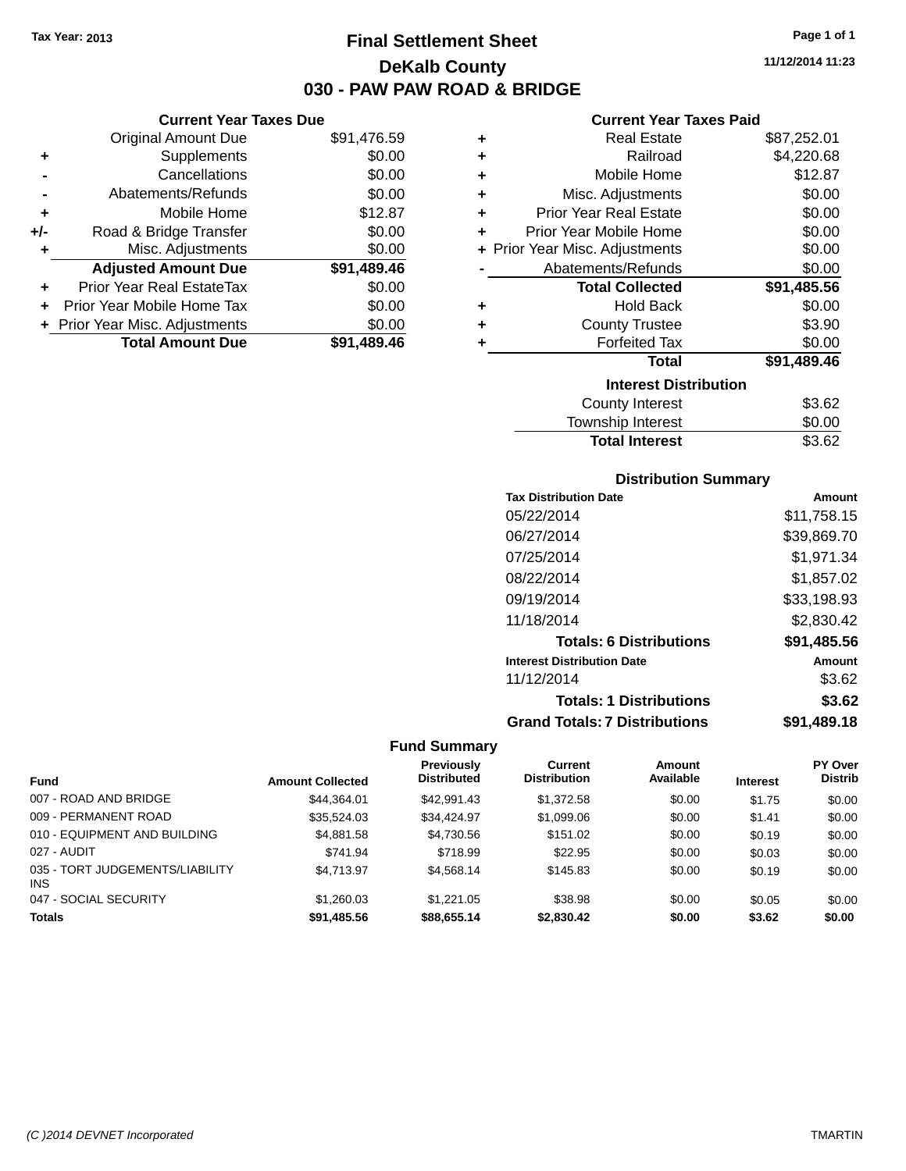### **Final Settlement Sheet Tax Year: 2013 Page 1 of 1 DeKalb County 030 - PAW PAW ROAD & BRIDGE**

**11/12/2014 11:23**

### **Current Year Taxes Paid**

|       | <b>Current Year Taxes Due</b>  |             |   |                  |
|-------|--------------------------------|-------------|---|------------------|
|       | <b>Original Amount Due</b>     | \$91,476.59 | ÷ |                  |
|       | Supplements                    | \$0.00      | ٠ |                  |
|       | Cancellations                  | \$0.00      |   |                  |
|       | Abatements/Refunds             | \$0.00      |   | Mis              |
| ٠     | Mobile Home                    | \$12.87     | ÷ | Prior Ye         |
| $+/-$ | Road & Bridge Transfer         | \$0.00      |   | Prior Yea        |
|       | Misc. Adjustments              | \$0.00      |   | + Prior Year Mis |
|       | <b>Adjusted Amount Due</b>     | \$91,489.46 |   | Abater           |
|       | Prior Year Real EstateTax      | \$0.00      |   |                  |
|       | Prior Year Mobile Home Tax     | \$0.00      |   |                  |
|       | + Prior Year Misc. Adjustments | \$0.00      |   |                  |
|       | <b>Total Amount Due</b>        | \$91,489.46 |   |                  |
|       |                                |             |   |                  |

| ٠                            | <b>Real Estate</b>             | \$87,252.01 |  |  |  |  |  |  |
|------------------------------|--------------------------------|-------------|--|--|--|--|--|--|
| ٠                            | Railroad                       | \$4,220.68  |  |  |  |  |  |  |
| ٠                            | Mobile Home                    | \$12.87     |  |  |  |  |  |  |
| ٠                            | Misc. Adjustments              | \$0.00      |  |  |  |  |  |  |
| ٠                            | <b>Prior Year Real Estate</b>  | \$0.00      |  |  |  |  |  |  |
| ÷                            | Prior Year Mobile Home         | \$0.00      |  |  |  |  |  |  |
|                              | + Prior Year Misc. Adjustments | \$0.00      |  |  |  |  |  |  |
|                              | Abatements/Refunds             | \$0.00      |  |  |  |  |  |  |
|                              | <b>Total Collected</b>         | \$91,485.56 |  |  |  |  |  |  |
| ٠                            | <b>Hold Back</b>               | \$0.00      |  |  |  |  |  |  |
| ÷                            | <b>County Trustee</b>          | \$3.90      |  |  |  |  |  |  |
| ٠                            | <b>Forfeited Tax</b>           | \$0.00      |  |  |  |  |  |  |
|                              | Total                          | \$91,489.46 |  |  |  |  |  |  |
| <b>Interest Distribution</b> |                                |             |  |  |  |  |  |  |
|                              | <b>County Interest</b>         | \$3.62      |  |  |  |  |  |  |
|                              | <b>Township Interest</b>       | \$0.00      |  |  |  |  |  |  |
|                              | <b>Total Interest</b>          | \$3.62      |  |  |  |  |  |  |

### **Distribution Summary**

| <b>Tax Distribution Date</b>         | Amount      |  |  |
|--------------------------------------|-------------|--|--|
| 05/22/2014                           | \$11,758.15 |  |  |
| 06/27/2014                           | \$39,869.70 |  |  |
| 07/25/2014                           | \$1,971.34  |  |  |
| 08/22/2014                           | \$1,857.02  |  |  |
| 09/19/2014                           | \$33,198.93 |  |  |
| 11/18/2014                           | \$2,830.42  |  |  |
| <b>Totals: 6 Distributions</b>       | \$91,485.56 |  |  |
| <b>Interest Distribution Date</b>    | Amount      |  |  |
| 11/12/2014                           | \$3.62      |  |  |
| <b>Totals: 1 Distributions</b>       | \$3.62      |  |  |
| <b>Grand Totals: 7 Distributions</b> | \$91,489.18 |  |  |

|                                        | <b>Amount Collected</b> | <b>Previously</b><br><b>Distributed</b> | Current<br><b>Distribution</b> | Amount<br>Available |                 | <b>PY Over</b><br><b>Distrib</b> |
|----------------------------------------|-------------------------|-----------------------------------------|--------------------------------|---------------------|-----------------|----------------------------------|
| <b>Fund</b>                            |                         |                                         |                                |                     | <b>Interest</b> |                                  |
| 007 - ROAD AND BRIDGE                  | \$44.364.01             | \$42.991.43                             | \$1,372.58                     | \$0.00              | \$1.75          | \$0.00                           |
| 009 - PERMANENT ROAD                   | \$35,524.03             | \$34.424.97                             | \$1,099.06                     | \$0.00              | \$1.41          | \$0.00                           |
| 010 - EQUIPMENT AND BUILDING           | \$4,881.58              | \$4,730.56                              | \$151.02                       | \$0.00              | \$0.19          | \$0.00                           |
| 027 - AUDIT                            | \$741.94                | \$718.99                                | \$22.95                        | \$0.00              | \$0.03          | \$0.00                           |
| 035 - TORT JUDGEMENTS/LIABILITY<br>INS | \$4,713.97              | \$4.568.14                              | \$145.83                       | \$0.00              | \$0.19          | \$0.00                           |
| 047 - SOCIAL SECURITY                  | \$1,260.03              | \$1,221.05                              | \$38.98                        | \$0.00              | \$0.05          | \$0.00                           |
| <b>Totals</b>                          | \$91.485.56             | \$88,655.14                             | \$2,830,42                     | \$0.00              | \$3.62          | \$0.00                           |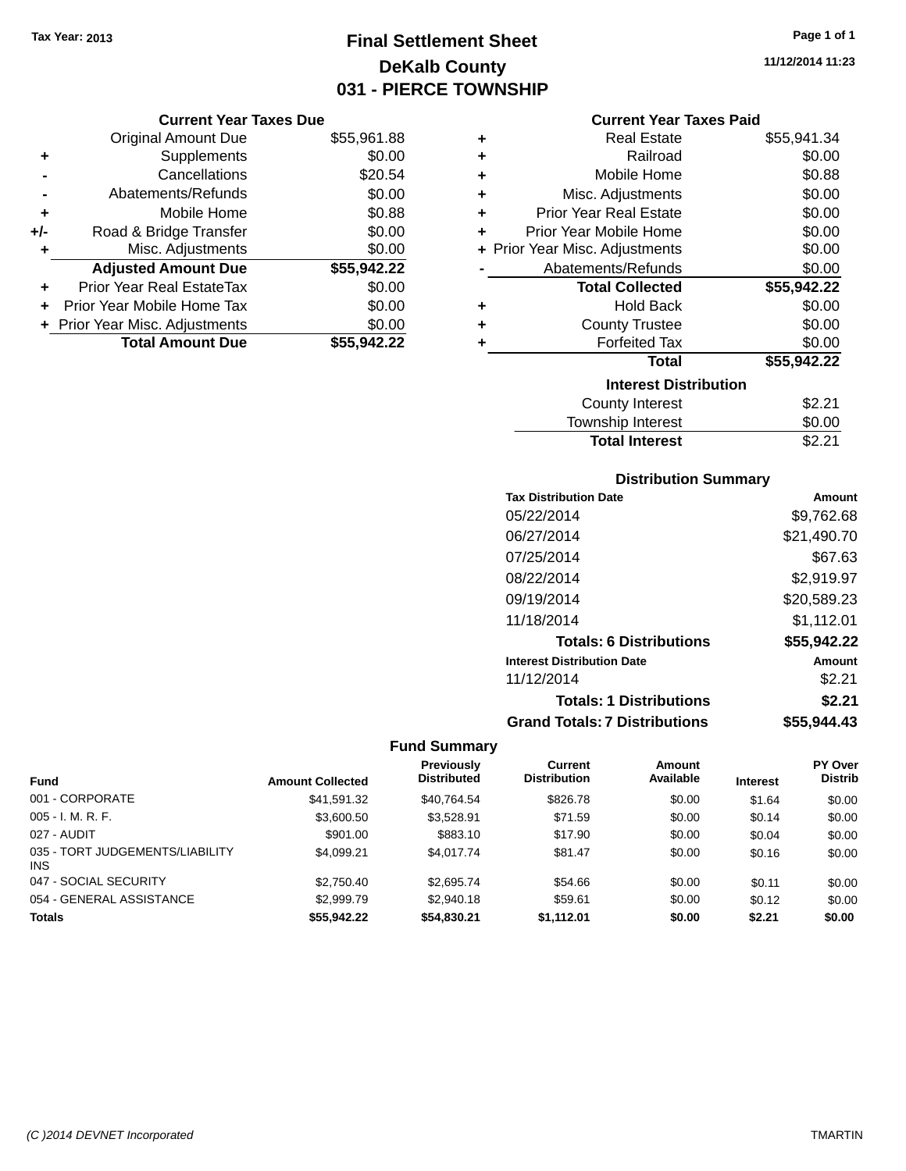# **Final Settlement Sheet Tax Year: 2013 Page 1 of 1 DeKalb County 031 - PIERCE TOWNSHIP**

#### **Current Year Taxes Due**

|       | <b>Original Amount Due</b>       | \$55,961.88 |
|-------|----------------------------------|-------------|
| ٠     | Supplements                      | \$0.00      |
|       | Cancellations                    | \$20.54     |
|       | Abatements/Refunds               | \$0.00      |
| ٠     | Mobile Home                      | \$0.88      |
| $+/-$ | Road & Bridge Transfer           | \$0.00      |
| ٠     | Misc. Adjustments                | \$0.00      |
|       | <b>Adjusted Amount Due</b>       | \$55,942.22 |
| ٠     | <b>Prior Year Real EstateTax</b> | \$0.00      |
|       | Prior Year Mobile Home Tax       | \$0.00      |
|       | + Prior Year Misc. Adjustments   | \$0.00      |
|       | <b>Total Amount Due</b>          | \$55,942.22 |

#### **Current Year Taxes Paid**

| ٠ | Real Estate                    | \$55,941.34 |
|---|--------------------------------|-------------|
| ٠ | Railroad                       | \$0.00      |
| ٠ | Mobile Home                    | \$0.88      |
| ٠ | Misc. Adjustments              | \$0.00      |
| ٠ | <b>Prior Year Real Estate</b>  | \$0.00      |
| ٠ | Prior Year Mobile Home         | \$0.00      |
|   | + Prior Year Misc. Adjustments | \$0.00      |
|   | Abatements/Refunds             | \$0.00      |
|   | <b>Total Collected</b>         | \$55,942.22 |
| ٠ | <b>Hold Back</b>               | \$0.00      |
| ٠ | <b>County Trustee</b>          | \$0.00      |
| ٠ | <b>Forfeited Tax</b>           | \$0.00      |
|   | Total                          | \$55,942.22 |
|   | <b>Interest Distribution</b>   |             |
|   | <b>County Interest</b>         | \$2.21      |
|   | <b>Township Interest</b>       | \$0.00      |
|   | <b>Total Interest</b>          | \$2.21      |

| <b>Total Interest</b> |  |
|-----------------------|--|
|                       |  |

### **Distribution Summary**

| <b>Tax Distribution Date</b>         | Amount      |
|--------------------------------------|-------------|
| 05/22/2014                           | \$9,762.68  |
| 06/27/2014                           | \$21,490.70 |
| 07/25/2014                           | \$67.63     |
| 08/22/2014                           | \$2,919.97  |
| 09/19/2014                           | \$20,589.23 |
| 11/18/2014                           | \$1,112.01  |
| <b>Totals: 6 Distributions</b>       | \$55,942.22 |
| <b>Interest Distribution Date</b>    | Amount      |
| 11/12/2014                           | \$2.21      |
| <b>Totals: 1 Distributions</b>       | \$2.21      |
| <b>Grand Totals: 7 Distributions</b> | \$55,944.43 |

### **Fund Summary**

|                                        |                         | <b>Previously</b>  | <b>Current</b>      | Amount    |                 | <b>PY Over</b> |
|----------------------------------------|-------------------------|--------------------|---------------------|-----------|-----------------|----------------|
| <b>Fund</b>                            | <b>Amount Collected</b> | <b>Distributed</b> | <b>Distribution</b> | Available | <b>Interest</b> | <b>Distrib</b> |
| 001 - CORPORATE                        | \$41,591.32             | \$40,764.54        | \$826.78            | \$0.00    | \$1.64          | \$0.00         |
| $005 - I. M. R. F.$                    | \$3,600.50              | \$3,528.91         | \$71.59             | \$0.00    | \$0.14          | \$0.00         |
| 027 - AUDIT                            | \$901.00                | \$883.10           | \$17.90             | \$0.00    | \$0.04          | \$0.00         |
| 035 - TORT JUDGEMENTS/LIABILITY<br>INS | \$4.099.21              | \$4,017.74         | \$81.47             | \$0.00    | \$0.16          | \$0.00         |
| 047 - SOCIAL SECURITY                  | \$2,750.40              | \$2,695.74         | \$54.66             | \$0.00    | \$0.11          | \$0.00         |
| 054 - GENERAL ASSISTANCE               | \$2,999.79              | \$2.940.18         | \$59.61             | \$0.00    | \$0.12          | \$0.00         |
| <b>Totals</b>                          | \$55,942.22             | \$54,830,21        | \$1.112.01          | \$0.00    | \$2.21          | \$0.00         |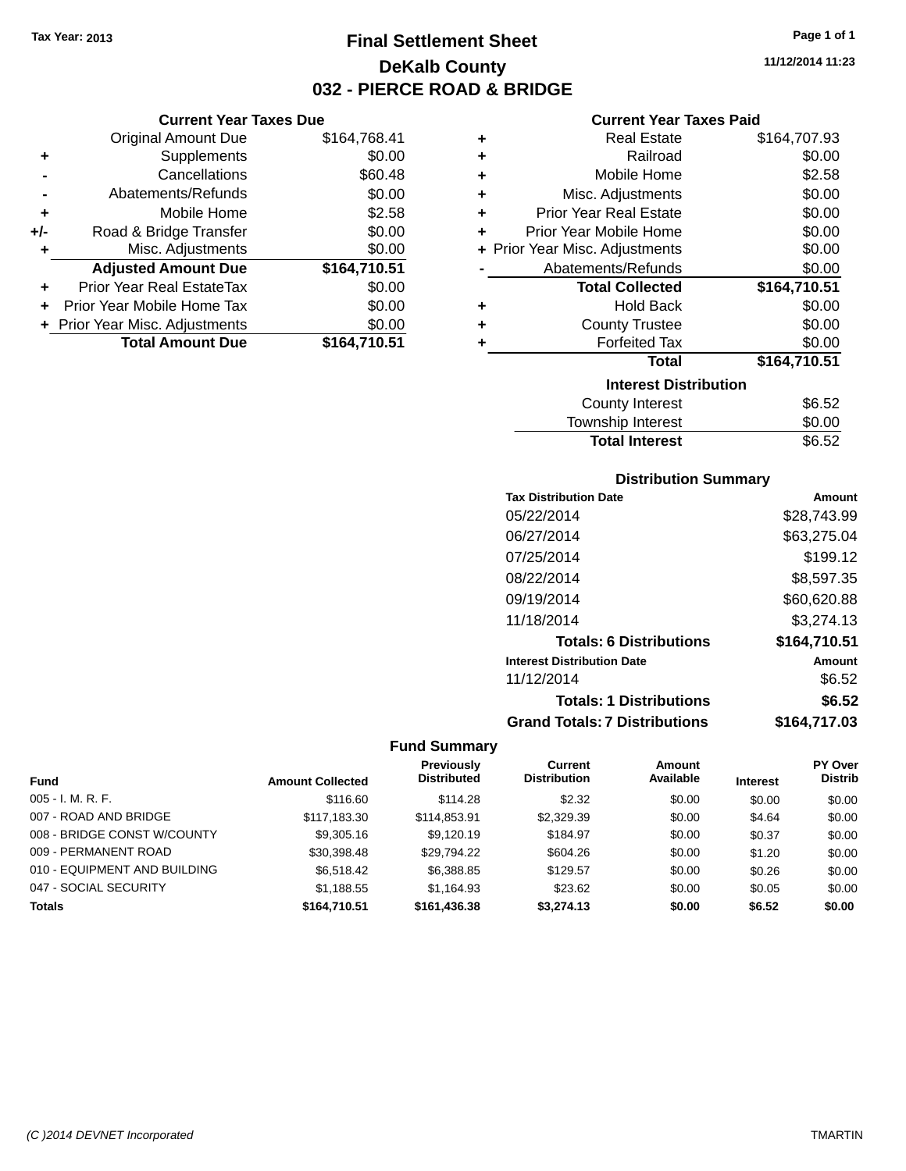**Current Year Taxes Due** Original Amount Due \$164,768.41

**Adjusted Amount Due \$164,710.51**

**Total Amount Due \$164,710.51**

**+** Supplements \$0.00 **-** Cancellations \$60.48 **-** Abatements/Refunds \$0.00 **+** Mobile Home \$2.58 **+/-** Road & Bridge Transfer \$0.00 **+** Misc. Adjustments \$0.00

**+** Prior Year Real EstateTax \$0.00 **+** Prior Year Mobile Home Tax \$0.00 **+ Prior Year Misc. Adjustments**  $$0.00$ 

# **Final Settlement Sheet Tax Year: 2013 Page 1 of 1 DeKalb County 032 - PIERCE ROAD & BRIDGE**

**11/12/2014 11:23**

#### **Current Year Taxes Paid**

| ٠ | <b>Real Estate</b>             | \$164,707.93 |
|---|--------------------------------|--------------|
| ٠ | Railroad                       | \$0.00       |
| ٠ | Mobile Home                    | \$2.58       |
| ٠ | Misc. Adjustments              | \$0.00       |
| ٠ | <b>Prior Year Real Estate</b>  | \$0.00       |
|   | Prior Year Mobile Home         | \$0.00       |
|   | + Prior Year Misc. Adjustments | \$0.00       |
|   | Abatements/Refunds             | \$0.00       |
|   | <b>Total Collected</b>         | \$164,710.51 |
| ٠ | <b>Hold Back</b>               | \$0.00       |
| ٠ | <b>County Trustee</b>          | \$0.00       |
| ٠ | <b>Forfeited Tax</b>           | \$0.00       |
|   | <b>Total</b>                   | \$164,710.51 |
|   | <b>Interest Distribution</b>   |              |
|   | <b>County Interest</b>         | \$6.52       |
|   |                                |              |

| Township Interest     | \$0.00 |
|-----------------------|--------|
| <b>Total Interest</b> | \$6.52 |

#### **Distribution Summary**

| <b>Tax Distribution Date</b>         | Amount       |
|--------------------------------------|--------------|
| 05/22/2014                           | \$28.743.99  |
| 06/27/2014                           | \$63,275.04  |
| 07/25/2014                           | \$199.12     |
| 08/22/2014                           | \$8,597.35   |
| 09/19/2014                           | \$60,620.88  |
| 11/18/2014                           | \$3,274.13   |
| <b>Totals: 6 Distributions</b>       | \$164,710.51 |
| <b>Interest Distribution Date</b>    | Amount       |
| 11/12/2014                           | \$6.52       |
| <b>Totals: 1 Distributions</b>       | \$6.52       |
| <b>Grand Totals: 7 Distributions</b> | \$164,717.03 |

#### **Fund Summary**

|                              |                         | Previously         | <b>Current</b>      | <b>Amount</b> |                 | PY Over        |
|------------------------------|-------------------------|--------------------|---------------------|---------------|-----------------|----------------|
| <b>Fund</b>                  | <b>Amount Collected</b> | <b>Distributed</b> | <b>Distribution</b> | Available     | <b>Interest</b> | <b>Distrib</b> |
| $005 - I. M. R. F.$          | \$116.60                | \$114.28           | \$2.32              | \$0.00        | \$0.00          | \$0.00         |
| 007 - ROAD AND BRIDGE        | \$117,183,30            | \$114.853.91       | \$2,329.39          | \$0.00        | \$4.64          | \$0.00         |
| 008 - BRIDGE CONST W/COUNTY  | \$9,305.16              | \$9.120.19         | \$184.97            | \$0.00        | \$0.37          | \$0.00         |
| 009 - PERMANENT ROAD         | \$30.398.48             | \$29.794.22        | \$604.26            | \$0.00        | \$1.20          | \$0.00         |
| 010 - EQUIPMENT AND BUILDING | \$6.518.42              | \$6,388.85         | \$129.57            | \$0.00        | \$0.26          | \$0.00         |
| 047 - SOCIAL SECURITY        | \$1,188.55              | \$1.164.93         | \$23.62             | \$0.00        | \$0.05          | \$0.00         |
| <b>Totals</b>                | \$164,710.51            | \$161,436,38       | \$3.274.13          | \$0.00        | \$6.52          | \$0.00         |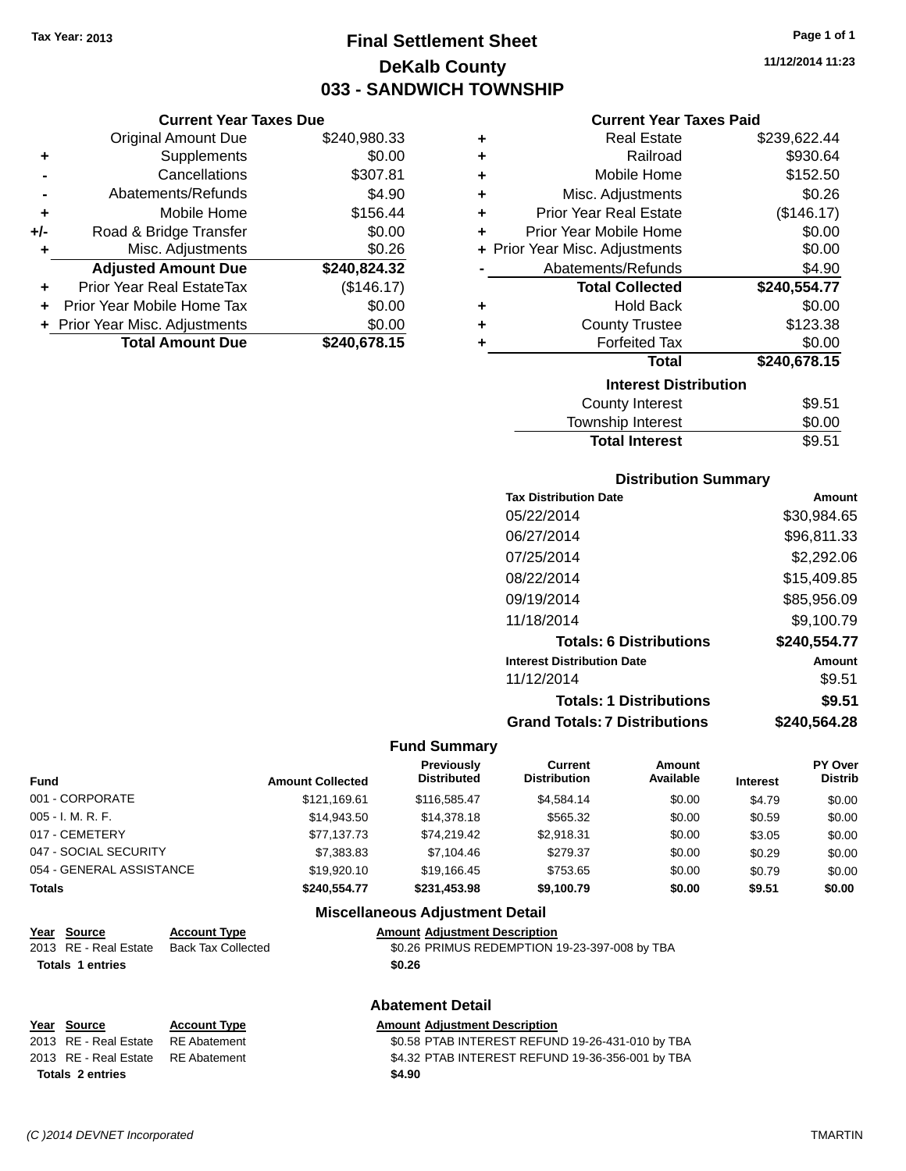# **Final Settlement Sheet Tax Year: 2013 Page 1 of 1 DeKalb County 033 - SANDWICH TOWNSHIP**

**11/12/2014 11:23**

#### **Current Year Taxes Paid**

|     | <b>Current Year Taxes Due</b>    |              |  |  |  |
|-----|----------------------------------|--------------|--|--|--|
|     | Original Amount Due              | \$240,980.33 |  |  |  |
| ٠   | Supplements                      | \$0.00       |  |  |  |
|     | Cancellations                    | \$307.81     |  |  |  |
|     | Abatements/Refunds               | \$4.90       |  |  |  |
| ٠   | Mobile Home                      | \$156.44     |  |  |  |
| +/- | Road & Bridge Transfer           | \$0.00       |  |  |  |
| ٠   | Misc. Adjustments                | \$0.26       |  |  |  |
|     | <b>Adjusted Amount Due</b>       | \$240,824.32 |  |  |  |
| ٠   | <b>Prior Year Real EstateTax</b> | (\$146.17)   |  |  |  |
| ÷   | Prior Year Mobile Home Tax       | \$0.00       |  |  |  |
|     | + Prior Year Misc. Adjustments   | \$0.00       |  |  |  |
|     | <b>Total Amount Due</b>          | \$240,678.15 |  |  |  |

| ٠ | <b>Real Estate</b>             | \$239,622.44 |
|---|--------------------------------|--------------|
| ÷ | Railroad                       | \$930.64     |
| ÷ | Mobile Home                    | \$152.50     |
| ٠ | Misc. Adjustments              | \$0.26       |
| ÷ | <b>Prior Year Real Estate</b>  | (\$146.17)   |
| ٠ | Prior Year Mobile Home         | \$0.00       |
|   | + Prior Year Misc. Adjustments | \$0.00       |
|   | Abatements/Refunds             | \$4.90       |
|   |                                |              |
|   | <b>Total Collected</b>         | \$240,554.77 |
| ٠ | <b>Hold Back</b>               | \$0.00       |
| ٠ | <b>County Trustee</b>          | \$123.38     |
| ٠ | <b>Forfeited Tax</b>           | \$0.00       |
|   | <b>Total</b>                   | \$240,678.15 |
|   | <b>Interest Distribution</b>   |              |
|   | County Interest                | \$9.51       |

#### **Distribution Summary**

Total Interest \$9.51

| <b>Tax Distribution Date</b>         | Amount       |
|--------------------------------------|--------------|
| 05/22/2014                           | \$30,984.65  |
| 06/27/2014                           | \$96,811.33  |
| 07/25/2014                           | \$2,292.06   |
| 08/22/2014                           | \$15,409.85  |
| 09/19/2014                           | \$85,956.09  |
| 11/18/2014                           | \$9,100.79   |
| <b>Totals: 6 Distributions</b>       | \$240,554.77 |
| <b>Interest Distribution Date</b>    | Amount       |
| 11/12/2014                           | \$9.51       |
| <b>Totals: 1 Distributions</b>       | \$9.51       |
| <b>Grand Totals: 7 Distributions</b> | \$240.564.28 |

#### **Fund Summary**

| <b>Fund</b>              | <b>Amount Collected</b> | <b>Previously</b><br><b>Distributed</b> | Current<br><b>Distribution</b> | Amount<br>Available | <b>Interest</b> | <b>PY Over</b><br><b>Distrib</b> |
|--------------------------|-------------------------|-----------------------------------------|--------------------------------|---------------------|-----------------|----------------------------------|
| 001 - CORPORATE          | \$121.169.61            | \$116,585,47                            | \$4.584.14                     | \$0.00              | \$4.79          | \$0.00                           |
| 005 - I. M. R. F.        | \$14,943.50             | \$14,378.18                             | \$565.32                       | \$0.00              | \$0.59          | \$0.00                           |
| 017 - CEMETERY           | \$77.137.73             | \$74.219.42                             | \$2.918.31                     | \$0.00              | \$3.05          | \$0.00                           |
| 047 - SOCIAL SECURITY    | \$7,383.83              | \$7.104.46                              | \$279.37                       | \$0.00              | \$0.29          | \$0.00                           |
| 054 - GENERAL ASSISTANCE | \$19,920.10             | \$19.166.45                             | \$753.65                       | \$0.00              | \$0.79          | \$0.00                           |
| Totals                   | \$240.554.77            | \$231.453.98                            | \$9,100.79                     | \$0.00              | \$9.51          | \$0.00                           |

#### **Miscellaneous Adjustment Detail**

| Year Source           | <b>Account Type</b> | <b>Amount Adiustment Description</b>          |
|-----------------------|---------------------|-----------------------------------------------|
| 2013 RE - Real Estate | Back Tax Collected  | \$0.26 PRIMUS REDEMPTION 19-23-397-008 by TBA |
| Totals 1 entries      |                     | \$0.26                                        |

### **Abatement Detail**

#### **Year** Source **Account Type A** And Amount Adjustment Description

**Totals 2 entries \$4.90**

2013 RE - Real Estate RE Abatement \$0.58 PTAB INTEREST REFUND 19-26-431-010 by TBA 2013 RE - Real Estate RE Abatement \$4.32 PTAB INTEREST REFUND 19-36-356-001 by TBA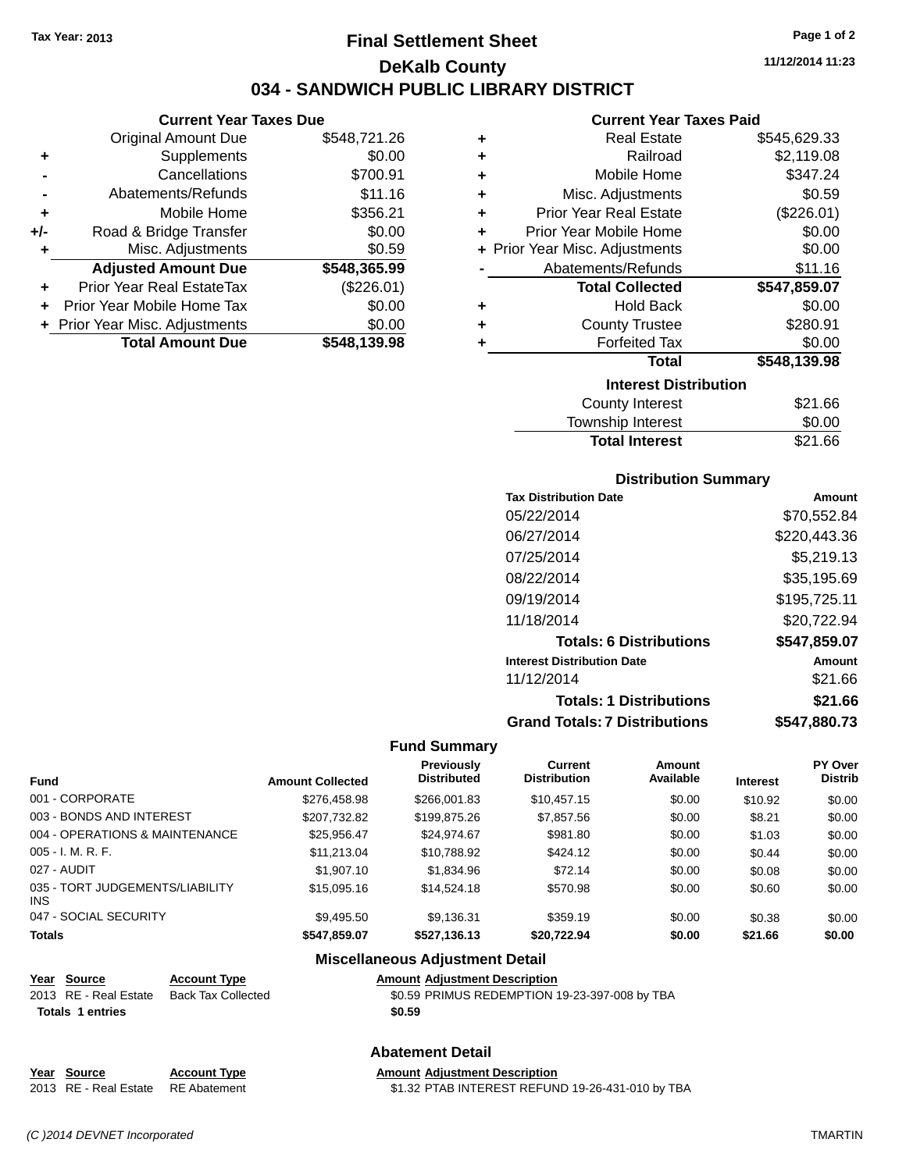**Current Year Taxes Due** Original Amount Due \$548,721.26

**Adjusted Amount Due \$548,365.99**

**Total Amount Due \$548,139.98**

**+** Supplements \$0.00 **-** Cancellations \$700.91 **-** Abatements/Refunds \$11.16 **+** Mobile Home \$356.21 **+/-** Road & Bridge Transfer \$0.00 **+** Misc. Adjustments \$0.59

**+** Prior Year Real EstateTax (\$226.01) **+** Prior Year Mobile Home Tax \$0.00 **+** Prior Year Misc. Adjustments  $$0.00$ 

# **Final Settlement Sheet Tax Year: 2013 Page 1 of 2 DeKalb County 034 - SANDWICH PUBLIC LIBRARY DISTRICT**

**11/12/2014 11:23**

#### **Current Year Taxes Paid**

| ٠ | <b>Real Estate</b>             | \$545,629.33 |
|---|--------------------------------|--------------|
| ٠ | Railroad                       | \$2,119.08   |
| ÷ | Mobile Home                    | \$347.24     |
| ÷ | Misc. Adjustments              | \$0.59       |
| ÷ | <b>Prior Year Real Estate</b>  | (\$226.01)   |
| ÷ | Prior Year Mobile Home         | \$0.00       |
|   | + Prior Year Misc. Adjustments | \$0.00       |
|   | Abatements/Refunds             | \$11.16      |
|   |                                |              |
|   | <b>Total Collected</b>         | \$547,859.07 |
| ٠ | <b>Hold Back</b>               | \$0.00       |
| ÷ | <b>County Trustee</b>          | \$280.91     |
| ٠ | <b>Forfeited Tax</b>           | \$0.00       |
|   | <b>Total</b>                   | \$548,139.98 |
|   | <b>Interest Distribution</b>   |              |
|   | County Interest                | \$21.66      |

# Total Interest \$21.66

| <b>Distribution Summary</b>          |              |
|--------------------------------------|--------------|
| <b>Tax Distribution Date</b>         | Amount       |
| 05/22/2014                           | \$70,552.84  |
| 06/27/2014                           | \$220,443.36 |
| 07/25/2014                           | \$5,219.13   |
| 08/22/2014                           | \$35,195.69  |
| 09/19/2014                           | \$195,725.11 |
| 11/18/2014                           | \$20.722.94  |
| <b>Totals: 6 Distributions</b>       | \$547,859.07 |
| <b>Interest Distribution Date</b>    | Amount       |
| 11/12/2014                           | \$21.66      |
| <b>Totals: 1 Distributions</b>       | \$21.66      |
| <b>Grand Totals: 7 Distributions</b> | \$547.880.73 |

#### **Fund Summary**

| <b>Fund</b>                             | <b>Amount Collected</b> | <b>Previously</b><br><b>Distributed</b> | Current<br><b>Distribution</b> | <b>Amount</b><br>Available | <b>Interest</b> | PY Over<br><b>Distrib</b> |
|-----------------------------------------|-------------------------|-----------------------------------------|--------------------------------|----------------------------|-----------------|---------------------------|
| 001 - CORPORATE                         | \$276,458.98            | \$266,001.83                            | \$10,457.15                    | \$0.00                     | \$10.92         | \$0.00                    |
| 003 - BONDS AND INTEREST                | \$207,732.82            | \$199,875.26                            | \$7,857.56                     | \$0.00                     | \$8.21          | \$0.00                    |
| 004 - OPERATIONS & MAINTENANCE          | \$25.956.47             | \$24,974.67                             | \$981.80                       | \$0.00                     | \$1.03          | \$0.00                    |
| $005 - I. M. R. F.$                     | \$11,213.04             | \$10,788.92                             | \$424.12                       | \$0.00                     | \$0.44          | \$0.00                    |
| 027 - AUDIT                             | \$1,907.10              | \$1,834.96                              | \$72.14                        | \$0.00                     | \$0.08          | \$0.00                    |
| 035 - TORT JUDGEMENTS/LIABILITY<br>INS. | \$15,095.16             | \$14,524.18                             | \$570.98                       | \$0.00                     | \$0.60          | \$0.00                    |
| 047 - SOCIAL SECURITY                   | \$9.495.50              | \$9,136.31                              | \$359.19                       | \$0.00                     | \$0.38          | \$0.00                    |
| <b>Totals</b>                           | \$547,859.07            | \$527.136.13                            | \$20.722.94                    | \$0.00                     | \$21.66         | \$0.00                    |

#### **Miscellaneous Adjustment Detail**

#### **Year Source Account Type Amount Adjustment Description** 2013 RE - Real Estate Back Tax Collected \$0.59 PRIMUS REDEMPTION 19-23-397-008 by TBA **Totals \$0.59 1 entries**

#### **Abatement Detail**

**Year Source Account Type Amount Adjustment Description** 2013 RE - Real Estate RE Abatement \$1.32 PTAB INTEREST REFUND 19-26-431-010 by TBA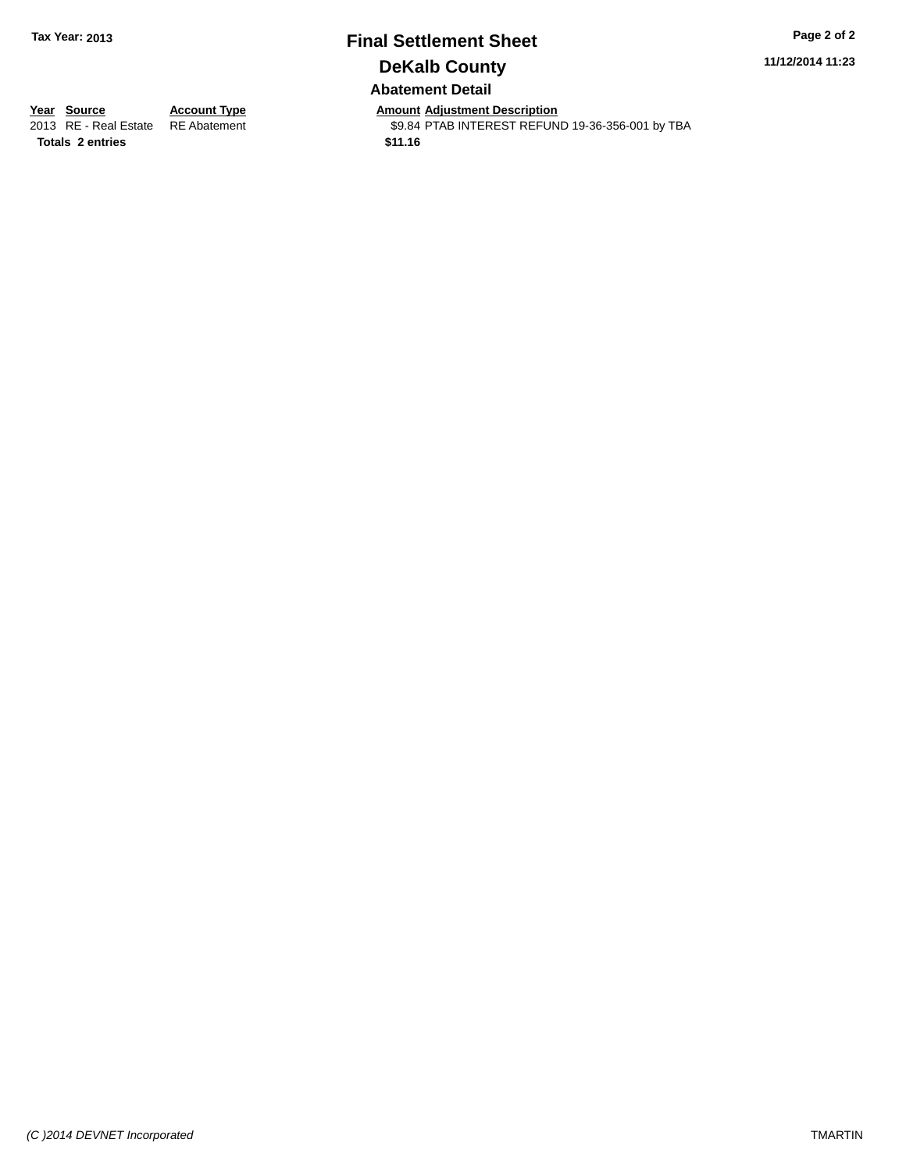# **Final Settlement Sheet Tax Year: 2013 Page 2 of 2 DeKalb County Abatement Detail**

**11/12/2014 11:23**

**Totals \$11.16 2 entries**

**Year Source Account Type Anneurs Amount Adjustment Description**<br>
2013 RE - Real Estate RE Abatement **Account 1998 Account Adjustment** SP.84 PTAB INTEREST REFUN \$9.84 PTAB INTEREST REFUND 19-36-356-001 by TBA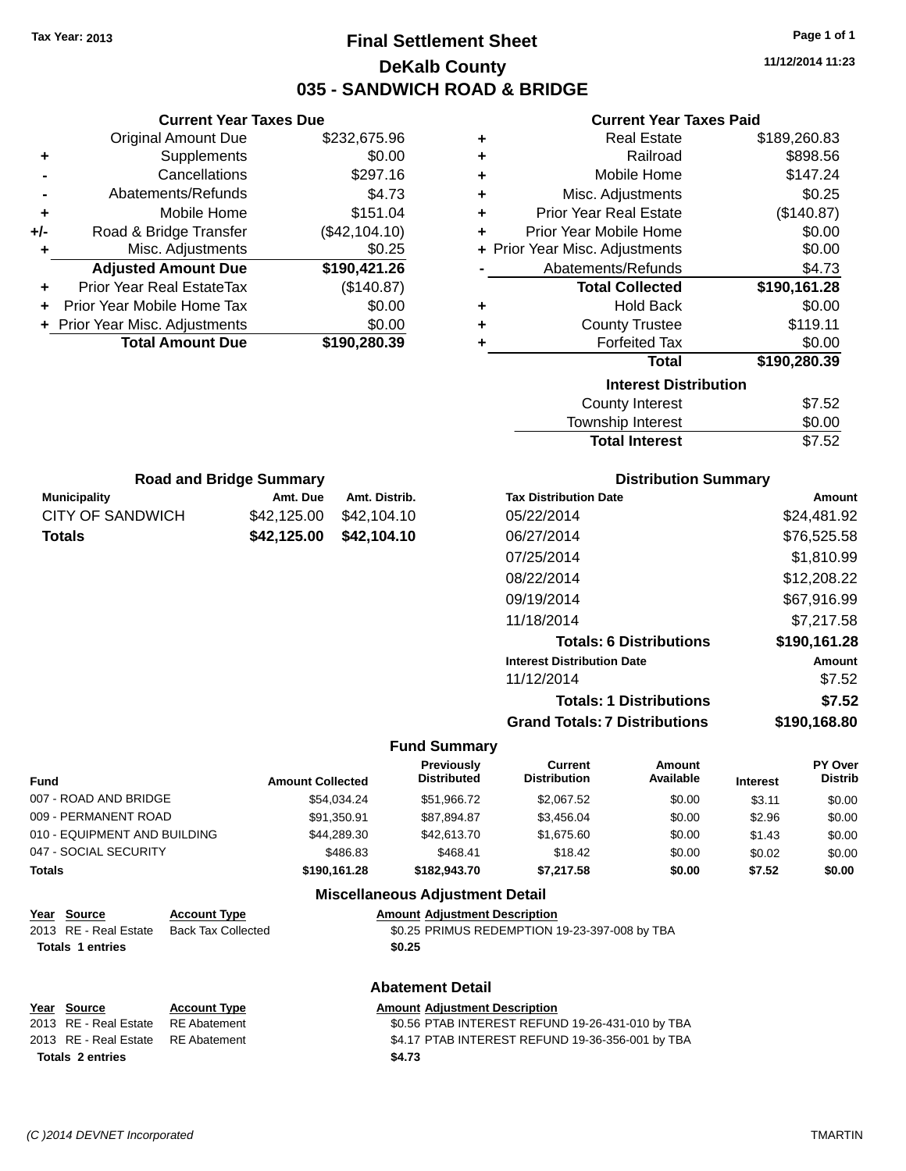**Current Year Taxes Due**

# **Final Settlement Sheet Tax Year: 2013 Page 1 of 1 DeKalb County 035 - SANDWICH ROAD & BRIDGE**

**11/12/2014 11:23**

| <b>Current Year Taxes Paid</b> |  |  |  |
|--------------------------------|--|--|--|
|--------------------------------|--|--|--|

|                                                  | <b>Original Amount Due</b>                 | \$232,675.96               | ٠                                      |                                                  | <b>Real Estate</b>             |                 | \$189,260.83              |
|--------------------------------------------------|--------------------------------------------|----------------------------|----------------------------------------|--------------------------------------------------|--------------------------------|-----------------|---------------------------|
| ٠                                                | Supplements                                | \$0.00                     | ٠                                      |                                                  | Railroad                       |                 | \$898.56                  |
|                                                  | Cancellations                              | \$297.16                   | ٠                                      |                                                  | Mobile Home                    |                 | \$147.24                  |
|                                                  | Abatements/Refunds                         | \$4.73                     | ٠                                      |                                                  | Misc. Adjustments              |                 | \$0.25                    |
| ٠                                                | Mobile Home                                | \$151.04                   | ٠                                      | <b>Prior Year Real Estate</b>                    |                                |                 | (\$140.87)                |
| +/-                                              | Road & Bridge Transfer                     | (\$42,104.10)              | ٠                                      | Prior Year Mobile Home                           |                                |                 | \$0.00                    |
| ٠                                                | Misc. Adjustments                          | \$0.25                     | ٠                                      | Prior Year Misc. Adjustments                     |                                |                 | \$0.00                    |
|                                                  | <b>Adjusted Amount Due</b>                 | \$190,421.26               |                                        | Abatements/Refunds                               |                                |                 | \$4.73                    |
| ٠                                                | Prior Year Real EstateTax                  | (\$140.87)                 |                                        |                                                  | <b>Total Collected</b>         |                 | \$190,161.28              |
| Prior Year Mobile Home Tax                       |                                            | \$0.00                     | ٠                                      |                                                  | <b>Hold Back</b>               |                 | \$0.00                    |
| Prior Year Misc. Adjustments                     |                                            | \$0.00                     | ٠                                      |                                                  | <b>County Trustee</b>          |                 | \$119.11                  |
|                                                  | <b>Total Amount Due</b>                    | \$190,280.39               | ٠                                      |                                                  | <b>Forfeited Tax</b>           |                 | \$0.00                    |
|                                                  |                                            |                            |                                        |                                                  | <b>Total</b>                   |                 | \$190,280.39              |
|                                                  |                                            |                            |                                        |                                                  | <b>Interest Distribution</b>   |                 |                           |
|                                                  |                                            |                            |                                        |                                                  | <b>County Interest</b>         |                 | \$7.52                    |
|                                                  |                                            |                            |                                        |                                                  | Township Interest              |                 | \$0.00                    |
|                                                  |                                            |                            |                                        |                                                  | <b>Total Interest</b>          |                 | \$7.52                    |
|                                                  | <b>Road and Bridge Summary</b>             |                            |                                        |                                                  | <b>Distribution Summary</b>    |                 |                           |
| <b>Municipality</b>                              |                                            | Amt. Due<br>Amt. Distrib.  |                                        | <b>Tax Distribution Date</b>                     |                                |                 | <b>Amount</b>             |
| <b>CITY OF SANDWICH</b>                          |                                            | \$42,125.00<br>\$42,104.10 |                                        | 05/22/2014                                       |                                |                 | \$24,481.92               |
| <b>Totals</b>                                    |                                            | \$42,125.00<br>\$42,104.10 |                                        | 06/27/2014                                       |                                |                 | \$76,525.58               |
|                                                  |                                            |                            |                                        | 07/25/2014                                       |                                |                 | \$1,810.99                |
|                                                  |                                            |                            |                                        |                                                  |                                |                 |                           |
|                                                  |                                            |                            |                                        | 08/22/2014                                       |                                |                 | \$12,208.22               |
|                                                  |                                            |                            |                                        | 09/19/2014                                       |                                |                 | \$67,916.99               |
|                                                  |                                            |                            |                                        | 11/18/2014                                       |                                |                 | \$7,217.58                |
|                                                  |                                            |                            |                                        |                                                  | <b>Totals: 6 Distributions</b> |                 | \$190,161.28              |
|                                                  |                                            |                            |                                        | <b>Interest Distribution Date</b>                |                                |                 | <b>Amount</b>             |
|                                                  |                                            |                            |                                        | 11/12/2014                                       |                                |                 | \$7.52                    |
|                                                  |                                            |                            |                                        |                                                  | <b>Totals: 1 Distributions</b> |                 | \$7.52                    |
|                                                  |                                            |                            |                                        | <b>Grand Totals: 7 Distributions</b>             |                                |                 | \$190,168.80              |
|                                                  |                                            |                            | <b>Fund Summary</b>                    |                                                  |                                |                 |                           |
| Fund                                             |                                            | <b>Amount Collected</b>    | Previously<br><b>Distributed</b>       | <b>Current</b><br><b>Distribution</b>            | Amount<br>Available            | <b>Interest</b> | PY Over<br><b>Distrib</b> |
| 007 - ROAD AND BRIDGE                            |                                            | \$54,034.24                | \$51,966.72                            | \$2,067.52                                       | \$0.00                         | \$3.11          | \$0.00                    |
| 009 - PERMANENT ROAD                             |                                            | \$91,350.91                | \$87,894.87                            | \$3,456.04                                       | \$0.00                         | \$2.96          | \$0.00                    |
| 010 - EQUIPMENT AND BUILDING                     |                                            | \$44,289.30                | \$42,613.70                            | \$1,675.60                                       | \$0.00                         | \$1.43          | \$0.00                    |
| 047 - SOCIAL SECURITY                            |                                            | \$486.83                   | \$468.41                               | \$18.42                                          | \$0.00                         | \$0.02          | \$0.00                    |
| Totals                                           |                                            | \$190,161.28               | \$182,943.70                           | \$7,217.58                                       | \$0.00                         | \$7.52          | \$0.00                    |
|                                                  |                                            |                            | <b>Miscellaneous Adjustment Detail</b> |                                                  |                                |                 |                           |
| Year Source                                      | <b>Account Type</b>                        |                            | <b>Amount Adjustment Description</b>   |                                                  |                                |                 |                           |
| 2013 RE - Real Estate<br><b>Totals 1 entries</b> | <b>Back Tax Collected</b>                  |                            | \$0.25                                 | \$0.25 PRIMUS REDEMPTION 19-23-397-008 by TBA    |                                |                 |                           |
|                                                  |                                            |                            | <b>Abatement Detail</b>                |                                                  |                                |                 |                           |
| Year Source<br>2013 RE - Real Estate             | <b>Account Type</b><br><b>RE</b> Abatement |                            | <b>Amount Adjustment Description</b>   | \$0.56 PTAB INTEREST REFUND 19-26-431-010 by TBA |                                |                 |                           |
| 2013 RE - Real Estate                            | <b>RE</b> Abatement                        |                            |                                        | \$4.17 PTAB INTEREST REFUND 19-36-356-001 by TBA |                                |                 |                           |
| Totals 2 entries                                 |                                            |                            | \$4.73                                 |                                                  |                                |                 |                           |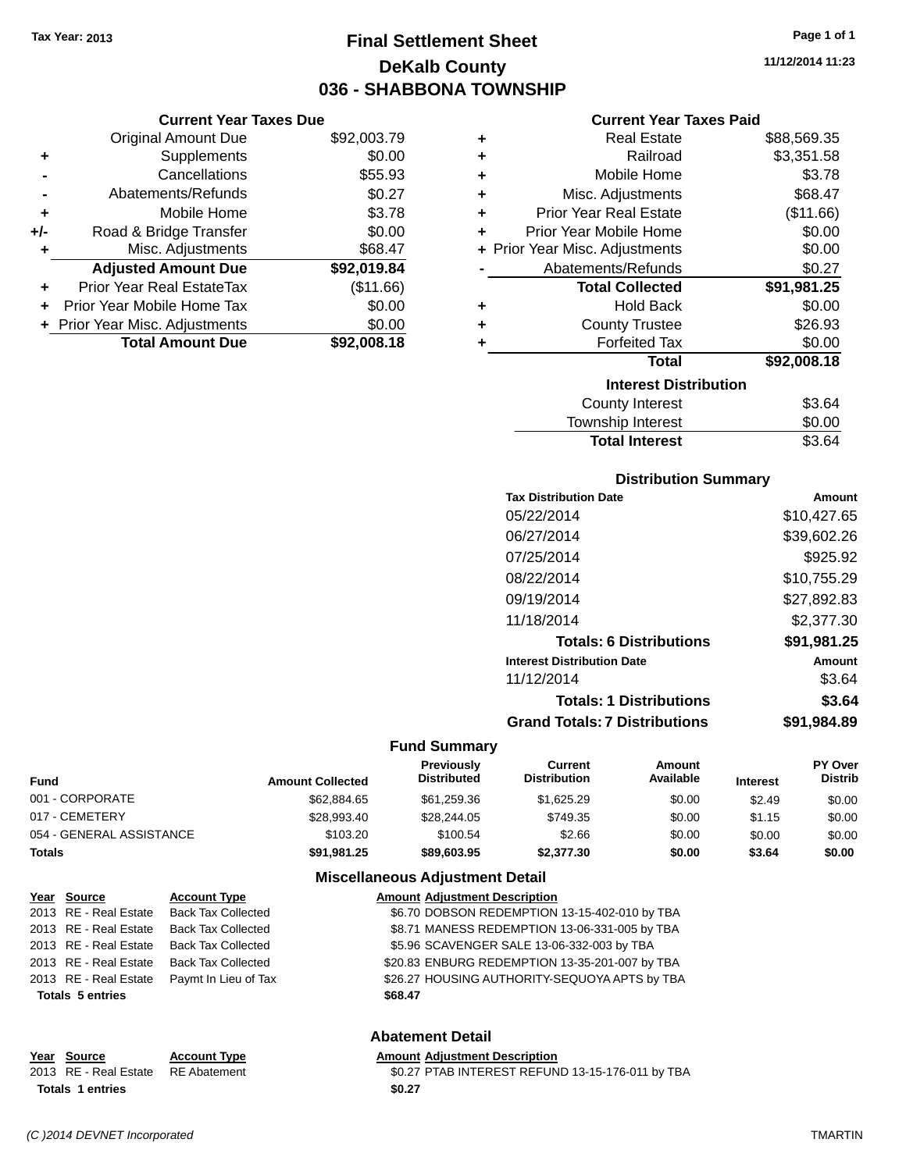# **Final Settlement Sheet Tax Year: 2013 Page 1 of 1 DeKalb County 036 - SHABBONA TOWNSHIP**

**11/12/2014 11:23**

| <b>Current Year Taxes Paid</b> |  |  |  |
|--------------------------------|--|--|--|
|--------------------------------|--|--|--|

|     | <b>Current Year Taxes Due</b>  |             |
|-----|--------------------------------|-------------|
|     | <b>Original Amount Due</b>     | \$92,003.79 |
| ٠   | Supplements                    | \$0.00      |
|     | Cancellations                  | \$55.93     |
|     | Abatements/Refunds             | \$0.27      |
| ٠   | Mobile Home                    | \$3.78      |
| +/- | Road & Bridge Transfer         | \$0.00      |
| ٠   | Misc. Adjustments              | \$68.47     |
|     | <b>Adjusted Amount Due</b>     | \$92,019.84 |
|     | Prior Year Real EstateTax      | (\$11.66)   |
|     | Prior Year Mobile Home Tax     | \$0.00      |
|     | + Prior Year Misc. Adjustments | \$0.00      |
|     | <b>Total Amount Due</b>        | \$92,008.18 |

| ٠ | <b>Real Estate</b>             | \$88,569.35 |
|---|--------------------------------|-------------|
| ÷ | Railroad                       | \$3,351.58  |
| ٠ | Mobile Home                    | \$3.78      |
| ٠ | Misc. Adjustments              | \$68.47     |
| ÷ | <b>Prior Year Real Estate</b>  | (\$11.66)   |
| ÷ | Prior Year Mobile Home         | \$0.00      |
|   | + Prior Year Misc. Adjustments | \$0.00      |
|   | Abatements/Refunds             | \$0.27      |
|   | <b>Total Collected</b>         | \$91,981.25 |
| ٠ | <b>Hold Back</b>               | \$0.00      |
| ٠ | <b>County Trustee</b>          | \$26.93     |
| ٠ | <b>Forfeited Tax</b>           | \$0.00      |
|   | <b>Total</b>                   | \$92,008.18 |
|   | <b>Interest Distribution</b>   |             |
|   | <b>County Interest</b>         | \$3.64      |
|   | <b>Township Interest</b>       | \$0.00      |
|   | <b>Total Interest</b>          | \$3.64      |

#### **Distribution Summary**

| <b>Tax Distribution Date</b>         | Amount      |
|--------------------------------------|-------------|
| 05/22/2014                           | \$10,427.65 |
| 06/27/2014                           | \$39,602.26 |
| 07/25/2014                           | \$925.92    |
| 08/22/2014                           | \$10,755.29 |
| 09/19/2014                           | \$27,892.83 |
| 11/18/2014                           | \$2,377.30  |
| <b>Totals: 6 Distributions</b>       | \$91,981.25 |
| <b>Interest Distribution Date</b>    | Amount      |
| 11/12/2014                           | \$3.64      |
| <b>Totals: 1 Distributions</b>       | \$3.64      |
| <b>Grand Totals: 7 Distributions</b> | \$91.984.89 |
|                                      |             |

#### **Fund Summary**

| Fund                     | <b>Amount Collected</b> | <b>Previously</b><br><b>Distributed</b> | Current<br><b>Distribution</b> | Amount<br>Available | <b>Interest</b> | <b>PY Over</b><br><b>Distrib</b> |
|--------------------------|-------------------------|-----------------------------------------|--------------------------------|---------------------|-----------------|----------------------------------|
| 001 - CORPORATE          | \$62,884.65             | \$61,259.36                             | \$1.625.29                     | \$0.00              | \$2.49          | \$0.00                           |
| 017 - CEMETERY           | \$28.993.40             | \$28,244.05                             | \$749.35                       | \$0.00              | \$1.15          | \$0.00                           |
| 054 - GENERAL ASSISTANCE | \$103.20                | \$100.54                                | \$2.66                         | \$0.00              | \$0.00          | \$0.00                           |
| Totals                   | \$91.981.25             | \$89,603.95                             | \$2,377,30                     | \$0.00              | \$3.64          | \$0.00                           |

#### **Miscellaneous Adjustment Detail**

| Year Source             | <b>Account Type</b>       | <b>Amount Adjustment Description</b>           |  |
|-------------------------|---------------------------|------------------------------------------------|--|
| 2013 RE - Real Estate   | <b>Back Tax Collected</b> | \$6.70 DOBSON REDEMPTION 13-15-402-010 by TBA  |  |
| 2013 RE - Real Estate   | <b>Back Tax Collected</b> | \$8.71 MANESS REDEMPTION 13-06-331-005 by TBA  |  |
| 2013 RE - Real Estate   | Back Tax Collected        | \$5.96 SCAVENGER SALE 13-06-332-003 by TBA     |  |
| 2013 RE - Real Estate   | <b>Back Tax Collected</b> | \$20.83 ENBURG REDEMPTION 13-35-201-007 by TBA |  |
| 2013 RE - Real Estate   | Paymt In Lieu of Tax      | \$26.27 HOUSING AUTHORITY-SEQUOYA APTS by TBA  |  |
| <b>Totals 5 entries</b> |                           | \$68.47                                        |  |
|                         |                           |                                                |  |

#### **Abatement Detail**

#### **Year** Source **Account Type Account Adjustment Description**

2013 RE - Real Estate RE Abatement \$0.27 PTAB INTEREST REFUND 13-15-176-011 by TBA **Totals \$0.27 1 entries**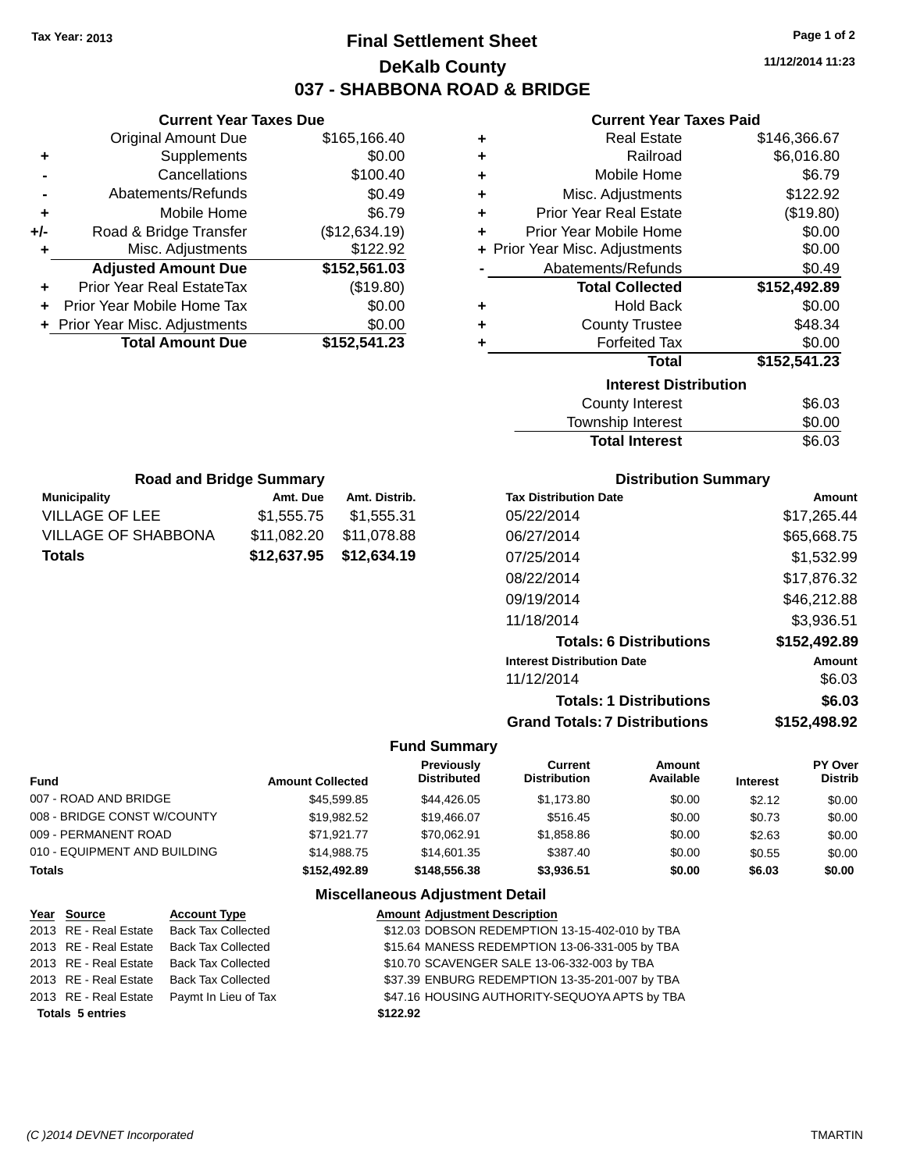# **Final Settlement Sheet Tax Year: 2013 Page 1 of 2 DeKalb County 037 - SHABBONA ROAD & BRIDGE**

**11/12/2014 11:23**

#### **Current Year Taxes Paid**

|     | <b>Current Year Taxes Due</b>  |               |  |
|-----|--------------------------------|---------------|--|
|     | <b>Original Amount Due</b>     | \$165,166.40  |  |
| ٠   | Supplements                    | \$0.00        |  |
|     | Cancellations                  | \$100.40      |  |
|     | Abatements/Refunds             | \$0.49        |  |
| ٠   | Mobile Home                    | \$6.79        |  |
| +/- | Road & Bridge Transfer         | (\$12,634.19) |  |
| ٠   | Misc. Adjustments              | \$122.92      |  |
|     | <b>Adjusted Amount Due</b>     | \$152,561.03  |  |
| ٠   | Prior Year Real EstateTax      | (\$19.80)     |  |
|     | Prior Year Mobile Home Tax     | \$0.00        |  |
|     | + Prior Year Misc. Adjustments | \$0.00        |  |
|     | <b>Total Amount Due</b>        | \$152,541.23  |  |
|     |                                |               |  |

| ٠ | <b>Real Estate</b>             | \$146,366.67 |  |  |
|---|--------------------------------|--------------|--|--|
| ÷ | Railroad                       | \$6,016.80   |  |  |
| ÷ | Mobile Home                    | \$6.79       |  |  |
| ٠ | Misc. Adjustments              | \$122.92     |  |  |
| ÷ | <b>Prior Year Real Estate</b>  | (\$19.80)    |  |  |
| ÷ | Prior Year Mobile Home         | \$0.00       |  |  |
|   | + Prior Year Misc. Adjustments | \$0.00       |  |  |
|   | \$0.49<br>Abatements/Refunds   |              |  |  |
|   |                                |              |  |  |
|   | <b>Total Collected</b>         | \$152,492.89 |  |  |
| ٠ | <b>Hold Back</b>               | \$0.00       |  |  |
| ÷ | <b>County Trustee</b>          | \$48.34      |  |  |
| ٠ | <b>Forfeited Tax</b>           | \$0.00       |  |  |
|   | <b>Total</b>                   | \$152,541.23 |  |  |
|   | <b>Interest Distribution</b>   |              |  |  |
|   | <b>County Interest</b>         | \$6.03       |  |  |

| <b>Road and Bridge Summary</b> |                         |               |  |  |  |
|--------------------------------|-------------------------|---------------|--|--|--|
| <b>Municipality</b>            | Amt. Due                | Amt. Distrib. |  |  |  |
| VILLAGE OF LEE                 | \$1,555.75              | \$1,555.31    |  |  |  |
| VILLAGE OF SHABBONA            | \$11,082.20             | \$11,078.88   |  |  |  |
| Totals                         | \$12,637.95 \$12,634.19 |               |  |  |  |

#### **Distribution Summary**

Total Interest \$6.03

| <b>Tax Distribution Date</b>         | Amount       |
|--------------------------------------|--------------|
| 05/22/2014                           | \$17,265.44  |
| 06/27/2014                           | \$65,668.75  |
| 07/25/2014                           | \$1,532.99   |
| 08/22/2014                           | \$17.876.32  |
| 09/19/2014                           | \$46,212.88  |
| 11/18/2014                           | \$3,936.51   |
| <b>Totals: 6 Distributions</b>       | \$152,492.89 |
| <b>Interest Distribution Date</b>    | Amount       |
| 11/12/2014                           | \$6.03       |
| <b>Totals: 1 Distributions</b>       | \$6.03       |
| <b>Grand Totals: 7 Distributions</b> | \$152,498.92 |

#### **Fund Summary**

| <b>Fund</b>                  | <b>Amount Collected</b> | <b>Previously</b><br><b>Distributed</b> | Current<br><b>Distribution</b> | Amount<br>Available | <b>Interest</b> | PY Over<br><b>Distrib</b> |
|------------------------------|-------------------------|-----------------------------------------|--------------------------------|---------------------|-----------------|---------------------------|
| 007 - ROAD AND BRIDGE        | \$45,599.85             | \$44,426,05                             | \$1.173.80                     | \$0.00              | \$2.12          | \$0.00                    |
| 008 - BRIDGE CONST W/COUNTY  | \$19.982.52             | \$19,466.07                             | \$516.45                       | \$0.00              | \$0.73          | \$0.00                    |
| 009 - PERMANENT ROAD         | \$71.921.77             | \$70.062.91                             | \$1,858.86                     | \$0.00              | \$2.63          | \$0.00                    |
| 010 - EQUIPMENT AND BUILDING | \$14.988.75             | \$14,601.35                             | \$387.40                       | \$0.00              | \$0.55          | \$0.00                    |
| <b>Totals</b>                | \$152.492.89            | \$148,556,38                            | \$3.936.51                     | \$0.00              | \$6.03          | \$0.00                    |

| Year Source             | <b>Account Type</b>       | <b>Amount Adjustment Description</b>           |
|-------------------------|---------------------------|------------------------------------------------|
| 2013 RE - Real Estate   | <b>Back Tax Collected</b> | \$12.03 DOBSON REDEMPTION 13-15-402-010 by TBA |
| 2013 RE - Real Estate   | <b>Back Tax Collected</b> | \$15.64 MANESS REDEMPTION 13-06-331-005 by TBA |
| 2013 RE - Real Estate   | <b>Back Tax Collected</b> | \$10.70 SCAVENGER SALE 13-06-332-003 by TBA    |
| 2013 RE - Real Estate   | Back Tax Collected        | \$37.39 ENBURG REDEMPTION 13-35-201-007 by TBA |
| 2013 RE - Real Estate   | Paymt In Lieu of Tax      | \$47.16 HOUSING AUTHORITY-SEQUOYA APTS by TBA  |
| <b>Totals 5 entries</b> |                           | \$122.92                                       |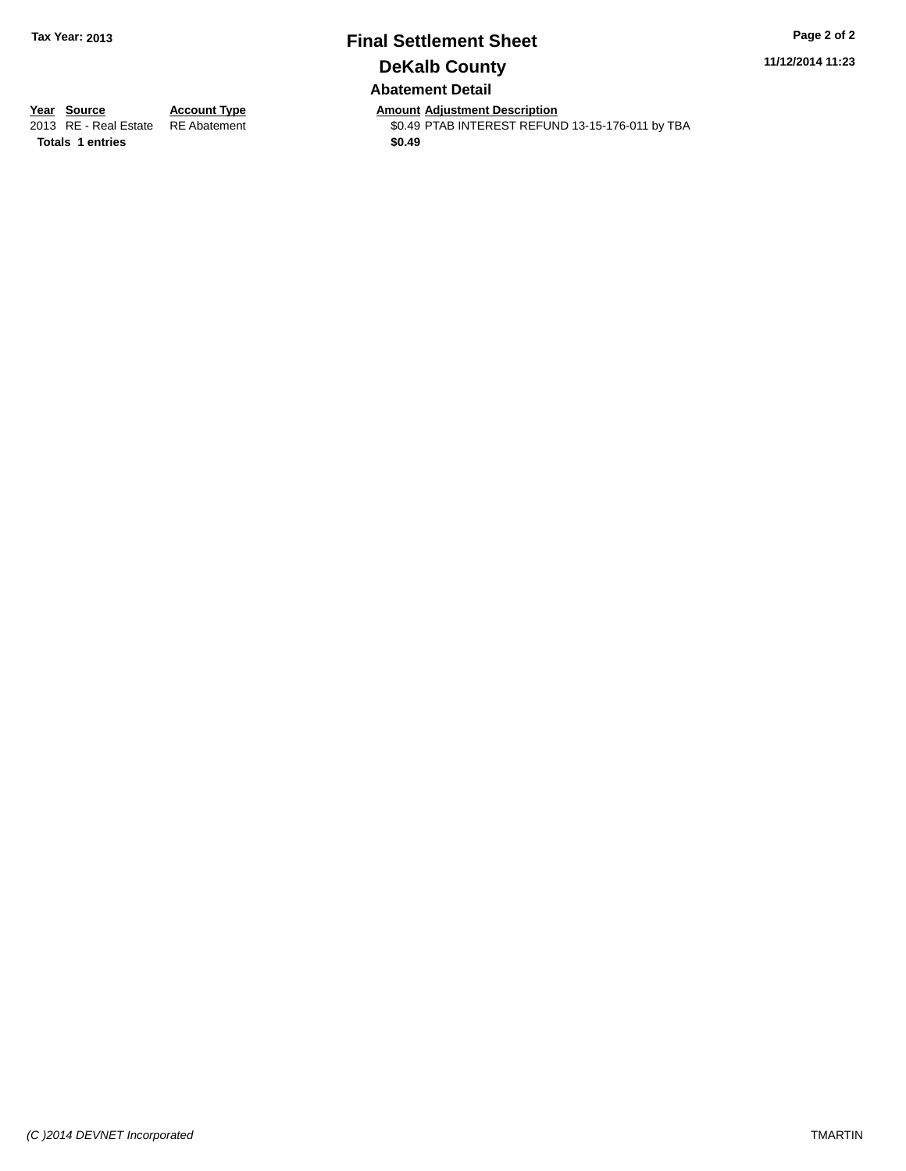# **Final Settlement Sheet Tax Year: 2013 Page 2 of 2 DeKalb County Abatement Detail**

**11/12/2014 11:23**

**Totals 1 entries** \$0.49

**Year Source Account Type Anneurs Amount Adjustment Description**<br>
2013 RE - Real Estate RE Abatement **Account 1998 Amount Adjustment Description** \$0.49 PTAB INTEREST REFUND 13-15-176-011 by TBA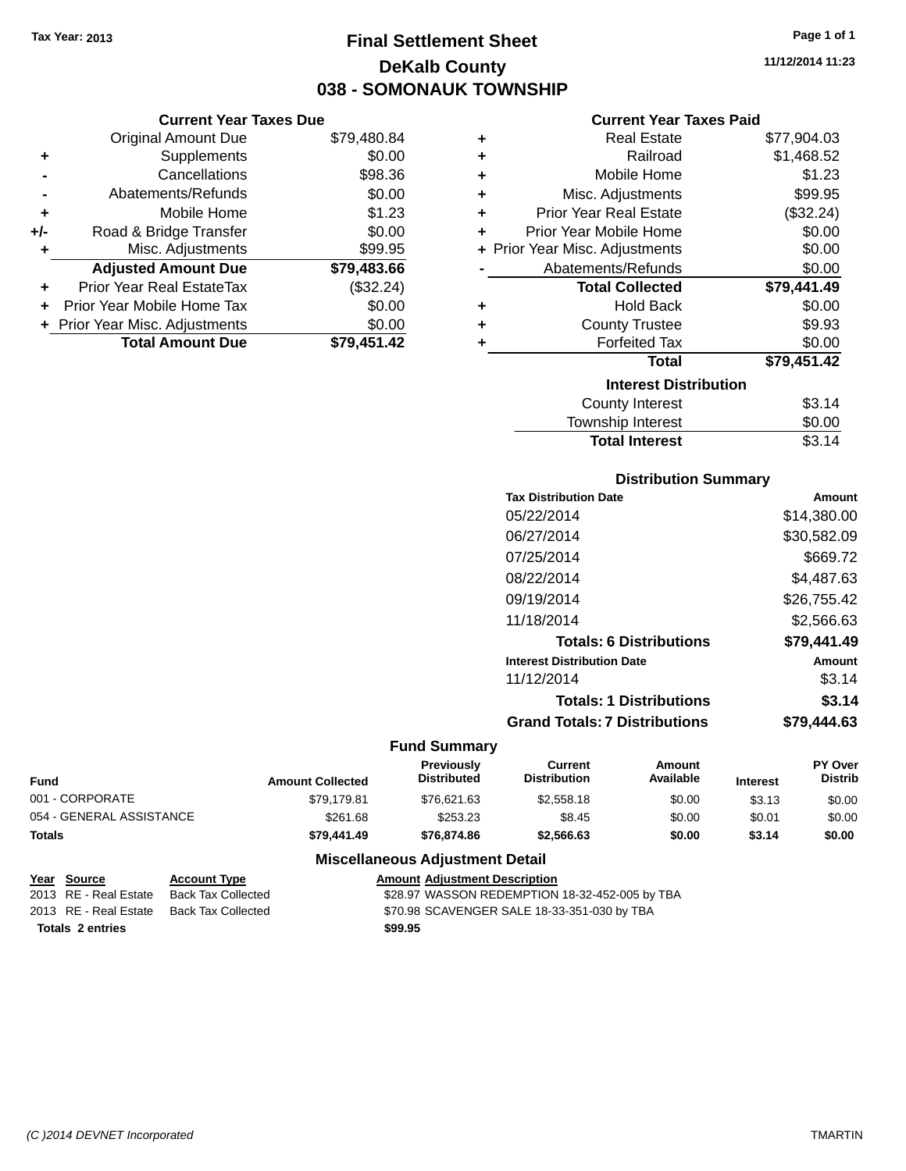**Current Year Taxes Due**

# **Final Settlement Sheet Tax Year: 2013 Page 1 of 1 DeKalb County 038 - SOMONAUK TOWNSHIP**

**11/12/2014 11:23**

#### **Current Year Taxes Paid**

|                | <b>Original Amount Due</b>       | \$79,480.84 | ٠ | <b>Real Estate</b>             | \$77,904.03 |
|----------------|----------------------------------|-------------|---|--------------------------------|-------------|
| ÷              | Supplements                      | \$0.00      | ٠ | Railroad                       | \$1,468.52  |
| $\blacksquare$ | Cancellations                    | \$98.36     | ٠ | Mobile Home                    | \$1.23      |
|                | Abatements/Refunds               | \$0.00      | ٠ | Misc. Adjustments              | \$99.95     |
| ٠              | Mobile Home                      | \$1.23      | ٠ | <b>Prior Year Real Estate</b>  | (\$32.24)   |
| I-             | Road & Bridge Transfer           | \$0.00      | ٠ | Prior Year Mobile Home         | \$0.00      |
| ÷              | Misc. Adjustments                | \$99.95     |   | + Prior Year Misc. Adjustments | \$0.00      |
|                | <b>Adjusted Amount Due</b>       | \$79,483.66 |   | Abatements/Refunds             | \$0.00      |
| ÷              | <b>Prior Year Real EstateTax</b> | (\$32.24)   |   | <b>Total Collected</b>         | \$79,441.49 |
|                | + Prior Year Mobile Home Tax     | \$0.00      | ٠ | <b>Hold Back</b>               | \$0.00      |
|                | + Prior Year Misc. Adjustments   | \$0.00      | ٠ | <b>County Trustee</b>          | \$9.93      |
|                | <b>Total Amount Due</b>          | \$79,451.42 |   | <b>Forfeited Tax</b>           | \$0.00      |
|                |                                  |             |   | <b>Total</b>                   | \$79,451.42 |
|                |                                  |             |   | <b>Interest Distribution</b>   |             |
|                |                                  |             |   | County Interest                | \$3.14      |
|                |                                  |             |   |                                |             |

### $$3.14$ Township Interest \$0.00 Total Interest \$3.14

| <b>Distribution Summary</b> |  |
|-----------------------------|--|
|                             |  |

| <b>Tax Distribution Date</b>         | Amount      |
|--------------------------------------|-------------|
| 05/22/2014                           | \$14.380.00 |
| 06/27/2014                           | \$30,582.09 |
| 07/25/2014                           | \$669.72    |
| 08/22/2014                           | \$4.487.63  |
| 09/19/2014                           | \$26,755.42 |
| 11/18/2014                           | \$2.566.63  |
| <b>Totals: 6 Distributions</b>       | \$79.441.49 |
| <b>Interest Distribution Date</b>    | Amount      |
| 11/12/2014                           | \$3.14      |
| <b>Totals: 1 Distributions</b>       | \$3.14      |
| <b>Grand Totals: 7 Distributions</b> | \$79.444.63 |
|                                      |             |

#### **Fund Summary**

| <b>Fund</b>              | <b>Amount Collected</b> | <b>Previously</b><br><b>Distributed</b> | Current<br><b>Distribution</b> | Amount<br>Available | <b>Interest</b> | <b>PY Over</b><br><b>Distrib</b> |
|--------------------------|-------------------------|-----------------------------------------|--------------------------------|---------------------|-----------------|----------------------------------|
| 001 - CORPORATE          | \$79.179.81             | \$76.621.63                             | \$2,558.18                     | \$0.00              | \$3.13          | \$0.00                           |
| 054 - GENERAL ASSISTANCE | \$261.68                | \$253.23                                | \$8.45                         | \$0.00              | \$0.01          | \$0.00                           |
| Totals                   | \$79,441.49             | \$76,874.86                             | \$2.566.63                     | \$0.00              | \$3.14          | \$0.00                           |

| Year Source             | <b>Account Type</b> | <b>Amount Adjustment Description</b>           |
|-------------------------|---------------------|------------------------------------------------|
| 2013 RE - Real Estate   | Back Tax Collected  | \$28.97 WASSON REDEMPTION 18-32-452-005 by TBA |
| 2013 RE - Real Estate   | Back Tax Collected  | \$70.98 SCAVENGER SALE 18-33-351-030 by TBA    |
| <b>Totals 2 entries</b> |                     | \$99.95                                        |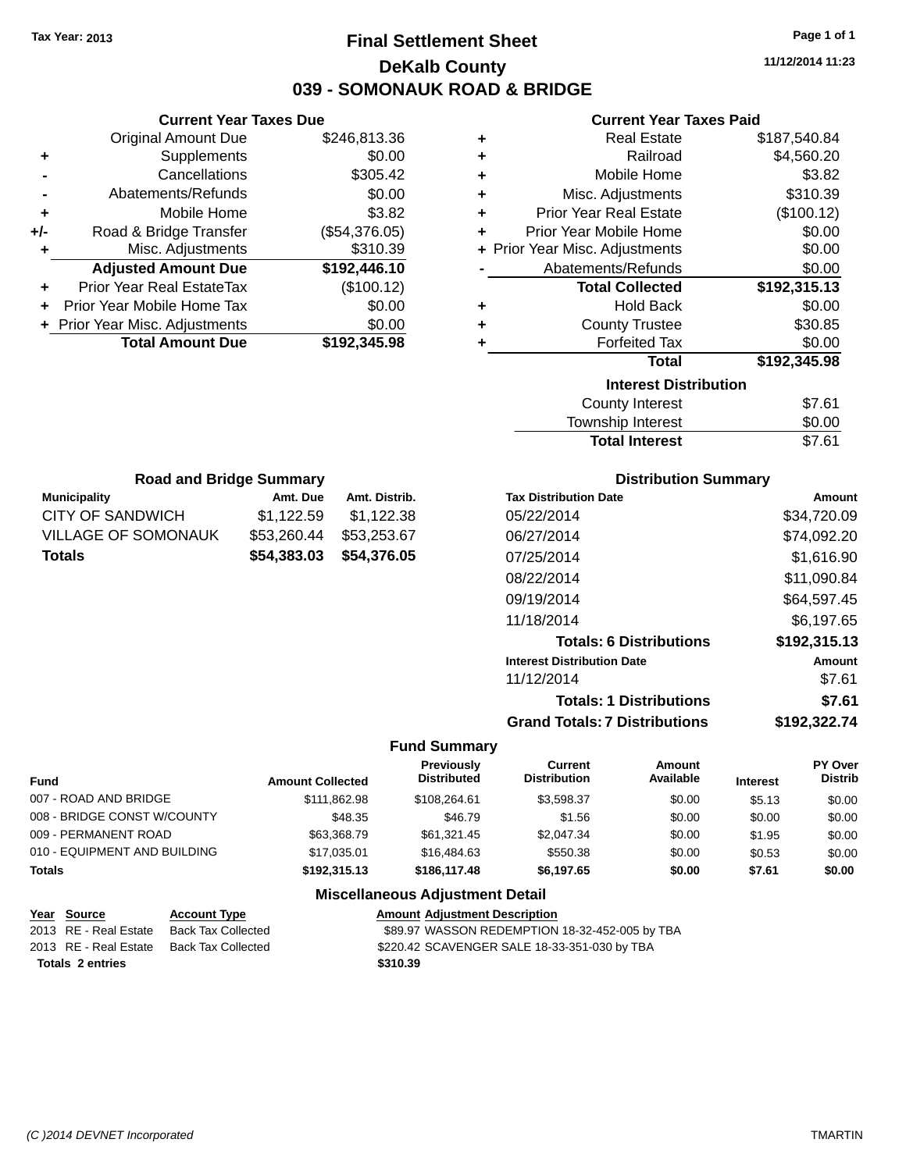# **Final Settlement Sheet Tax Year: 2013 Page 1 of 1 DeKalb County 039 - SOMONAUK ROAD & BRIDGE**

**11/12/2014 11:23**

#### **Current Year Taxes Paid**

|     | <b>Current Year Taxes Due</b>  |               |  |  |  |  |
|-----|--------------------------------|---------------|--|--|--|--|
|     | <b>Original Amount Due</b>     | \$246,813.36  |  |  |  |  |
| ٠   | Supplements                    | \$0.00        |  |  |  |  |
|     | Cancellations                  | \$305.42      |  |  |  |  |
|     | Abatements/Refunds             | \$0.00        |  |  |  |  |
| ٠   | Mobile Home                    | \$3.82        |  |  |  |  |
| +/- | Road & Bridge Transfer         | (\$54,376.05) |  |  |  |  |
| ٠   | Misc. Adjustments              | \$310.39      |  |  |  |  |
|     | <b>Adjusted Amount Due</b>     | \$192,446.10  |  |  |  |  |
|     | Prior Year Real EstateTax      | (\$100.12)    |  |  |  |  |
| ٠   | Prior Year Mobile Home Tax     | \$0.00        |  |  |  |  |
|     | + Prior Year Misc. Adjustments | \$0.00        |  |  |  |  |
|     | <b>Total Amount Due</b>        | \$192,345.98  |  |  |  |  |
|     |                                |               |  |  |  |  |

| ٠ | <b>Real Estate</b>             | \$187,540.84 |
|---|--------------------------------|--------------|
| ÷ | Railroad                       | \$4,560.20   |
| ٠ | Mobile Home                    | \$3.82       |
| ٠ | Misc. Adjustments              | \$310.39     |
| ٠ | <b>Prior Year Real Estate</b>  | (\$100.12)   |
| ٠ | Prior Year Mobile Home         | \$0.00       |
|   | + Prior Year Misc. Adjustments | \$0.00       |
|   | Abatements/Refunds             | \$0.00       |
|   | <b>Total Collected</b>         | \$192,315.13 |
| ٠ | <b>Hold Back</b>               | \$0.00       |
| ٠ | <b>County Trustee</b>          | \$30.85      |
| ٠ | <b>Forfeited Tax</b>           | \$0.00       |
|   | <b>Total</b>                   | \$192,345.98 |
|   | <b>Interest Distribution</b>   |              |
|   |                                | \$7.61       |
|   | County Interest                |              |

| <b>Total Interest</b> | \$7.61 |
|-----------------------|--------|
| Township Interest     | \$0.00 |
| County Interest       | \$7.61 |

| <b>Road and Bridge Summary</b> |             |               |  |  |  |
|--------------------------------|-------------|---------------|--|--|--|
| <b>Municipality</b>            | Amt. Due    | Amt. Distrib. |  |  |  |
| <b>CITY OF SANDWICH</b>        | \$1,122.59  | \$1,122.38    |  |  |  |
| <b>VILLAGE OF SOMONAUK</b>     | \$53,260.44 | \$53,253.67   |  |  |  |
| <b>Totals</b>                  | \$54,383.03 | \$54,376.05   |  |  |  |

#### **Distribution Summary**

| <b>Tax Distribution Date</b>         | Amount       |
|--------------------------------------|--------------|
| 05/22/2014                           | \$34,720.09  |
| 06/27/2014                           | \$74,092.20  |
| 07/25/2014                           | \$1,616.90   |
| 08/22/2014                           | \$11,090.84  |
| 09/19/2014                           | \$64,597.45  |
| 11/18/2014                           | \$6.197.65   |
| <b>Totals: 6 Distributions</b>       | \$192,315.13 |
| <b>Interest Distribution Date</b>    | Amount       |
| 11/12/2014                           | \$7.61       |
| <b>Totals: 1 Distributions</b>       | \$7.61       |
| <b>Grand Totals: 7 Distributions</b> | \$192,322.74 |

#### **Fund Summary**

| <b>Fund</b>                  | <b>Amount Collected</b> | Previously<br><b>Distributed</b> | Current<br><b>Distribution</b> | Amount<br>Available | <b>Interest</b> | <b>PY Over</b><br><b>Distrib</b> |
|------------------------------|-------------------------|----------------------------------|--------------------------------|---------------------|-----------------|----------------------------------|
| 007 - ROAD AND BRIDGE        | \$111.862.98            | \$108,264.61                     | \$3.598.37                     | \$0.00              | \$5.13          | \$0.00                           |
| 008 - BRIDGE CONST W/COUNTY  | \$48.35                 | \$46.79                          | \$1.56                         | \$0.00              | \$0.00          | \$0.00                           |
| 009 - PERMANENT ROAD         | \$63.368.79             | \$61,321.45                      | \$2,047.34                     | \$0.00              | \$1.95          | \$0.00                           |
| 010 - EQUIPMENT AND BUILDING | \$17,035.01             | \$16,484.63                      | \$550.38                       | \$0.00              | \$0.53          | \$0.00                           |
| <b>Totals</b>                | \$192,315.13            | \$186,117.48                     | \$6,197.65                     | \$0.00              | \$7.61          | \$0.00                           |

| Year Source             | <b>Account Type</b> | <b>Amount Adjustment Description</b>           |
|-------------------------|---------------------|------------------------------------------------|
| 2013 RE - Real Estate   | Back Tax Collected  | \$89.97 WASSON REDEMPTION 18-32-452-005 by TBA |
| 2013 RE - Real Estate   | Back Tax Collected  | \$220.42 SCAVENGER SALE 18-33-351-030 by TBA   |
| <b>Totals 2 entries</b> |                     | \$310.39                                       |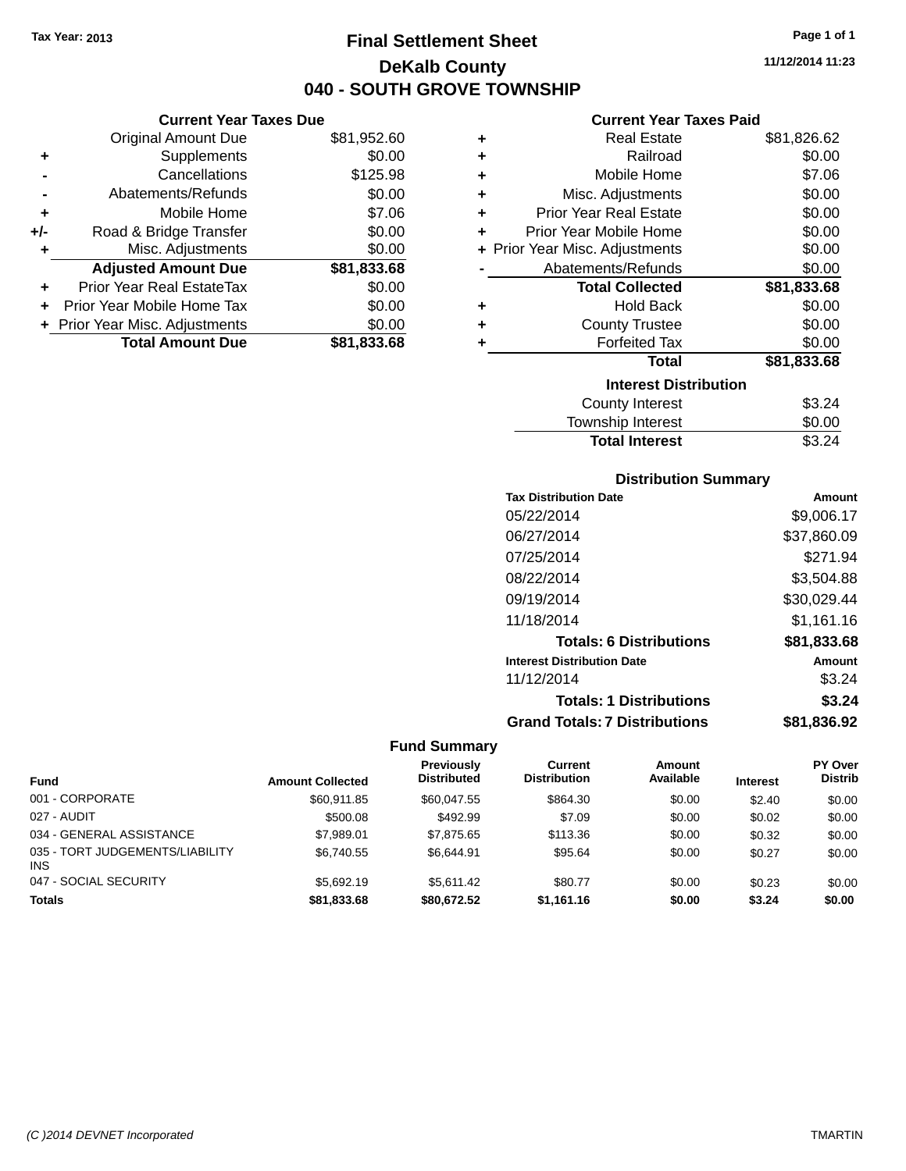**Current Year Taxes Due** Original Amount Due \$81,952.60

**Adjusted Amount Due \$81,833.68**

**Total Amount Due \$81,833.68**

**+** Supplements \$0.00 **-** Cancellations \$125.98 **-** Abatements/Refunds \$0.00 **+** Mobile Home \$7.06 **+/-** Road & Bridge Transfer \$0.00 **+** Misc. Adjustments \$0.00

**+** Prior Year Real EstateTax \$0.00 **+** Prior Year Mobile Home Tax \$0.00 **+ Prior Year Misc. Adjustments**  $$0.00$ 

# **Final Settlement Sheet Tax Year: 2013 Page 1 of 1 DeKalb County 040 - SOUTH GROVE TOWNSHIP**

**11/12/2014 11:23**

#### **Current Year Taxes Paid**

| ٠ | <b>Real Estate</b>             | \$81,826.62 |
|---|--------------------------------|-------------|
| ٠ | Railroad                       | \$0.00      |
| ٠ | Mobile Home                    | \$7.06      |
| ÷ | Misc. Adjustments              | \$0.00      |
| ٠ | <b>Prior Year Real Estate</b>  | \$0.00      |
| ÷ | Prior Year Mobile Home         | \$0.00      |
|   | + Prior Year Misc. Adjustments | \$0.00      |
|   | Abatements/Refunds             | \$0.00      |
|   | <b>Total Collected</b>         | \$81,833.68 |
| ٠ | <b>Hold Back</b>               | \$0.00      |
| ٠ | <b>County Trustee</b>          | \$0.00      |
|   | <b>Forfeited Tax</b>           | \$0.00      |
|   | <b>Total</b>                   | \$81,833.68 |
|   | <b>Interest Distribution</b>   |             |
|   | County Interest                | \$3.24      |
|   | <b>Township Interest</b>       | \$0.00      |
|   | <b>Total Interest</b>          | \$3.24      |

| <b>Distribution Summary</b> |  |
|-----------------------------|--|
|-----------------------------|--|

| <b>Tax Distribution Date</b>         | Amount      |
|--------------------------------------|-------------|
| 05/22/2014                           | \$9,006.17  |
| 06/27/2014                           | \$37,860.09 |
| 07/25/2014                           | \$271.94    |
| 08/22/2014                           | \$3,504.88  |
| 09/19/2014                           | \$30,029.44 |
| 11/18/2014                           | \$1,161.16  |
| <b>Totals: 6 Distributions</b>       | \$81,833.68 |
| <b>Interest Distribution Date</b>    | Amount      |
| 11/12/2014                           | \$3.24      |
| <b>Totals: 1 Distributions</b>       | \$3.24      |
| <b>Grand Totals: 7 Distributions</b> | \$81,836.92 |

#### **Fund Summary**

| <b>Fund</b>                                   | <b>Amount Collected</b> | <b>Previously</b><br><b>Distributed</b> | Current<br><b>Distribution</b> | <b>Amount</b><br>Available | <b>Interest</b> | PY Over<br><b>Distrib</b> |
|-----------------------------------------------|-------------------------|-----------------------------------------|--------------------------------|----------------------------|-----------------|---------------------------|
| 001 - CORPORATE                               | \$60.911.85             | \$60,047.55                             | \$864.30                       | \$0.00                     | \$2.40          | \$0.00                    |
| 027 - AUDIT                                   | \$500.08                | \$492.99                                | \$7.09                         | \$0.00                     | \$0.02          | \$0.00                    |
| 034 - GENERAL ASSISTANCE                      | \$7,989.01              | \$7,875,65                              | \$113.36                       | \$0.00                     | \$0.32          | \$0.00                    |
| 035 - TORT JUDGEMENTS/LIABILITY<br><b>INS</b> | \$6.740.55              | \$6.644.91                              | \$95.64                        | \$0.00                     | \$0.27          | \$0.00                    |
| 047 - SOCIAL SECURITY                         | \$5,692.19              | \$5.611.42                              | \$80.77                        | \$0.00                     | \$0.23          | \$0.00                    |
| <b>Totals</b>                                 | \$81,833.68             | \$80,672.52                             | \$1,161.16                     | \$0.00                     | \$3.24          | \$0.00                    |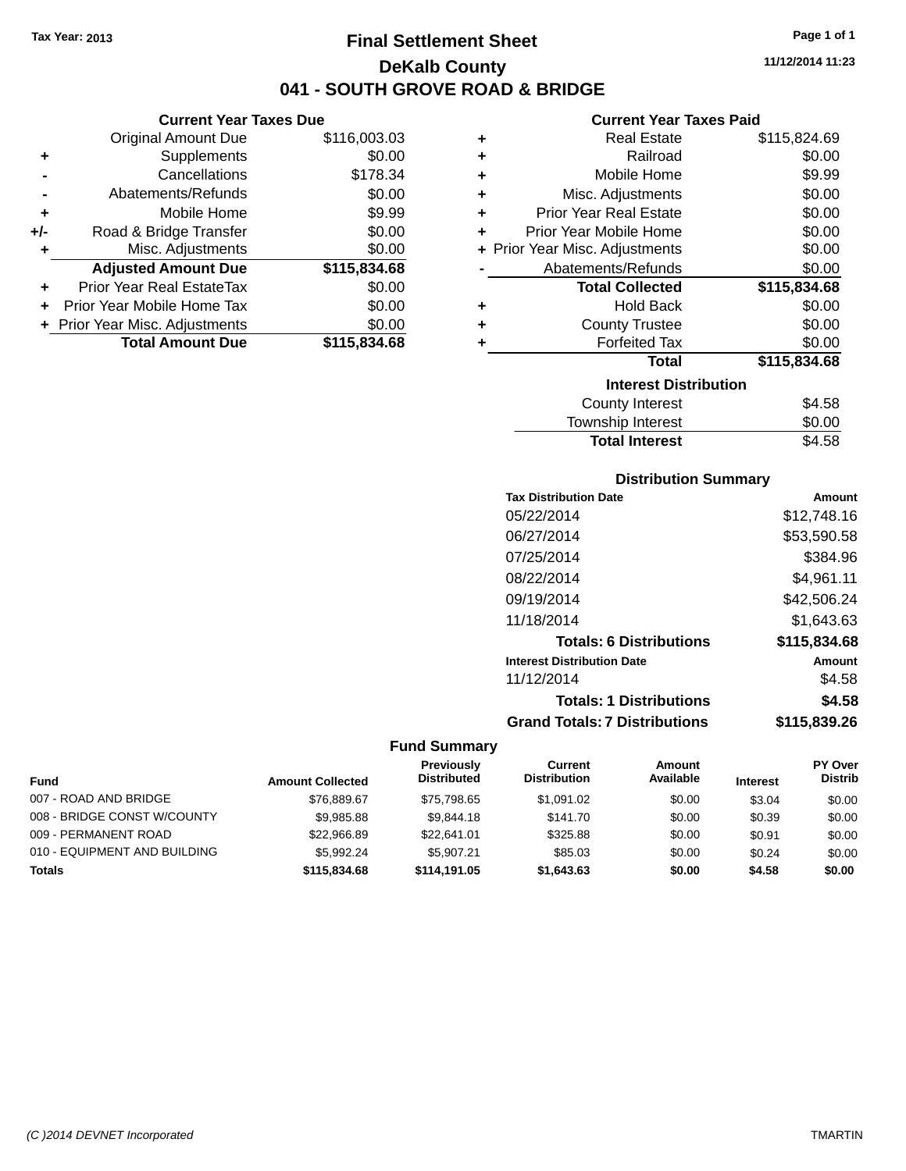# **Final Settlement Sheet Tax Year: 2013 Page 1 of 1 DeKalb County 041 GROVE ROAD & BRIDGE**

**11/12/2014 11:23**

#### **Current Year Taxes Paid**

|                | <b>Original Amount Due</b>       | \$116,003.03 | ٠ | <b>Real Estate</b>             | \$115,824.69 |
|----------------|----------------------------------|--------------|---|--------------------------------|--------------|
| ٠              | Supplements                      | \$0.00       | ٠ | Railroad                       | \$0.00       |
| $\blacksquare$ | Cancellations                    | \$178.34     |   | Mobile Home                    | \$9.99       |
| $\blacksquare$ | Abatements/Refunds               | \$0.00       | ٠ | Misc. Adjustments              | \$0.00       |
| ٠              | Mobile Home                      | \$9.99       | ٠ | <b>Prior Year Real Estate</b>  | \$0.00       |
| I-             | Road & Bridge Transfer           | \$0.00       | ٠ | Prior Year Mobile Home         | \$0.00       |
| ٠              | Misc. Adjustments                | \$0.00       |   | + Prior Year Misc. Adjustments | \$0.00       |
|                | <b>Adjusted Amount Due</b>       | \$115,834.68 |   | Abatements/Refunds             | \$0.00       |
| ÷              | <b>Prior Year Real EstateTax</b> | \$0.00       |   | <b>Total Collected</b>         | \$115,834.68 |
|                | + Prior Year Mobile Home Tax     | \$0.00       | ٠ | <b>Hold Back</b>               | \$0.00       |
|                | + Prior Year Misc. Adjustments   | \$0.00       | ٠ | <b>County Trustee</b>          | \$0.00       |
|                | <b>Total Amount Due</b>          | \$115,834.68 |   | <b>Forfeited Tax</b>           | \$0.00       |
|                |                                  |              |   | <b>Total</b>                   | \$115,834.68 |
|                |                                  |              |   | <b>Interest Distribution</b>   |              |
|                |                                  |              |   | County Interest                | \$4.58       |

 $\overline{\phantom{0}}$ 

| <b>Total Interest</b> | \$4.58 |
|-----------------------|--------|
| Township Interest     | \$0.00 |
| County Interest       | \$4.58 |

#### **Distribution Summary**

| Amount       |
|--------------|
| \$12,748.16  |
| \$53,590.58  |
| \$384.96     |
| \$4,961.11   |
| \$42,506.24  |
| \$1,643.63   |
| \$115,834.68 |
| Amount       |
| \$4.58       |
| \$4.58       |
| \$115,839.26 |
|              |

#### **Fund Summary**

|                              |                         | <b>Previously</b>  | Current             | Amount    |                 | <b>PY Over</b> |
|------------------------------|-------------------------|--------------------|---------------------|-----------|-----------------|----------------|
| <b>Fund</b>                  | <b>Amount Collected</b> | <b>Distributed</b> | <b>Distribution</b> | Available | <b>Interest</b> | <b>Distrib</b> |
| 007 - ROAD AND BRIDGE        | \$76,889.67             | \$75,798.65        | \$1.091.02          | \$0.00    | \$3.04          | \$0.00         |
| 008 - BRIDGE CONST W/COUNTY  | \$9,985.88              | \$9,844.18         | \$141.70            | \$0.00    | \$0.39          | \$0.00         |
| 009 - PERMANENT ROAD         | \$22,966.89             | \$22,641.01        | \$325.88            | \$0.00    | \$0.91          | \$0.00         |
| 010 - EQUIPMENT AND BUILDING | \$5.992.24              | \$5.907.21         | \$85.03             | \$0.00    | \$0.24          | \$0.00         |
| <b>Totals</b>                | \$115,834,68            | \$114,191.05       | \$1,643.63          | \$0.00    | \$4.58          | \$0.00         |

|     |                               | 041 - SOUTH G |
|-----|-------------------------------|---------------|
|     | <b>Current Year Taxes Due</b> |               |
|     | Original Amount Due           | \$116,003.03  |
| ٠   | Supplements                   | \$0.00        |
|     | Cancellations                 | \$178.34      |
|     | Abatements/Refunds            | \$0.00        |
| ٠   | Mobile Home                   | \$9.99        |
| +/- | Road & Bridge Transfer        | \$0.00        |
| ٠   | Misc. Adjustments             | \$0.00        |
|     | <b>Adjusted Amount Due</b>    | \$115,834.68  |
| ٠   | Prior Year Real EstateTax     | \$0.00        |
|     | Prior Year Mobile Home Tax    | \$0.00        |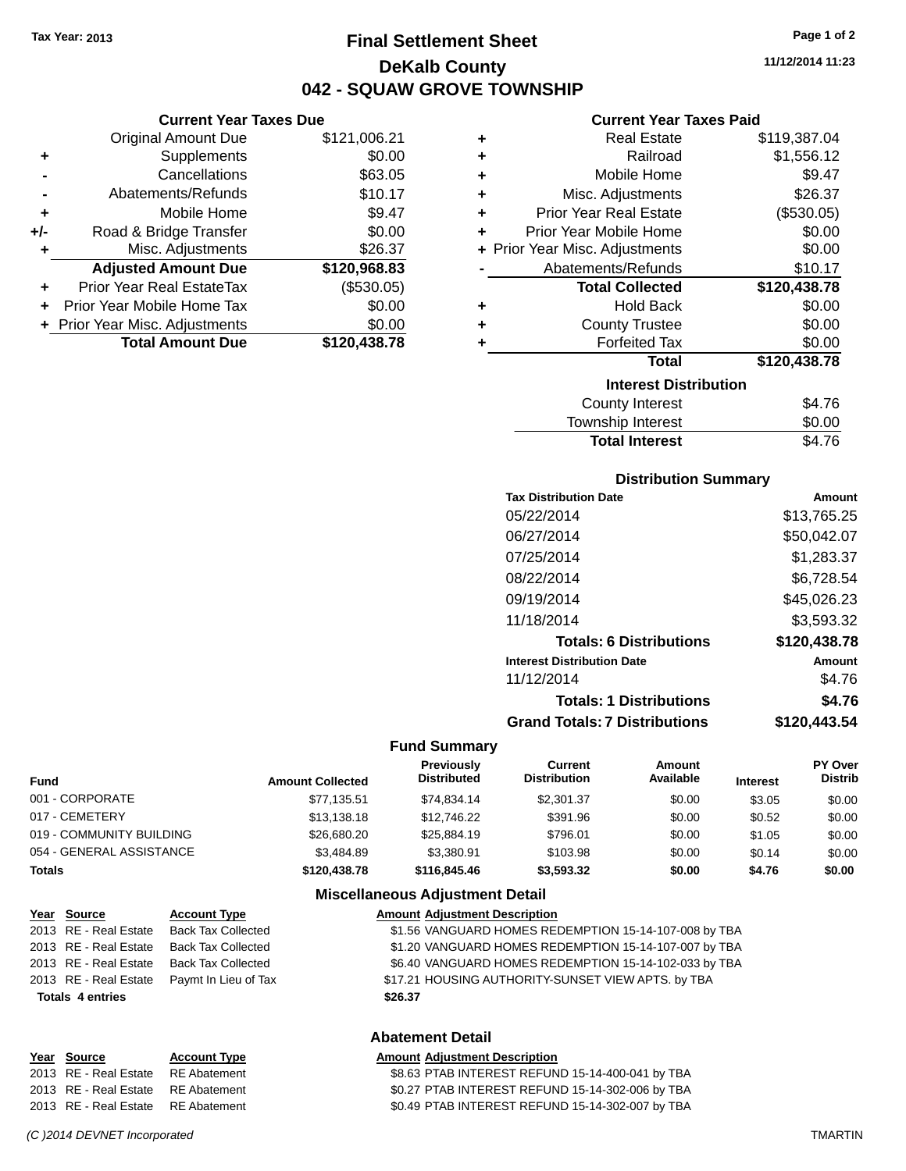**Current Year Taxes Due** Original Amount Due \$121,006.21

**Adjusted Amount Due \$120,968.83**

**Total Amount Due \$120,438.78**

**+** Supplements \$0.00 **-** Cancellations \$63.05 **-** Abatements/Refunds \$10.17 **+** Mobile Home \$9.47 **+/-** Road & Bridge Transfer \$0.00 **+** Misc. Adjustments \$26.37

**+** Prior Year Real EstateTax (\$530.05) **+** Prior Year Mobile Home Tax \$0.00 **+ Prior Year Misc. Adjustments**  $$0.00$ 

# **Final Settlement Sheet Tax Year: 2013 Page 1 of 2 DeKalb County 042 - SQUAW GROVE TOWNSHIP**

**11/12/2014 11:23**

#### **Current Year Taxes Paid**

| ٠ | <b>Real Estate</b>             | \$119,387.04 |
|---|--------------------------------|--------------|
| ÷ | Railroad                       | \$1,556.12   |
| ÷ | Mobile Home                    | \$9.47       |
| ÷ | Misc. Adjustments              | \$26.37      |
| ÷ | <b>Prior Year Real Estate</b>  | (\$530.05)   |
| ÷ | <b>Prior Year Mobile Home</b>  | \$0.00       |
|   | + Prior Year Misc. Adjustments | \$0.00       |
|   | Abatements/Refunds             | \$10.17      |
|   | <b>Total Collected</b>         | \$120,438.78 |
| ٠ | <b>Hold Back</b>               | \$0.00       |
| ٠ | <b>County Trustee</b>          | \$0.00       |
| ÷ | <b>Forfeited Tax</b>           | \$0.00       |
|   | <b>Total</b>                   | \$120,438.78 |
|   | <b>Interest Distribution</b>   |              |
|   | <b>County Interest</b>         | \$4.76       |
|   | <b>Township Interest</b>       | \$0.00       |

| TOWITSHIP THICLEST    | JU.UU  |
|-----------------------|--------|
| <b>Total Interest</b> | \$4.76 |
|                       |        |

#### **Distribution Summary**

| <b>Tax Distribution Date</b>         | Amount       |
|--------------------------------------|--------------|
| 05/22/2014                           | \$13,765.25  |
| 06/27/2014                           | \$50,042.07  |
| 07/25/2014                           | \$1,283.37   |
| 08/22/2014                           | \$6,728.54   |
| 09/19/2014                           | \$45,026.23  |
| 11/18/2014                           | \$3,593.32   |
| <b>Totals: 6 Distributions</b>       | \$120,438.78 |
| <b>Interest Distribution Date</b>    | Amount       |
| 11/12/2014                           | \$4.76       |
| <b>Totals: 1 Distributions</b>       | \$4.76       |
| <b>Grand Totals: 7 Distributions</b> | \$120,443.54 |
|                                      |              |

#### **Fund Summary**

| <b>Fund</b>              | <b>Amount Collected</b> | Previously<br><b>Distributed</b> | Current<br><b>Distribution</b> | Amount<br>Available | <b>Interest</b> | <b>PY Over</b><br><b>Distrib</b> |
|--------------------------|-------------------------|----------------------------------|--------------------------------|---------------------|-----------------|----------------------------------|
| 001 - CORPORATE          | \$77,135.51             | \$74.834.14                      | \$2,301.37                     | \$0.00              | \$3.05          | \$0.00                           |
| 017 - CEMETERY           | \$13,138.18             | \$12,746.22                      | \$391.96                       | \$0.00              | \$0.52          | \$0.00                           |
| 019 - COMMUNITY BUILDING | \$26,680.20             | \$25,884.19                      | \$796.01                       | \$0.00              | \$1.05          | \$0.00                           |
| 054 - GENERAL ASSISTANCE | \$3,484.89              | \$3.380.91                       | \$103.98                       | \$0.00              | \$0.14          | \$0.00                           |
| Totals                   | \$120,438.78            | \$116,845,46                     | \$3,593,32                     | \$0.00              | \$4.76          | \$0.00                           |

#### **Miscellaneous Adjustment Detail**

| Year Source             | <b>Account Type</b>       | <b>Amount Adjustment Description</b>                  |
|-------------------------|---------------------------|-------------------------------------------------------|
| 2013 RE - Real Estate   | Back Tax Collected        | \$1.56 VANGUARD HOMES REDEMPTION 15-14-107-008 by TBA |
| 2013 RE - Real Estate   | Back Tax Collected        | \$1.20 VANGUARD HOMES REDEMPTION 15-14-107-007 by TBA |
| 2013 RE - Real Estate   | <b>Back Tax Collected</b> | \$6.40 VANGUARD HOMES REDEMPTION 15-14-102-033 by TBA |
| 2013 RE - Real Estate   | Paymt In Lieu of Tax      | \$17.21 HOUSING AUTHORITY-SUNSET VIEW APTS. by TBA    |
| <b>Totals 4 entries</b> |                           | \$26.37                                               |
|                         |                           |                                                       |

#### **Abatement Detail**

#### **Year Source Account Type Amount Adjustment Description**

| 2013 RE - Real Estate RE Abatement | \$8.63 PTAB INTEREST REFUND 15-14-400-041 by TBA |
|------------------------------------|--------------------------------------------------|
| 2013 RE - Real Estate RE Abatement | \$0.27 PTAB INTEREST REFUND 15-14-302-006 by TBA |
| 2013 RE - Real Estate RE Abatement | \$0.49 PTAB INTEREST REFUND 15-14-302-007 by TBA |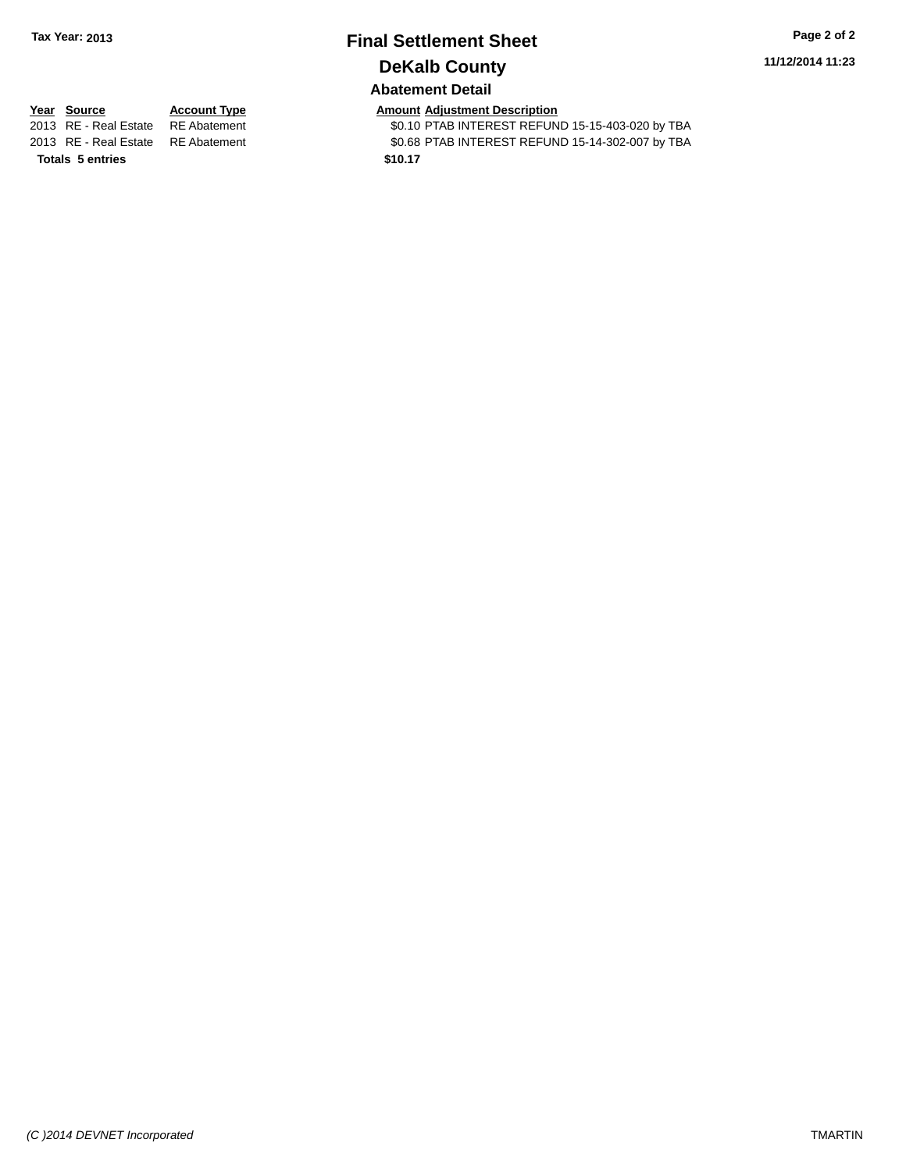# **Final Settlement Sheet Tax Year: 2013 Page 2 of 2 DeKalb County**

**11/12/2014 11:23**

### **Abatement Detail**

**Totals 5 entries \$10.17**

**Year Source Account Type Amount Adjustment Description**<br>2013 RE - Real Estate RE Abatement **Amount Adjustment COMPTAB INTEREST REFUN** \$0.10 PTAB INTEREST REFUND 15-15-403-020 by TBA 2013 RE - Real Estate RE Abatement \$0.68 PTAB INTEREST REFUND 15-14-302-007 by TBA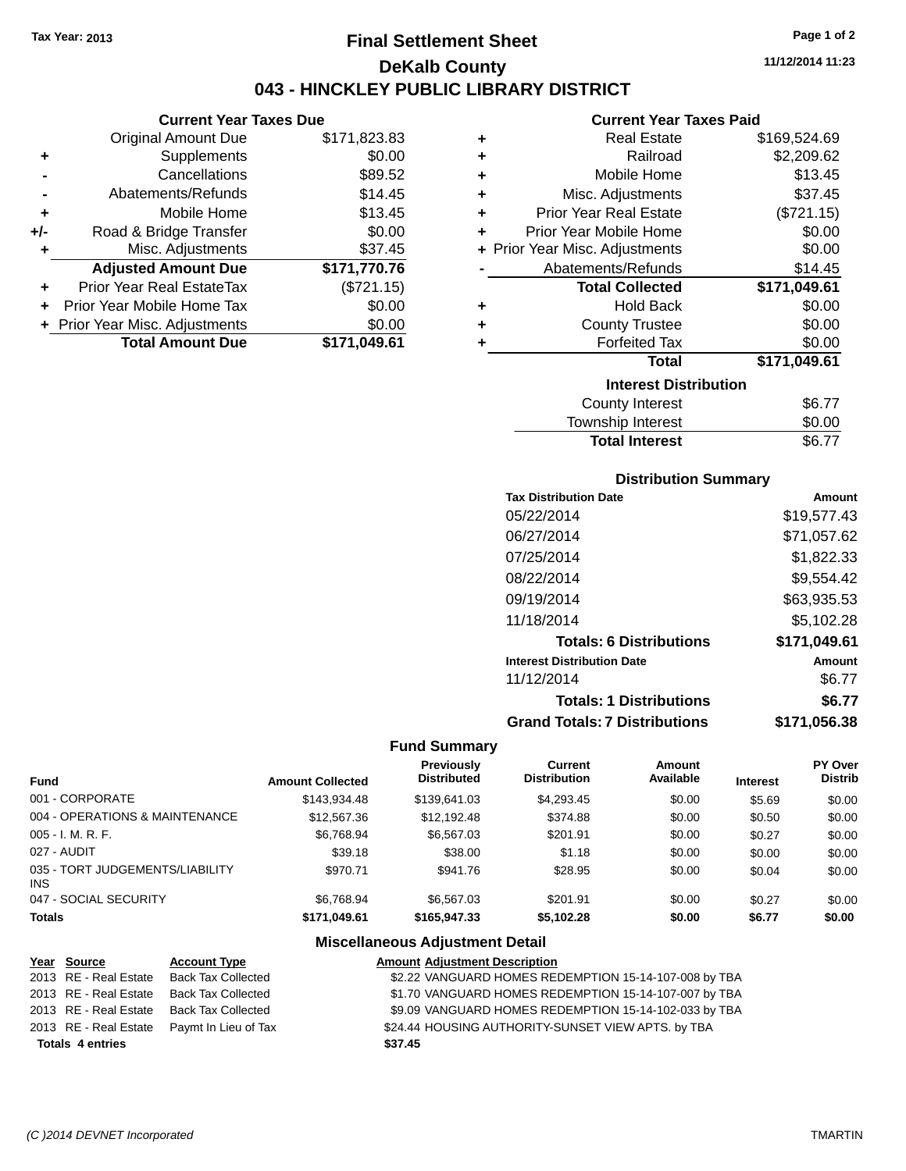# **Final Settlement Sheet Tax Year: 2013 Page 1 of 2 DeKalb County 043 - HINCKLEY PUBLIC LIBRARY DISTRICT**

**11/12/2014 11:23**

# **Current Year Taxes Paid**

|     | <b>Current Year Taxes Due</b>  |              |
|-----|--------------------------------|--------------|
|     | <b>Original Amount Due</b>     | \$171,823.83 |
|     | Supplements                    | \$0.00       |
|     | Cancellations                  | \$89.52      |
|     | Abatements/Refunds             | \$14.45      |
| ٠   | Mobile Home                    | \$13.45      |
| +/- | Road & Bridge Transfer         | \$0.00       |
|     | Misc. Adjustments              | \$37.45      |
|     | <b>Adjusted Amount Due</b>     | \$171,770.76 |
|     | Prior Year Real EstateTax      | (\$721.15)   |
|     | Prior Year Mobile Home Tax     | \$0.00       |
|     | + Prior Year Misc. Adjustments | \$0.00       |
|     | <b>Total Amount Due</b>        | \$171.049.61 |

| ٠ | <b>Real Estate</b>             | \$169,524.69 |
|---|--------------------------------|--------------|
| ٠ | Railroad                       | \$2,209.62   |
| ÷ | Mobile Home                    | \$13.45      |
| ÷ | Misc. Adjustments              | \$37.45      |
| ٠ | <b>Prior Year Real Estate</b>  | (\$721.15)   |
| ÷ | Prior Year Mobile Home         | \$0.00       |
|   | + Prior Year Misc. Adjustments | \$0.00       |
|   | Abatements/Refunds             | \$14.45      |
|   | <b>Total Collected</b>         | \$171,049.61 |
| ٠ | <b>Hold Back</b>               | \$0.00       |
| ٠ | <b>County Trustee</b>          | \$0.00       |
| ٠ | <b>Forfeited Tax</b>           | \$0.00       |
|   | <b>Total</b>                   | \$171,049.61 |
|   | <b>Interest Distribution</b>   |              |
|   | County Interest                | \$6.77       |
|   | Tourochin Internat             | ሮስ ሰሰ        |

| <b>Total Interest</b> | \$6.77       |
|-----------------------|--------------|
| Township Interest     | \$0.00       |
| <b>COUTTY THEFEST</b> | <b>JU.II</b> |

### **Distribution Summary**

| <b>Tax Distribution Date</b>         | Amount       |
|--------------------------------------|--------------|
| 05/22/2014                           | \$19,577.43  |
| 06/27/2014                           | \$71,057.62  |
| 07/25/2014                           | \$1,822.33   |
| 08/22/2014                           | \$9,554.42   |
| 09/19/2014                           | \$63,935.53  |
| 11/18/2014                           | \$5,102.28   |
| <b>Totals: 6 Distributions</b>       | \$171,049.61 |
| <b>Interest Distribution Date</b>    | Amount       |
| 11/12/2014                           | \$6.77       |
| <b>Totals: 1 Distributions</b>       | \$6.77       |
| <b>Grand Totals: 7 Distributions</b> | \$171.056.38 |

#### **Fund Summary**

| <b>Fund</b>                            | <b>Amount Collected</b> | <b>Previously</b><br><b>Distributed</b> | Current<br><b>Distribution</b> | Amount<br>Available | <b>Interest</b> | <b>PY Over</b><br><b>Distrib</b> |
|----------------------------------------|-------------------------|-----------------------------------------|--------------------------------|---------------------|-----------------|----------------------------------|
| 001 - CORPORATE                        | \$143.934.48            | \$139.641.03                            | \$4,293.45                     | \$0.00              | \$5.69          | \$0.00                           |
| 004 - OPERATIONS & MAINTENANCE         | \$12,567.36             | \$12,192.48                             | \$374.88                       | \$0.00              | \$0.50          | \$0.00                           |
| 005 - I. M. R. F.                      | \$6,768.94              | \$6,567.03                              | \$201.91                       | \$0.00              | \$0.27          | \$0.00                           |
| 027 - AUDIT                            | \$39.18                 | \$38.00                                 | \$1.18                         | \$0.00              | \$0.00          | \$0.00                           |
| 035 - TORT JUDGEMENTS/LIABILITY<br>INS | \$970.71                | \$941.76                                | \$28.95                        | \$0.00              | \$0.04          | \$0.00                           |
| 047 - SOCIAL SECURITY                  | \$6.768.94              | \$6,567.03                              | \$201.91                       | \$0.00              | \$0.27          | \$0.00                           |
| <b>Totals</b>                          | \$171.049.61            | \$165,947,33                            | \$5,102.28                     | \$0.00              | \$6.77          | \$0.00                           |

| Year Source             | <b>Account Type</b>       | <b>Amount Adjustment Description</b>                  |
|-------------------------|---------------------------|-------------------------------------------------------|
| 2013 RE - Real Estate   | <b>Back Tax Collected</b> | \$2.22 VANGUARD HOMES REDEMPTION 15-14-107-008 by TBA |
| 2013 RE - Real Estate   | <b>Back Tax Collected</b> | \$1.70 VANGUARD HOMES REDEMPTION 15-14-107-007 by TBA |
| 2013 RE - Real Estate   | <b>Back Tax Collected</b> | \$9.09 VANGUARD HOMES REDEMPTION 15-14-102-033 by TBA |
| 2013 RE - Real Estate   | Paymt In Lieu of Tax      | \$24.44 HOUSING AUTHORITY-SUNSET VIEW APTS. by TBA    |
| <b>Totals 4 entries</b> |                           | \$37.45                                               |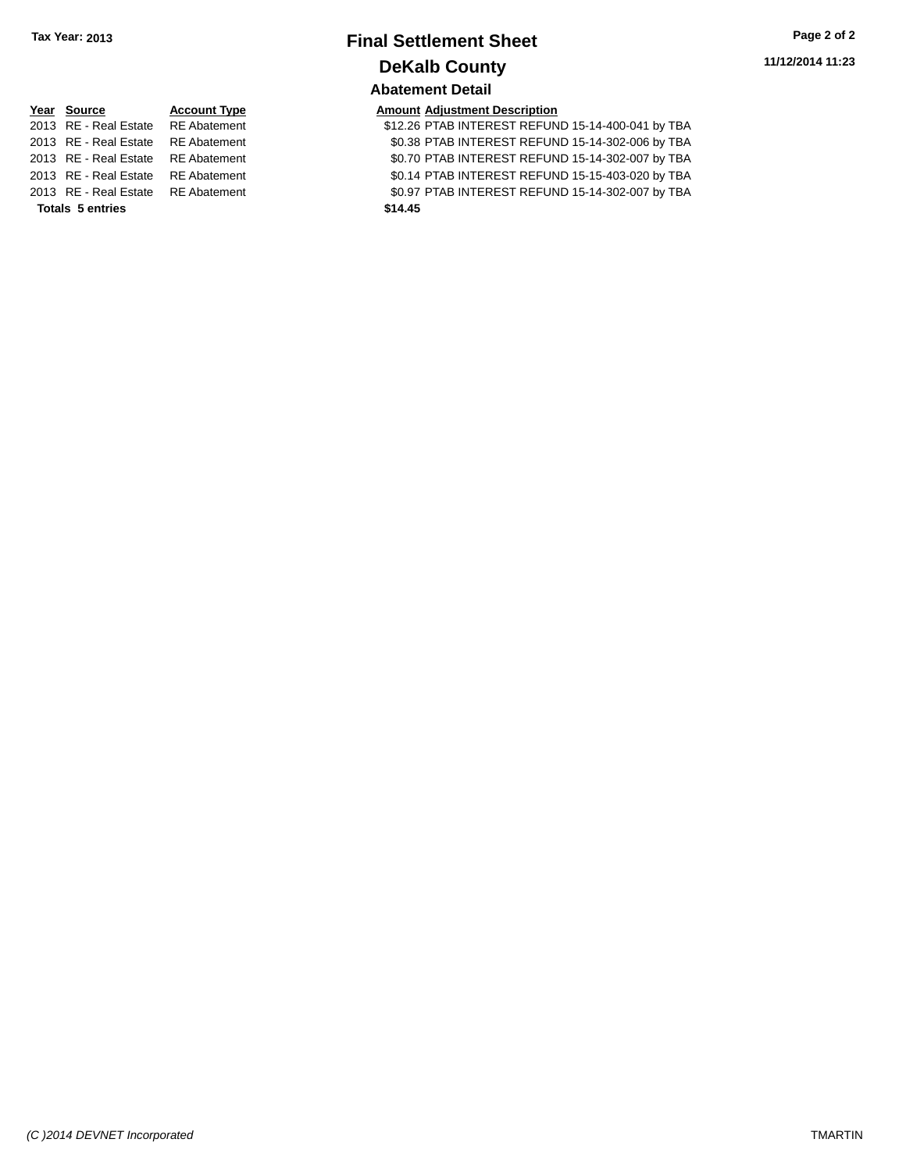# **Final Settlement Sheet Tax Year: 2013 Page 2 of 2 DeKalb County Abatement Detail**

| <b>Amount Adjustment Descript</b> |  |
|-----------------------------------|--|
|                                   |  |

| <b>Totals 5 entries</b>            | \$14.45                                           |
|------------------------------------|---------------------------------------------------|
| 2013 RE - Real Estate RE Abatement | \$0.97 PTAB INTEREST REFUND 15-14-302-007 by TBA  |
| 2013 RE - Real Estate RE Abatement | \$0.14 PTAB INTEREST REFUND 15-15-403-020 by TBA  |
| 2013 RE - Real Estate RE Abatement | \$0.70 PTAB INTEREST REFUND 15-14-302-007 by TBA  |
| 2013 RE - Real Estate RE Abatement | \$0.38 PTAB INTEREST REFUND 15-14-302-006 by TBA  |
| 2013 RE - Real Estate RE Abatement | \$12.26 PTAB INTEREST REFUND 15-14-400-041 by TBA |

| Year Source                        | <b>Account Type</b> |         | <b>Amount Adjustment Description</b> |
|------------------------------------|---------------------|---------|--------------------------------------|
| 2013 RE - Real Estate RE Abatement |                     |         | \$12.26 PTAB INTEREST REFUN          |
| 2013 RE - Real Estate RE Abatement |                     |         | \$0.38 PTAB INTEREST REFUN           |
| 2013 RE - Real Estate RE Abatement |                     |         | \$0.70 PTAB INTEREST REFUN           |
| 2013 RE - Real Estate RE Abatement |                     |         | \$0.14 PTAB INTEREST REFUN           |
| 2013 RE - Real Estate RE Abatement |                     |         | \$0.97 PTAB INTEREST REFUN           |
| <b>Totals 5 entries</b>            |                     | \$14.45 |                                      |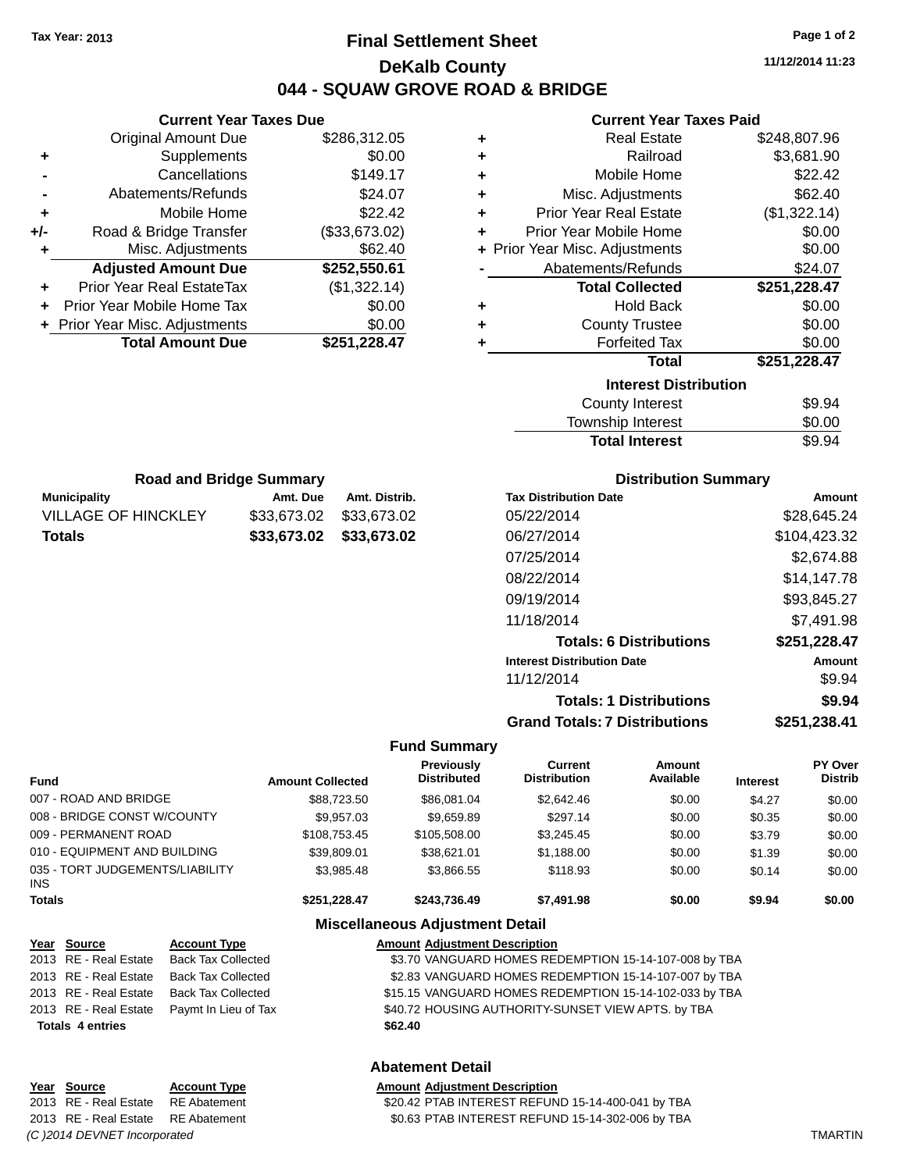# **Final Settlement Sheet Tax Year: 2013 Page 1 of 2 DeKalb County 044 - SQUAW GROVE ROAD & BRIDGE**

**11/12/2014 11:23**

#### **Current Year Taxes Paid**

|     | <b>Current Year Taxes Due</b>  |               |  |  |  |
|-----|--------------------------------|---------------|--|--|--|
|     | <b>Original Amount Due</b>     | \$286,312.05  |  |  |  |
| ٠   | Supplements                    | \$0.00        |  |  |  |
|     | \$149.17<br>Cancellations      |               |  |  |  |
|     | Abatements/Refunds             | \$24.07       |  |  |  |
| ÷   | Mobile Home                    | \$22.42       |  |  |  |
| +/- | Road & Bridge Transfer         | (\$33,673.02) |  |  |  |
|     | Misc. Adjustments              | \$62.40       |  |  |  |
|     | <b>Adjusted Amount Due</b>     | \$252,550.61  |  |  |  |
|     | Prior Year Real EstateTax      | (\$1,322.14)  |  |  |  |
|     | Prior Year Mobile Home Tax     | \$0.00        |  |  |  |
|     | + Prior Year Misc. Adjustments | \$0.00        |  |  |  |
|     | <b>Total Amount Due</b>        | \$251,228.47  |  |  |  |
|     |                                |               |  |  |  |

**Municipality Amt. Due Amt. Distrib. Road and Bridge Summary**

VILLAGE OF HINCKLEY \$33,673.02 \$33,673.02 **Totals \$33,673.02 \$33,673.02**

| ٠ | <b>Real Estate</b>             | \$248,807.96 |
|---|--------------------------------|--------------|
| ÷ | Railroad                       | \$3,681.90   |
| ٠ | Mobile Home                    | \$22.42      |
| ٠ | Misc. Adjustments              | \$62.40      |
| ÷ | <b>Prior Year Real Estate</b>  | (\$1,322.14) |
| ٠ | Prior Year Mobile Home         | \$0.00       |
|   | + Prior Year Misc. Adjustments | \$0.00       |
|   | Abatements/Refunds             | \$24.07      |
|   | <b>Total Collected</b>         | \$251,228.47 |
| ٠ | <b>Hold Back</b>               | \$0.00       |
| ٠ | <b>County Trustee</b>          | \$0.00       |
| ٠ | <b>Forfeited Tax</b>           |              |
|   |                                | \$0.00       |
|   | <b>Total</b>                   | \$251,228.47 |
|   | <b>Interest Distribution</b>   |              |
|   | <b>County Interest</b>         | \$9.94       |

| Township Interest     | \$0.00 |
|-----------------------|--------|
| <b>Total Interest</b> | \$9.94 |

| <b>Distribution Summary</b>          |              |
|--------------------------------------|--------------|
| <b>Tax Distribution Date</b>         | Amount       |
| 05/22/2014                           | \$28,645.24  |
| 06/27/2014                           | \$104,423.32 |
| 07/25/2014                           | \$2,674.88   |
| 08/22/2014                           | \$14.147.78  |
| 09/19/2014                           | \$93,845.27  |
| 11/18/2014                           | \$7,491.98   |
| <b>Totals: 6 Distributions</b>       | \$251,228.47 |
| <b>Interest Distribution Date</b>    | Amount       |
| 11/12/2014                           | \$9.94       |
| <b>Totals: 1 Distributions</b>       | \$9.94       |
| <b>Grand Totals: 7 Distributions</b> | \$251,238.41 |

#### **Fund Summary**

| <b>Fund</b>                                   | <b>Amount Collected</b> | Previously<br><b>Distributed</b> | Current<br><b>Distribution</b> | <b>Amount</b><br>Available | <b>Interest</b> | <b>PY Over</b><br><b>Distrib</b> |
|-----------------------------------------------|-------------------------|----------------------------------|--------------------------------|----------------------------|-----------------|----------------------------------|
| 007 - ROAD AND BRIDGE                         | \$88,723.50             | \$86,081,04                      | \$2,642.46                     | \$0.00                     | \$4.27          | \$0.00                           |
| 008 - BRIDGE CONST W/COUNTY                   | \$9.957.03              | \$9.659.89                       | \$297.14                       | \$0.00                     | \$0.35          | \$0.00                           |
| 009 - PERMANENT ROAD                          | \$108,753,45            | \$105,508.00                     | \$3,245.45                     | \$0.00                     | \$3.79          | \$0.00                           |
| 010 - EQUIPMENT AND BUILDING                  | \$39,809.01             | \$38.621.01                      | \$1.188.00                     | \$0.00                     | \$1.39          | \$0.00                           |
| 035 - TORT JUDGEMENTS/LIABILITY<br><b>INS</b> | \$3.985.48              | \$3,866.55                       | \$118.93                       | \$0.00                     | \$0.14          | \$0.00                           |
| <b>Totals</b>                                 | \$251.228.47            | \$243.736.49                     | \$7.491.98                     | \$0.00                     | \$9.94          | \$0.00                           |

#### **Miscellaneous Adjustment Detail**

| Year Source             | <b>Account Type</b>                        | <b>Amount Adjustment Description</b>                   |
|-------------------------|--------------------------------------------|--------------------------------------------------------|
| 2013 RE - Real Estate   | <b>Back Tax Collected</b>                  | \$3.70 VANGUARD HOMES REDEMPTION 15-14-107-008 by TBA  |
| 2013 RE - Real Estate   | Back Tax Collected                         | \$2.83 VANGUARD HOMES REDEMPTION 15-14-107-007 by TBA  |
| 2013 RE - Real Estate   | <b>Back Tax Collected</b>                  | \$15.15 VANGUARD HOMES REDEMPTION 15-14-102-033 by TBA |
|                         | 2013 RE - Real Estate Paymt In Lieu of Tax | \$40.72 HOUSING AUTHORITY-SUNSET VIEW APTS. by TBA     |
| <b>Totals 4 entries</b> |                                            | \$62.40                                                |

#### **Abatement Detail**

## **Year** Source **Account Type Account Adjustment Description** 2013 RE - Real Estate RE Abatement \$0.63 PTAB INTEREST REFUND 15-14-302-006 by TBA *(C )2014 DEVNET Incorporated* TMARTIN

# 2013 RE - Real Estate RE Abatement \$20.42 PTAB INTEREST REFUND 15-14-400-041 by TBA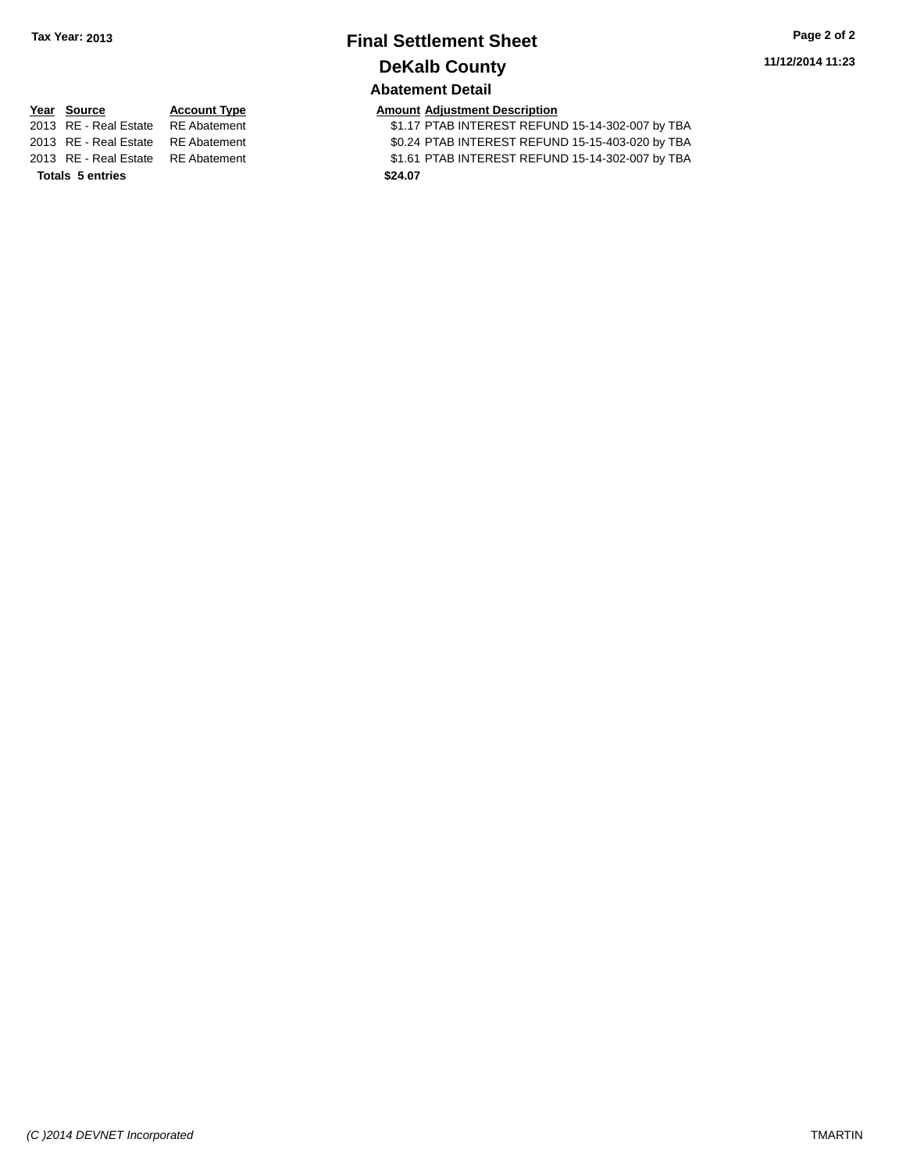# **Final Settlement Sheet Tax Year: 2013 Page 2 of 2 DeKalb County Abatement Detail**

**11/12/2014 11:23**

| <b>Totals 5 entries</b>            | \$24.07 |        |
|------------------------------------|---------|--------|
| 2013 RE - Real Estate RE Abatement |         | \$1.61 |
| 2013 RE - Real Estate RE Abatement |         | \$0.24 |
| 2013 RE - Real Estate RE Abatement |         | \$1.17 |

**Year Source Account Type**<br>
2013 RE - Real Estate RE Abatement **Adjustment Adjustment Description**<br>
\$1.17 PTAB INTEREST REFI IN 2013 ant 2013 Real Estate Real Estate Real Estate State State State State State State State State State State S 2013 RE - Real Estate RE Abatement \$0.24 PTAB INTEREST REFUND 15-15-403-020 by TBA 2013 RE - Real Estate RE Abatement \$1.61 PTAB INTEREST REFUND 15-14-302-007 by TBA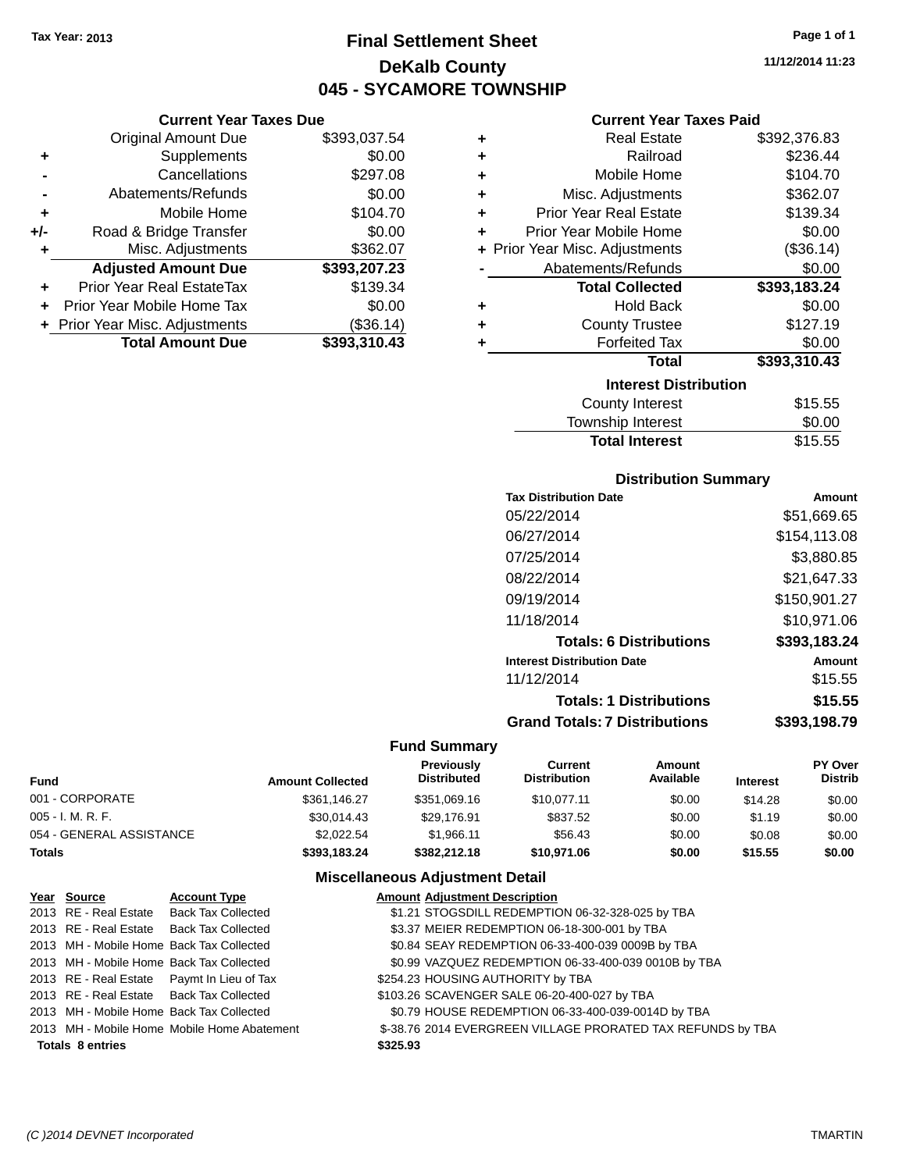**Current Year Taxes Due** Original Amount Due \$393,037.54

**Adjusted Amount Due \$393,207.23**

**Total Amount Due \$393,310.43**

**+** Supplements \$0.00 **-** Cancellations \$297.08 **-** Abatements/Refunds \$0.00 **+** Mobile Home \$104.70 **+/-** Road & Bridge Transfer \$0.00<br> **+** Misc. Adjustments \$362.07

**+** Prior Year Real EstateTax \$139.34 **+** Prior Year Mobile Home Tax \$0.00 **+** Prior Year Misc. Adjustments (\$36.14)

**+** Misc. Adjustments

# **Final Settlement Sheet Tax Year: 2013 Page 1 of 1 DeKalb County 045 - SYCAMORE TOWNSHIP**

**11/12/2014 11:23**

| <b>Current Year Taxes Paid</b> |  |  |  |
|--------------------------------|--|--|--|
|--------------------------------|--|--|--|

| ٠ | <b>Real Estate</b>             | \$392,376.83 |
|---|--------------------------------|--------------|
| ٠ | Railroad                       | \$236.44     |
| ÷ | Mobile Home                    | \$104.70     |
| ٠ | Misc. Adjustments              | \$362.07     |
| ٠ | <b>Prior Year Real Estate</b>  | \$139.34     |
| ÷ | Prior Year Mobile Home         | \$0.00       |
|   | + Prior Year Misc. Adjustments | (\$36.14)    |
|   | Abatements/Refunds             | \$0.00       |
|   | <b>Total Collected</b>         | \$393,183.24 |
| ٠ | <b>Hold Back</b>               | \$0.00       |
| ٠ | <b>County Trustee</b>          | \$127.19     |
| ٠ | <b>Forfeited Tax</b>           | \$0.00       |
|   | Total                          | \$393,310.43 |
|   | <b>Interest Distribution</b>   |              |
|   | <b>County Interest</b>         | \$15.55      |
|   | Townshin Interest              | ፍስ ሰስ        |

| \$15.55 |
|---------|
|         |

#### **Distribution Summary**

| <b>Tax Distribution Date</b>         | Amount       |
|--------------------------------------|--------------|
| 05/22/2014                           | \$51,669.65  |
| 06/27/2014                           | \$154,113.08 |
| 07/25/2014                           | \$3,880.85   |
| 08/22/2014                           | \$21,647.33  |
| 09/19/2014                           | \$150,901.27 |
| 11/18/2014                           | \$10,971.06  |
| <b>Totals: 6 Distributions</b>       | \$393,183.24 |
| <b>Interest Distribution Date</b>    | Amount       |
| 11/12/2014                           | \$15.55      |
| <b>Totals: 1 Distributions</b>       | \$15.55      |
| <b>Grand Totals: 7 Distributions</b> | \$393.198.79 |
|                                      |              |

#### **Fund Summary**

| <b>Fund</b>              | <b>Amount Collected</b> | <b>Previously</b><br><b>Distributed</b> | Current<br><b>Distribution</b> | Amount<br>Available | <b>Interest</b> | <b>PY Over</b><br><b>Distrib</b> |
|--------------------------|-------------------------|-----------------------------------------|--------------------------------|---------------------|-----------------|----------------------------------|
| 001 - CORPORATE          | \$361.146.27            | \$351,069.16                            | \$10.077.11                    | \$0.00              | \$14.28         | \$0.00                           |
| 005 - I. M. R. F.        | \$30.014.43             | \$29,176.91                             | \$837.52                       | \$0.00              | \$1.19          | \$0.00                           |
| 054 - GENERAL ASSISTANCE | \$2,022.54              | \$1.966.11                              | \$56.43                        | \$0.00              | \$0.08          | \$0.00                           |
| Totals                   | \$393,183.24            | \$382,212,18                            | \$10,971.06                    | \$0.00              | \$15.55         | \$0.00                           |

| Year Source             | <b>Account Type</b>                         |          | <b>Amount Adjustment Description</b>                        |
|-------------------------|---------------------------------------------|----------|-------------------------------------------------------------|
|                         | 2013 RE - Real Estate Back Tax Collected    |          | \$1.21 STOGSDILL REDEMPTION 06-32-328-025 by TBA            |
|                         | 2013 RE - Real Estate Back Tax Collected    |          | \$3.37 MEIER REDEMPTION 06-18-300-001 by TBA                |
|                         | 2013 MH - Mobile Home Back Tax Collected    |          | \$0.84 SEAY REDEMPTION 06-33-400-039 0009B by TBA           |
|                         | 2013 MH - Mobile Home Back Tax Collected    |          | \$0.99 VAZQUEZ REDEMPTION 06-33-400-039 0010B by TBA        |
|                         | 2013 RE - Real Estate Paymt In Lieu of Tax  |          | \$254.23 HOUSING AUTHORITY by TBA                           |
|                         | 2013 RE - Real Estate Back Tax Collected    |          | \$103.26 SCAVENGER SALE 06-20-400-027 by TBA                |
|                         | 2013 MH - Mobile Home Back Tax Collected    |          | \$0.79 HOUSE REDEMPTION 06-33-400-039-0014D by TBA          |
|                         | 2013 MH - Mobile Home Mobile Home Abatement |          | \$-38.76 2014 EVERGREEN VILLAGE PRORATED TAX REFUNDS by TBA |
| <b>Totals 8 entries</b> |                                             | \$325.93 |                                                             |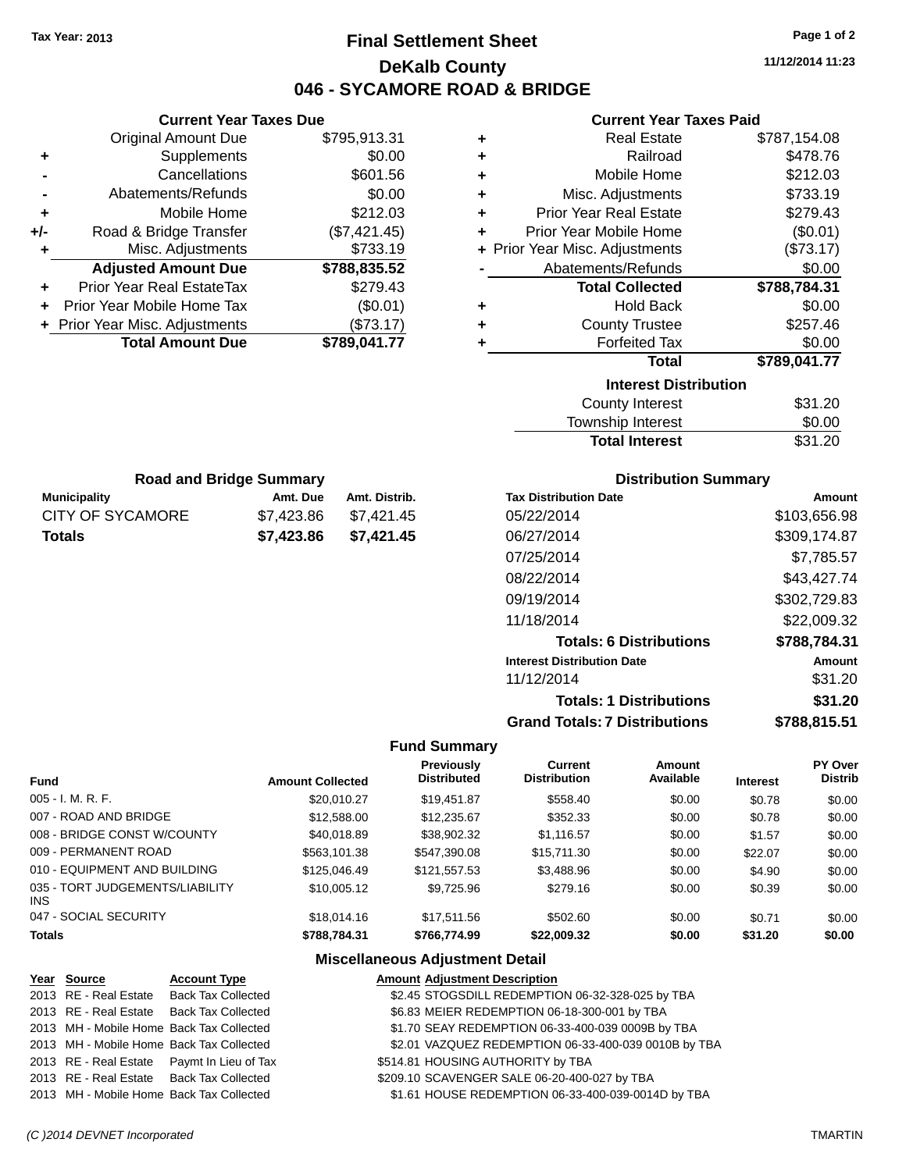# **Final Settlement Sheet Tax Year: 2013 Page 1 of 2 DeKalb County 046 - SYCAMORE ROAD & BRIDGE**

**11/12/2014 11:23**

#### **Current Year Taxes Paid**

|     | Gurrent rear laxes Due           |              |
|-----|----------------------------------|--------------|
|     | <b>Original Amount Due</b>       | \$795,913.31 |
| ٠   | Supplements                      | \$0.00       |
|     | Cancellations                    | \$601.56     |
|     | Abatements/Refunds               | \$0.00       |
| ÷   | Mobile Home                      | \$212.03     |
| +/- | Road & Bridge Transfer           | (\$7,421.45) |
| ٠   | Misc. Adjustments                | \$733.19     |
|     | <b>Adjusted Amount Due</b>       | \$788,835.52 |
| ٠   | <b>Prior Year Real EstateTax</b> | \$279.43     |
| ÷   | Prior Year Mobile Home Tax       | (\$0.01)     |
|     | + Prior Year Misc. Adjustments   | (\$73.17)    |
|     | <b>Total Amount Due</b>          | \$789,041.77 |
|     |                                  |              |
|     |                                  |              |
|     |                                  |              |
|     |                                  |              |
|     |                                  |              |

**Current Year Taxes Due**

|   | <b>Real Estate</b>             | \$787,154.08 |
|---|--------------------------------|--------------|
| ٠ | Railroad                       | \$478.76     |
| ٠ | Mobile Home                    | \$212.03     |
| ٠ | Misc. Adjustments              | \$733.19     |
| ٠ | <b>Prior Year Real Estate</b>  | \$279.43     |
| ٠ | Prior Year Mobile Home         | (\$0.01)     |
|   | + Prior Year Misc. Adjustments | (\$73.17)    |
|   | Abatements/Refunds             | \$0.00       |
|   | <b>Total Collected</b>         | \$788,784.31 |
| ٠ | <b>Hold Back</b>               | \$0.00       |
| ÷ | <b>County Trustee</b>          | \$257.46     |
| ٠ | <b>Forfeited Tax</b>           | \$0.00       |
|   | <b>Total</b>                   | \$789,041.77 |
|   | <b>Interest Distribution</b>   |              |
|   | <b>County Interest</b>         | \$31.20      |
|   | <b>Township Interest</b>       | \$0.00       |
|   | <b>Total Interest</b>          | \$31.20      |

| <b>Road and Bridge Summary</b> |            |               |  |  |
|--------------------------------|------------|---------------|--|--|
| <b>Municipality</b>            | Amt. Due   | Amt. Distrib. |  |  |
| CITY OF SYCAMORE               | \$7.423.86 | \$7,421.45    |  |  |
| <b>Totals</b>                  | \$7,423.86 | \$7,421.45    |  |  |

### **Distribution Summary**

| <b>Tax Distribution Date</b>         | Amount       |
|--------------------------------------|--------------|
| 05/22/2014                           | \$103.656.98 |
| 06/27/2014                           | \$309.174.87 |
| 07/25/2014                           | \$7,785.57   |
| 08/22/2014                           | \$43,427.74  |
| 09/19/2014                           | \$302,729.83 |
| 11/18/2014                           | \$22,009.32  |
| <b>Totals: 6 Distributions</b>       | \$788,784.31 |
| <b>Interest Distribution Date</b>    | Amount       |
| 11/12/2014                           | \$31.20      |
| <b>Totals: 1 Distributions</b>       | \$31.20      |
| <b>Grand Totals: 7 Distributions</b> | \$788,815.51 |

#### **Fund Summary**

|                                         |                         | <b>Previously</b>  | Current             | Amount    |                 | <b>PY Over</b> |
|-----------------------------------------|-------------------------|--------------------|---------------------|-----------|-----------------|----------------|
| <b>Fund</b>                             | <b>Amount Collected</b> | <b>Distributed</b> | <b>Distribution</b> | Available | <b>Interest</b> | <b>Distrib</b> |
| $005 - I. M. R. F.$                     | \$20,010.27             | \$19,451.87        | \$558.40            | \$0.00    | \$0.78          | \$0.00         |
| 007 - ROAD AND BRIDGE                   | \$12,588.00             | \$12,235.67        | \$352.33            | \$0.00    | \$0.78          | \$0.00         |
| 008 - BRIDGE CONST W/COUNTY             | \$40,018.89             | \$38,902.32        | \$1,116.57          | \$0.00    | \$1.57          | \$0.00         |
| 009 - PERMANENT ROAD                    | \$563,101.38            | \$547,390.08       | \$15,711.30         | \$0.00    | \$22.07         | \$0.00         |
| 010 - EQUIPMENT AND BUILDING            | \$125,046.49            | \$121,557.53       | \$3,488.96          | \$0.00    | \$4.90          | \$0.00         |
| 035 - TORT JUDGEMENTS/LIABILITY<br>INS. | \$10,005.12             | \$9,725.96         | \$279.16            | \$0.00    | \$0.39          | \$0.00         |
| 047 - SOCIAL SECURITY                   | \$18,014.16             | \$17.511.56        | \$502.60            | \$0.00    | \$0.71          | \$0.00         |
| <b>Totals</b>                           | \$788.784.31            | \$766,774.99       | \$22,009.32         | \$0.00    | \$31.20         | \$0.00         |

| Year Source | <b>Account Type</b>                        | <b>Amount Adjustment Description</b>                 |
|-------------|--------------------------------------------|------------------------------------------------------|
|             | 2013 RE - Real Estate Back Tax Collected   | \$2.45 STOGSDILL REDEMPTION 06-32-328-025 by TBA     |
|             | 2013 RE - Real Estate Back Tax Collected   | \$6.83 MEIER REDEMPTION 06-18-300-001 by TBA         |
|             | 2013 MH - Mobile Home Back Tax Collected   | \$1.70 SEAY REDEMPTION 06-33-400-039 0009B by TBA    |
|             | 2013 MH - Mobile Home Back Tax Collected   | \$2.01 VAZQUEZ REDEMPTION 06-33-400-039 0010B by TBA |
|             | 2013 RE - Real Estate Paymt In Lieu of Tax | \$514.81 HOUSING AUTHORITY by TBA                    |
|             | 2013 RE - Real Estate Back Tax Collected   | \$209.10 SCAVENGER SALE 06-20-400-027 by TBA         |
|             | 2013 MH - Mobile Home Back Tax Collected   | \$1.61 HOUSE REDEMPTION 06-33-400-039-0014D by TBA   |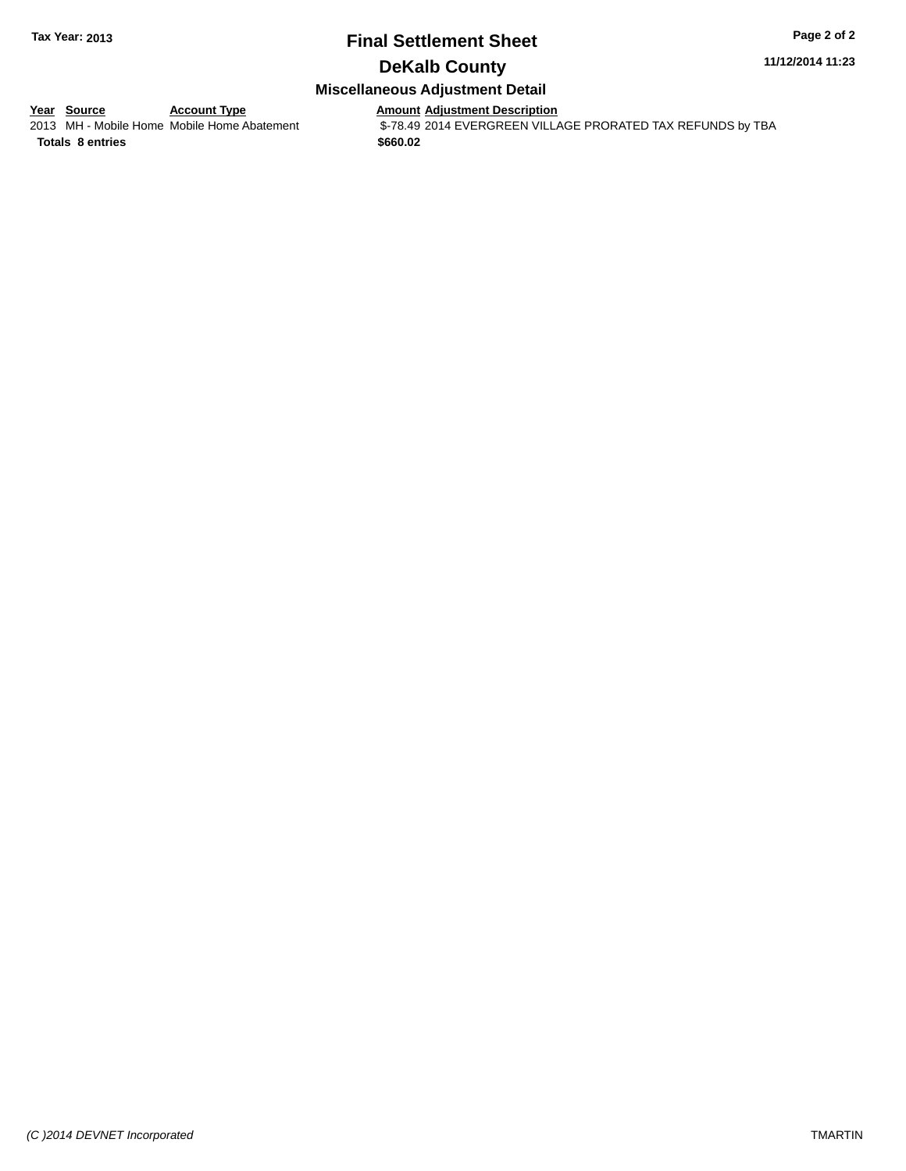# **Final Settlement Sheet Tax Year: 2013 Page 2 of 2**

## **DeKalb County**

# **Miscellaneous Adjustment Detail**

**<u>Year Source</u>**<br>
2013 MH - Mobile Home Mobile Home Abatement

Amount Adjustment Description<br>\$-78.49 2014 EVERGREEN VILLAGE PRORATED TAX REFUNDS by TBA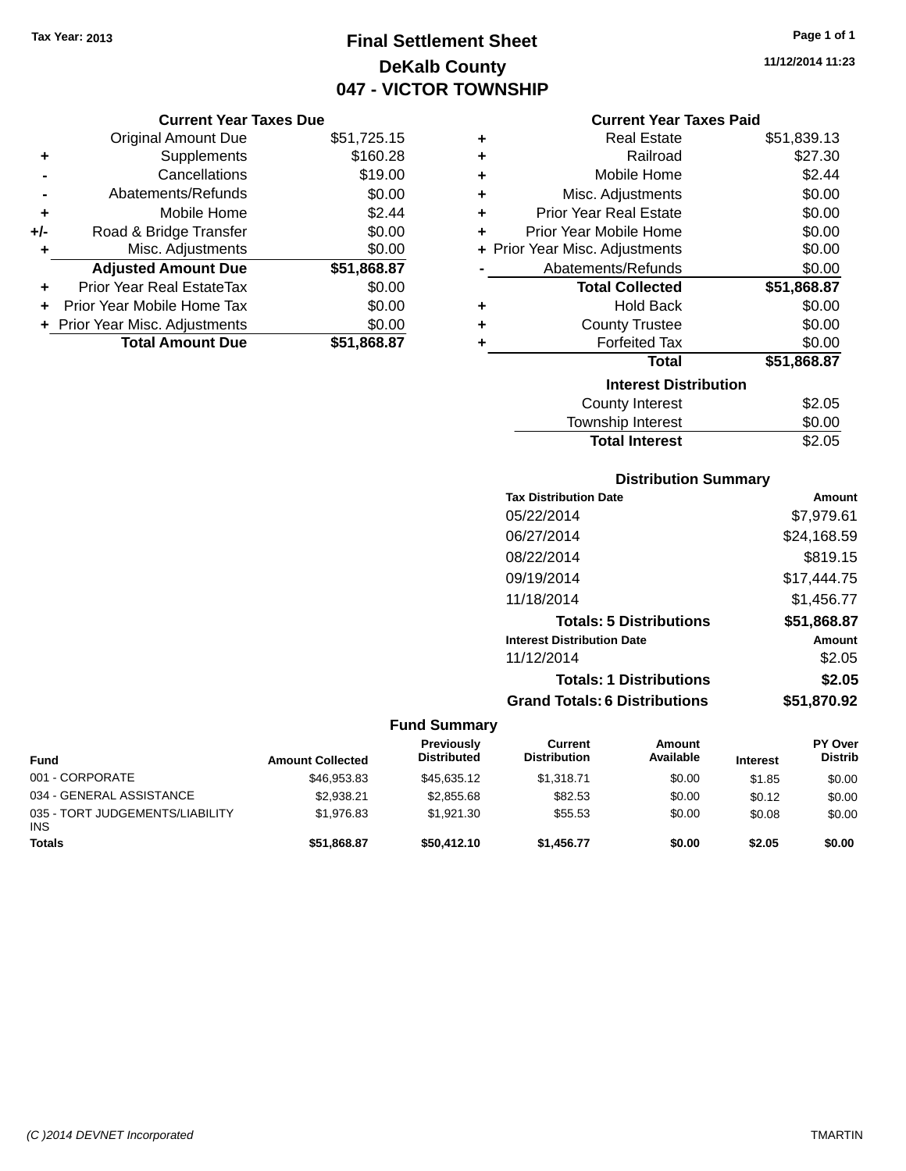# **Final Settlement Sheet Tax Year: 2013 Page 1 of 1 DeKalb County 047 - VICTOR TOWNSHIP**

#### **Current Year Taxes Due**

|     | OUITUR TUUT TUAUS DUU            |             |  |
|-----|----------------------------------|-------------|--|
|     | <b>Original Amount Due</b>       | \$51,725.15 |  |
| ٠   | Supplements                      | \$160.28    |  |
|     | Cancellations                    | \$19.00     |  |
|     | Abatements/Refunds               | \$0.00      |  |
| ٠   | Mobile Home                      | \$2.44      |  |
| +/- | Road & Bridge Transfer           | \$0.00      |  |
| ÷   | Misc. Adjustments                | \$0.00      |  |
|     | <b>Adjusted Amount Due</b>       | \$51,868.87 |  |
| ٠   | <b>Prior Year Real EstateTax</b> | \$0.00      |  |
|     | Prior Year Mobile Home Tax       | \$0.00      |  |
|     | + Prior Year Misc. Adjustments   | \$0.00      |  |
|     | <b>Total Amount Due</b>          | \$51,868.87 |  |

|   | <b>Current Year Taxes Paid</b> |             |
|---|--------------------------------|-------------|
| ٠ | Real Estate                    | \$51,839.13 |
| ÷ | Railroad                       | \$27.30     |
| ÷ | Mobile Home                    | \$2.44      |
| ٠ | Misc. Adjustments              | \$0.00      |
| ÷ | <b>Prior Year Real Estate</b>  | \$0.00      |
| ٠ | Prior Year Mobile Home         | \$0.00      |
|   | + Prior Year Misc. Adjustments | \$0.00      |
|   | Abatements/Refunds             | \$0.00      |
|   | <b>Total Collected</b>         | \$51,868.87 |
| ٠ | <b>Hold Back</b>               | \$0.00      |
| ٠ | <b>County Trustee</b>          | \$0.00      |
| ÷ | <b>Forfeited Tax</b>           | \$0.00      |
|   | Total                          | \$51,868.87 |
|   | <b>Interest Distribution</b>   |             |
|   | <b>County Interest</b>         | \$2.05      |
|   | <b>Township Interest</b>       | \$0.00      |

# Total Interest \$2.05

| <b>Distribution Summary</b>          |               |
|--------------------------------------|---------------|
| <b>Tax Distribution Date</b>         | <b>Amount</b> |
| 05/22/2014                           | \$7,979.61    |
| 06/27/2014                           | \$24,168.59   |
| 08/22/2014                           | \$819.15      |
| 09/19/2014                           | \$17.444.75   |
| 11/18/2014                           | \$1,456.77    |
| <b>Totals: 5 Distributions</b>       | \$51,868.87   |
| <b>Interest Distribution Date</b>    | Amount        |
| 11/12/2014                           | \$2.05        |
| <b>Totals: 1 Distributions</b>       | \$2.05        |
| <b>Grand Totals: 6 Distributions</b> | \$51,870.92   |

#### **Fund Summary**

| <b>Fund</b>                                   | <b>Amount Collected</b> | Previously<br><b>Distributed</b> | Current<br><b>Distribution</b> | Amount<br>Available | <b>Interest</b> | <b>PY Over</b><br><b>Distrib</b> |
|-----------------------------------------------|-------------------------|----------------------------------|--------------------------------|---------------------|-----------------|----------------------------------|
| 001 - CORPORATE                               | \$46,953.83             | \$45.635.12                      | \$1.318.71                     | \$0.00              | \$1.85          | \$0.00                           |
| 034 - GENERAL ASSISTANCE                      | \$2.938.21              | \$2,855.68                       | \$82.53                        | \$0.00              | \$0.12          | \$0.00                           |
| 035 - TORT JUDGEMENTS/LIABILITY<br><b>INS</b> | \$1.976.83              | \$1.921.30                       | \$55.53                        | \$0.00              | \$0.08          | \$0.00                           |
| <b>Totals</b>                                 | \$51,868.87             | \$50,412.10                      | \$1.456.77                     | \$0.00              | \$2.05          | \$0.00                           |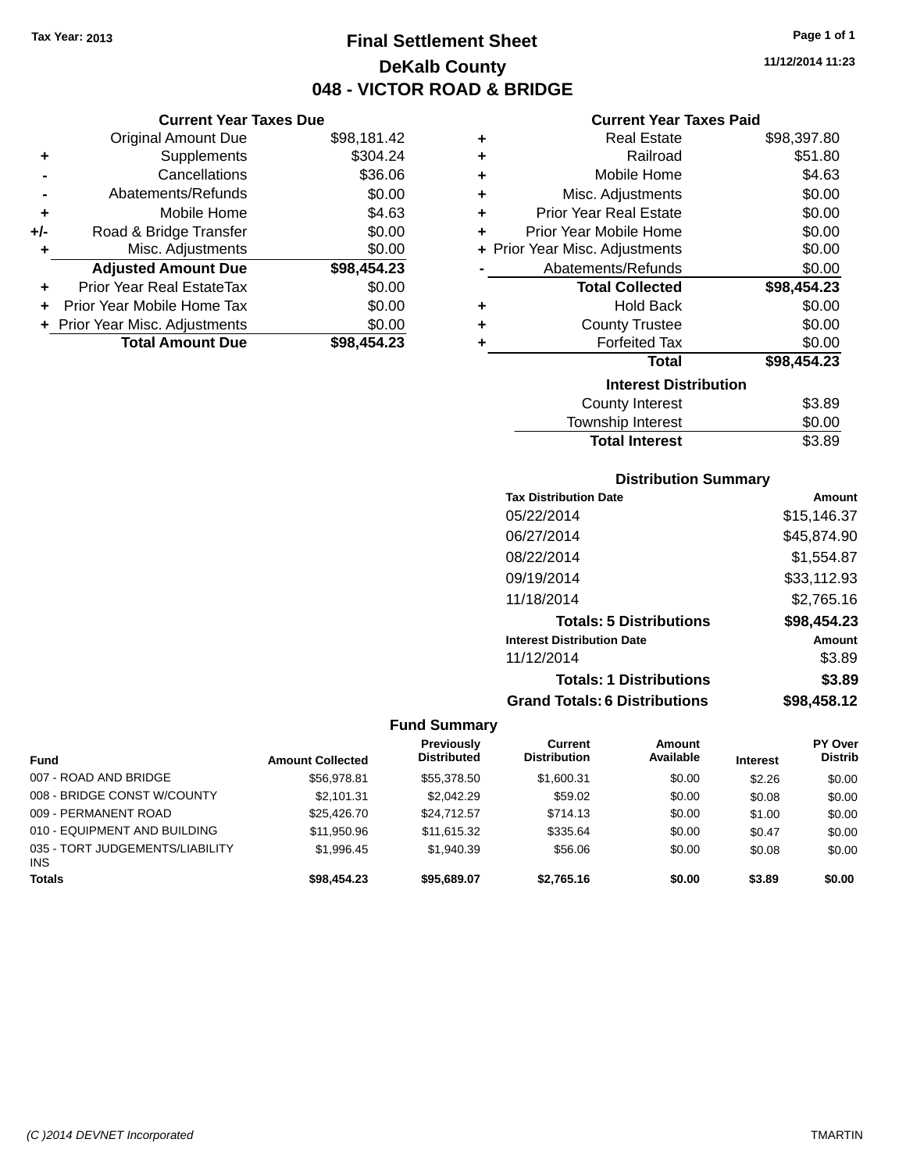**Current Year Taxes Due** Original Amount Due \$98,181.42

**Adjusted Amount Due \$98,454.23**

**+** Supplements \$304.24 **-** Cancellations \$36.06 **-** Abatements/Refunds \$0.00 **+** Mobile Home \$4.63 **+/-** Road & Bridge Transfer \$0.00 **+** Misc. Adjustments \$0.00

**+** Prior Year Real EstateTax \$0.00 **+** Prior Year Mobile Home Tax \$0.00 **+** Prior Year Misc. Adjustments \$0.00<br>**Total Amount Due** \$98,454.23

**Total Amount Due** 

# **Final Settlement Sheet Tax Year: 2013 Page 1 of 1 DeKalb County 048 - VICTOR ROAD & BRIDGE**

**11/12/2014 11:23**

#### **Current Year Taxes Paid**

| ٠ | <b>Real Estate</b>             | \$98,397.80 |
|---|--------------------------------|-------------|
| ٠ | Railroad                       | \$51.80     |
| ٠ | Mobile Home                    | \$4.63      |
| ÷ | Misc. Adjustments              | \$0.00      |
| ÷ | <b>Prior Year Real Estate</b>  | \$0.00      |
| ÷ | Prior Year Mobile Home         | \$0.00      |
|   | + Prior Year Misc. Adjustments | \$0.00      |
|   | Abatements/Refunds             | \$0.00      |
|   | <b>Total Collected</b>         | \$98,454.23 |
| ٠ | <b>Hold Back</b>               | \$0.00      |
| ÷ | <b>County Trustee</b>          | \$0.00      |
| ٠ | <b>Forfeited Tax</b>           | \$0.00      |
|   | <b>Total</b>                   | \$98,454.23 |
|   | <b>Interest Distribution</b>   |             |
|   | <b>County Interest</b>         | \$3.89      |
|   | <b>Township Interest</b>       | \$0.00      |
|   | <b>Total Interest</b>          | \$3.89      |

| <b>Distribution Summary</b> |  |
|-----------------------------|--|
|                             |  |

| <b>Tax Distribution Date</b>         | Amount      |
|--------------------------------------|-------------|
| 05/22/2014                           | \$15,146.37 |
| 06/27/2014                           | \$45,874.90 |
| 08/22/2014                           | \$1.554.87  |
| 09/19/2014                           | \$33,112.93 |
| 11/18/2014                           | \$2,765.16  |
| <b>Totals: 5 Distributions</b>       | \$98,454.23 |
| <b>Interest Distribution Date</b>    | Amount      |
| 11/12/2014                           | \$3.89      |
| <b>Totals: 1 Distributions</b>       | \$3.89      |
| <b>Grand Totals: 6 Distributions</b> | \$98,458.12 |

#### **Fund Summary**

|                                               |                         | Previously         | Current             | <b>Amount</b> |                 | <b>PY Over</b> |
|-----------------------------------------------|-------------------------|--------------------|---------------------|---------------|-----------------|----------------|
| <b>Fund</b>                                   | <b>Amount Collected</b> | <b>Distributed</b> | <b>Distribution</b> | Available     | <b>Interest</b> | <b>Distrib</b> |
| 007 - ROAD AND BRIDGE                         | \$56,978.81             | \$55,378.50        | \$1,600.31          | \$0.00        | \$2.26          | \$0.00         |
| 008 - BRIDGE CONST W/COUNTY                   | \$2.101.31              | \$2.042.29         | \$59.02             | \$0.00        | \$0.08          | \$0.00         |
| 009 - PERMANENT ROAD                          | \$25,426,70             | \$24,712.57        | \$714.13            | \$0.00        | \$1.00          | \$0.00         |
| 010 - EQUIPMENT AND BUILDING                  | \$11,950.96             | \$11,615.32        | \$335.64            | \$0.00        | \$0.47          | \$0.00         |
| 035 - TORT JUDGEMENTS/LIABILITY<br><b>INS</b> | \$1.996.45              | \$1.940.39         | \$56.06             | \$0.00        | \$0.08          | \$0.00         |
| <b>Totals</b>                                 | \$98,454.23             | \$95,689,07        | \$2,765.16          | \$0.00        | \$3.89          | \$0.00         |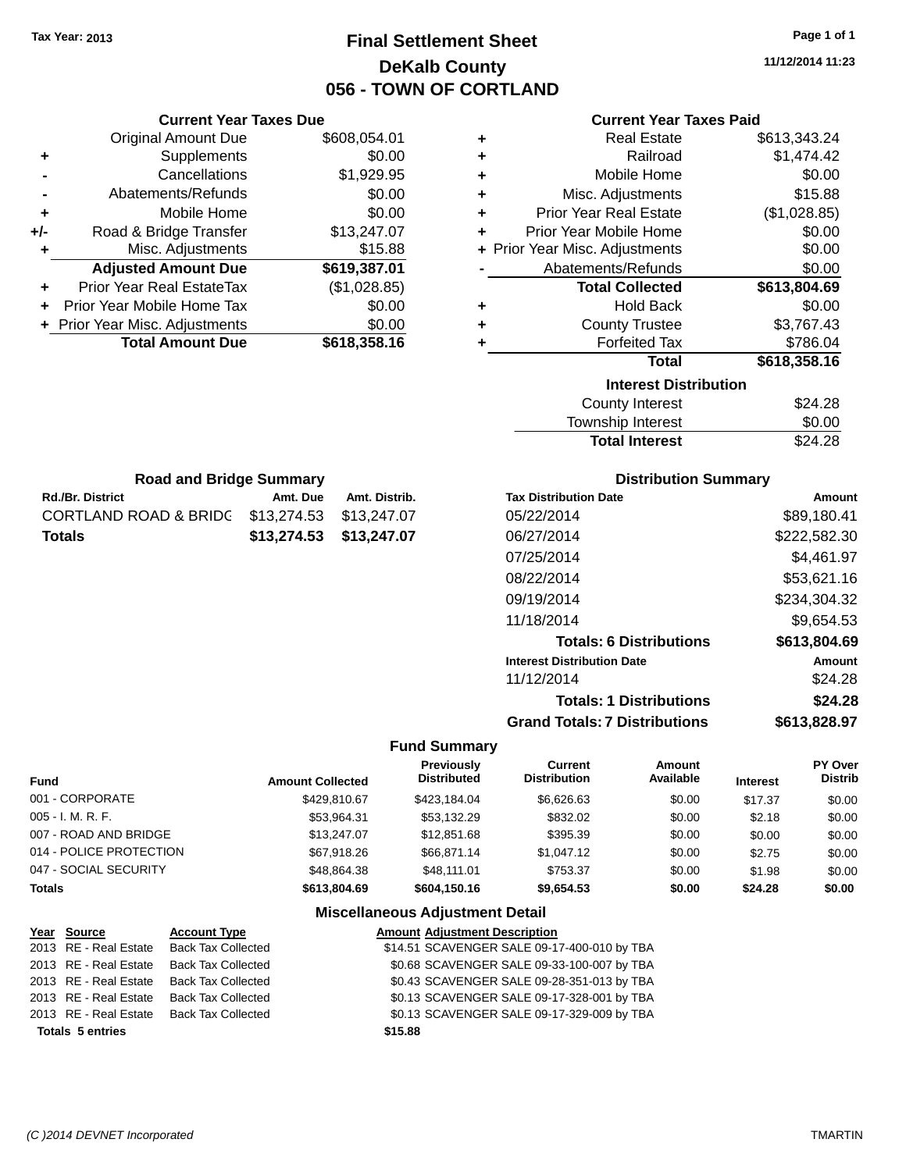# **Final Settlement Sheet Tax Year: 2013 Page 1 of 1 DeKalb County 056 - TOWN OF CORTLAND**

**11/12/2014 11:23**

| <b>Current Year Taxes Paid</b> |
|--------------------------------|
|                                |

| ٠ | <b>Real Estate</b>             | \$613,343.24 |
|---|--------------------------------|--------------|
| ÷ | Railroad                       | \$1,474.42   |
| ÷ | Mobile Home                    | \$0.00       |
| ÷ | Misc. Adjustments              | \$15.88      |
| ÷ | <b>Prior Year Real Estate</b>  | (\$1,028.85) |
| ÷ | Prior Year Mobile Home         | \$0.00       |
|   | + Prior Year Misc. Adjustments | \$0.00       |
|   | Abatements/Refunds             | \$0.00       |
|   | <b>Total Collected</b>         | \$613,804.69 |
| ٠ | <b>Hold Back</b>               | \$0.00       |
| ٠ | <b>County Trustee</b>          | \$3,767.43   |
| ٠ | <b>Forfeited Tax</b>           | \$786.04     |
|   | Total                          | \$618,358.16 |
|   | <b>Interest Distribution</b>   |              |
|   | <b>County Interest</b>         | \$24.28      |
|   | <b>Township Interest</b>       | \$0.00       |
|   | <b>Total Interest</b>          | \$24.28      |

| <b>Road and Bridge Summary</b>                |                         |               |
|-----------------------------------------------|-------------------------|---------------|
| <b>Rd./Br. District</b>                       | Amt. Due                | Amt. Distrib. |
| CORTLAND ROAD & BRIDC \$13,274.53 \$13,247.07 |                         |               |
| <b>Totals</b>                                 | \$13,274.53 \$13,247.07 |               |

**Current Year Taxes Due** Original Amount Due \$608,054.01

**Adjusted Amount Due \$619,387.01**

**Total Amount Due \$618,358.16**

**+** Supplements \$0.00 **-** Cancellations \$1,929.95 **-** Abatements/Refunds \$0.00 **+** Mobile Home \$0.00 **+/-** Road & Bridge Transfer \$13,247.07 **+** Misc. Adjustments \$15.88

**+** Prior Year Real EstateTax (\$1,028.85) **+** Prior Year Mobile Home Tax \$0.00 **+ Prior Year Misc. Adjustments**  $$0.00$ 

#### **Distribution Summary**

| <b>Tax Distribution Date</b>         | Amount       |
|--------------------------------------|--------------|
| 05/22/2014                           | \$89.180.41  |
| 06/27/2014                           | \$222,582.30 |
| 07/25/2014                           | \$4,461.97   |
| 08/22/2014                           | \$53,621.16  |
| 09/19/2014                           | \$234,304.32 |
| 11/18/2014                           | \$9,654.53   |
| <b>Totals: 6 Distributions</b>       | \$613,804.69 |
| <b>Interest Distribution Date</b>    | Amount       |
| 11/12/2014                           | \$24.28      |
| <b>Totals: 1 Distributions</b>       | \$24.28      |
| <b>Grand Totals: 7 Distributions</b> | \$613.828.97 |

#### **Fund Summary**

| <b>Fund</b>             | <b>Amount Collected</b> | <b>Previously</b><br><b>Distributed</b> | Current<br><b>Distribution</b> | Amount<br>Available | <b>Interest</b> | <b>PY Over</b><br><b>Distrib</b> |
|-------------------------|-------------------------|-----------------------------------------|--------------------------------|---------------------|-----------------|----------------------------------|
| 001 - CORPORATE         | \$429.810.67            | \$423.184.04                            | \$6,626.63                     | \$0.00              | \$17.37         | \$0.00                           |
| $005 - I. M. R. F.$     | \$53,964.31             | \$53.132.29                             | \$832.02                       | \$0.00              | \$2.18          | \$0.00                           |
| 007 - ROAD AND BRIDGE   | \$13,247.07             | \$12,851.68                             | \$395.39                       | \$0.00              | \$0.00          | \$0.00                           |
| 014 - POLICE PROTECTION | \$67,918.26             | \$66.871.14                             | \$1,047.12                     | \$0.00              | \$2.75          | \$0.00                           |
| 047 - SOCIAL SECURITY   | \$48.864.38             | \$48.111.01                             | \$753.37                       | \$0.00              | \$1.98          | \$0.00                           |
| <b>Totals</b>           | \$613,804.69            | \$604.150.16                            | \$9,654.53                     | \$0.00              | \$24.28         | \$0.00                           |

| Year Source             | <b>Account Type</b>       |         | <b>Amount Adjustment Description</b>        |
|-------------------------|---------------------------|---------|---------------------------------------------|
| 2013 RE - Real Estate   | <b>Back Tax Collected</b> |         | \$14.51 SCAVENGER SALE 09-17-400-010 by TBA |
| 2013 RE - Real Estate   | <b>Back Tax Collected</b> |         | \$0.68 SCAVENGER SALE 09-33-100-007 by TBA  |
| 2013 RE - Real Estate   | <b>Back Tax Collected</b> |         | \$0.43 SCAVENGER SALE 09-28-351-013 by TBA  |
| 2013 RE - Real Estate   | <b>Back Tax Collected</b> |         | \$0.13 SCAVENGER SALE 09-17-328-001 by TBA  |
| 2013 RE - Real Estate   | Back Tax Collected        |         | \$0.13 SCAVENGER SALE 09-17-329-009 by TBA  |
| <b>Totals 5 entries</b> |                           | \$15.88 |                                             |
|                         |                           |         |                                             |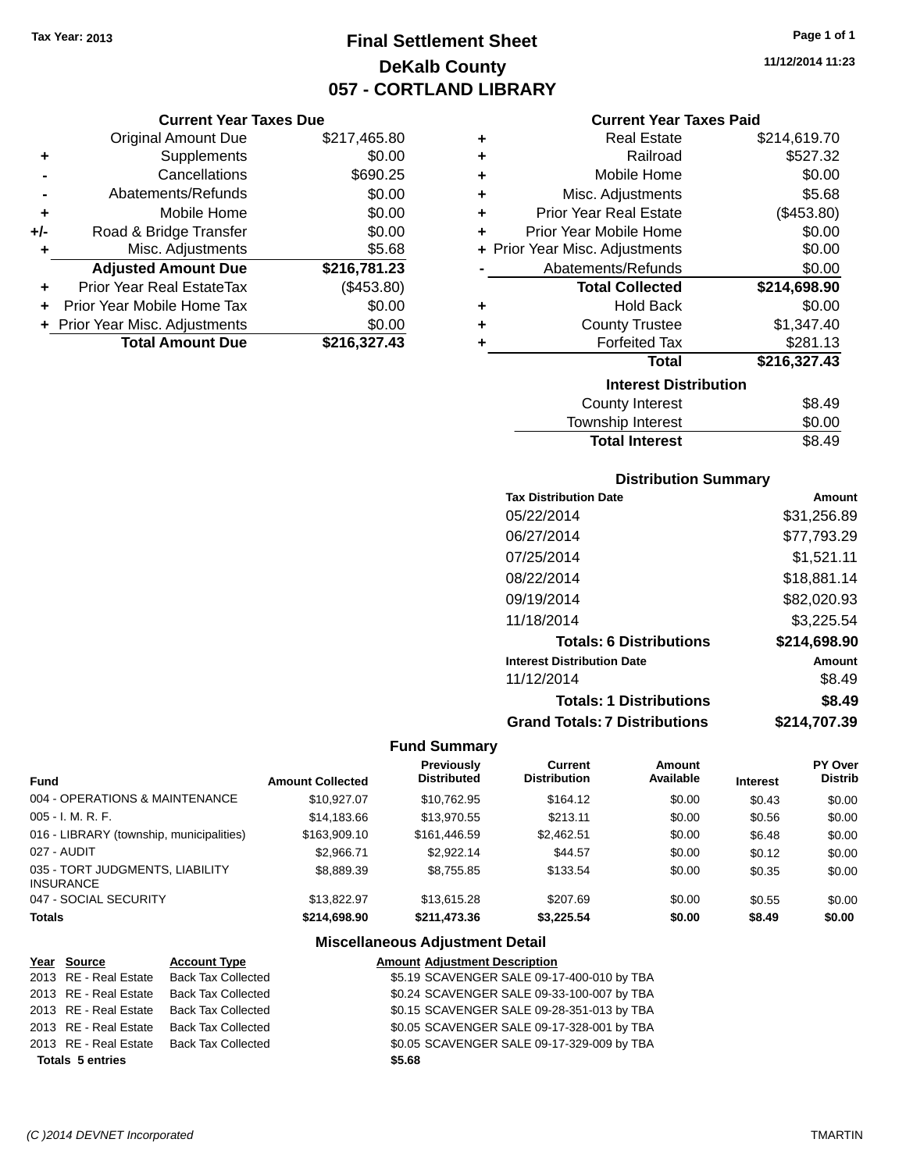# **Final Settlement Sheet Tax Year: 2013 Page 1 of 1 DeKalb County 057 - CORTLAND LIBRARY**

**11/12/2014 11:23**

#### **Current Year Taxes Paid**

|     | <b>Current Year Taxes Due</b>  |              |         |
|-----|--------------------------------|--------------|---------|
|     | <b>Original Amount Due</b>     | \$217,465.80 | ٠       |
|     | Supplements                    | \$0.00       | ٠       |
|     | Cancellations                  | \$690.25     | ٠       |
|     | Abatements/Refunds             | \$0.00       | ٠       |
|     | Mobile Home                    | \$0.00       | ٠       |
| +/- | Road & Bridge Transfer         | \$0.00       | ٠       |
|     | Misc. Adjustments              | \$5.68       | + Prior |
|     | <b>Adjusted Amount Due</b>     | \$216,781.23 |         |
|     | Prior Year Real EstateTax      | (\$453.80)   |         |
|     | Prior Year Mobile Home Tax     | \$0.00       | ٠       |
|     | + Prior Year Misc. Adjustments | \$0.00       |         |
|     | <b>Total Amount Due</b>        | \$216,327.43 |         |
|     |                                |              |         |

| ٠ | <b>Real Estate</b>             | \$214,619.70 |
|---|--------------------------------|--------------|
| ٠ | Railroad                       | \$527.32     |
| ٠ | Mobile Home                    | \$0.00       |
| ٠ | Misc. Adjustments              | \$5.68       |
| ٠ | <b>Prior Year Real Estate</b>  | (\$453.80)   |
| ÷ | Prior Year Mobile Home         | \$0.00       |
|   | + Prior Year Misc. Adjustments | \$0.00       |
|   | Abatements/Refunds             | \$0.00       |
|   | <b>Total Collected</b>         | \$214,698.90 |
| ٠ | <b>Hold Back</b>               | \$0.00       |
| ٠ | <b>County Trustee</b>          | \$1,347.40   |
| ٠ | <b>Forfeited Tax</b>           | \$281.13     |
|   | <b>Total</b>                   | \$216,327.43 |
|   | <b>Interest Distribution</b>   |              |
|   | County Interest                | \$8.49       |
|   | <b>Township Interest</b>       | \$0.00       |
|   | <b>Total Interest</b>          | \$8.49       |

#### **Distribution Summary**

| <b>Tax Distribution Date</b>         | Amount       |
|--------------------------------------|--------------|
| 05/22/2014                           | \$31,256.89  |
| 06/27/2014                           | \$77,793.29  |
| 07/25/2014                           | \$1,521.11   |
| 08/22/2014                           | \$18,881.14  |
| 09/19/2014                           | \$82,020.93  |
| 11/18/2014                           | \$3,225.54   |
| <b>Totals: 6 Distributions</b>       | \$214,698.90 |
| <b>Interest Distribution Date</b>    | Amount       |
| 11/12/2014                           | \$8.49       |
| <b>Totals: 1 Distributions</b>       | \$8.49       |
| <b>Grand Totals: 7 Distributions</b> | \$214,707.39 |

#### **Fund Summary**

| <b>Fund</b>                                         | <b>Amount Collected</b> | <b>Previously</b><br><b>Distributed</b> | Current<br><b>Distribution</b> | Amount<br>Available | <b>Interest</b> | <b>PY Over</b><br><b>Distrib</b> |
|-----------------------------------------------------|-------------------------|-----------------------------------------|--------------------------------|---------------------|-----------------|----------------------------------|
| 004 - OPERATIONS & MAINTENANCE                      | \$10.927.07             | \$10.762.95                             | \$164.12                       | \$0.00              | \$0.43          | \$0.00                           |
| $005 - I. M. R. F.$                                 | \$14,183,66             | \$13,970.55                             | \$213.11                       | \$0.00              | \$0.56          | \$0.00                           |
| 016 - LIBRARY (township, municipalities)            | \$163,909.10            | \$161,446.59                            | \$2.462.51                     | \$0.00              | \$6.48          | \$0.00                           |
| 027 - AUDIT                                         | \$2,966.71              | \$2.922.14                              | \$44.57                        | \$0.00              | \$0.12          | \$0.00                           |
| 035 - TORT JUDGMENTS, LIABILITY<br><b>INSURANCE</b> | \$8,889.39              | \$8.755.85                              | \$133.54                       | \$0.00              | \$0.35          | \$0.00                           |
| 047 - SOCIAL SECURITY                               | \$13,822.97             | \$13,615,28                             | \$207.69                       | \$0.00              | \$0.55          | \$0.00                           |
| <b>Totals</b>                                       | \$214.698.90            | \$211,473,36                            | \$3.225.54                     | \$0.00              | \$8.49          | \$0.00                           |

| Year Source             | <b>Account Type</b>       |        | <b>Amount Adjustment Description</b>       |
|-------------------------|---------------------------|--------|--------------------------------------------|
| 2013 RE - Real Estate   | <b>Back Tax Collected</b> |        | \$5.19 SCAVENGER SALE 09-17-400-010 by TBA |
| 2013 RE - Real Estate   | <b>Back Tax Collected</b> |        | \$0.24 SCAVENGER SALE 09-33-100-007 by TBA |
| 2013 RE - Real Estate   | Back Tax Collected        |        | \$0.15 SCAVENGER SALE 09-28-351-013 by TBA |
| 2013 RE - Real Estate   | <b>Back Tax Collected</b> |        | \$0.05 SCAVENGER SALE 09-17-328-001 by TBA |
| 2013 RE - Real Estate   | Back Tax Collected        |        | \$0.05 SCAVENGER SALE 09-17-329-009 by TBA |
| <b>Totals 5 entries</b> |                           | \$5.68 |                                            |
|                         |                           |        |                                            |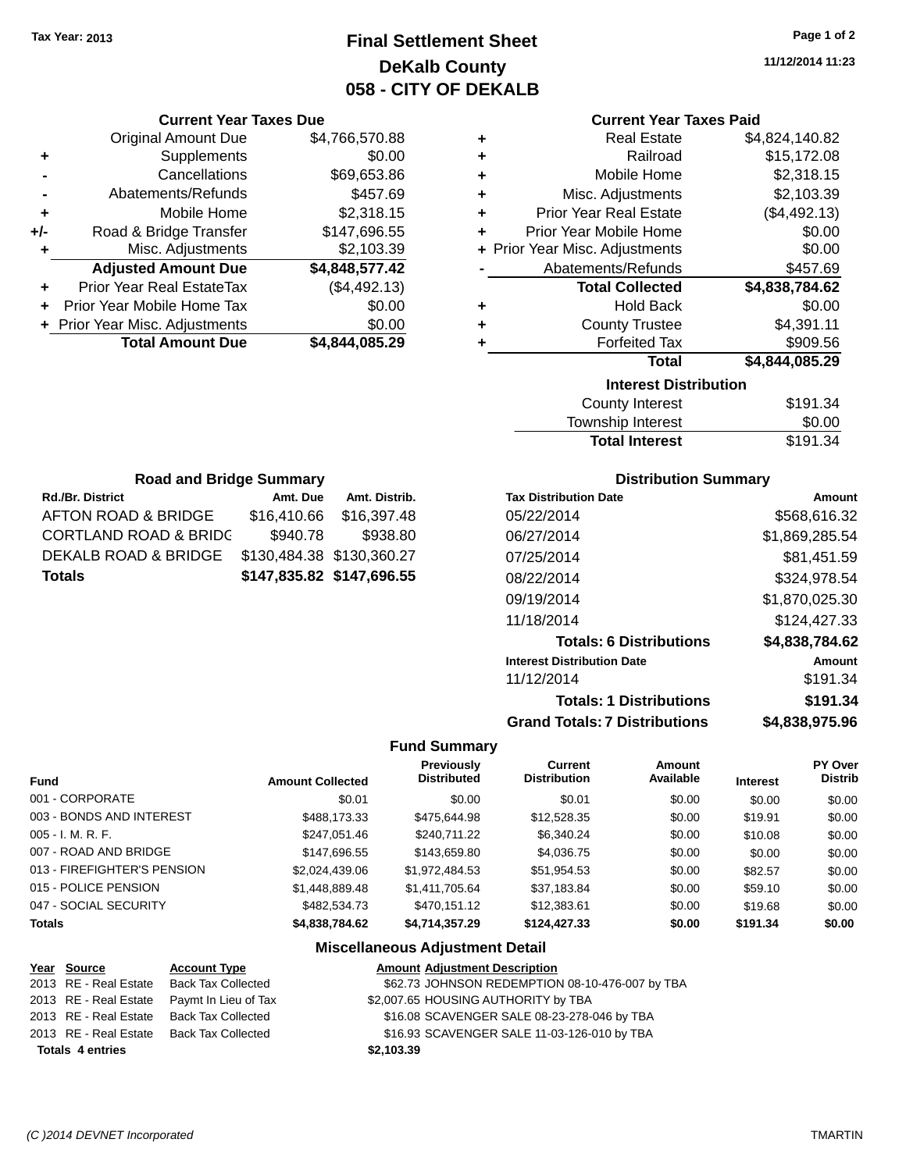# **Final Settlement Sheet Tax Year: 2013 Page 1 of 2 DeKalb County 058 - CITY OF DEKALB**

**11/12/2014 11:23**

#### **Current Year Taxes Paid**

| ٠ | <b>Real Estate</b>             | \$4,824,140.82 |
|---|--------------------------------|----------------|
| ÷ | Railroad                       | \$15,172.08    |
| ÷ | Mobile Home                    | \$2,318.15     |
| ٠ | Misc. Adjustments              | \$2,103.39     |
| ÷ | <b>Prior Year Real Estate</b>  | (\$4,492.13)   |
| ÷ | Prior Year Mobile Home         | \$0.00         |
|   | + Prior Year Misc. Adjustments | \$0.00         |
|   | Abatements/Refunds             | \$457.69       |
|   | <b>Total Collected</b>         | \$4,838,784.62 |
| ٠ | <b>Hold Back</b>               | \$0.00         |
| ÷ | <b>County Trustee</b>          | \$4,391.11     |
| ٠ | <b>Forfeited Tax</b>           | \$909.56       |
|   | <b>Total</b>                   | \$4,844,085.29 |
|   | <b>Interest Distribution</b>   |                |
|   | <b>County Interest</b>         | \$191.34       |

| <b>Total Interest</b> | \$191.34 |
|-----------------------|----------|
| Township Interest     | \$0.00   |
| County Interest       | \$191.34 |

| <b>Road and Bridge Summary</b>             |                           |               |  |  |  |
|--------------------------------------------|---------------------------|---------------|--|--|--|
| <b>Rd./Br. District</b>                    | Amt. Due                  | Amt. Distrib. |  |  |  |
| AFTON ROAD & BRIDGE                        | \$16,410.66               | \$16,397.48   |  |  |  |
| <b>CORTLAND ROAD &amp; BRIDC</b>           | \$940.78                  | \$938.80      |  |  |  |
| DEKALB ROAD & BRIDGE                       | \$130,484.38 \$130,360.27 |               |  |  |  |
| \$147,835.82 \$147,696.55<br><b>Totals</b> |                           |               |  |  |  |

**Current Year Taxes Due** Original Amount Due \$4,766,570.88

**Adjusted Amount Due \$4,848,577.42**

**Total Amount Due \$4,844,085.29**

**+** Supplements \$0.00 **-** Cancellations \$69,653.86 **-** Abatements/Refunds \$457.69 **+** Mobile Home \$2,318.15 **+/-** Road & Bridge Transfer \$147,696.55 **+** Misc. Adjustments \$2,103.39

**+** Prior Year Real EstateTax (\$4,492.13) **+** Prior Year Mobile Home Tax \$0.00 **+ Prior Year Misc. Adjustments**  $$0.00$ 

#### **Distribution Summary**

| <b>Tax Distribution Date</b>         | Amount         |
|--------------------------------------|----------------|
| 05/22/2014                           | \$568,616.32   |
| 06/27/2014                           | \$1,869,285.54 |
| 07/25/2014                           | \$81,451.59    |
| 08/22/2014                           | \$324,978.54   |
| 09/19/2014                           | \$1,870,025.30 |
| 11/18/2014                           | \$124.427.33   |
| <b>Totals: 6 Distributions</b>       | \$4,838,784.62 |
| <b>Interest Distribution Date</b>    | Amount         |
| 11/12/2014                           | \$191.34       |
| <b>Totals: 1 Distributions</b>       | \$191.34       |
| <b>Grand Totals: 7 Distributions</b> | \$4,838,975.96 |

#### **Fund Summary**

|                             |                         | <b>Previously</b>  | <b>Current</b>      | Amount    |                 | <b>PY Over</b> |
|-----------------------------|-------------------------|--------------------|---------------------|-----------|-----------------|----------------|
| <b>Fund</b>                 | <b>Amount Collected</b> | <b>Distributed</b> | <b>Distribution</b> | Available | <b>Interest</b> | <b>Distrib</b> |
| 001 - CORPORATE             | \$0.01                  | \$0.00             | \$0.01              | \$0.00    | \$0.00          | \$0.00         |
| 003 - BONDS AND INTEREST    | \$488,173.33            | \$475,644.98       | \$12,528.35         | \$0.00    | \$19.91         | \$0.00         |
| $005 - I. M. R. F.$         | \$247,051.46            | \$240,711.22       | \$6,340.24          | \$0.00    | \$10.08         | \$0.00         |
| 007 - ROAD AND BRIDGE       | \$147.696.55            | \$143.659.80       | \$4,036.75          | \$0.00    | \$0.00          | \$0.00         |
| 013 - FIREFIGHTER'S PENSION | \$2,024,439.06          | \$1,972,484.53     | \$51,954.53         | \$0.00    | \$82.57         | \$0.00         |
| 015 - POLICE PENSION        | \$1,448,889.48          | \$1,411,705.64     | \$37,183.84         | \$0.00    | \$59.10         | \$0.00         |
| 047 - SOCIAL SECURITY       | \$482,534.73            | \$470.151.12       | \$12,383.61         | \$0.00    | \$19.68         | \$0.00         |
| <b>Totals</b>               | \$4,838,784.62          | \$4,714,357.29     | \$124,427,33        | \$0.00    | \$191.34        | \$0.00         |

| Year Source             | <b>Account Type</b>  | <b>Amount Adjustment Description</b>            |
|-------------------------|----------------------|-------------------------------------------------|
| 2013 RE - Real Estate   | Back Tax Collected   | \$62.73 JOHNSON REDEMPTION 08-10-476-007 by TBA |
| 2013 RE - Real Estate   | Paymt In Lieu of Tax | \$2,007.65 HOUSING AUTHORITY by TBA             |
| 2013 RE - Real Estate   | Back Tax Collected   | \$16.08 SCAVENGER SALE 08-23-278-046 by TBA     |
| 2013 RE - Real Estate   | Back Tax Collected   | \$16.93 SCAVENGER SALE 11-03-126-010 by TBA     |
| <b>Totals 4 entries</b> |                      | \$2,103.39                                      |
|                         |                      |                                                 |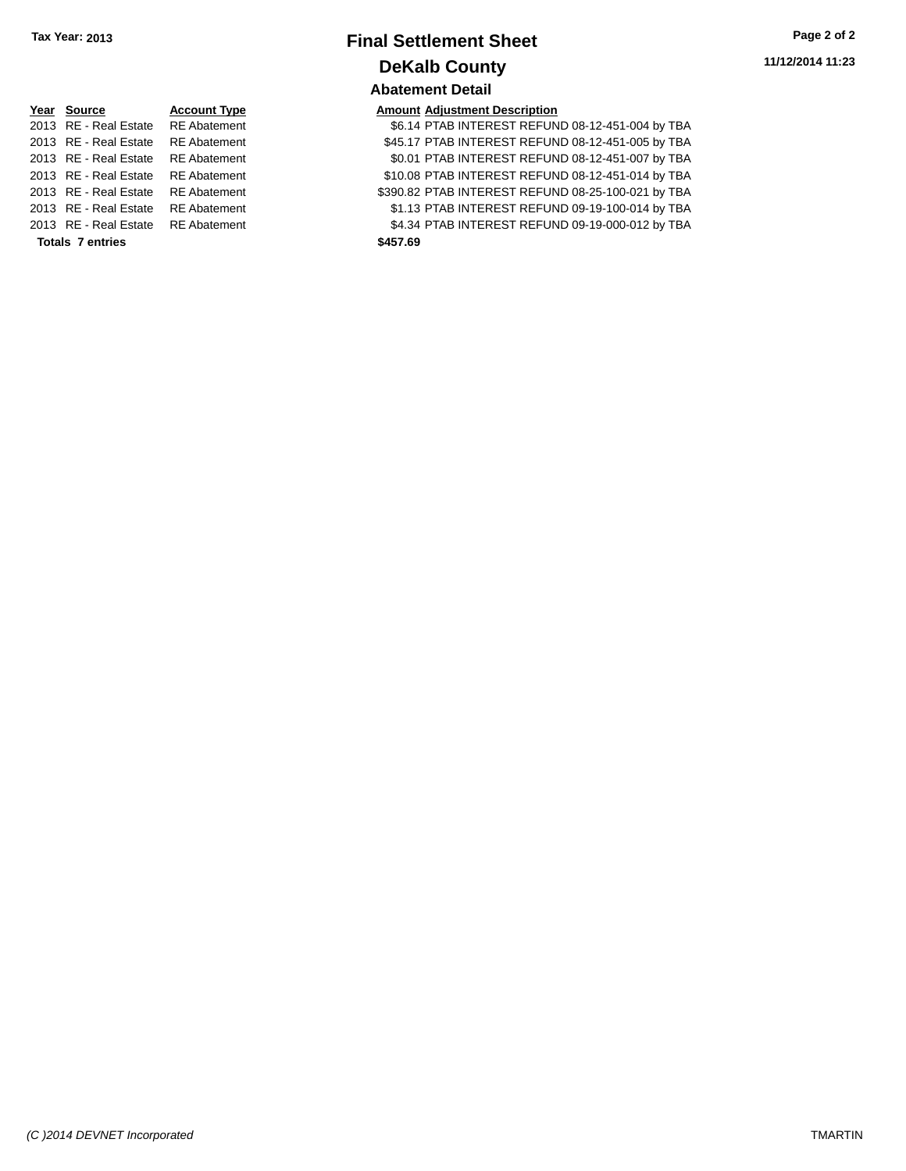# **Final Settlement Sheet Tax Year: 2013 Page 2 of 2 DeKalb County Abatement Detail**

| Year Source             | <b>Account Typ</b> |
|-------------------------|--------------------|
| 2013 RE - Real Estate   | <b>RE</b> Abatemer |
| 2013 RE - Real Estate   | <b>RE</b> Abatemer |
| 2013 RE - Real Estate   | <b>RE</b> Abatemer |
| 2013 RE - Real Estate   | <b>RE</b> Abatemer |
| 2013 RE - Real Estate   | <b>RE</b> Abatemer |
| 2013 RE - Real Estate   | <b>RE</b> Abatemer |
| 2013 RE - Real Estate   | <b>RE</b> Abatemer |
| <b>Totals 7 entries</b> |                    |
|                         |                    |

# **<u>Pear Consecution Adjustment Description</u><br>
Type Act Account Type INTEREST REFUNITIERS**

| <b>Totals 7 entries</b>            |              | \$457.69 |                                                    |  |  |
|------------------------------------|--------------|----------|----------------------------------------------------|--|--|
| 2013 RE - Real Estate RE Abatement |              |          | \$4.34 PTAB INTEREST REFUND 09-19-000-012 by TBA   |  |  |
| 2013 RE - Real Estate              | RE Abatement |          | \$1.13 PTAB INTEREST REFUND 09-19-100-014 by TBA   |  |  |
| 2013 RE - Real Estate RE Abatement |              |          | \$390.82 PTAB INTEREST REFUND 08-25-100-021 by TBA |  |  |
| 2013 RE - Real Estate RE Abatement |              |          | \$10.08 PTAB INTEREST REFUND 08-12-451-014 by TBA  |  |  |
| 2013 RE - Real Estate              | RE Abatement |          | \$0.01 PTAB INTEREST REFUND 08-12-451-007 by TBA   |  |  |
| 2013 RE - Real Estate RE Abatement |              |          | \$45.17 PTAB INTEREST REFUND 08-12-451-005 by TBA  |  |  |
| 2013 RE - Real Estate RE Abatement |              |          | \$6.14 PTAB INTEREST REFUND 08-12-451-004 by TBA   |  |  |
|                                    |              |          |                                                    |  |  |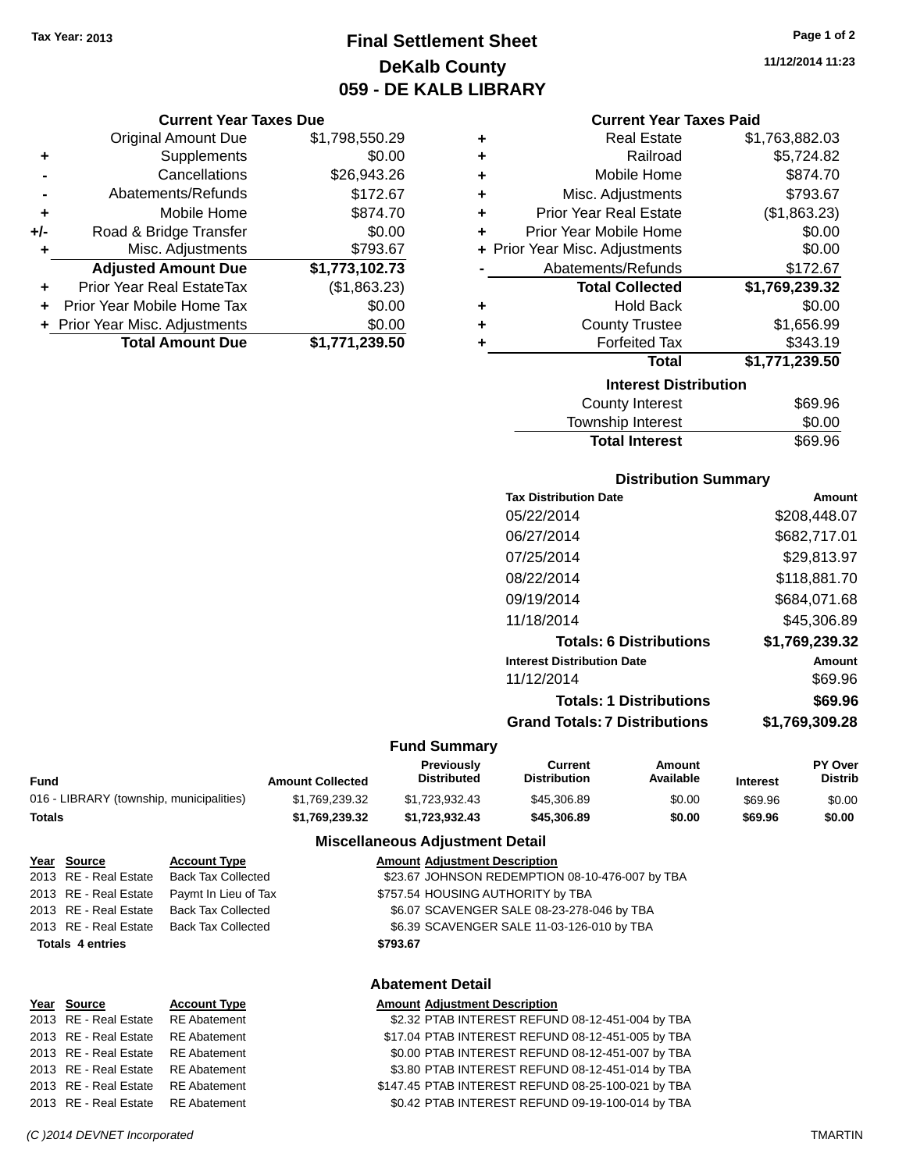# **Final Settlement Sheet Tax Year: 2013 Page 1 of 2 DeKalb County 059 - DE KALB LIBRARY**

**11/12/2014 11:23**

#### **Current Year Taxes Due**

|       | <b>Original Amount Due</b>     | \$1,798,550.29 |
|-------|--------------------------------|----------------|
| ٠     | Supplements                    | \$0.00         |
|       | Cancellations                  | \$26,943.26    |
|       | Abatements/Refunds             | \$172.67       |
| ÷     | Mobile Home                    | \$874.70       |
| $+/-$ | Road & Bridge Transfer         | \$0.00         |
| ٠     | Misc. Adjustments              | \$793.67       |
|       | <b>Adjusted Amount Due</b>     | \$1,773,102.73 |
|       | Prior Year Real EstateTax      | (\$1,863.23)   |
|       | Prior Year Mobile Home Tax     | \$0.00         |
|       | + Prior Year Misc. Adjustments | \$0.00         |
|       | <b>Total Amount Due</b>        | \$1,771,239.50 |

|   | <b>Current Year Taxes Paid</b> |                |  |  |  |
|---|--------------------------------|----------------|--|--|--|
| ٠ | <b>Real Estate</b>             | \$1,763,882.03 |  |  |  |
| ٠ | Railroad                       | \$5,724.82     |  |  |  |
| ٠ | Mobile Home                    | \$874.70       |  |  |  |
| ٠ | Misc. Adjustments              | \$793.67       |  |  |  |
| ٠ | Prior Year Real Estate         | (\$1,863.23)   |  |  |  |
| ÷ | Prior Year Mobile Home         | \$0.00         |  |  |  |
|   | + Prior Year Misc. Adjustments | \$0.00         |  |  |  |
|   | Abatements/Refunds             | \$172.67       |  |  |  |
|   | <b>Total Collected</b>         | \$1,769,239.32 |  |  |  |
| ٠ | <b>Hold Back</b>               | \$0.00         |  |  |  |
| ٠ | <b>County Trustee</b>          | \$1,656.99     |  |  |  |
| ٠ | <b>Forfeited Tax</b>           | \$343.19       |  |  |  |
|   | <b>Total</b>                   | \$1,771,239.50 |  |  |  |
|   | <b>Interest Distribution</b>   |                |  |  |  |
|   | <b>County Interest</b>         | \$69.96        |  |  |  |
|   | Township Interest              | \$0.00         |  |  |  |

# **Distribution Summary**

Total Interest \$69.96

| <b>Tax Distribution Date</b>         | Amount         |
|--------------------------------------|----------------|
| 05/22/2014                           | \$208,448.07   |
| 06/27/2014                           | \$682,717.01   |
| 07/25/2014                           | \$29,813.97    |
| 08/22/2014                           | \$118,881.70   |
| 09/19/2014                           | \$684,071.68   |
| 11/18/2014                           | \$45,306.89    |
| <b>Totals: 6 Distributions</b>       | \$1,769,239.32 |
| <b>Interest Distribution Date</b>    | Amount         |
| 11/12/2014                           | \$69.96        |
| <b>Totals: 1 Distributions</b>       | \$69.96        |
| <b>Grand Totals: 7 Distributions</b> | \$1,769,309.28 |

#### **Fund Summary**

|                                          |                         | <b>Previously</b>  | Current             | Amount    |                 | <b>PY Over</b> |
|------------------------------------------|-------------------------|--------------------|---------------------|-----------|-----------------|----------------|
| Fund                                     | <b>Amount Collected</b> | <b>Distributed</b> | <b>Distribution</b> | Available | <b>Interest</b> | <b>Distrib</b> |
| 016 - LIBRARY (township, municipalities) | \$1.769.239.32          | \$1.723.932.43     | \$45,306.89         | \$0.00    | \$69.96         | \$0.00         |
| Totals                                   | \$1.769.239.32          | \$1.723.932.43     | \$45,306.89         | \$0.00    | \$69.96         | \$0.00         |

#### **Miscellaneous Adjustment Detail**

**Abatement Detail**

| <u>Year Source</u>      | <b>Account Type</b>       | <b>Amount Adjustment Description</b>            |
|-------------------------|---------------------------|-------------------------------------------------|
| 2013 RE - Real Estate   | <b>Back Tax Collected</b> | \$23.67 JOHNSON REDEMPTION 08-10-476-007 by TBA |
| 2013 RE - Real Estate   | Paymt In Lieu of Tax      | \$757.54 HOUSING AUTHORITY by TBA               |
| 2013 RE - Real Estate   | Back Tax Collected        | \$6.07 SCAVENGER SALE 08-23-278-046 by TBA      |
| 2013 RE - Real Estate   | Back Tax Collected        | \$6.39 SCAVENGER SALE 11-03-126-010 by TBA      |
| <b>Totals 4 entries</b> |                           | \$793.67                                        |
|                         |                           |                                                 |

| Year Source                        | <b>Account Type</b> | <b>Amount Adjustment Description</b>               |
|------------------------------------|---------------------|----------------------------------------------------|
| 2013 RE - Real Estate RE Abatement |                     | \$2.32 PTAB INTEREST REFUND 08-12-451-004 by TBA   |
| 2013 RE - Real Estate RE Abatement |                     | \$17.04 PTAB INTEREST REFUND 08-12-451-005 by TBA  |
| 2013 RE - Real Estate RE Abatement |                     | \$0.00 PTAB INTEREST REFUND 08-12-451-007 by TBA   |
| 2013 RE - Real Estate RE Abatement |                     | \$3.80 PTAB INTEREST REFUND 08-12-451-014 by TBA   |
| 2013 RE - Real Estate RE Abatement |                     | \$147.45 PTAB INTEREST REFUND 08-25-100-021 by TBA |
| 2013 RE - Real Estate RE Abatement |                     | \$0.42 PTAB INTEREST REFUND 09-19-100-014 by TBA   |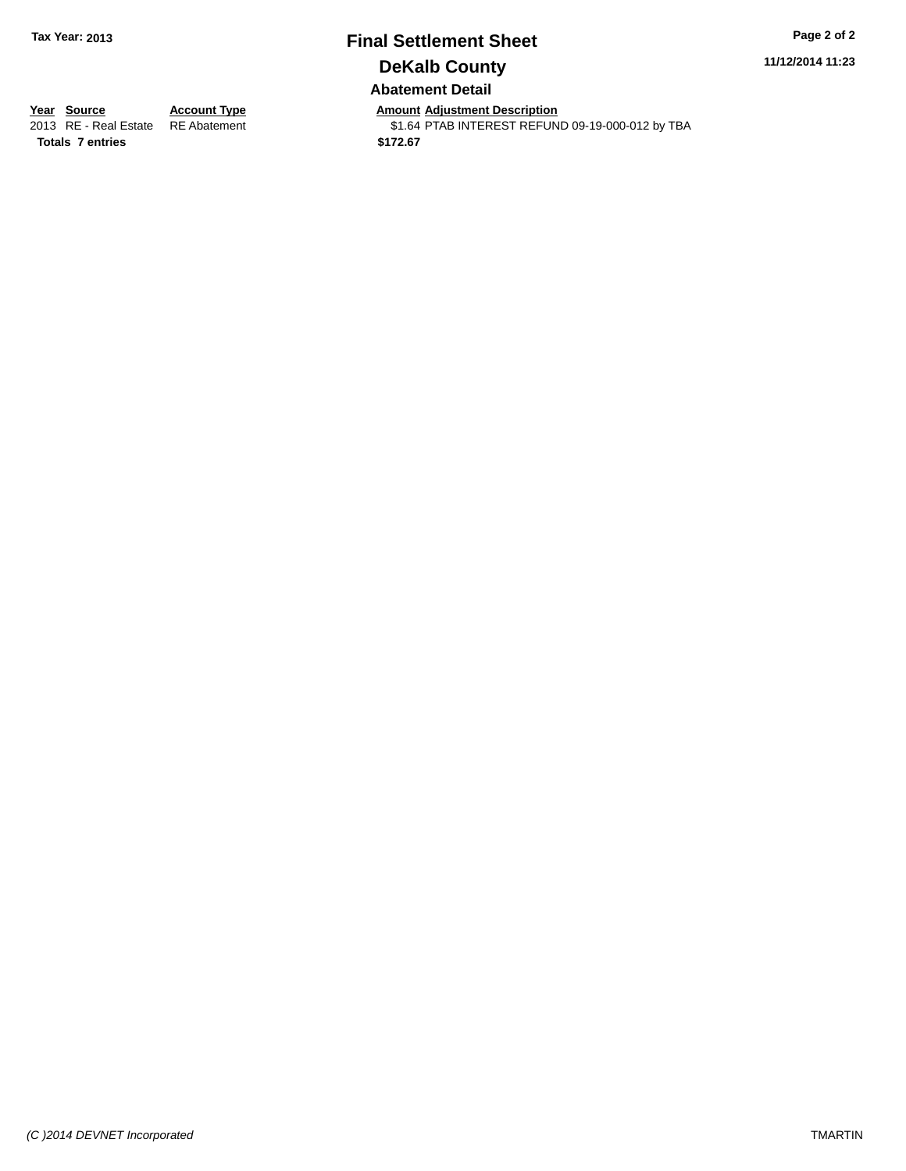# **Final Settlement Sheet Tax Year: 2013 Page 2 of 2 DeKalb County Abatement Detail**

**11/12/2014 11:23**

**Totals \$172.67 7 entries**

**Year Source Account Type Anneurs Amount Adjustment Description**<br>
2013 RE - Real Estate RE Abatement \$1.64 PTAB INTEREST REFUN \$1.64 PTAB INTEREST REFUND 09-19-000-012 by TBA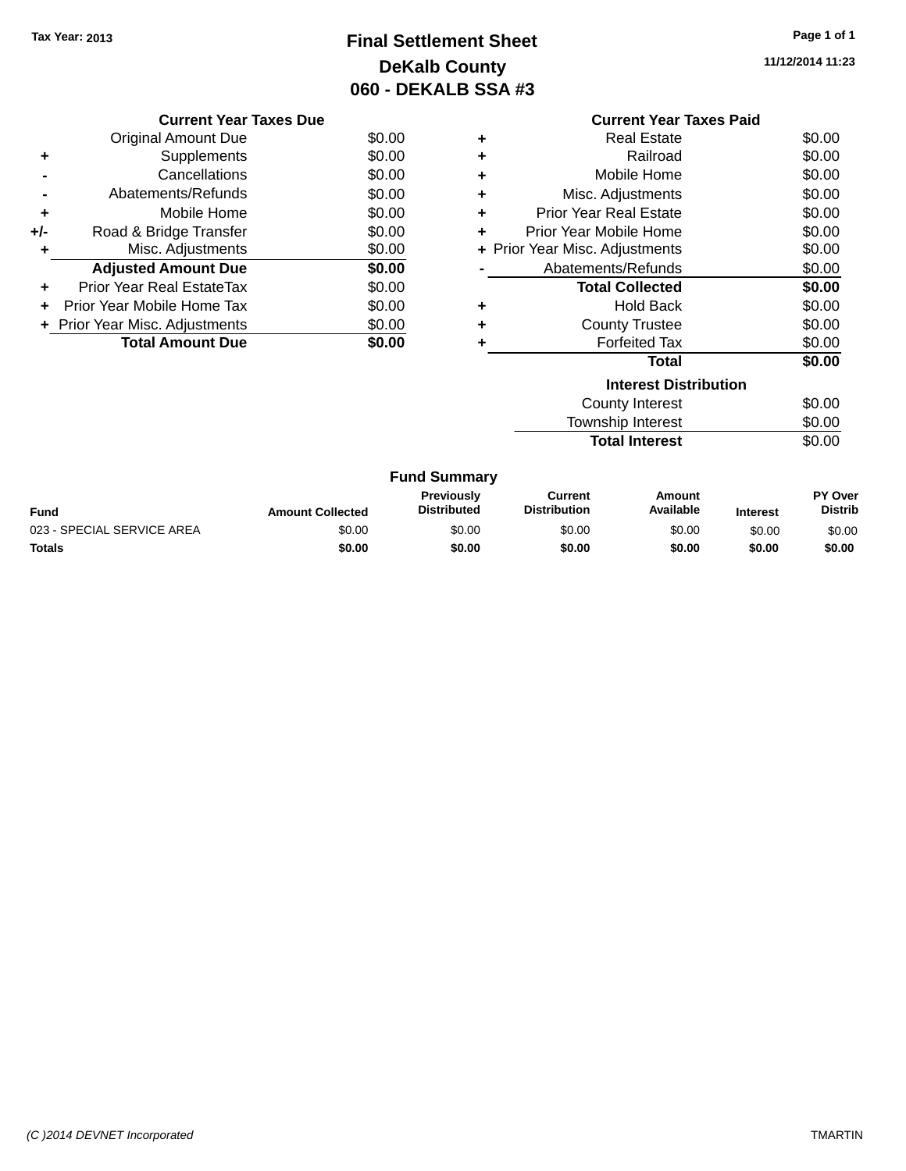# **Final Settlement Sheet Tax Year: 2013 Page 1 of 1 DeKalb County 060 - DEKALB SSA #3**

**11/12/2014 11:23**

| Current Year Taxes Paid |  |
|-------------------------|--|
|                         |  |

|       | <b>Current Year Taxes Due</b>  |        |
|-------|--------------------------------|--------|
|       | Original Amount Due            | \$0.00 |
| ٠     | Supplements                    | \$0.00 |
|       | Cancellations                  | \$0.00 |
|       | Abatements/Refunds             | \$0.00 |
| ٠     | Mobile Home                    | \$0.00 |
| $+/-$ | Road & Bridge Transfer         | \$0.00 |
| ٠     | Misc. Adjustments              | \$0.00 |
|       | <b>Adjusted Amount Due</b>     | \$0.00 |
| ٠     | Prior Year Real EstateTax      | \$0.00 |
|       | Prior Year Mobile Home Tax     | \$0.00 |
|       | + Prior Year Misc. Adjustments | \$0.00 |
|       | <b>Total Amount Due</b>        | \$0.00 |
|       |                                |        |

| ٠ | <b>Real Estate</b>             | \$0.00 |
|---|--------------------------------|--------|
| ٠ | Railroad                       | \$0.00 |
| ٠ | Mobile Home                    | \$0.00 |
| ٠ | Misc. Adjustments              | \$0.00 |
| ٠ | <b>Prior Year Real Estate</b>  | \$0.00 |
| ٠ | Prior Year Mobile Home         | \$0.00 |
|   | + Prior Year Misc. Adjustments | \$0.00 |
|   | Abatements/Refunds             | \$0.00 |
|   | <b>Total Collected</b>         | \$0.00 |
| ٠ | <b>Hold Back</b>               | \$0.00 |
| ÷ | <b>County Trustee</b>          | \$0.00 |
| ٠ | <b>Forfeited Tax</b>           | \$0.00 |
|   | Total                          | \$0.00 |
|   | <b>Interest Distribution</b>   |        |
|   | <b>County Interest</b>         | \$0.00 |
|   | <b>Township Interest</b>       | \$0.00 |

Total Interest \$0.00

|  | <b>Fund Summary</b> |
|--|---------------------|
|--|---------------------|

| <b>Fund</b>                | <b>Amount Collected</b> | <b>Previously</b><br><b>Distributed</b> | Current<br><b>Distribution</b> | Amount<br>Available | <b>Interest</b> | <b>PY Over</b><br><b>Distrib</b> |
|----------------------------|-------------------------|-----------------------------------------|--------------------------------|---------------------|-----------------|----------------------------------|
| 023 - SPECIAL SERVICE AREA | \$0.00                  | \$0.00                                  | \$0.00                         | \$0.00              | \$0.00          | \$0.00                           |
| <b>Totals</b>              | \$0.00                  | \$0.00                                  | \$0.00                         | \$0.00              | \$0.00          | \$0.00                           |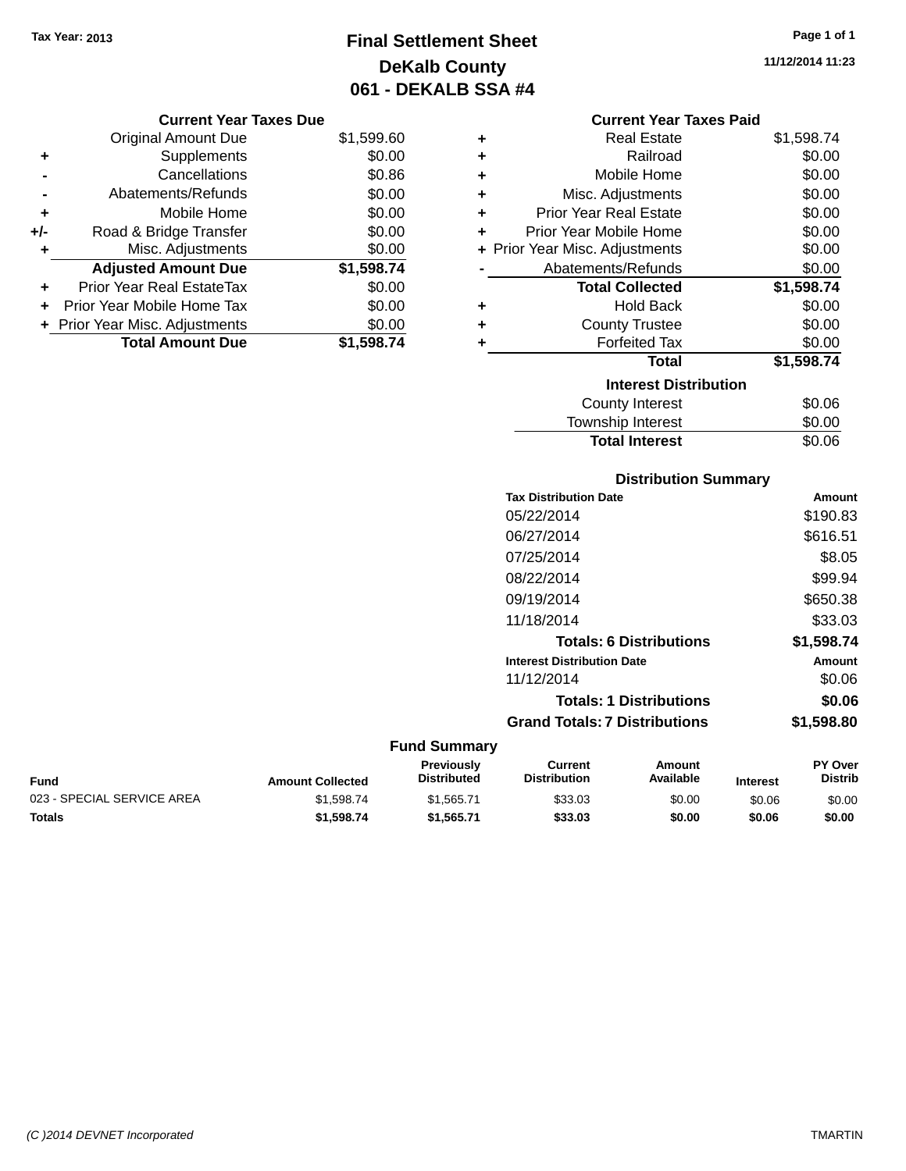# **Final Settlement Sheet Tax Year: 2013 Page 1 of 1 DeKalb County 061 - DEKALB SSA #4**

**11/12/2014 11:23**

#### **Current Year Taxes Due**

|       | <b>Original Amount Due</b>     | \$1,599.60 |
|-------|--------------------------------|------------|
| ٠     | Supplements                    | \$0.00     |
|       | Cancellations                  | \$0.86     |
|       | Abatements/Refunds             | \$0.00     |
| ÷     | Mobile Home                    | \$0.00     |
| $+/-$ | Road & Bridge Transfer         | \$0.00     |
| ٠     | Misc. Adjustments              | \$0.00     |
|       | <b>Adjusted Amount Due</b>     | \$1,598.74 |
| ÷     | Prior Year Real EstateTax      | \$0.00     |
|       | Prior Year Mobile Home Tax     | \$0.00     |
|       | + Prior Year Misc. Adjustments | \$0.00     |
|       | <b>Total Amount Due</b>        | \$1,598.74 |

#### **Current Year Taxes Paid**

| ٠ | <b>Real Estate</b>             | \$1,598.74 |
|---|--------------------------------|------------|
| ٠ | Railroad                       | \$0.00     |
| ٠ | Mobile Home                    | \$0.00     |
| ÷ | Misc. Adjustments              | \$0.00     |
| ٠ | <b>Prior Year Real Estate</b>  | \$0.00     |
| ٠ | Prior Year Mobile Home         | \$0.00     |
|   | + Prior Year Misc. Adjustments | \$0.00     |
|   | Abatements/Refunds             | \$0.00     |
|   |                                |            |
|   | <b>Total Collected</b>         | \$1,598.74 |
| ٠ | <b>Hold Back</b>               | \$0.00     |
| ÷ | <b>County Trustee</b>          | \$0.00     |
| ٠ | <b>Forfeited Tax</b>           | \$0.00     |
|   | Total                          | \$1,598.74 |
|   | <b>Interest Distribution</b>   |            |
|   | County Interest                | \$0.06     |

# **Distribution Summary**

**Total Interest** \$0.06

| <b>Tax Distribution Date</b>         | Amount     |
|--------------------------------------|------------|
| 05/22/2014                           | \$190.83   |
| 06/27/2014                           | \$616.51   |
| 07/25/2014                           | \$8.05     |
| 08/22/2014                           | \$99.94    |
| 09/19/2014                           | \$650.38   |
| 11/18/2014                           | \$33.03    |
| <b>Totals: 6 Distributions</b>       | \$1,598.74 |
| <b>Interest Distribution Date</b>    | Amount     |
| 11/12/2014                           | \$0.06     |
| <b>Totals: 1 Distributions</b>       | \$0.06     |
| <b>Grand Totals: 7 Distributions</b> | \$1,598.80 |
|                                      |            |

#### **Fund Summary**

| <b>Fund</b>                | <b>Amount Collected</b> | <b>Previously</b><br><b>Distributed</b> | Current<br><b>Distribution</b> | Amount<br>Available | <b>Interest</b> | <b>PY Over</b><br>Distrib |
|----------------------------|-------------------------|-----------------------------------------|--------------------------------|---------------------|-----------------|---------------------------|
| 023 - SPECIAL SERVICE AREA | \$1.598.74              | \$1.565.71                              | \$33.03                        | \$0.00              | \$0.06          | \$0.00                    |
| <b>Totals</b>              | \$1,598,74              | \$1.565.71                              | \$33.03                        | \$0.00              | \$0.06          | \$0.00                    |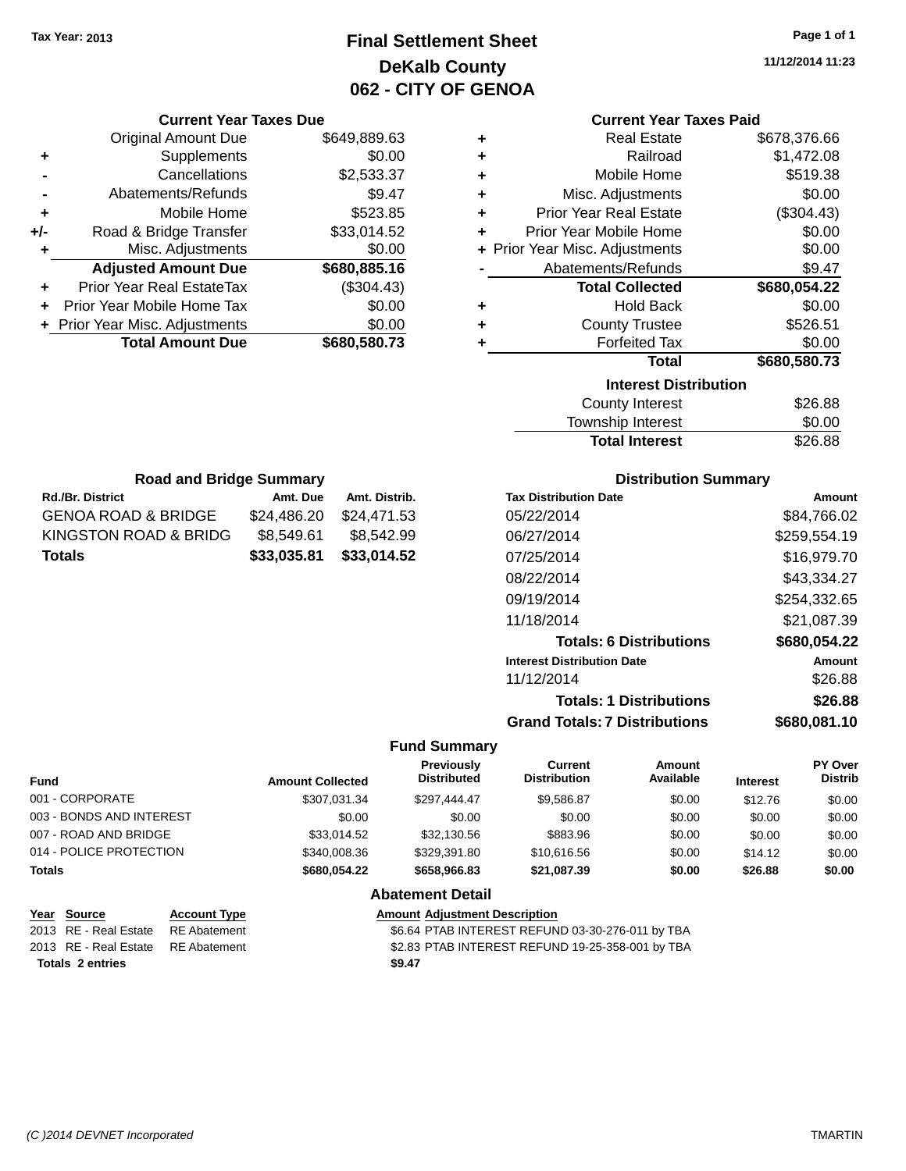# **Final Settlement Sheet Tax Year: 2013 Page 1 of 1 DeKalb County 062 - CITY OF GENOA**

**11/12/2014 11:23**

|       | <b>Current Year Taxes Due</b>  |              |
|-------|--------------------------------|--------------|
|       | <b>Original Amount Due</b>     | \$649,889.63 |
| ٠     | Supplements                    | \$0.00       |
|       | Cancellations                  | \$2,533.37   |
|       | Abatements/Refunds             | \$9.47       |
| ٠     | Mobile Home                    | \$523.85     |
| $+/-$ | Road & Bridge Transfer         | \$33,014.52  |
|       | Misc. Adjustments              | \$0.00       |
|       | <b>Adjusted Amount Due</b>     | \$680,885.16 |
|       | Prior Year Real EstateTax      | (\$304.43)   |
|       | Prior Year Mobile Home Tax     | \$0.00       |
|       | + Prior Year Misc. Adjustments | \$0.00       |
|       | <b>Total Amount Due</b>        | \$680,580.73 |
|       |                                |              |

### **Current Year Taxes Paid**

| ٠ | <b>Real Estate</b>             | \$678,376.66 |
|---|--------------------------------|--------------|
| ÷ | Railroad                       | \$1,472.08   |
| ÷ | Mobile Home                    | \$519.38     |
| ÷ | Misc. Adjustments              | \$0.00       |
| ÷ | <b>Prior Year Real Estate</b>  | (\$304.43)   |
| ÷ | <b>Prior Year Mobile Home</b>  | \$0.00       |
|   | + Prior Year Misc. Adjustments | \$0.00       |
|   | Abatements/Refunds             | \$9.47       |
|   | <b>Total Collected</b>         | \$680,054.22 |
| ٠ | <b>Hold Back</b>               | \$0.00       |
| ÷ | <b>County Trustee</b>          | \$526.51     |
| ٠ | <b>Forfeited Tax</b>           | \$0.00       |
|   |                                |              |
|   | Total                          | \$680,580.73 |
|   | <b>Interest Distribution</b>   |              |
|   | <b>County Interest</b>         | \$26.88      |

| <b>Total Interest</b> | \$26.88 |
|-----------------------|---------|
| Township Interest     | \$0.00  |
| County Interest       | \$26.88 |

| <b>Road and Bridge Summary</b>       |             |               |  |  |
|--------------------------------------|-------------|---------------|--|--|
| <b>Rd./Br. District</b>              | Amt. Due    | Amt. Distrib. |  |  |
| GENOA ROAD & BRIDGE                  | \$24,486.20 | \$24,471.53   |  |  |
| KINGSTON ROAD & BRIDG                | \$8,549.61  | \$8,542.99    |  |  |
| \$33,014.52<br>\$33,035.81<br>Totals |             |               |  |  |

### **Distribution Summary**

| <b>Tax Distribution Date</b>         | Amount       |
|--------------------------------------|--------------|
| 05/22/2014                           | \$84.766.02  |
| 06/27/2014                           | \$259,554.19 |
| 07/25/2014                           | \$16,979.70  |
| 08/22/2014                           | \$43,334.27  |
| 09/19/2014                           | \$254,332.65 |
| 11/18/2014                           | \$21,087.39  |
| <b>Totals: 6 Distributions</b>       | \$680,054.22 |
| <b>Interest Distribution Date</b>    | Amount       |
| 11/12/2014                           | \$26.88      |
| <b>Totals: 1 Distributions</b>       | \$26.88      |
| <b>Grand Totals: 7 Distributions</b> | \$680,081.10 |

### **Fund Summary**

| <b>Fund</b>              | <b>Amount Collected</b> | <b>Previously</b><br><b>Distributed</b> | Current<br><b>Distribution</b> | <b>Amount</b><br>Available | <b>Interest</b> | <b>PY Over</b><br><b>Distrib</b> |
|--------------------------|-------------------------|-----------------------------------------|--------------------------------|----------------------------|-----------------|----------------------------------|
| 001 - CORPORATE          | \$307.031.34            | \$297.444.47                            | \$9.586.87                     | \$0.00                     | \$12.76         | \$0.00                           |
| 003 - BONDS AND INTEREST | \$0.00                  | \$0.00                                  | \$0.00                         | \$0.00                     | \$0.00          | \$0.00                           |
| 007 - ROAD AND BRIDGE    | \$33.014.52             | \$32,130.56                             | \$883.96                       | \$0.00                     | \$0.00          | \$0.00                           |
| 014 - POLICE PROTECTION  | \$340,008.36            | \$329.391.80                            | \$10,616.56                    | \$0.00                     | \$14.12         | \$0.00                           |
| Totals                   | \$680,054.22            | \$658,966.83                            | \$21.087.39                    | \$0.00                     | \$26.88         | \$0.00                           |
|                          |                         | Ahotamant Datail                        |                                |                            |                 |                                  |

#### **Abatement Detail**

| <u>Year Source</u>                 | <b>Account Type</b> | <b>Amount Adiustment Description</b>             |
|------------------------------------|---------------------|--------------------------------------------------|
| 2013 RE - Real Estate              | RE Abatement        | \$6.64 PTAB INTEREST REFUND 03-30-276-011 by TBA |
| 2013 RE - Real Estate RE Abatement |                     | \$2.83 PTAB INTEREST REFUND 19-25-358-001 by TBA |
| <b>Totals 2 entries</b>            |                     | \$9.47                                           |
|                                    |                     |                                                  |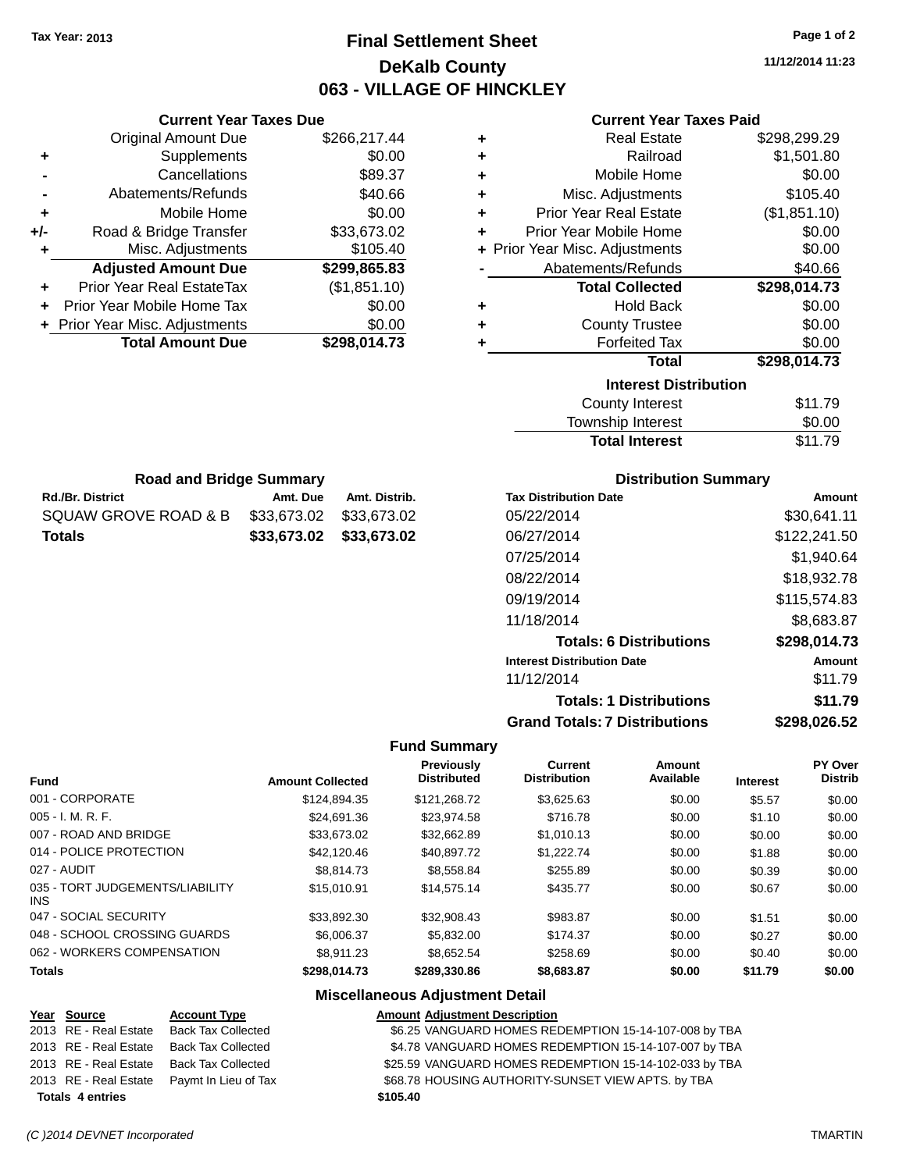**Current Year Taxes Due** Original Amount Due \$266,217.44

**Adjusted Amount Due \$299,865.83**

**Total Amount Due \$298,014.73**

**+** Supplements \$0.00 **-** Cancellations \$89.37 **-** Abatements/Refunds \$40.66 **+** Mobile Home \$0.00 **+/-** Road & Bridge Transfer \$33,673.02 **+** Misc. Adjustments \$105.40

**+** Prior Year Real EstateTax (\$1,851.10) **+** Prior Year Mobile Home Tax \$0.00 **+ Prior Year Misc. Adjustments**  $$0.00$ 

**Rd./Br. District Amt. Due Amt. Distrib. Road and Bridge Summary**

SQUAW GROVE ROAD & B \$33,673.02 \$33,673.02 **Totals \$33,673.02 \$33,673.02**

# **Final Settlement Sheet Tax Year: 2013 Page 1 of 2 DeKalb County 063 - VILLAGE OF HINCKLEY**

**11/12/2014 11:23**

| <b>Current Year Taxes Paid</b> |  |  |  |
|--------------------------------|--|--|--|
|--------------------------------|--|--|--|

| ÷ | <b>Real Estate</b>             | \$298,299.29 |
|---|--------------------------------|--------------|
| ٠ | Railroad                       | \$1,501.80   |
| ÷ | Mobile Home                    | \$0.00       |
| ÷ | Misc. Adjustments              | \$105.40     |
| ٠ | <b>Prior Year Real Estate</b>  | (\$1,851.10) |
| ÷ | Prior Year Mobile Home         | \$0.00       |
|   | + Prior Year Misc. Adjustments | \$0.00       |
|   | Abatements/Refunds             | \$40.66      |
|   | <b>Total Collected</b>         | \$298,014.73 |
| ٠ | <b>Hold Back</b>               | \$0.00       |
| ÷ | <b>County Trustee</b>          | \$0.00       |
| ٠ | <b>Forfeited Tax</b>           | \$0.00       |
|   | <b>Total</b>                   | \$298,014.73 |
|   | <b>Interest Distribution</b>   |              |
|   | <b>County Interest</b>         | \$11.79      |
|   | Townshin Interest              | ደ0 00        |

| <b>INGLEST DISTINATION</b> |         |
|----------------------------|---------|
| County Interest            | \$11.79 |
| Township Interest          | \$0.00  |
| <b>Total Interest</b>      | \$11.79 |
|                            |         |

| <b>Distribution Summary</b>  |             |
|------------------------------|-------------|
| <b>Tax Distribution Date</b> | Amount      |
| 05/22/2014                   | \$30,641.11 |

| 05/22/2014                           | \$30,641.11  |
|--------------------------------------|--------------|
| 06/27/2014                           | \$122,241.50 |
| 07/25/2014                           | \$1,940.64   |
| 08/22/2014                           | \$18,932.78  |
| 09/19/2014                           | \$115,574.83 |
| 11/18/2014                           | \$8,683.87   |
| <b>Totals: 6 Distributions</b>       | \$298,014.73 |
| <b>Interest Distribution Date</b>    | Amount       |
| 11/12/2014                           | \$11.79      |
| <b>Totals: 1 Distributions</b>       | \$11.79      |
| <b>Grand Totals: 7 Distributions</b> | \$298,026.52 |

#### **Fund Summary**

| <b>Fund</b>                                   | <b>Amount Collected</b> | <b>Previously</b><br><b>Distributed</b> | Current<br><b>Distribution</b> | Amount<br>Available | <b>Interest</b> | PY Over<br><b>Distrib</b> |
|-----------------------------------------------|-------------------------|-----------------------------------------|--------------------------------|---------------------|-----------------|---------------------------|
| 001 - CORPORATE                               | \$124.894.35            | \$121.268.72                            | \$3.625.63                     | \$0.00              | \$5.57          | \$0.00                    |
| $005 - I. M. R. F.$                           | \$24,691.36             | \$23.974.58                             | \$716.78                       | \$0.00              | \$1.10          | \$0.00                    |
| 007 - ROAD AND BRIDGE                         | \$33,673.02             | \$32,662.89                             | \$1,010.13                     | \$0.00              | \$0.00          | \$0.00                    |
| 014 - POLICE PROTECTION                       | \$42,120.46             | \$40.897.72                             | \$1,222,74                     | \$0.00              | \$1.88          | \$0.00                    |
| 027 - AUDIT                                   | \$8,814.73              | \$8,558.84                              | \$255.89                       | \$0.00              | \$0.39          | \$0.00                    |
| 035 - TORT JUDGEMENTS/LIABILITY<br><b>INS</b> | \$15.010.91             | \$14,575.14                             | \$435.77                       | \$0.00              | \$0.67          | \$0.00                    |
| 047 - SOCIAL SECURITY                         | \$33,892.30             | \$32,908.43                             | \$983.87                       | \$0.00              | \$1.51          | \$0.00                    |
| 048 - SCHOOL CROSSING GUARDS                  | \$6,006.37              | \$5,832,00                              | \$174.37                       | \$0.00              | \$0.27          | \$0.00                    |
| 062 - WORKERS COMPENSATION                    | \$8.911.23              | \$8.652.54                              | \$258.69                       | \$0.00              | \$0.40          | \$0.00                    |
| <b>Totals</b>                                 | \$298.014.73            | \$289.330.86                            | \$8,683.87                     | \$0.00              | \$11.79         | \$0.00                    |

| Year Source             | <b>Account Type</b>       | <b>Amount Adjustment Description</b>                   |
|-------------------------|---------------------------|--------------------------------------------------------|
| 2013 RE - Real Estate   | Back Tax Collected        | \$6.25 VANGUARD HOMES REDEMPTION 15-14-107-008 by TBA  |
| 2013 RE - Real Estate   | <b>Back Tax Collected</b> | \$4.78 VANGUARD HOMES REDEMPTION 15-14-107-007 by TBA  |
| 2013 RE - Real Estate   | Back Tax Collected        | \$25.59 VANGUARD HOMES REDEMPTION 15-14-102-033 by TBA |
| 2013 RE - Real Estate   | Paymt In Lieu of Tax      | \$68.78 HOUSING AUTHORITY-SUNSET VIEW APTS. by TBA     |
| <b>Totals 4 entries</b> |                           | \$105.40                                               |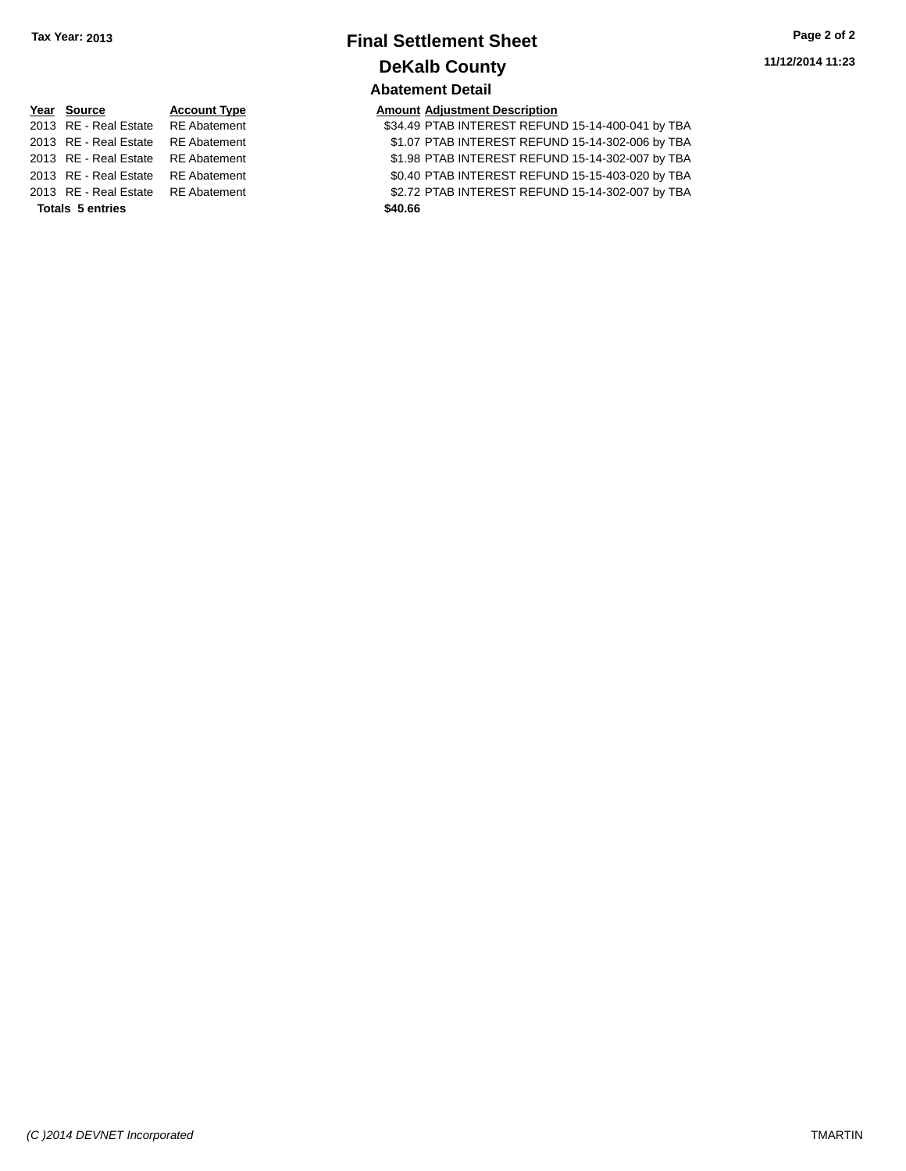# **Final Settlement Sheet Tax Year: 2013 Page 2 of 2 DeKalb County Abatement Detail**

| \mount Adjustment Description |  |
|-------------------------------|--|
|                               |  |

| <b>Totals 5 entries</b>            | \$40.66                                           |  |
|------------------------------------|---------------------------------------------------|--|
| 2013 RE - Real Estate RE Abatement | \$2.72 PTAB INTEREST REFUND 15-14-302-007 by TBA  |  |
| 2013 RE - Real Estate RE Abatement | \$0.40 PTAB INTEREST REFUND 15-15-403-020 by TBA  |  |
| 2013 RE - Real Estate RE Abatement | \$1.98 PTAB INTEREST REFUND 15-14-302-007 by TBA  |  |
| 2013 RE - Real Estate RE Abatement | \$1.07 PTAB INTEREST REFUND 15-14-302-006 by TBA  |  |
| 2013 RE - Real Estate RE Abatement | \$34.49 PTAB INTEREST REFUND 15-14-400-041 by TBA |  |

|                         | Year Source                        | <b>Account Type</b> |  | <b>Amount Adjustment Description</b> |
|-------------------------|------------------------------------|---------------------|--|--------------------------------------|
|                         | 2013 RE - Real Estate RE Abatement |                     |  | \$34.49 PTAB INTEREST REFUN          |
|                         | 2013 RE - Real Estate RE Abatement |                     |  | \$1.07 PTAB INTEREST REFUN           |
|                         | 2013 RE - Real Estate RE Abatement |                     |  | \$1.98 PTAB INTEREST REFUN           |
|                         | 2013 RE - Real Estate RE Abatement |                     |  | \$0.40 PTAB INTEREST REFUN           |
|                         | 2013 RE - Real Estate RE Abatement |                     |  | \$2.72 PTAB INTEREST REFUN           |
| <b>Totals 5 entries</b> |                                    | \$40.66             |  |                                      |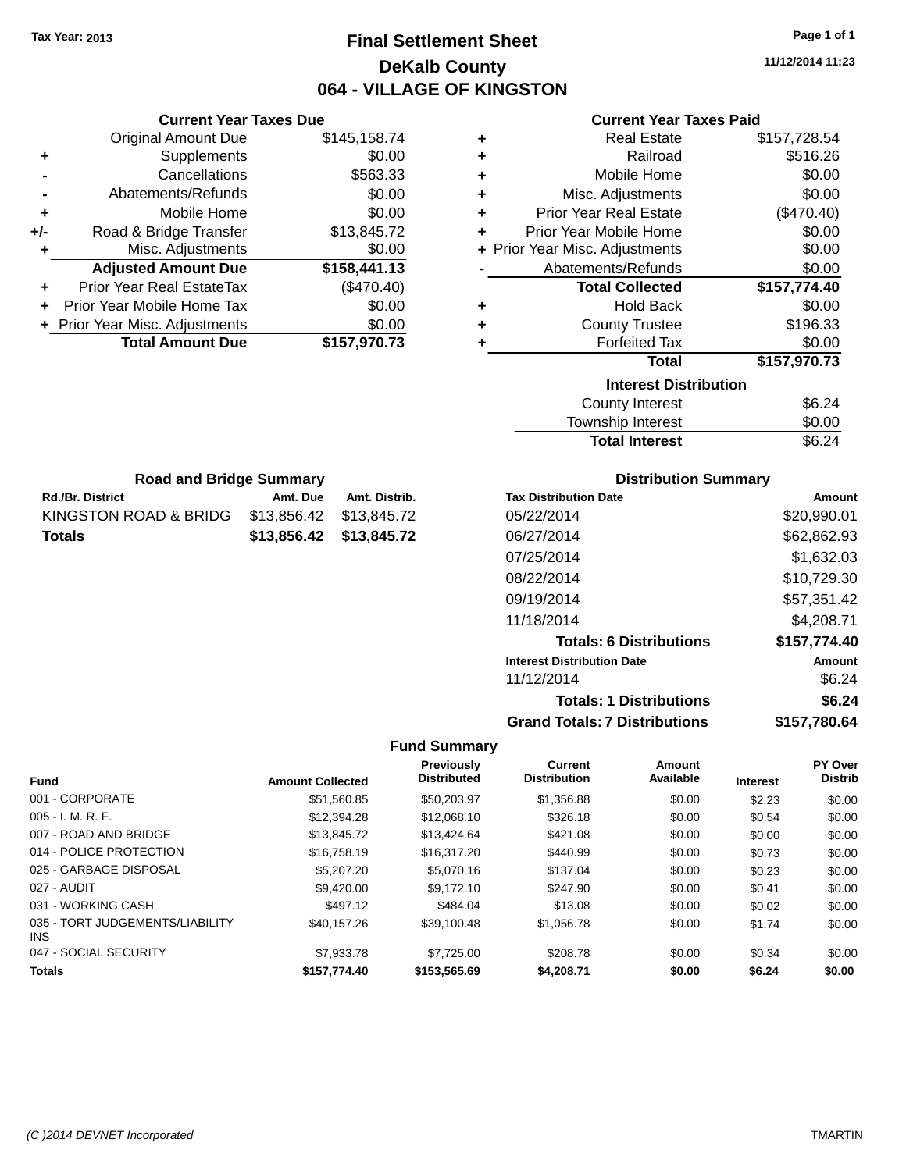# **Final Settlement Sheet Tax Year: 2013 Page 1 of 1 DeKalb County 064 - VILLAGE OF KINGSTON**

**11/12/2014 11:23**

#### **Current Year Taxes Paid**

|       | <b>Current Year Taxes Due</b>  |              |
|-------|--------------------------------|--------------|
|       | <b>Original Amount Due</b>     | \$145,158.74 |
| ٠     | Supplements                    | \$0.00       |
|       | Cancellations                  | \$563.33     |
|       | Abatements/Refunds             | \$0.00       |
| ٠     | Mobile Home                    | \$0.00       |
| $+/-$ | Road & Bridge Transfer         | \$13,845.72  |
| ٠     | Misc. Adjustments              | \$0.00       |
|       | <b>Adjusted Amount Due</b>     | \$158,441.13 |
| ÷     | Prior Year Real EstateTax      | (\$470.40)   |
|       | Prior Year Mobile Home Tax     | \$0.00       |
|       | + Prior Year Misc. Adjustments | \$0.00       |
|       | <b>Total Amount Due</b>        | \$157,970.73 |
|       |                                |              |

**Rd./Br. District Amt. Due Amt. Distrib. Road and Bridge Summary**

KINGSTON ROAD & BRIDG \$13,856.42 \$13,845.72 **Totals \$13,856.42 \$13,845.72**

| ٠ | <b>Real Estate</b>                                                                                              | \$157,728.54 |  |  |  |  |
|---|-----------------------------------------------------------------------------------------------------------------|--------------|--|--|--|--|
| ÷ | Railroad                                                                                                        | \$516.26     |  |  |  |  |
| ٠ | Mobile Home                                                                                                     | \$0.00       |  |  |  |  |
| ÷ | Misc. Adjustments                                                                                               | \$0.00       |  |  |  |  |
| ٠ | <b>Prior Year Real Estate</b>                                                                                   | (\$470.40)   |  |  |  |  |
| ٠ | Prior Year Mobile Home                                                                                          | \$0.00       |  |  |  |  |
|   | + Prior Year Misc. Adjustments                                                                                  | \$0.00       |  |  |  |  |
|   | Abatements/Refunds                                                                                              | \$0.00       |  |  |  |  |
|   | <b>Total Collected</b>                                                                                          | \$157,774.40 |  |  |  |  |
| ٠ | <b>Hold Back</b>                                                                                                | \$0.00       |  |  |  |  |
| ٠ | <b>County Trustee</b>                                                                                           | \$196.33     |  |  |  |  |
| ٠ | <b>Forfeited Tax</b>                                                                                            | \$0.00       |  |  |  |  |
|   | Total                                                                                                           | \$157,970.73 |  |  |  |  |
|   | <b>Interest Distribution</b>                                                                                    |              |  |  |  |  |
|   | <b>County Interest</b>                                                                                          |              |  |  |  |  |
|   | The contract of the contract of the contract of the contract of the contract of the contract of the contract of | ີົ້          |  |  |  |  |

## Township Interest \$0.00 Total Interest \$6.24

| <b>Distribution Summary</b>          |              |  |  |  |
|--------------------------------------|--------------|--|--|--|
| <b>Tax Distribution Date</b>         | Amount       |  |  |  |
| 05/22/2014                           | \$20,990.01  |  |  |  |
| 06/27/2014                           | \$62,862.93  |  |  |  |
| 07/25/2014                           | \$1,632.03   |  |  |  |
| 08/22/2014                           | \$10,729.30  |  |  |  |
| 09/19/2014                           | \$57,351.42  |  |  |  |
| 11/18/2014                           | \$4,208.71   |  |  |  |
| <b>Totals: 6 Distributions</b>       | \$157,774.40 |  |  |  |
| <b>Interest Distribution Date</b>    | Amount       |  |  |  |
| 11/12/2014                           | \$6.24       |  |  |  |
| <b>Totals: 1 Distributions</b>       | \$6.24       |  |  |  |
| <b>Grand Totals: 7 Distributions</b> | \$157,780.64 |  |  |  |

#### **Fund Summary**

|                                         |                         | Previously<br><b>Distributed</b> | <b>Current</b><br><b>Distribution</b> | <b>Amount</b><br>Available |                 | PY Over<br><b>Distrib</b> |
|-----------------------------------------|-------------------------|----------------------------------|---------------------------------------|----------------------------|-----------------|---------------------------|
| <b>Fund</b>                             | <b>Amount Collected</b> |                                  |                                       |                            | <b>Interest</b> |                           |
| 001 - CORPORATE                         | \$51.560.85             | \$50,203.97                      | \$1,356.88                            | \$0.00                     | \$2.23          | \$0.00                    |
| $005 - I. M. R. F.$                     | \$12,394.28             | \$12,068.10                      | \$326.18                              | \$0.00                     | \$0.54          | \$0.00                    |
| 007 - ROAD AND BRIDGE                   | \$13,845.72             | \$13,424.64                      | \$421.08                              | \$0.00                     | \$0.00          | \$0.00                    |
| 014 - POLICE PROTECTION                 | \$16,758.19             | \$16,317.20                      | \$440.99                              | \$0.00                     | \$0.73          | \$0.00                    |
| 025 - GARBAGE DISPOSAL                  | \$5,207.20              | \$5,070.16                       | \$137.04                              | \$0.00                     | \$0.23          | \$0.00                    |
| 027 - AUDIT                             | \$9,420.00              | \$9.172.10                       | \$247.90                              | \$0.00                     | \$0.41          | \$0.00                    |
| 031 - WORKING CASH                      | \$497.12                | \$484.04                         | \$13.08                               | \$0.00                     | \$0.02          | \$0.00                    |
| 035 - TORT JUDGEMENTS/LIABILITY<br>INS. | \$40.157.26             | \$39,100.48                      | \$1,056.78                            | \$0.00                     | \$1.74          | \$0.00                    |
| 047 - SOCIAL SECURITY                   | \$7,933,78              | \$7.725.00                       | \$208.78                              | \$0.00                     | \$0.34          | \$0.00                    |
| <b>Totals</b>                           | \$157,774.40            | \$153,565.69                     | \$4.208.71                            | \$0.00                     | \$6.24          | \$0.00                    |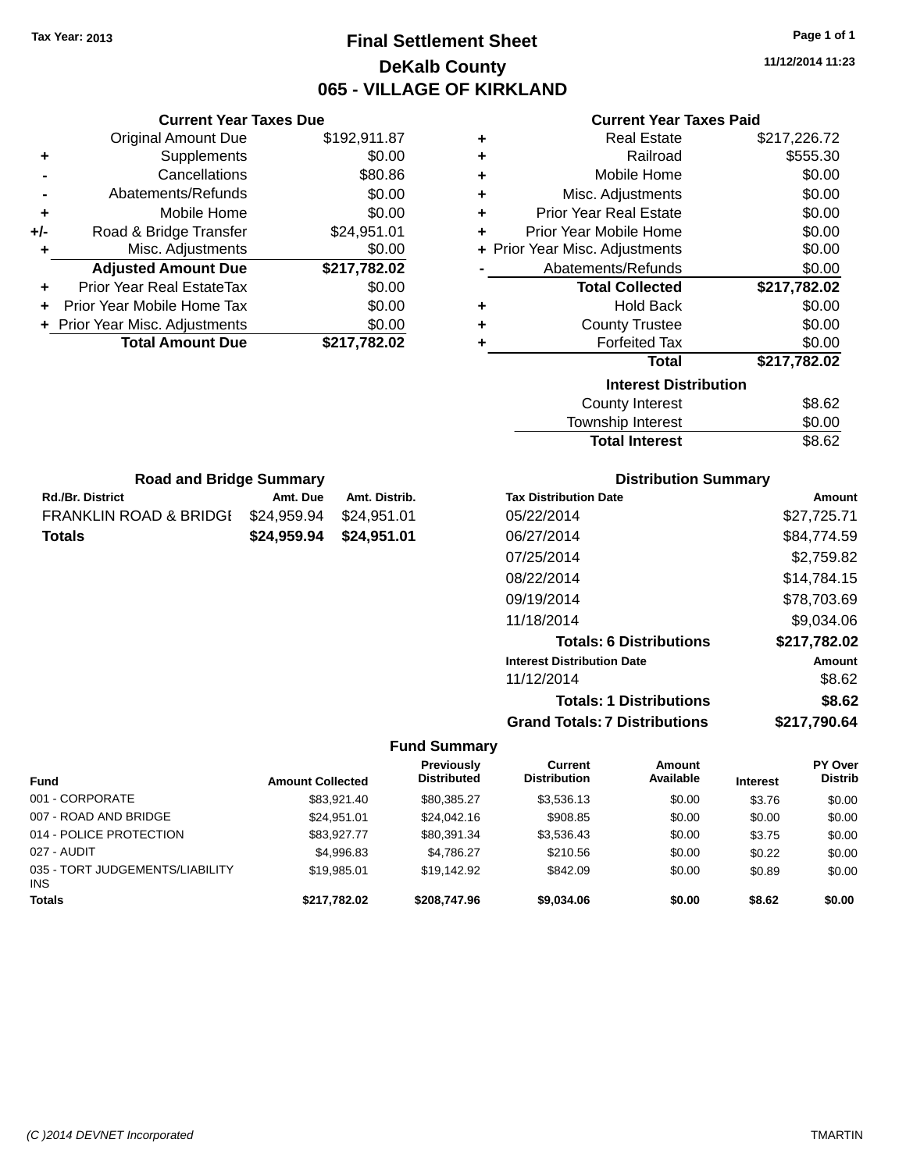# **Final Settlement Sheet Tax Year: 2013 Page 1 of 1 DeKalb County 065 - VILLAGE OF KIRKLAND**

**11/12/2014 11:23**

### **Current Year Taxes Paid**

|     | <b>Current Year Taxes Due</b>  |              |  |
|-----|--------------------------------|--------------|--|
|     | <b>Original Amount Due</b>     | \$192,911.87 |  |
| ٠   | Supplements                    | \$0.00       |  |
|     | Cancellations                  | \$80.86      |  |
|     | Abatements/Refunds             | \$0.00       |  |
| ٠   | Mobile Home                    | \$0.00       |  |
| +/- | Road & Bridge Transfer         | \$24,951.01  |  |
| ٠   | Misc. Adjustments              | \$0.00       |  |
|     | <b>Adjusted Amount Due</b>     | \$217,782.02 |  |
| ٠   | Prior Year Real EstateTax      | \$0.00       |  |
|     | Prior Year Mobile Home Tax     | \$0.00       |  |
|     | + Prior Year Misc. Adjustments | \$0.00       |  |
|     | <b>Total Amount Due</b>        | \$217,782.02 |  |
|     |                                |              |  |

**Rd./Br. District Amt. Due Amt. Distrib. Road and Bridge Summary**

FRANKLIN ROAD & BRIDGE \$24,959.94 \$24,951.01 **Totals \$24,959.94 \$24,951.01**

| ٠ | <b>Real Estate</b>             | \$217,226.72 |
|---|--------------------------------|--------------|
| ٠ | Railroad                       | \$555.30     |
| ٠ | Mobile Home                    | \$0.00       |
| ٠ | Misc. Adjustments              | \$0.00       |
| ÷ | <b>Prior Year Real Estate</b>  | \$0.00       |
| ٠ | Prior Year Mobile Home         | \$0.00       |
|   | + Prior Year Misc. Adjustments | \$0.00       |
|   | Abatements/Refunds             | \$0.00       |
|   |                                |              |
|   | <b>Total Collected</b>         | \$217,782.02 |
| ٠ | <b>Hold Back</b>               | \$0.00       |
| ٠ | <b>County Trustee</b>          | \$0.00       |
| ٠ | <b>Forfeited Tax</b>           | \$0.00       |
|   | <b>Total</b>                   | \$217,782.02 |
|   | <b>Interest Distribution</b>   |              |
|   | <b>County Interest</b>         | \$8.62       |

| <b>Total Interest</b>   | \$8.62 |
|-------------------------|--------|
| Township Interest       | \$0.00 |
| <b>OVATILY THIGIGSL</b> | JU.UZ  |

| <b>Distribution Summary</b>  |             |
|------------------------------|-------------|
| <b>Tax Distribution Date</b> | Amount      |
| 05/22/2014                   | \$27.725.71 |

| 05/22/2014                           | \$27,725.71  |
|--------------------------------------|--------------|
| 06/27/2014                           | \$84,774.59  |
| 07/25/2014                           | \$2,759.82   |
| 08/22/2014                           | \$14,784.15  |
| 09/19/2014                           | \$78,703.69  |
| 11/18/2014                           | \$9,034.06   |
| <b>Totals: 6 Distributions</b>       | \$217,782.02 |
| <b>Interest Distribution Date</b>    | Amount       |
| 11/12/2014                           | \$8.62       |
| <b>Totals: 1 Distributions</b>       | \$8.62       |
| <b>Grand Totals: 7 Distributions</b> | \$217.790.64 |

|                                               |                         | <b>Previously</b>  | Current             | <b>Amount</b> |                 | <b>PY Over</b> |
|-----------------------------------------------|-------------------------|--------------------|---------------------|---------------|-----------------|----------------|
| <b>Fund</b>                                   | <b>Amount Collected</b> | <b>Distributed</b> | <b>Distribution</b> | Available     | <b>Interest</b> | <b>Distrib</b> |
| 001 - CORPORATE                               | \$83,921.40             | \$80,385.27        | \$3,536.13          | \$0.00        | \$3.76          | \$0.00         |
| 007 - ROAD AND BRIDGE                         | \$24.951.01             | \$24.042.16        | \$908.85            | \$0.00        | \$0.00          | \$0.00         |
| 014 - POLICE PROTECTION                       | \$83,927,77             | \$80,391.34        | \$3,536.43          | \$0.00        | \$3.75          | \$0.00         |
| 027 - AUDIT                                   | \$4.996.83              | \$4,786.27         | \$210.56            | \$0.00        | \$0.22          | \$0.00         |
| 035 - TORT JUDGEMENTS/LIABILITY<br><b>INS</b> | \$19,985.01             | \$19.142.92        | \$842.09            | \$0.00        | \$0.89          | \$0.00         |
| <b>Totals</b>                                 | \$217,782.02            | \$208,747.96       | \$9,034.06          | \$0.00        | \$8.62          | \$0.00         |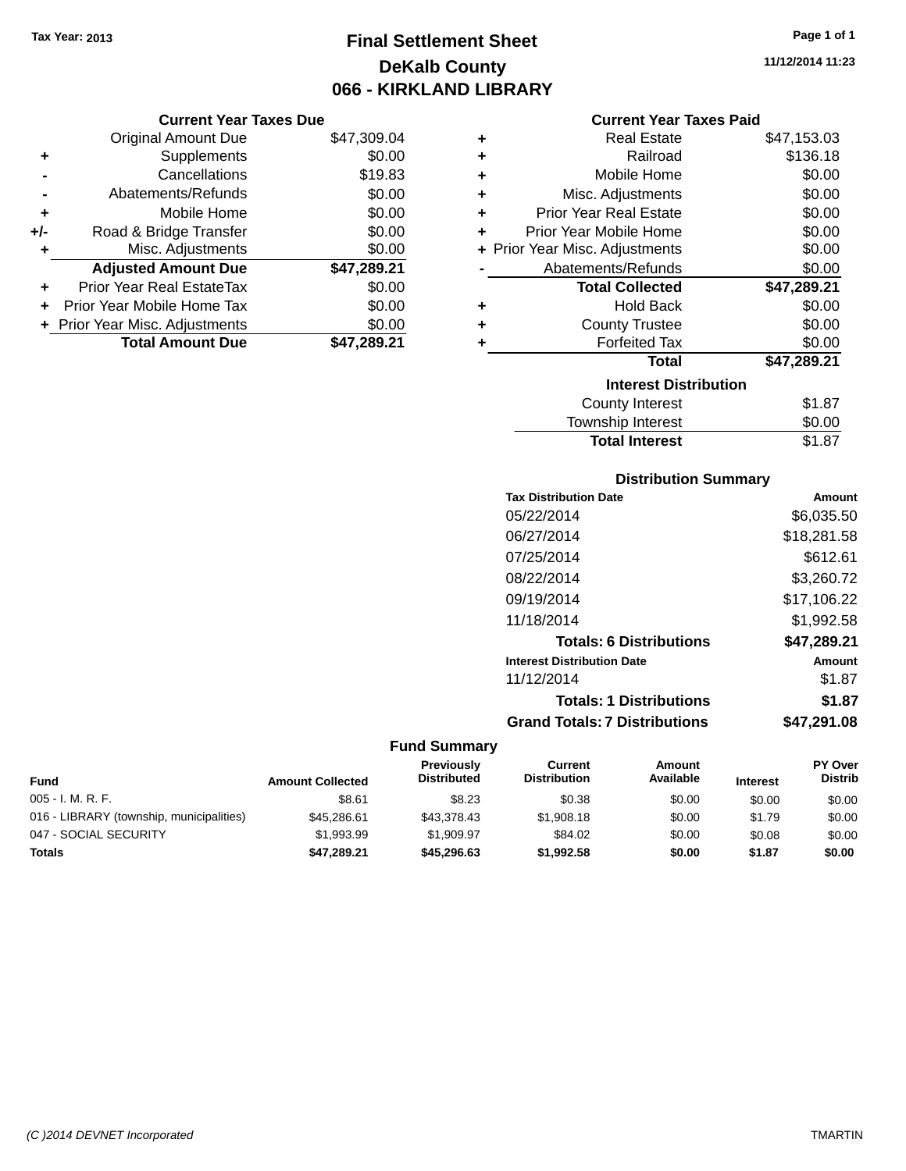# **Final Settlement Sheet Tax Year: 2013 Page 1 of 1 DeKalb County 066 - KIRKLAND LIBRARY**

**11/12/2014 11:23**

| <b>Current Year Taxes Paid</b> |  |  |  |
|--------------------------------|--|--|--|
|--------------------------------|--|--|--|

|     | <b>Current Year Taxes Due</b>  |             |  |  |  |  |
|-----|--------------------------------|-------------|--|--|--|--|
|     | <b>Original Amount Due</b>     | \$47,309.04 |  |  |  |  |
| ٠   | Supplements                    | \$0.00      |  |  |  |  |
|     | Cancellations                  | \$19.83     |  |  |  |  |
|     | Abatements/Refunds             | \$0.00      |  |  |  |  |
| ٠   | Mobile Home                    | \$0.00      |  |  |  |  |
| +/- | Road & Bridge Transfer         | \$0.00      |  |  |  |  |
| ٠   | Misc. Adjustments              | \$0.00      |  |  |  |  |
|     | <b>Adjusted Amount Due</b>     | \$47,289.21 |  |  |  |  |
|     | Prior Year Real EstateTax      | \$0.00      |  |  |  |  |
|     | Prior Year Mobile Home Tax     | \$0.00      |  |  |  |  |
|     | + Prior Year Misc. Adjustments | \$0.00      |  |  |  |  |
|     | <b>Total Amount Due</b>        | \$47,289.21 |  |  |  |  |

| ٠ | <b>Real Estate</b>             | \$47,153.03 |  |  |  |  |
|---|--------------------------------|-------------|--|--|--|--|
| ÷ | Railroad                       | \$136.18    |  |  |  |  |
| ÷ | Mobile Home                    | \$0.00      |  |  |  |  |
| ÷ | Misc. Adjustments              | \$0.00      |  |  |  |  |
| ÷ | <b>Prior Year Real Estate</b>  | \$0.00      |  |  |  |  |
| ٠ | Prior Year Mobile Home         | \$0.00      |  |  |  |  |
|   | + Prior Year Misc. Adjustments | \$0.00      |  |  |  |  |
|   | Abatements/Refunds             | \$0.00      |  |  |  |  |
|   | <b>Total Collected</b>         | \$47,289.21 |  |  |  |  |
| ٠ | Hold Back                      | \$0.00      |  |  |  |  |
| ٠ | <b>County Trustee</b>          | \$0.00      |  |  |  |  |
| ٠ | <b>Forfeited Tax</b>           | \$0.00      |  |  |  |  |
|   | <b>Total</b>                   | \$47,289.21 |  |  |  |  |
|   | <b>Interest Distribution</b>   |             |  |  |  |  |
|   | <b>County Interest</b>         | \$1.87      |  |  |  |  |
|   | <b>Township Interest</b>       | \$0.00      |  |  |  |  |
|   | <b>Total Interest</b>          | \$1.87      |  |  |  |  |

# **Distribution Summary**

| <b>Tax Distribution Date</b>         | Amount      |
|--------------------------------------|-------------|
| 05/22/2014                           | \$6,035.50  |
| 06/27/2014                           | \$18,281.58 |
| 07/25/2014                           | \$612.61    |
| 08/22/2014                           | \$3,260.72  |
| 09/19/2014                           | \$17,106.22 |
| 11/18/2014                           | \$1,992.58  |
| <b>Totals: 6 Distributions</b>       | \$47,289.21 |
| <b>Interest Distribution Date</b>    | Amount      |
| 11/12/2014                           | \$1.87      |
| <b>Totals: 1 Distributions</b>       | \$1.87      |
| <b>Grand Totals: 7 Distributions</b> | \$47.291.08 |
|                                      |             |

| <b>Fund</b>                              | <b>Amount Collected</b> | Previously<br><b>Distributed</b> | Current<br><b>Distribution</b> | Amount<br>Available | <b>Interest</b> | <b>PY Over</b><br><b>Distrib</b> |
|------------------------------------------|-------------------------|----------------------------------|--------------------------------|---------------------|-----------------|----------------------------------|
| $005 - I. M. R. F.$                      | \$8.61                  | \$8.23                           | \$0.38                         | \$0.00              | \$0.00          | \$0.00                           |
| 016 - LIBRARY (township, municipalities) | \$45,286.61             | \$43,378,43                      | \$1,908.18                     | \$0.00              | \$1.79          | \$0.00                           |
| 047 - SOCIAL SECURITY                    | \$1.993.99              | \$1.909.97                       | \$84.02                        | \$0.00              | \$0.08          | \$0.00                           |
| Totals                                   | \$47,289.21             | \$45,296.63                      | \$1,992.58                     | \$0.00              | \$1.87          | \$0.00                           |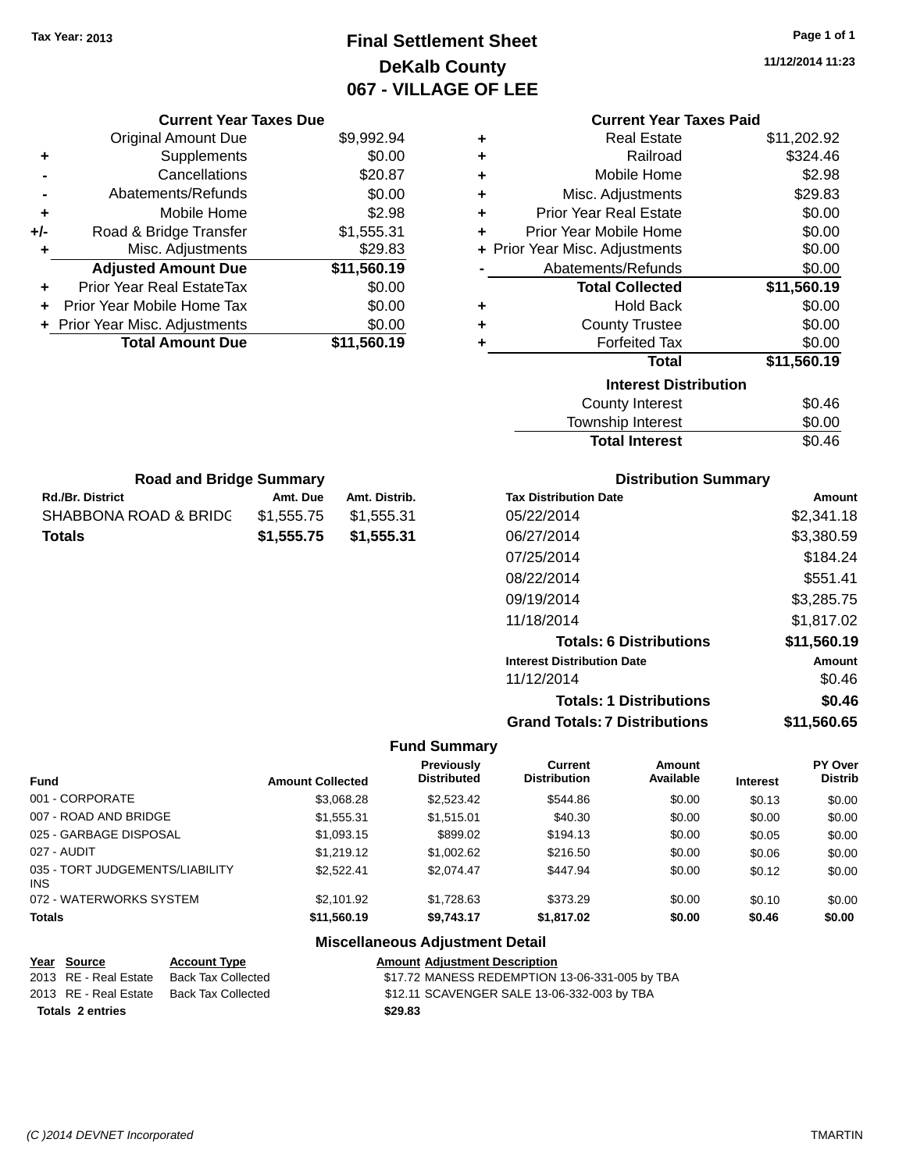# **Final Settlement Sheet Tax Year: 2013 Page 1 of 1 DeKalb County 067 - VILLAGE OF LEE**

**11/12/2014 11:23**

**Totals: 1 Distributions \$0.46**

|                                     | <b>Current Year Taxes Due</b>    |                         |                                        |                                  |                                      | <b>Current Year Taxes Paid</b> |                 |                           |
|-------------------------------------|----------------------------------|-------------------------|----------------------------------------|----------------------------------|--------------------------------------|--------------------------------|-----------------|---------------------------|
|                                     | <b>Original Amount Due</b>       |                         | \$9,992.94                             | ٠                                |                                      | <b>Real Estate</b>             |                 | \$11,202.92               |
|                                     | Supplements                      |                         | \$0.00                                 | ٠                                |                                      | Railroad                       |                 | \$324.46                  |
|                                     | Cancellations                    |                         | \$20.87                                | ٠                                |                                      | Mobile Home                    |                 | \$2.98                    |
|                                     | Abatements/Refunds               |                         | \$0.00                                 | ٠                                |                                      | Misc. Adjustments              |                 | \$29.83                   |
|                                     | Mobile Home                      |                         | \$2.98                                 | ٠                                | <b>Prior Year Real Estate</b>        |                                |                 | \$0.00                    |
| +/-                                 | Road & Bridge Transfer           |                         | \$1,555.31                             | ٠                                | Prior Year Mobile Home               |                                |                 | \$0.00                    |
|                                     | Misc. Adjustments                |                         | \$29.83                                | ÷.                               | Prior Year Misc. Adjustments         |                                |                 | \$0.00                    |
|                                     | <b>Adjusted Amount Due</b>       |                         | \$11,560.19                            |                                  | Abatements/Refunds                   |                                |                 | \$0.00                    |
|                                     | Prior Year Real EstateTax        |                         | \$0.00                                 |                                  |                                      | <b>Total Collected</b>         |                 | \$11,560.19               |
|                                     | Prior Year Mobile Home Tax       |                         | \$0.00                                 | ٠                                |                                      | <b>Hold Back</b>               |                 | \$0.00                    |
|                                     | + Prior Year Misc. Adjustments   |                         | \$0.00                                 | ٠                                |                                      | <b>County Trustee</b>          |                 | \$0.00                    |
|                                     | <b>Total Amount Due</b>          |                         | \$11,560.19                            | ٠                                |                                      | <b>Forfeited Tax</b>           |                 | \$0.00                    |
|                                     |                                  |                         |                                        |                                  |                                      | <b>Total</b>                   |                 | \$11,560.19               |
|                                     |                                  |                         |                                        |                                  |                                      | <b>Interest Distribution</b>   |                 |                           |
|                                     |                                  |                         |                                        |                                  |                                      | <b>County Interest</b>         |                 | \$0.46                    |
|                                     |                                  |                         |                                        |                                  |                                      | Township Interest              |                 | \$0.00                    |
|                                     |                                  |                         |                                        |                                  |                                      | <b>Total Interest</b>          |                 | \$0.46                    |
|                                     |                                  |                         |                                        |                                  |                                      |                                |                 |                           |
|                                     | <b>Road and Bridge Summary</b>   |                         |                                        |                                  |                                      | <b>Distribution Summary</b>    |                 |                           |
| <b>Rd./Br. District</b><br>Amt. Due |                                  |                         | Amt. Distrib.                          |                                  | <b>Tax Distribution Date</b>         |                                |                 | Amount                    |
|                                     | <b>SHABBONA ROAD &amp; BRIDG</b> | \$1,555.75              | \$1,555.31                             |                                  | 05/22/2014                           |                                | \$2,341.18      |                           |
| <b>Totals</b>                       |                                  | \$1,555.75              | \$1,555.31                             |                                  | 06/27/2014                           |                                |                 | \$3,380.59                |
|                                     |                                  |                         |                                        |                                  | 07/25/2014                           |                                |                 | \$184.24                  |
|                                     |                                  |                         |                                        |                                  | 08/22/2014                           |                                |                 | \$551.41                  |
|                                     |                                  |                         |                                        |                                  | 09/19/2014                           |                                |                 | \$3,285.75                |
|                                     |                                  |                         |                                        |                                  | 11/18/2014                           |                                |                 | \$1,817.02                |
|                                     |                                  |                         |                                        |                                  |                                      |                                |                 |                           |
|                                     |                                  |                         |                                        |                                  |                                      | <b>Totals: 6 Distributions</b> |                 | \$11,560.19               |
|                                     |                                  |                         |                                        |                                  | <b>Interest Distribution Date</b>    |                                |                 | Amount                    |
|                                     |                                  |                         |                                        |                                  | 11/12/2014                           |                                |                 | \$0.46                    |
|                                     |                                  |                         |                                        |                                  |                                      | <b>Totals: 1 Distributions</b> |                 | \$0.46                    |
|                                     |                                  |                         |                                        |                                  | <b>Grand Totals: 7 Distributions</b> |                                |                 | \$11,560.65               |
|                                     |                                  |                         |                                        | <b>Fund Summary</b>              |                                      |                                |                 |                           |
| Fund                                |                                  | <b>Amount Collected</b> |                                        | Previously<br><b>Distributed</b> | Current<br><b>Distribution</b>       | Amount<br>Available            | <b>Interest</b> | PY Over<br><b>Distrib</b> |
|                                     | 001 - CORPORATE                  |                         | \$3,068.28                             | \$2,523.42                       | \$544.86                             | \$0.00                         | \$0.13          | \$0.00                    |
|                                     | 007 - ROAD AND BRIDGE            |                         | \$1,555.31                             | \$1,515.01                       | \$40.30                              | \$0.00                         | \$0.00          | \$0.00                    |
|                                     | 025 - GARBAGE DISPOSAL           |                         | \$1,093.15                             | \$899.02                         | \$194.13                             | \$0.00                         | \$0.05          | \$0.00                    |
| 027 - AUDIT                         |                                  |                         | \$1,219.12                             | \$1,002.62                       | \$216.50                             | \$0.00                         | \$0.06          | \$0.00                    |
| INS                                 | 035 - TORT JUDGEMENTS/LIABILITY  |                         | \$2,522.41                             | \$2,074.47                       | \$447.94                             | \$0.00                         | \$0.12          | \$0.00                    |
|                                     | 072 - WATERWORKS SYSTEM          |                         | \$2,101.92                             | \$1,728.63                       | \$373.29                             | \$0.00                         | \$0.10          | \$0.00                    |
| Totals                              |                                  |                         | \$11,560.19                            | \$9,743.17                       | \$1,817.02                           | \$0.00                         | \$0.46          | \$0.00                    |
|                                     |                                  |                         | <b>Miscellaneous Adjustment Detail</b> |                                  |                                      |                                |                 |                           |

| Year Source             | <b>Account Type</b> | <b>Amount Adjustment Description</b>           |
|-------------------------|---------------------|------------------------------------------------|
| 2013 RE - Real Estate   | Back Tax Collected  | \$17.72 MANESS REDEMPTION 13-06-331-005 by TBA |
| 2013 RE - Real Estate   | Back Tax Collected  | \$12.11 SCAVENGER SALE 13-06-332-003 by TBA    |
| <b>Totals 2 entries</b> |                     | \$29.83                                        |

INS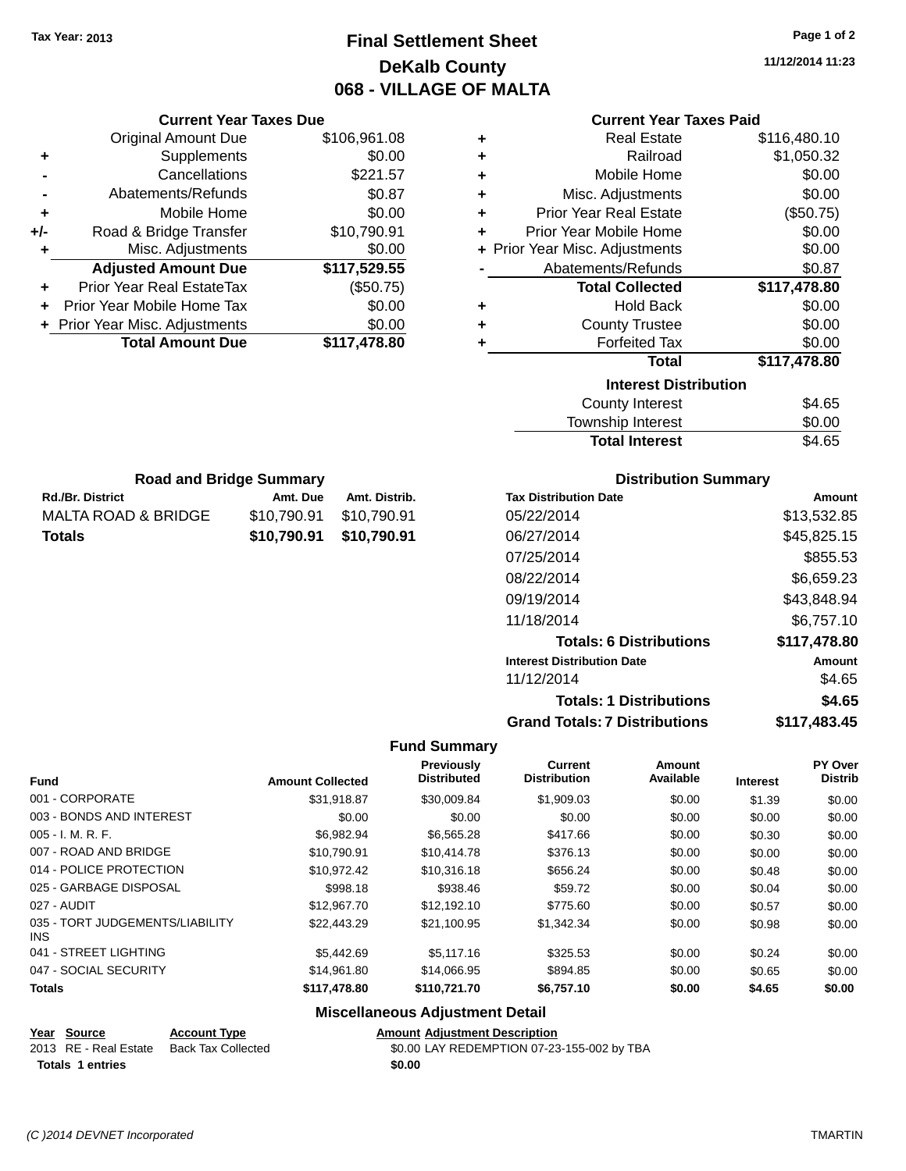# **Final Settlement Sheet Tax Year: 2013 Page 1 of 2 DeKalb County 068 - VILLAGE OF MALTA**

**11/12/2014 11:23**

| <b>Current Year Taxes Paid</b> |  |  |  |
|--------------------------------|--|--|--|
|--------------------------------|--|--|--|

| ÷ | <b>Real Estate</b>             | \$116,480.10 |
|---|--------------------------------|--------------|
| ٠ | Railroad                       | \$1,050.32   |
| ٠ | Mobile Home                    | \$0.00       |
| ٠ | Misc. Adjustments              | \$0.00       |
| ٠ | <b>Prior Year Real Estate</b>  | (\$50.75)    |
| ٠ | Prior Year Mobile Home         | \$0.00       |
|   | + Prior Year Misc. Adjustments | \$0.00       |
|   | Abatements/Refunds             | \$0.87       |
|   | <b>Total Collected</b>         | \$117,478.80 |
| ٠ | <b>Hold Back</b>               | \$0.00       |
| ٠ | <b>County Trustee</b>          | \$0.00       |
| ٠ | <b>Forfeited Tax</b>           | \$0.00       |
|   | <b>Total</b>                   | \$117,478.80 |
|   | <b>Interest Distribution</b>   |              |
|   | <b>County Interest</b>         | \$4.65       |
|   | <b>Township Interest</b>       | \$0.00       |

| <b>Total Interest</b> | \$4.65 |
|-----------------------|--------|
| Township Interest     | \$0.00 |
| County Interest       | \$4.65 |

| <b>Road and Bridge Summary</b> |             |               |  |
|--------------------------------|-------------|---------------|--|
| <b>Rd./Br. District</b>        | Amt. Due    | Amt. Distrib. |  |
| MALTA ROAD & BRIDGE            | \$10,790.91 | \$10,790.91   |  |
| <b>Totals</b>                  | \$10,790.91 | \$10,790.91   |  |

**Current Year Taxes Due** Original Amount Due \$106,961.08

**Adjusted Amount Due \$117,529.55**

**+** Supplements \$0.00 **-** Cancellations \$221.57 **-** Abatements/Refunds \$0.87 **+** Mobile Home \$0.00 **+/-** Road & Bridge Transfer \$10,790.91 **+** Misc. Adjustments \$0.00

**+** Prior Year Real EstateTax (\$50.75) **+** Prior Year Mobile Home Tax \$0.00 **+** Prior Year Misc. Adjustments \$0.00<br> **Total Amount Due** \$117,478.80

**Total Amount Due** 

### **Distribution Summary**

| <b>Tax Distribution Date</b>         | Amount       |
|--------------------------------------|--------------|
| 05/22/2014                           | \$13,532.85  |
| 06/27/2014                           | \$45,825.15  |
| 07/25/2014                           | \$855.53     |
| 08/22/2014                           | \$6,659.23   |
| 09/19/2014                           | \$43,848.94  |
| 11/18/2014                           | \$6,757.10   |
| <b>Totals: 6 Distributions</b>       | \$117,478.80 |
| <b>Interest Distribution Date</b>    | Amount       |
| 11/12/2014                           | \$4.65       |
| <b>Totals: 1 Distributions</b>       | \$4.65       |
| <b>Grand Totals: 7 Distributions</b> | \$117,483.45 |

#### **Fund Summary**

| <b>Fund</b>                             | <b>Amount Collected</b> | Previously<br><b>Distributed</b> | <b>Current</b><br><b>Distribution</b> | <b>Amount</b><br>Available | <b>Interest</b> | PY Over<br><b>Distrib</b> |
|-----------------------------------------|-------------------------|----------------------------------|---------------------------------------|----------------------------|-----------------|---------------------------|
| 001 - CORPORATE                         | \$31.918.87             | \$30,009.84                      | \$1,909.03                            | \$0.00                     | \$1.39          | \$0.00                    |
| 003 - BONDS AND INTEREST                | \$0.00                  | \$0.00                           | \$0.00                                | \$0.00                     | \$0.00          | \$0.00                    |
| $005 - I. M. R. F.$                     | \$6,982.94              | \$6,565.28                       | \$417.66                              | \$0.00                     | \$0.30          | \$0.00                    |
| 007 - ROAD AND BRIDGE                   | \$10,790.91             | \$10,414.78                      | \$376.13                              | \$0.00                     | \$0.00          | \$0.00                    |
| 014 - POLICE PROTECTION                 | \$10,972.42             | \$10,316.18                      | \$656.24                              | \$0.00                     | \$0.48          | \$0.00                    |
| 025 - GARBAGE DISPOSAL                  | \$998.18                | \$938.46                         | \$59.72                               | \$0.00                     | \$0.04          | \$0.00                    |
| 027 - AUDIT                             | \$12,967.70             | \$12.192.10                      | \$775.60                              | \$0.00                     | \$0.57          | \$0.00                    |
| 035 - TORT JUDGEMENTS/LIABILITY<br>INS. | \$22,443.29             | \$21.100.95                      | \$1,342,34                            | \$0.00                     | \$0.98          | \$0.00                    |
| 041 - STREET LIGHTING                   | \$5,442.69              | \$5,117,16                       | \$325.53                              | \$0.00                     | \$0.24          | \$0.00                    |
| 047 - SOCIAL SECURITY                   | \$14.961.80             | \$14,066.95                      | \$894.85                              | \$0.00                     | \$0.65          | \$0.00                    |
| <b>Totals</b>                           | \$117,478.80            | \$110,721.70                     | \$6,757.10                            | \$0.00                     | \$4.65          | \$0.00                    |

### **Miscellaneous Adjustment Detail**

### **Year** Source **Account Type Account Type Amount Adjustment Description**

| 2013 RE - Real Estate Back Tax Collected | \$0.00 LAY REDEMPTION 07-23-155-002 by TBA |
|------------------------------------------|--------------------------------------------|
| <b>Totals 1 entries</b>                  | \$0.00                                     |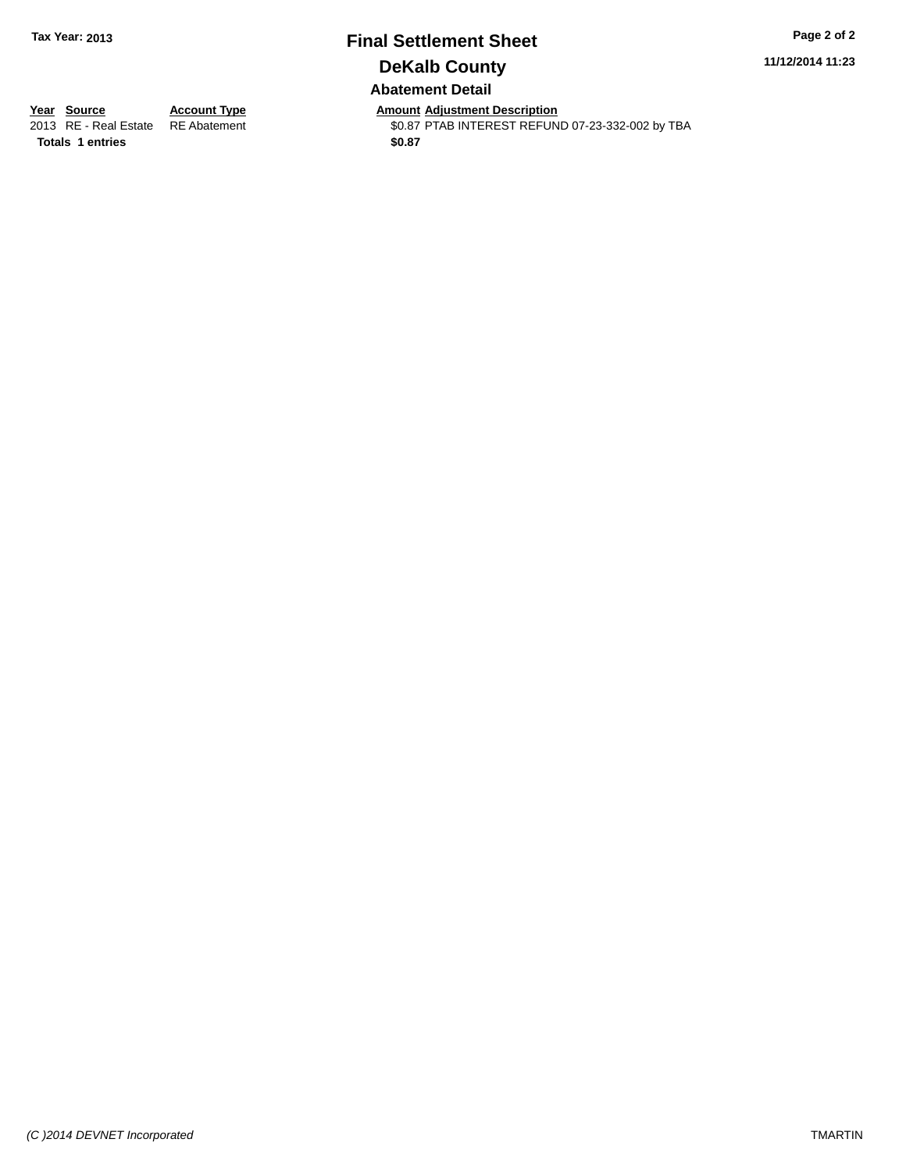# **Final Settlement Sheet Tax Year: 2013 Page 2 of 2 DeKalb County Abatement Detail**

**11/12/2014 11:23**

**Totals \$0.87 1 entries**

**Year Source Account Type Anneurs Amount Adjustment Description**<br>
2013 RE - Real Estate RE Abatement **Account 1998 AMOUNTEREST REFUN** \$0.87 PTAB INTEREST REFUND 07-23-332-002 by TBA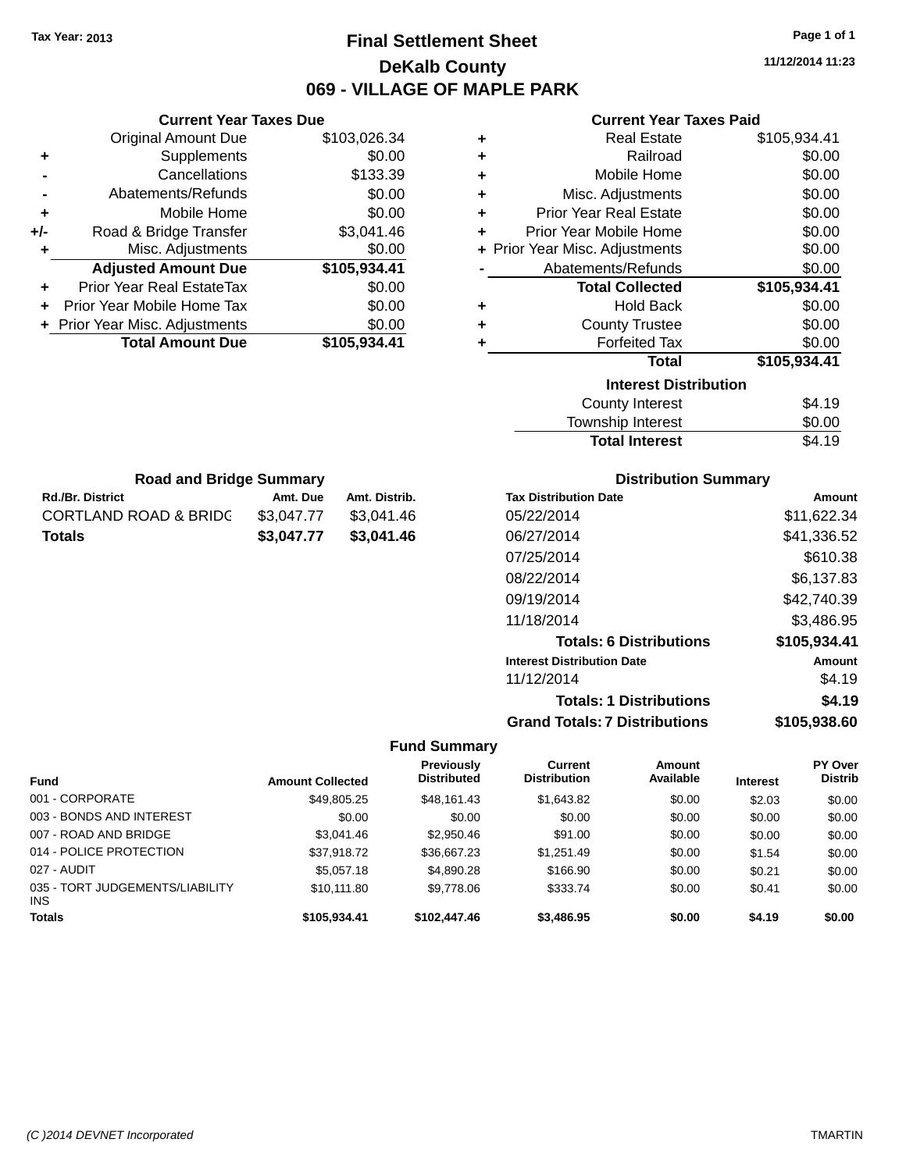# **Final Settlement Sheet Tax Year: 2013 Page 1 of 1 DeKalb County 069 - VILLAGE OF MAPLE PARK**

**11/12/2014 11:23**

# **Current Year Taxes Paid**

|     | <b>Current Year Taxes Due</b>  |              |
|-----|--------------------------------|--------------|
|     | <b>Original Amount Due</b>     | \$103,026.34 |
| ٠   | Supplements                    | \$0.00       |
|     | Cancellations                  | \$133.39     |
|     | Abatements/Refunds             | \$0.00       |
| ÷   | Mobile Home                    | \$0.00       |
| +/- | Road & Bridge Transfer         | \$3,041.46   |
| ٠   | Misc. Adjustments              | \$0.00       |
|     | <b>Adjusted Amount Due</b>     | \$105,934.41 |
| ٠   | Prior Year Real EstateTax      | \$0.00       |
| ÷   | Prior Year Mobile Home Tax     | \$0.00       |
|     | + Prior Year Misc. Adjustments | \$0.00       |
|     | <b>Total Amount Due</b>        | \$105.934.41 |

| ٠ | <b>Real Estate</b>             | \$105,934.41 |
|---|--------------------------------|--------------|
| ٠ | Railroad                       | \$0.00       |
| ÷ | Mobile Home                    | \$0.00       |
| ٠ | Misc. Adjustments              | \$0.00       |
| ٠ | <b>Prior Year Real Estate</b>  | \$0.00       |
| ٠ | Prior Year Mobile Home         | \$0.00       |
|   | + Prior Year Misc. Adjustments | \$0.00       |
|   | Abatements/Refunds             | \$0.00       |
|   | <b>Total Collected</b>         | \$105,934.41 |
| ٠ | <b>Hold Back</b>               | \$0.00       |
| ٠ | <b>County Trustee</b>          | \$0.00       |
| ٠ | <b>Forfeited Tax</b>           | \$0.00       |
|   | <b>Total</b>                   | \$105,934.41 |
|   | <b>Interest Distribution</b>   |              |
|   | <b>County Interest</b>         | \$4.19       |

| <b>Total Interest</b> | \$4.19 |
|-----------------------|--------|
| Township Interest     | \$0.00 |
| County Interest       | \$4.19 |

| <b>Road and Bridge Summary</b>   |            |               |  |  |
|----------------------------------|------------|---------------|--|--|
| <b>Rd./Br. District</b>          | Amt. Due   | Amt. Distrib. |  |  |
| <b>CORTLAND ROAD &amp; BRIDC</b> | \$3.047.77 | \$3,041.46    |  |  |
| Totals                           | \$3,047.77 | \$3,041.46    |  |  |

# **Distribution Summary**

| <b>Tax Distribution Date</b>         | Amount       |
|--------------------------------------|--------------|
| 05/22/2014                           | \$11,622.34  |
| 06/27/2014                           | \$41,336.52  |
| 07/25/2014                           | \$610.38     |
| 08/22/2014                           | \$6,137.83   |
| 09/19/2014                           | \$42,740.39  |
| 11/18/2014                           | \$3,486.95   |
| <b>Totals: 6 Distributions</b>       | \$105,934.41 |
| <b>Interest Distribution Date</b>    | Amount       |
| 11/12/2014                           | \$4.19       |
| <b>Totals: 1 Distributions</b>       | \$4.19       |
| <b>Grand Totals: 7 Distributions</b> | \$105,938.60 |

| <b>Fund</b>                                   | <b>Amount Collected</b> | <b>Previously</b><br><b>Distributed</b> | Current<br><b>Distribution</b> | <b>Amount</b><br>Available | <b>Interest</b> | <b>PY Over</b><br><b>Distrib</b> |
|-----------------------------------------------|-------------------------|-----------------------------------------|--------------------------------|----------------------------|-----------------|----------------------------------|
| 001 - CORPORATE                               | \$49,805.25             | \$48.161.43                             | \$1,643.82                     | \$0.00                     | \$2.03          | \$0.00                           |
| 003 - BONDS AND INTEREST                      | \$0.00                  | \$0.00                                  | \$0.00                         | \$0.00                     | \$0.00          | \$0.00                           |
| 007 - ROAD AND BRIDGE                         | \$3.041.46              | \$2,950.46                              | \$91.00                        | \$0.00                     | \$0.00          | \$0.00                           |
| 014 - POLICE PROTECTION                       | \$37,918.72             | \$36,667.23                             | \$1,251.49                     | \$0.00                     | \$1.54          | \$0.00                           |
| 027 - AUDIT                                   | \$5,057.18              | \$4,890.28                              | \$166.90                       | \$0.00                     | \$0.21          | \$0.00                           |
| 035 - TORT JUDGEMENTS/LIABILITY<br><b>INS</b> | \$10.111.80             | \$9,778.06                              | \$333.74                       | \$0.00                     | \$0.41          | \$0.00                           |
| <b>Totals</b>                                 | \$105.934.41            | \$102,447.46                            | \$3,486.95                     | \$0.00                     | \$4.19          | \$0.00                           |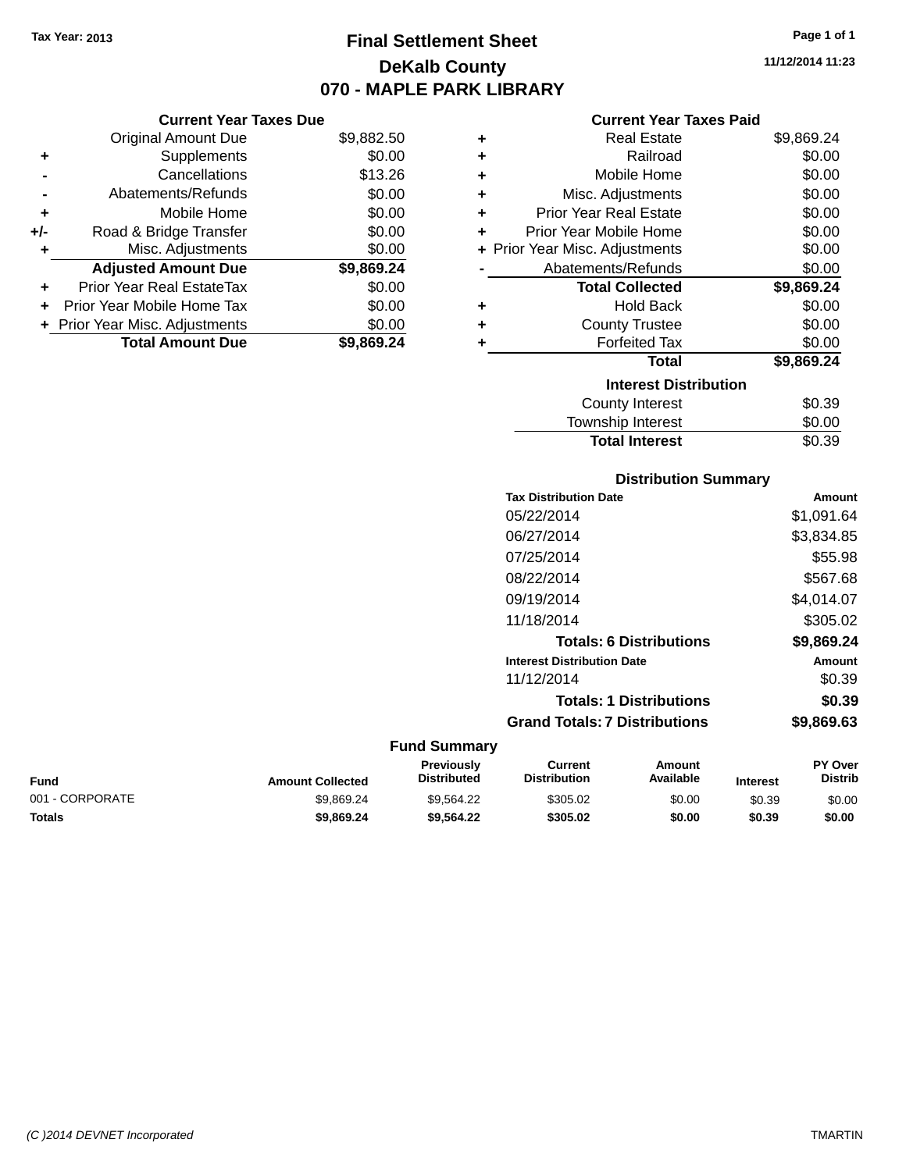**Current Year Taxes Due** Original Amount Due \$9,882.50

**Adjusted Amount Due \$9,869.24**

**Total Amount Due \$9,869.24**

**+** Supplements \$0.00 **-** Cancellations \$13.26 **-** Abatements/Refunds \$0.00 **+** Mobile Home \$0.00 **+/-** Road & Bridge Transfer \$0.00 **+** Misc. Adjustments \$0.00

**+** Prior Year Real EstateTax \$0.00 **+** Prior Year Mobile Home Tax \$0.00 **+** Prior Year Misc. Adjustments  $$0.00$ 

# **Final Settlement Sheet Tax Year: 2013 Page 1 of 1 DeKalb County 070 - MAPLE PARK LIBRARY**

**11/12/2014 11:23**

#### **Current Year Taxes Paid**

| ٠ | <b>Real Estate</b>             | \$9,869.24 |
|---|--------------------------------|------------|
| ٠ | Railroad                       | \$0.00     |
| ٠ | Mobile Home                    | \$0.00     |
| ٠ | Misc. Adjustments              | \$0.00     |
| ٠ | <b>Prior Year Real Estate</b>  | \$0.00     |
| ٠ | Prior Year Mobile Home         | \$0.00     |
|   | + Prior Year Misc. Adjustments | \$0.00     |
|   | Abatements/Refunds             | \$0.00     |
|   | <b>Total Collected</b>         | \$9,869.24 |
| ٠ | <b>Hold Back</b>               | \$0.00     |
| ٠ | <b>County Trustee</b>          | \$0.00     |
| ٠ | <b>Forfeited Tax</b>           | \$0.00     |
|   | Total                          | \$9,869.24 |
|   | <b>Interest Distribution</b>   |            |
|   | County Interest                | \$0.39     |
|   | Township Interest              | \$0.00     |

# **Distribution Summary**

Total Interest \$0.39

|                     | <b>Tax Distribution Date</b>         | Amount     |
|---------------------|--------------------------------------|------------|
|                     | 05/22/2014                           | \$1,091.64 |
|                     | 06/27/2014                           | \$3,834.85 |
|                     | 07/25/2014                           | \$55.98    |
|                     | 08/22/2014                           | \$567.68   |
|                     | 09/19/2014                           | \$4,014.07 |
|                     | 11/18/2014                           | \$305.02   |
|                     | <b>Totals: 6 Distributions</b>       | \$9,869.24 |
|                     | <b>Interest Distribution Date</b>    | Amount     |
|                     | 11/12/2014                           | \$0.39     |
|                     | <b>Totals: 1 Distributions</b>       | \$0.39     |
|                     | <b>Grand Totals: 7 Distributions</b> | \$9,869.63 |
| <b>Fund Summary</b> |                                      |            |

#### **Fund Interest Amount Collected Distributed PY Over Distrib Amount Available Current Distribution Previously** 001 - CORPORATE 6000 \$9,869.24 \$9,869.24 \$9,564.22 \$305.02 \$0.00 \$0.39 \$0.00 **Totals \$9,869.24 \$9,564.22 \$305.02 \$0.00 \$0.39 \$0.00**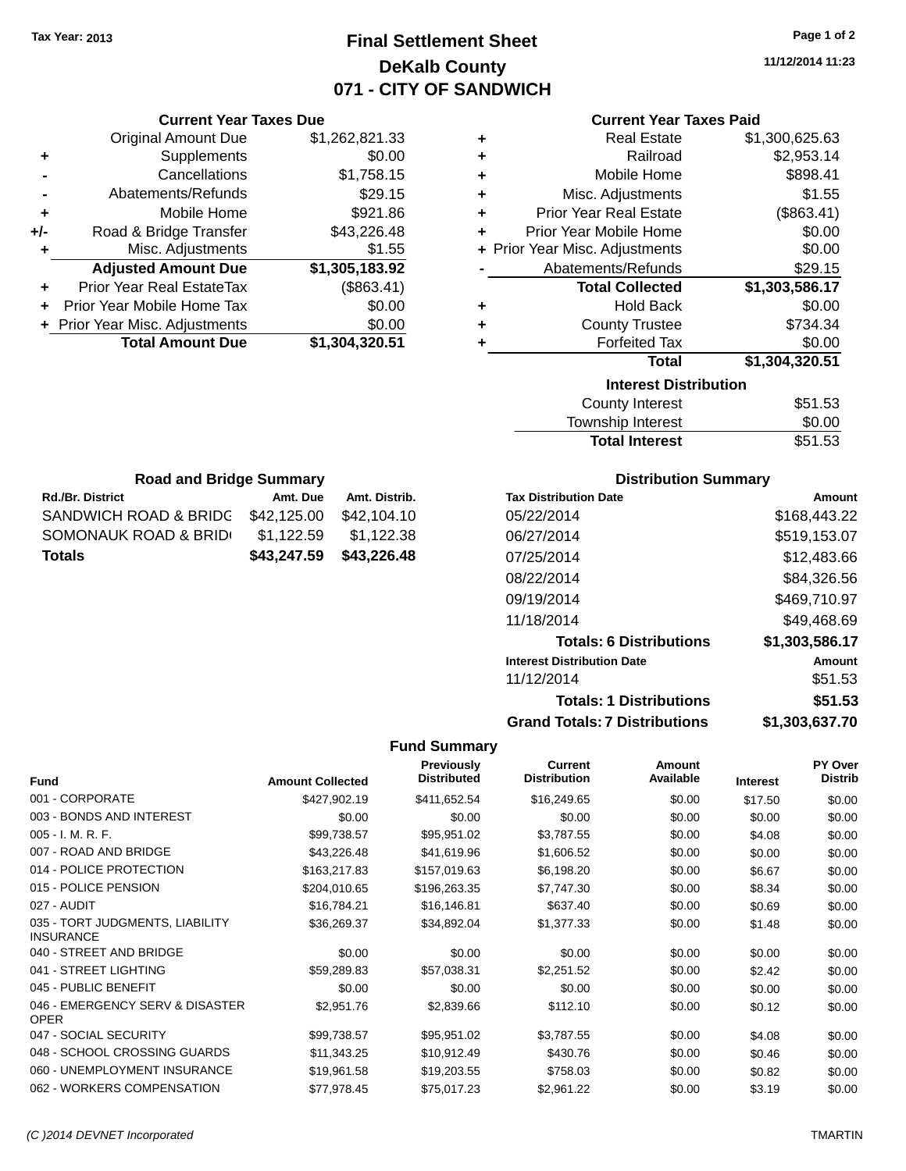# **Final Settlement Sheet Tax Year: 2013 Page 1 of 2 DeKalb County 071 - CITY OF SANDWICH**

**11/12/2014 11:23**

# **Current Year Taxes Paid**

|     | <b>Current Year Taxes Due</b>    |                |   | <b>Current Year Taxes Paid</b> |                |
|-----|----------------------------------|----------------|---|--------------------------------|----------------|
|     | <b>Original Amount Due</b>       | \$1,262,821.33 | ٠ | <b>Real Estate</b>             | \$1,300,625.63 |
| ٠   | Supplements                      | \$0.00         | ٠ | Railroad                       | \$2,953.14     |
|     | Cancellations                    | \$1,758.15     | ٠ | Mobile Home                    | \$898.41       |
|     | Abatements/Refunds               | \$29.15        | ٠ | Misc. Adjustments              | \$1.55         |
| ٠   | Mobile Home                      | \$921.86       | ٠ | <b>Prior Year Real Estate</b>  | (\$863.41)     |
| +/- | Road & Bridge Transfer           | \$43,226.48    | ÷ | Prior Year Mobile Home         | \$0.00         |
|     | Misc. Adjustments                | \$1.55         |   | + Prior Year Misc. Adjustments | \$0.00         |
|     | <b>Adjusted Amount Due</b>       | \$1,305,183.92 |   | Abatements/Refunds             | \$29.15        |
| ٠   | <b>Prior Year Real EstateTax</b> | (\$863.41)     |   | <b>Total Collected</b>         | \$1,303,586.17 |
| ÷.  | Prior Year Mobile Home Tax       | \$0.00         | ٠ | <b>Hold Back</b>               | \$0.00         |
|     | + Prior Year Misc. Adjustments   | \$0.00         | ٠ | <b>County Trustee</b>          | \$734.34       |
|     | <b>Total Amount Due</b>          | \$1,304,320.51 |   | <b>Forfeited Tax</b>           | \$0.00         |
|     |                                  |                |   | <b>Total</b>                   | \$1,304,320.51 |
|     |                                  |                |   | .                              |                |

| Total                        | \$1,304,320.51 |
|------------------------------|----------------|
| <b>Interest Distribution</b> |                |
| <b>County Interest</b>       | \$51.53        |
| Township Interest            | \$0.00         |
| <b>Total Interest</b>        | \$51.53        |

| <b>Road and Bridge Summary</b> |             |               |  |  |  |  |
|--------------------------------|-------------|---------------|--|--|--|--|
| <b>Rd./Br. District</b>        | Amt. Due    | Amt. Distrib. |  |  |  |  |
| SANDWICH ROAD & BRIDG          | \$42.125.00 | \$42,104.10   |  |  |  |  |
| SOMONAUK ROAD & BRID           | \$1,122.59  | \$1,122.38    |  |  |  |  |
| <b>Totals</b>                  | \$43,247.59 | \$43,226.48   |  |  |  |  |

### **Distribution Summary**

| <b>Tax Distribution Date</b>         | Amount         |
|--------------------------------------|----------------|
| 05/22/2014                           | \$168,443.22   |
| 06/27/2014                           | \$519,153.07   |
| 07/25/2014                           | \$12,483.66    |
| 08/22/2014                           | \$84,326.56    |
| 09/19/2014                           | \$469,710.97   |
| 11/18/2014                           | \$49,468.69    |
| <b>Totals: 6 Distributions</b>       | \$1,303,586.17 |
| <b>Interest Distribution Date</b>    | Amount         |
| 11/12/2014                           | \$51.53        |
| <b>Totals: 1 Distributions</b>       | \$51.53        |
| <b>Grand Totals: 7 Distributions</b> | \$1,303,637.70 |

| <b>Fund</b>                                         | <b>Amount Collected</b> | <b>Previously</b><br><b>Distributed</b> | Current<br><b>Distribution</b> | Amount<br>Available | <b>Interest</b> | <b>PY Over</b><br><b>Distrib</b> |
|-----------------------------------------------------|-------------------------|-----------------------------------------|--------------------------------|---------------------|-----------------|----------------------------------|
| 001 - CORPORATE                                     | \$427,902.19            | \$411,652.54                            | \$16,249.65                    | \$0.00              | \$17.50         | \$0.00                           |
| 003 - BONDS AND INTEREST                            | \$0.00                  | \$0.00                                  | \$0.00                         | \$0.00              | \$0.00          | \$0.00                           |
| $005 - I. M. R. F.$                                 | \$99,738.57             | \$95,951.02                             | \$3,787.55                     | \$0.00              | \$4.08          | \$0.00                           |
| 007 - ROAD AND BRIDGE                               | \$43,226.48             | \$41,619.96                             | \$1,606.52                     | \$0.00              | \$0.00          | \$0.00                           |
| 014 - POLICE PROTECTION                             | \$163,217.83            | \$157,019.63                            | \$6,198.20                     | \$0.00              | \$6.67          | \$0.00                           |
| 015 - POLICE PENSION                                | \$204,010.65            | \$196,263.35                            | \$7,747.30                     | \$0.00              | \$8.34          | \$0.00                           |
| 027 - AUDIT                                         | \$16,784.21             | \$16,146.81                             | \$637.40                       | \$0.00              | \$0.69          | \$0.00                           |
| 035 - TORT JUDGMENTS, LIABILITY<br><b>INSURANCE</b> | \$36,269.37             | \$34,892.04                             | \$1,377.33                     | \$0.00              | \$1.48          | \$0.00                           |
| 040 - STREET AND BRIDGE                             | \$0.00                  | \$0.00                                  | \$0.00                         | \$0.00              | \$0.00          | \$0.00                           |
| 041 - STREET LIGHTING                               | \$59,289.83             | \$57,038.31                             | \$2,251.52                     | \$0.00              | \$2.42          | \$0.00                           |
| 045 - PUBLIC BENEFIT                                | \$0.00                  | \$0.00                                  | \$0.00                         | \$0.00              | \$0.00          | \$0.00                           |
| 046 - EMERGENCY SERV & DISASTER<br><b>OPER</b>      | \$2,951.76              | \$2,839.66                              | \$112.10                       | \$0.00              | \$0.12          | \$0.00                           |
| 047 - SOCIAL SECURITY                               | \$99,738.57             | \$95,951.02                             | \$3,787.55                     | \$0.00              | \$4.08          | \$0.00                           |
| 048 - SCHOOL CROSSING GUARDS                        | \$11,343.25             | \$10,912.49                             | \$430.76                       | \$0.00              | \$0.46          | \$0.00                           |
| 060 - UNEMPLOYMENT INSURANCE                        | \$19,961.58             | \$19,203.55                             | \$758.03                       | \$0.00              | \$0.82          | \$0.00                           |
| 062 - WORKERS COMPENSATION                          | \$77,978.45             | \$75,017.23                             | \$2,961.22                     | \$0.00              | \$3.19          | \$0.00                           |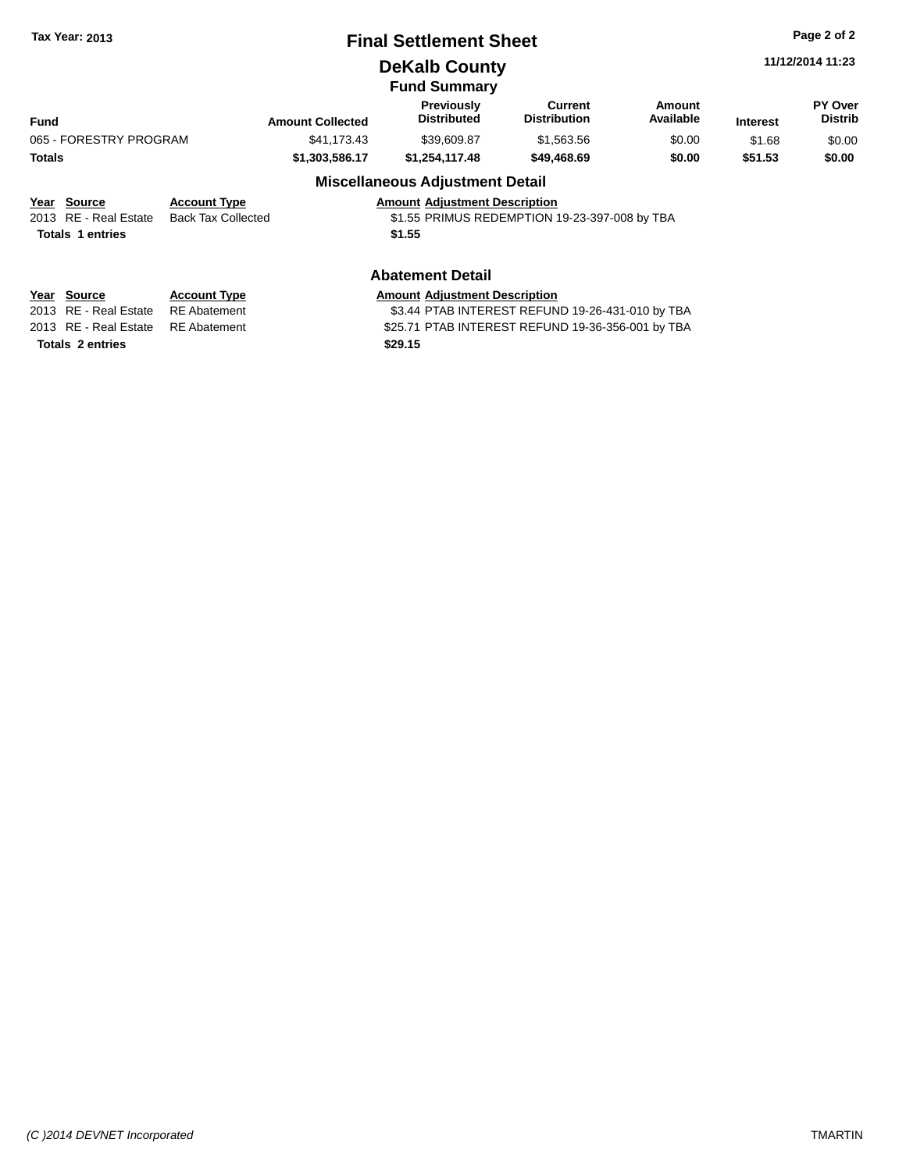|  | <b>Tax Year: 2013</b> |  |  |
|--|-----------------------|--|--|
|--|-----------------------|--|--|

# **Final Settlement Sheet Tax Year: 2013 Page 2 of 2**

**DeKalb County**

**11/12/2014 11:23**

|                        |                     |                         | <b>Fund Summary</b>                     |                                |                            |                 |                                  |
|------------------------|---------------------|-------------------------|-----------------------------------------|--------------------------------|----------------------------|-----------------|----------------------------------|
| <b>Fund</b>            |                     | <b>Amount Collected</b> | <b>Previously</b><br><b>Distributed</b> | Current<br><b>Distribution</b> | <b>Amount</b><br>Available | <b>Interest</b> | <b>PY Over</b><br><b>Distrib</b> |
| 065 - FORESTRY PROGRAM |                     | \$41.173.43             | \$39,609.87                             | \$1,563,56                     | \$0.00                     | \$1.68          | \$0.00                           |
| <b>Totals</b>          |                     | \$1,303,586,17          | \$1.254.117.48                          | \$49,468.69                    | \$0.00                     | \$51.53         | \$0.00                           |
|                        |                     |                         | <b>Miscellaneous Adjustment Detail</b>  |                                |                            |                 |                                  |
| Year<br>Source         | <b>Account Type</b> |                         | <b>Amount Adjustment Description</b>    |                                |                            |                 |                                  |

| <b>Amount Adiustment Description</b> |  |
|--------------------------------------|--|

|  | ---------------  |                                          |                                               |
|--|------------------|------------------------------------------|-----------------------------------------------|
|  |                  | 2013 RE - Real Estate Back Tax Collected | \$1.55 PRIMUS REDEMPTION 19-23-397-008 by TBA |
|  | Totals 1 entries |                                          | \$1.55                                        |
|  |                  |                                          |                                               |

### **Abatement Detail**

| Year Source           | <b>Account Typ</b> |
|-----------------------|--------------------|
| 2013 RE - Real Estate | <b>RE</b> Abateme  |

**Totals 2 entries \$29.15**

**PE A** Amount Adjustment Description 2013 The State of State State Estate Transition of the State State State State State State State State State S 2013 RE - Real Estate RE Abatement \$25.71 PTAB INTEREST REFUND 19-36-356-001 by TBA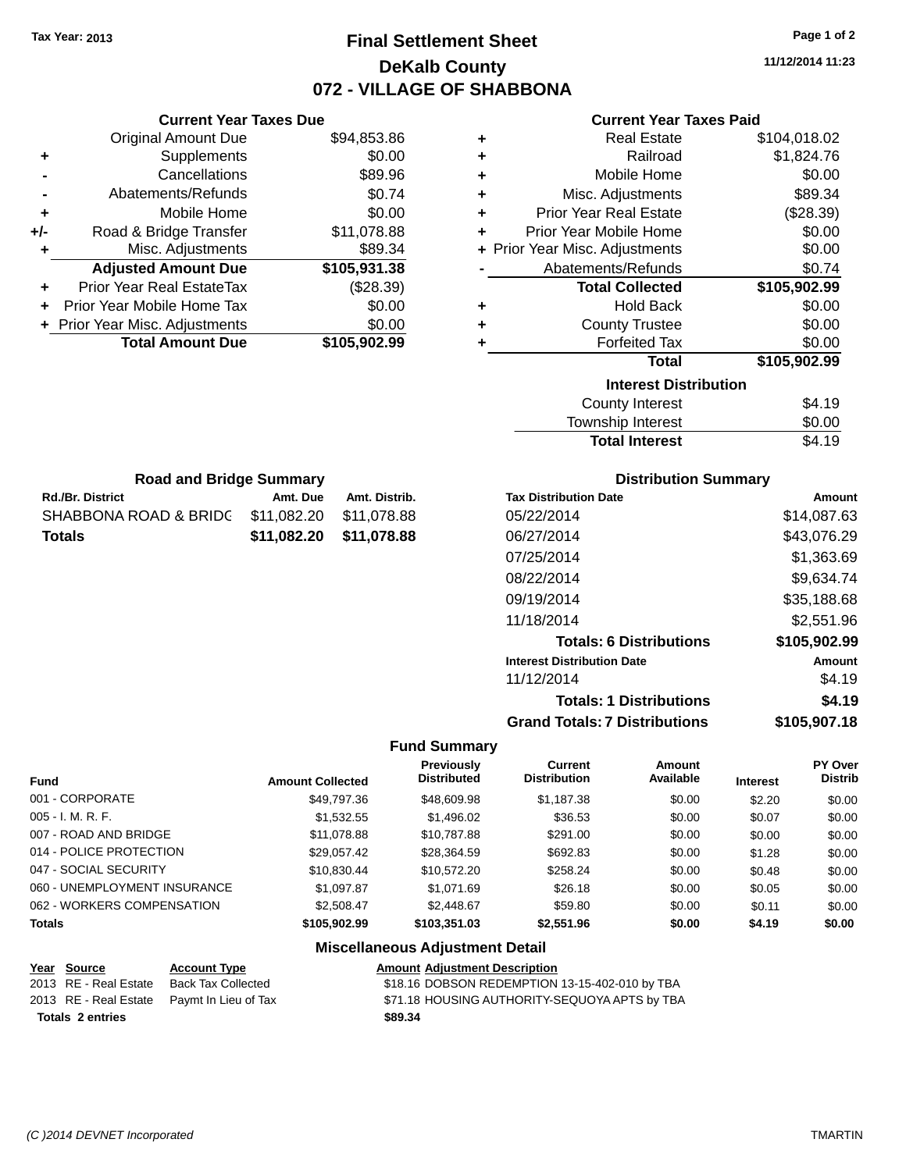# **Final Settlement Sheet Tax Year: 2013 Page 1 of 2 DeKalb County 072 - VILLAGE OF SHABBONA**

**11/12/2014 11:23**

# **Current Year Taxes Paid**

|     | <b>Current Year Taxes Due</b>    |              |   |
|-----|----------------------------------|--------------|---|
|     | <b>Original Amount Due</b>       | \$94,853.86  |   |
| ٠   | Supplements                      | \$0.00       | ٠ |
|     | Cancellations                    | \$89.96      |   |
|     | Abatements/Refunds               | \$0.74       | ٠ |
|     | Mobile Home                      | \$0.00       |   |
| +/- | Road & Bridge Transfer           | \$11,078.88  |   |
|     | Misc. Adjustments                | \$89.34      |   |
|     | <b>Adjusted Amount Due</b>       | \$105,931.38 |   |
|     | <b>Prior Year Real EstateTax</b> | (\$28.39)    |   |
|     | Prior Year Mobile Home Tax       | \$0.00       |   |
|     | + Prior Year Misc. Adjustments   | \$0.00       |   |
|     | <b>Total Amount Due</b>          | \$105,902.99 |   |
|     |                                  |              |   |

| ٠ | <b>Real Estate</b>             | \$104,018.02 |
|---|--------------------------------|--------------|
| ٠ | Railroad                       | \$1,824.76   |
| ÷ | Mobile Home                    | \$0.00       |
| ٠ | Misc. Adjustments              | \$89.34      |
| ÷ | <b>Prior Year Real Estate</b>  | (\$28.39)    |
| ٠ | Prior Year Mobile Home         | \$0.00       |
|   | + Prior Year Misc. Adjustments | \$0.00       |
|   | Abatements/Refunds             | \$0.74       |
|   | <b>Total Collected</b>         | \$105,902.99 |
| ٠ | <b>Hold Back</b>               | \$0.00       |
| ÷ | <b>County Trustee</b>          | \$0.00       |
| ٠ | <b>Forfeited Tax</b>           | \$0.00       |
|   | <b>Total</b>                   | \$105,902.99 |
|   | <b>Interest Distribution</b>   |              |
|   | <b>County Interest</b>         | \$4.19       |
|   | Township Interest              | \$0.00       |

| <b>Total Interest</b> | \$4.19 |
|-----------------------|--------|
| Township Interest     | \$0.00 |
| County interest       |        |

| <b>Road and Bridge Summary</b>                |                         |               |  |  |  |  |  |  |  |
|-----------------------------------------------|-------------------------|---------------|--|--|--|--|--|--|--|
| <b>Rd./Br. District</b>                       | Amt. Due                | Amt. Distrib. |  |  |  |  |  |  |  |
| SHABBONA ROAD & BRIDC \$11,082.20 \$11,078.88 |                         |               |  |  |  |  |  |  |  |
| <b>Totals</b>                                 | \$11,082.20 \$11,078.88 |               |  |  |  |  |  |  |  |

# **Distribution Summary**

| Amount       |
|--------------|
| \$14,087.63  |
| \$43,076.29  |
| \$1,363.69   |
| \$9,634.74   |
| \$35,188.68  |
| \$2,551.96   |
| \$105,902.99 |
| Amount       |
| \$4.19       |
| \$4.19       |
| \$105,907.18 |
|              |

### **Fund Summary**

| <b>Fund</b>                  | <b>Amount Collected</b> | Previously<br><b>Distributed</b> | Current<br><b>Distribution</b> | Amount<br>Available | <b>Interest</b> | PY Over<br><b>Distrib</b> |
|------------------------------|-------------------------|----------------------------------|--------------------------------|---------------------|-----------------|---------------------------|
| 001 - CORPORATE              | \$49,797.36             | \$48,609.98                      | \$1,187.38                     | \$0.00              | \$2.20          | \$0.00                    |
| $005 - I. M. R. F.$          | \$1.532.55              | \$1,496.02                       | \$36.53                        | \$0.00              | \$0.07          | \$0.00                    |
| 007 - ROAD AND BRIDGE        | \$11,078.88             | \$10,787.88                      | \$291.00                       | \$0.00              | \$0.00          | \$0.00                    |
| 014 - POLICE PROTECTION      | \$29.057.42             | \$28.364.59                      | \$692.83                       | \$0.00              | \$1.28          | \$0.00                    |
| 047 - SOCIAL SECURITY        | \$10.830.44             | \$10.572.20                      | \$258.24                       | \$0.00              | \$0.48          | \$0.00                    |
| 060 - UNEMPLOYMENT INSURANCE | \$1,097.87              | \$1.071.69                       | \$26.18                        | \$0.00              | \$0.05          | \$0.00                    |
| 062 - WORKERS COMPENSATION   | \$2,508.47              | \$2,448.67                       | \$59.80                        | \$0.00              | \$0.11          | \$0.00                    |
| <b>Totals</b>                | \$105,902.99            | \$103,351.03                     | \$2,551.96                     | \$0.00              | \$4.19          | \$0.00                    |

# **Miscellaneous Adjustment Detail**

|                  | Year Source           | <b>Account Type</b>                        | <b>Amount Adjustment Description</b>           |
|------------------|-----------------------|--------------------------------------------|------------------------------------------------|
|                  | 2013 RE - Real Estate | Back Tax Collected                         | \$18.16 DOBSON REDEMPTION 13-15-402-010 by TBA |
|                  |                       | 2013 RE - Real Estate Paymt In Lieu of Tax | \$71.18 HOUSING AUTHORITY-SEQUOYA APTS by TBA  |
| Totals 2 entries |                       |                                            | \$89.34                                        |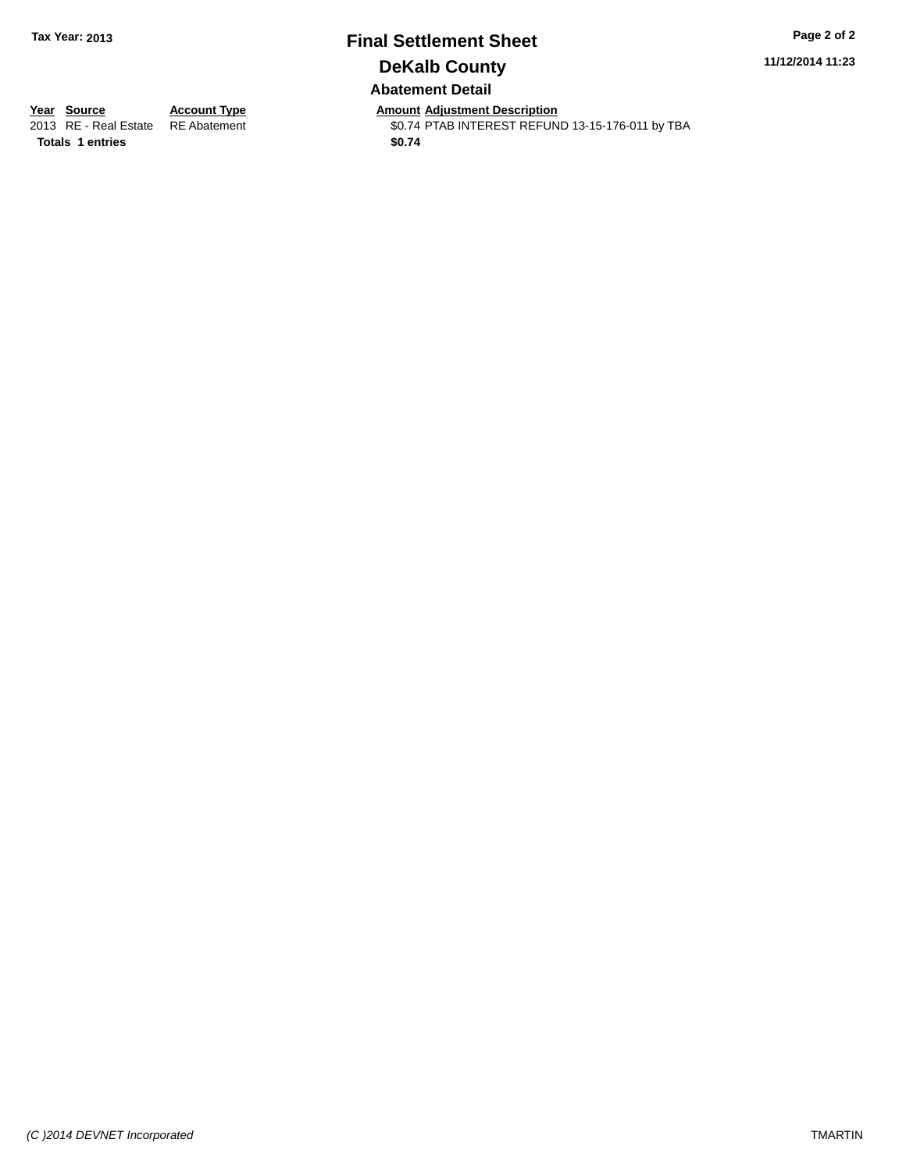# **Final Settlement Sheet Tax Year: 2013 Page 2 of 2 DeKalb County Abatement Detail**

**11/12/2014 11:23**

**Totals \$0.74 1 entries**

**Year Source Account Type Anneunt Adjustment Description**<br>
2013 RE - Real Estate RE Abatement **Account 1998 AMOU ACCOUNTEREST REFUN** \$0.74 PTAB INTEREST REFUND 13-15-176-011 by TBA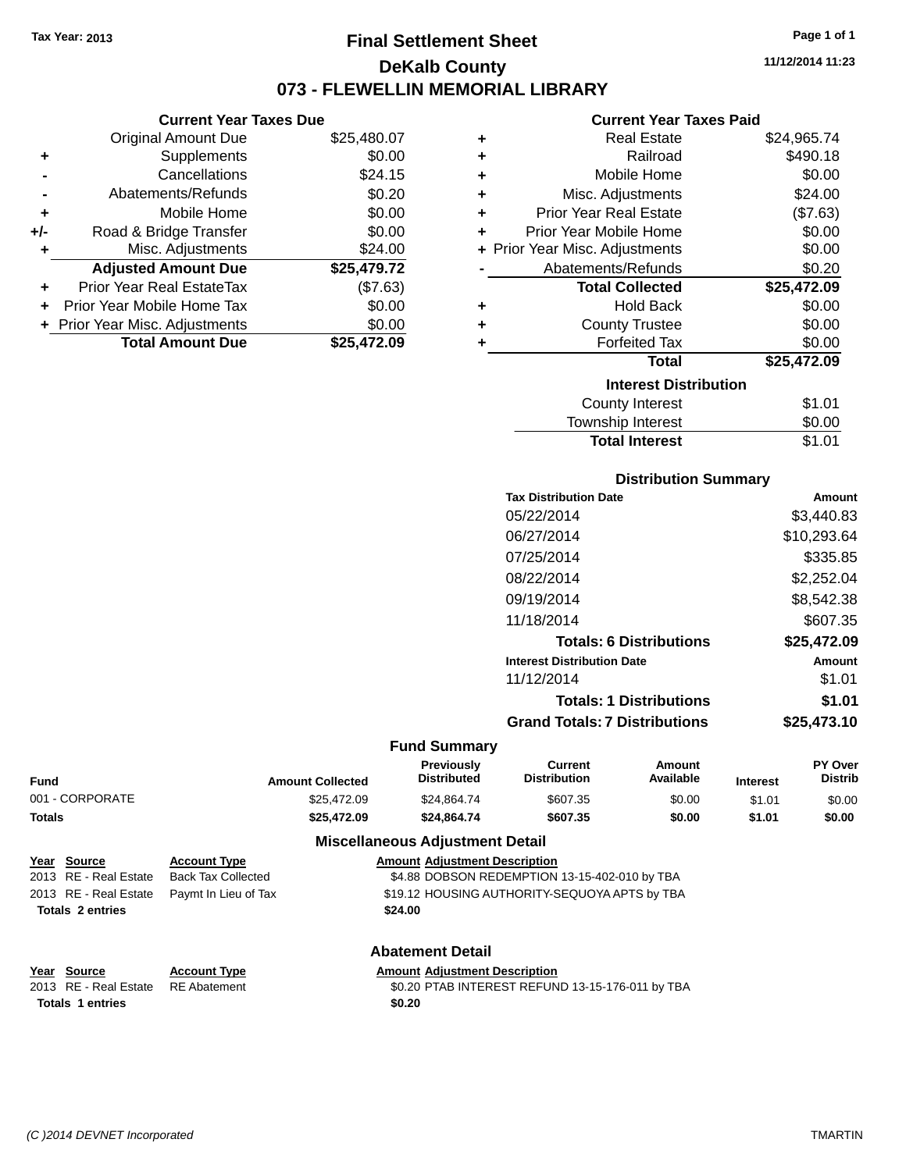# **Final Settlement Sheet Tax Year: 2013 Page 1 of 1 DeKalb County 073 - FLEWELLIN MEMORIAL LIBRARY**

**11/12/2014 11:23**

#### **Current Year Taxes Paid**

|     | <b>Current Year Taxes Due</b>  |             |       |
|-----|--------------------------------|-------------|-------|
|     | <b>Original Amount Due</b>     | \$25,480.07 | ٠     |
|     | <b>Supplements</b>             | \$0.00      | ٠     |
|     | Cancellations                  | \$24.15     | ٠     |
|     | Abatements/Refunds             | \$0.20      | ٠     |
|     | Mobile Home                    | \$0.00      | ٠     |
| +/- | Road & Bridge Transfer         | \$0.00      | ٠     |
|     | Misc. Adjustments              | \$24.00     | Prior |
|     | <b>Adjusted Amount Due</b>     | \$25,479.72 |       |
|     | Prior Year Real EstateTax      | (\$7.63)    |       |
|     | Prior Year Mobile Home Tax     | \$0.00      | ٠     |
|     | + Prior Year Misc. Adjustments | \$0.00      |       |
|     | <b>Total Amount Due</b>        | \$25,472.09 |       |
|     |                                |             |       |

| ٠ | <b>Real Estate</b>           | \$24,965.74 |
|---|------------------------------|-------------|
| ÷ | Railroad                     | \$490.18    |
| ٠ | Mobile Home                  | \$0.00      |
| ÷ | Misc. Adjustments            | \$24.00     |
| ٠ | Prior Year Real Estate       | (\$7.63)    |
| ٠ | Prior Year Mobile Home       | \$0.00      |
| ÷ | Prior Year Misc. Adjustments | \$0.00      |
|   | Abatements/Refunds           | \$0.20      |
|   | <b>Total Collected</b>       | \$25,472.09 |
| ٠ | <b>Hold Back</b>             | \$0.00      |
| ÷ | <b>County Trustee</b>        | \$0.00      |
| ٠ | <b>Forfeited Tax</b>         | \$0.00      |
|   | <b>Total</b>                 | \$25,472.09 |
|   | <b>Interest Distribution</b> |             |
|   | County Interest              | \$1.01      |
|   | <b>Township Interest</b>     | \$0.00      |
|   | <b>Total Interest</b>        | \$1.01      |

|  |  | <b>Distribution Summary</b> |  |  |  |  |  |
|--|--|-----------------------------|--|--|--|--|--|
|  |  |                             |  |  |  |  |  |

|                     | <b>Tax Distribution Date</b>         | <b>Amount</b> |
|---------------------|--------------------------------------|---------------|
|                     | 05/22/2014                           | \$3,440.83    |
|                     | 06/27/2014                           | \$10,293.64   |
|                     | 07/25/2014                           | \$335.85      |
|                     | 08/22/2014                           | \$2,252.04    |
|                     | 09/19/2014                           | \$8,542.38    |
|                     | 11/18/2014                           | \$607.35      |
|                     | <b>Totals: 6 Distributions</b>       | \$25,472.09   |
|                     | <b>Interest Distribution Date</b>    | <b>Amount</b> |
|                     | 11/12/2014                           | \$1.01        |
|                     | <b>Totals: 1 Distributions</b>       | \$1.01        |
|                     | <b>Grand Totals: 7 Distributions</b> | \$25,473.10   |
| <b>Fund Summary</b> |                                      |               |

| Fund            | <b>Amount Collected</b> | <b>Previously</b><br><b>Distributed</b> | Current<br><b>Distribution</b> | Amount<br>Available | <b>Interest</b> | <b>PY Over</b><br><b>Distrib</b> |
|-----------------|-------------------------|-----------------------------------------|--------------------------------|---------------------|-----------------|----------------------------------|
| 001 - CORPORATE | \$25,472.09             | \$24.864.74                             | \$607.35                       | \$0.00              | \$1.01          | \$0.00                           |
| Totals          | \$25,472.09             | \$24.864.74                             | \$607.35                       | \$0.00              | \$1.01          | \$0.00                           |
|                 | - --<br>$ -$            |                                         |                                |                     |                 |                                  |

### **Miscellaneous Adjustment Detail**

| Year Source           | <b>Account Type</b>                        | <b>Amount Adjustment Description</b>          |
|-----------------------|--------------------------------------------|-----------------------------------------------|
| 2013 RE - Real Estate | Back Tax Collected                         | \$4.88 DOBSON REDEMPTION 13-15-402-010 by TBA |
|                       | 2013 RE - Real Estate Paymt In Lieu of Tax | \$19.12 HOUSING AUTHORITY-SEQUOYA APTS by TBA |
| Totals 2 entries      |                                            | \$24.00                                       |

Totals 1 entries \$0.20

# **Abatement Detail**

#### **Year Source Account Type Amount Adjustment Description**

2013 RE - Real Estate RE Abatement \$0.20 PTAB INTEREST REFUND 13-15-176-011 by TBA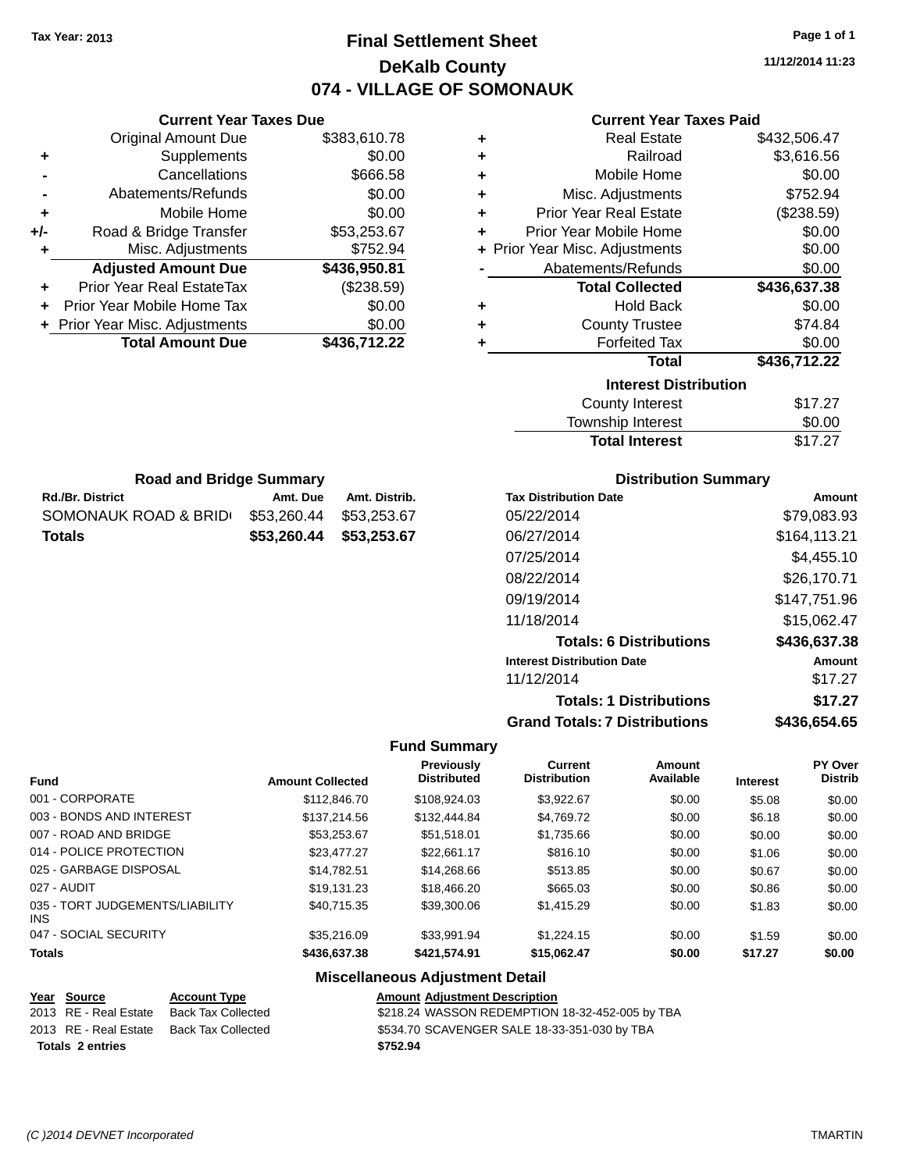# **Final Settlement Sheet Tax Year: 2013 Page 1 of 1 DeKalb County 074 - VILLAGE OF SOMONAUK**

**11/12/2014 11:23**

# **Current Year Taxes Paid**

| ٠ | <b>Real Estate</b>             | \$432,506.47 |
|---|--------------------------------|--------------|
| ÷ | Railroad                       | \$3,616.56   |
| ٠ | Mobile Home                    | \$0.00       |
| ٠ | Misc. Adjustments              | \$752.94     |
| ÷ | <b>Prior Year Real Estate</b>  | (\$238.59)   |
| ÷ | Prior Year Mobile Home         | \$0.00       |
|   | + Prior Year Misc. Adjustments | \$0.00       |
|   | Abatements/Refunds             | \$0.00       |
|   | <b>Total Collected</b>         | \$436,637.38 |
| ٠ | <b>Hold Back</b>               | \$0.00       |
| ÷ | <b>County Trustee</b>          | \$74.84      |
| ٠ | <b>Forfeited Tax</b>           | \$0.00       |
|   | <b>Total</b>                   | \$436,712.22 |
|   | <b>Interest Distribution</b>   |              |
|   | <b>County Interest</b>         | \$17.27      |
|   | Townshin Interest              | ፍሰ ሰበ        |

| iliturga bisti ibution |         |
|------------------------|---------|
| County Interest        | \$17.27 |
| Township Interest      | \$0.00  |
| <b>Total Interest</b>  | \$17.27 |
|                        |         |

| <b>Road and Bridge Summary</b> |                         |               |
|--------------------------------|-------------------------|---------------|
| <b>Rd./Br. District</b>        | Amt. Due                | Amt. Distrib. |
| SOMONAUK ROAD & BRID           | \$53.260.44             | \$53,253.67   |
| <b>Totals</b>                  | \$53,260.44 \$53,253.67 |               |

**Current Year Taxes Due** Original Amount Due \$383,610.78

**Adjusted Amount Due \$436,950.81**

**Total Amount Due \$436,712.22**

**+** Supplements \$0.00 **-** Cancellations \$666.58 **-** Abatements/Refunds \$0.00 **+** Mobile Home \$0.00 **+/-** Road & Bridge Transfer \$53,253.67 **+** Misc. Adjustments \$752.94

**+** Prior Year Real EstateTax (\$238.59) **+** Prior Year Mobile Home Tax \$0.00 **+ Prior Year Misc. Adjustments**  $$0.00$ 

### **Distribution Summary**

| <b>Tax Distribution Date</b>         | Amount       |
|--------------------------------------|--------------|
| 05/22/2014                           | \$79,083.93  |
| 06/27/2014                           | \$164,113.21 |
| 07/25/2014                           | \$4,455.10   |
| 08/22/2014                           | \$26,170.71  |
| 09/19/2014                           | \$147,751.96 |
| 11/18/2014                           | \$15,062.47  |
| <b>Totals: 6 Distributions</b>       | \$436,637.38 |
| <b>Interest Distribution Date</b>    | Amount       |
| 11/12/2014                           | \$17.27      |
| <b>Totals: 1 Distributions</b>       | \$17.27      |
| <b>Grand Totals: 7 Distributions</b> | \$436.654.65 |

#### **Fund Summary**

| <b>Amount Collected</b> | <b>Previously</b><br><b>Distributed</b> | <b>Current</b><br><b>Distribution</b> | Amount<br>Available | <b>Interest</b> | <b>PY Over</b><br><b>Distrib</b> |
|-------------------------|-----------------------------------------|---------------------------------------|---------------------|-----------------|----------------------------------|
| \$112,846.70            | \$108.924.03                            | \$3.922.67                            | \$0.00              | \$5.08          | \$0.00                           |
| \$137,214.56            | \$132,444.84                            | \$4,769.72                            | \$0.00              | \$6.18          | \$0.00                           |
| \$53,253,67             | \$51.518.01                             | \$1,735.66                            | \$0.00              | \$0.00          | \$0.00                           |
| \$23,477.27             | \$22.661.17                             | \$816.10                              | \$0.00              | \$1.06          | \$0.00                           |
| \$14,782.51             | \$14,268,66                             | \$513.85                              | \$0.00              | \$0.67          | \$0.00                           |
| \$19.131.23             | \$18,466,20                             | \$665.03                              | \$0.00              | \$0.86          | \$0.00                           |
| \$40.715.35             | \$39,300.06                             | \$1,415.29                            | \$0.00              | \$1.83          | \$0.00                           |
| \$35,216.09             | \$33.991.94                             | \$1,224.15                            | \$0.00              | \$1.59          | \$0.00                           |
| \$436,637.38            | \$421.574.91                            | \$15,062.47                           | \$0.00              | \$17.27         | \$0.00                           |
|                         |                                         |                                       |                     |                 |                                  |

# **Miscellaneous Adjustment Detail**

| Year Source             | <b>Account Type</b>                      | <b>Amount Adjustment Description</b>            |
|-------------------------|------------------------------------------|-------------------------------------------------|
| 2013 RE - Real Estate   | Back Tax Collected                       | \$218.24 WASSON REDEMPTION 18-32-452-005 by TBA |
|                         | 2013 RE - Real Estate Back Tax Collected | \$534.70 SCAVENGER SALE 18-33-351-030 by TBA    |
| <b>Totals 2 entries</b> |                                          | \$752.94                                        |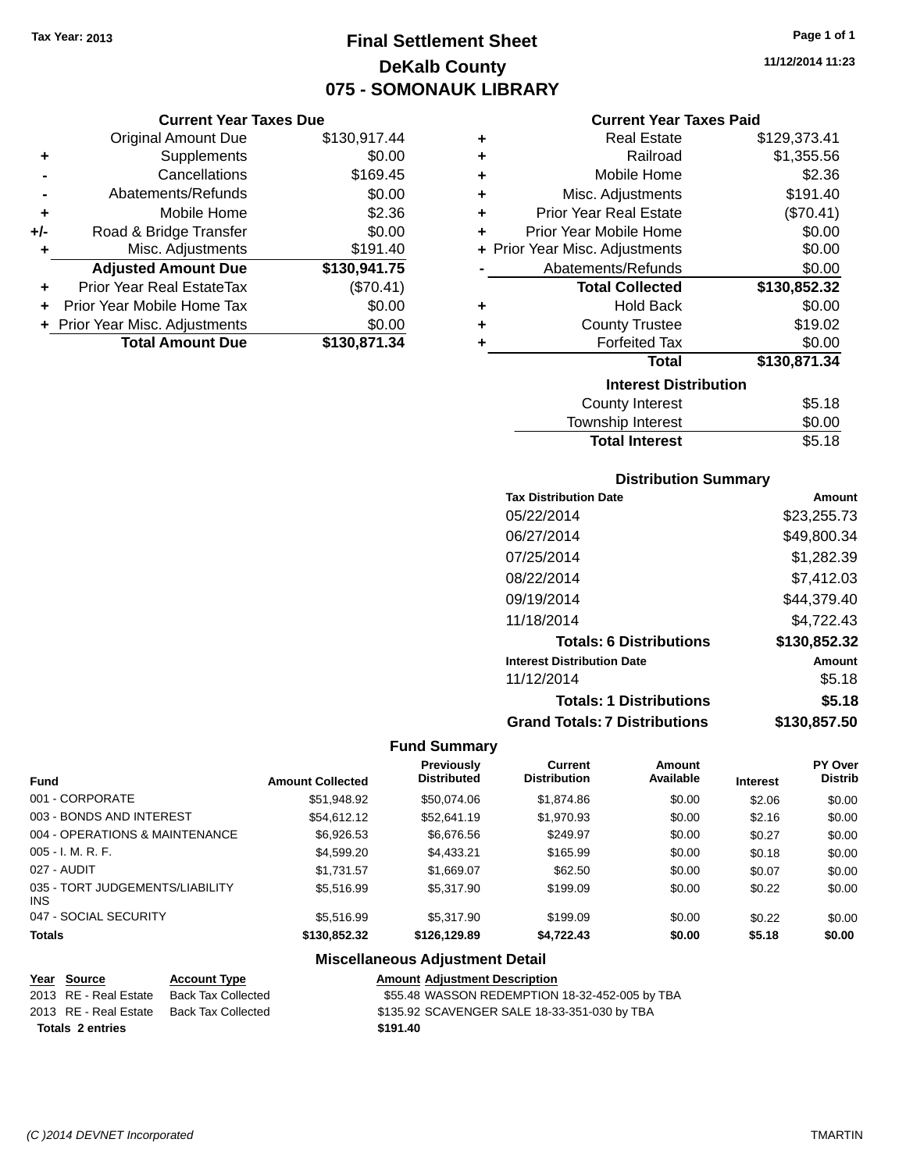# **Final Settlement Sheet Tax Year: 2013 Page 1 of 1 DeKalb County 075 - SOMONAUK LIBRARY**

#### **Current Year Taxes Due**

|       | <b>Original Amount Due</b>     | \$130,917.44 |
|-------|--------------------------------|--------------|
| ٠     | Supplements                    | \$0.00       |
|       | Cancellations                  | \$169.45     |
|       | Abatements/Refunds             | \$0.00       |
| ٠     | Mobile Home                    | \$2.36       |
| $+/-$ | Road & Bridge Transfer         | \$0.00       |
| ٠     | Misc. Adjustments              | \$191.40     |
|       | <b>Adjusted Amount Due</b>     | \$130,941.75 |
|       | Prior Year Real EstateTax      | (\$70.41)    |
|       | Prior Year Mobile Home Tax     | \$0.00       |
|       | + Prior Year Misc. Adjustments | \$0.00       |
|       | <b>Total Amount Due</b>        | \$130,871.34 |

#### **Current Year Taxes Paid**

| ٠ | <b>Real Estate</b>             | \$129,373.41 |
|---|--------------------------------|--------------|
| ٠ | Railroad                       | \$1,355.56   |
| ٠ | Mobile Home                    | \$2.36       |
| ٠ | Misc. Adjustments              | \$191.40     |
| ٠ | <b>Prior Year Real Estate</b>  | (\$70.41)    |
| ٠ | Prior Year Mobile Home         | \$0.00       |
|   | + Prior Year Misc. Adjustments | \$0.00       |
|   | Abatements/Refunds             | \$0.00       |
|   | <b>Total Collected</b>         | \$130,852.32 |
| ٠ | <b>Hold Back</b>               | \$0.00       |
| ٠ | <b>County Trustee</b>          | \$19.02      |
| ٠ | <b>Forfeited Tax</b>           | \$0.00       |
|   | <b>Total</b>                   | \$130,871.34 |
|   | <b>Interest Distribution</b>   |              |
|   | <b>County Interest</b>         | \$5.18       |
|   | <b>Townshin Interest</b>       | ደበ በበ        |

| <b>Total Interest</b> | \$5.18 |
|-----------------------|--------|
| Township Interest     | \$0.00 |
| County interest       | 30. IO |

### **Distribution Summary**

| Amount       |
|--------------|
| \$23,255.73  |
| \$49,800.34  |
| \$1,282.39   |
| \$7,412.03   |
| \$44,379.40  |
| \$4,722.43   |
| \$130,852.32 |
| Amount       |
| \$5.18       |
| \$5.18       |
| \$130,857.50 |
|              |

#### **Fund Summary**

|                                               |                         | <b>Previously</b>  | Current             | Amount    |                 | <b>PY Over</b> |
|-----------------------------------------------|-------------------------|--------------------|---------------------|-----------|-----------------|----------------|
| <b>Fund</b>                                   | <b>Amount Collected</b> | <b>Distributed</b> | <b>Distribution</b> | Available | <b>Interest</b> | <b>Distrib</b> |
| 001 - CORPORATE                               | \$51,948.92             | \$50,074.06        | \$1,874.86          | \$0.00    | \$2.06          | \$0.00         |
| 003 - BONDS AND INTEREST                      | \$54,612.12             | \$52,641.19        | \$1,970.93          | \$0.00    | \$2.16          | \$0.00         |
| 004 - OPERATIONS & MAINTENANCE                | \$6,926.53              | \$6,676.56         | \$249.97            | \$0.00    | \$0.27          | \$0.00         |
| $005 - I. M. R. F.$                           | \$4,599.20              | \$4,433.21         | \$165.99            | \$0.00    | \$0.18          | \$0.00         |
| 027 - AUDIT                                   | \$1.731.57              | \$1,669.07         | \$62.50             | \$0.00    | \$0.07          | \$0.00         |
| 035 - TORT JUDGEMENTS/LIABILITY<br><b>INS</b> | \$5.516.99              | \$5,317.90         | \$199.09            | \$0.00    | \$0.22          | \$0.00         |
| 047 - SOCIAL SECURITY                         | \$5,516.99              | \$5,317.90         | \$199.09            | \$0.00    | \$0.22          | \$0.00         |
| <b>Totals</b>                                 | \$130,852.32            | \$126,129.89       | \$4,722.43          | \$0.00    | \$5.18          | \$0.00         |

### **Miscellaneous Adjustment Detail**

#### **Year** Source **Account Type Account Type Amount Adjustment Description** 2013 RE - Real Estate Back Tax Collected \$55.48 WASSON REDEMPTION 18-32-452-005 by TBA 2013 RE - Real Estate Back Tax Collected \$135.92 SCAVENGER SALE 18-33-351-030 by TBA **Totals 2 entries \$191.40**

**11/12/2014 11:23**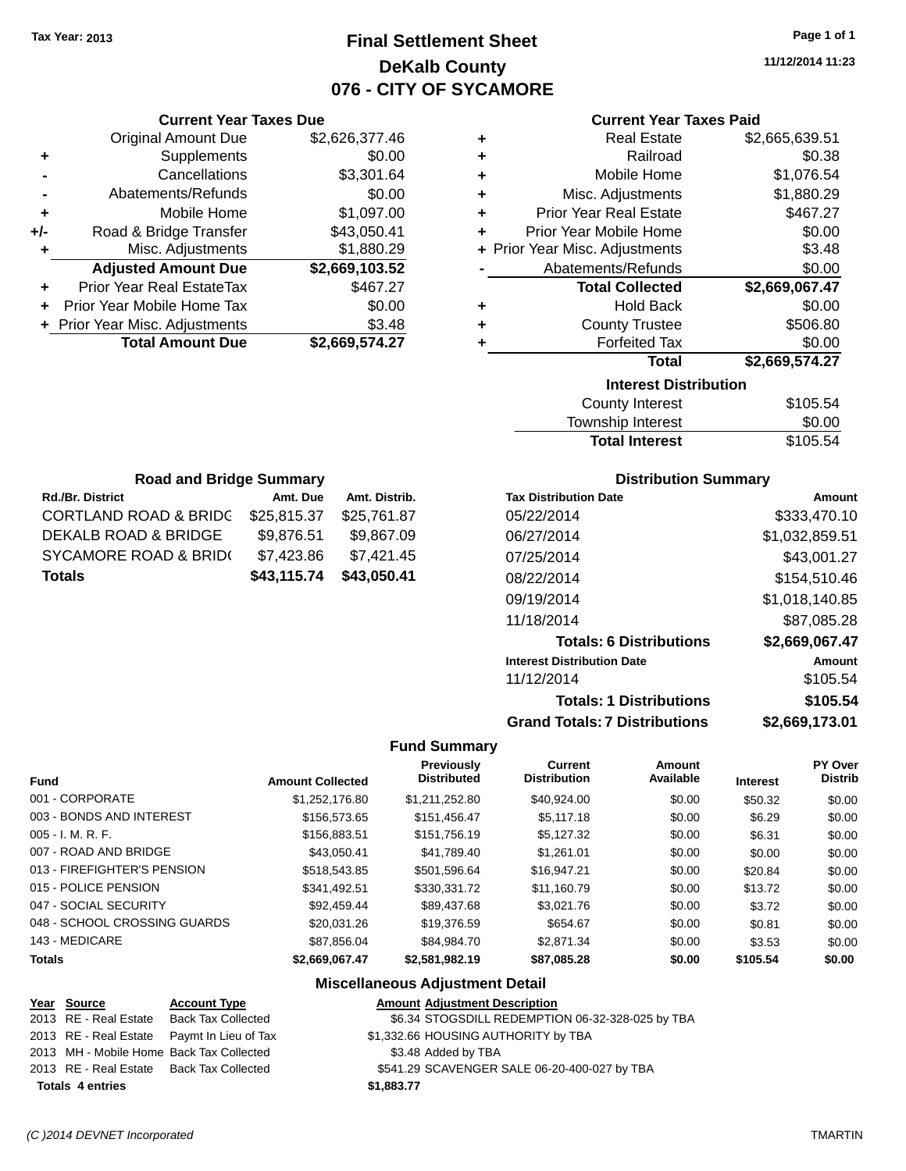# **Final Settlement Sheet Tax Year: 2013 Page 1 of 1 DeKalb County 076 - CITY OF SYCAMORE**

**11/12/2014 11:23**

|                | <b>Current Year Taxes Due</b> |                |   |  |
|----------------|-------------------------------|----------------|---|--|
|                | <b>Original Amount Due</b>    | \$2,626,377.46 | ٠ |  |
|                | Supplements                   | \$0.00         | ٠ |  |
| $\blacksquare$ | Cancellations                 | \$3,301.64     | ٠ |  |
| $\blacksquare$ | Abatements/Refunds            | \$0.00         | ٠ |  |
| ٠              | Mobile Home                   | \$1,097.00     | ٠ |  |
| $+/-$          | Road & Bridge Transfer        | \$43,050.41    |   |  |

| <b>Current Year Taxes Paid</b> |    |
|--------------------------------|----|
| Data[False]                    | ሱሳ |

| ٠ | <b>Real Estate</b>             | \$2,665,639.51 |
|---|--------------------------------|----------------|
| ÷ | Railroad                       | \$0.38         |
| ÷ | Mobile Home                    | \$1,076.54     |
| ٠ | Misc. Adjustments              | \$1,880.29     |
| ÷ | <b>Prior Year Real Estate</b>  | \$467.27       |
| ٠ | Prior Year Mobile Home         | \$0.00         |
|   | + Prior Year Misc. Adjustments | \$3.48         |
|   | Abatements/Refunds             | \$0.00         |
|   | <b>Total Collected</b>         | \$2,669,067.47 |
| ٠ | <b>Hold Back</b>               | \$0.00         |
| ٠ | <b>County Trustee</b>          | \$506.80       |
| ٠ | <b>Forfeited Tax</b>           | \$0.00         |
|   | <b>Total</b>                   | \$2,669,574.27 |
|   | <b>Interest Distribution</b>   |                |
|   | County Interest                | \$105 54       |

| County Interest       | \$105.54 |
|-----------------------|----------|
| Township Interest     | \$0.00   |
| <b>Total Interest</b> | \$105.54 |

| <b>Road and Bridge Summary</b>              |             |               |  |  |
|---------------------------------------------|-------------|---------------|--|--|
| <b>Rd./Br. District</b>                     | Amt. Due    | Amt. Distrib. |  |  |
| <b>CORTLAND ROAD &amp; BRIDC</b>            | \$25,815.37 | \$25,761.87   |  |  |
| DEKALB ROAD & BRIDGE                        | \$9,876.51  | \$9,867.09    |  |  |
| SYCAMORE ROAD & BRID(                       | \$7,423.86  | \$7,421.45    |  |  |
| \$43,050.41<br>\$43,115.74<br><b>Totals</b> |             |               |  |  |

**Road & Bridge Transfer \$43,050.41 +** Misc. Adjustments \$1,880.29

**Adjusted Amount Due \$2,669,103.52**

**Total Amount Due \$2,669,574.27**

**+** Prior Year Real EstateTax \$467.27 **+** Prior Year Mobile Home Tax \$0.00 **+** Prior Year Misc. Adjustments \$3.48

### **Distribution Summary**

| <b>Tax Distribution Date</b>         | Amount         |
|--------------------------------------|----------------|
| 05/22/2014                           | \$333.470.10   |
| 06/27/2014                           | \$1,032,859.51 |
| 07/25/2014                           | \$43,001.27    |
| 08/22/2014                           | \$154.510.46   |
| 09/19/2014                           | \$1,018,140.85 |
| 11/18/2014                           | \$87,085.28    |
| <b>Totals: 6 Distributions</b>       | \$2,669,067.47 |
| <b>Interest Distribution Date</b>    | Amount         |
| 11/12/2014                           | \$105.54       |
| <b>Totals: 1 Distributions</b>       | \$105.54       |
| <b>Grand Totals: 7 Distributions</b> | \$2,669,173.01 |

#### **Fund Summary**

| <b>Fund</b>                  | <b>Amount Collected</b> | <b>Previously</b><br><b>Distributed</b> | <b>Current</b><br><b>Distribution</b> | <b>Amount</b><br>Available | <b>Interest</b> | PY Over<br><b>Distrib</b> |
|------------------------------|-------------------------|-----------------------------------------|---------------------------------------|----------------------------|-----------------|---------------------------|
| 001 - CORPORATE              | \$1.252.176.80          | \$1,211,252.80                          | \$40.924.00                           | \$0.00                     | \$50.32         | \$0.00                    |
| 003 - BONDS AND INTEREST     | \$156,573,65            | \$151.456.47                            | \$5,117,18                            | \$0.00                     | \$6.29          | \$0.00                    |
| $005 - I. M. R. F.$          | \$156,883.51            | \$151,756.19                            | \$5.127.32                            | \$0.00                     | \$6.31          | \$0.00                    |
| 007 - ROAD AND BRIDGE        | \$43.050.41             | \$41.789.40                             | \$1.261.01                            | \$0.00                     | \$0.00          | \$0.00                    |
| 013 - FIREFIGHTER'S PENSION  | \$518,543.85            | \$501.596.64                            | \$16.947.21                           | \$0.00                     | \$20.84         | \$0.00                    |
| 015 - POLICE PENSION         | \$341.492.51            | \$330.331.72                            | \$11.160.79                           | \$0.00                     | \$13.72         | \$0.00                    |
| 047 - SOCIAL SECURITY        | \$92,459.44             | \$89,437.68                             | \$3,021.76                            | \$0.00                     | \$3.72          | \$0.00                    |
| 048 - SCHOOL CROSSING GUARDS | \$20.031.26             | \$19.376.59                             | \$654.67                              | \$0.00                     | \$0.81          | \$0.00                    |
| 143 - MEDICARE               | \$87.856.04             | \$84.984.70                             | \$2,871,34                            | \$0.00                     | \$3.53          | \$0.00                    |
| <b>Totals</b>                | \$2,669,067,47          | \$2.581.982.19                          | \$87.085.28                           | \$0.00                     | \$105.54        | \$0.00                    |

#### **Miscellaneous Adjustment Detail**

| Year Source             | <b>Account Type</b>                        | <b>Amount Adjustment Description</b>             |
|-------------------------|--------------------------------------------|--------------------------------------------------|
|                         | 2013 RE - Real Estate Back Tax Collected   | \$6.34 STOGSDILL REDEMPTION 06-32-328-025 by TBA |
|                         | 2013 RE - Real Estate Paymt In Lieu of Tax | \$1,332.66 HOUSING AUTHORITY by TBA              |
|                         | 2013 MH - Mobile Home Back Tax Collected   | \$3.48 Added by TBA                              |
|                         | 2013 RE - Real Estate Back Tax Collected   | \$541.29 SCAVENGER SALE 06-20-400-027 by TBA     |
| <b>Totals 4 entries</b> | \$1,883.77                                 |                                                  |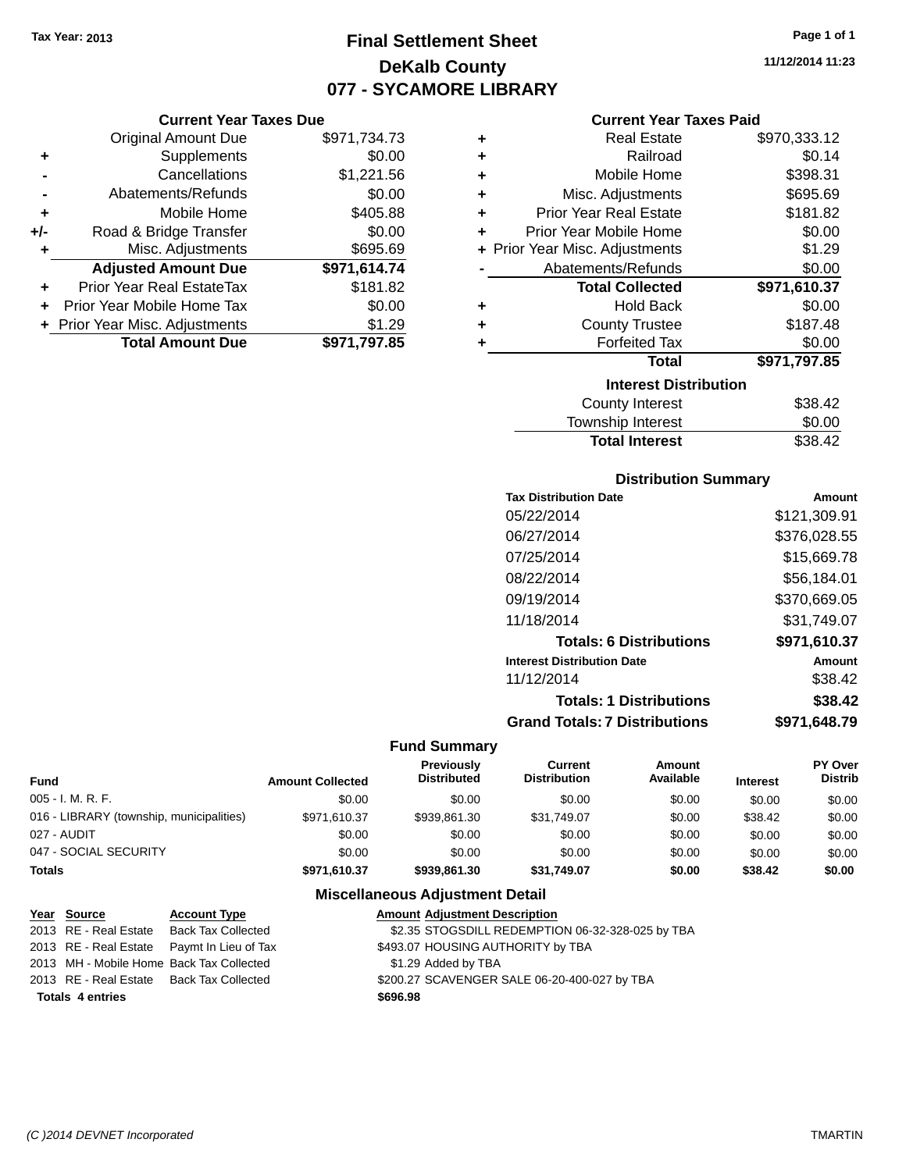**Current Year Taxes Due**

# **Final Settlement Sheet Tax Year: 2013 Page 1 of 1 DeKalb County 077 - SYCAMORE LIBRARY**

**11/12/2014 11:23**

### **Current Year Taxes Paid**

|     | <b>Original Amount Due</b>     | \$971,734.73 | ٠ | <b>Real Estate</b>             | \$970,333.12 |
|-----|--------------------------------|--------------|---|--------------------------------|--------------|
| ٠   | Supplements                    | \$0.00       | ٠ | Railroad                       | \$0.14       |
|     | Cancellations                  | \$1,221.56   | ٠ | Mobile Home                    | \$398.31     |
|     | Abatements/Refunds             | \$0.00       | ٠ | Misc. Adjustments              | \$695.69     |
| ٠   | Mobile Home                    | \$405.88     | ٠ | <b>Prior Year Real Estate</b>  | \$181.82     |
| +/- | Road & Bridge Transfer         | \$0.00       | ÷ | Prior Year Mobile Home         | \$0.00       |
| ٠   | Misc. Adjustments              | \$695.69     |   | + Prior Year Misc. Adjustments | \$1.29       |
|     | <b>Adjusted Amount Due</b>     | \$971,614.74 |   | Abatements/Refunds             | \$0.00       |
| ÷.  | Prior Year Real EstateTax      | \$181.82     |   | <b>Total Collected</b>         | \$971,610.37 |
|     | Prior Year Mobile Home Tax     | \$0.00       | ÷ | <b>Hold Back</b>               | \$0.00       |
|     | + Prior Year Misc. Adjustments | \$1.29       | ٠ | <b>County Trustee</b>          | \$187.48     |
|     | <b>Total Amount Due</b>        | \$971,797.85 |   | <b>Forfeited Tax</b>           | \$0.00       |
|     |                                |              |   | <b>Total</b>                   | \$971,797.85 |
|     |                                |              |   | <b>Interest Distribution</b>   |              |
|     |                                |              |   | County Interest                | \$38.42      |
|     |                                |              |   | Township Interest              | \$0.00       |

# **Distribution Summary**

Total Interest \$38.42

| Amount       |
|--------------|
| \$121,309.91 |
| \$376.028.55 |
| \$15,669.78  |
| \$56,184.01  |
| \$370.669.05 |
| \$31,749.07  |
| \$971,610.37 |
| Amount       |
| \$38.42      |
| \$38.42      |
| \$971.648.79 |
|              |

#### **Fund Summary**

| <b>Fund</b>                              | <b>Amount Collected</b> | <b>Previously</b><br><b>Distributed</b> | Current<br><b>Distribution</b> | Amount<br>Available | <b>Interest</b> | PY Over<br><b>Distrib</b> |
|------------------------------------------|-------------------------|-----------------------------------------|--------------------------------|---------------------|-----------------|---------------------------|
| $005 - I. M. R. F.$                      | \$0.00                  | \$0.00                                  | \$0.00                         | \$0.00              | \$0.00          | \$0.00                    |
| 016 - LIBRARY (township, municipalities) | \$971,610.37            | \$939.861.30                            | \$31,749.07                    | \$0.00              | \$38.42         | \$0.00                    |
| 027 - AUDIT                              | \$0.00                  | \$0.00                                  | \$0.00                         | \$0.00              | \$0.00          | \$0.00                    |
| 047 - SOCIAL SECURITY                    | \$0.00                  | \$0.00                                  | \$0.00                         | \$0.00              | \$0.00          | \$0.00                    |
| <b>Totals</b>                            | \$971,610.37            | \$939.861.30                            | \$31,749.07                    | \$0.00              | \$38.42         | \$0.00                    |

### **Miscellaneous Adjustment Detail**

| Year Source                              | <b>Account Type</b>                        | <b>Amount Adjustment Description</b>             |
|------------------------------------------|--------------------------------------------|--------------------------------------------------|
| 2013 RE - Real Estate                    | Back Tax Collected                         | \$2.35 STOGSDILL REDEMPTION 06-32-328-025 by TBA |
|                                          | 2013 RE - Real Estate Paymt In Lieu of Tax | \$493.07 HOUSING AUTHORITY by TBA                |
|                                          | 2013 MH - Mobile Home Back Tax Collected   | \$1.29 Added by TBA                              |
| 2013 RE - Real Estate Back Tax Collected |                                            | \$200.27 SCAVENGER SALE 06-20-400-027 by TBA     |
| <b>Totals 4 entries</b>                  |                                            | \$696.98                                         |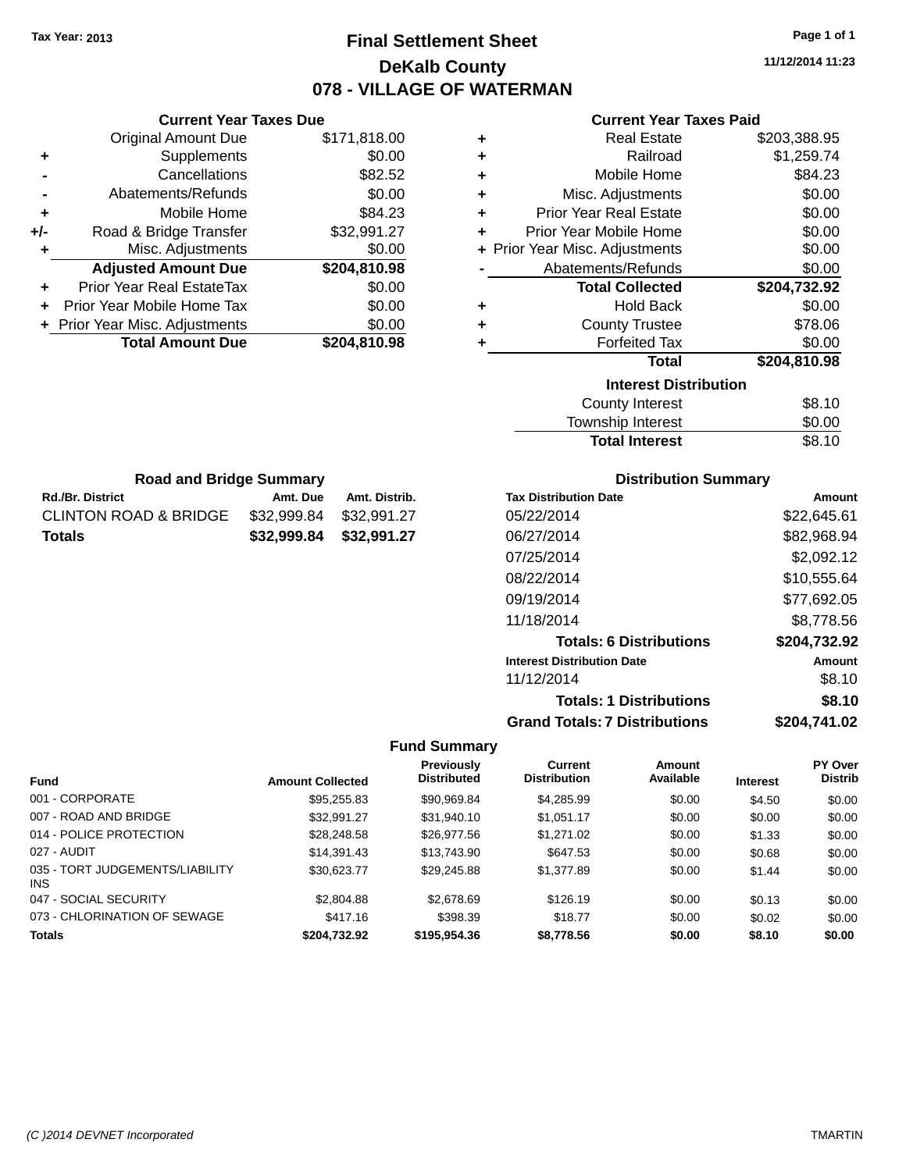# **Final Settlement Sheet Tax Year: 2013 Page 1 of 1 DeKalb County 078 - VILLAGE OF WATERMAN**

**11/12/2014 11:23**

### **Current Year Taxes Paid**

|       | <b>Current Year Taxes Due</b>  |              |
|-------|--------------------------------|--------------|
|       | <b>Original Amount Due</b>     | \$171,818.00 |
| ٠     | Supplements                    | \$0.00       |
|       | Cancellations                  | \$82.52      |
|       | Abatements/Refunds             | \$0.00       |
| ٠     | Mobile Home                    | \$84.23      |
| $+/-$ | Road & Bridge Transfer         | \$32,991.27  |
|       | Misc. Adjustments              | \$0.00       |
|       | <b>Adjusted Amount Due</b>     | \$204,810.98 |
| ٠     | Prior Year Real EstateTax      | \$0.00       |
|       | Prior Year Mobile Home Tax     | \$0.00       |
|       | + Prior Year Misc. Adjustments | \$0.00       |
|       | <b>Total Amount Due</b>        | \$204.810.98 |
|       |                                |              |

**Rd./Br. District Amt. Due Amt. Distrib. Road and Bridge Summary**

CLINTON ROAD & BRIDGE \$32,999.84 \$32,991.27 **Totals \$32,999.84 \$32,991.27**

| ٠ | <b>Real Estate</b>             | \$203,388.95 |
|---|--------------------------------|--------------|
| ٠ | Railroad                       | \$1,259.74   |
| ٠ | Mobile Home                    | \$84.23      |
| ٠ | Misc. Adjustments              | \$0.00       |
| ٠ | <b>Prior Year Real Estate</b>  | \$0.00       |
| ٠ | Prior Year Mobile Home         | \$0.00       |
|   | + Prior Year Misc. Adjustments | \$0.00       |
|   | Abatements/Refunds             | \$0.00       |
|   | <b>Total Collected</b>         | \$204,732.92 |
| ٠ | <b>Hold Back</b>               | \$0.00       |
| ٠ | <b>County Trustee</b>          | \$78.06      |
| ٠ | <b>Forfeited Tax</b>           | \$0.00       |
|   | <b>Total</b>                   | \$204,810.98 |
|   | <b>Interest Distribution</b>   |              |
|   | <b>County Interest</b>         | \$8.10       |
|   | Tourable Interact              | ሮስ ሰሰ        |

| Township Interest     | \$0.00 |
|-----------------------|--------|
| <b>Total Interest</b> | \$8.10 |

| <b>Distribution Summary</b> |  |
|-----------------------------|--|
| ە÷د                         |  |

| Amount       |
|--------------|
| \$22,645.61  |
| \$82,968.94  |
| \$2,092.12   |
| \$10,555.64  |
| \$77,692.05  |
| \$8,778.56   |
| \$204,732.92 |
| Amount       |
| \$8.10       |
| \$8.10       |
| \$204,741.02 |
|              |

|                                               |                         | <b>Previously</b>  | <b>Current</b>      | <b>Amount</b> |                 | PY Over        |
|-----------------------------------------------|-------------------------|--------------------|---------------------|---------------|-----------------|----------------|
| <b>Fund</b>                                   | <b>Amount Collected</b> | <b>Distributed</b> | <b>Distribution</b> | Available     | <b>Interest</b> | <b>Distrib</b> |
| 001 - CORPORATE                               | \$95,255.83             | \$90,969.84        | \$4,285.99          | \$0.00        | \$4.50          | \$0.00         |
| 007 - ROAD AND BRIDGE                         | \$32.991.27             | \$31,940.10        | \$1,051.17          | \$0.00        | \$0.00          | \$0.00         |
| 014 - POLICE PROTECTION                       | \$28,248.58             | \$26,977.56        | \$1,271.02          | \$0.00        | \$1.33          | \$0.00         |
| 027 - AUDIT                                   | \$14,391.43             | \$13.743.90        | \$647.53            | \$0.00        | \$0.68          | \$0.00         |
| 035 - TORT JUDGEMENTS/LIABILITY<br><b>INS</b> | \$30,623.77             | \$29,245.88        | \$1,377.89          | \$0.00        | \$1.44          | \$0.00         |
| 047 - SOCIAL SECURITY                         | \$2,804.88              | \$2,678.69         | \$126.19            | \$0.00        | \$0.13          | \$0.00         |
| 073 - CHLORINATION OF SEWAGE                  | \$417.16                | \$398.39           | \$18.77             | \$0.00        | \$0.02          | \$0.00         |
| <b>Totals</b>                                 | \$204.732.92            | \$195,954,36       | \$8,778.56          | \$0.00        | \$8.10          | \$0.00         |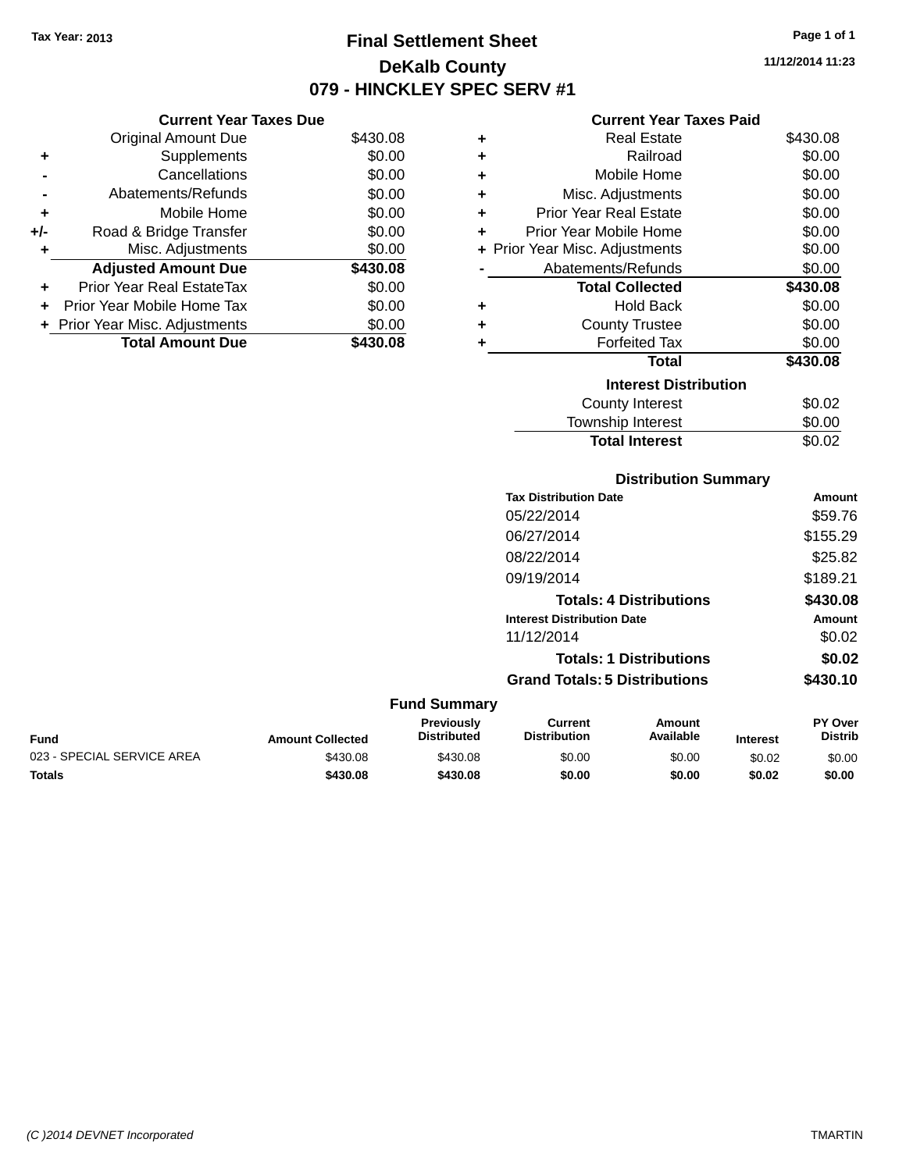# **Final Settlement Sheet Tax Year: 2013 Page 1 of 1 DeKalb County 079 - HINCKLEY SPEC SERV #1**

**11/12/2014 11:23**

### **Current Year Taxes Paid**

|     | <b>Current Year Taxes Due</b>  |          |
|-----|--------------------------------|----------|
|     | <b>Original Amount Due</b>     | \$430.08 |
| ٠   | Supplements                    | \$0.00   |
|     | Cancellations                  | \$0.00   |
|     | Abatements/Refunds             | \$0.00   |
| ٠   | Mobile Home                    | \$0.00   |
| +/- | Road & Bridge Transfer         | \$0.00   |
| ٠   | Misc. Adjustments              | \$0.00   |
|     | <b>Adjusted Amount Due</b>     | \$430.08 |
| ٠   | Prior Year Real EstateTax      | \$0.00   |
|     | Prior Year Mobile Home Tax     | \$0.00   |
|     | + Prior Year Misc. Adjustments | \$0.00   |
|     | <b>Total Amount Due</b>        | \$430.08 |

| ٠ | Real Estate                    | \$430.08 |
|---|--------------------------------|----------|
|   |                                |          |
| ٠ | Railroad                       | \$0.00   |
| ٠ | Mobile Home                    | \$0.00   |
| ٠ | Misc. Adjustments              | \$0.00   |
| ٠ | <b>Prior Year Real Estate</b>  | \$0.00   |
| ÷ | Prior Year Mobile Home         | \$0.00   |
|   | + Prior Year Misc. Adjustments | \$0.00   |
|   | Abatements/Refunds             | \$0.00   |
|   | <b>Total Collected</b>         | \$430.08 |
| ٠ | <b>Hold Back</b>               | \$0.00   |
| ٠ | <b>County Trustee</b>          | \$0.00   |
| ٠ | <b>Forfeited Tax</b>           | \$0.00   |
|   | Total                          | \$430.08 |
|   | <b>Interest Distribution</b>   |          |
|   | County Interest                | \$0.02   |
|   | <b>Township Interest</b>       | \$0.00   |
|   | <b>Total Interest</b>          | \$0.02   |

# **Distribution Summary**

| <b>Tax Distribution Date</b>         | Amount   |
|--------------------------------------|----------|
| 05/22/2014                           | \$59.76  |
| 06/27/2014                           | \$155.29 |
| 08/22/2014                           | \$25.82  |
| 09/19/2014                           | \$189.21 |
| <b>Totals: 4 Distributions</b>       | \$430.08 |
| <b>Interest Distribution Date</b>    | Amount   |
| 11/12/2014                           | \$0.02   |
| <b>Totals: 1 Distributions</b>       | \$0.02   |
| <b>Grand Totals: 5 Distributions</b> | \$430.10 |

| <b>Fund Summary</b>        |                         |                                  |                                |                     |                 |                                  |
|----------------------------|-------------------------|----------------------------------|--------------------------------|---------------------|-----------------|----------------------------------|
| <b>Fund</b>                | <b>Amount Collected</b> | Previously<br><b>Distributed</b> | Current<br><b>Distribution</b> | Amount<br>Available | <b>Interest</b> | <b>PY Over</b><br><b>Distrib</b> |
| 023 - SPECIAL SERVICE AREA | \$430.08                | \$430.08                         | \$0.00                         | \$0.00              | \$0.02          | \$0.00                           |
| <b>Totals</b>              | \$430.08                | \$430.08                         | \$0.00                         | \$0.00              | \$0.02          | \$0.00                           |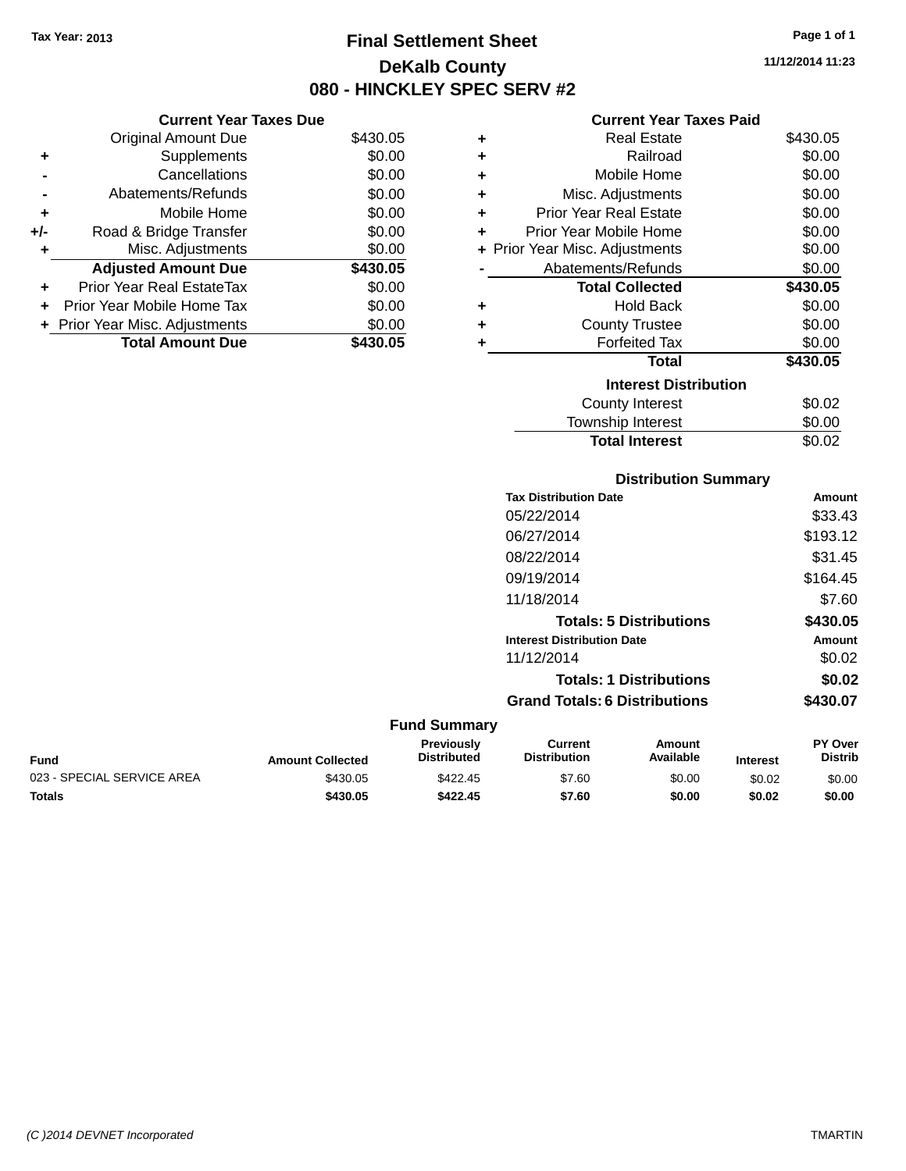# **Final Settlement Sheet Tax Year: 2013 Page 1 of 1 DeKalb County 080 - HINCKLEY SPEC SERV #2**

**11/12/2014 11:23**

### **Current Year Taxes Paid**

|     | <b>Current Year Taxes Due</b>  |          |  |
|-----|--------------------------------|----------|--|
|     | <b>Original Amount Due</b>     | \$430.05 |  |
| ٠   | Supplements                    | \$0.00   |  |
|     | Cancellations                  | \$0.00   |  |
|     | Abatements/Refunds             | \$0.00   |  |
| ٠   | Mobile Home                    | \$0.00   |  |
| +/- | Road & Bridge Transfer         | \$0.00   |  |
| ٠   | Misc. Adjustments              | \$0.00   |  |
|     | <b>Adjusted Amount Due</b>     | \$430.05 |  |
| ٠   | Prior Year Real EstateTax      | \$0.00   |  |
| ÷   | Prior Year Mobile Home Tax     | \$0.00   |  |
|     | + Prior Year Misc. Adjustments | \$0.00   |  |
|     | Total Amount Due               | \$430.05 |  |
|     |                                |          |  |

| ٠ | Real Estate                    | \$430.05 |
|---|--------------------------------|----------|
| ٠ | Railroad                       | \$0.00   |
| ٠ | Mobile Home                    | \$0.00   |
| ٠ | Misc. Adjustments              | \$0.00   |
| ٠ | Prior Year Real Estate         | \$0.00   |
| ÷ | Prior Year Mobile Home         | \$0.00   |
|   | + Prior Year Misc. Adjustments | \$0.00   |
|   | Abatements/Refunds             | \$0.00   |
|   | <b>Total Collected</b>         | \$430.05 |
| ٠ | <b>Hold Back</b>               | \$0.00   |
| ٠ | <b>County Trustee</b>          | \$0.00   |
| ٠ | <b>Forfeited Tax</b>           | \$0.00   |
|   | Total                          | \$430.05 |
|   | <b>Interest Distribution</b>   |          |
|   | County Interest                | \$0.02   |
|   | <b>Township Interest</b>       | \$0.00   |
|   | <b>Total Interest</b>          | \$0.02   |

# **Distribution Summary**

| <b>Tax Distribution Date</b>         | Amount   |
|--------------------------------------|----------|
| 05/22/2014                           | \$33.43  |
| 06/27/2014                           | \$193.12 |
| 08/22/2014                           | \$31.45  |
| 09/19/2014                           | \$164.45 |
| 11/18/2014                           | \$7.60   |
| <b>Totals: 5 Distributions</b>       | \$430.05 |
| <b>Interest Distribution Date</b>    | Amount   |
| 11/12/2014                           | \$0.02   |
| <b>Totals: 1 Distributions</b>       | \$0.02   |
| <b>Grand Totals: 6 Distributions</b> | \$430.07 |
|                                      |          |

| <b>Fund</b>                | <b>Amount Collected</b> | Previouslv<br><b>Distributed</b> | Current<br>Distribution | Amount<br>Available | <b>Interest</b> | PY Over<br>Distrib |
|----------------------------|-------------------------|----------------------------------|-------------------------|---------------------|-----------------|--------------------|
| 023 - SPECIAL SERVICE AREA | \$430.05                | \$422.45                         | \$7.60                  | \$0.00              | \$0.02          | \$0.00             |
| <b>Totals</b>              | \$430.05                | \$422.45                         | \$7.60                  | \$0.00              | \$0.02          | \$0.00             |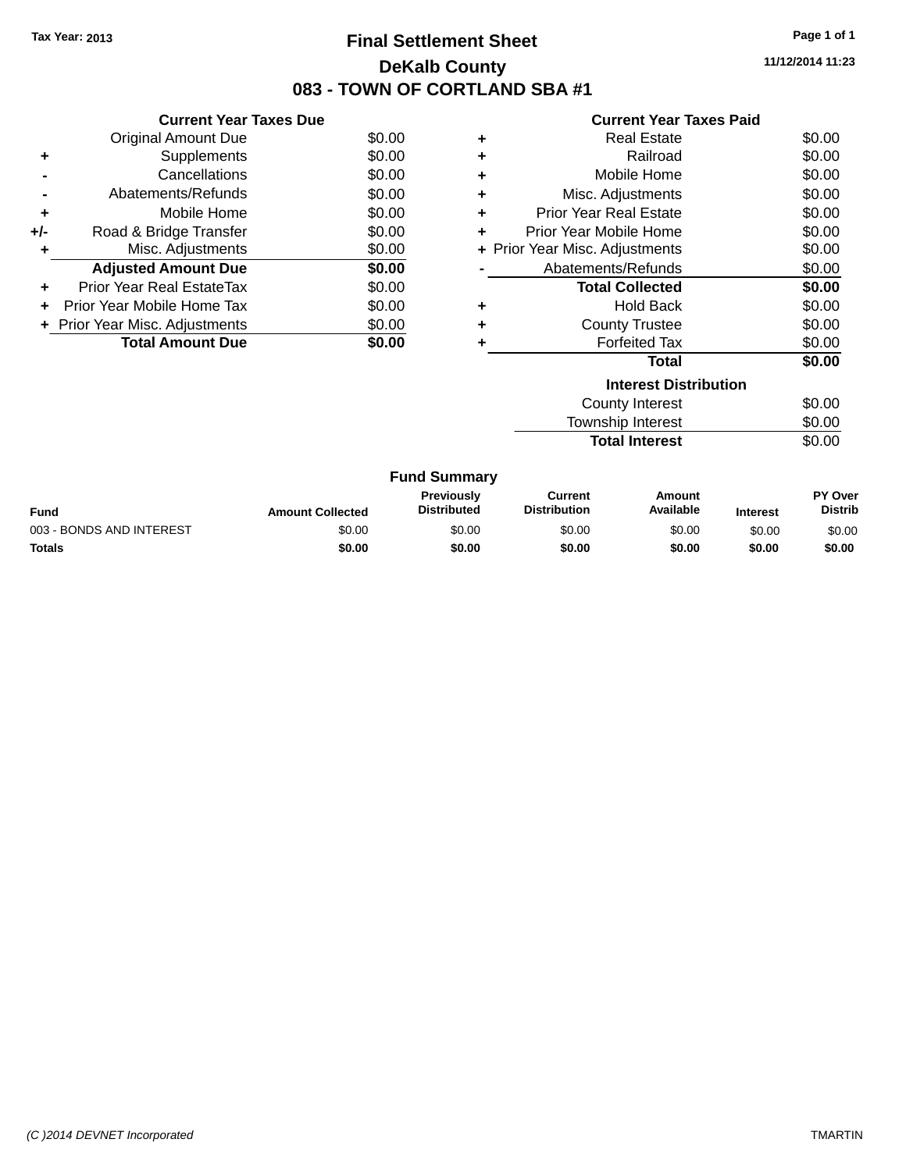# **Final Settlement Sheet Tax Year: 2013 Page 1 of 1 DeKalb County 083 - TOWN OF CORTLAND SBA #1**

**11/12/2014 11:23**

| <b>Current Year Taxes Paid</b> |  |  |
|--------------------------------|--|--|
|                                |  |  |

|     | <b>Current Year Taxes Due</b>    |        |  |  |  |
|-----|----------------------------------|--------|--|--|--|
|     | <b>Original Amount Due</b>       | \$0.00 |  |  |  |
| ٠   | Supplements                      | \$0.00 |  |  |  |
|     | Cancellations                    | \$0.00 |  |  |  |
|     | Abatements/Refunds               | \$0.00 |  |  |  |
| ٠   | Mobile Home                      | \$0.00 |  |  |  |
| +/- | Road & Bridge Transfer           | \$0.00 |  |  |  |
|     | Misc. Adjustments                | \$0.00 |  |  |  |
|     | <b>Adjusted Amount Due</b>       | \$0.00 |  |  |  |
| ÷   | <b>Prior Year Real EstateTax</b> | \$0.00 |  |  |  |
| ÷   | Prior Year Mobile Home Tax       | \$0.00 |  |  |  |
|     | + Prior Year Misc. Adjustments   | \$0.00 |  |  |  |
|     | <b>Total Amount Due</b>          | SO 00  |  |  |  |

| ٠ | <b>Real Estate</b>             | \$0.00 |
|---|--------------------------------|--------|
| ÷ | Railroad                       | \$0.00 |
| ÷ | Mobile Home                    | \$0.00 |
| ٠ | Misc. Adjustments              | \$0.00 |
| ٠ | Prior Year Real Estate         | \$0.00 |
| ÷ | Prior Year Mobile Home         | \$0.00 |
|   | + Prior Year Misc. Adjustments | \$0.00 |
|   | Abatements/Refunds             | \$0.00 |
|   | <b>Total Collected</b>         | \$0.00 |
| ٠ | <b>Hold Back</b>               | \$0.00 |
| ÷ | <b>County Trustee</b>          | \$0.00 |
| ٠ | <b>Forfeited Tax</b>           | \$0.00 |
|   | Total                          | \$0.00 |
|   | <b>Interest Distribution</b>   |        |
|   | <b>County Interest</b>         | \$0.00 |
|   | <b>Township Interest</b>       | \$0.00 |
|   | <b>Total Interest</b>          | \$0.00 |

| <b>Fund Summary</b>      |                         |                                  |                                |                     |                 |                                  |
|--------------------------|-------------------------|----------------------------------|--------------------------------|---------------------|-----------------|----------------------------------|
| Fund                     | <b>Amount Collected</b> | Previously<br><b>Distributed</b> | Current<br><b>Distribution</b> | Amount<br>Available | <b>Interest</b> | <b>PY Over</b><br><b>Distrib</b> |
| 003 - BONDS AND INTEREST | \$0.00                  | \$0.00                           | \$0.00                         | \$0.00              | \$0.00          | \$0.00                           |
| <b>Totals</b>            | \$0.00                  | \$0.00                           | \$0.00                         | \$0.00              | \$0.00          | \$0.00                           |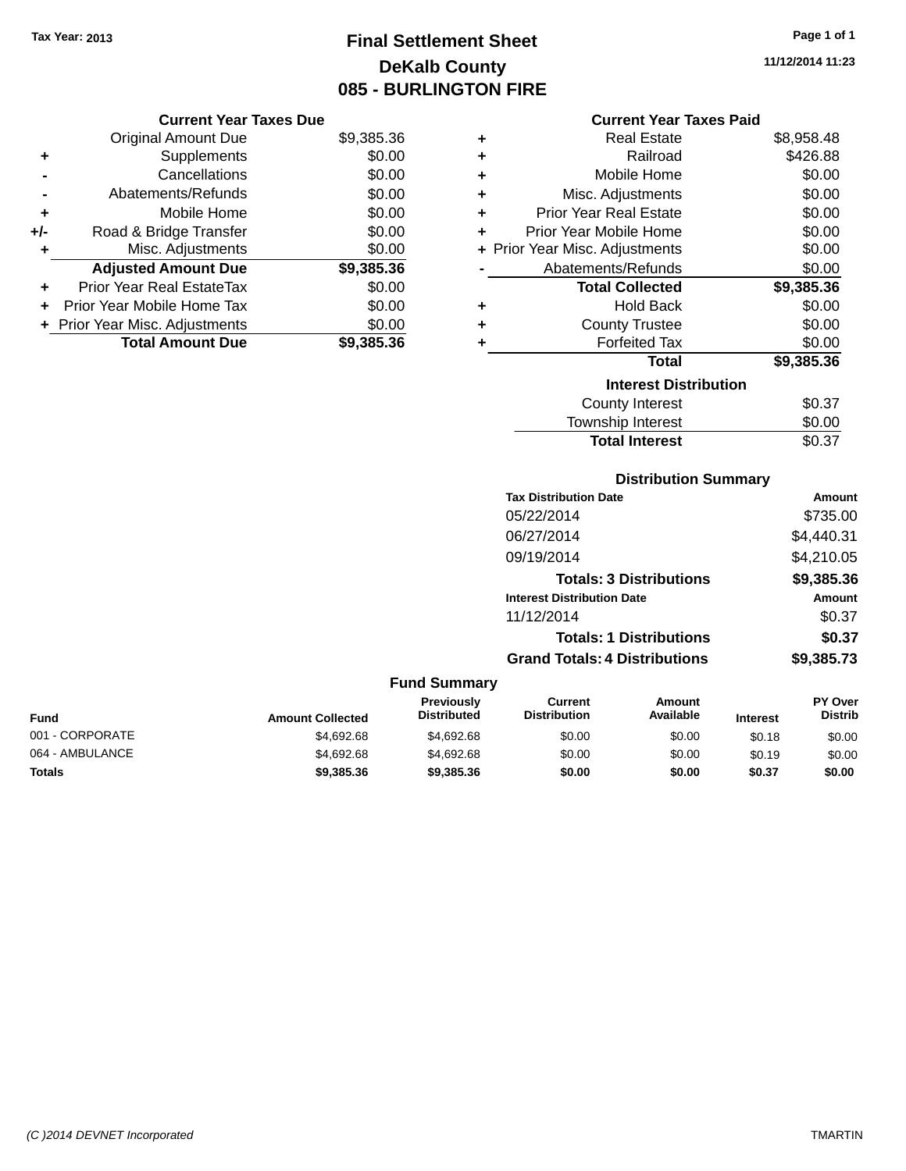# **Final Settlement Sheet Tax Year: 2013 Page 1 of 1 DeKalb County 085 - BURLINGTON FIRE**

**11/12/2014 11:23**

### **Current Year Taxes Paid**

|     | <b>Current Year Taxes Due</b>  |            |  |
|-----|--------------------------------|------------|--|
|     | <b>Original Amount Due</b>     | \$9,385.36 |  |
| ٠   | Supplements                    | \$0.00     |  |
|     | Cancellations                  | \$0.00     |  |
|     | Abatements/Refunds             | \$0.00     |  |
| ٠   | Mobile Home                    | \$0.00     |  |
| +/- | Road & Bridge Transfer         | \$0.00     |  |
| ٠   | Misc. Adjustments              | \$0.00     |  |
|     | <b>Adjusted Amount Due</b>     | \$9,385.36 |  |
|     | Prior Year Real EstateTax      | \$0.00     |  |
| ÷   | Prior Year Mobile Home Tax     | \$0.00     |  |
|     | + Prior Year Misc. Adjustments | \$0.00     |  |
|     | <b>Total Amount Due</b>        | \$9,385,36 |  |

| ٠ | <b>Real Estate</b>             | \$8,958.48 |
|---|--------------------------------|------------|
| ÷ | Railroad                       | \$426.88   |
| ٠ | Mobile Home                    | \$0.00     |
| ÷ | Misc. Adjustments              | \$0.00     |
| ÷ | <b>Prior Year Real Estate</b>  | \$0.00     |
| ٠ | Prior Year Mobile Home         | \$0.00     |
|   | + Prior Year Misc. Adjustments | \$0.00     |
|   | Abatements/Refunds             | \$0.00     |
|   | <b>Total Collected</b>         | \$9,385.36 |
| ٠ | <b>Hold Back</b>               | \$0.00     |
| ÷ | <b>County Trustee</b>          | \$0.00     |
| ٠ | <b>Forfeited Tax</b>           | \$0.00     |
|   | Total                          | \$9,385.36 |
|   | <b>Interest Distribution</b>   |            |
|   | County Interest                | \$0.37     |
|   | <b>Township Interest</b>       | \$0.00     |
|   | <b>Total Interest</b>          | \$0.37     |

# **Distribution Summary**

| <b>Tax Distribution Date</b>         | Amount     |
|--------------------------------------|------------|
| 05/22/2014                           | \$735.00   |
| 06/27/2014                           | \$4,440.31 |
| 09/19/2014                           | \$4,210.05 |
| <b>Totals: 3 Distributions</b>       | \$9,385.36 |
| <b>Interest Distribution Date</b>    | Amount     |
| 11/12/2014                           | \$0.37     |
| <b>Totals: 1 Distributions</b>       | \$0.37     |
| <b>Grand Totals: 4 Distributions</b> | \$9,385.73 |

| <b>Fund Summary</b> |                         |                                  |                                |                     |                 |                                  |
|---------------------|-------------------------|----------------------------------|--------------------------------|---------------------|-----------------|----------------------------------|
| <b>Fund</b>         | <b>Amount Collected</b> | Previously<br><b>Distributed</b> | Current<br><b>Distribution</b> | Amount<br>Available | <b>Interest</b> | <b>PY Over</b><br><b>Distrib</b> |
| 001 - CORPORATE     | \$4,692.68              | \$4,692,68                       | \$0.00                         | \$0.00              | \$0.18          | \$0.00                           |
| 064 - AMBULANCE     | \$4,692.68              | \$4,692.68                       | \$0.00                         | \$0.00              | \$0.19          | \$0.00                           |
| <b>Totals</b>       | \$9,385.36              | \$9,385.36                       | \$0.00                         | \$0.00              | \$0.37          | \$0.00                           |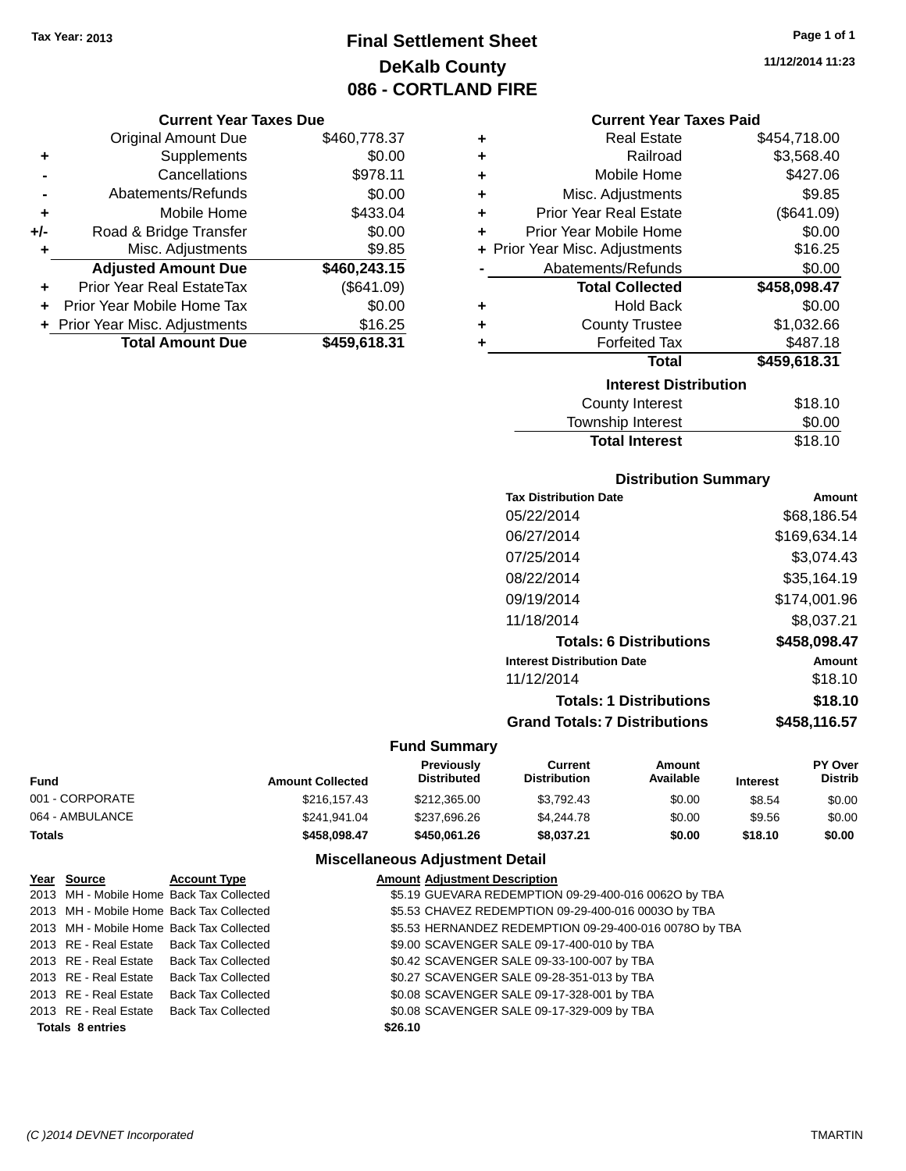# **Final Settlement Sheet Tax Year: 2013 Page 1 of 1 DeKalb County 086 - CORTLAND FIRE**

#### **Current Year Taxes Due**

|       | <b>Original Amount Due</b>       | \$460,778.37 |
|-------|----------------------------------|--------------|
| ٠     | Supplements                      | \$0.00       |
|       | Cancellations                    | \$978.11     |
|       | Abatements/Refunds               | \$0.00       |
| ٠     | Mobile Home                      | \$433.04     |
| $+/-$ | Road & Bridge Transfer           | \$0.00       |
| ٠     | Misc. Adjustments                | \$9.85       |
|       | <b>Adjusted Amount Due</b>       | \$460,243.15 |
| ÷     | <b>Prior Year Real EstateTax</b> | (\$641.09)   |
|       | Prior Year Mobile Home Tax       | \$0.00       |
|       | + Prior Year Misc. Adjustments   | \$16.25      |
|       | <b>Total Amount Due</b>          | \$459,618.31 |

| ٠ | <b>Real Estate</b>             | \$454,718.00 |
|---|--------------------------------|--------------|
| ÷ | Railroad                       | \$3,568.40   |
| ÷ | Mobile Home                    | \$427.06     |
| ٠ | Misc. Adjustments              | \$9.85       |
| ÷ | <b>Prior Year Real Estate</b>  | (\$641.09)   |
| ٠ | Prior Year Mobile Home         | \$0.00       |
|   | + Prior Year Misc. Adjustments | \$16.25      |
|   | Abatements/Refunds             | \$0.00       |
|   | <b>Total Collected</b>         | \$458,098.47 |
|   |                                |              |
| ٠ | <b>Hold Back</b>               | \$0.00       |
| ٠ | <b>County Trustee</b>          | \$1,032.66   |
| ٠ | <b>Forfeited Tax</b>           | \$487.18     |
|   | <b>Total</b>                   | \$459,618.31 |
|   | <b>Interest Distribution</b>   |              |
|   | County Interest                | \$18.10      |

| <b>Total Interest</b> | \$18.10 |
|-----------------------|---------|
| Township Interest     | \$0.00  |
| County Interest       | \$18.10 |

# **Distribution Summary**

| Amount       |
|--------------|
| \$68,186.54  |
| \$169,634.14 |
| \$3.074.43   |
| \$35,164.19  |
| \$174.001.96 |
| \$8,037.21   |
| \$458,098.47 |
| Amount       |
| \$18.10      |
| \$18.10      |
| \$458,116.57 |
|              |

### **Fund Summary**

| <b>Fund</b>     | <b>Amount Collected</b> | Previously<br><b>Distributed</b> | Current<br><b>Distribution</b> | Amount<br>Available | <b>Interest</b> | <b>PY Over</b><br><b>Distrib</b> |
|-----------------|-------------------------|----------------------------------|--------------------------------|---------------------|-----------------|----------------------------------|
| 001 - CORPORATE | \$216,157.43            | \$212,365,00                     | \$3.792.43                     | \$0.00              | \$8.54          | \$0.00                           |
| 064 - AMBULANCE | \$241.941.04            | \$237.696.26                     | \$4,244.78                     | \$0.00              | \$9.56          | \$0.00                           |
| <b>Totals</b>   | \$458.098.47            | \$450,061.26                     | \$8,037.21                     | \$0.00              | \$18.10         | \$0.00                           |

### **Miscellaneous Adjustment Detail**

| Year Source             | <b>Account Type</b>                      | <b>Amount Adjustment Description</b>                   |
|-------------------------|------------------------------------------|--------------------------------------------------------|
|                         | 2013 MH - Mobile Home Back Tax Collected | \$5.19 GUEVARA REDEMPTION 09-29-400-016 00620 by TBA   |
|                         | 2013 MH - Mobile Home Back Tax Collected | \$5.53 CHAVEZ REDEMPTION 09-29-400-016 0003O by TBA    |
|                         | 2013 MH - Mobile Home Back Tax Collected | \$5.53 HERNANDEZ REDEMPTION 09-29-400-016 0078O by TBA |
|                         | 2013 RE - Real Estate Back Tax Collected | \$9.00 SCAVENGER SALE 09-17-400-010 by TBA             |
|                         | 2013 RE - Real Estate Back Tax Collected | \$0.42 SCAVENGER SALE 09-33-100-007 by TBA             |
|                         | 2013 RE - Real Estate Back Tax Collected | \$0.27 SCAVENGER SALE 09-28-351-013 by TBA             |
| 2013 RE - Real Estate   | <b>Back Tax Collected</b>                | \$0.08 SCAVENGER SALE 09-17-328-001 by TBA             |
|                         | 2013 RE - Real Estate Back Tax Collected | \$0.08 SCAVENGER SALE 09-17-329-009 by TBA             |
| <b>Totals 8 entries</b> |                                          | \$26.10                                                |

**11/12/2014 11:23**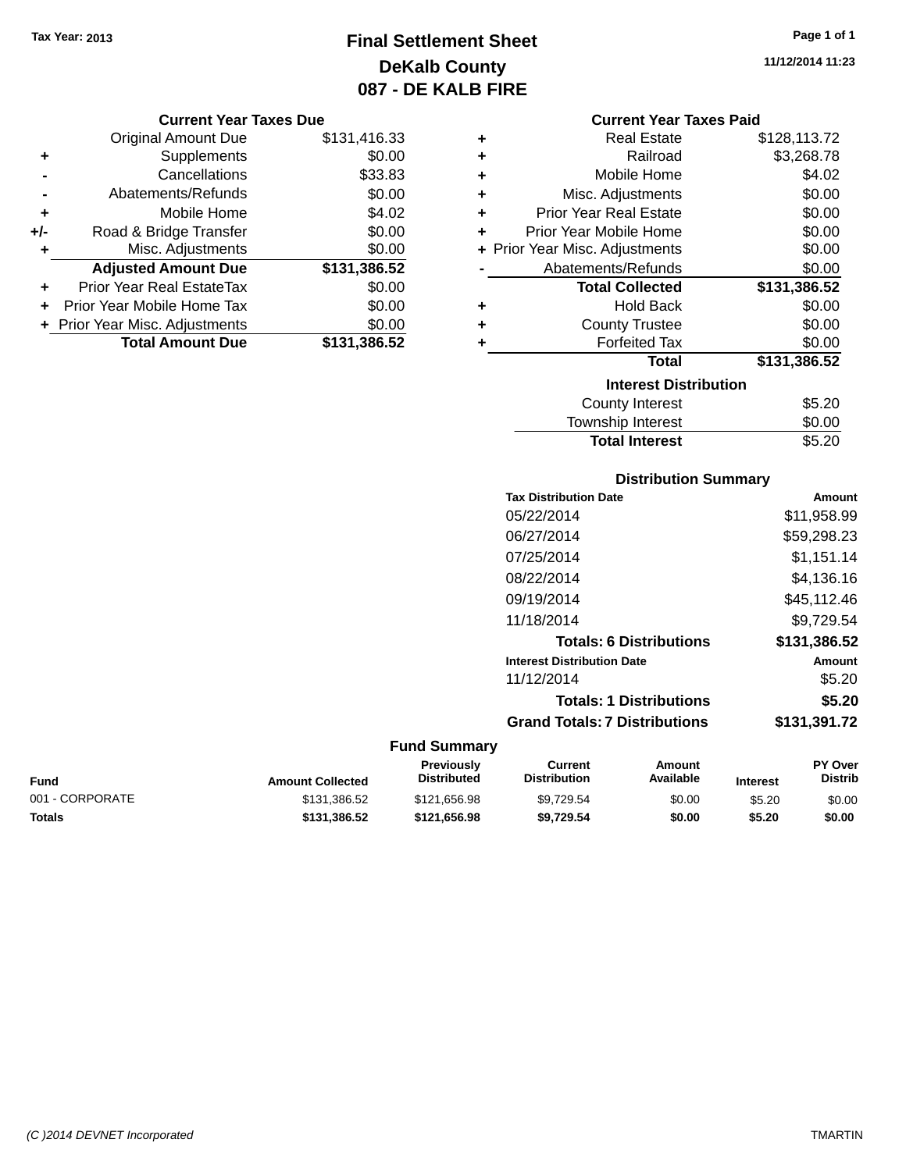**Original Amount Due** 

**Adjusted Amount Due** 

**Total Amount Due** 

**+** Supplements **-** Cancellations **-** Abatements/Refunds **+** Mobile Home **+/-** Road & Bridge Transfer **+** Misc. Adjustments

**+** Prior Year Real EstateTax \$0.00 **+** Prior Year Mobile Home Tax **+** Prior Year Misc. Adjustments

# **Final Settlement Sheet Tax Year: 2013 Page 1 of 1 DeKalb County 087 - DE KALB FIRE**

**11/12/2014 11:23**

| <b>Current Year Taxes Due</b> |              |   | <b>Current Year Taxes Paid</b> |              |
|-------------------------------|--------------|---|--------------------------------|--------------|
| ll Amount Due                 | \$131,416.33 | ٠ | <b>Real Estate</b>             | \$128,113.72 |
| Supplements                   | \$0.00       | ٠ | Railroad                       | \$3,268.78   |
| Cancellations                 | \$33.83      | ÷ | Mobile Home                    | \$4.02       |
| ıents/Refunds                 | \$0.00       | ÷ | Misc. Adjustments              | \$0.00       |
| Mobile Home                   | \$4.02       | ÷ | <b>Prior Year Real Estate</b>  | \$0.00       |
| ridge Transfer                | \$0.00       | ÷ | Prior Year Mobile Home         | \$0.00       |
| . Adjustments                 | \$0.00       |   | + Prior Year Misc. Adjustments | \$0.00       |
| <b>Amount Due</b>             | \$131,386.52 |   | Abatements/Refunds             | \$0.00       |
| eal EstateTax                 | \$0.00       |   | <b>Total Collected</b>         | \$131,386.52 |
| pile Home Tax                 | \$0.00       | ٠ | <b>Hold Back</b>               | \$0.00       |
| . Adjustments                 | \$0.00       | ٠ | <b>County Trustee</b>          | \$0.00       |
| <b>Amount Due</b>             | \$131,386.52 | ٠ | <b>Forfeited Tax</b>           | \$0.00       |
|                               |              |   | <b>Total</b>                   | \$131,386.52 |
|                               |              |   | <b>Interest Distribution</b>   |              |
|                               |              |   | County Interest                | \$520        |

| County Interest       | \$5.20 |
|-----------------------|--------|
| Township Interest     | \$0.00 |
| <b>Total Interest</b> | \$5.20 |
|                       |        |

#### **Distribution Summary**

|                     | <b>Tax Distribution Date</b>         | <b>Amount</b> |
|---------------------|--------------------------------------|---------------|
|                     | 05/22/2014                           | \$11,958.99   |
|                     | 06/27/2014                           | \$59,298.23   |
|                     | 07/25/2014                           | \$1,151.14    |
|                     | 08/22/2014                           | \$4,136.16    |
|                     | 09/19/2014                           | \$45,112.46   |
|                     | 11/18/2014                           | \$9,729.54    |
|                     | <b>Totals: 6 Distributions</b>       | \$131,386.52  |
|                     | <b>Interest Distribution Date</b>    | <b>Amount</b> |
|                     | 11/12/2014                           | \$5.20        |
|                     | <b>Totals: 1 Distributions</b>       | \$5.20        |
|                     | <b>Grand Totals: 7 Distributions</b> | \$131,391.72  |
| <b>Fund Summary</b> |                                      |               |

#### **Fund Interest Amount Collected Distributed PY Over Distrib Amount Available Current Distribution Previously** 001 - CORPORATE \$131,386.52 \$121,656.98 \$9,729.54 \$0.00 \$5.20 \$0.00 **Totals \$131,386.52 \$121,656.98 \$9,729.54 \$0.00 \$5.20 \$0.00**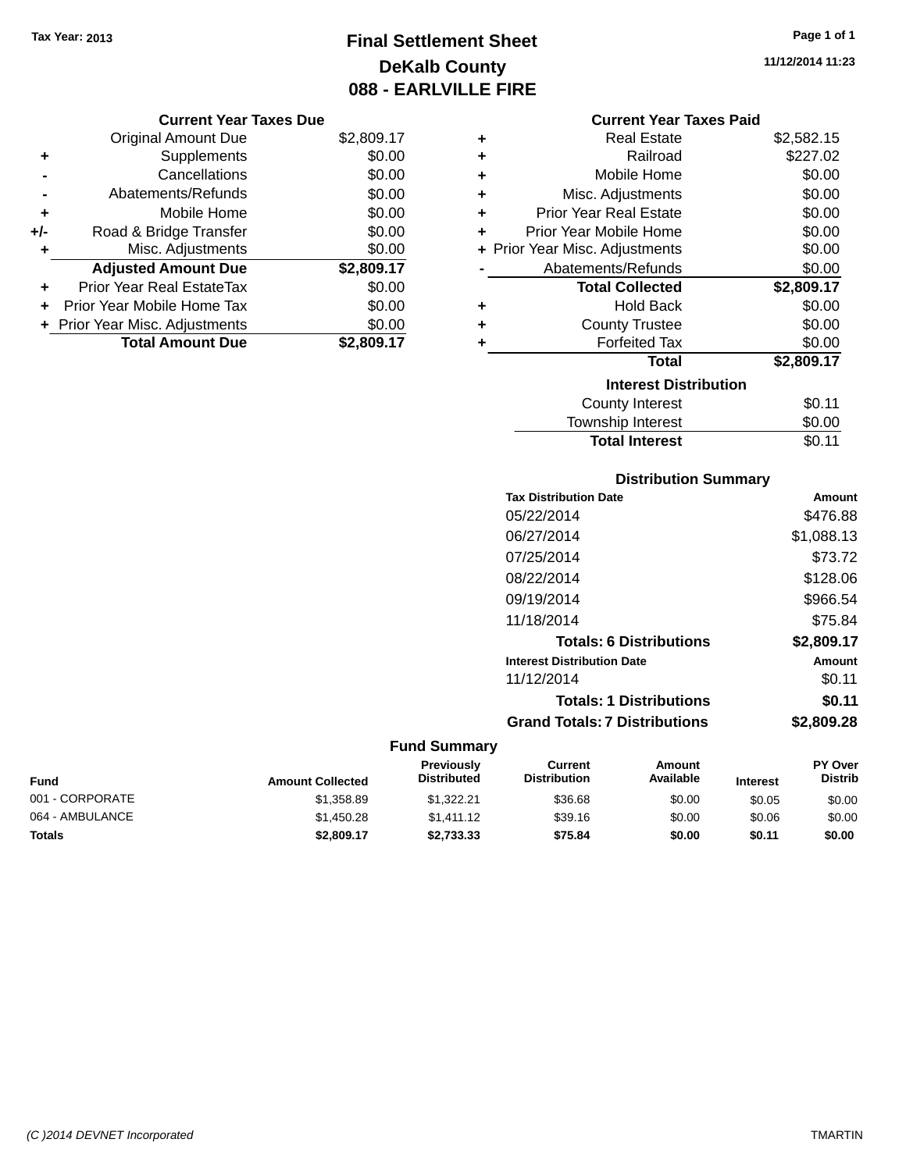# **Final Settlement Sheet Tax Year: 2013 Page 1 of 1 DeKalb County 088 - EARLVILLE FIRE**

**11/12/2014 11:23**

|       | <b>Original Amount Due</b>       | \$2,809.17 |
|-------|----------------------------------|------------|
| ٠     | Supplements                      | \$0.00     |
|       | Cancellations                    | \$0.00     |
|       | Abatements/Refunds               | \$0.00     |
| ÷     | Mobile Home                      | \$0.00     |
| $+/-$ | Road & Bridge Transfer           | \$0.00     |
| ٠     | Misc. Adjustments                | \$0.00     |
|       | <b>Adjusted Amount Due</b>       | \$2,809.17 |
|       | <b>Prior Year Real EstateTax</b> | \$0.00     |
|       | Prior Year Mobile Home Tax       | \$0.00     |
|       | + Prior Year Misc. Adjustments   | \$0.00     |
|       | <b>Total Amount Due</b>          | \$2,809.17 |

### **Current Year Taxes Paid**

| ٠ | <b>Real Estate</b>             | \$2,582.15 |
|---|--------------------------------|------------|
| ÷ | Railroad                       | \$227.02   |
| ٠ | Mobile Home                    | \$0.00     |
| ٠ | Misc. Adjustments              | \$0.00     |
| ٠ | <b>Prior Year Real Estate</b>  | \$0.00     |
| ÷ | Prior Year Mobile Home         | \$0.00     |
|   | + Prior Year Misc. Adjustments | \$0.00     |
|   | Abatements/Refunds             | \$0.00     |
|   |                                |            |
|   | <b>Total Collected</b>         | \$2,809.17 |
| ٠ | <b>Hold Back</b>               | \$0.00     |
| ÷ | <b>County Trustee</b>          | \$0.00     |
| ٠ | <b>Forfeited Tax</b>           | \$0.00     |
|   | Total                          | \$2,809.17 |
|   | <b>Interest Distribution</b>   |            |
|   | County Interest                | \$0.11     |

| ownship Interest      | \$0.00 |
|-----------------------|--------|
| <b>Total Interest</b> | \$0.11 |

# **Distribution Summary**

| <b>Tax Distribution Date</b>         | Amount     |
|--------------------------------------|------------|
| 05/22/2014                           | \$476.88   |
| 06/27/2014                           | \$1,088.13 |
| 07/25/2014                           | \$73.72    |
| 08/22/2014                           | \$128.06   |
| 09/19/2014                           | \$966.54   |
| 11/18/2014                           | \$75.84    |
| <b>Totals: 6 Distributions</b>       | \$2,809.17 |
| <b>Interest Distribution Date</b>    | Amount     |
| 11/12/2014                           | \$0.11     |
| <b>Totals: 1 Distributions</b>       | \$0.11     |
| <b>Grand Totals: 7 Distributions</b> | \$2.809.28 |
|                                      |            |

| Fund            | <b>Amount Collected</b> | <b>Previously</b><br><b>Distributed</b> | Current<br><b>Distribution</b> | Amount<br>Available | <b>Interest</b> | <b>PY Over</b><br><b>Distrib</b> |
|-----------------|-------------------------|-----------------------------------------|--------------------------------|---------------------|-----------------|----------------------------------|
| 001 - CORPORATE | \$1,358.89              | \$1.322.21                              | \$36.68                        | \$0.00              | \$0.05          | \$0.00                           |
| 064 - AMBULANCE | \$1,450.28              | \$1.411.12                              | \$39.16                        | \$0.00              | \$0.06          | \$0.00                           |
| <b>Totals</b>   | \$2,809.17              | \$2.733.33                              | \$75.84                        | \$0.00              | \$0.11          | \$0.00                           |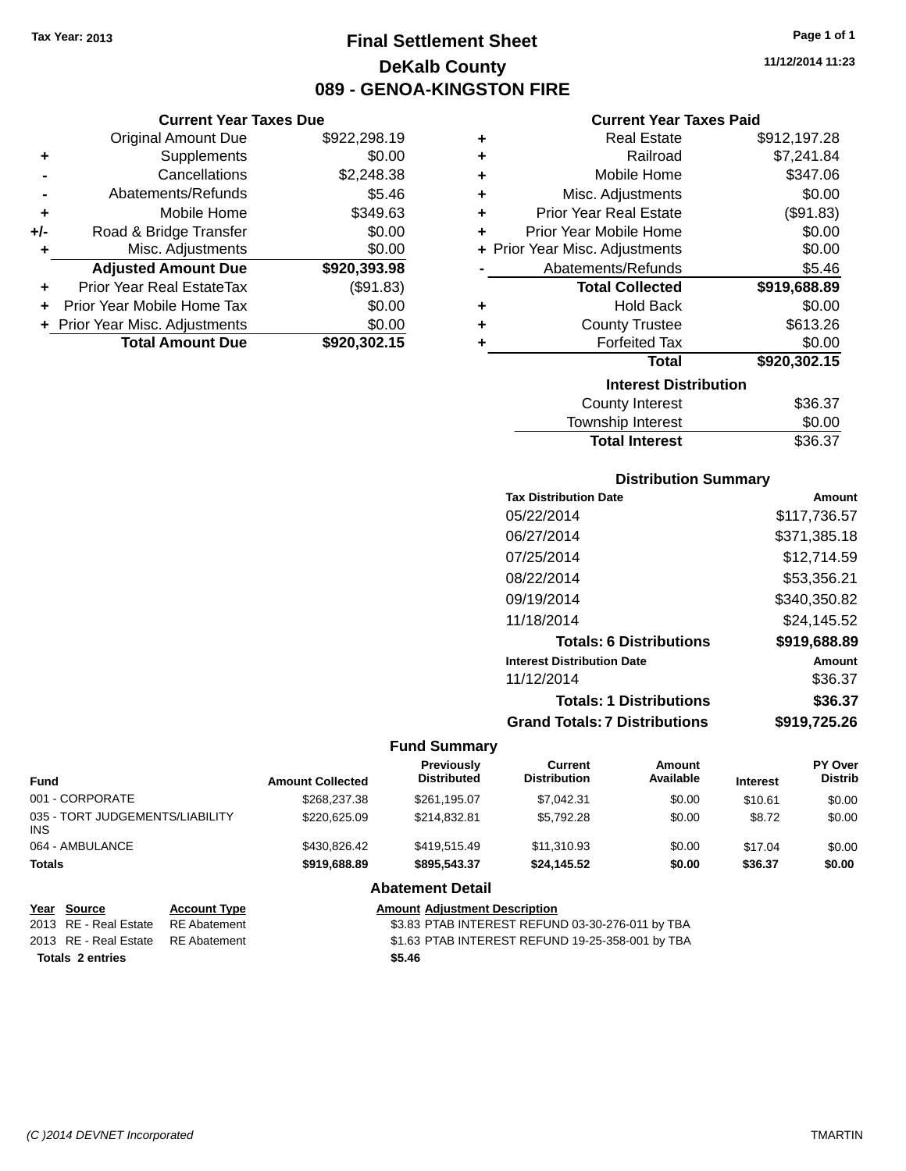# **Final Settlement Sheet Tax Year: 2013 Page 1 of 1 DeKalb County 089 - GENOA-KINGSTON FIRE**

**11/12/2014 11:23**

# **Current Year Taxes Paid**

|       | <b>Current Year Taxes Due</b>    |              |   | <b>Current Year Taxes Paid</b> |              |
|-------|----------------------------------|--------------|---|--------------------------------|--------------|
|       | <b>Original Amount Due</b>       | \$922,298.19 | ٠ | <b>Real Estate</b>             | \$912,197.28 |
| ٠     | Supplements                      | \$0.00       | ٠ | Railroad                       | \$7,241.84   |
|       | Cancellations                    | \$2,248.38   | ٠ | Mobile Home                    | \$347.06     |
|       | Abatements/Refunds               | \$5.46       | ٠ | Misc. Adjustments              | \$0.00       |
| ٠     | Mobile Home                      | \$349.63     | ٠ | <b>Prior Year Real Estate</b>  | (\$91.83)    |
| $+/-$ | Road & Bridge Transfer           | \$0.00       | ٠ | Prior Year Mobile Home         | \$0.00       |
|       | Misc. Adjustments                | \$0.00       |   | + Prior Year Misc. Adjustments | \$0.00       |
|       | <b>Adjusted Amount Due</b>       | \$920,393.98 |   | Abatements/Refunds             | \$5.46       |
| ٠     | <b>Prior Year Real EstateTax</b> | (\$91.83)    |   | <b>Total Collected</b>         | \$919,688.89 |
| ÷     | Prior Year Mobile Home Tax       | \$0.00       | ٠ | <b>Hold Back</b>               | \$0.00       |
|       | + Prior Year Misc. Adjustments   | \$0.00       | ÷ | <b>County Trustee</b>          | \$613.26     |
|       | <b>Total Amount Due</b>          | \$920,302.15 |   | <b>Forfeited Tax</b>           | \$0.00       |
|       |                                  |              |   | <b>Total</b>                   | \$920,302.15 |

| ÷ | Misc. Adjustments              | \$0.00       |
|---|--------------------------------|--------------|
| ÷ | <b>Prior Year Real Estate</b>  | (\$91.83)    |
| ٠ | Prior Year Mobile Home         | \$0.00       |
|   | + Prior Year Misc. Adjustments | \$0.00       |
|   | Abatements/Refunds             | \$5.46       |
|   | <b>Total Collected</b>         | \$919,688.89 |
| ÷ | <b>Hold Back</b>               | \$0.00       |
| ÷ | <b>County Trustee</b>          | \$613.26     |
| ٠ | <b>Forfeited Tax</b>           | \$0.00       |
|   | <b>Total</b>                   | \$920,302.15 |
|   | <b>Interest Distribution</b>   |              |
|   | <b>County Interest</b>         | \$36.37      |
|   | <b>Township Interest</b>       | \$0.00       |

# **Distribution Summary**

Total Interest \$36.37

| <b>Tax Distribution Date</b>         | Amount       |
|--------------------------------------|--------------|
| 05/22/2014                           | \$117,736.57 |
| 06/27/2014                           | \$371,385.18 |
| 07/25/2014                           | \$12,714.59  |
| 08/22/2014                           | \$53,356.21  |
| 09/19/2014                           | \$340.350.82 |
| 11/18/2014                           | \$24.145.52  |
| <b>Totals: 6 Distributions</b>       | \$919,688.89 |
| <b>Interest Distribution Date</b>    | Amount       |
| 11/12/2014                           | \$36.37      |
| <b>Totals: 1 Distributions</b>       | \$36.37      |
| <b>Grand Totals: 7 Distributions</b> | \$919,725.26 |
|                                      |              |

#### **Fund Summary**

| Fund                                   | <b>Amount Collected</b> | Previously<br><b>Distributed</b> | Current<br><b>Distribution</b> | Amount<br>Available | <b>Interest</b> | <b>PY Over</b><br><b>Distrib</b> |
|----------------------------------------|-------------------------|----------------------------------|--------------------------------|---------------------|-----------------|----------------------------------|
| 001 - CORPORATE                        | \$268,237,38            | \$261.195.07                     | \$7.042.31                     | \$0.00              | \$10.61         | \$0.00                           |
| 035 - TORT JUDGEMENTS/LIABILITY<br>INS | \$220,625,09            | \$214,832.81                     | \$5,792.28                     | \$0.00              | \$8.72          | \$0.00                           |
| 064 - AMBULANCE                        | \$430,826.42            | \$419.515.49                     | \$11,310.93                    | \$0.00              | \$17.04         | \$0.00                           |
| Totals                                 | \$919,688.89            | \$895,543,37                     | \$24.145.52                    | \$0.00              | \$36.37         | \$0.00                           |
|                                        |                         | .                                |                                |                     |                 |                                  |

#### **Abatement Detail**

| Year Source                        | <b>Account Type</b> | <b>Amount Adiustment Description</b>             |
|------------------------------------|---------------------|--------------------------------------------------|
| 2013 RE - Real Estate RE Abatement |                     | \$3.83 PTAB INTEREST REFUND 03-30-276-011 by TBA |
| 2013 RE - Real Estate RE Abatement |                     | \$1.63 PTAB INTEREST REFUND 19-25-358-001 by TBA |
| <b>Totals 2 entries</b>            |                     | \$5.46                                           |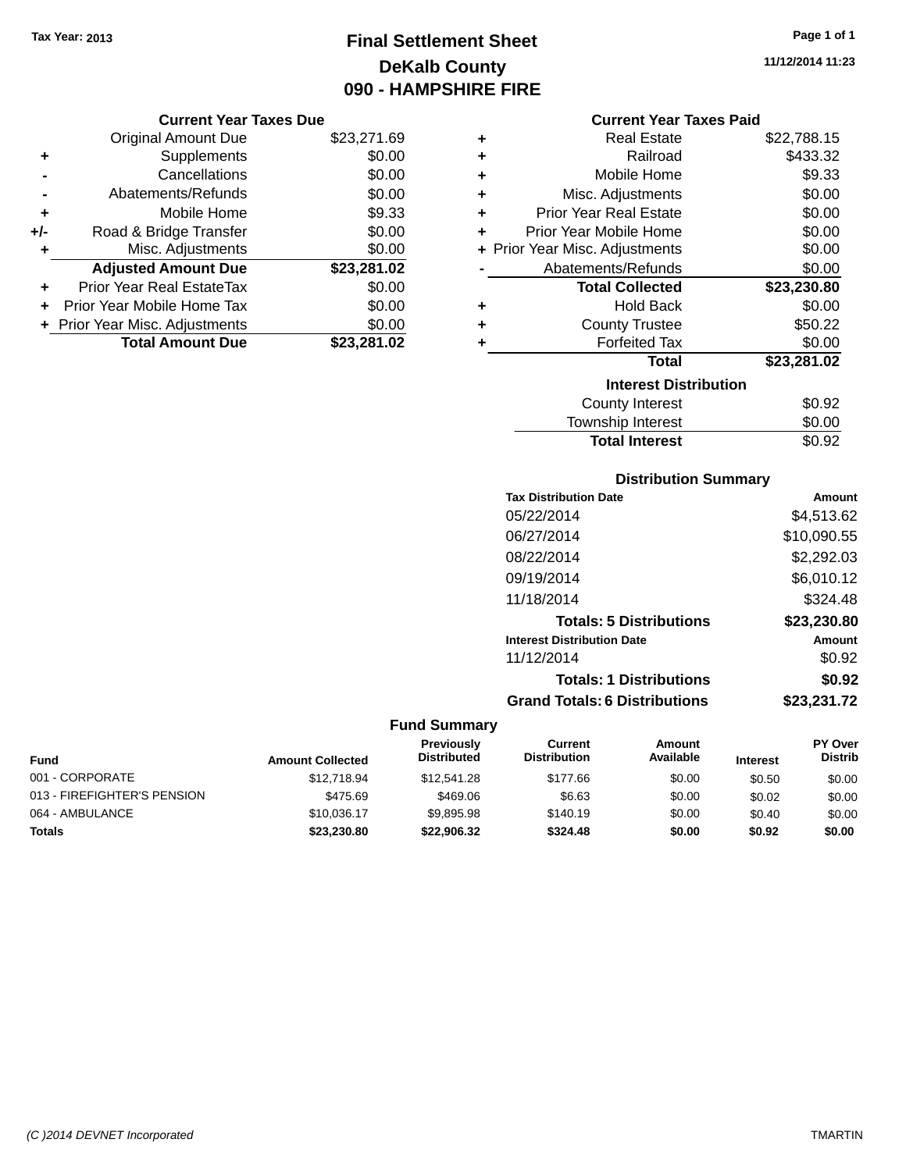# **Final Settlement Sheet Tax Year: 2013 Page 1 of 1 DeKalb County 090 - HAMPSHIRE FIRE**

**11/12/2014 11:23**

#### **Current Year Taxes Due**

|       | <b>Total Amount Due</b>          | \$23,281.02 |
|-------|----------------------------------|-------------|
|       | + Prior Year Misc. Adjustments   | \$0.00      |
|       | Prior Year Mobile Home Tax       | \$0.00      |
| ٠     | <b>Prior Year Real EstateTax</b> | \$0.00      |
|       | <b>Adjusted Amount Due</b>       | \$23,281.02 |
|       | Misc. Adjustments                | \$0.00      |
| $+/-$ | Road & Bridge Transfer           | \$0.00      |
| ٠     | Mobile Home                      | \$9.33      |
|       | Abatements/Refunds               | \$0.00      |
|       | Cancellations                    | \$0.00      |
| ٠     | Supplements                      | \$0.00      |
|       | <b>Original Amount Due</b>       | \$23,271.69 |
|       |                                  |             |

### **Current Year Taxes Paid**

| ٠ | <b>Real Estate</b>             | \$22,788.15 |
|---|--------------------------------|-------------|
| ٠ | Railroad                       | \$433.32    |
| ٠ | Mobile Home                    | \$9.33      |
| ÷ | Misc. Adjustments              | \$0.00      |
| ٠ | Prior Year Real Estate         | \$0.00      |
| ٠ | Prior Year Mobile Home         | \$0.00      |
|   | + Prior Year Misc. Adjustments | \$0.00      |
|   | Abatements/Refunds             | \$0.00      |
|   | <b>Total Collected</b>         | \$23,230.80 |
| ٠ | <b>Hold Back</b>               | \$0.00      |
| ÷ | <b>County Trustee</b>          | \$50.22     |
| ٠ | <b>Forfeited Tax</b>           | \$0.00      |
|   | Total                          | \$23,281.02 |
|   | <b>Interest Distribution</b>   |             |
|   | <b>County Interest</b>         | \$0.92      |
|   | <b>Township Interest</b>       | \$0.00      |
|   | <b>Total Interest</b>          | \$0.92      |

# **Distribution Summary**

| <b>Tax Distribution Date</b>         | Amount      |
|--------------------------------------|-------------|
| 05/22/2014                           | \$4,513.62  |
| 06/27/2014                           | \$10,090.55 |
| 08/22/2014                           | \$2,292.03  |
| 09/19/2014                           | \$6,010.12  |
| 11/18/2014                           | \$324.48    |
| <b>Totals: 5 Distributions</b>       | \$23,230.80 |
| <b>Interest Distribution Date</b>    | Amount      |
| 11/12/2014                           | \$0.92      |
| <b>Totals: 1 Distributions</b>       | \$0.92      |
| <b>Grand Totals: 6 Distributions</b> | \$23,231.72 |

| <b>Fund</b>                 | <b>Amount Collected</b> | <b>Previously</b><br><b>Distributed</b> | Current<br><b>Distribution</b> | Amount<br>Available | <b>Interest</b> | <b>PY Over</b><br><b>Distrib</b> |
|-----------------------------|-------------------------|-----------------------------------------|--------------------------------|---------------------|-----------------|----------------------------------|
| 001 - CORPORATE             | \$12,718.94             | \$12,541.28                             | \$177.66                       | \$0.00              | \$0.50          | \$0.00                           |
| 013 - FIREFIGHTER'S PENSION | \$475.69                | \$469.06                                | \$6.63                         | \$0.00              | \$0.02          | \$0.00                           |
| 064 - AMBULANCE             | \$10.036.17             | \$9.895.98                              | \$140.19                       | \$0.00              | \$0.40          | \$0.00                           |
| Totals                      | \$23,230,80             | \$22,906.32                             | \$324.48                       | \$0.00              | \$0.92          | \$0.00                           |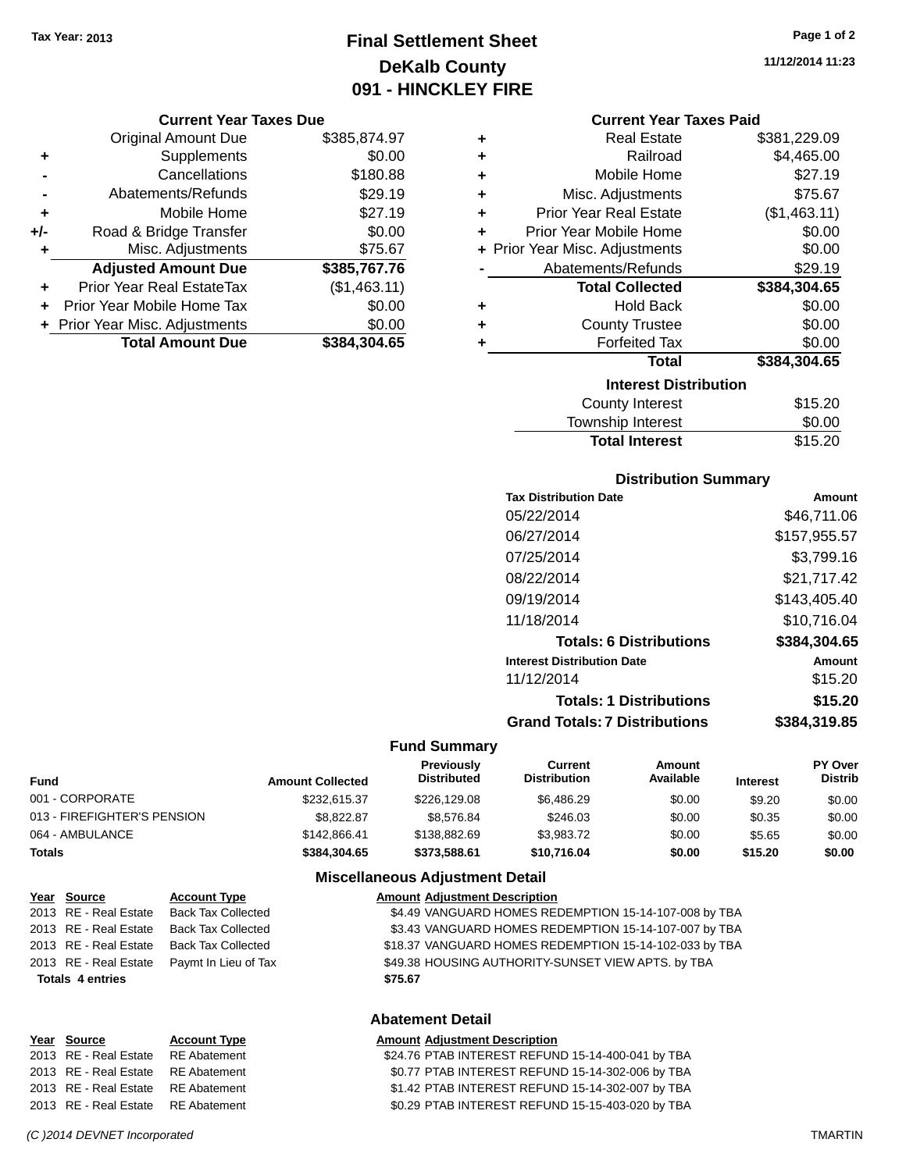# **Final Settlement Sheet Tax Year: 2013 Page 1 of 2 DeKalb County 091 - HINCKLEY FIRE**

#### **Current Year Taxes Due**

|       | <b>Original Amount Due</b>       | \$385,874.97 |
|-------|----------------------------------|--------------|
| ٠     | Supplements                      | \$0.00       |
|       | Cancellations                    | \$180.88     |
|       | Abatements/Refunds               | \$29.19      |
| ٠     | Mobile Home                      | \$27.19      |
| $+/-$ | Road & Bridge Transfer           | \$0.00       |
| ٠     | Misc. Adjustments                | \$75.67      |
|       | <b>Adjusted Amount Due</b>       | \$385,767.76 |
|       | <b>Prior Year Real EstateTax</b> | (\$1,463.11) |
|       | Prior Year Mobile Home Tax       | \$0.00       |
|       | + Prior Year Misc. Adjustments   | \$0.00       |
|       | <b>Total Amount Due</b>          | \$384,304.65 |

|    | <b>Current Year Taxes Paid</b> |              |
|----|--------------------------------|--------------|
| ٠  | <b>Real Estate</b>             | \$381,229,09 |
| ٠. | Railroad                       | \$4,465.00   |
| ٠  | Mobile Home                    | \$27.19      |
|    |                                |              |

| ÷ | Misc. Adjustments              | \$75.67      |
|---|--------------------------------|--------------|
| ÷ | <b>Prior Year Real Estate</b>  | (\$1,463.11) |
| ٠ | Prior Year Mobile Home         | \$0.00       |
|   | + Prior Year Misc. Adjustments | \$0.00       |
|   | Abatements/Refunds             | \$29.19      |
|   | <b>Total Collected</b>         | \$384,304.65 |
| ٠ | <b>Hold Back</b>               | \$0.00       |
| ÷ | <b>County Trustee</b>          | \$0.00       |
| ٠ | <b>Forfeited Tax</b>           | \$0.00       |
|   | <b>Total</b>                   | \$384,304.65 |
|   | <b>Interest Distribution</b>   |              |
|   | <b>County Interest</b>         | \$15.20      |
|   | Township Interest              | \$0.00       |
|   | <b>Total Interest</b>          | \$15.20      |

# **Distribution Summary**

| <b>Tax Distribution Date</b>         | Amount       |
|--------------------------------------|--------------|
| 05/22/2014                           | \$46,711.06  |
| 06/27/2014                           | \$157.955.57 |
| 07/25/2014                           | \$3,799.16   |
| 08/22/2014                           | \$21.717.42  |
| 09/19/2014                           | \$143.405.40 |
| 11/18/2014                           | \$10,716.04  |
| <b>Totals: 6 Distributions</b>       | \$384,304.65 |
| <b>Interest Distribution Date</b>    | Amount       |
| 11/12/2014                           | \$15.20      |
| <b>Totals: 1 Distributions</b>       | \$15.20      |
| <b>Grand Totals: 7 Distributions</b> | \$384.319.85 |

#### **Fund Summary**

| Fund                        | <b>Amount Collected</b> | <b>Previously</b><br><b>Distributed</b> | Current<br><b>Distribution</b> | Amount<br>Available | <b>Interest</b> | <b>PY Over</b><br><b>Distrib</b> |
|-----------------------------|-------------------------|-----------------------------------------|--------------------------------|---------------------|-----------------|----------------------------------|
| 001 - CORPORATE             | \$232.615.37            | \$226,129.08                            | \$6,486.29                     | \$0.00              | \$9.20          | \$0.00                           |
| 013 - FIREFIGHTER'S PENSION | \$8.822.87              | \$8.576.84                              | \$246.03                       | \$0.00              | \$0.35          | \$0.00                           |
| 064 - AMBULANCE             | \$142,866.41            | \$138,882.69                            | \$3.983.72                     | \$0.00              | \$5.65          | \$0.00                           |
| Totals                      | \$384.304.65            | \$373,588.61                            | \$10,716.04                    | \$0.00              | \$15.20         | \$0.00                           |

### **Miscellaneous Adjustment Detail**

| <u>Year Source</u>      | <b>Account Type</b>       | <b>Amount Adjustment Description</b>                   |
|-------------------------|---------------------------|--------------------------------------------------------|
| 2013 RE - Real Estate   | <b>Back Tax Collected</b> | \$4.49 VANGUARD HOMES REDEMPTION 15-14-107-008 by TBA  |
| 2013 RE - Real Estate   | <b>Back Tax Collected</b> | \$3.43 VANGUARD HOMES REDEMPTION 15-14-107-007 by TBA  |
| 2013 RE - Real Estate   | Back Tax Collected        | \$18.37 VANGUARD HOMES REDEMPTION 15-14-102-033 by TBA |
| 2013 RE - Real Estate   | Paymt In Lieu of Tax      | \$49.38 HOUSING AUTHORITY-SUNSET VIEW APTS. by TBA     |
| <b>Totals 4 entries</b> |                           | \$75.67                                                |

#### **Abatement Detail**

# **Year** Source **Account Type Account Type Amount Adjustment Description**

| 2013 RE - Real Estate RE Abatement | \$24.76 PTAB INTEREST REFUND 15-14-400-041 by TBA |  |
|------------------------------------|---------------------------------------------------|--|
| 2013 RE - Real Estate RE Abatement | \$0.77 PTAB INTEREST REFUND 15-14-302-006 by TBA  |  |
| 2013 RE - Real Estate RE Abatement | \$1.42 PTAB INTEREST REFUND 15-14-302-007 by TBA  |  |
| 2013 RE - Real Estate RE Abatement | \$0.29 PTAB INTEREST REFUND 15-15-403-020 by TBA  |  |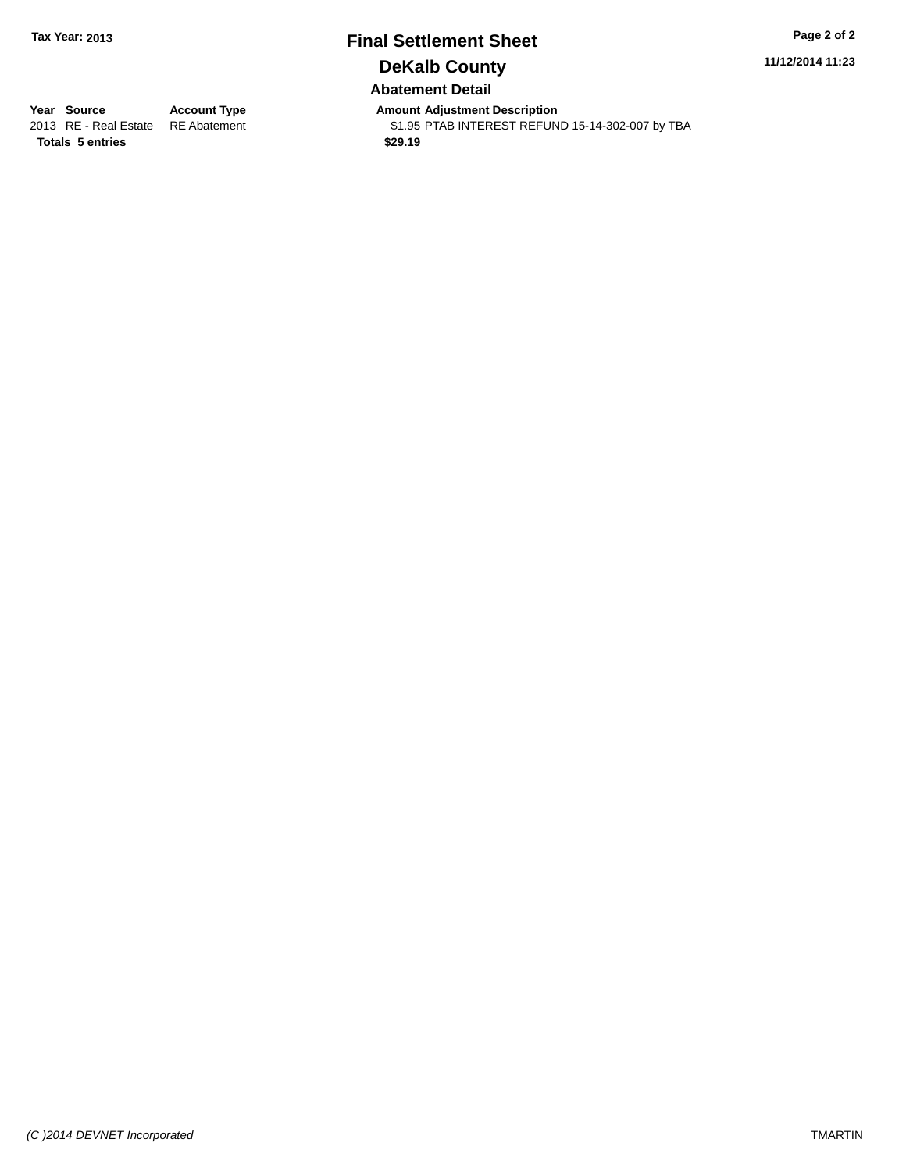# **Final Settlement Sheet Tax Year: 2013 Page 2 of 2 DeKalb County Abatement Detail**

**11/12/2014 11:23**

**Totals \$29.19 5 entries**

**Year Source Account Type Anneurs Amount Adjustment Description**<br>
2013 RE - Real Estate RE Abatement **Account 1998 Amount Adjustment Description** \$1.95 PTAB INTEREST REFUND 15-14-302-007 by TBA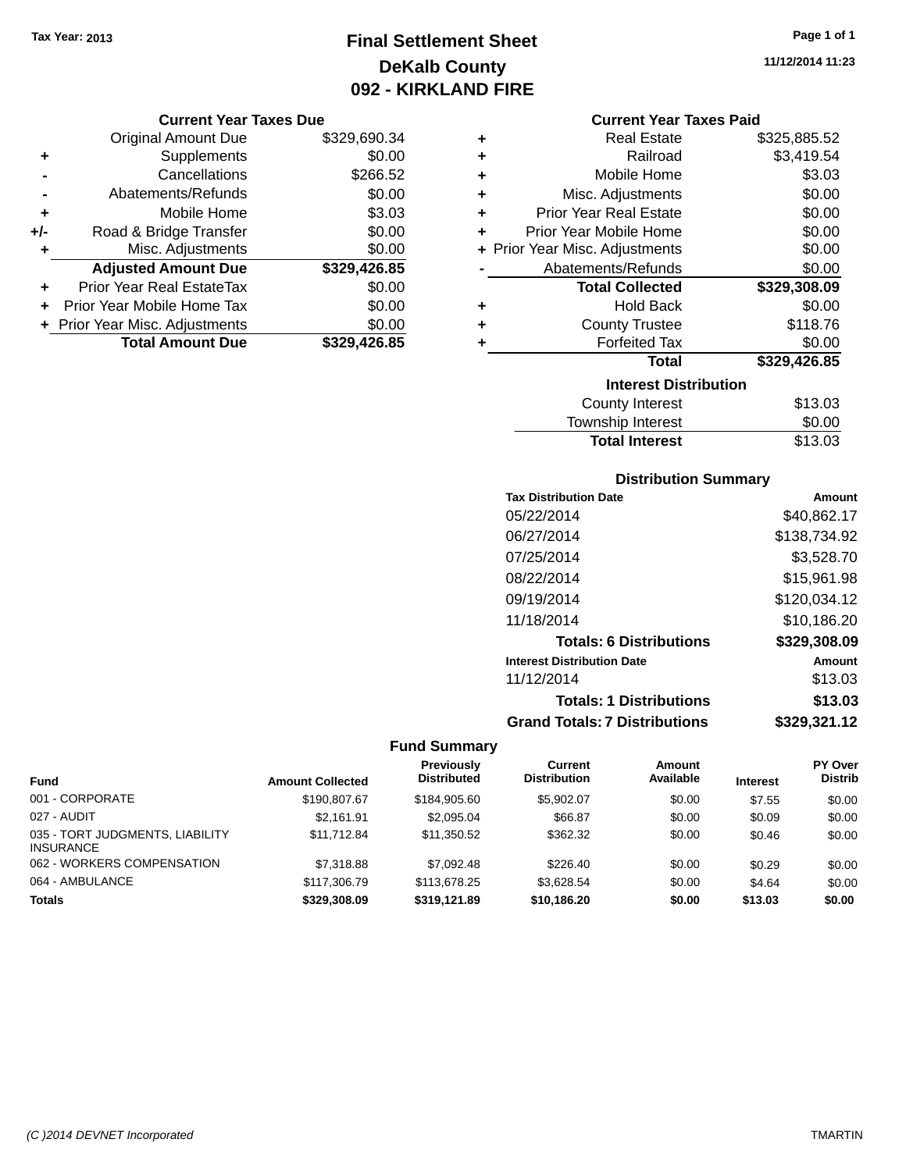# **Final Settlement Sheet Tax Year: 2013 Page 1 of 1 DeKalb County 092 - KIRKLAND FIRE**

#### **Current Year Taxes Due**

|       | <b>Original Amount Due</b>       | \$329,690.34 |
|-------|----------------------------------|--------------|
| ٠     | Supplements                      | \$0.00       |
|       | Cancellations                    | \$266.52     |
|       | Abatements/Refunds               | \$0.00       |
| ٠     | Mobile Home                      | \$3.03       |
| $+/-$ | Road & Bridge Transfer           | \$0.00       |
| ٠     | Misc. Adjustments                | \$0.00       |
|       | <b>Adjusted Amount Due</b>       | \$329,426.85 |
| ÷     | <b>Prior Year Real EstateTax</b> | \$0.00       |
|       | Prior Year Mobile Home Tax       | \$0.00       |
|       | + Prior Year Misc. Adjustments   | \$0.00       |
|       | <b>Total Amount Due</b>          | \$329,426.85 |

| ٠ | <b>Real Estate</b>             | \$325,885.52 |
|---|--------------------------------|--------------|
| ÷ | Railroad                       | \$3,419.54   |
| ٠ | Mobile Home                    | \$3.03       |
| ٠ | Misc. Adjustments              | \$0.00       |
| ÷ | <b>Prior Year Real Estate</b>  | \$0.00       |
| ٠ | Prior Year Mobile Home         | \$0.00       |
|   | + Prior Year Misc. Adjustments | \$0.00       |
|   | Abatements/Refunds             | \$0.00       |
|   |                                |              |
|   | <b>Total Collected</b>         | \$329,308.09 |
| ٠ | <b>Hold Back</b>               | \$0.00       |
| ٠ | <b>County Trustee</b>          | \$118.76     |
| ٠ | <b>Forfeited Tax</b>           | \$0.00       |
|   | <b>Total</b>                   | \$329,426.85 |
|   | <b>Interest Distribution</b>   |              |
|   | <b>County Interest</b>         | \$13.03      |

# **Distribution Summary**

Total Interest \$13.03

| Amount       |
|--------------|
| \$40,862.17  |
| \$138.734.92 |
| \$3,528.70   |
| \$15,961.98  |
| \$120,034.12 |
| \$10,186.20  |
| \$329,308.09 |
| Amount       |
| \$13.03      |
| \$13.03      |
| \$329,321.12 |
|              |

| <b>Fund</b>                                         | <b>Amount Collected</b> | Previously<br><b>Distributed</b> | Current<br><b>Distribution</b> | Amount<br>Available | <b>Interest</b> | <b>PY Over</b><br><b>Distrib</b> |
|-----------------------------------------------------|-------------------------|----------------------------------|--------------------------------|---------------------|-----------------|----------------------------------|
| 001 - CORPORATE                                     | \$190,807.67            | \$184,905.60                     | \$5.902.07                     | \$0.00              | \$7.55          | \$0.00                           |
| 027 - AUDIT                                         | \$2.161.91              | \$2.095.04                       | \$66.87                        | \$0.00              | \$0.09          | \$0.00                           |
| 035 - TORT JUDGMENTS, LIABILITY<br><b>INSURANCE</b> | \$11.712.84             | \$11,350.52                      | \$362.32                       | \$0.00              | \$0.46          | \$0.00                           |
| 062 - WORKERS COMPENSATION                          | \$7,318.88              | \$7,092.48                       | \$226.40                       | \$0.00              | \$0.29          | \$0.00                           |
| 064 - AMBULANCE                                     | \$117,306.79            | \$113,678.25                     | \$3.628.54                     | \$0.00              | \$4.64          | \$0.00                           |
| <b>Totals</b>                                       | \$329,308,09            | \$319,121.89                     | \$10,186.20                    | \$0.00              | \$13.03         | \$0.00                           |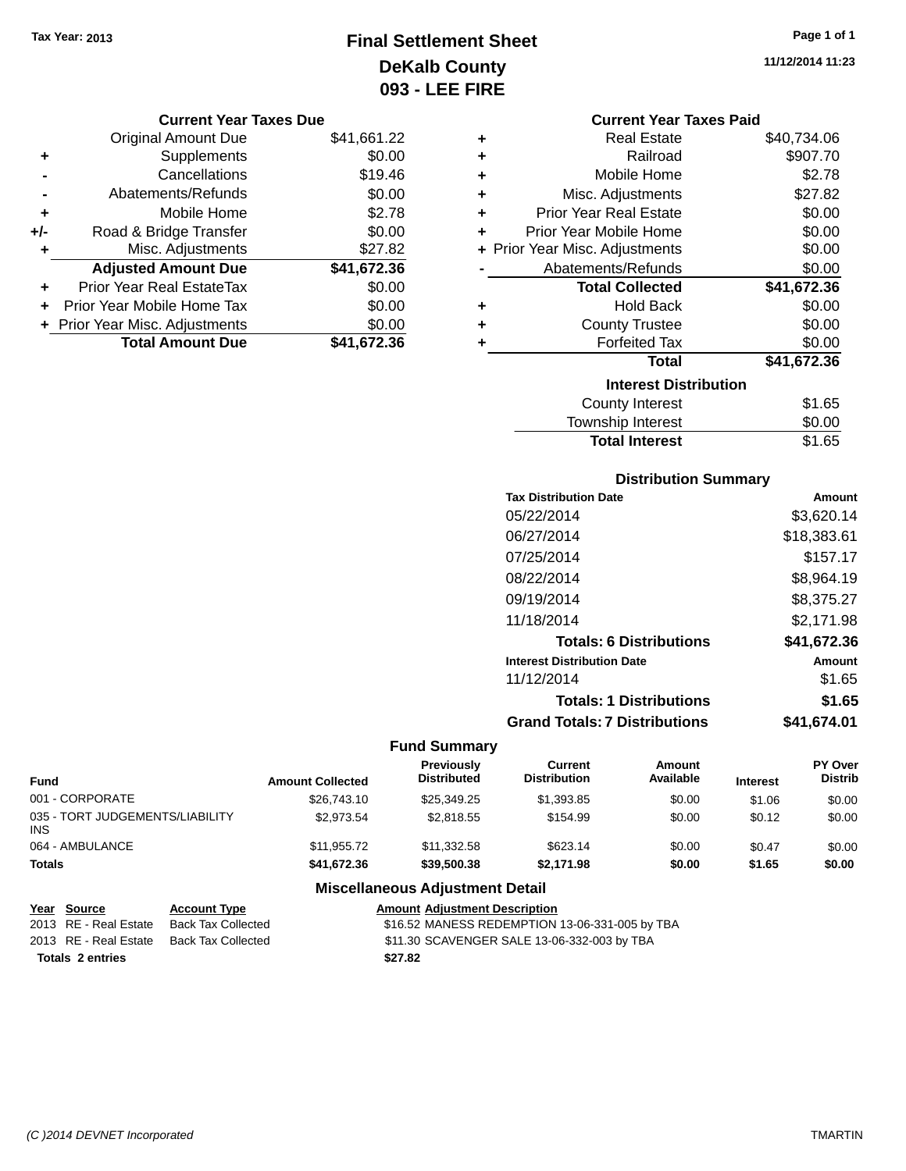**Current Year Taxes Due** Original Amount Due \$41,661.22

**Adjusted Amount Due \$41,672.36**

**Total Amount Due \$41,672.36**

**+** Supplements \$0.00 **-** Cancellations \$19.46 **-** Abatements/Refunds \$0.00 **+** Mobile Home \$2.78 **+/-** Road & Bridge Transfer \$0.00 **+** Misc. Adjustments \$27.82

**+** Prior Year Real EstateTax \$0.00 **+** Prior Year Mobile Home Tax \$0.00 **+ Prior Year Misc. Adjustments**  $$0.00$ 

# **Final Settlement Sheet Tax Year: 2013 Page 1 of 1 DeKalb County 093 - LEE FIRE**

**11/12/2014 11:23**

|   | <b>Current Year Taxes Paid</b> |             |
|---|--------------------------------|-------------|
| ٠ | <b>Real Estate</b>             | \$40,734.06 |
| ٠ | Railroad                       | \$907.70    |
| ÷ | Mobile Home                    | \$2.78      |
| ٠ | Misc. Adjustments              | \$27.82     |
| ÷ | Prior Year Real Estate         | \$0.00      |
| ٠ | Prior Year Mobile Home         | \$0.00      |
|   | + Prior Year Misc. Adjustments | \$0.00      |
|   | Abatements/Refunds             | \$0.00      |
|   | <b>Total Collected</b>         | \$41,672.36 |
| ٠ | <b>Hold Back</b>               | \$0.00      |
| ÷ | <b>County Trustee</b>          | \$0.00      |
| ٠ | <b>Forfeited Tax</b>           | \$0.00      |
|   | <b>Total</b>                   | \$41,672.36 |
|   | <b>Interest Distribution</b>   |             |
|   | <b>County Interest</b>         | \$1.65      |
|   | <b>Township Interest</b>       | \$0.00      |
|   | <b>Total Interest</b>          | \$1.65      |

# **Distribution Summary**

| <b>Tax Distribution Date</b>         | Amount      |
|--------------------------------------|-------------|
| 05/22/2014                           | \$3,620.14  |
| 06/27/2014                           | \$18,383.61 |
| 07/25/2014                           | \$157.17    |
| 08/22/2014                           | \$8,964.19  |
| 09/19/2014                           | \$8,375.27  |
| 11/18/2014                           | \$2,171.98  |
| <b>Totals: 6 Distributions</b>       | \$41,672.36 |
| <b>Interest Distribution Date</b>    | Amount      |
| 11/12/2014                           | \$1.65      |
| <b>Totals: 1 Distributions</b>       | \$1.65      |
| <b>Grand Totals: 7 Distributions</b> | \$41,674.01 |

#### **Fund Summary**

| Fund                                    | <b>Amount Collected</b> | <b>Previously</b><br><b>Distributed</b> | Current<br><b>Distribution</b> | Amount<br>Available | <b>Interest</b> | <b>PY Over</b><br><b>Distrib</b> |
|-----------------------------------------|-------------------------|-----------------------------------------|--------------------------------|---------------------|-----------------|----------------------------------|
| 001 - CORPORATE                         | \$26,743.10             | \$25,349.25                             | \$1,393.85                     | \$0.00              | \$1.06          | \$0.00                           |
| 035 - TORT JUDGEMENTS/LIABILITY<br>INS. | \$2,973.54              | \$2.818.55                              | \$154.99                       | \$0.00              | \$0.12          | \$0.00                           |
| 064 - AMBULANCE                         | \$11,955.72             | \$11,332.58                             | \$623.14                       | \$0.00              | \$0.47          | \$0.00                           |
| Totals                                  | \$41.672.36             | \$39,500,38                             | \$2.171.98                     | \$0.00              | \$1.65          | \$0.00                           |

### **Miscellaneous Adjustment Detail**

| Year Source             | <b>Account Type</b> | <b>Amount Adjustment Description</b>           |
|-------------------------|---------------------|------------------------------------------------|
| 2013 RE - Real Estate   | Back Tax Collected  | \$16.52 MANESS REDEMPTION 13-06-331-005 by TBA |
| 2013 RE - Real Estate   | Back Tax Collected  | \$11.30 SCAVENGER SALE 13-06-332-003 by TBA    |
| <b>Totals 2 entries</b> |                     | \$27.82                                        |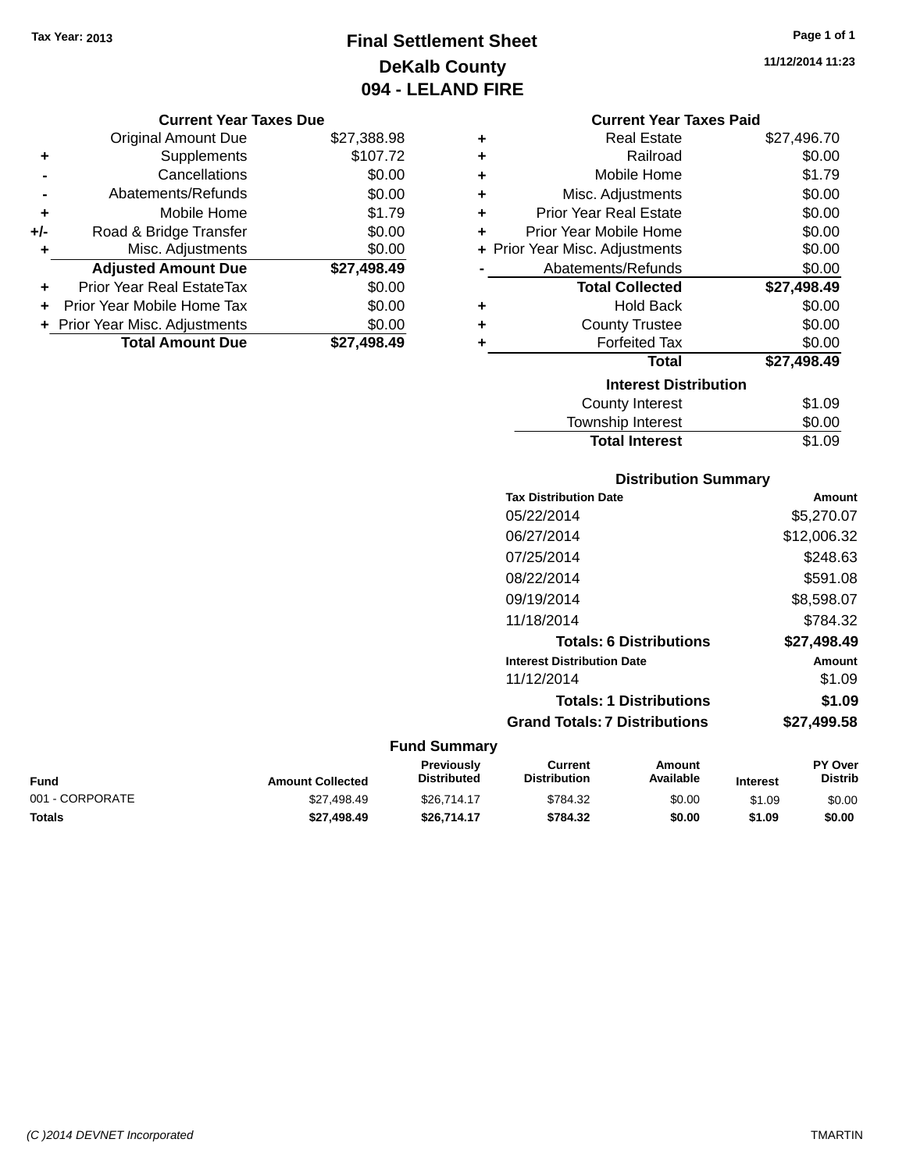# **Final Settlement Sheet Tax Year: 2013 Page 1 of 1 DeKalb County 094 - LELAND FIRE**

#### **Current Year Taxes Due**

|       | <b>Original Amount Due</b>       | \$27,388.98 |
|-------|----------------------------------|-------------|
|       | Supplements                      | \$107.72    |
|       | Cancellations                    | \$0.00      |
|       | Abatements/Refunds               | \$0.00      |
| ٠     | Mobile Home                      | \$1.79      |
| $+/-$ | Road & Bridge Transfer           | \$0.00      |
| ٠     | Misc. Adjustments                | \$0.00      |
|       | <b>Adjusted Amount Due</b>       | \$27,498.49 |
|       | <b>Prior Year Real EstateTax</b> | \$0.00      |
|       | Prior Year Mobile Home Tax       | \$0.00      |
|       | + Prior Year Misc. Adjustments   | \$0.00      |
|       | <b>Total Amount Due</b>          | \$27.498.49 |

# **Current Year Taxes Paid +** Real Estate \$27,496.70 **+** Railroad \$0.00 **+** Mobile Home \$1.79 **+** Misc. Adjustments \$0.00 **+** Prior Year Real Estate \$0.00 **+** Prior Year Mobile Home \$0.00 **+** Prior Year Misc. Adjustments  $$0.00$ Abatements/Refunds \$0.00 **Total Collected \$27,498.49 +** Hold Back \$0.00

| ٠ | <b>County Trustee</b>        | \$0.00      |
|---|------------------------------|-------------|
| ÷ | <b>Forfeited Tax</b>         | \$0.00      |
|   | Total                        | \$27,498.49 |
|   | <b>Interest Distribution</b> |             |
|   | <b>County Interest</b>       | \$1.09      |
|   | <b>Township Interest</b>     | \$0.00      |
|   | <b>Total Interest</b>        | \$1.09      |

# **Distribution Summary Tax Distribution Date Amount** 05/22/2014 \$5,270.07 06/27/2014 \$12,006.32 07/25/2014 \$248.63 08/22/2014 \$591.08 09/19/2014 \$8,598.07 11/18/2014 \$784.32 **Totals: 6 Distributions \$27,498.49 Interest Distribution Date Amount** 11/12/2014 \$1.09 **Totals: 1 Distributions \$1.09 Grand Totals: 7 Distributions \$27,499.58**

#### **Fund Summary**

| Fund            | <b>Amount Collected</b> | Previously<br><b>Distributed</b> | Current<br><b>Distribution</b> | Amount<br>Available | <b>Interest</b> | <b>PY Over</b><br>Distrib |
|-----------------|-------------------------|----------------------------------|--------------------------------|---------------------|-----------------|---------------------------|
| 001 - CORPORATE | \$27.498.49             | \$26.714.17                      | \$784.32                       | \$0.00              | \$1.09          | \$0.00                    |
| Totals          | \$27.498.49             | \$26.714.17                      | \$784.32                       | \$0.00              | \$1.09          | \$0.00                    |

**11/12/2014 11:23**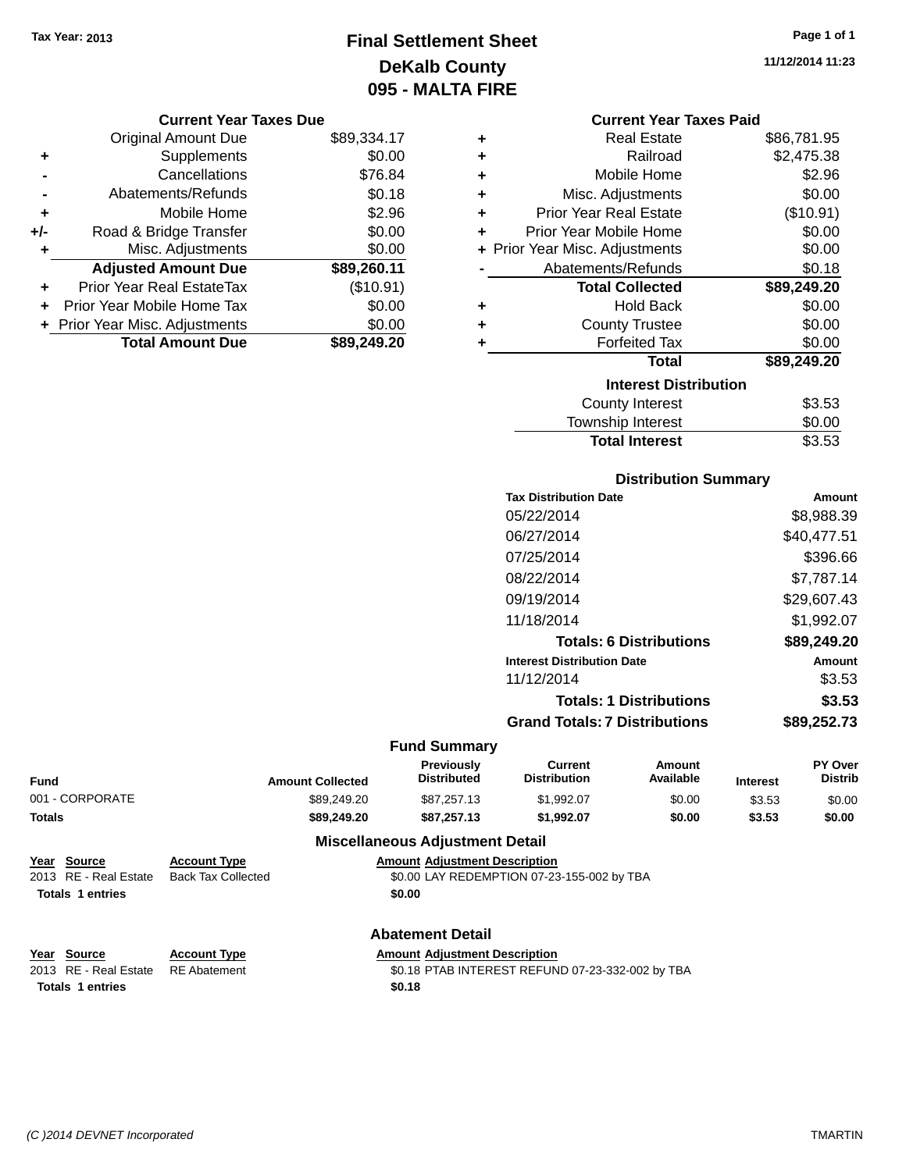**Current Year Taxes Due** Original Amount Due \$89,334.17

**Adjusted Amount Due \$89,260.11**

**Total Amount Due \$89,249.20**

**+** Supplements \$0.00 **-** Cancellations \$76.84 **-** Abatements/Refunds \$0.18 **+** Mobile Home \$2.96 **+/-** Road & Bridge Transfer \$0.00 **+** Misc. Adjustments \$0.00

**+** Prior Year Real EstateTax (\$10.91) **+** Prior Year Mobile Home Tax \$0.00 **+ Prior Year Misc. Adjustments**  $$0.00$ 

# **Final Settlement Sheet Tax Year: 2013 Page 1 of 1 DeKalb County 095 - MALTA FIRE**

**11/12/2014 11:23**

### **Current Year Taxes Paid**

| ٠ | <b>Real Estate</b>             | \$86,781.95 |
|---|--------------------------------|-------------|
| ÷ | Railroad                       | \$2,475.38  |
| ÷ | Mobile Home                    | \$2.96      |
| ÷ | Misc. Adjustments              | \$0.00      |
| ÷ | <b>Prior Year Real Estate</b>  | (\$10.91)   |
| ÷ | Prior Year Mobile Home         | \$0.00      |
|   | + Prior Year Misc. Adjustments | \$0.00      |
|   | Abatements/Refunds             | \$0.18      |
|   | <b>Total Collected</b>         | \$89,249.20 |
| ٠ | Hold Back                      | \$0.00      |
| ٠ | <b>County Trustee</b>          | \$0.00      |
| ٠ | <b>Forfeited Tax</b>           | \$0.00      |
|   | <b>Total</b>                   | \$89,249.20 |
|   | <b>Interest Distribution</b>   |             |
|   | <b>County Interest</b>         | \$3.53      |
|   | Township Interest              | \$0.00      |
|   | <b>Total Interest</b>          | \$3.53      |

### **Distribution Summary**

| <b>Tax Distribution Date</b>         | Amount      |
|--------------------------------------|-------------|
| 05/22/2014                           | \$8,988.39  |
| 06/27/2014                           | \$40,477.51 |
| 07/25/2014                           | \$396.66    |
| 08/22/2014                           | \$7.787.14  |
| 09/19/2014                           | \$29,607.43 |
| 11/18/2014                           | \$1,992.07  |
| <b>Totals: 6 Distributions</b>       | \$89,249.20 |
| <b>Interest Distribution Date</b>    | Amount      |
| 11/12/2014                           | \$3.53      |
| <b>Totals: 1 Distributions</b>       | \$3.53      |
| <b>Grand Totals: 7 Distributions</b> | \$89.252.73 |

### **Fund Summary**

| Fund            | <b>Amount Collected</b> | <b>Previously</b><br><b>Distributed</b> | Current<br><b>Distribution</b> | Amount<br>Available | <b>Interest</b> | <b>PY Over</b><br><b>Distrib</b> |
|-----------------|-------------------------|-----------------------------------------|--------------------------------|---------------------|-----------------|----------------------------------|
| 001 - CORPORATE | \$89,249.20             | \$87.257.13                             | \$1.992.07                     | \$0.00              | \$3.53          | \$0.00                           |
| Totals          | \$89,249,20             | \$87.257.13                             | \$1.992.07                     | \$0.00              | \$3.53          | \$0.00                           |

#### **Miscellaneous Adjustment Detail**

| Year Source           | <b>Account Type</b> | <b>Amount Adiustment Description</b>       |
|-----------------------|---------------------|--------------------------------------------|
| 2013 RE - Real Estate | Back Tax Collected  | \$0.00 LAY REDEMPTION 07-23-155-002 by TBA |
| Totals 1 entries      |                     | \$0.00                                     |

#### **Abatement Detail**

|  | Amount Adjustment Description |  |
|--|-------------------------------|--|
|  |                               |  |

2013 RE - Real Estate RE Abatement **19.18 PTAB INTEREST REFUND 07-23-332-002 by TBA Totals \$0.18 1 entries**

**Year Source Account Type**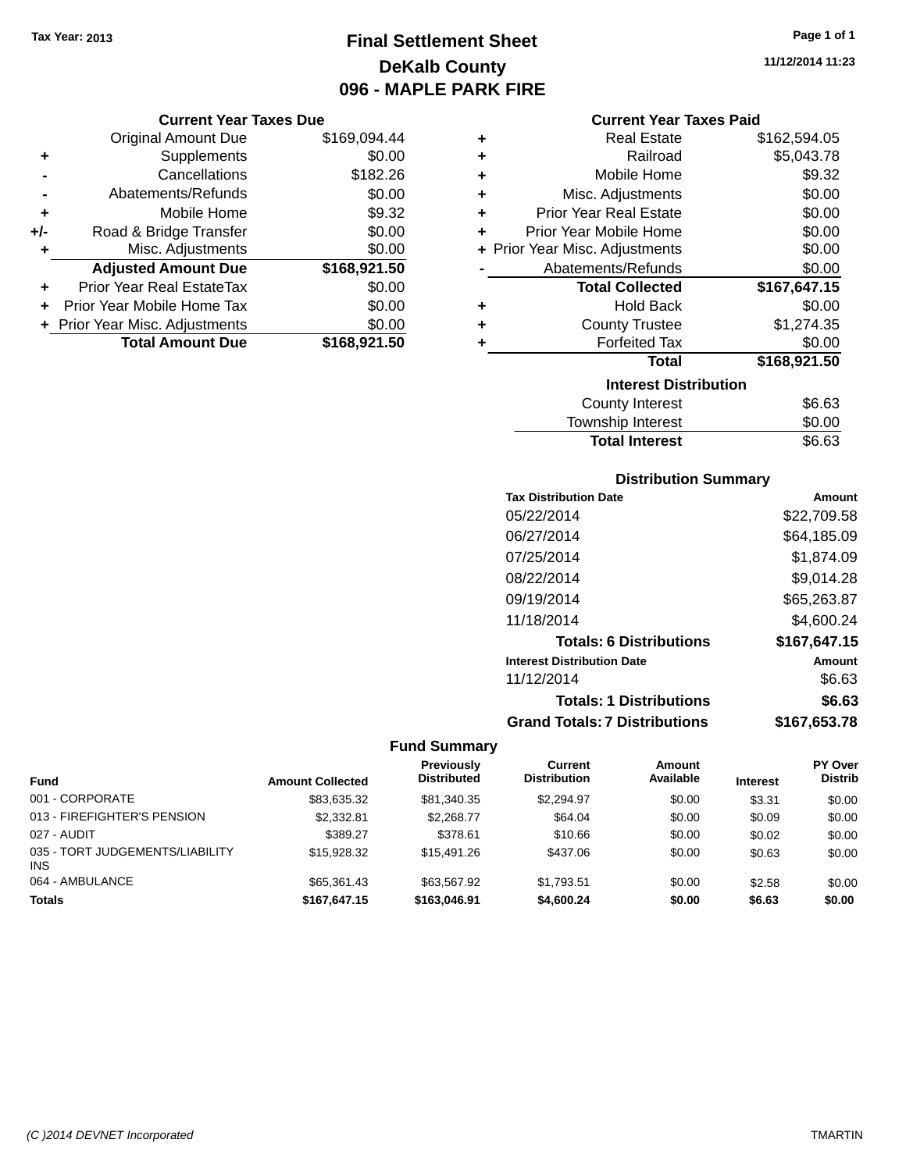# **Final Settlement Sheet Tax Year: 2013 Page 1 of 1 DeKalb County 096 - MAPLE PARK FIRE**

### **Current Year Taxes Due**

|     | <b>Original Amount Due</b>       | \$169,094.44 |
|-----|----------------------------------|--------------|
| ٠   | Supplements                      | \$0.00       |
|     | Cancellations                    | \$182.26     |
|     | Abatements/Refunds               | \$0.00       |
| ٠   | Mobile Home                      | \$9.32       |
| +/- | Road & Bridge Transfer           | \$0.00       |
| ٠   | Misc. Adjustments                | \$0.00       |
|     | <b>Adjusted Amount Due</b>       | \$168,921.50 |
|     | <b>Prior Year Real EstateTax</b> | \$0.00       |
|     | Prior Year Mobile Home Tax       | \$0.00       |
|     | + Prior Year Misc. Adjustments   | \$0.00       |
|     | <b>Total Amount Due</b>          | \$168,921.50 |

#### **Current Year Taxes Paid**

| ٠ | <b>Real Estate</b>             | \$162,594.05 |
|---|--------------------------------|--------------|
| ÷ | Railroad                       | \$5,043.78   |
| ÷ | Mobile Home                    | \$9.32       |
| ÷ | Misc. Adjustments              | \$0.00       |
| ٠ | <b>Prior Year Real Estate</b>  | \$0.00       |
| ٠ | Prior Year Mobile Home         | \$0.00       |
|   | + Prior Year Misc. Adjustments | \$0.00       |
|   | Abatements/Refunds             | \$0.00       |
|   | <b>Total Collected</b>         | \$167,647.15 |
| ٠ | <b>Hold Back</b>               | \$0.00       |
| ٠ | <b>County Trustee</b>          | \$1,274.35   |
| ٠ | <b>Forfeited Tax</b>           | \$0.00       |
|   | <b>Total</b>                   | \$168,921.50 |
|   | <b>Interest Distribution</b>   |              |
|   | <b>County Interest</b>         | \$6.63       |
|   | Township Interast              | ደስ ሰስ        |

| <b>Total Interest</b>  | \$6.63 |
|------------------------|--------|
| Township Interest      | \$0.00 |
| <b>COUTTLY IFTERST</b> | აი.ია  |

# **Distribution Summary**

| <b>Tax Distribution Date</b>         | Amount       |
|--------------------------------------|--------------|
| 05/22/2014                           | \$22,709.58  |
| 06/27/2014                           | \$64,185.09  |
| 07/25/2014                           | \$1.874.09   |
| 08/22/2014                           | \$9,014.28   |
| 09/19/2014                           | \$65,263.87  |
| 11/18/2014                           | \$4,600.24   |
| <b>Totals: 6 Distributions</b>       | \$167,647.15 |
| <b>Interest Distribution Date</b>    | Amount       |
| 11/12/2014                           | \$6.63       |
| <b>Totals: 1 Distributions</b>       | \$6.63       |
| <b>Grand Totals: 7 Distributions</b> | \$167.653.78 |

# **Fund Summary**

|                                               |                         | Previously         | Current             | <b>Amount</b> |                 | <b>PY Over</b> |
|-----------------------------------------------|-------------------------|--------------------|---------------------|---------------|-----------------|----------------|
| <b>Fund</b>                                   | <b>Amount Collected</b> | <b>Distributed</b> | <b>Distribution</b> | Available     | <b>Interest</b> | <b>Distrib</b> |
| 001 - CORPORATE                               | \$83,635.32             | \$81,340,35        | \$2.294.97          | \$0.00        | \$3.31          | \$0.00         |
| 013 - FIREFIGHTER'S PENSION                   | \$2,332.81              | \$2.268.77         | \$64.04             | \$0.00        | \$0.09          | \$0.00         |
| 027 - AUDIT                                   | \$389.27                | \$378.61           | \$10.66             | \$0.00        | \$0.02          | \$0.00         |
| 035 - TORT JUDGEMENTS/LIABILITY<br><b>INS</b> | \$15,928,32             | \$15,491.26        | \$437.06            | \$0.00        | \$0.63          | \$0.00         |
| 064 - AMBULANCE                               | \$65,361.43             | \$63.567.92        | \$1.793.51          | \$0.00        | \$2.58          | \$0.00         |
| <b>Totals</b>                                 | \$167.647.15            | \$163,046.91       | \$4,600.24          | \$0.00        | \$6.63          | \$0.00         |

**11/12/2014 11:23**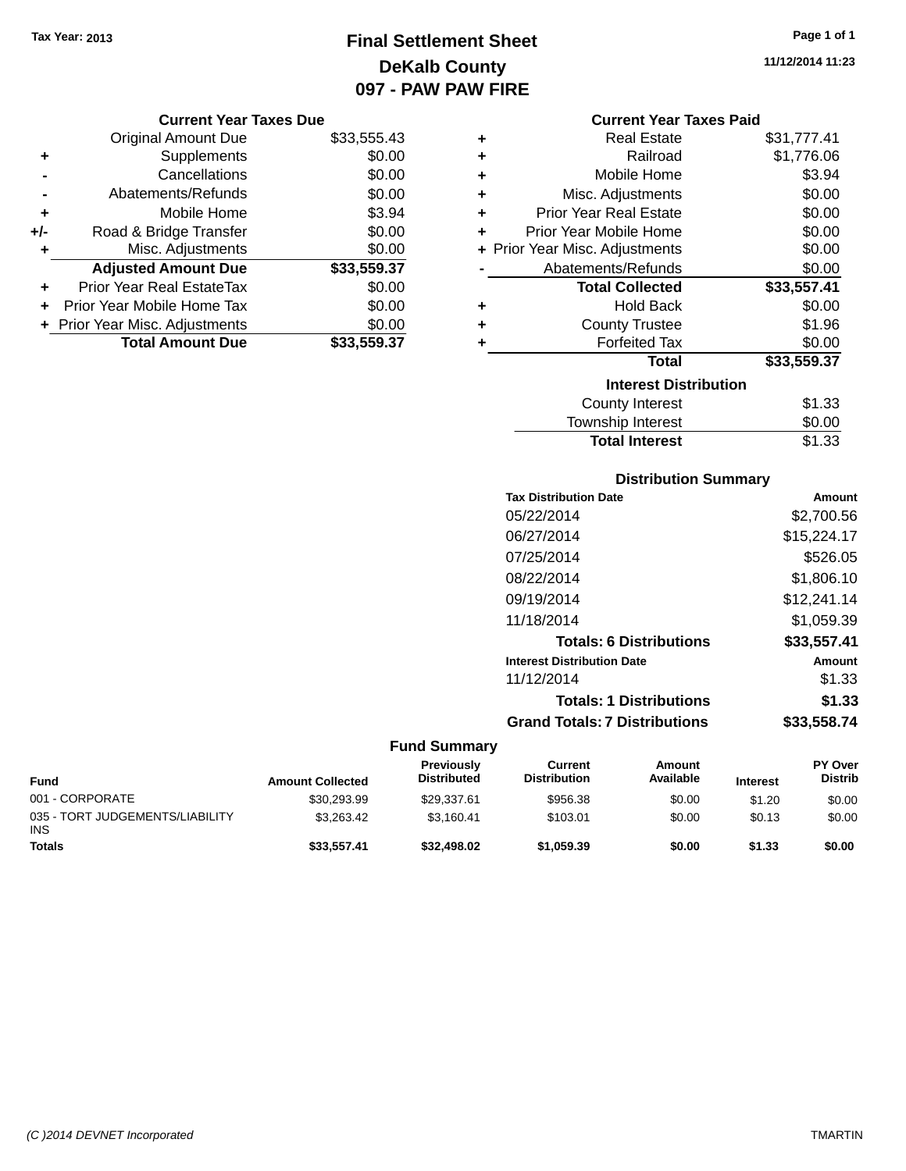**Current Year Taxes Due** Original Amount Due \$33,555.43

**Adjusted Amount Due \$33,559.37**

**Total Amount Due \$33,559.37**

**+** Supplements \$0.00 **-** Cancellations \$0.00 **-** Abatements/Refunds \$0.00 **+** Mobile Home \$3.94 **+/-** Road & Bridge Transfer \$0.00 **+** Misc. Adjustments \$0.00

**+** Prior Year Real EstateTax \$0.00 **+** Prior Year Mobile Home Tax \$0.00 **+ Prior Year Misc. Adjustments**  $$0.00$ 

# **Final Settlement Sheet Tax Year: 2013 Page 1 of 1 DeKalb County 097 - PAW PAW FIRE**

**11/12/2014 11:23**

#### **Current Year Taxes Paid**

| ÷ | <b>Real Estate</b>             | \$31,777.41 |
|---|--------------------------------|-------------|
| ٠ | Railroad                       | \$1,776.06  |
| ٠ | Mobile Home                    | \$3.94      |
| ٠ | Misc. Adjustments              | \$0.00      |
| ÷ | <b>Prior Year Real Estate</b>  | \$0.00      |
| ٠ | Prior Year Mobile Home         | \$0.00      |
|   | + Prior Year Misc. Adjustments | \$0.00      |
|   | Abatements/Refunds             | \$0.00      |
|   | <b>Total Collected</b>         | \$33,557.41 |
| ٠ | <b>Hold Back</b>               | \$0.00      |
| ٠ | <b>County Trustee</b>          | \$1.96      |
|   | <b>Forfeited Tax</b>           | \$0.00      |
|   | <b>Total</b>                   | \$33,559.37 |
|   | <b>Interest Distribution</b>   |             |
|   | <b>County Interest</b>         | \$1.33      |
|   | <b>Township Interest</b>       | \$0.00      |
|   | <b>Total Interest</b>          | \$1.33      |

### **Distribution Summary**

| <b>Tax Distribution Date</b>         | Amount      |
|--------------------------------------|-------------|
| 05/22/2014                           | \$2,700.56  |
| 06/27/2014                           | \$15,224.17 |
| 07/25/2014                           | \$526.05    |
| 08/22/2014                           | \$1,806.10  |
| 09/19/2014                           | \$12,241.14 |
| 11/18/2014                           | \$1,059.39  |
| <b>Totals: 6 Distributions</b>       | \$33,557.41 |
| <b>Interest Distribution Date</b>    | Amount      |
| 11/12/2014                           | \$1.33      |
| <b>Totals: 1 Distributions</b>       | \$1.33      |
| <b>Grand Totals: 7 Distributions</b> | \$33.558.74 |
|                                      |             |

| <b>Fund</b>                                   | <b>Amount Collected</b> | Previously<br><b>Distributed</b> | Current<br><b>Distribution</b> | Amount<br>Available | <b>Interest</b> | <b>PY Over</b><br><b>Distrib</b> |
|-----------------------------------------------|-------------------------|----------------------------------|--------------------------------|---------------------|-----------------|----------------------------------|
| 001 - CORPORATE                               | \$30.293.99             | \$29.337.61                      | \$956.38                       | \$0.00              | \$1.20          | \$0.00                           |
| 035 - TORT JUDGEMENTS/LIABILITY<br><b>INS</b> | \$3.263.42              | \$3.160.41                       | \$103.01                       | \$0.00              | \$0.13          | \$0.00                           |
| Totals                                        | \$33.557.41             | \$32,498.02                      | \$1,059.39                     | \$0.00              | \$1.33          | \$0.00                           |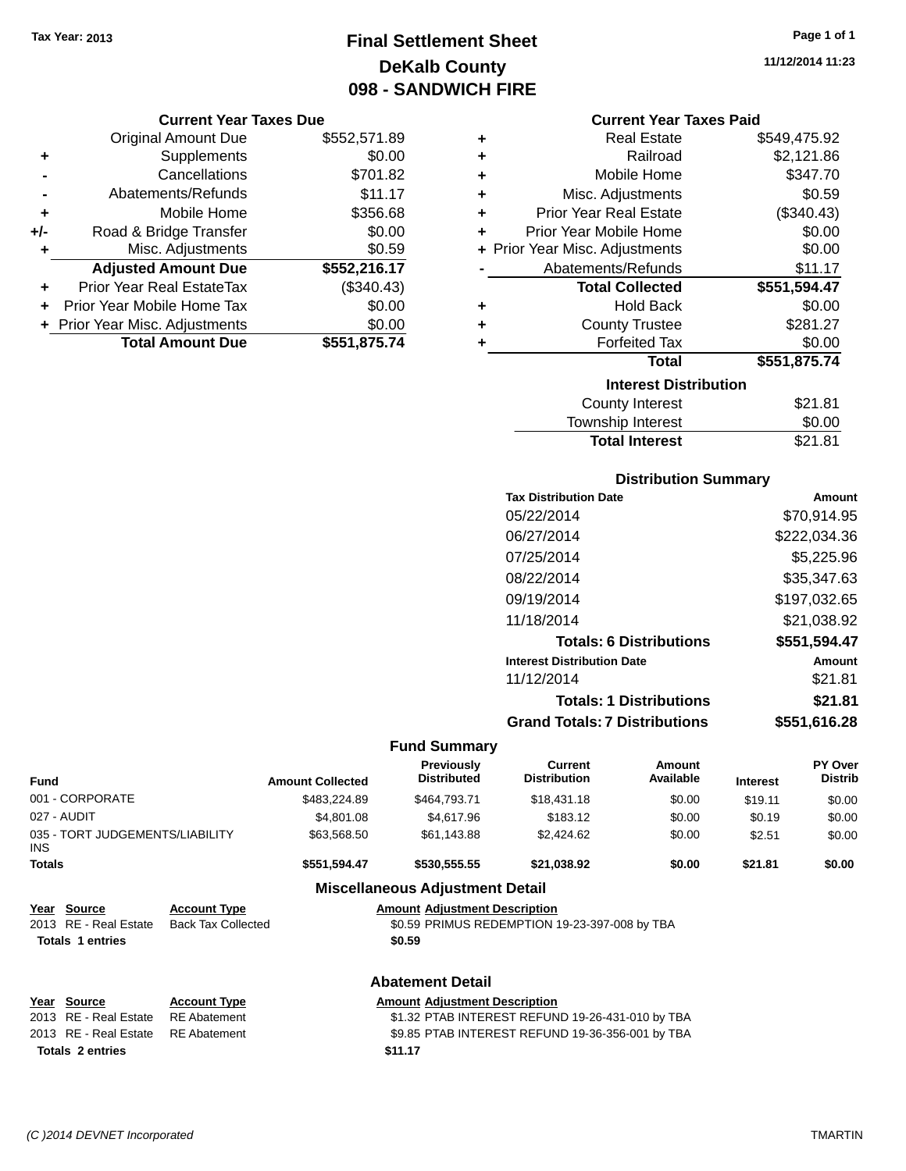# **Final Settlement Sheet Tax Year: 2013 Page 1 of 1 DeKalb County 098 - SANDWICH FIRE**

#### **Current Year Taxes Due**

|     | <b>Original Amount Due</b>       | \$552,571.89 |
|-----|----------------------------------|--------------|
| ٠   | Supplements                      | \$0.00       |
|     | Cancellations                    | \$701.82     |
|     | Abatements/Refunds               | \$11.17      |
| ٠   | Mobile Home                      | \$356.68     |
| +/- | Road & Bridge Transfer           | \$0.00       |
| ÷   | Misc. Adjustments                | \$0.59       |
|     | <b>Adjusted Amount Due</b>       | \$552,216.17 |
|     | <b>Prior Year Real EstateTax</b> | (\$340.43)   |
|     | Prior Year Mobile Home Tax       | \$0.00       |
|     | + Prior Year Misc. Adjustments   | \$0.00       |
|     | <b>Total Amount Due</b>          | \$551,875.74 |

### **Current Year Taxes Paid**

| ٠ | <b>Real Estate</b>             | \$549,475.92 |
|---|--------------------------------|--------------|
| ÷ | Railroad                       | \$2,121.86   |
| ÷ | Mobile Home                    | \$347.70     |
| ÷ | Misc. Adjustments              | \$0.59       |
| ÷ | <b>Prior Year Real Estate</b>  | (\$340.43)   |
| ٠ | Prior Year Mobile Home         | \$0.00       |
|   | + Prior Year Misc. Adjustments | \$0.00       |
|   | Abatements/Refunds             | \$11.17      |
|   |                                |              |
|   | <b>Total Collected</b>         | \$551,594.47 |
| ٠ | <b>Hold Back</b>               | \$0.00       |
| ÷ | <b>County Trustee</b>          | \$281.27     |
| ٠ | <b>Forfeited Tax</b>           | \$0.00       |
|   | <b>Total</b>                   | \$551,875.74 |
|   | <b>Interest Distribution</b>   |              |
|   | <b>County Interest</b>         | \$21.81      |

# **Distribution Summary**

Total Interest \$21.81

| <b>Tax Distribution Date</b>         | Amount       |
|--------------------------------------|--------------|
| 05/22/2014                           | \$70.914.95  |
| 06/27/2014                           | \$222,034.36 |
| 07/25/2014                           | \$5,225.96   |
| 08/22/2014                           | \$35,347.63  |
| 09/19/2014                           | \$197.032.65 |
| 11/18/2014                           | \$21,038.92  |
| <b>Totals: 6 Distributions</b>       | \$551,594.47 |
| <b>Interest Distribution Date</b>    | Amount       |
| 11/12/2014                           | \$21.81      |
| <b>Totals: 1 Distributions</b>       | \$21.81      |
| <b>Grand Totals: 7 Distributions</b> | \$551.616.28 |

| <b>Fund</b>                             |                           | <b>Amount Collected</b>                          | <b>Previously</b><br><b>Distributed</b> | Current<br><b>Distribution</b>                   | Amount<br>Available | <b>Interest</b> | <b>PY Over</b><br><b>Distrib</b> |
|-----------------------------------------|---------------------------|--------------------------------------------------|-----------------------------------------|--------------------------------------------------|---------------------|-----------------|----------------------------------|
| 001 - CORPORATE                         |                           | \$483,224.89                                     | \$464,793.71                            | \$18,431.18                                      | \$0.00              | \$19.11         | \$0.00                           |
| 027 - AUDIT                             |                           | \$4,801.08                                       | \$4,617.96                              | \$183.12                                         | \$0.00              | \$0.19          | \$0.00                           |
| 035 - TORT JUDGEMENTS/LIABILITY<br>INS. |                           | \$63,568.50                                      | \$61,143.88                             | \$2,424.62                                       | \$0.00              | \$2.51          | \$0.00                           |
| <b>Totals</b>                           |                           | \$551,594.47                                     | \$530,555.55                            | \$21,038.92                                      | \$0.00              | \$21.81         | \$0.00                           |
|                                         |                           |                                                  | <b>Miscellaneous Adjustment Detail</b>  |                                                  |                     |                 |                                  |
| Year Source                             | <b>Account Type</b>       |                                                  | <b>Amount Adjustment Description</b>    |                                                  |                     |                 |                                  |
| 2013 RE - Real Estate                   | <b>Back Tax Collected</b> |                                                  |                                         | \$0.59 PRIMUS REDEMPTION 19-23-397-008 by TBA    |                     |                 |                                  |
| <b>Totals 1 entries</b>                 |                           |                                                  | \$0.59                                  |                                                  |                     |                 |                                  |
|                                         |                           |                                                  | <b>Abatement Detail</b>                 |                                                  |                     |                 |                                  |
| Year Source                             | <b>Account Type</b>       |                                                  | <b>Amount Adjustment Description</b>    |                                                  |                     |                 |                                  |
| 2013 RE - Real Estate                   | <b>RE</b> Abatement       | \$1.32 PTAB INTEREST REFUND 19-26-431-010 by TBA |                                         |                                                  |                     |                 |                                  |
| 2013 RE - Real Estate                   | <b>RE</b> Abatement       |                                                  |                                         | \$9.85 PTAB INTEREST REFUND 19-36-356-001 by TBA |                     |                 |                                  |
| <b>Totals 2 entries</b>                 |                           |                                                  | \$11.17                                 |                                                  |                     |                 |                                  |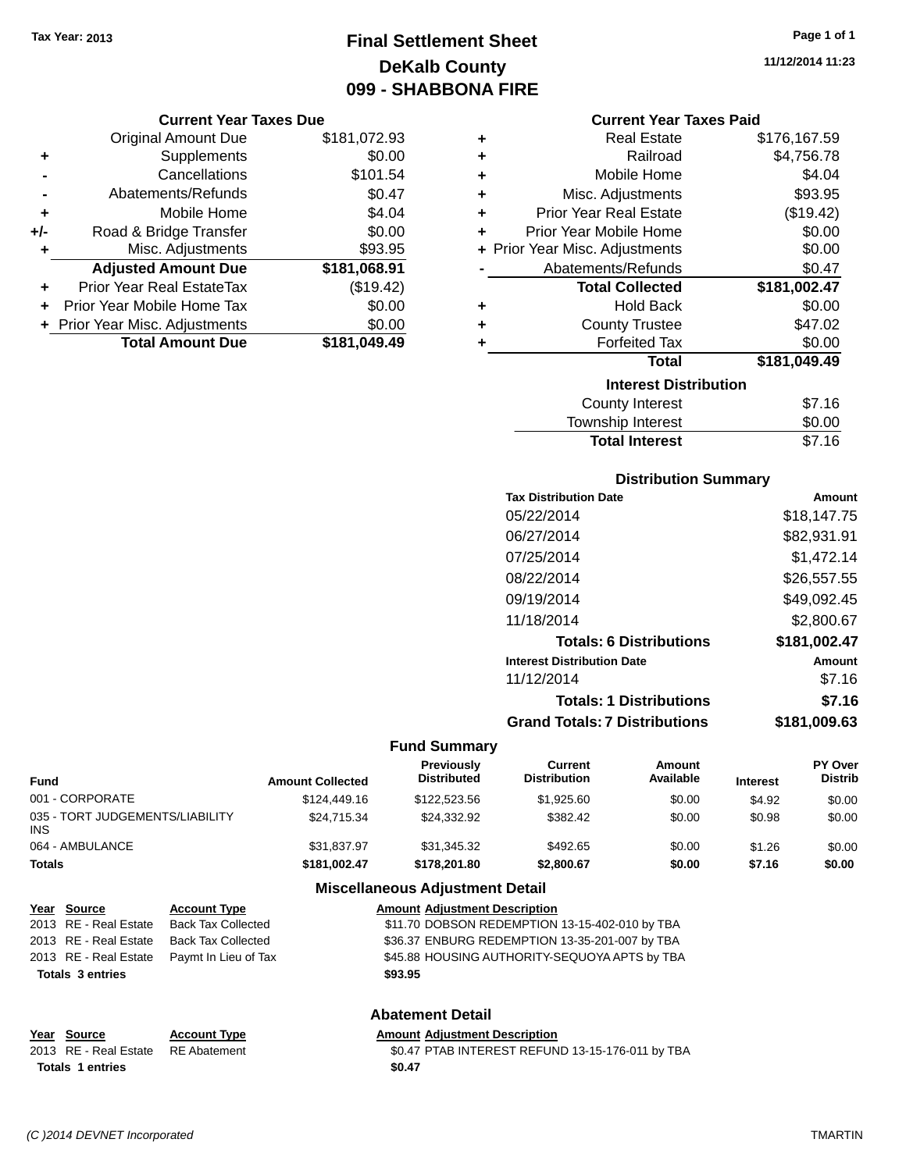# **Final Settlement Sheet Tax Year: 2013 Page 1 of 1 DeKalb County 099 - SHABBONA FIRE**

#### **Current Year Taxes Due**

|     | <b>Original Amount Due</b>       | \$181,072.93 |
|-----|----------------------------------|--------------|
| ٠   | Supplements                      | \$0.00       |
|     | Cancellations                    | \$101.54     |
|     | Abatements/Refunds               | \$0.47       |
| ٠   | Mobile Home                      | \$4.04       |
| +/- | Road & Bridge Transfer           | \$0.00       |
| ٠   | Misc. Adjustments                | \$93.95      |
|     | <b>Adjusted Amount Due</b>       | \$181,068.91 |
|     | <b>Prior Year Real EstateTax</b> | (\$19.42)    |
|     | Prior Year Mobile Home Tax       | \$0.00       |
|     | + Prior Year Misc. Adjustments   | \$0.00       |
|     | <b>Total Amount Due</b>          | \$181,049.49 |

| ٠ | <b>Real Estate</b>             | \$176,167.59 |  |  |  |
|---|--------------------------------|--------------|--|--|--|
| ٠ | Railroad                       | \$4,756.78   |  |  |  |
| ÷ | Mobile Home                    | \$4.04       |  |  |  |
| ٠ | Misc. Adjustments              | \$93.95      |  |  |  |
| ÷ | <b>Prior Year Real Estate</b>  | (\$19.42)    |  |  |  |
| ٠ | Prior Year Mobile Home         |              |  |  |  |
|   | + Prior Year Misc. Adjustments | \$0.00       |  |  |  |
|   | Abatements/Refunds             | \$0.47       |  |  |  |
|   | <b>Total Collected</b>         | \$181,002.47 |  |  |  |
| ٠ | <b>Hold Back</b>               | \$0.00       |  |  |  |
| ٠ | <b>County Trustee</b>          | \$47.02      |  |  |  |
|   |                                |              |  |  |  |
| ٠ | <b>Forfeited Tax</b>           | \$0.00       |  |  |  |
|   | <b>Total</b>                   | \$181,049.49 |  |  |  |
|   | <b>Interest Distribution</b>   |              |  |  |  |
|   | County Interest                | \$7.16       |  |  |  |

| <b>Total Interest</b> | \$7.16 |
|-----------------------|--------|
| Township Interest     | \$0.00 |
| County Interest       | ৬7.16  |

### **Distribution Summary**

| <b>Tax Distribution Date</b>         | Amount       |
|--------------------------------------|--------------|
| 05/22/2014                           | \$18,147.75  |
| 06/27/2014                           | \$82,931.91  |
| 07/25/2014                           | \$1,472.14   |
| 08/22/2014                           | \$26,557.55  |
| 09/19/2014                           | \$49,092.45  |
| 11/18/2014                           | \$2,800.67   |
| <b>Totals: 6 Distributions</b>       | \$181,002.47 |
| <b>Interest Distribution Date</b>    | Amount       |
| 11/12/2014                           | \$7.16       |
| <b>Totals: 1 Distributions</b>       | \$7.16       |
| <b>Grand Totals: 7 Distributions</b> | \$181.009.63 |
|                                      |              |

#### **Fund Summary**

| Fund                                   | <b>Amount Collected</b> | Previously<br><b>Distributed</b> | Current<br><b>Distribution</b> | Amount<br>Available | <b>Interest</b> | <b>PY Over</b><br><b>Distrib</b> |
|----------------------------------------|-------------------------|----------------------------------|--------------------------------|---------------------|-----------------|----------------------------------|
| 001 - CORPORATE                        | \$124,449.16            | \$122,523,56                     | \$1.925.60                     | \$0.00              | \$4.92          | \$0.00                           |
| 035 - TORT JUDGEMENTS/LIABILITY<br>INS | \$24.715.34             | \$24.332.92                      | \$382.42                       | \$0.00              | \$0.98          | \$0.00                           |
| 064 - AMBULANCE                        | \$31,837.97             | \$31,345.32                      | \$492.65                       | \$0.00              | \$1.26          | \$0.00                           |
| Totals                                 | \$181,002.47            | \$178,201.80                     | \$2,800.67                     | \$0.00              | \$7.16          | \$0.00                           |

### **Miscellaneous Adjustment Detail**

|                         | Year Source             | <b>Account Type</b>       | <b>Amount Adjustment Description</b>           |
|-------------------------|-------------------------|---------------------------|------------------------------------------------|
|                         | 2013 RE - Real Estate   | <b>Back Tax Collected</b> | \$11.70 DOBSON REDEMPTION 13-15-402-010 by TBA |
|                         | 2013 RE - Real Estate   | <b>Back Tax Collected</b> | \$36.37 ENBURG REDEMPTION 13-35-201-007 by TBA |
|                         | 2013 RE - Real Estate   | Paymt In Lieu of Tax      | \$45.88 HOUSING AUTHORITY-SEQUOYA APTS by TBA  |
| <b>Totals 3 entries</b> |                         |                           | \$93.95                                        |
|                         | <b>Abatement Detail</b> |                           |                                                |

#### **Year** Source **Account Type Account Type Amount Adjustment Description**

2013 RE - Real Estate RE Abatement \$0.47 PTAB INTEREST REFUND 13-15-176-011 by TBA Totals 1 entries \$0.47

**11/12/2014 11:23**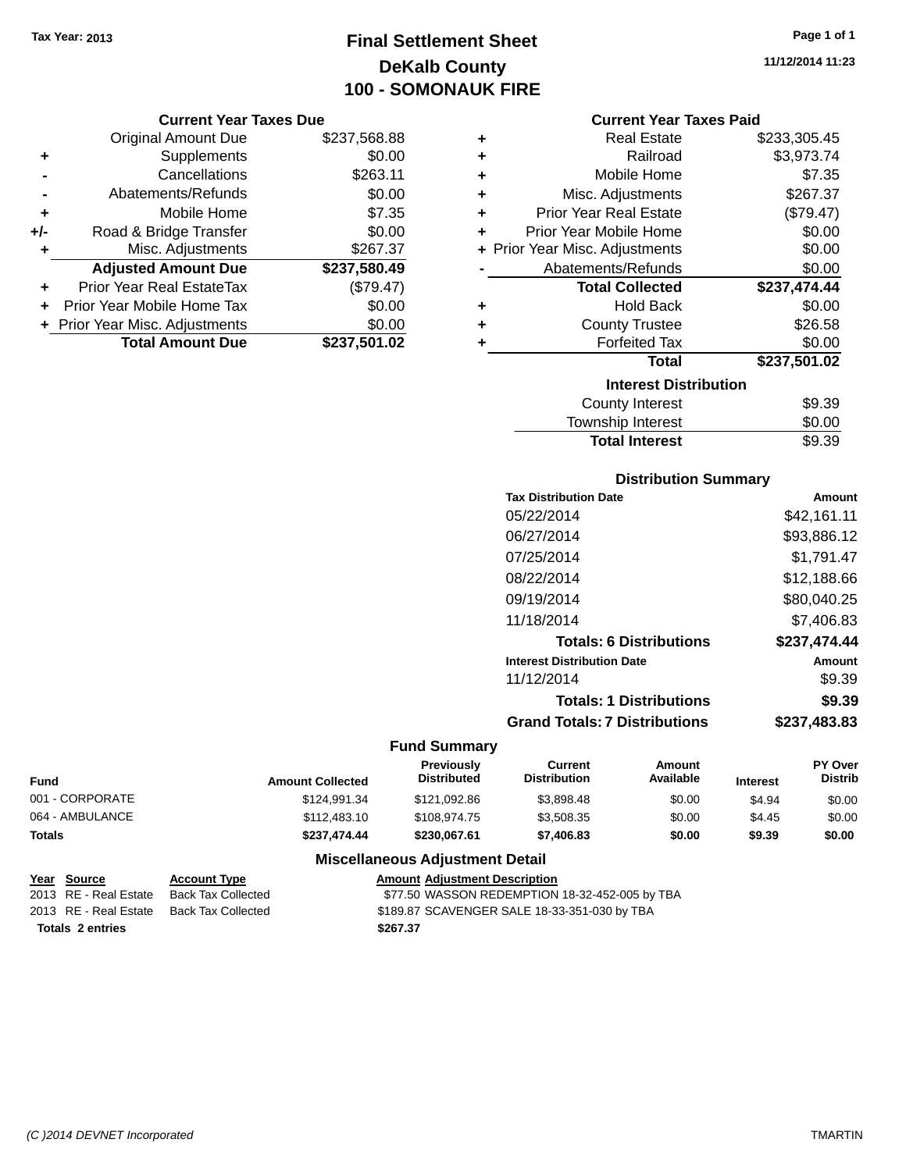### **Final Settlement Sheet Tax Year: 2013 Page 1 of 1 DeKalb County 100 - SOMONAUK FIRE**

#### **Current Year Taxes Due**

|       | <b>Original Amount Due</b>       | \$237,568.88 |
|-------|----------------------------------|--------------|
| ٠     | Supplements                      | \$0.00       |
|       | Cancellations                    | \$263.11     |
|       | Abatements/Refunds               | \$0.00       |
| ٠     | Mobile Home                      | \$7.35       |
| $+/-$ | Road & Bridge Transfer           | \$0.00       |
| ٠     | Misc. Adjustments                | \$267.37     |
|       | <b>Adjusted Amount Due</b>       | \$237,580.49 |
|       | <b>Prior Year Real EstateTax</b> | (\$79.47)    |
|       | Prior Year Mobile Home Tax       | \$0.00       |
|       | + Prior Year Misc. Adjustments   | \$0.00       |
|       | <b>Total Amount Due</b>          | \$237,501.02 |

| ٠ | <b>Real Estate</b>             | \$233,305.45 |
|---|--------------------------------|--------------|
| ÷ | Railroad                       | \$3,973.74   |
| ÷ | Mobile Home                    | \$7.35       |
| ٠ | Misc. Adjustments              | \$267.37     |
| ÷ | <b>Prior Year Real Estate</b>  | (\$79.47)    |
| ٠ | Prior Year Mobile Home         | \$0.00       |
|   | + Prior Year Misc. Adjustments | \$0.00       |
|   | Abatements/Refunds             | \$0.00       |
|   | <b>Total Collected</b>         | \$237,474.44 |
| ٠ | <b>Hold Back</b>               | \$0.00       |
| ÷ | <b>County Trustee</b>          | \$26.58      |
| ٠ | <b>Forfeited Tax</b>           | \$0.00       |
|   | <b>Total</b>                   | \$237,501.02 |
|   | <b>Interest Distribution</b>   |              |
|   |                                |              |
|   | <b>County Interest</b>         | \$9.39       |

### **Distribution Summary**

Total Interest \$9.39

| <b>Tax Distribution Date</b>         | Amount       |
|--------------------------------------|--------------|
| 05/22/2014                           | \$42,161.11  |
| 06/27/2014                           | \$93,886.12  |
| 07/25/2014                           | \$1,791.47   |
| 08/22/2014                           | \$12,188.66  |
| 09/19/2014                           | \$80,040.25  |
| 11/18/2014                           | \$7,406.83   |
| <b>Totals: 6 Distributions</b>       | \$237,474.44 |
| <b>Interest Distribution Date</b>    | Amount       |
| 11/12/2014                           | \$9.39       |
| <b>Totals: 1 Distributions</b>       | \$9.39       |
| <b>Grand Totals: 7 Distributions</b> | \$237,483.83 |

### **Fund Summary**

| <b>Fund</b>     | <b>Amount Collected</b> | <b>Previously</b><br><b>Distributed</b> | Current<br><b>Distribution</b> | Amount<br>Available | <b>Interest</b> | PY Over<br><b>Distrib</b> |
|-----------------|-------------------------|-----------------------------------------|--------------------------------|---------------------|-----------------|---------------------------|
| 001 - CORPORATE | \$124.991.34            | \$121.092.86                            | \$3.898.48                     | \$0.00              | \$4.94          | \$0.00                    |
| 064 - AMBULANCE | \$112,483.10            | \$108,974.75                            | \$3,508.35                     | \$0.00              | \$4.45          | \$0.00                    |
| <b>Totals</b>   | \$237.474.44            | \$230,067.61                            | \$7,406.83                     | \$0.00              | \$9.39          | \$0.00                    |

### **Miscellaneous Adjustment Detail**

| Year Source             | <b>Account Type</b> | <b>Amount Adjustment Description</b>           |
|-------------------------|---------------------|------------------------------------------------|
| 2013 RE - Real Estate   | Back Tax Collected  | \$77.50 WASSON REDEMPTION 18-32-452-005 by TBA |
| 2013 RE - Real Estate   | Back Tax Collected  | \$189.87 SCAVENGER SALE 18-33-351-030 by TBA   |
| <b>Totals 2 entries</b> |                     | \$267.37                                       |

**11/12/2014 11:23**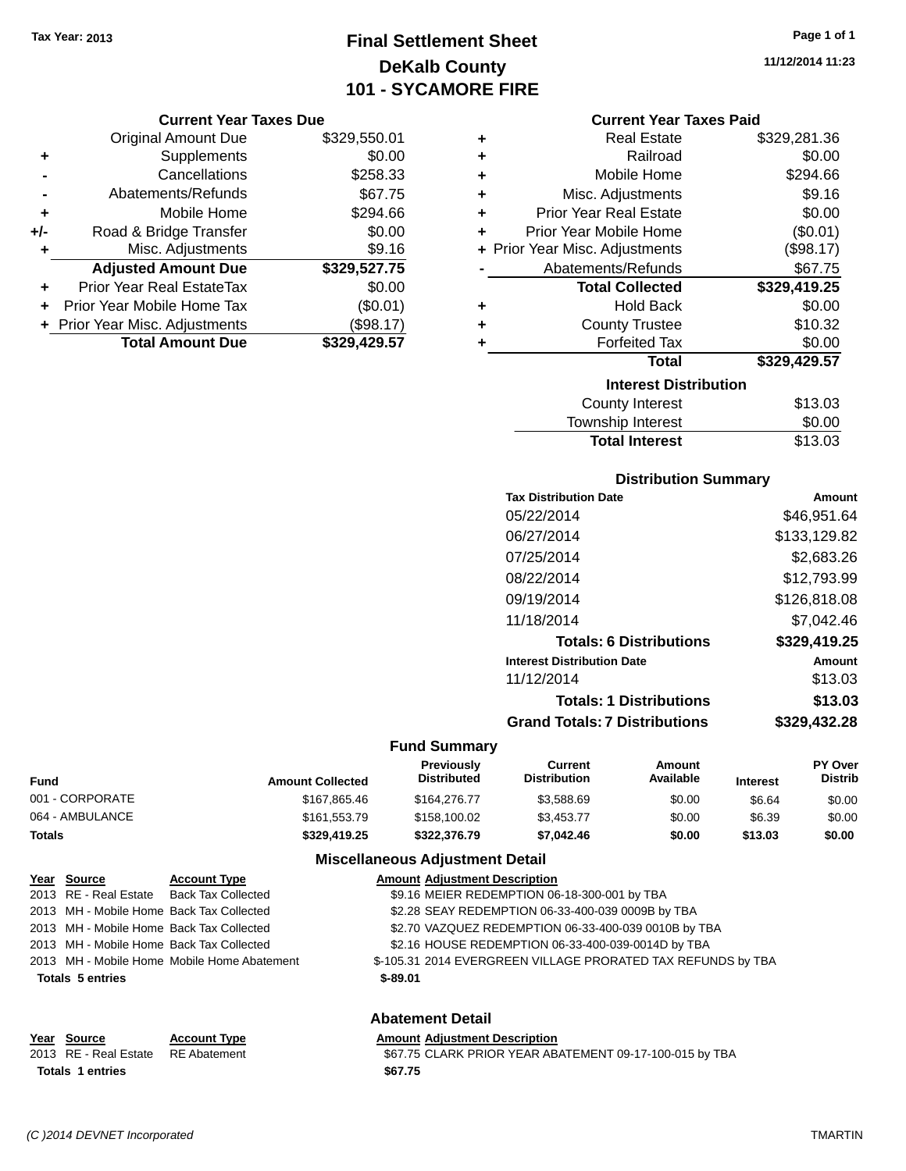### **Final Settlement Sheet Tax Year: 2013 Page 1 of 1 DeKalb County 101 - SYCAMORE FIRE**

#### **Current Year Taxes Due**

|       | <b>Original Amount Due</b>       | \$329,550.01 |
|-------|----------------------------------|--------------|
| ٠     | Supplements                      | \$0.00       |
|       | Cancellations                    | \$258.33     |
|       | Abatements/Refunds               | \$67.75      |
| ٠     | Mobile Home                      | \$294.66     |
| $+/-$ | Road & Bridge Transfer           | \$0.00       |
| ٠     | Misc. Adjustments                | \$9.16       |
|       | <b>Adjusted Amount Due</b>       | \$329,527.75 |
|       | <b>Prior Year Real EstateTax</b> | \$0.00       |
|       | Prior Year Mobile Home Tax       | (\$0.01)     |
|       | + Prior Year Misc. Adjustments   | \$98.17      |
|       | <b>Total Amount Due</b>          | \$329,429.57 |

| ٠ | <b>Real Estate</b>             | \$329,281.36 |
|---|--------------------------------|--------------|
| ٠ | Railroad                       | \$0.00       |
| ٠ | Mobile Home                    | \$294.66     |
| ٠ | Misc. Adjustments              | \$9.16       |
| ٠ | <b>Prior Year Real Estate</b>  | \$0.00       |
| ٠ | Prior Year Mobile Home         | (\$0.01)     |
|   | + Prior Year Misc. Adjustments | (\$98.17)    |
|   | Abatements/Refunds             | \$67.75      |
|   | <b>Total Collected</b>         | \$329,419.25 |
| ٠ | <b>Hold Back</b>               | \$0.00       |
| ٠ | <b>County Trustee</b>          | \$10.32      |
| ٠ | <b>Forfeited Tax</b>           | \$0.00       |
|   | <b>Total</b>                   | \$329,429.57 |
|   | <b>Interest Distribution</b>   |              |
|   | <b>County Interest</b>         | \$13.03      |
|   | Townshin Interest              | ደ0 00        |

| <b>Total Interest</b> | \$13.03 |
|-----------------------|---------|
| Township Interest     | \$0.00  |
| County Interest       | \$13.03 |

### **Distribution Summary**

| <b>Tax Distribution Date</b>         | Amount       |
|--------------------------------------|--------------|
| 05/22/2014                           | \$46.951.64  |
| 06/27/2014                           | \$133,129.82 |
| 07/25/2014                           | \$2,683,26   |
| 08/22/2014                           | \$12,793.99  |
| 09/19/2014                           | \$126,818,08 |
| 11/18/2014                           | \$7.042.46   |
| <b>Totals: 6 Distributions</b>       | \$329,419.25 |
| <b>Interest Distribution Date</b>    | Amount       |
| 11/12/2014                           | \$13.03      |
| <b>Totals: 1 Distributions</b>       | \$13.03      |
| <b>Grand Totals: 7 Distributions</b> | \$329,432.28 |

#### **Fund Summary**

| <b>Fund</b>     | <b>Amount Collected</b> | <b>Previously</b><br><b>Distributed</b> | Current<br><b>Distribution</b> | Amount<br>Available | <b>Interest</b> | <b>PY Over</b><br><b>Distrib</b> |
|-----------------|-------------------------|-----------------------------------------|--------------------------------|---------------------|-----------------|----------------------------------|
| 001 - CORPORATE | \$167,865.46            | \$164,276,77                            | \$3.588.69                     | \$0.00              | \$6.64          | \$0.00                           |
| 064 - AMBULANCE | \$161,553.79            | \$158,100.02                            | \$3.453.77                     | \$0.00              | \$6.39          | \$0.00                           |
| Totals          | \$329,419.25            | \$322,376.79                            | \$7,042.46                     | \$0.00              | \$13.03         | \$0.00                           |

### **Miscellaneous Adjustment Detail**

| Year Source             | <b>Account Type</b>                         | <b>Amount Adjustment Description</b>                         |
|-------------------------|---------------------------------------------|--------------------------------------------------------------|
|                         | 2013 RE - Real Estate Back Tax Collected    | \$9.16 MEIER REDEMPTION 06-18-300-001 by TBA                 |
|                         | 2013 MH - Mobile Home Back Tax Collected    | \$2.28 SEAY REDEMPTION 06-33-400-039 0009B by TBA            |
|                         | 2013 MH - Mobile Home Back Tax Collected    | \$2.70 VAZQUEZ REDEMPTION 06-33-400-039 0010B by TBA         |
|                         | 2013 MH - Mobile Home Back Tax Collected    | \$2.16 HOUSE REDEMPTION 06-33-400-039-0014D by TBA           |
|                         | 2013 MH - Mobile Home Mobile Home Abatement | \$-105.31 2014 EVERGREEN VILLAGE PRORATED TAX REFUNDS by TBA |
| <b>Totals 5 entries</b> |                                             | $$-89.01$                                                    |
|                         |                                             |                                                              |
|                         |                                             | .                                                            |

#### **Abatement Detail**

#### **Year Source Account Type Amount Adjustment Description** 2013 RE - Real Estate RE Abatement \$67.75 CLARK PRIOR YEAR ABATEMENT 09-17-100-015 by TBA **Totals \$67.75 1 entries**

*(C )2014 DEVNET Incorporated* TMARTIN

**11/12/2014 11:23**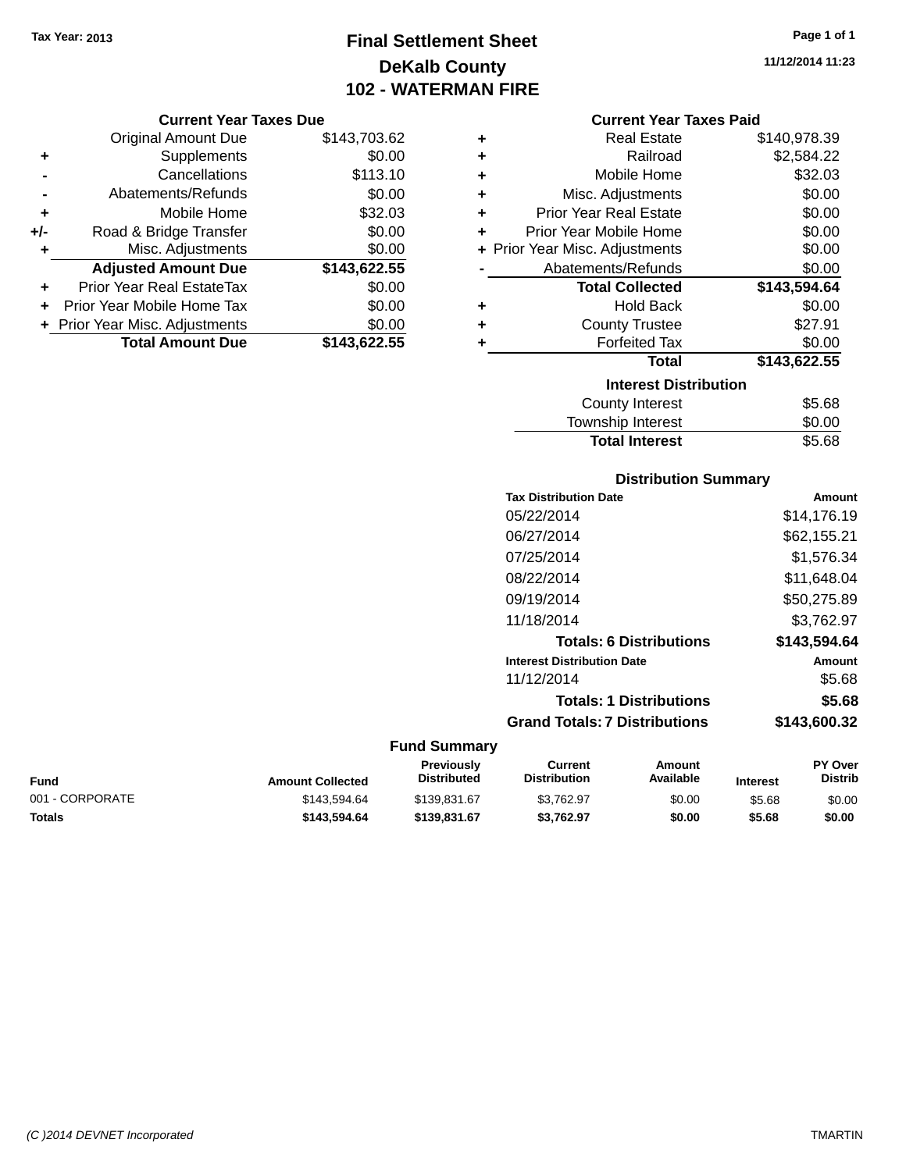**Current Year Taxes Due** Original Amount Due \$143,703.62

**Adjusted Amount Due \$143,622.55**

**Total Amount Due \$143,622.55**

**+** Supplements \$0.00 **-** Cancellations \$113.10 **-** Abatements/Refunds \$0.00 **+** Mobile Home \$32.03 **+/-** Road & Bridge Transfer \$0.00<br> **+** Misc. Adjustments \$0.00

**+** Prior Year Real EstateTax \$0.00 **+** Prior Year Mobile Home Tax \$0.00 **+ Prior Year Misc. Adjustments**  $$0.00$ 

**+** Misc. Adjustments

### **Final Settlement Sheet Tax Year: 2013 Page 1 of 1 DeKalb County 102 - WATERMAN FIRE**

**11/12/2014 11:23**

|   | <b>Current Year Taxes Paid</b> |              |  |  |  |  |
|---|--------------------------------|--------------|--|--|--|--|
| ٠ | Real Estate                    | \$140,978.39 |  |  |  |  |
| ÷ | Railroad                       | \$2,584.22   |  |  |  |  |
| ÷ | Mobile Home                    | \$32.03      |  |  |  |  |
| ÷ | Misc. Adjustments              | \$0.00       |  |  |  |  |
| ÷ | <b>Prior Year Real Estate</b>  | \$0.00       |  |  |  |  |
| ٠ | Prior Year Mobile Home         | \$0.00       |  |  |  |  |
|   | + Prior Year Misc. Adjustments | \$0.00       |  |  |  |  |
|   | Abatements/Refunds             | \$0.00       |  |  |  |  |
|   | <b>Total Collected</b>         | \$143,594.64 |  |  |  |  |
| ٠ | <b>Hold Back</b>               | \$0.00       |  |  |  |  |
| ٠ | <b>County Trustee</b>          | \$27.91      |  |  |  |  |
| ٠ | <b>Forfeited Tax</b>           | \$0.00       |  |  |  |  |
|   | Total                          | \$143,622.55 |  |  |  |  |
|   | <b>Interest Distribution</b>   |              |  |  |  |  |
|   | <b>County Interest</b>         | \$5.68       |  |  |  |  |
|   | <b>Township Interest</b>       | \$0.00       |  |  |  |  |

### **Distribution Summary**

**Total Interest** \$5.68

| <b>Tax Distribution Date</b>         | Amount       |
|--------------------------------------|--------------|
| 05/22/2014                           | \$14.176.19  |
| 06/27/2014                           | \$62,155.21  |
| 07/25/2014                           | \$1,576.34   |
| 08/22/2014                           | \$11,648.04  |
| 09/19/2014                           | \$50,275.89  |
| 11/18/2014                           | \$3,762.97   |
| <b>Totals: 6 Distributions</b>       | \$143.594.64 |
| <b>Interest Distribution Date</b>    | Amount       |
| 11/12/2014                           | \$5.68       |
| <b>Totals: 1 Distributions</b>       | \$5.68       |
| <b>Grand Totals: 7 Distributions</b> | \$143,600.32 |
|                                      |              |

| Fund            | <b>Amount Collected</b> | Previously<br><b>Distributed</b> | Current<br>Distribution | Amount<br>Available | <b>Interest</b> | <b>PY Over</b><br><b>Distrib</b> |
|-----------------|-------------------------|----------------------------------|-------------------------|---------------------|-----------------|----------------------------------|
| 001 - CORPORATE | \$143.594.64            | \$139,831,67                     | \$3.762.97              | \$0.00              | \$5.68          | \$0.00                           |
| Totals          | \$143.594.64            | \$139,831.67                     | \$3.762.97              | \$0.00              | \$5.68          | \$0.00                           |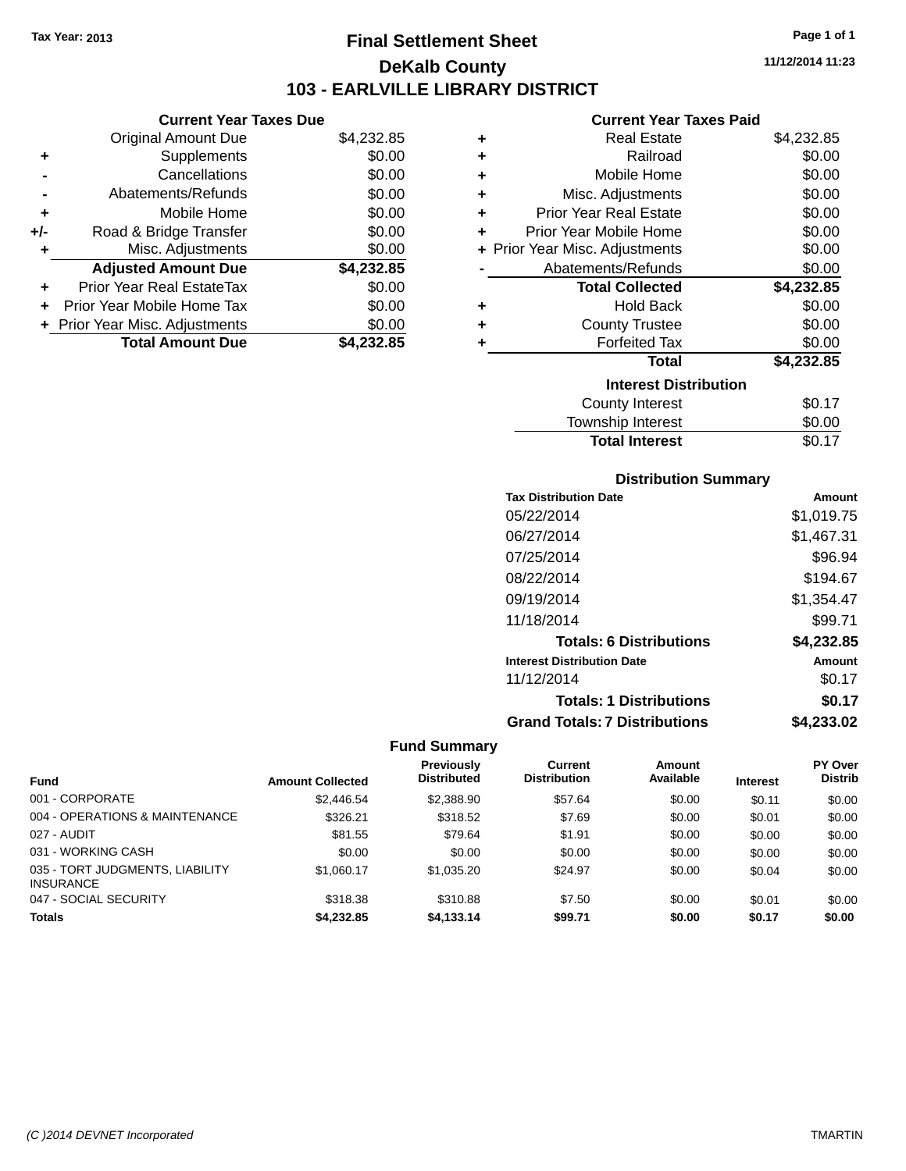### **Final Settlement Sheet Tax Year: 2013 Page 1 of 1 DeKalb County 103 - EARLVILLE LIBRARY DISTRICT**

**11/12/2014 11:23**

### **Current Year Taxes Paid**

| <b>Current Year Taxes Due</b>  |            |  |  |  |  |
|--------------------------------|------------|--|--|--|--|
| <b>Original Amount Due</b>     | \$4,232.85 |  |  |  |  |
| Supplements                    | \$0.00     |  |  |  |  |
| Cancellations                  | \$0.00     |  |  |  |  |
| Abatements/Refunds             | \$0.00     |  |  |  |  |
| Mobile Home                    | \$0.00     |  |  |  |  |
| Road & Bridge Transfer         | \$0.00     |  |  |  |  |
| Misc. Adjustments              | \$0.00     |  |  |  |  |
| <b>Adjusted Amount Due</b>     | \$4,232.85 |  |  |  |  |
| Prior Year Real EstateTax      | \$0.00     |  |  |  |  |
| Prior Year Mobile Home Tax     | \$0.00     |  |  |  |  |
|                                |            |  |  |  |  |
| + Prior Year Misc. Adjustments | \$0.00     |  |  |  |  |
|                                |            |  |  |  |  |

| ٠ | <b>Real Estate</b>             | \$4,232.85 |
|---|--------------------------------|------------|
| ٠ | Railroad                       | \$0.00     |
| ٠ | Mobile Home                    | \$0.00     |
| ٠ | Misc. Adjustments              | \$0.00     |
| ٠ | <b>Prior Year Real Estate</b>  | \$0.00     |
| ÷ | Prior Year Mobile Home         | \$0.00     |
|   | + Prior Year Misc. Adjustments | \$0.00     |
|   | Abatements/Refunds             | \$0.00     |
|   | <b>Total Collected</b>         | \$4,232.85 |
| ٠ | <b>Hold Back</b>               | \$0.00     |
| ٠ | <b>County Trustee</b>          | \$0.00     |
| ٠ | <b>Forfeited Tax</b>           | \$0.00     |
|   | Total                          | \$4,232.85 |
|   | <b>Interest Distribution</b>   |            |
|   | County Interest                | \$0.17     |
|   | Township Interest              | \$0.00     |
|   | <b>Total Interest</b>          | \$0.17     |

| <b>Distribution Summary</b> |  |
|-----------------------------|--|
|-----------------------------|--|

| <b>Tax Distribution Date</b>         | Amount     |
|--------------------------------------|------------|
| 05/22/2014                           | \$1,019.75 |
| 06/27/2014                           | \$1,467.31 |
| 07/25/2014                           | \$96.94    |
| 08/22/2014                           | \$194.67   |
| 09/19/2014                           | \$1,354.47 |
| 11/18/2014                           | \$99.71    |
| <b>Totals: 6 Distributions</b>       | \$4,232.85 |
| <b>Interest Distribution Date</b>    | Amount     |
| 11/12/2014                           | \$0.17     |
| <b>Totals: 1 Distributions</b>       | \$0.17     |
| <b>Grand Totals: 7 Distributions</b> | \$4,233.02 |

| Fund                                                | <b>Amount Collected</b> | <b>Previously</b><br><b>Distributed</b> | Current<br><b>Distribution</b> | Amount<br>Available | <b>Interest</b> | <b>PY Over</b><br><b>Distrib</b> |
|-----------------------------------------------------|-------------------------|-----------------------------------------|--------------------------------|---------------------|-----------------|----------------------------------|
|                                                     |                         |                                         |                                |                     |                 |                                  |
| 001 - CORPORATE                                     | \$2,446.54              | \$2,388.90                              | \$57.64                        | \$0.00              | \$0.11          | \$0.00                           |
| 004 - OPERATIONS & MAINTENANCE                      | \$326.21                | \$318.52                                | \$7.69                         | \$0.00              | \$0.01          | \$0.00                           |
| 027 - AUDIT                                         | \$81.55                 | \$79.64                                 | \$1.91                         | \$0.00              | \$0.00          | \$0.00                           |
| 031 - WORKING CASH                                  | \$0.00                  | \$0.00                                  | \$0.00                         | \$0.00              | \$0.00          | \$0.00                           |
| 035 - TORT JUDGMENTS, LIABILITY<br><b>INSURANCE</b> | \$1,060.17              | \$1.035.20                              | \$24.97                        | \$0.00              | \$0.04          | \$0.00                           |
| 047 - SOCIAL SECURITY                               | \$318.38                | \$310.88                                | \$7.50                         | \$0.00              | \$0.01          | \$0.00                           |
| <b>Totals</b>                                       | \$4,232.85              | \$4.133.14                              | \$99.71                        | \$0.00              | \$0.17          | \$0.00                           |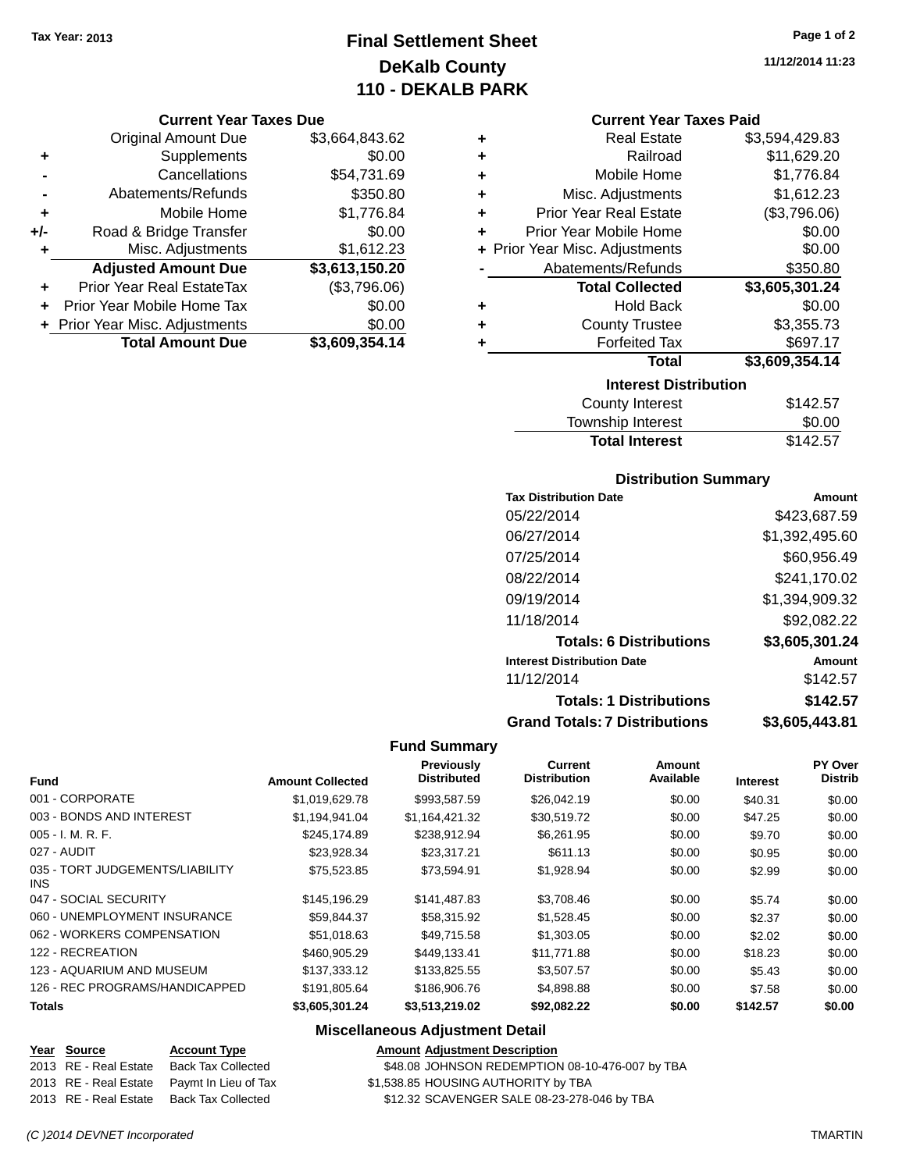### **Final Settlement Sheet Tax Year: 2013 Page 1 of 2 DeKalb County 110 - DEKALB PARK**

#### **Current Year Taxes Due**

|       | <b>Original Amount Due</b>       | \$3,664,843.62 |
|-------|----------------------------------|----------------|
| ٠     | Supplements                      | \$0.00         |
|       | Cancellations                    | \$54,731.69    |
|       | Abatements/Refunds               | \$350.80       |
| ٠     | Mobile Home                      | \$1,776.84     |
| $+/-$ | Road & Bridge Transfer           | \$0.00         |
| ٠     | Misc. Adjustments                | \$1,612.23     |
|       | <b>Adjusted Amount Due</b>       | \$3,613,150.20 |
| ÷     | <b>Prior Year Real EstateTax</b> | (\$3,796.06)   |
|       | Prior Year Mobile Home Tax       | \$0.00         |
|       | + Prior Year Misc. Adjustments   | \$0.00         |
|       | <b>Total Amount Due</b>          | \$3,609,354.14 |

#### **Current Year Taxes Paid**

| ٠ | <b>Real Estate</b>             | \$3,594,429.83 |  |  |  |  |
|---|--------------------------------|----------------|--|--|--|--|
| ٠ | Railroad                       | \$11,629.20    |  |  |  |  |
| ٠ | Mobile Home                    | \$1,776.84     |  |  |  |  |
| ٠ | Misc. Adjustments              | \$1,612.23     |  |  |  |  |
| ٠ | <b>Prior Year Real Estate</b>  | (\$3,796.06)   |  |  |  |  |
| ٠ | Prior Year Mobile Home         | \$0.00         |  |  |  |  |
|   | + Prior Year Misc. Adjustments | \$0.00         |  |  |  |  |
|   | Abatements/Refunds             | \$350.80       |  |  |  |  |
|   | <b>Total Collected</b>         | \$3,605,301.24 |  |  |  |  |
| ٠ | <b>Hold Back</b>               | \$0.00         |  |  |  |  |
| ٠ | <b>County Trustee</b>          | \$3,355.73     |  |  |  |  |
| ٠ | <b>Forfeited Tax</b>           | \$697.17       |  |  |  |  |
|   | Total                          | \$3,609,354.14 |  |  |  |  |
|   | <b>Interest Distribution</b>   |                |  |  |  |  |
|   | 0.110E<br>County Internat      |                |  |  |  |  |

| County Interest       | \$142.57 |
|-----------------------|----------|
| Township Interest     | \$0.00   |
| <b>Total Interest</b> | \$142.57 |

### **Distribution Summary**

| <b>Tax Distribution Date</b>         | Amount         |
|--------------------------------------|----------------|
| 05/22/2014                           | \$423,687.59   |
| 06/27/2014                           | \$1,392,495.60 |
| 07/25/2014                           | \$60,956.49    |
| 08/22/2014                           | \$241,170.02   |
| 09/19/2014                           | \$1,394,909.32 |
| 11/18/2014                           | \$92,082.22    |
| <b>Totals: 6 Distributions</b>       | \$3,605,301.24 |
| <b>Interest Distribution Date</b>    | Amount         |
| 11/12/2014                           | \$142.57       |
| <b>Totals: 1 Distributions</b>       | \$142.57       |
| <b>Grand Totals: 7 Distributions</b> | \$3,605,443.81 |

#### **Fund Summary**

|                                         |                         | Previously         | Current             | <b>Amount</b> |                 | PY Over        |
|-----------------------------------------|-------------------------|--------------------|---------------------|---------------|-----------------|----------------|
| <b>Fund</b>                             | <b>Amount Collected</b> | <b>Distributed</b> | <b>Distribution</b> | Available     | <b>Interest</b> | <b>Distrib</b> |
| 001 - CORPORATE                         | \$1,019,629.78          | \$993,587.59       | \$26,042.19         | \$0.00        | \$40.31         | \$0.00         |
| 003 - BONDS AND INTEREST                | \$1,194,941.04          | \$1,164,421.32     | \$30,519.72         | \$0.00        | \$47.25         | \$0.00         |
| $005 - I. M. R. F.$                     | \$245,174.89            | \$238.912.94       | \$6,261.95          | \$0.00        | \$9.70          | \$0.00         |
| 027 - AUDIT                             | \$23,928.34             | \$23,317.21        | \$611.13            | \$0.00        | \$0.95          | \$0.00         |
| 035 - TORT JUDGEMENTS/LIABILITY<br>INS. | \$75.523.85             | \$73.594.91        | \$1,928.94          | \$0.00        | \$2.99          | \$0.00         |
| 047 - SOCIAL SECURITY                   | \$145,196.29            | \$141,487.83       | \$3,708.46          | \$0.00        | \$5.74          | \$0.00         |
| 060 - UNEMPLOYMENT INSURANCE            | \$59.844.37             | \$58,315.92        | \$1,528.45          | \$0.00        | \$2.37          | \$0.00         |
| 062 - WORKERS COMPENSATION              | \$51,018.63             | \$49,715.58        | \$1,303.05          | \$0.00        | \$2.02          | \$0.00         |
| 122 - RECREATION                        | \$460,905.29            | \$449.133.41       | \$11.771.88         | \$0.00        | \$18.23         | \$0.00         |
| 123 - AQUARIUM AND MUSEUM               | \$137,333.12            | \$133,825.55       | \$3,507.57          | \$0.00        | \$5.43          | \$0.00         |
| 126 - REC PROGRAMS/HANDICAPPED          | \$191,805.64            | \$186,906.76       | \$4,898.88          | \$0.00        | \$7.58          | \$0.00         |
| <b>Totals</b>                           | \$3,605,301.24          | \$3,513,219.02     | \$92,082.22         | \$0.00        | \$142.57        | \$0.00         |

### **Miscellaneous Adjustment Detail**

## **Year Source Account Type Amount Adjustment Description**

\$48.08 JOHNSON REDEMPTION 08-10-476-007 by TBA

- 2013 RE Real Estate Paymt In Lieu of Tax \$1,538.85 HOUSING AUTHORITY by TBA
- 2013 RE Real Estate Back Tax Collected \$12.32 SCAVENGER SALE 08-23-278-046 by TBA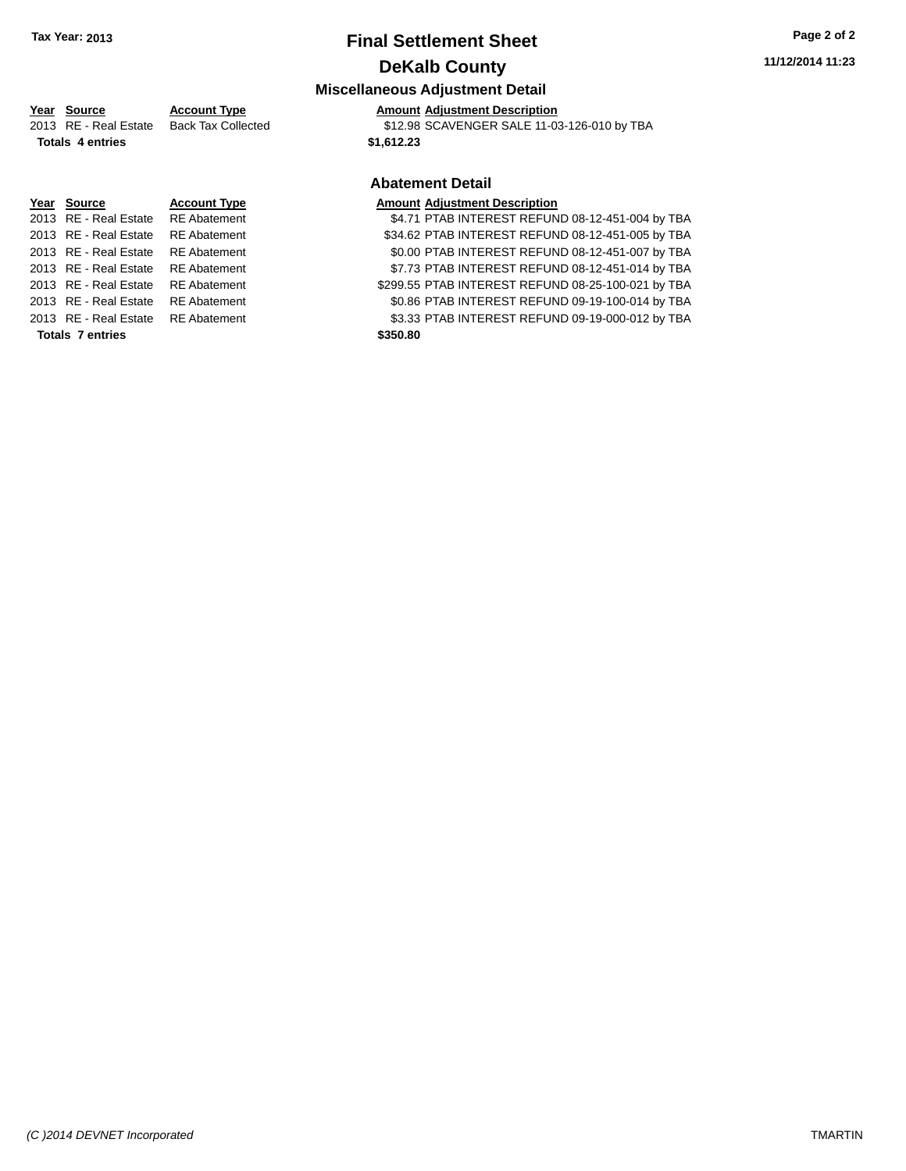**Totals 7 entries** 

### **Final Settlement Sheet Tax Year: 2013 Page 2 of 2 DeKalb County**

### **Miscellaneous Adjustment Detail**

### **Year Source Account Type Amount Adjustment Description**

| TUUT OVUTUU      | AGAANII IYAA                             | AND MILL AGNOSING IN DESCRIPTION            |
|------------------|------------------------------------------|---------------------------------------------|
|                  | 2013 RE - Real Estate Back Tax Collected | \$12.98 SCAVENGER SALE 11-03-126-010 by TBA |
| Totale 4 ontrios |                                          | \$1,612.23                                  |

### **Abatement Detail**

| <b>Totals 7 entries</b>            | \$350.80                                           |
|------------------------------------|----------------------------------------------------|
| 2013 RE - Real Estate RE Abatement | \$3.33 PTAB INTEREST REFUND 09-19-000-012 by TBA   |
| 2013 RE - Real Estate RE Abatement | \$0.86 PTAB INTEREST REFUND 09-19-100-014 by TBA   |
| 2013 RE - Real Estate RE Abatement | \$299.55 PTAB INTEREST REFUND 08-25-100-021 by TBA |
| 2013 RE - Real Estate RE Abatement | \$7.73 PTAB INTEREST REFUND 08-12-451-014 by TBA   |
| 2013 RE - Real Estate RE Abatement | \$0.00 PTAB INTEREST REFUND 08-12-451-007 by TBA   |
| 2013 RE - Real Estate RE Abatement | \$34.62 PTAB INTEREST REFUND 08-12-451-005 by TBA  |
| 2013 RE - Real Estate RE Abatement | \$4.71 PTAB INTEREST REFUND 08-12-451-004 by TBA   |
|                                    |                                                    |

| 2013 RE-Real Estate Back Tax Collected<br><b>Totals 4 entries</b> |                                    |                     | SIZ.98 SUAVENGER SALE II-U<br>\$1,612.23 |  |  |
|-------------------------------------------------------------------|------------------------------------|---------------------|------------------------------------------|--|--|
|                                                                   |                                    |                     | <b>Abatement Detail</b>                  |  |  |
|                                                                   | Year Source                        | <b>Account Type</b> | <b>Amount Adjustment Description</b>     |  |  |
|                                                                   | 2013 RE - Real Estate RE Abatement |                     | \$4.71 PTAB INTEREST REFUN               |  |  |
|                                                                   | 2013 RE - Real Estate              | RE Abatement        | \$34.62 PTAB INTEREST REFUN              |  |  |
|                                                                   | 2013 RE - Real Estate              | <b>RE</b> Abatement | \$0.00 PTAB INTEREST REFUN               |  |  |
|                                                                   | 2013 RE - Real Estate RE Abatement |                     | \$7.73 PTAB INTEREST REFUN               |  |  |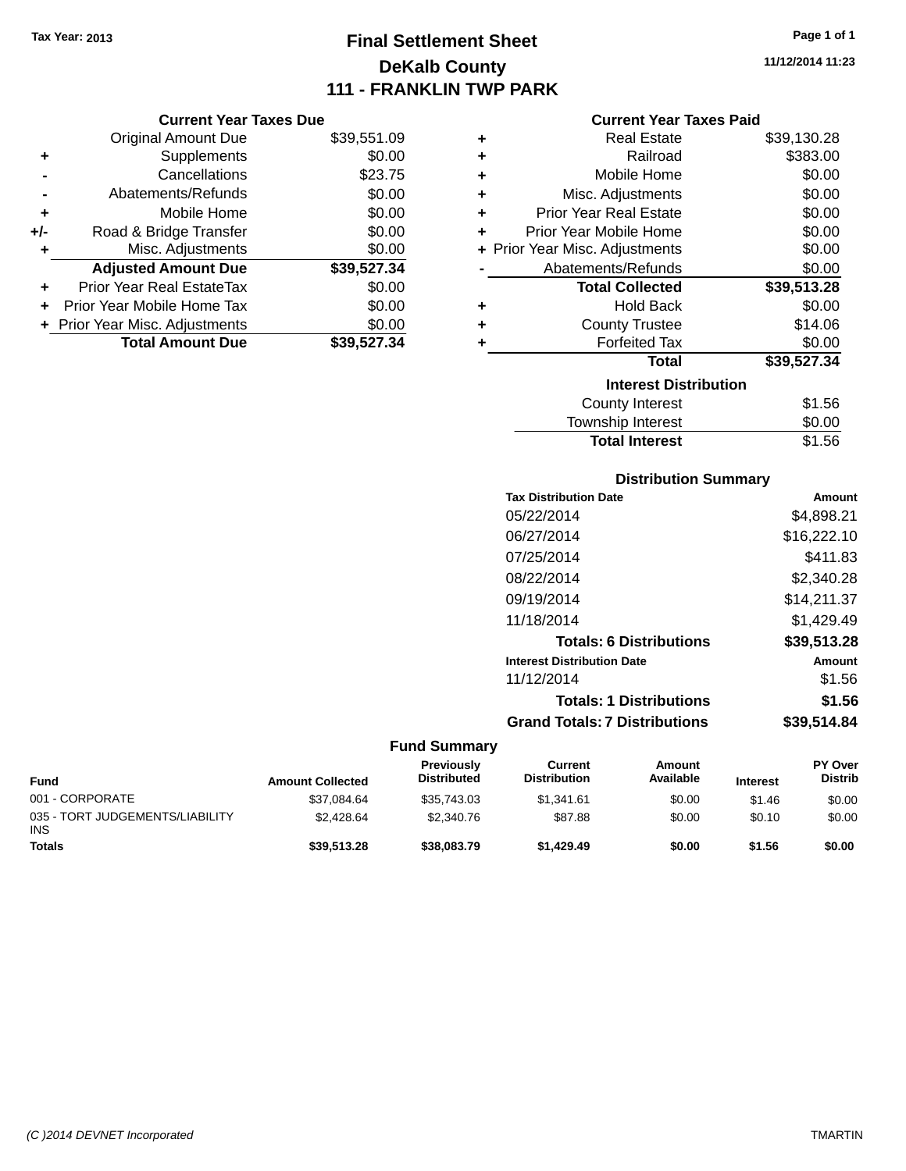### **Final Settlement Sheet Tax Year: 2013 Page 1 of 1 DeKalb County 111 - FRANKLIN TWP PARK**

**11/12/2014 11:23**

#### **Current Year Taxes Paid**

|     | <b>Current Year Taxes Due</b>  |             |
|-----|--------------------------------|-------------|
|     | <b>Original Amount Due</b>     | \$39,551.09 |
| ٠   | Supplements                    | \$0.00      |
|     | Cancellations                  | \$23.75     |
|     | Abatements/Refunds             | \$0.00      |
| ٠   | Mobile Home                    | \$0.00      |
| +/- | Road & Bridge Transfer         | \$0.00      |
| ٠   | Misc. Adjustments              | \$0.00      |
|     | <b>Adjusted Amount Due</b>     | \$39,527.34 |
| ٠   | Prior Year Real EstateTax      | \$0.00      |
|     | Prior Year Mobile Home Tax     | \$0.00      |
|     | + Prior Year Misc. Adjustments | \$0.00      |
|     | <b>Total Amount Due</b>        | \$39.527.34 |

| ٠ | Real Estate                    | \$39,130.28 |
|---|--------------------------------|-------------|
| ٠ | Railroad                       | \$383.00    |
| ٠ | Mobile Home                    | \$0.00      |
| ٠ | Misc. Adjustments              | \$0.00      |
| ٠ | <b>Prior Year Real Estate</b>  | \$0.00      |
| ٠ | Prior Year Mobile Home         | \$0.00      |
|   | + Prior Year Misc. Adjustments | \$0.00      |
|   | Abatements/Refunds             | \$0.00      |
|   | <b>Total Collected</b>         | \$39,513.28 |
| ٠ | <b>Hold Back</b>               | \$0.00      |
| ٠ | <b>County Trustee</b>          | \$14.06     |
| ٠ | <b>Forfeited Tax</b>           | \$0.00      |
|   | <b>Total</b>                   | \$39,527.34 |
|   | <b>Interest Distribution</b>   |             |
|   | <b>County Interest</b>         | \$1.56      |
|   | <b>Township Interest</b>       | \$0.00      |
|   | <b>Total Interest</b>          | \$1.56      |

### **Distribution Summary**

| <b>Tax Distribution Date</b>         | Amount      |
|--------------------------------------|-------------|
| 05/22/2014                           | \$4,898.21  |
| 06/27/2014                           | \$16,222.10 |
| 07/25/2014                           | \$411.83    |
| 08/22/2014                           | \$2.340.28  |
| 09/19/2014                           | \$14,211.37 |
| 11/18/2014                           | \$1,429.49  |
| <b>Totals: 6 Distributions</b>       | \$39,513.28 |
| <b>Interest Distribution Date</b>    | Amount      |
| 11/12/2014                           | \$1.56      |
| <b>Totals: 1 Distributions</b>       | \$1.56      |
| <b>Grand Totals: 7 Distributions</b> | \$39.514.84 |
|                                      |             |

| <b>Fund</b>                                   | <b>Amount Collected</b> | <b>Previously</b><br><b>Distributed</b> | Current<br><b>Distribution</b> | Amount<br>Available | <b>Interest</b> | <b>PY Over</b><br><b>Distrib</b> |
|-----------------------------------------------|-------------------------|-----------------------------------------|--------------------------------|---------------------|-----------------|----------------------------------|
| 001 - CORPORATE                               | \$37,084.64             | \$35,743.03                             | \$1.341.61                     | \$0.00              | \$1.46          | \$0.00                           |
| 035 - TORT JUDGEMENTS/LIABILITY<br><b>INS</b> | \$2,428.64              | \$2,340.76                              | \$87.88                        | \$0.00              | \$0.10          | \$0.00                           |
| <b>Totals</b>                                 | \$39,513.28             | \$38,083,79                             | \$1,429.49                     | \$0.00              | \$1.56          | \$0.00                           |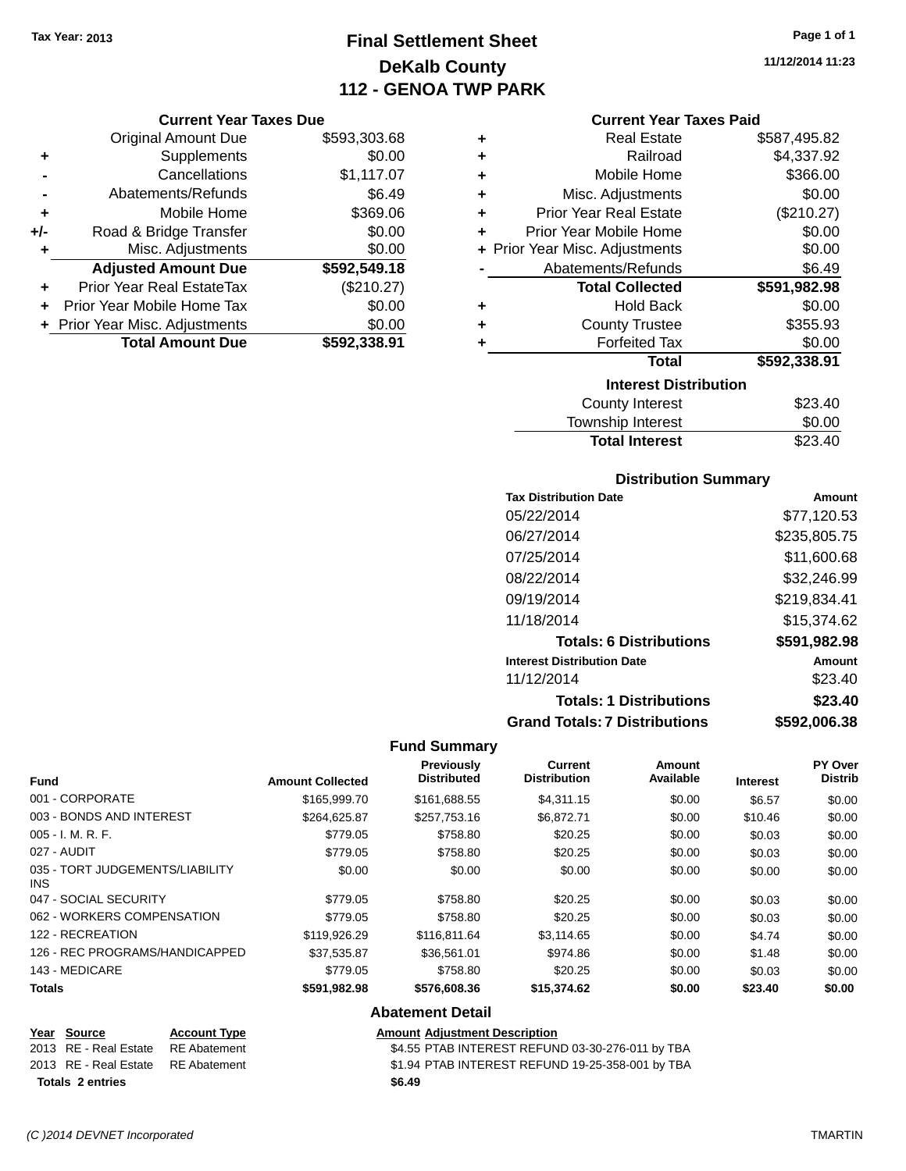### **Final Settlement Sheet Tax Year: 2013 Page 1 of 1 DeKalb County 112 - GENOA TWP PARK**

**11/12/2014 11:23**

#### **Current Year Taxes Due**

|       | <b>Original Amount Due</b>       | \$593,303.68 |
|-------|----------------------------------|--------------|
| ٠     | Supplements                      | \$0.00       |
|       | Cancellations                    | \$1,117.07   |
|       | Abatements/Refunds               | \$6.49       |
| ٠     | Mobile Home                      | \$369.06     |
| $+/-$ | Road & Bridge Transfer           | \$0.00       |
| ٠     | Misc. Adjustments                | \$0.00       |
|       | <b>Adjusted Amount Due</b>       | \$592,549.18 |
|       | <b>Prior Year Real EstateTax</b> | (\$210.27)   |
|       | Prior Year Mobile Home Tax       | \$0.00       |
|       | + Prior Year Misc. Adjustments   | \$0.00       |
|       | <b>Total Amount Due</b>          | \$592.338.91 |

#### **Current Year Taxes Paid**

| ٠ | <b>Real Estate</b>             | \$587,495.82 |
|---|--------------------------------|--------------|
| ٠ | Railroad                       | \$4,337.92   |
| ٠ | Mobile Home                    | \$366.00     |
| ÷ | Misc. Adjustments              | \$0.00       |
| ٠ | <b>Prior Year Real Estate</b>  | (\$210.27)   |
| ÷ | Prior Year Mobile Home         | \$0.00       |
|   | + Prior Year Misc. Adjustments | \$0.00       |
|   | Abatements/Refunds             | \$6.49       |
|   |                                |              |
|   | <b>Total Collected</b>         | \$591,982.98 |
| ٠ | <b>Hold Back</b>               | \$0.00       |
| ÷ | <b>County Trustee</b>          | \$355.93     |
| ٠ | <b>Forfeited Tax</b>           | \$0.00       |
|   | Total                          | \$592,338.91 |
|   | <b>Interest Distribution</b>   |              |
|   | <b>County Interest</b>         | \$23.40      |

### **Distribution Summary**

Total Interest \$23.40

| <b>Tax Distribution Date</b>         | Amount       |
|--------------------------------------|--------------|
| 05/22/2014                           | \$77,120.53  |
| 06/27/2014                           | \$235,805.75 |
| 07/25/2014                           | \$11,600.68  |
| 08/22/2014                           | \$32,246.99  |
| 09/19/2014                           | \$219,834.41 |
| 11/18/2014                           | \$15.374.62  |
| <b>Totals: 6 Distributions</b>       | \$591,982.98 |
| <b>Interest Distribution Date</b>    | Amount       |
| 11/12/2014                           | \$23.40      |
| <b>Totals: 1 Distributions</b>       | \$23.40      |
| <b>Grand Totals: 7 Distributions</b> | \$592,006.38 |

#### **Fund Summary**

| <b>Fund</b>                             | <b>Amount Collected</b> | Previously<br><b>Distributed</b> | <b>Current</b><br><b>Distribution</b> | Amount<br>Available | <b>Interest</b> | <b>PY Over</b><br><b>Distrib</b> |
|-----------------------------------------|-------------------------|----------------------------------|---------------------------------------|---------------------|-----------------|----------------------------------|
| 001 - CORPORATE                         | \$165,999.70            | \$161,688.55                     | \$4,311.15                            | \$0.00              | \$6.57          | \$0.00                           |
| 003 - BONDS AND INTEREST                | \$264,625.87            | \$257,753.16                     | \$6,872.71                            | \$0.00              | \$10.46         | \$0.00                           |
| $005 - I. M. R. F.$                     | \$779.05                | \$758.80                         | \$20.25                               | \$0.00              | \$0.03          | \$0.00                           |
| 027 - AUDIT                             | \$779.05                | \$758.80                         | \$20.25                               | \$0.00              | \$0.03          | \$0.00                           |
| 035 - TORT JUDGEMENTS/LIABILITY<br>INS. | \$0.00                  | \$0.00                           | \$0.00                                | \$0.00              | \$0.00          | \$0.00                           |
| 047 - SOCIAL SECURITY                   | \$779.05                | \$758.80                         | \$20.25                               | \$0.00              | \$0.03          | \$0.00                           |
| 062 - WORKERS COMPENSATION              | \$779.05                | \$758.80                         | \$20.25                               | \$0.00              | \$0.03          | \$0.00                           |
| 122 - RECREATION                        | \$119,926.29            | \$116.811.64                     | \$3,114.65                            | \$0.00              | \$4.74          | \$0.00                           |
| 126 - REC PROGRAMS/HANDICAPPED          | \$37.535.87             | \$36.561.01                      | \$974.86                              | \$0.00              | \$1.48          | \$0.00                           |
| 143 - MEDICARE                          | \$779.05                | \$758.80                         | \$20.25                               | \$0.00              | \$0.03          | \$0.00                           |
| <b>Totals</b>                           | \$591,982.98            | \$576,608.36                     | \$15,374.62                           | \$0.00              | \$23.40         | \$0.00                           |

### **Abatement Detail**

#### **Year Source Account Type Amount Adjustment Description** \$4.55 PTAB INTEREST REFUND 03-30-276-011 by TBA 2013 RE - Real Estate RE Abatement \$1.94 PTAB INTEREST REFUND 19-25-358-001 by TBA **Totals 2 entries \$6.49**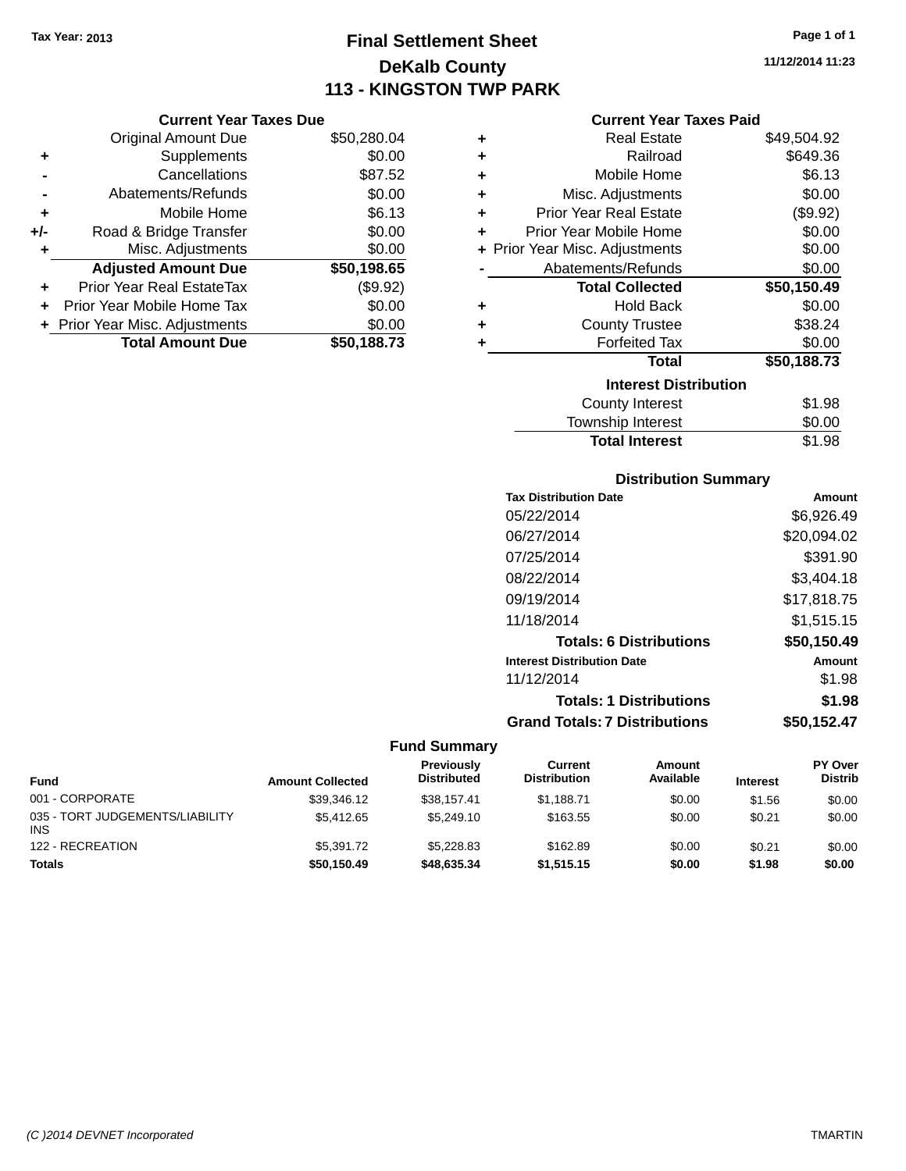### **Final Settlement Sheet Tax Year: 2013 Page 1 of 1 DeKalb County 113 - KINGSTON TWP PARK**

**11/12/2014 11:23**

### **Current Year Taxes Paid**

|     | <b>Current Year Taxes Due</b> |             |  |  |  |
|-----|-------------------------------|-------------|--|--|--|
|     | <b>Original Amount Due</b>    | \$50,280.04 |  |  |  |
| ٠   | Supplements                   | \$0.00      |  |  |  |
|     | Cancellations                 | \$87.52     |  |  |  |
|     | Abatements/Refunds            | \$0.00      |  |  |  |
| ٠   | Mobile Home                   | \$6.13      |  |  |  |
| +/- | Road & Bridge Transfer        | \$0.00      |  |  |  |
| ٠   | Misc. Adjustments             | \$0.00      |  |  |  |
|     | <b>Adjusted Amount Due</b>    | \$50,198.65 |  |  |  |
|     | Prior Year Real EstateTax     | (\$9.92)    |  |  |  |
|     | Prior Year Mobile Home Tax    | \$0.00      |  |  |  |
|     | Prior Year Misc. Adjustments  | \$0.00      |  |  |  |
|     | <b>Total Amount Due</b>       | \$50,188.73 |  |  |  |
|     |                               |             |  |  |  |

| ٠ | <b>Real Estate</b>             | \$49,504.92 |
|---|--------------------------------|-------------|
| ÷ | Railroad                       | \$649.36    |
| ٠ | Mobile Home                    | \$6.13      |
| ÷ | Misc. Adjustments              | \$0.00      |
| ٠ | <b>Prior Year Real Estate</b>  | (\$9.92)    |
| ٠ | Prior Year Mobile Home         | \$0.00      |
|   | + Prior Year Misc. Adjustments | \$0.00      |
|   | Abatements/Refunds             | \$0.00      |
|   | <b>Total Collected</b>         | \$50,150.49 |
| ٠ | Hold Back                      | \$0.00      |
| ٠ | <b>County Trustee</b>          | \$38.24     |
| ٠ | <b>Forfeited Tax</b>           | \$0.00      |
|   | <b>Total</b>                   | \$50,188.73 |
|   | <b>Interest Distribution</b>   |             |
|   | County Interest                | \$1.98      |
|   | <b>Township Interest</b>       | \$0.00      |
|   | <b>Total Interest</b>          | \$1.98      |

### **Distribution Summary**

| <b>Tax Distribution Date</b>         | Amount      |
|--------------------------------------|-------------|
| 05/22/2014                           | \$6,926.49  |
| 06/27/2014                           | \$20,094.02 |
| 07/25/2014                           | \$391.90    |
| 08/22/2014                           | \$3,404.18  |
| 09/19/2014                           | \$17,818.75 |
| 11/18/2014                           | \$1,515.15  |
| <b>Totals: 6 Distributions</b>       | \$50,150.49 |
| <b>Interest Distribution Date</b>    | Amount      |
| 11/12/2014                           | \$1.98      |
| <b>Totals: 1 Distributions</b>       | \$1.98      |
| <b>Grand Totals: 7 Distributions</b> | \$50,152.47 |
|                                      |             |

| <b>Fund</b>                                   | <b>Amount Collected</b> | <b>Previously</b><br><b>Distributed</b> | Current<br><b>Distribution</b> | Amount<br>Available | <b>Interest</b> | PY Over<br><b>Distrib</b> |
|-----------------------------------------------|-------------------------|-----------------------------------------|--------------------------------|---------------------|-----------------|---------------------------|
| 001 - CORPORATE                               | \$39,346.12             | \$38,157.41                             | \$1,188.71                     | \$0.00              | \$1.56          | \$0.00                    |
| 035 - TORT JUDGEMENTS/LIABILITY<br><b>INS</b> | \$5,412.65              | \$5,249.10                              | \$163.55                       | \$0.00              | \$0.21          | \$0.00                    |
| 122 - RECREATION                              | \$5,391.72              | \$5,228.83                              | \$162.89                       | \$0.00              | \$0.21          | \$0.00                    |
| <b>Totals</b>                                 | \$50,150.49             | \$48,635.34                             | \$1,515.15                     | \$0.00              | \$1.98          | \$0.00                    |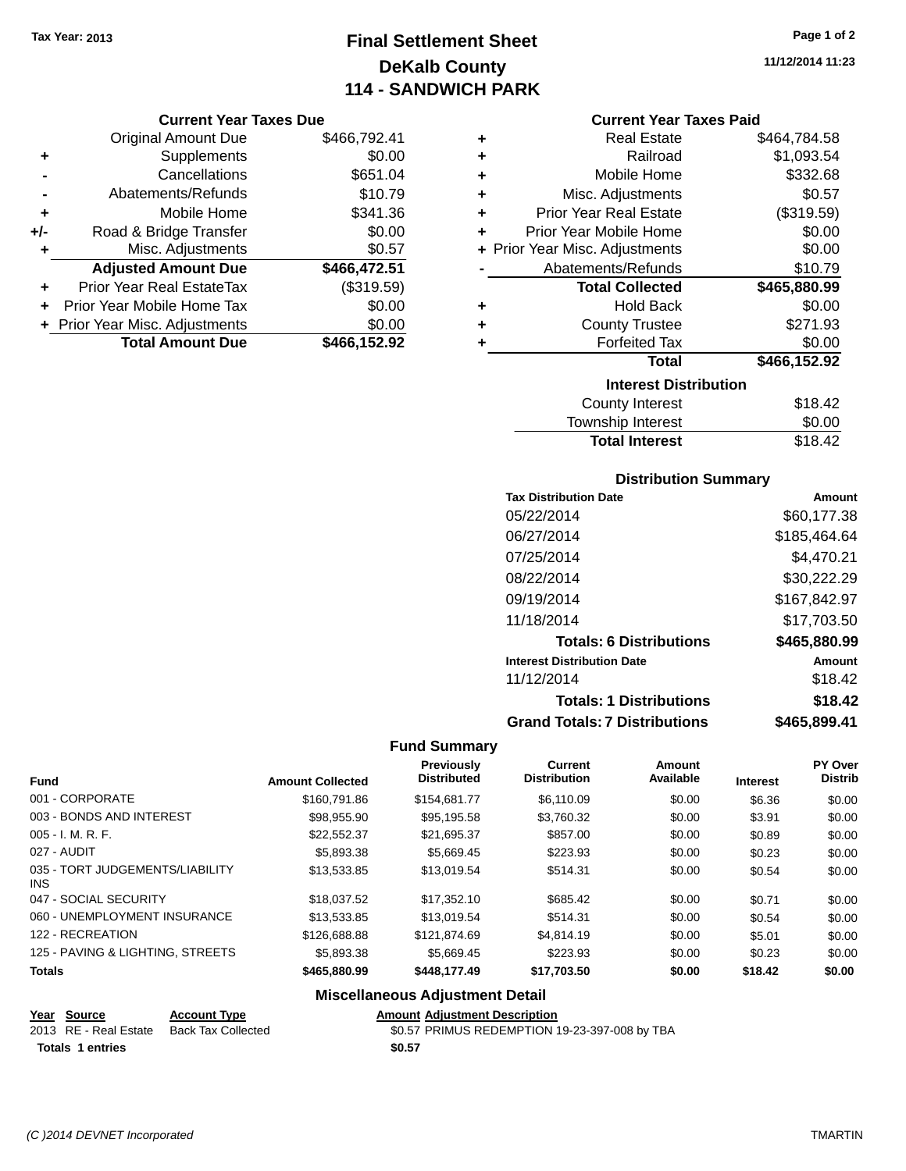### **Final Settlement Sheet Tax Year: 2013 Page 1 of 2 DeKalb County 114 - SANDWICH PARK**

### **Current Year Taxes Due**

|       | <b>Original Amount Due</b>       | \$466,792.41 |
|-------|----------------------------------|--------------|
| ٠     | Supplements                      | \$0.00       |
|       | Cancellations                    | \$651.04     |
|       | Abatements/Refunds               | \$10.79      |
| ٠     | Mobile Home                      | \$341.36     |
| $+/-$ | Road & Bridge Transfer           | \$0.00       |
| ٠     | Misc. Adjustments                | \$0.57       |
|       | <b>Adjusted Amount Due</b>       | \$466,472.51 |
| ÷     | <b>Prior Year Real EstateTax</b> | (\$319.59)   |
|       | Prior Year Mobile Home Tax       | \$0.00       |
|       | + Prior Year Misc. Adjustments   | \$0.00       |
|       | <b>Total Amount Due</b>          | \$466,152.92 |

| ٠ | <b>Real Estate</b>             | \$464,784.58 |
|---|--------------------------------|--------------|
| ٠ | Railroad                       | \$1,093.54   |
| ÷ | Mobile Home                    | \$332.68     |
| ÷ | Misc. Adjustments              | \$0.57       |
| ٠ | <b>Prior Year Real Estate</b>  | (\$319.59)   |
| ٠ | Prior Year Mobile Home         | \$0.00       |
|   | + Prior Year Misc. Adjustments | \$0.00       |
|   | Abatements/Refunds             | \$10.79      |
|   | <b>Total Collected</b>         | \$465,880.99 |
| ٠ | <b>Hold Back</b>               | \$0.00       |
| ٠ | <b>County Trustee</b>          | \$271.93     |
| ٠ | <b>Forfeited Tax</b>           | \$0.00       |
|   | <b>Total</b>                   | \$466,152.92 |
|   | <b>Interest Distribution</b>   |              |
|   | <b>County Interest</b>         | \$18.42      |
|   | <b>Township Interast</b>       | ደስ ሰስ        |

| <b>Total Interest</b> | \$18.42 |
|-----------------------|---------|
| Township Interest     | \$0.00  |
| County Interest       | \$18.42 |

### **Distribution Summary**

| <b>Tax Distribution Date</b>         | Amount       |
|--------------------------------------|--------------|
| 05/22/2014                           | \$60.177.38  |
| 06/27/2014                           | \$185,464.64 |
| 07/25/2014                           | \$4,470.21   |
| 08/22/2014                           | \$30,222.29  |
| 09/19/2014                           | \$167,842.97 |
| 11/18/2014                           | \$17,703.50  |
| <b>Totals: 6 Distributions</b>       | \$465,880.99 |
| <b>Interest Distribution Date</b>    | Amount       |
| 11/12/2014                           | \$18.42      |
| <b>Totals: 1 Distributions</b>       | \$18.42      |
| <b>Grand Totals: 7 Distributions</b> | \$465.899.41 |

### **Fund Summary**

| <b>Fund</b>                             | <b>Amount Collected</b> | Previously<br><b>Distributed</b> | <b>Current</b><br><b>Distribution</b> | Amount<br>Available | <b>Interest</b> | PY Over<br><b>Distrib</b> |
|-----------------------------------------|-------------------------|----------------------------------|---------------------------------------|---------------------|-----------------|---------------------------|
| 001 - CORPORATE                         | \$160.791.86            | \$154.681.77                     | \$6,110.09                            | \$0.00              | \$6.36          | \$0.00                    |
| 003 - BONDS AND INTEREST                | \$98,955.90             | \$95,195.58                      | \$3,760.32                            | \$0.00              | \$3.91          | \$0.00                    |
| $005 - I. M. R. F.$                     | \$22,552,37             | \$21.695.37                      | \$857.00                              | \$0.00              | \$0.89          | \$0.00                    |
| 027 - AUDIT                             | \$5,893,38              | \$5.669.45                       | \$223.93                              | \$0.00              | \$0.23          | \$0.00                    |
| 035 - TORT JUDGEMENTS/LIABILITY<br>INS. | \$13.533.85             | \$13,019.54                      | \$514.31                              | \$0.00              | \$0.54          | \$0.00                    |
| 047 - SOCIAL SECURITY                   | \$18,037.52             | \$17.352.10                      | \$685.42                              | \$0.00              | \$0.71          | \$0.00                    |
| 060 - UNEMPLOYMENT INSURANCE            | \$13,533.85             | \$13,019.54                      | \$514.31                              | \$0.00              | \$0.54          | \$0.00                    |
| 122 - RECREATION                        | \$126,688,88            | \$121.874.69                     | \$4,814.19                            | \$0.00              | \$5.01          | \$0.00                    |
| 125 - PAVING & LIGHTING, STREETS        | \$5,893,38              | \$5.669.45                       | \$223.93                              | \$0.00              | \$0.23          | \$0.00                    |
| <b>Totals</b>                           | \$465,880.99            | \$448,177,49                     | \$17,703.50                           | \$0.00              | \$18.42         | \$0.00                    |

### **Miscellaneous Adjustment Detail**

#### **Year Source Account Type Amount Adjustment Description**

| 2013 RE - Real Estate Back Tax Collected | \$0.57 PRIMUS REDEMPTION 19-23-397-008 by TBA |
|------------------------------------------|-----------------------------------------------|
| Totals 1 entries                         | \$0.57                                        |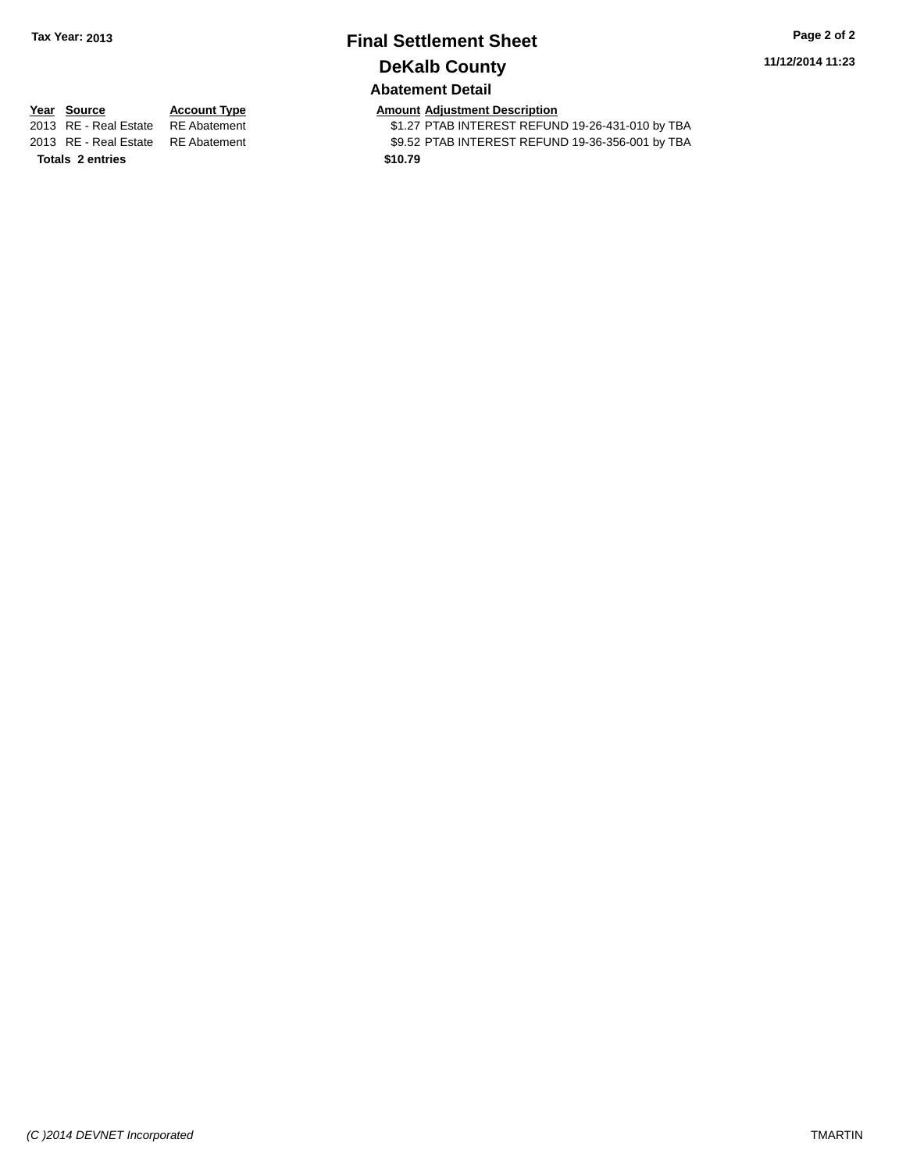# **Final Settlement Sheet Tax Year: 2013 Page 2 of 2 DeKalb County**

**11/12/2014 11:23**

### **Abatement Detail**

**Totals 2 entries \$10.79**

**Year Source Account Type Amount Adjustment Description**<br>2013 RE - Real Estate RE Abatement **Amount Adjustment CEL** \$1.27 PTAB INTEREST REFUND 19-26-431-010 by TBA 2013 RE - Real Estate RE Abatement \$9.52 PTAB INTEREST REFUND 19-36-356-001 by TBA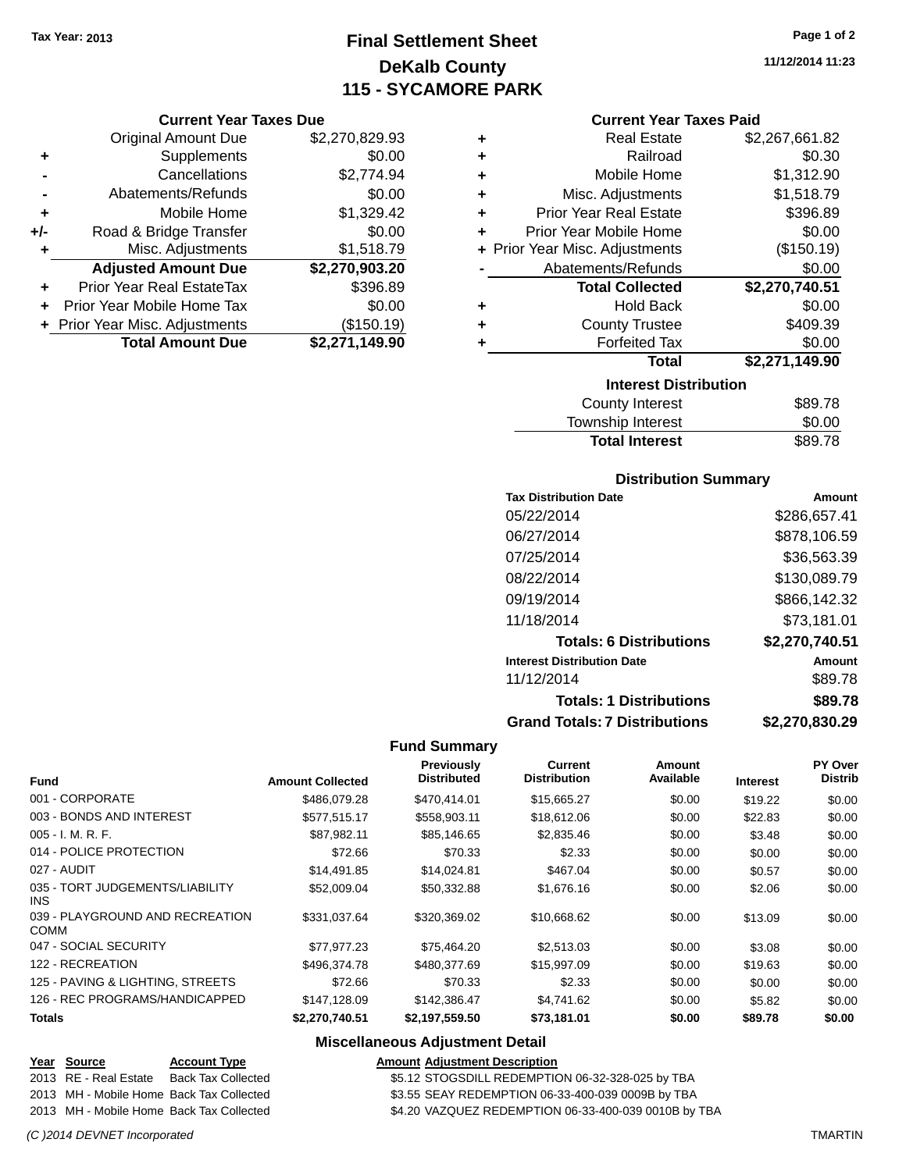### **Final Settlement Sheet Tax Year: 2013 Page 1 of 2 DeKalb County 115 - SYCAMORE PARK**

#### **Current Year Taxes Due**

|     | <b>Original Amount Due</b>       | \$2,270,829.93 |
|-----|----------------------------------|----------------|
| ٠   | Supplements                      | \$0.00         |
|     | Cancellations                    | \$2,774.94     |
|     | Abatements/Refunds               | \$0.00         |
| ٠   | Mobile Home                      | \$1,329.42     |
| +/- | Road & Bridge Transfer           | \$0.00         |
| ٠   | Misc. Adjustments                | \$1,518.79     |
|     | <b>Adjusted Amount Due</b>       | \$2,270,903.20 |
|     | <b>Prior Year Real EstateTax</b> | \$396.89       |
|     | Prior Year Mobile Home Tax       | \$0.00         |
|     | + Prior Year Misc. Adjustments   | (\$150.19)     |
|     | <b>Total Amount Due</b>          | \$2,271,149.90 |

| ٠ | <b>Real Estate</b>             | \$2,267,661.82 |
|---|--------------------------------|----------------|
| ٠ | Railroad                       | \$0.30         |
| ٠ | Mobile Home                    | \$1,312.90     |
| ٠ | Misc. Adjustments              | \$1,518.79     |
| ٠ | <b>Prior Year Real Estate</b>  | \$396.89       |
| ٠ | Prior Year Mobile Home         | \$0.00         |
|   | + Prior Year Misc. Adjustments | (\$150.19)     |
|   | Abatements/Refunds             | \$0.00         |
|   | <b>Total Collected</b>         | \$2,270,740.51 |
| ٠ | <b>Hold Back</b>               | \$0.00         |
| ٠ | <b>County Trustee</b>          | \$409.39       |
| ٠ | <b>Forfeited Tax</b>           | \$0.00         |
|   |                                |                |
|   | <b>Total</b>                   | \$2,271,149.90 |
|   | <b>Interest Distribution</b>   |                |

| <b>Total Interest</b> | \$89.78 |
|-----------------------|---------|
| Township Interest     | \$0.00  |
| County Interest       | ৬৪৬.7৪  |

### **Distribution Summary**

| <b>Tax Distribution Date</b>         | Amount         |
|--------------------------------------|----------------|
| 05/22/2014                           | \$286,657.41   |
| 06/27/2014                           | \$878,106.59   |
| 07/25/2014                           | \$36,563.39    |
| 08/22/2014                           | \$130,089.79   |
| 09/19/2014                           | \$866,142.32   |
| 11/18/2014                           | \$73,181.01    |
| <b>Totals: 6 Distributions</b>       | \$2,270,740.51 |
| <b>Interest Distribution Date</b>    | Amount         |
| 11/12/2014                           | \$89.78        |
| <b>Totals: 1 Distributions</b>       | \$89.78        |
| <b>Grand Totals: 7 Distributions</b> | \$2,270,830.29 |

### **Fund Summary**

| <b>Fund</b>                                    | <b>Amount Collected</b> | Previously<br><b>Distributed</b> | Current<br><b>Distribution</b> | <b>Amount</b><br>Available | <b>Interest</b> | PY Over<br><b>Distrib</b> |
|------------------------------------------------|-------------------------|----------------------------------|--------------------------------|----------------------------|-----------------|---------------------------|
| 001 - CORPORATE                                | \$486,079.28            | \$470,414.01                     | \$15,665.27                    | \$0.00                     | \$19.22         | \$0.00                    |
| 003 - BONDS AND INTEREST                       | \$577,515.17            | \$558,903.11                     | \$18,612.06                    | \$0.00                     | \$22.83         | \$0.00                    |
| $005 - I. M. R. F.$                            | \$87,982.11             | \$85,146.65                      | \$2,835.46                     | \$0.00                     | \$3.48          | \$0.00                    |
| 014 - POLICE PROTECTION                        | \$72.66                 | \$70.33                          | \$2.33                         | \$0.00                     | \$0.00          | \$0.00                    |
| 027 - AUDIT                                    | \$14,491.85             | \$14,024.81                      | \$467.04                       | \$0.00                     | \$0.57          | \$0.00                    |
| 035 - TORT JUDGEMENTS/LIABILITY<br>INS.        | \$52,009.04             | \$50.332.88                      | \$1,676.16                     | \$0.00                     | \$2.06          | \$0.00                    |
| 039 - PLAYGROUND AND RECREATION<br><b>COMM</b> | \$331.037.64            | \$320,369.02                     | \$10,668.62                    | \$0.00                     | \$13.09         | \$0.00                    |
| 047 - SOCIAL SECURITY                          | \$77.977.23             | \$75.464.20                      | \$2,513.03                     | \$0.00                     | \$3.08          | \$0.00                    |
| 122 - RECREATION                               | \$496,374.78            | \$480,377,69                     | \$15,997.09                    | \$0.00                     | \$19.63         | \$0.00                    |
| 125 - PAVING & LIGHTING, STREETS               | \$72.66                 | \$70.33                          | \$2.33                         | \$0.00                     | \$0.00          | \$0.00                    |
| 126 - REC PROGRAMS/HANDICAPPED                 | \$147,128.09            | \$142,386.47                     | \$4,741.62                     | \$0.00                     | \$5.82          | \$0.00                    |
| <b>Totals</b>                                  | \$2,270,740.51          | \$2,197,559.50                   | \$73,181.01                    | \$0.00                     | \$89.78         | \$0.00                    |

### **Miscellaneous Adjustment Detail**

| Year Source           | <b>Account Type</b>                      | <b>Amount Adjustment Description</b>                 |
|-----------------------|------------------------------------------|------------------------------------------------------|
| 2013 RE - Real Estate | Back Tax Collected                       | \$5.12 STOGSDILL REDEMPTION 06-32-328-025 by TBA     |
|                       | 2013 MH - Mobile Home Back Tax Collected | \$3.55 SEAY REDEMPTION 06-33-400-039 0009B by TBA    |
|                       | 2013 MH - Mobile Home Back Tax Collected | \$4.20 VAZQUEZ REDEMPTION 06-33-400-039 0010B by TBA |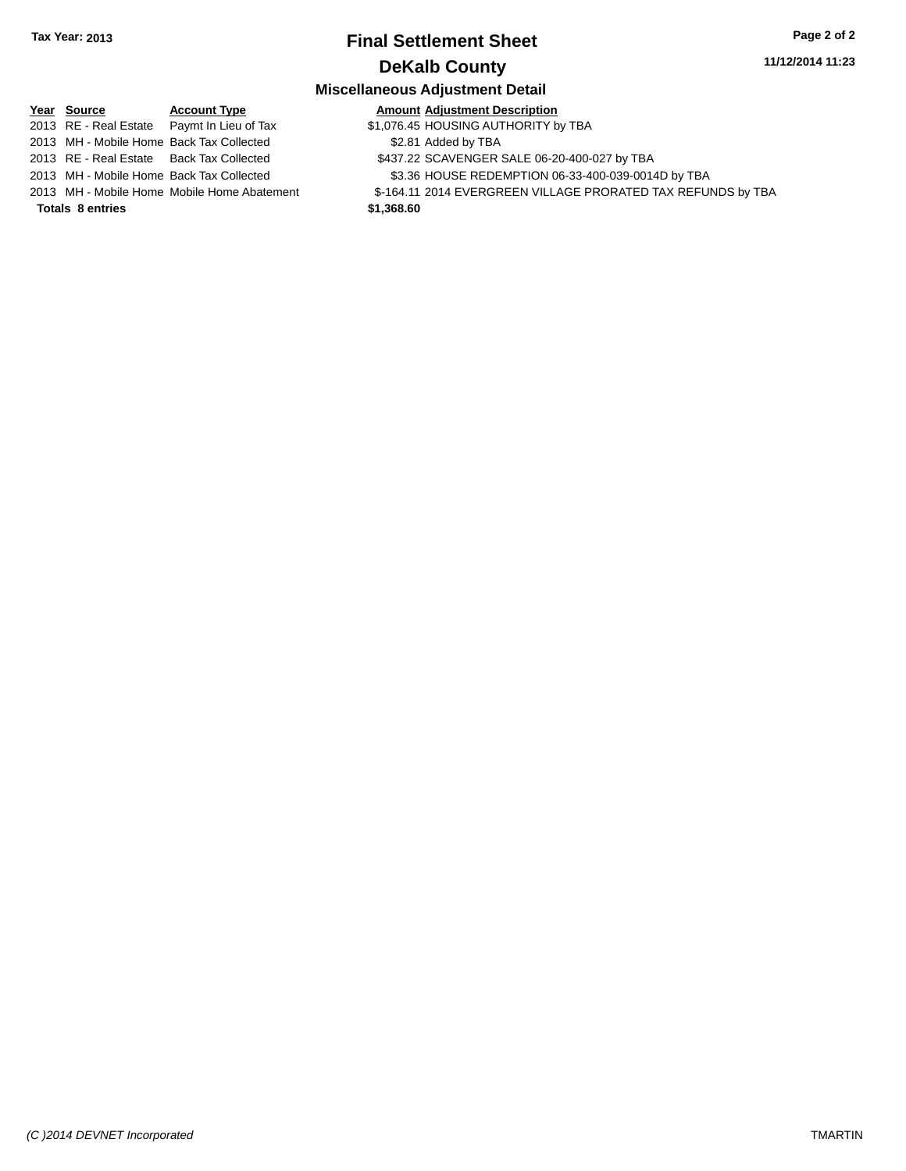### **Final Settlement Sheet Tax Year: 2013 Page 2 of 2 DeKalb County**

#### **11/12/2014 11:23**

### **Miscellaneous Adjustment Detail**

| Year Source                              | <b>Account Type</b>                        |
|------------------------------------------|--------------------------------------------|
|                                          | 2013 RE - Real Estate Paymt In Lieu of Tax |
| 2013 MH - Mobile Home Back Tax Collected |                                            |
| 2013 RE - Real Estate Back Tax Collected |                                            |
| 2013 MH - Mobile Home Back Tax Collected |                                            |
|                                          | 2013 MH - Mobile Home Mobile Home Abateme  |
|                                          |                                            |

**Totals 8 entries \$1,368.60**

 $$1,076.45$  HOUSING AUTHORITY by TBA \$2.81 Added by TBA

**Amount Adjustment Description** 

- \$437.22 SCAVENGER SALE 06-20-400-027 by TBA
	- \$3.36 HOUSE REDEMPTION 06-33-400-039-0014D by TBA
- 2014 EVERGREEN VILLAGE PRORATED TAX REFUNDS by TBA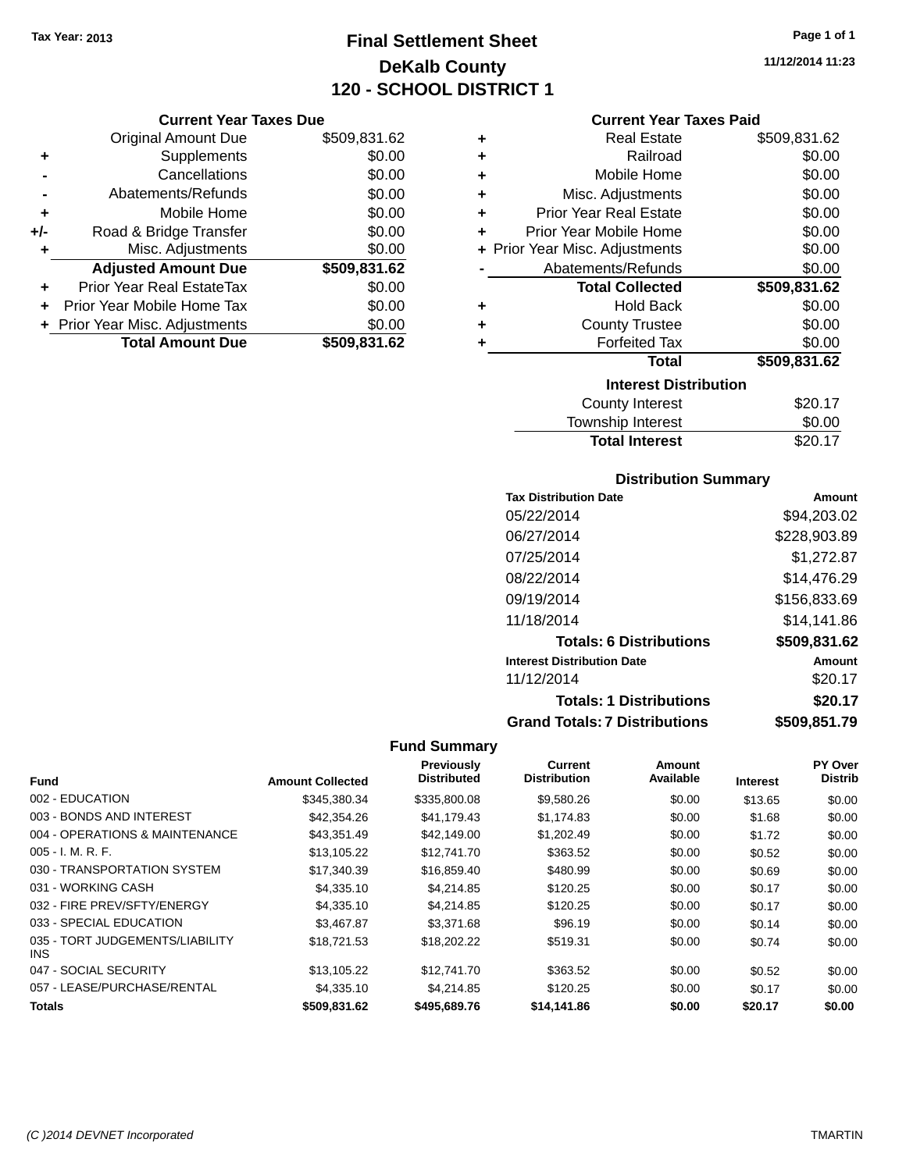### **Final Settlement Sheet Tax Year: 2013 Page 1 of 1 DeKalb County 120 - SCHOOL DISTRICT 1**

**11/12/2014 11:23**

| <b>Current Year Taxes Due</b> |  |  |  |
|-------------------------------|--|--|--|
|-------------------------------|--|--|--|

|     | <b>Original Amount Due</b>     | \$509,831.62 |
|-----|--------------------------------|--------------|
| ٠   | Supplements                    | \$0.00       |
|     | Cancellations                  | \$0.00       |
|     | Abatements/Refunds             | \$0.00       |
| ٠   | Mobile Home                    | \$0.00       |
| +/- | Road & Bridge Transfer         | \$0.00       |
|     | Misc. Adjustments              | \$0.00       |
|     | <b>Adjusted Amount Due</b>     | \$509,831.62 |
|     | Prior Year Real EstateTax      | \$0.00       |
|     | Prior Year Mobile Home Tax     | \$0.00       |
|     | + Prior Year Misc. Adjustments | \$0.00       |
|     | <b>Total Amount Due</b>        | \$509,831.62 |

### **Current Year Taxes Paid**

| ٠ | <b>Real Estate</b>             | \$509,831.62 |
|---|--------------------------------|--------------|
| ÷ | Railroad                       | \$0.00       |
| ÷ | Mobile Home                    | \$0.00       |
| ÷ | Misc. Adjustments              | \$0.00       |
| ٠ | <b>Prior Year Real Estate</b>  | \$0.00       |
| ٠ | Prior Year Mobile Home         | \$0.00       |
|   | + Prior Year Misc. Adjustments | \$0.00       |
|   | Abatements/Refunds             | \$0.00       |
|   | <b>Total Collected</b>         | \$509,831.62 |
| ٠ | <b>Hold Back</b>               | \$0.00       |
|   |                                |              |
| ٠ | <b>County Trustee</b>          | \$0.00       |
|   | <b>Forfeited Tax</b>           | \$0.00       |
|   | Total                          | \$509,831.62 |
|   | <b>Interest Distribution</b>   |              |
|   | <b>County Interest</b>         | \$20.17      |

| -----   |
|---------|
| \$0.00  |
| \$20.17 |
|         |

### **Distribution Summary**

| <b>Tax Distribution Date</b>         | Amount       |
|--------------------------------------|--------------|
| 05/22/2014                           | \$94,203.02  |
| 06/27/2014                           | \$228,903.89 |
| 07/25/2014                           | \$1,272.87   |
| 08/22/2014                           | \$14,476.29  |
| 09/19/2014                           | \$156,833.69 |
| 11/18/2014                           | \$14.141.86  |
| <b>Totals: 6 Distributions</b>       | \$509,831.62 |
| <b>Interest Distribution Date</b>    | Amount       |
| 11/12/2014                           | \$20.17      |
| <b>Totals: 1 Distributions</b>       | \$20.17      |
| <b>Grand Totals: 7 Distributions</b> | \$509,851.79 |

|                                         |                         | Previously         | Current             | Amount    |                 | PY Over        |
|-----------------------------------------|-------------------------|--------------------|---------------------|-----------|-----------------|----------------|
| <b>Fund</b>                             | <b>Amount Collected</b> | <b>Distributed</b> | <b>Distribution</b> | Available | <b>Interest</b> | <b>Distrib</b> |
| 002 - EDUCATION                         | \$345.380.34            | \$335,800.08       | \$9,580.26          | \$0.00    | \$13.65         | \$0.00         |
| 003 - BONDS AND INTEREST                | \$42,354.26             | \$41,179.43        | \$1,174.83          | \$0.00    | \$1.68          | \$0.00         |
| 004 - OPERATIONS & MAINTENANCE          | \$43,351.49             | \$42,149,00        | \$1,202.49          | \$0.00    | \$1.72          | \$0.00         |
| $005 - I. M. R. F.$                     | \$13,105.22             | \$12,741.70        | \$363.52            | \$0.00    | \$0.52          | \$0.00         |
| 030 - TRANSPORTATION SYSTEM             | \$17,340.39             | \$16,859.40        | \$480.99            | \$0.00    | \$0.69          | \$0.00         |
| 031 - WORKING CASH                      | \$4,335.10              | \$4,214.85         | \$120.25            | \$0.00    | \$0.17          | \$0.00         |
| 032 - FIRE PREV/SFTY/ENERGY             | \$4,335.10              | \$4,214.85         | \$120.25            | \$0.00    | \$0.17          | \$0.00         |
| 033 - SPECIAL EDUCATION                 | \$3.467.87              | \$3,371.68         | \$96.19             | \$0.00    | \$0.14          | \$0.00         |
| 035 - TORT JUDGEMENTS/LIABILITY<br>INS. | \$18.721.53             | \$18,202.22        | \$519.31            | \$0.00    | \$0.74          | \$0.00         |
| 047 - SOCIAL SECURITY                   | \$13,105.22             | \$12,741.70        | \$363.52            | \$0.00    | \$0.52          | \$0.00         |
| 057 - LEASE/PURCHASE/RENTAL             | \$4,335.10              | \$4,214.85         | \$120.25            | \$0.00    | \$0.17          | \$0.00         |
| <b>Totals</b>                           | \$509.831.62            | \$495,689.76       | \$14,141.86         | \$0.00    | \$20.17         | \$0.00         |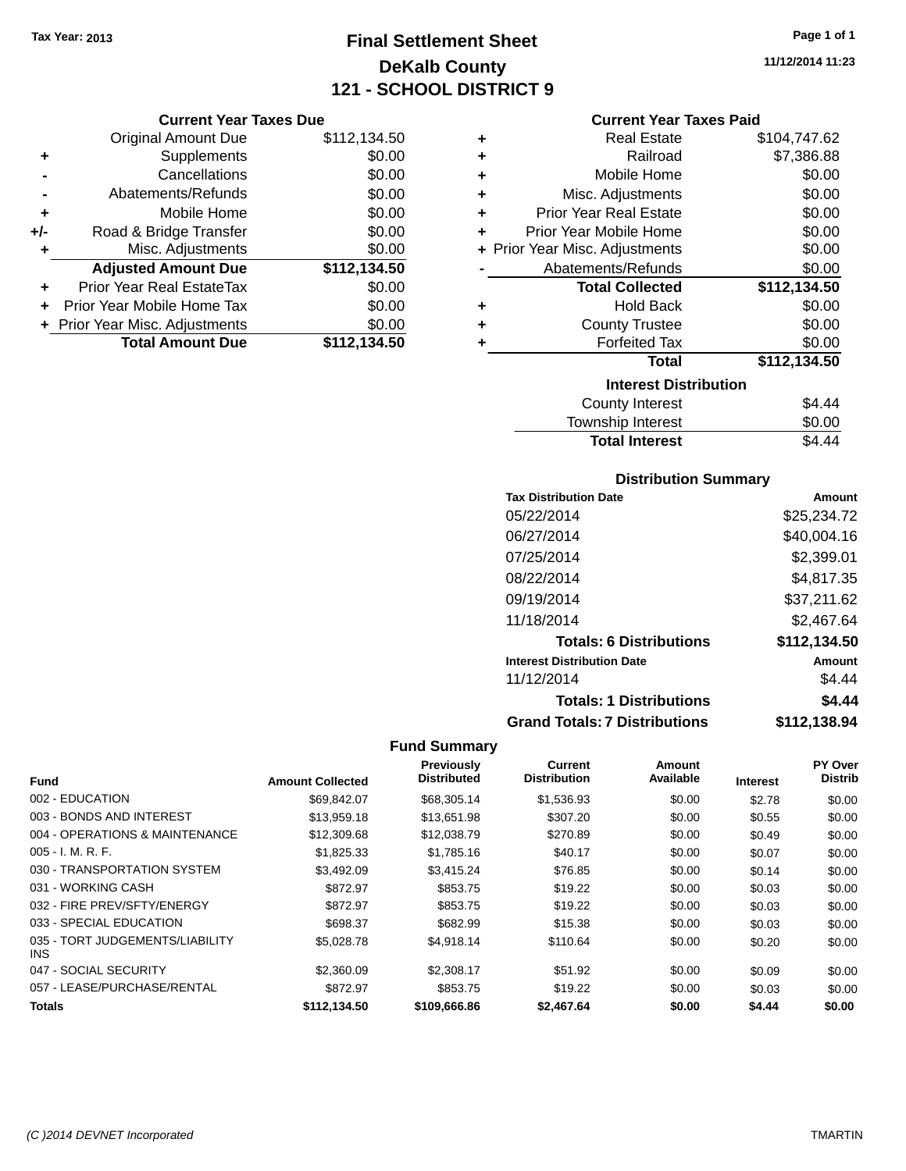### **Final Settlement Sheet Tax Year: 2013 Page 1 of 1 DeKalb County 121 - SCHOOL DISTRICT 9**

**11/12/2014 11:23**

#### **Current Year Taxes Due**

|       | <b>Original Amount Due</b>       | \$112,134.50 |
|-------|----------------------------------|--------------|
| ٠     | Supplements                      | \$0.00       |
|       | Cancellations                    | \$0.00       |
|       | Abatements/Refunds               | \$0.00       |
| ٠     | Mobile Home                      | \$0.00       |
| $+/-$ | Road & Bridge Transfer           | \$0.00       |
| ٠     | Misc. Adjustments                | \$0.00       |
|       | <b>Adjusted Amount Due</b>       | \$112,134.50 |
| ÷     | <b>Prior Year Real EstateTax</b> | \$0.00       |
|       | Prior Year Mobile Home Tax       | \$0.00       |
|       | + Prior Year Misc. Adjustments   | \$0.00       |
|       | <b>Total Amount Due</b>          | \$112,134.50 |

### **Current Year Taxes Paid**

| ٠ | <b>Real Estate</b>             | \$104,747.62 |
|---|--------------------------------|--------------|
| ٠ | Railroad                       | \$7,386.88   |
| ٠ | Mobile Home                    | \$0.00       |
| ٠ | Misc. Adjustments              | \$0.00       |
| ٠ | <b>Prior Year Real Estate</b>  | \$0.00       |
| ٠ | Prior Year Mobile Home         | \$0.00       |
|   | + Prior Year Misc. Adjustments | \$0.00       |
|   | Abatements/Refunds             | \$0.00       |
|   |                                |              |
|   | <b>Total Collected</b>         | \$112,134.50 |
| ٠ | <b>Hold Back</b>               | \$0.00       |
| ٠ | <b>County Trustee</b>          | \$0.00       |
| ٠ | <b>Forfeited Tax</b>           | \$0.00       |
|   | <b>Total</b>                   | \$112,134.50 |
|   | <b>Interest Distribution</b>   |              |
|   | <b>County Interest</b>         | \$4.44       |

### **Distribution Summary**

Total Interest \$4.44

| <b>Tax Distribution Date</b>         | Amount       |
|--------------------------------------|--------------|
| 05/22/2014                           | \$25,234.72  |
| 06/27/2014                           | \$40,004.16  |
| 07/25/2014                           | \$2,399.01   |
| 08/22/2014                           | \$4.817.35   |
| 09/19/2014                           | \$37,211.62  |
| 11/18/2014                           | \$2,467.64   |
| <b>Totals: 6 Distributions</b>       | \$112,134.50 |
| <b>Interest Distribution Date</b>    | Amount       |
| 11/12/2014                           | \$4.44       |
| <b>Totals: 1 Distributions</b>       | \$4.44       |
| <b>Grand Totals: 7 Distributions</b> | \$112.138.94 |

|                                         |                         | Previously         | Current             | Amount    |                 | PY Over        |
|-----------------------------------------|-------------------------|--------------------|---------------------|-----------|-----------------|----------------|
| <b>Fund</b>                             | <b>Amount Collected</b> | <b>Distributed</b> | <b>Distribution</b> | Available | <b>Interest</b> | <b>Distrib</b> |
| 002 - EDUCATION                         | \$69.842.07             | \$68,305.14        | \$1,536.93          | \$0.00    | \$2.78          | \$0.00         |
| 003 - BONDS AND INTEREST                | \$13,959.18             | \$13,651.98        | \$307.20            | \$0.00    | \$0.55          | \$0.00         |
| 004 - OPERATIONS & MAINTENANCE          | \$12,309.68             | \$12,038.79        | \$270.89            | \$0.00    | \$0.49          | \$0.00         |
| $005 - I. M. R. F.$                     | \$1,825.33              | \$1,785.16         | \$40.17             | \$0.00    | \$0.07          | \$0.00         |
| 030 - TRANSPORTATION SYSTEM             | \$3,492.09              | \$3,415.24         | \$76.85             | \$0.00    | \$0.14          | \$0.00         |
| 031 - WORKING CASH                      | \$872.97                | \$853.75           | \$19.22             | \$0.00    | \$0.03          | \$0.00         |
| 032 - FIRE PREV/SFTY/ENERGY             | \$872.97                | \$853.75           | \$19.22             | \$0.00    | \$0.03          | \$0.00         |
| 033 - SPECIAL EDUCATION                 | \$698.37                | \$682.99           | \$15.38             | \$0.00    | \$0.03          | \$0.00         |
| 035 - TORT JUDGEMENTS/LIABILITY<br>INS. | \$5.028.78              | \$4,918.14         | \$110.64            | \$0.00    | \$0.20          | \$0.00         |
| 047 - SOCIAL SECURITY                   | \$2,360.09              | \$2,308.17         | \$51.92             | \$0.00    | \$0.09          | \$0.00         |
| 057 - LEASE/PURCHASE/RENTAL             | \$872.97                | \$853.75           | \$19.22             | \$0.00    | \$0.03          | \$0.00         |
| <b>Totals</b>                           | \$112,134.50            | \$109,666.86       | \$2,467.64          | \$0.00    | \$4.44          | \$0.00         |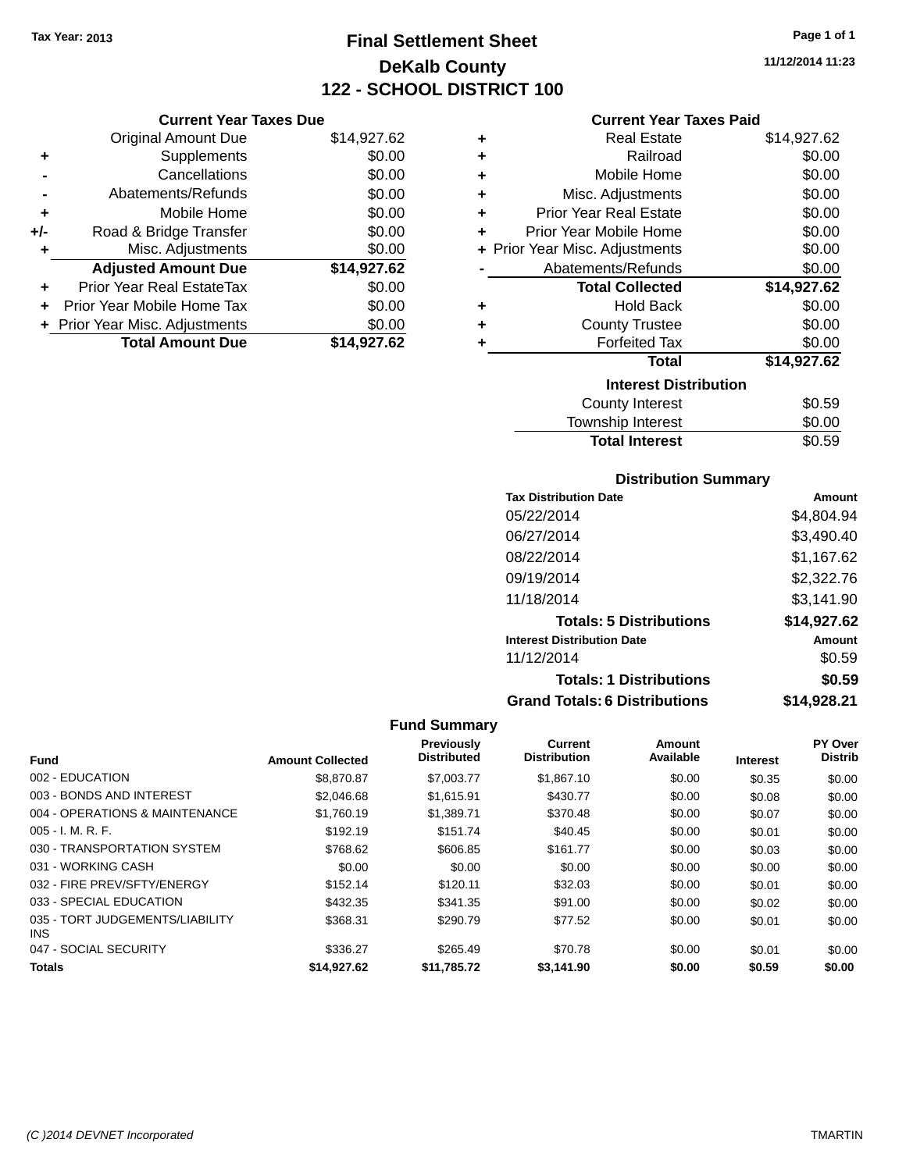### **Final Settlement Sheet Tax Year: 2013 Page 1 of 1 DeKalb County 122 - SCHOOL DISTRICT 100**

**11/12/2014 11:23**

#### **Current Year Taxes Paid**

|     | <b>Current Year Taxes Due</b>  |             |  |
|-----|--------------------------------|-------------|--|
|     | <b>Original Amount Due</b>     | \$14,927.62 |  |
| ٠   | Supplements                    | \$0.00      |  |
|     | Cancellations                  | \$0.00      |  |
|     | Abatements/Refunds             | \$0.00      |  |
| ٠   | Mobile Home                    | \$0.00      |  |
| +/- | Road & Bridge Transfer         | \$0.00      |  |
| ٠   | Misc. Adjustments              | \$0.00      |  |
|     | <b>Adjusted Amount Due</b>     | \$14,927.62 |  |
|     | Prior Year Real EstateTax      | \$0.00      |  |
| ÷   | Prior Year Mobile Home Tax     | \$0.00      |  |
|     | + Prior Year Misc. Adjustments | \$0.00      |  |
|     | <b>Total Amount Due</b>        | \$14,927.62 |  |

| ٠ | Real Estate                    | \$14,927.62 |
|---|--------------------------------|-------------|
| ٠ | Railroad                       | \$0.00      |
| ٠ | Mobile Home                    | \$0.00      |
| ٠ | Misc. Adjustments              | \$0.00      |
| ٠ | <b>Prior Year Real Estate</b>  | \$0.00      |
| ٠ | Prior Year Mobile Home         | \$0.00      |
|   | + Prior Year Misc. Adjustments | \$0.00      |
|   | Abatements/Refunds             | \$0.00      |
|   | <b>Total Collected</b>         | \$14,927.62 |
| ٠ | <b>Hold Back</b>               | \$0.00      |
| ٠ | <b>County Trustee</b>          | \$0.00      |
| ٠ | <b>Forfeited Tax</b>           | \$0.00      |
|   | <b>Total</b>                   | \$14,927.62 |
|   | <b>Interest Distribution</b>   |             |
|   | County Interest                | \$0.59      |
|   | <b>Township Interest</b>       | \$0.00      |
|   | <b>Total Interest</b>          | \$0.59      |

### **Distribution Summary**

| <b>Tax Distribution Date</b>         | Amount      |
|--------------------------------------|-------------|
| 05/22/2014                           | \$4,804.94  |
| 06/27/2014                           | \$3,490.40  |
| 08/22/2014                           | \$1.167.62  |
| 09/19/2014                           | \$2,322.76  |
| 11/18/2014                           | \$3,141.90  |
| <b>Totals: 5 Distributions</b>       | \$14,927.62 |
| <b>Interest Distribution Date</b>    | Amount      |
| 11/12/2014                           | \$0.59      |
| <b>Totals: 1 Distributions</b>       | \$0.59      |
| <b>Grand Totals: 6 Distributions</b> | \$14,928.21 |

| <b>Fund</b>                                   | <b>Amount Collected</b> | Previously<br><b>Distributed</b> | <b>Current</b><br><b>Distribution</b> | Amount<br>Available | <b>Interest</b> | PY Over<br><b>Distrib</b> |
|-----------------------------------------------|-------------------------|----------------------------------|---------------------------------------|---------------------|-----------------|---------------------------|
| 002 - EDUCATION                               | \$8,870.87              | \$7,003.77                       | \$1,867.10                            | \$0.00              | \$0.35          | \$0.00                    |
| 003 - BONDS AND INTEREST                      | \$2.046.68              | \$1.615.91                       | \$430.77                              | \$0.00              | \$0.08          | \$0.00                    |
| 004 - OPERATIONS & MAINTENANCE                | \$1.760.19              | \$1,389.71                       | \$370.48                              | \$0.00              | \$0.07          | \$0.00                    |
| $005 - I. M. R. F.$                           | \$192.19                | \$151.74                         | \$40.45                               | \$0.00              | \$0.01          | \$0.00                    |
| 030 - TRANSPORTATION SYSTEM                   | \$768.62                | \$606.85                         | \$161.77                              | \$0.00              | \$0.03          | \$0.00                    |
| 031 - WORKING CASH                            | \$0.00                  | \$0.00                           | \$0.00                                | \$0.00              | \$0.00          | \$0.00                    |
| 032 - FIRE PREV/SFTY/ENERGY                   | \$152.14                | \$120.11                         | \$32.03                               | \$0.00              | \$0.01          | \$0.00                    |
| 033 - SPECIAL EDUCATION                       | \$432.35                | \$341.35                         | \$91.00                               | \$0.00              | \$0.02          | \$0.00                    |
| 035 - TORT JUDGEMENTS/LIABILITY<br><b>INS</b> | \$368.31                | \$290.79                         | \$77.52                               | \$0.00              | \$0.01          | \$0.00                    |
| 047 - SOCIAL SECURITY                         | \$336.27                | \$265.49                         | \$70.78                               | \$0.00              | \$0.01          | \$0.00                    |
| <b>Totals</b>                                 | \$14.927.62             | \$11,785.72                      | \$3,141.90                            | \$0.00              | \$0.59          | \$0.00                    |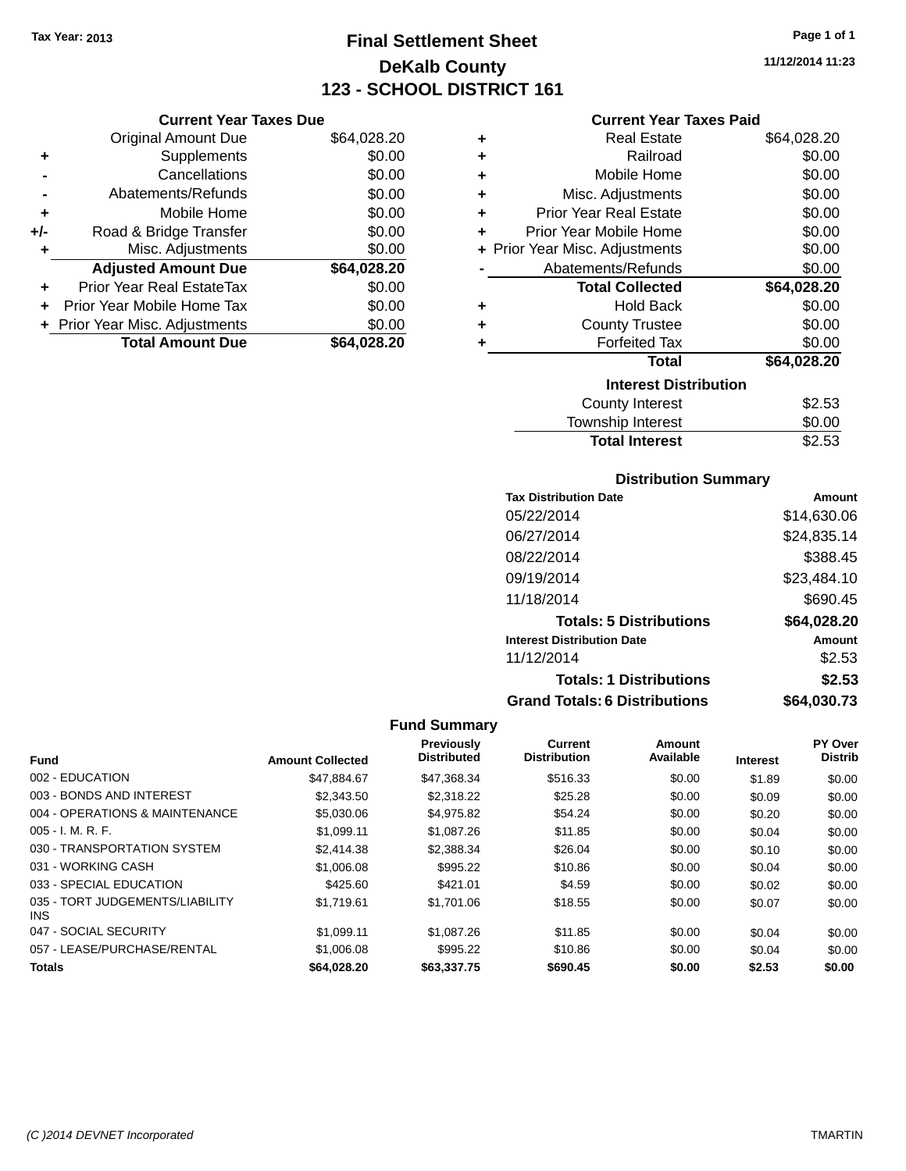### **Final Settlement Sheet Tax Year: 2013 Page 1 of 1 DeKalb County 123 - SCHOOL DISTRICT 161**

**11/12/2014 11:23**

### **Current Year Taxes Paid**

|     | <b>Current Year Taxes Due</b>    |             |  |  |  |
|-----|----------------------------------|-------------|--|--|--|
|     | <b>Original Amount Due</b>       | \$64,028.20 |  |  |  |
| ٠   | Supplements                      | \$0.00      |  |  |  |
|     | Cancellations                    | \$0.00      |  |  |  |
|     | Abatements/Refunds               | \$0.00      |  |  |  |
| ٠   | Mobile Home                      | \$0.00      |  |  |  |
| +/- | Road & Bridge Transfer           | \$0.00      |  |  |  |
| ٠   | Misc. Adjustments                | \$0.00      |  |  |  |
|     | <b>Adjusted Amount Due</b>       | \$64,028.20 |  |  |  |
|     | <b>Prior Year Real EstateTax</b> | \$0.00      |  |  |  |
| ÷   | Prior Year Mobile Home Tax       | \$0.00      |  |  |  |
|     | + Prior Year Misc. Adjustments   | \$0.00      |  |  |  |
|     | <b>Total Amount Due</b>          | \$64,028.20 |  |  |  |

| ٠ | <b>Real Estate</b>             | \$64,028.20 |
|---|--------------------------------|-------------|
| ÷ | Railroad                       | \$0.00      |
| ٠ | Mobile Home                    | \$0.00      |
| ٠ | Misc. Adjustments              | \$0.00      |
| ٠ | <b>Prior Year Real Estate</b>  | \$0.00      |
| ٠ | Prior Year Mobile Home         | \$0.00      |
|   | + Prior Year Misc. Adjustments | \$0.00      |
|   | Abatements/Refunds             | \$0.00      |
|   | <b>Total Collected</b>         | \$64,028.20 |
| ٠ | <b>Hold Back</b>               | \$0.00      |
| ٠ | <b>County Trustee</b>          | \$0.00      |
| ٠ | <b>Forfeited Tax</b>           | \$0.00      |
|   | Total                          | \$64,028.20 |
|   | <b>Interest Distribution</b>   |             |
|   | County Interest                | \$2.53      |
|   | <b>Township Interest</b>       | \$0.00      |
|   | <b>Total Interest</b>          | \$2.53      |

### **Distribution Summary**

| <b>Tax Distribution Date</b>         | Amount      |
|--------------------------------------|-------------|
| 05/22/2014                           | \$14,630.06 |
| 06/27/2014                           | \$24,835.14 |
| 08/22/2014                           | \$388.45    |
| 09/19/2014                           | \$23,484.10 |
| 11/18/2014                           | \$690.45    |
| <b>Totals: 5 Distributions</b>       | \$64,028.20 |
| <b>Interest Distribution Date</b>    | Amount      |
| 11/12/2014                           | \$2.53      |
| <b>Totals: 1 Distributions</b>       | \$2.53      |
| <b>Grand Totals: 6 Distributions</b> | \$64,030.73 |

|                                         |                         | <b>Previously</b><br><b>Distributed</b> | <b>Current</b><br><b>Distribution</b> | Amount<br>Available |                 | PY Over<br><b>Distrib</b> |
|-----------------------------------------|-------------------------|-----------------------------------------|---------------------------------------|---------------------|-----------------|---------------------------|
| <b>Fund</b>                             | <b>Amount Collected</b> |                                         |                                       |                     | <b>Interest</b> |                           |
| 002 - EDUCATION                         | \$47.884.67             | \$47,368.34                             | \$516.33                              | \$0.00              | \$1.89          | \$0.00                    |
| 003 - BONDS AND INTEREST                | \$2,343.50              | \$2,318.22                              | \$25.28                               | \$0.00              | \$0.09          | \$0.00                    |
| 004 - OPERATIONS & MAINTENANCE          | \$5,030.06              | \$4.975.82                              | \$54.24                               | \$0.00              | \$0.20          | \$0.00                    |
| $005 - I. M. R. F.$                     | \$1.099.11              | \$1,087.26                              | \$11.85                               | \$0.00              | \$0.04          | \$0.00                    |
| 030 - TRANSPORTATION SYSTEM             | \$2,414.38              | \$2,388,34                              | \$26.04                               | \$0.00              | \$0.10          | \$0.00                    |
| 031 - WORKING CASH                      | \$1,006.08              | \$995.22                                | \$10.86                               | \$0.00              | \$0.04          | \$0.00                    |
| 033 - SPECIAL EDUCATION                 | \$425.60                | \$421.01                                | \$4.59                                | \$0.00              | \$0.02          | \$0.00                    |
| 035 - TORT JUDGEMENTS/LIABILITY<br>INS. | \$1.719.61              | \$1,701.06                              | \$18.55                               | \$0.00              | \$0.07          | \$0.00                    |
| 047 - SOCIAL SECURITY                   | \$1.099.11              | \$1,087.26                              | \$11.85                               | \$0.00              | \$0.04          | \$0.00                    |
| 057 - LEASE/PURCHASE/RENTAL             | \$1,006.08              | \$995.22                                | \$10.86                               | \$0.00              | \$0.04          | \$0.00                    |
| <b>Totals</b>                           | \$64,028,20             | \$63,337.75                             | \$690.45                              | \$0.00              | \$2.53          | \$0.00                    |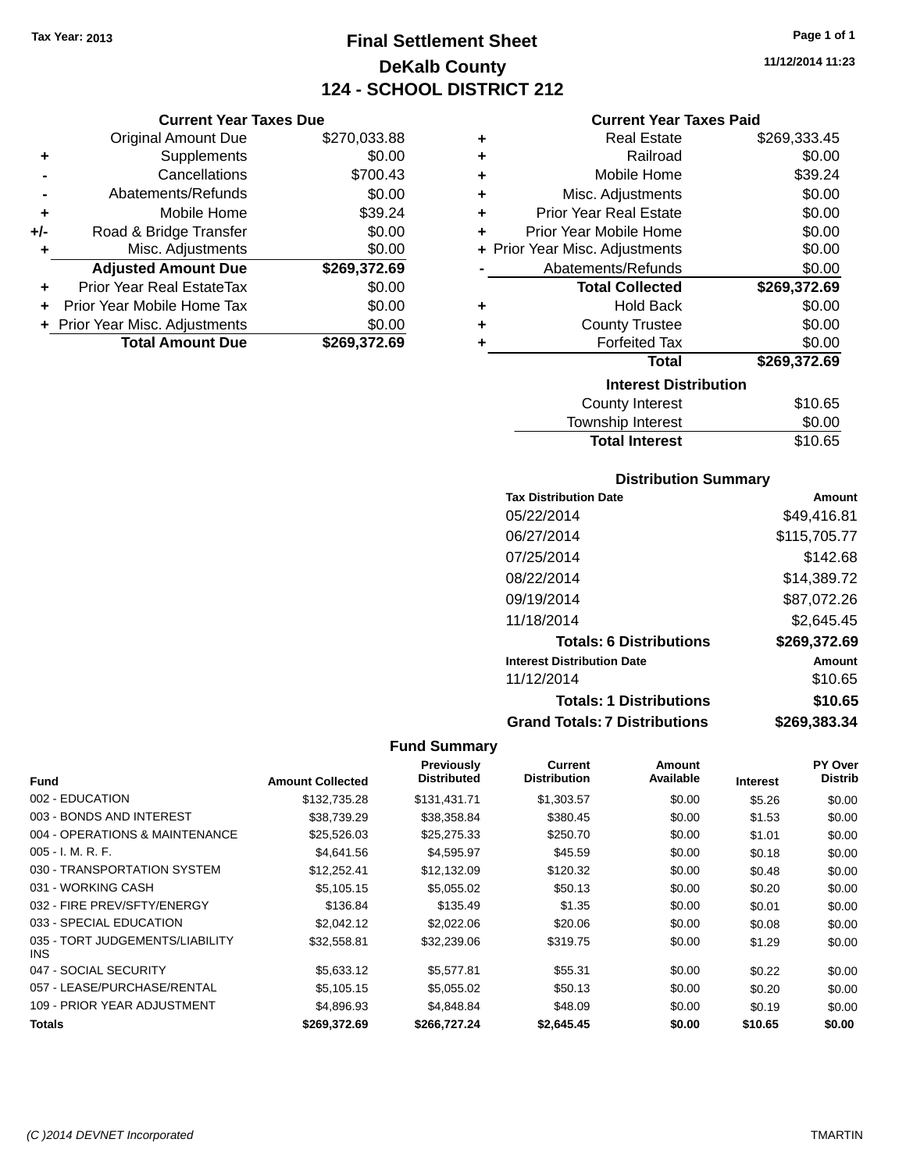**Original Amount Due** 

**Adjusted Amount Due** 

**Total Amount Due** 

**+** Supplements **-** Cancellations **-** Abatements/Refunds **+** Mobile Home **+/-** Road & Bridge Transfer **+** Misc. Adjustments

**+** Prior Year Real EstateTax \$0.00 **+** Prior Year Mobile Home Tax **+** Prior Year Misc. Adjustments

### **Final Settlement Sheet Tax Year: 2013 Page 1 of 1 DeKalb County 124 - SCHOOL DISTRICT 212**

**11/12/2014 11:23**

### **Current Year Taxes Paid**

| <b>Current Year Taxes Due</b> |              |           | <b>Current Year Taxes Paid</b> |              |
|-------------------------------|--------------|-----------|--------------------------------|--------------|
| ่<br>เl Amount Due            | \$270,033.88 | ٠         | <b>Real Estate</b>             | \$269,333.45 |
| Supplements                   | \$0.00       | ÷         | Railroad                       | \$0.00       |
| Cancellations                 | \$700.43     | $\ddot{}$ | Mobile Home                    | \$39.24      |
| าents/Refunds                 | \$0.00       | ÷         | Misc. Adjustments              | \$0.00       |
| Mobile Home                   | \$39.24      | ÷         | <b>Prior Year Real Estate</b>  | \$0.00       |
| ridge Transfer                | \$0.00       | ÷         | Prior Year Mobile Home         | \$0.00       |
| . Adjustments                 | \$0.00       |           | + Prior Year Misc. Adjustments | \$0.00       |
| <b>Amount Due</b>             | \$269,372.69 |           | Abatements/Refunds             | \$0.00       |
| leal EstateTax≀               | \$0.00       |           | <b>Total Collected</b>         | \$269,372.69 |
| bile Home Tax                 | \$0.00       | ÷         | <b>Hold Back</b>               | \$0.00       |
| . Adjustments                 | \$0.00       | ٠         | <b>County Trustee</b>          | \$0.00       |
| <b>Amount Due</b>             | \$269,372.69 |           | <b>Forfeited Tax</b>           | \$0.00       |
|                               |              |           | Total                          | \$269,372.69 |
|                               |              |           | <b>Interest Distribution</b>   |              |
|                               |              |           |                                |              |

| Interest Distribution |         |
|-----------------------|---------|
| County Interest       | \$10.65 |
| Township Interest     | \$0.00  |
| <b>Total Interest</b> | \$10.65 |
|                       |         |

### **Distribution Summary**

| <b>Tax Distribution Date</b>         | Amount       |
|--------------------------------------|--------------|
| 05/22/2014                           | \$49,416.81  |
| 06/27/2014                           | \$115,705.77 |
| 07/25/2014                           | \$142.68     |
| 08/22/2014                           | \$14,389.72  |
| 09/19/2014                           | \$87,072.26  |
| 11/18/2014                           | \$2,645.45   |
| <b>Totals: 6 Distributions</b>       | \$269,372.69 |
| <b>Interest Distribution Date</b>    | Amount       |
| 11/12/2014                           | \$10.65      |
| <b>Totals: 1 Distributions</b>       | \$10.65      |
| <b>Grand Totals: 7 Distributions</b> | \$269,383.34 |

|                                         |                         | <b>Previously</b>  | Current             | Amount    |                 | <b>PY Over</b> |
|-----------------------------------------|-------------------------|--------------------|---------------------|-----------|-----------------|----------------|
| <b>Fund</b>                             | <b>Amount Collected</b> | <b>Distributed</b> | <b>Distribution</b> | Available | <b>Interest</b> | <b>Distrib</b> |
| 002 - EDUCATION                         | \$132,735.28            | \$131,431.71       | \$1,303.57          | \$0.00    | \$5.26          | \$0.00         |
| 003 - BONDS AND INTEREST                | \$38,739.29             | \$38,358.84        | \$380.45            | \$0.00    | \$1.53          | \$0.00         |
| 004 - OPERATIONS & MAINTENANCE          | \$25,526.03             | \$25,275.33        | \$250.70            | \$0.00    | \$1.01          | \$0.00         |
| $005 - I. M. R. F.$                     | \$4,641.56              | \$4,595.97         | \$45.59             | \$0.00    | \$0.18          | \$0.00         |
| 030 - TRANSPORTATION SYSTEM             | \$12,252.41             | \$12,132.09        | \$120.32            | \$0.00    | \$0.48          | \$0.00         |
| 031 - WORKING CASH                      | \$5,105.15              | \$5,055.02         | \$50.13             | \$0.00    | \$0.20          | \$0.00         |
| 032 - FIRE PREV/SFTY/ENERGY             | \$136.84                | \$135.49           | \$1.35              | \$0.00    | \$0.01          | \$0.00         |
| 033 - SPECIAL EDUCATION                 | \$2,042.12              | \$2,022.06         | \$20.06             | \$0.00    | \$0.08          | \$0.00         |
| 035 - TORT JUDGEMENTS/LIABILITY<br>INS. | \$32.558.81             | \$32,239.06        | \$319.75            | \$0.00    | \$1.29          | \$0.00         |
| 047 - SOCIAL SECURITY                   | \$5,633.12              | \$5,577.81         | \$55.31             | \$0.00    | \$0.22          | \$0.00         |
| 057 - LEASE/PURCHASE/RENTAL             | \$5,105.15              | \$5,055.02         | \$50.13             | \$0.00    | \$0.20          | \$0.00         |
| 109 - PRIOR YEAR ADJUSTMENT             | \$4,896.93              | \$4,848.84         | \$48.09             | \$0.00    | \$0.19          | \$0.00         |
| <b>Totals</b>                           | \$269,372.69            | \$266,727.24       | \$2,645.45          | \$0.00    | \$10.65         | \$0.00         |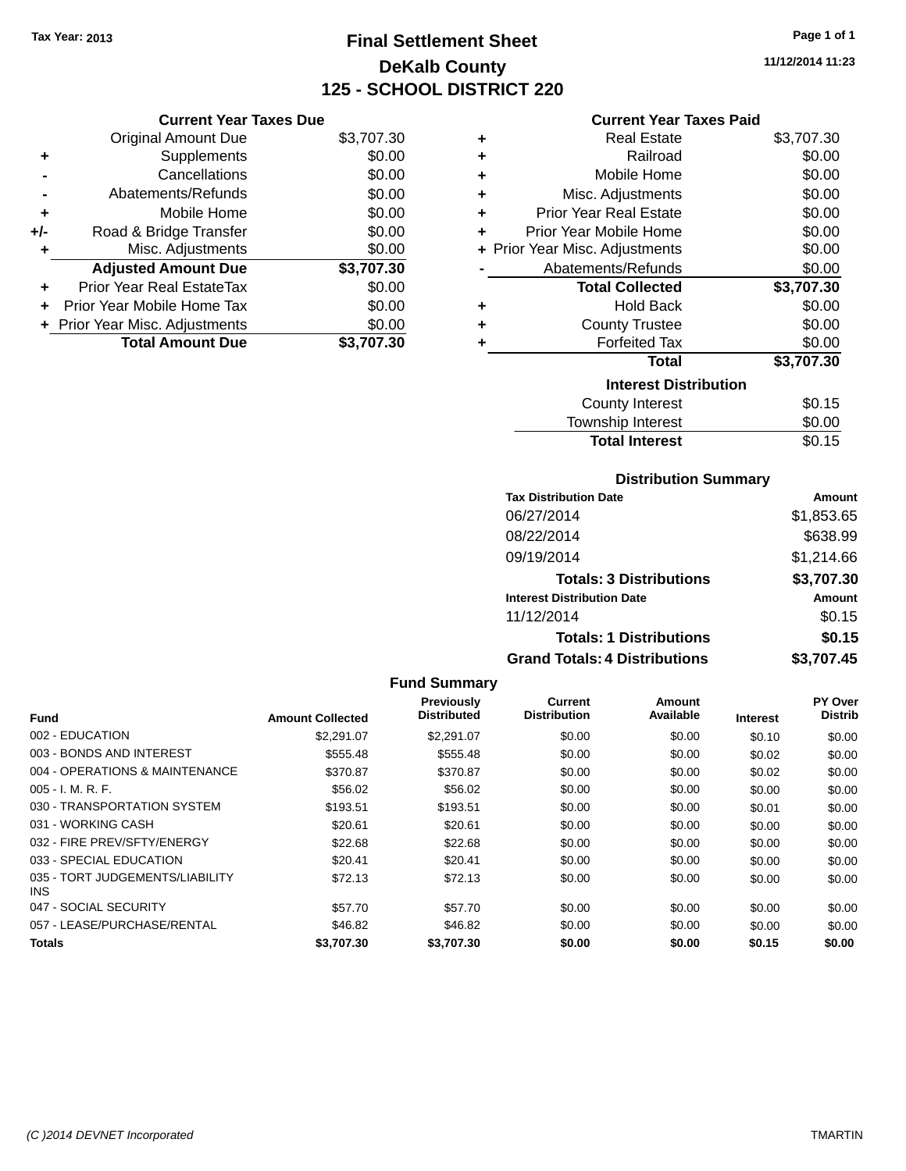### **Final Settlement Sheet Tax Year: 2013 Page 1 of 1 DeKalb County 125 - SCHOOL DISTRICT 220**

**11/12/2014 11:23**

#### **Current Year Taxes Due**

|       | <b>Total Amount Due</b>          | \$3,707.30 |
|-------|----------------------------------|------------|
|       | + Prior Year Misc. Adjustments   | \$0.00     |
| ÷     | Prior Year Mobile Home Tax       | \$0.00     |
| ÷     | <b>Prior Year Real EstateTax</b> | \$0.00     |
|       | <b>Adjusted Amount Due</b>       | \$3,707.30 |
| ٠     | Misc. Adjustments                | \$0.00     |
| $+/-$ | Road & Bridge Transfer           | \$0.00     |
| ٠     | Mobile Home                      | \$0.00     |
|       | Abatements/Refunds               | \$0.00     |
|       | Cancellations                    | \$0.00     |
| ٠     | Supplements                      | \$0.00     |
|       | <b>Original Amount Due</b>       | \$3,707.30 |
|       |                                  |            |

### **Current Year Taxes Paid**

| ٠ | Real Estate                    | \$3,707.30 |
|---|--------------------------------|------------|
| ٠ | Railroad                       | \$0.00     |
| ٠ | Mobile Home                    | \$0.00     |
| ٠ | Misc. Adjustments              | \$0.00     |
| ٠ | <b>Prior Year Real Estate</b>  | \$0.00     |
| ÷ | Prior Year Mobile Home         | \$0.00     |
|   | + Prior Year Misc. Adjustments | \$0.00     |
|   | Abatements/Refunds             | \$0.00     |
|   | <b>Total Collected</b>         | \$3,707.30 |
| ٠ | <b>Hold Back</b>               | \$0.00     |
| ÷ | <b>County Trustee</b>          | \$0.00     |
| ٠ | <b>Forfeited Tax</b>           | \$0.00     |
|   | <b>Total</b>                   | \$3,707.30 |
|   | <b>Interest Distribution</b>   |            |
|   | <b>County Interest</b>         | \$0.15     |
|   |                                |            |

### **Distribution Summary Total Interest** \$0.15

| PIJUINUUVII VUIIIIIIAI Y             |               |
|--------------------------------------|---------------|
| <b>Tax Distribution Date</b>         | <b>Amount</b> |
| 06/27/2014                           | \$1,853.65    |
| 08/22/2014                           | \$638.99      |
| 09/19/2014                           | \$1,214.66    |
| <b>Totals: 3 Distributions</b>       | \$3,707.30    |
| <b>Interest Distribution Date</b>    | <b>Amount</b> |
| 11/12/2014                           | \$0.15        |
| <b>Totals: 1 Distributions</b>       | \$0.15        |
| <b>Grand Totals: 4 Distributions</b> | \$3,707.45    |

#### **Fund Summary Fund Interest Amount Collected Distributed PY Over Distrib Amount Available Current Distribution Previously** 002 - EDUCATION \$2,291.07 \$2,291.07 \$0.00 \$0.00 \$0.10 \$0.00 003 - BONDS AND INTEREST 60.00 \$555.48 \$555.48 \$0.00 \$0.00 \$0.00 \$0.00 \$0.00 \$0.00 004 - OPERATIONS & MAINTENANCE \$370.87 \$370.87 \$370.87 \$0.00 \$0.00 \$0.02 \$0.00 005 - I. M. R. F. \$56.02 \$56.02 \$0.00 \$0.00 \$0.00 \$0.00 030 - TRANSPORTATION SYSTEM \$193.51 \$193.51 \$0.00 \$0.00 \$0.00 \$0.00 \$0.00 \$0.00 031 - WORKING CASH \$20.61 \$20.61 \$0.00 \$0.00 \$0.00 \$0.00 032 - FIRE PREV/SFTY/ENERGY \$22.68 \$0.00 \$0.00 \$0.00 \$0.00 \$0.00 033 - SPECIAL EDUCATION 60.00 \$20.41 \$20.41 \$20.41 \$0.00 \$0.00 \$0.00 \$0.00 \$0.00 035 - TORT JUDGEMENTS/LIABILITY INS \$72.13 \$72.13 \$0.00 \$0.00 \$0.00 \$0.00 047 - SOCIAL SECURITY \$57.70 \$0.00 \$0.00 \$0.00 \$0.00 \$0.00 \$0.00 057 - LEASE/PURCHASE/RENTAL \$46.82 \$0.00 \$0.00 \$0.00 \$0.00 \$0.00 **Totals \$3,707.30 \$3,707.30 \$0.00 \$0.00 \$0.15 \$0.00**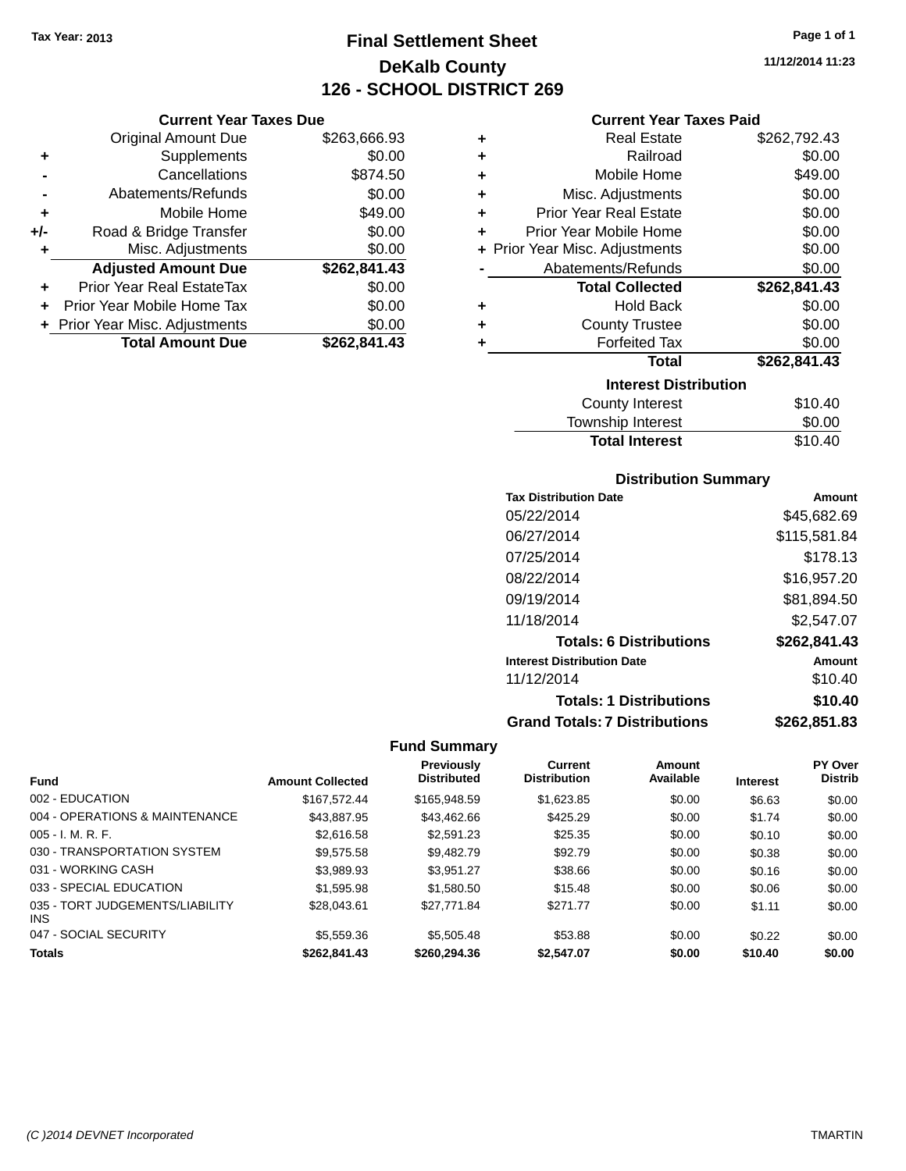**Current Year Taxes Due** Original Amount Due \$263,666.93

**Adjusted Amount Due \$262,841.43**

**Total Amount Due \$262,841.43**

**+** Supplements \$0.00 **-** Cancellations \$874.50 **-** Abatements/Refunds \$0.00 **+** Mobile Home \$49.00 **+/-** Road & Bridge Transfer \$0.00<br> **+** Misc. Adjustments \$0.00

**+** Prior Year Real EstateTax \$0.00 **+** Prior Year Mobile Home Tax \$0.00 **+ Prior Year Misc. Adjustments**  $$0.00$ 

**+** Misc. Adjustments

### **Final Settlement Sheet Tax Year: 2013 Page 1 of 1 DeKalb County 126 - SCHOOL DISTRICT 269**

**11/12/2014 11:23**

### **Current Year Taxes Paid**

| ٠ | <b>Real Estate</b>             | \$262,792.43 |
|---|--------------------------------|--------------|
| ٠ | Railroad                       | \$0.00       |
| ٠ | Mobile Home                    | \$49.00      |
| ٠ | Misc. Adjustments              | \$0.00       |
| ٠ | <b>Prior Year Real Estate</b>  | \$0.00       |
| ٠ | Prior Year Mobile Home         | \$0.00       |
|   | + Prior Year Misc. Adjustments | \$0.00       |
|   | Abatements/Refunds             | \$0.00       |
|   | <b>Total Collected</b>         | \$262,841.43 |
| ٠ | <b>Hold Back</b>               | \$0.00       |
| ٠ | <b>County Trustee</b>          | \$0.00       |
| ٠ | <b>Forfeited Tax</b>           | \$0.00       |
|   | <b>Total</b>                   | \$262,841.43 |
|   | <b>Interest Distribution</b>   |              |
|   | <b>County Interest</b>         | \$10.40      |
|   | <b>Township Interest</b>       | \$0.00       |

### **Distribution Summary**

Total Interest \$10.40

| <b>Tax Distribution Date</b>         | Amount       |
|--------------------------------------|--------------|
| 05/22/2014                           | \$45,682.69  |
| 06/27/2014                           | \$115,581.84 |
| 07/25/2014                           | \$178.13     |
| 08/22/2014                           | \$16,957.20  |
| 09/19/2014                           | \$81,894.50  |
| 11/18/2014                           | \$2,547.07   |
| <b>Totals: 6 Distributions</b>       | \$262,841.43 |
| <b>Interest Distribution Date</b>    | Amount       |
| 11/12/2014                           | \$10.40      |
| <b>Totals: 1 Distributions</b>       | \$10.40      |
| <b>Grand Totals: 7 Distributions</b> | \$262,851.83 |

| <b>Fund</b>                            | <b>Amount Collected</b> | Previously<br><b>Distributed</b> | <b>Current</b><br><b>Distribution</b> | Amount<br>Available | <b>Interest</b> | PY Over<br><b>Distrib</b> |
|----------------------------------------|-------------------------|----------------------------------|---------------------------------------|---------------------|-----------------|---------------------------|
|                                        |                         |                                  |                                       |                     |                 |                           |
| 002 - EDUCATION                        | \$167.572.44            | \$165,948,59                     | \$1,623.85                            | \$0.00              | \$6.63          | \$0.00                    |
| 004 - OPERATIONS & MAINTENANCE         | \$43,887.95             | \$43.462.66                      | \$425.29                              | \$0.00              | \$1.74          | \$0.00                    |
| $005 - I. M. R. F.$                    | \$2,616.58              | \$2,591.23                       | \$25.35                               | \$0.00              | \$0.10          | \$0.00                    |
| 030 - TRANSPORTATION SYSTEM            | \$9.575.58              | \$9.482.79                       | \$92.79                               | \$0.00              | \$0.38          | \$0.00                    |
| 031 - WORKING CASH                     | \$3.989.93              | \$3.951.27                       | \$38.66                               | \$0.00              | \$0.16          | \$0.00                    |
| 033 - SPECIAL EDUCATION                | \$1,595.98              | \$1,580.50                       | \$15.48                               | \$0.00              | \$0.06          | \$0.00                    |
| 035 - TORT JUDGEMENTS/LIABILITY<br>INS | \$28,043,61             | \$27.771.84                      | \$271.77                              | \$0.00              | \$1.11          | \$0.00                    |
| 047 - SOCIAL SECURITY                  | \$5,559.36              | \$5,505.48                       | \$53.88                               | \$0.00              | \$0.22          | \$0.00                    |
| <b>Totals</b>                          | \$262.841.43            | \$260,294,36                     | \$2,547.07                            | \$0.00              | \$10.40         | \$0.00                    |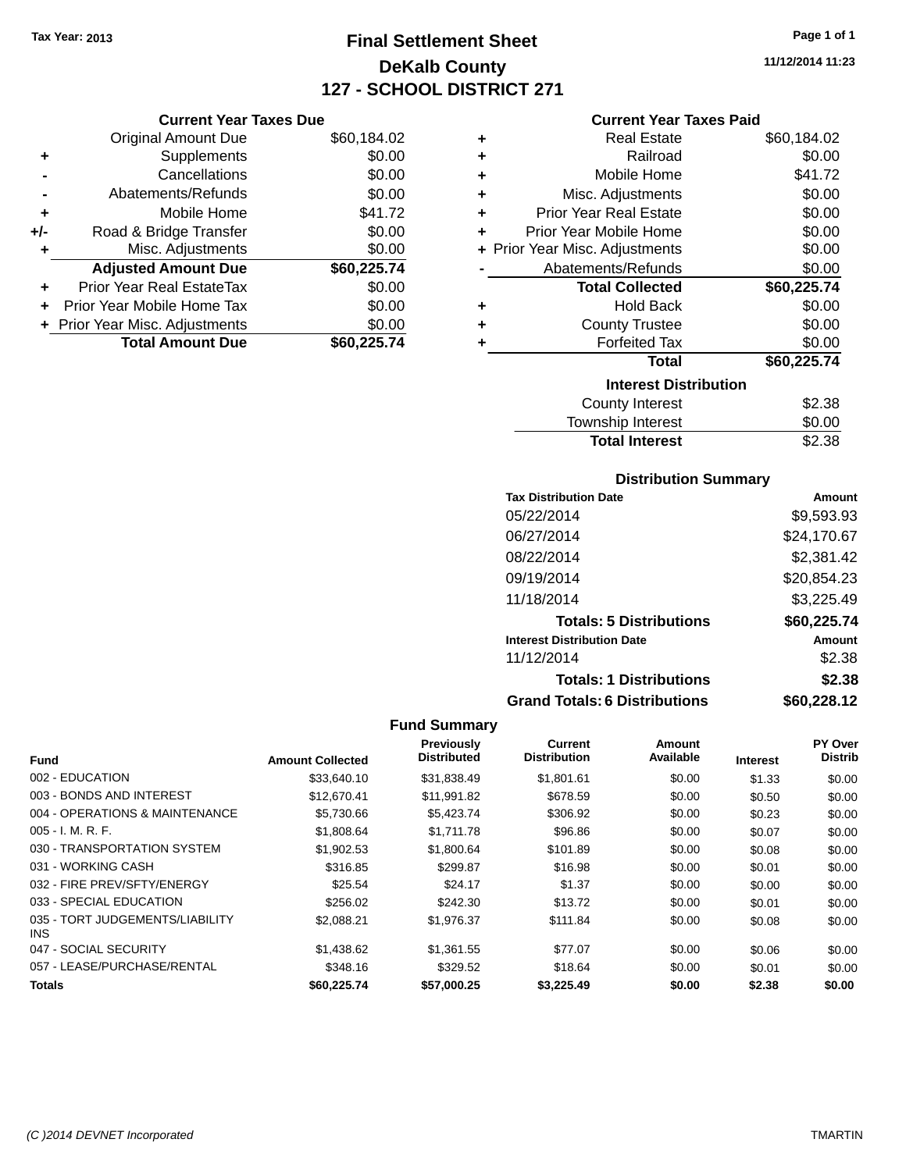### **Final Settlement Sheet Tax Year: 2013 Page 1 of 1 DeKalb County 127 - SCHOOL DISTRICT 271**

**11/12/2014 11:23**

### **Current Year Taxes Paid**

|     | <b>Current Year Taxes Due</b>  |             |
|-----|--------------------------------|-------------|
|     | <b>Original Amount Due</b>     | \$60,184.02 |
| ٠   | Supplements                    | \$0.00      |
|     | Cancellations                  | \$0.00      |
|     | Abatements/Refunds             | \$0.00      |
| ٠   | Mobile Home                    | \$41.72     |
| +/- | Road & Bridge Transfer         | \$0.00      |
|     | Misc. Adjustments              | \$0.00      |
|     | <b>Adjusted Amount Due</b>     | \$60,225.74 |
| ÷   | Prior Year Real EstateTax      | \$0.00      |
|     | Prior Year Mobile Home Tax     | \$0.00      |
|     | + Prior Year Misc. Adjustments | \$0.00      |
|     | <b>Total Amount Due</b>        | \$60,225,74 |

| ٠ | <b>Real Estate</b>             | \$60,184.02 |
|---|--------------------------------|-------------|
| ÷ | Railroad                       | \$0.00      |
| ٠ | Mobile Home                    | \$41.72     |
| ٠ | Misc. Adjustments              | \$0.00      |
| ٠ | <b>Prior Year Real Estate</b>  | \$0.00      |
| ÷ | Prior Year Mobile Home         | \$0.00      |
|   | + Prior Year Misc. Adjustments | \$0.00      |
|   | Abatements/Refunds             | \$0.00      |
|   | <b>Total Collected</b>         | \$60,225.74 |
| ٠ | <b>Hold Back</b>               | \$0.00      |
| ٠ | <b>County Trustee</b>          | \$0.00      |
| ٠ | <b>Forfeited Tax</b>           | \$0.00      |
|   | <b>Total</b>                   | \$60,225.74 |
|   | <b>Interest Distribution</b>   |             |
|   | <b>County Interest</b>         | \$2.38      |
|   | <b>Township Interest</b>       | \$0.00      |
|   | <b>Total Interest</b>          | \$2.38      |

### **Distribution Summary**

| <b>Tax Distribution Date</b>         | Amount      |
|--------------------------------------|-------------|
| 05/22/2014                           | \$9,593.93  |
| 06/27/2014                           | \$24,170.67 |
| 08/22/2014                           | \$2,381.42  |
| 09/19/2014                           | \$20,854.23 |
| 11/18/2014                           | \$3,225.49  |
| <b>Totals: 5 Distributions</b>       | \$60,225.74 |
| <b>Interest Distribution Date</b>    | Amount      |
| 11/12/2014                           | \$2.38      |
| <b>Totals: 1 Distributions</b>       | \$2.38      |
| <b>Grand Totals: 6 Distributions</b> | \$60,228.12 |

| <b>Fund</b>                                   | <b>Amount Collected</b> | Previously<br><b>Distributed</b> | Current<br><b>Distribution</b> | Amount<br>Available | <b>Interest</b> | PY Over<br><b>Distrib</b> |
|-----------------------------------------------|-------------------------|----------------------------------|--------------------------------|---------------------|-----------------|---------------------------|
| 002 - EDUCATION                               | \$33,640.10             | \$31,838.49                      | \$1,801.61                     | \$0.00              | \$1.33          | \$0.00                    |
| 003 - BONDS AND INTEREST                      | \$12,670.41             | \$11,991.82                      | \$678.59                       | \$0.00              | \$0.50          | \$0.00                    |
| 004 - OPERATIONS & MAINTENANCE                | \$5,730.66              | \$5,423.74                       | \$306.92                       | \$0.00              | \$0.23          | \$0.00                    |
| $005 - I. M. R. F.$                           | \$1,808.64              | \$1,711.78                       | \$96.86                        | \$0.00              | \$0.07          | \$0.00                    |
| 030 - TRANSPORTATION SYSTEM                   | \$1,902.53              | \$1,800.64                       | \$101.89                       | \$0.00              | \$0.08          | \$0.00                    |
| 031 - WORKING CASH                            | \$316.85                | \$299.87                         | \$16.98                        | \$0.00              | \$0.01          | \$0.00                    |
| 032 - FIRE PREV/SFTY/ENERGY                   | \$25.54                 | \$24.17                          | \$1.37                         | \$0.00              | \$0.00          | \$0.00                    |
| 033 - SPECIAL EDUCATION                       | \$256.02                | \$242.30                         | \$13.72                        | \$0.00              | \$0.01          | \$0.00                    |
| 035 - TORT JUDGEMENTS/LIABILITY<br><b>INS</b> | \$2,088.21              | \$1,976.37                       | \$111.84                       | \$0.00              | \$0.08          | \$0.00                    |
| 047 - SOCIAL SECURITY                         | \$1,438.62              | \$1,361.55                       | \$77.07                        | \$0.00              | \$0.06          | \$0.00                    |
| 057 - LEASE/PURCHASE/RENTAL                   | \$348.16                | \$329.52                         | \$18.64                        | \$0.00              | \$0.01          | \$0.00                    |
| <b>Totals</b>                                 | \$60.225.74             | \$57.000.25                      | \$3.225.49                     | \$0.00              | \$2.38          | \$0.00                    |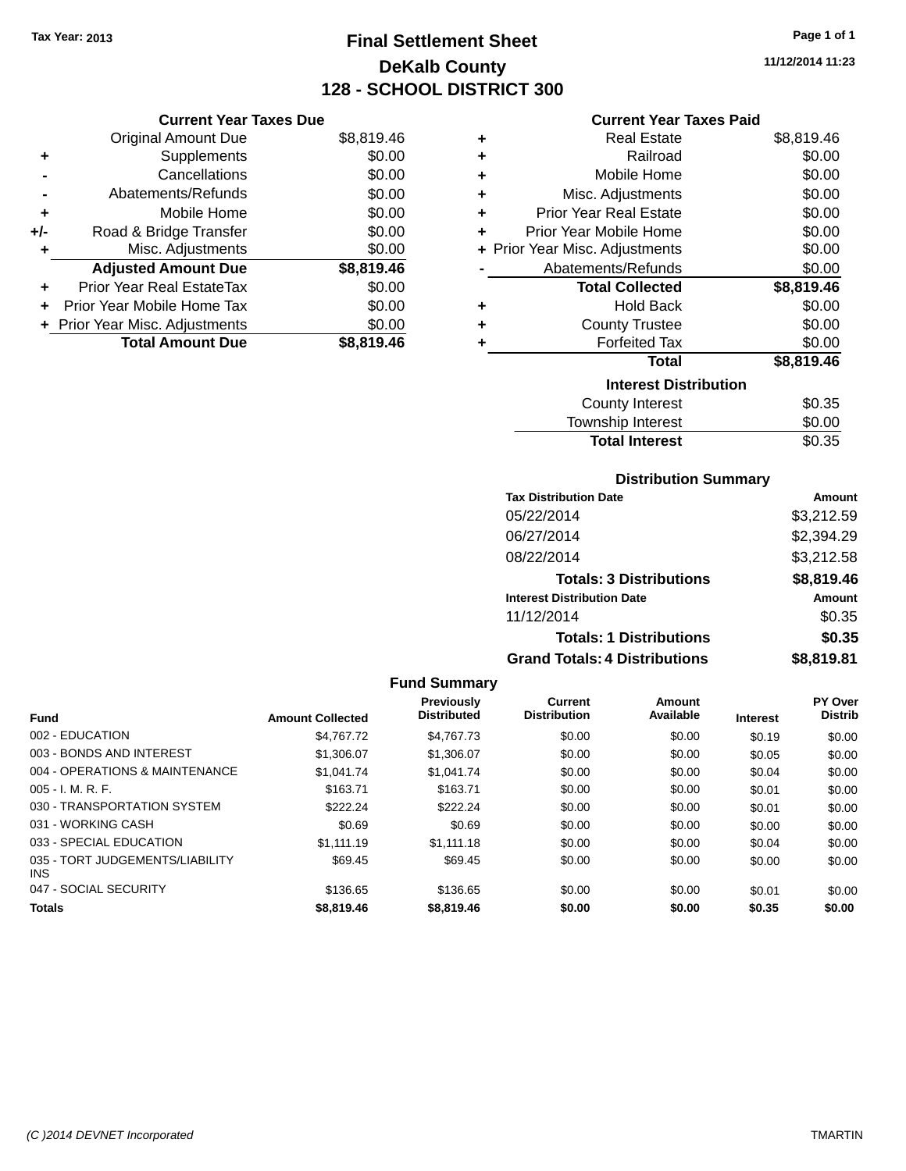### **Final Settlement Sheet Tax Year: 2013 Page 1 of 1 DeKalb County 128 - SCHOOL DISTRICT 300**

**11/12/2014 11:23**

### **Current Year Taxes Paid**

|     | <b>Current Year Taxes Due</b>  |            |
|-----|--------------------------------|------------|
|     | <b>Original Amount Due</b>     | \$8,819.46 |
| ٠   | Supplements                    | \$0.00     |
|     | Cancellations                  | \$0.00     |
|     | Abatements/Refunds             | \$0.00     |
| ٠   | Mobile Home                    | \$0.00     |
| +/- | Road & Bridge Transfer         | \$0.00     |
| ٠   | Misc. Adjustments              | \$0.00     |
|     | <b>Adjusted Amount Due</b>     | \$8,819.46 |
|     | Prior Year Real EstateTax      | \$0.00     |
| ٠   | Prior Year Mobile Home Tax     | \$0.00     |
|     | + Prior Year Misc. Adjustments | \$0.00     |
|     | <b>Total Amount Due</b>        | \$8,819.46 |

| ٠ | <b>Real Estate</b>             | \$8,819.46 |
|---|--------------------------------|------------|
| ÷ | Railroad                       | \$0.00     |
| ٠ | Mobile Home                    | \$0.00     |
| ÷ | Misc. Adjustments              | \$0.00     |
| ٠ | <b>Prior Year Real Estate</b>  | \$0.00     |
| ٠ | Prior Year Mobile Home         | \$0.00     |
|   | + Prior Year Misc. Adjustments | \$0.00     |
|   | Abatements/Refunds             | \$0.00     |
|   | <b>Total Collected</b>         | \$8,819.46 |
| ٠ | <b>Hold Back</b>               | \$0.00     |
| ٠ | <b>County Trustee</b>          | \$0.00     |
| ٠ | <b>Forfeited Tax</b>           | \$0.00     |
|   | <b>Total</b>                   | \$8,819.46 |
|   | <b>Interest Distribution</b>   |            |
|   | <b>County Interest</b>         | \$0.35     |
|   | <b>Township Interest</b>       | \$0.00     |
|   | <b>Total Interest</b>          | \$0.35     |

### **Distribution Summary**

| <b>Tax Distribution Date</b>         | Amount     |
|--------------------------------------|------------|
| 05/22/2014                           | \$3,212.59 |
| 06/27/2014                           | \$2,394.29 |
| 08/22/2014                           | \$3,212.58 |
| <b>Totals: 3 Distributions</b>       | \$8,819.46 |
| <b>Interest Distribution Date</b>    | Amount     |
| 11/12/2014                           | \$0.35     |
| <b>Totals: 1 Distributions</b>       | \$0.35     |
| <b>Grand Totals: 4 Distributions</b> | \$8,819.81 |

|                                         |                         | <b>Fund Summary</b>                     |                                       |                     |                 |                                  |
|-----------------------------------------|-------------------------|-----------------------------------------|---------------------------------------|---------------------|-----------------|----------------------------------|
| <b>Fund</b>                             | <b>Amount Collected</b> | <b>Previously</b><br><b>Distributed</b> | <b>Current</b><br><b>Distribution</b> | Amount<br>Available | <b>Interest</b> | <b>PY Over</b><br><b>Distrib</b> |
| 002 - EDUCATION                         | \$4.767.72              | \$4,767,73                              | \$0.00                                | \$0.00              | \$0.19          | \$0.00                           |
| 003 - BONDS AND INTEREST                | \$1,306.07              | \$1,306.07                              | \$0.00                                | \$0.00              | \$0.05          | \$0.00                           |
| 004 - OPERATIONS & MAINTENANCE          | \$1.041.74              | \$1,041.74                              | \$0.00                                | \$0.00              | \$0.04          | \$0.00                           |
| $005 - I. M. R. F.$                     | \$163.71                | \$163.71                                | \$0.00                                | \$0.00              | \$0.01          | \$0.00                           |
| 030 - TRANSPORTATION SYSTEM             | \$222.24                | \$222.24                                | \$0.00                                | \$0.00              | \$0.01          | \$0.00                           |
| 031 - WORKING CASH                      | \$0.69                  | \$0.69                                  | \$0.00                                | \$0.00              | \$0.00          | \$0.00                           |
| 033 - SPECIAL EDUCATION                 | \$1.111.19              | \$1.111.18                              | \$0.00                                | \$0.00              | \$0.04          | \$0.00                           |
| 035 - TORT JUDGEMENTS/LIABILITY<br>INS. | \$69.45                 | \$69.45                                 | \$0.00                                | \$0.00              | \$0.00          | \$0.00                           |
| 047 - SOCIAL SECURITY                   | \$136.65                | \$136.65                                | \$0.00                                | \$0.00              | \$0.01          | \$0.00                           |
| <b>Totals</b>                           | \$8,819.46              | \$8.819.46                              | \$0.00                                | \$0.00              | \$0.35          | \$0.00                           |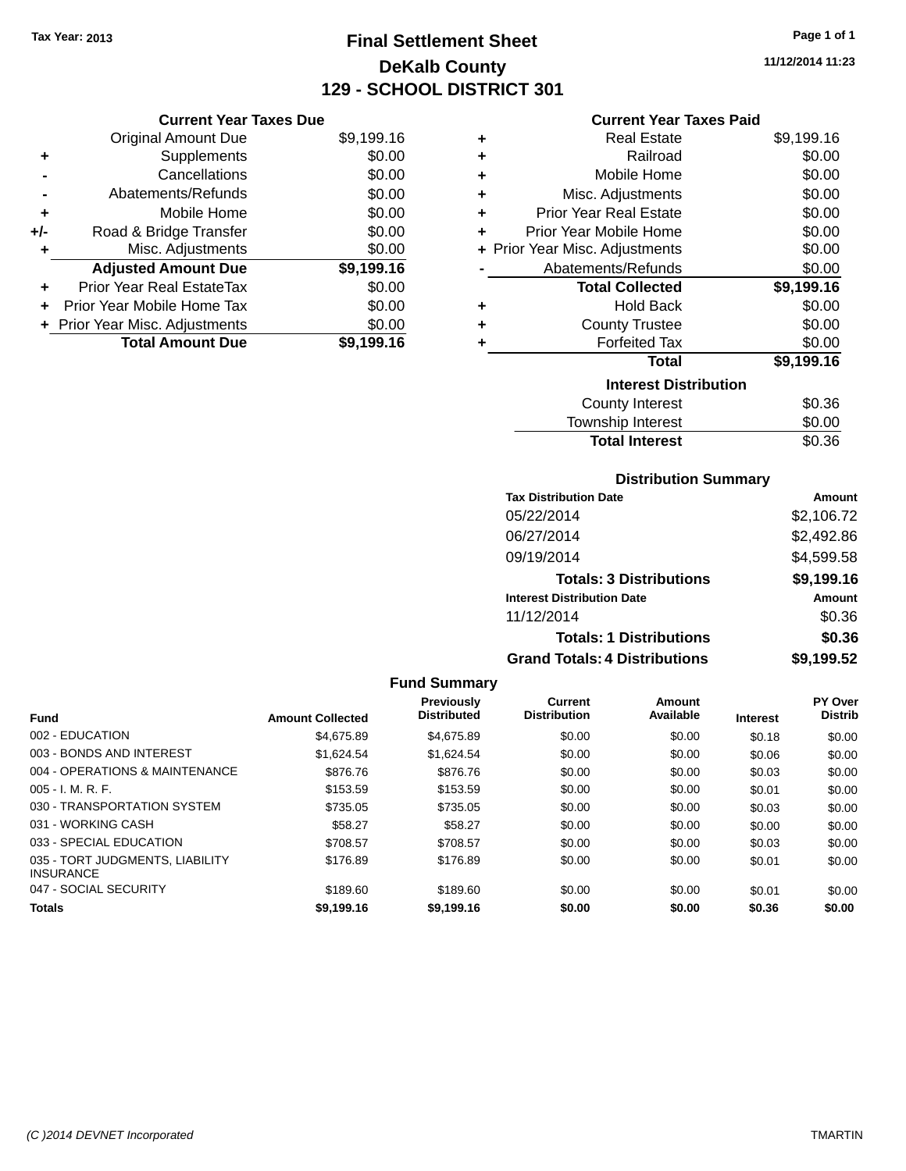### **Final Settlement Sheet Tax Year: 2013 Page 1 of 1 DeKalb County 129 - SCHOOL DISTRICT 301**

**11/12/2014 11:23**

| <b>Current Year Taxes Due</b> |  |
|-------------------------------|--|
|                               |  |

| <b>Original Amount Due</b> | \$9,199.16                     |
|----------------------------|--------------------------------|
| Supplements                | \$0.00                         |
| Cancellations              | \$0.00                         |
| Abatements/Refunds         | \$0.00                         |
| Mobile Home                | \$0.00                         |
| Road & Bridge Transfer     | \$0.00                         |
| Misc. Adjustments          | \$0.00                         |
| <b>Adjusted Amount Due</b> | \$9,199.16                     |
| Prior Year Real EstateTax  | \$0.00                         |
| Prior Year Mobile Home Tax | \$0.00                         |
|                            | \$0.00                         |
| <b>Total Amount Due</b>    | \$9,199.16                     |
|                            | + Prior Year Misc. Adjustments |

### **Current Year Taxes Paid**

| ٠ | Real Estate                    | \$9,199.16 |
|---|--------------------------------|------------|
| ٠ | Railroad                       | \$0.00     |
| ٠ | Mobile Home                    | \$0.00     |
| ÷ | Misc. Adjustments              | \$0.00     |
| ٠ | <b>Prior Year Real Estate</b>  | \$0.00     |
| ٠ | Prior Year Mobile Home         | \$0.00     |
|   | + Prior Year Misc. Adjustments | \$0.00     |
|   | Abatements/Refunds             | \$0.00     |
|   | <b>Total Collected</b>         | \$9,199.16 |
| ٠ | <b>Hold Back</b>               | \$0.00     |
| ÷ | <b>County Trustee</b>          | \$0.00     |
| ٠ | <b>Forfeited Tax</b>           | \$0.00     |
|   | <b>Total</b>                   | \$9,199.16 |
|   | <b>Interest Distribution</b>   |            |
|   | <b>County Interest</b>         | \$0.36     |
|   | <b>Township Interest</b>       | \$0.00     |
|   | <b>Total Interest</b>          | \$0.36     |

### **Distribution Summary**

| <b>Tax Distribution Date</b>         | <b>Amount</b> |
|--------------------------------------|---------------|
| 05/22/2014                           | \$2,106.72    |
| 06/27/2014                           | \$2,492.86    |
| 09/19/2014                           | \$4,599.58    |
| <b>Totals: 3 Distributions</b>       | \$9,199.16    |
| <b>Interest Distribution Date</b>    | <b>Amount</b> |
| 11/12/2014                           | \$0.36        |
| <b>Totals: 1 Distributions</b>       | \$0.36        |
| <b>Grand Totals: 4 Distributions</b> | \$9,199.52    |

|                                                     |                         | <b>Fund Summary</b>                     |                                |                     |                 |                                  |
|-----------------------------------------------------|-------------------------|-----------------------------------------|--------------------------------|---------------------|-----------------|----------------------------------|
| <b>Fund</b>                                         | <b>Amount Collected</b> | <b>Previously</b><br><b>Distributed</b> | Current<br><b>Distribution</b> | Amount<br>Available | <b>Interest</b> | <b>PY Over</b><br><b>Distrib</b> |
| 002 - EDUCATION                                     | \$4,675.89              | \$4.675.89                              | \$0.00                         | \$0.00              | \$0.18          | \$0.00                           |
| 003 - BONDS AND INTEREST                            | \$1,624.54              | \$1,624.54                              | \$0.00                         | \$0.00              | \$0.06          | \$0.00                           |
| 004 - OPERATIONS & MAINTENANCE                      | \$876.76                | \$876.76                                | \$0.00                         | \$0.00              | \$0.03          | \$0.00                           |
| $005 - I. M. R. F.$                                 | \$153.59                | \$153.59                                | \$0.00                         | \$0.00              | \$0.01          | \$0.00                           |
| 030 - TRANSPORTATION SYSTEM                         | \$735.05                | \$735.05                                | \$0.00                         | \$0.00              | \$0.03          | \$0.00                           |
| 031 - WORKING CASH                                  | \$58.27                 | \$58.27                                 | \$0.00                         | \$0.00              | \$0.00          | \$0.00                           |
| 033 - SPECIAL EDUCATION                             | \$708.57                | \$708.57                                | \$0.00                         | \$0.00              | \$0.03          | \$0.00                           |
| 035 - TORT JUDGMENTS, LIABILITY<br><b>INSURANCE</b> | \$176.89                | \$176.89                                | \$0.00                         | \$0.00              | \$0.01          | \$0.00                           |
| 047 - SOCIAL SECURITY                               | \$189.60                | \$189.60                                | \$0.00                         | \$0.00              | \$0.01          | \$0.00                           |
| <b>Totals</b>                                       | \$9,199.16              | \$9,199.16                              | \$0.00                         | \$0.00              | \$0.36          | \$0.00                           |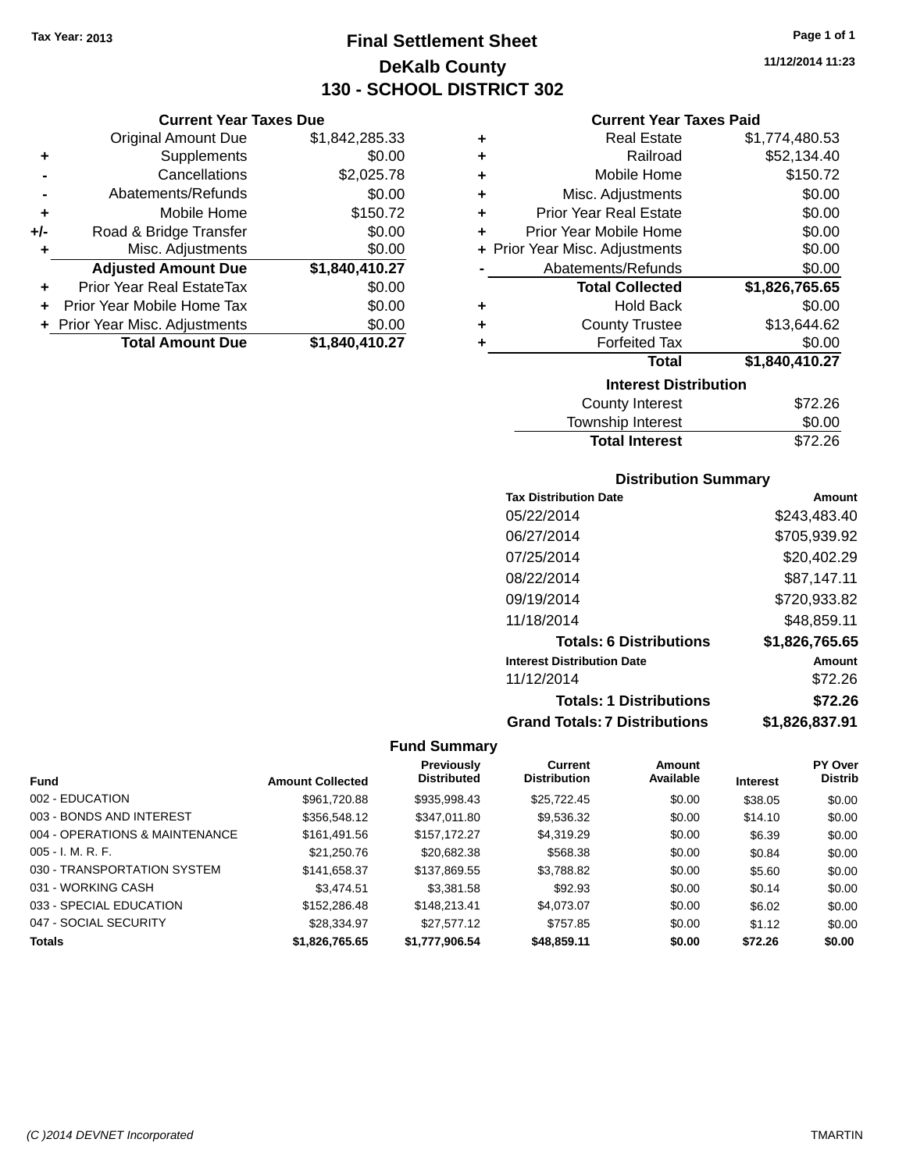**Current Year Taxes Due** Original Amount Due \$1,842,285.33

**Adjusted Amount Due \$1,840,410.27**

**Total Amount Due \$1,840,410.27**

**+** Supplements \$0.00 **-** Cancellations \$2,025.78 **-** Abatements/Refunds \$0.00 **+** Mobile Home \$150.72 **+/-** Road & Bridge Transfer \$0.00<br> **+** Misc. Adjustments \$0.00

**+** Prior Year Real EstateTax \$0.00 **+** Prior Year Mobile Home Tax \$0.00 **+ Prior Year Misc. Adjustments**  $$0.00$ 

**+** Misc. Adjustments

### **Final Settlement Sheet Tax Year: 2013 Page 1 of 1 DeKalb County 130 - SCHOOL DISTRICT 302**

|   | <b>Current Year Taxes Paid</b> |                |  |
|---|--------------------------------|----------------|--|
| ٠ | <b>Real Estate</b>             | \$1,774,480.53 |  |
| ٠ | Railroad                       | \$52,134.40    |  |
| ٠ | Mobile Home                    | \$150.72       |  |
| ٠ | Misc. Adjustments              | \$0.00         |  |
| ÷ | <b>Prior Year Real Estate</b>  | \$0.00         |  |
|   | Prior Year Mobile Home         | \$0.00         |  |
|   | + Prior Year Misc. Adjustments | \$0.00         |  |
|   | Abatements/Refunds             | \$0.00         |  |
|   | <b>Total Collected</b>         | \$1,826,765.65 |  |
| ٠ | <b>Hold Back</b>               | \$0.00         |  |
|   | <b>County Trustee</b>          | \$13,644.62    |  |
|   | <b>Forfeited Tax</b>           | \$0.00         |  |
|   | <b>Total</b>                   | \$1,840,410.27 |  |
|   | <b>Interest Distribution</b>   |                |  |
|   | <b>County Interest</b>         | \$72.26        |  |
|   |                                |                |  |

| <b>Total Interest</b> | \$72.26 |
|-----------------------|---------|
| Township Interest     | \$0.00  |
| County Interest       | \$72.26 |

### **Distribution Summary**

| Amount         |
|----------------|
| \$243.483.40   |
| \$705,939.92   |
| \$20,402.29    |
| \$87,147.11    |
| \$720,933.82   |
| \$48,859.11    |
| \$1,826,765.65 |
| Amount         |
| \$72.26        |
| \$72.26        |
| \$1.826.837.91 |
|                |

#### **Fund Summary**

|                                |                         | <b>Previously</b>  | <b>Current</b>      | Amount    |                 | PY Over        |
|--------------------------------|-------------------------|--------------------|---------------------|-----------|-----------------|----------------|
| <b>Fund</b>                    | <b>Amount Collected</b> | <b>Distributed</b> | <b>Distribution</b> | Available | <b>Interest</b> | <b>Distrib</b> |
| 002 - EDUCATION                | \$961,720.88            | \$935,998.43       | \$25,722.45         | \$0.00    | \$38.05         | \$0.00         |
| 003 - BONDS AND INTEREST       | \$356,548.12            | \$347,011.80       | \$9,536.32          | \$0.00    | \$14.10         | \$0.00         |
| 004 - OPERATIONS & MAINTENANCE | \$161,491.56            | \$157,172.27       | \$4,319.29          | \$0.00    | \$6.39          | \$0.00         |
| $005 - I. M. R. F.$            | \$21,250.76             | \$20,682.38        | \$568.38            | \$0.00    | \$0.84          | \$0.00         |
| 030 - TRANSPORTATION SYSTEM    | \$141,658.37            | \$137,869.55       | \$3,788.82          | \$0.00    | \$5.60          | \$0.00         |
| 031 - WORKING CASH             | \$3,474.51              | \$3,381.58         | \$92.93             | \$0.00    | \$0.14          | \$0.00         |
| 033 - SPECIAL EDUCATION        | \$152,286.48            | \$148,213,41       | \$4,073.07          | \$0.00    | \$6.02          | \$0.00         |
| 047 - SOCIAL SECURITY          | \$28,334.97             | \$27,577.12        | \$757.85            | \$0.00    | \$1.12          | \$0.00         |
| <b>Totals</b>                  | \$1.826.765.65          | \$1,777,906.54     | \$48,859.11         | \$0.00    | \$72.26         | \$0.00         |

**11/12/2014 11:23**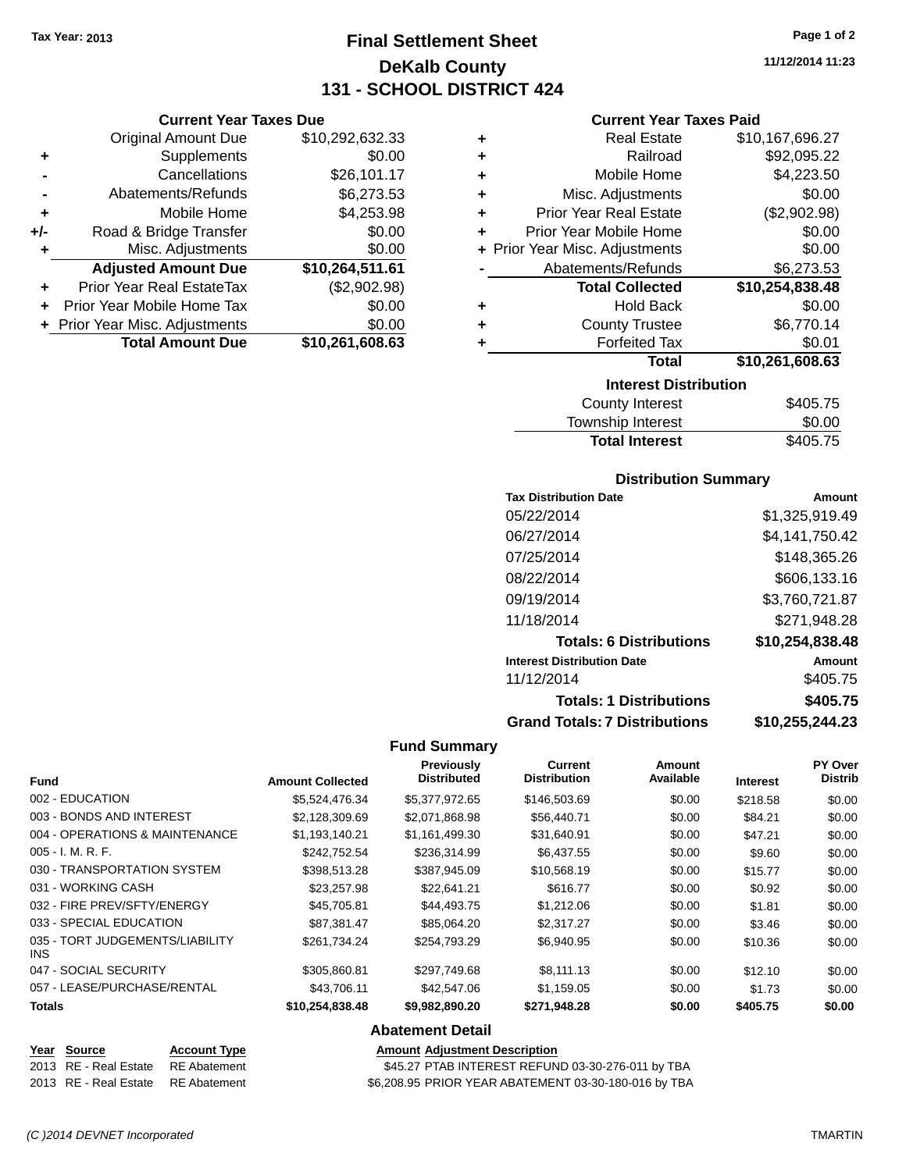**Current Year Taxes Due** Original Amount Due \$10,292,632.33

**Adjusted Amount Due \$10,264,511.61**

**Total Amount Due \$10,261,608.63**

**+** Supplements \$0.00 **-** Cancellations \$26,101.17 **-** Abatements/Refunds \$6,273.53 **+** Mobile Home \$4,253.98 **+/-** Road & Bridge Transfer \$0.00 **+** Misc. Adjustments \$0.00

**+** Prior Year Real EstateTax (\$2,902.98) **+** Prior Year Mobile Home Tax \$0.00 **+** Prior Year Misc. Adjustments  $$0.00$ 

### **Final Settlement Sheet Tax Year: 2013 Page 1 of 2 DeKalb County 131 - SCHOOL DISTRICT 424**

**11/12/2014 11:23**

#### **Current Year Taxes Paid**

| + Prior Year Misc. Adjustments<br>Abatements/Refunds<br><b>Total Collected</b><br><b>Hold Back</b><br><b>County Trustee</b><br><b>Forfeited Tax</b><br><b>Total</b> | \$0.00<br>\$6,273.53<br>\$10,254,838.48<br>\$0.00<br>\$6,770.14<br>\$0.01<br>\$10,261,608.63 |
|---------------------------------------------------------------------------------------------------------------------------------------------------------------------|----------------------------------------------------------------------------------------------|
|                                                                                                                                                                     |                                                                                              |
|                                                                                                                                                                     |                                                                                              |
|                                                                                                                                                                     |                                                                                              |
|                                                                                                                                                                     |                                                                                              |
|                                                                                                                                                                     |                                                                                              |
|                                                                                                                                                                     |                                                                                              |
|                                                                                                                                                                     |                                                                                              |
| Prior Year Mobile Home                                                                                                                                              | \$0.00                                                                                       |
| <b>Prior Year Real Estate</b>                                                                                                                                       | (\$2,902.98)                                                                                 |
| Misc. Adjustments                                                                                                                                                   | \$0.00                                                                                       |
| Mobile Home                                                                                                                                                         | \$4,223.50                                                                                   |
| Railroad                                                                                                                                                            | \$92,095.22                                                                                  |
| <b>Real Estate</b>                                                                                                                                                  | \$10,167,696.27                                                                              |
|                                                                                                                                                                     |                                                                                              |

| <b>County Interest</b> | \$405.75 |
|------------------------|----------|
| Township Interest      | \$0.00   |
| <b>Total Interest</b>  | \$405.75 |
|                        |          |

#### **Distribution Summary**

| <b>Tax Distribution Date</b>         | Amount          |
|--------------------------------------|-----------------|
| 05/22/2014                           | \$1,325,919.49  |
| 06/27/2014                           | \$4,141,750.42  |
| 07/25/2014                           | \$148,365.26    |
| 08/22/2014                           | \$606,133.16    |
| 09/19/2014                           | \$3,760,721.87  |
| 11/18/2014                           | \$271,948.28    |
| <b>Totals: 6 Distributions</b>       | \$10,254,838.48 |
| <b>Interest Distribution Date</b>    | Amount          |
| 11/12/2014                           | \$405.75        |
| <b>Totals: 1 Distributions</b>       | \$405.75        |
| <b>Grand Totals: 7 Distributions</b> | \$10,255,244.23 |

#### **Fund Summary**

| <b>Fund</b>                             | <b>Amount Collected</b> | <b>Previously</b><br><b>Distributed</b> | <b>Current</b><br><b>Distribution</b> | Amount<br>Available | <b>Interest</b> | PY Over<br><b>Distrib</b> |
|-----------------------------------------|-------------------------|-----------------------------------------|---------------------------------------|---------------------|-----------------|---------------------------|
| 002 - EDUCATION                         | \$5.524.476.34          | \$5,377,972.65                          | \$146,503.69                          | \$0.00              | \$218.58        | \$0.00                    |
| 003 - BONDS AND INTEREST                | \$2.128.309.69          | \$2,071,868.98                          | \$56,440.71                           | \$0.00              | \$84.21         | \$0.00                    |
| 004 - OPERATIONS & MAINTENANCE          | \$1,193,140.21          | \$1,161,499.30                          | \$31,640.91                           | \$0.00              | \$47.21         | \$0.00                    |
| 005 - I. M. R. F.                       | \$242,752.54            | \$236,314.99                            | \$6,437.55                            | \$0.00              | \$9.60          | \$0.00                    |
| 030 - TRANSPORTATION SYSTEM             | \$398,513.28            | \$387,945.09                            | \$10,568.19                           | \$0.00              | \$15.77         | \$0.00                    |
| 031 - WORKING CASH                      | \$23,257.98             | \$22.641.21                             | \$616.77                              | \$0.00              | \$0.92          | \$0.00                    |
| 032 - FIRE PREV/SFTY/ENERGY             | \$45.705.81             | \$44,493.75                             | \$1,212.06                            | \$0.00              | \$1.81          | \$0.00                    |
| 033 - SPECIAL EDUCATION                 | \$87.381.47             | \$85,064.20                             | \$2,317.27                            | \$0.00              | \$3.46          | \$0.00                    |
| 035 - TORT JUDGEMENTS/LIABILITY<br>INS. | \$261.734.24            | \$254,793.29                            | \$6,940.95                            | \$0.00              | \$10.36         | \$0.00                    |
| 047 - SOCIAL SECURITY                   | \$305,860.81            | \$297,749.68                            | \$8,111.13                            | \$0.00              | \$12.10         | \$0.00                    |
| 057 - LEASE/PURCHASE/RENTAL             | \$43,706.11             | \$42,547.06                             | \$1,159.05                            | \$0.00              | \$1.73          | \$0.00                    |
| <b>Totals</b>                           | \$10,254,838.48         | \$9,982,890.20                          | \$271,948.28                          | \$0.00              | \$405.75        | \$0.00                    |

### **Abatement Detail**

# **Year Source Account Type Amount Adjustment Description**

2013 RE - Real Estate RE Abatement \$45.27 PTAB INTEREST REFUND 03-30-276-011 by TBA 2013 RE - Real Estate RE Abatement \$6,208.95 PRIOR YEAR ABATEMENT 03-30-180-016 by TBA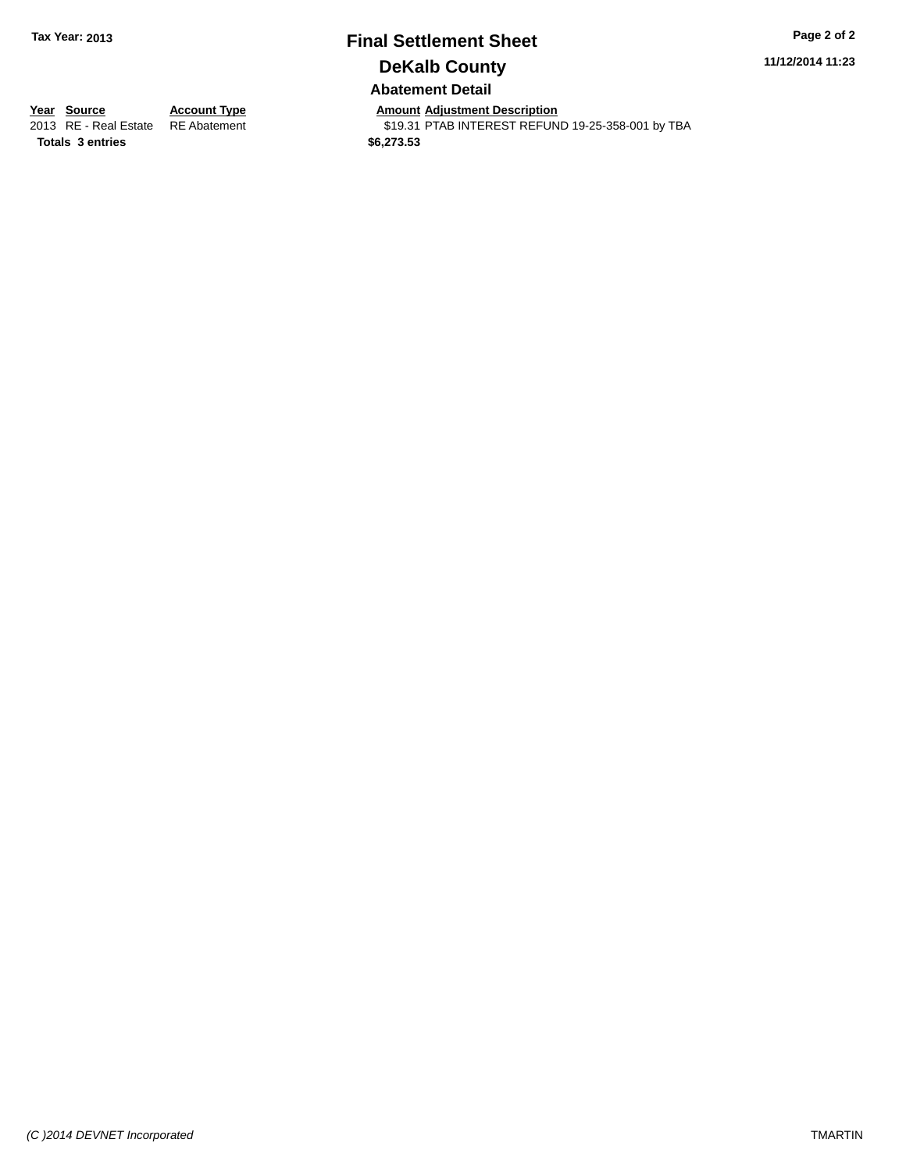# **Final Settlement Sheet Tax Year: 2013 Page 2 of 2 DeKalb County**

**11/12/2014 11:23**

**Abatement Detail**

**Totals \$6,273.53 3 entries**

**Year Source Account Type Anneunt Adjustment Description**<br>
2013 RE - Real Estate RE Abatement **Account 1998 ADDER** S19.31 PTAB INTEREST REFUN

\$19.31 PTAB INTEREST REFUND 19-25-358-001 by TBA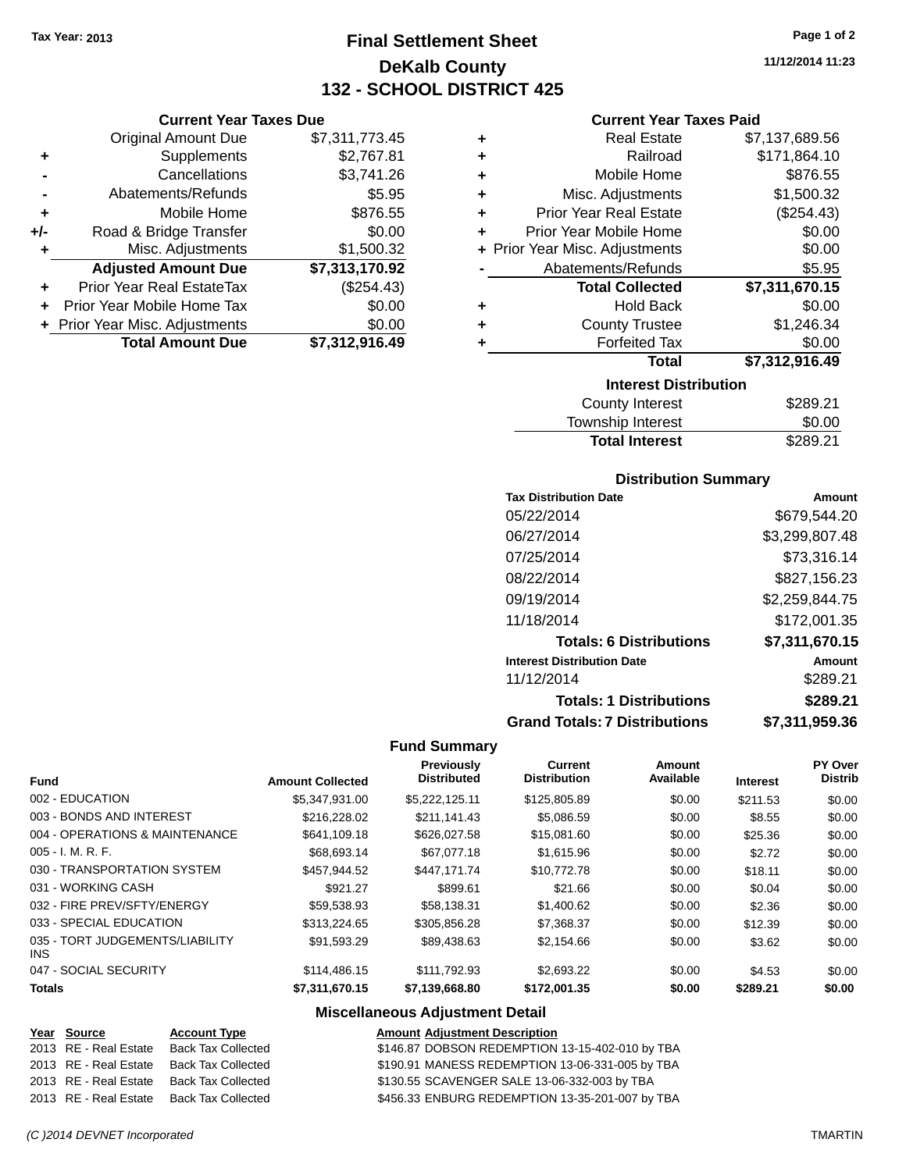**Current Year Taxes Due** Original Amount Due \$7,311,773.45

**Adjusted Amount Due \$7,313,170.92**

**+** Supplements \$2,767.81 **-** Cancellations \$3,741.26 **-** Abatements/Refunds **\$5.95 +** Mobile Home \$876.55 **+/-** Road & Bridge Transfer \$0.00<br>**+** Misc. Adjustments \$1,500.32

**+** Prior Year Real EstateTax (\$254.43) **+** Prior Year Mobile Home Tax \$0.00 **+** Prior Year Misc. Adjustments \$0.00<br>**Total Amount Due** \$7,312,916.49

**Total Amount Due** 

**+** Misc. Adjustments

### **Final Settlement Sheet Tax Year: 2013 Page 1 of 2 DeKalb County 132 - SCHOOL DISTRICT 425**

**11/12/2014 11:23**

### **Current Year Taxes Paid**

| ٠ | <b>Real Estate</b>                 | \$7,137,689.56 |  |  |  |
|---|------------------------------------|----------------|--|--|--|
|   |                                    |                |  |  |  |
| ٠ | Railroad                           | \$171,864.10   |  |  |  |
| ٠ | Mobile Home                        | \$876.55       |  |  |  |
| ٠ | Misc. Adjustments                  | \$1,500.32     |  |  |  |
| ٠ | <b>Prior Year Real Estate</b>      | (\$254.43)     |  |  |  |
| ٠ | Prior Year Mobile Home             | \$0.00         |  |  |  |
|   | + Prior Year Misc. Adjustments     | \$0.00         |  |  |  |
|   | Abatements/Refunds                 | \$5.95         |  |  |  |
|   | <b>Total Collected</b>             | \$7,311,670.15 |  |  |  |
| ٠ | <b>Hold Back</b>                   | \$0.00         |  |  |  |
| ٠ | <b>County Trustee</b>              | \$1,246.34     |  |  |  |
| ٠ | <b>Forfeited Tax</b>               | \$0.00         |  |  |  |
|   | Total                              | \$7,312,916.49 |  |  |  |
|   | <b>Interest Distribution</b>       |                |  |  |  |
|   | <b>County Interest</b><br>\$289.21 |                |  |  |  |

| <b>Total Interest</b>  | \$289.21 |
|------------------------|----------|
| Township Interest      | \$0.00   |
| <b>County Interest</b> | \$289.21 |

### **Distribution Summary**

| <b>Tax Distribution Date</b>         | Amount         |
|--------------------------------------|----------------|
| 05/22/2014                           | \$679.544.20   |
| 06/27/2014                           | \$3,299,807.48 |
| 07/25/2014                           | \$73,316.14    |
| 08/22/2014                           | \$827,156.23   |
| 09/19/2014                           | \$2,259,844.75 |
| 11/18/2014                           | \$172,001.35   |
| <b>Totals: 6 Distributions</b>       | \$7,311,670.15 |
| <b>Interest Distribution Date</b>    | Amount         |
| 11/12/2014                           | \$289.21       |
| <b>Totals: 1 Distributions</b>       | \$289.21       |
| <b>Grand Totals: 7 Distributions</b> | \$7,311,959.36 |

#### **Fund Summary**

| <b>Fund</b>                             | <b>Amount Collected</b> | Previously<br><b>Distributed</b> | <b>Current</b><br><b>Distribution</b> | Amount<br>Available | <b>Interest</b> | PY Over<br><b>Distrib</b> |
|-----------------------------------------|-------------------------|----------------------------------|---------------------------------------|---------------------|-----------------|---------------------------|
| 002 - EDUCATION                         | \$5,347,931.00          | \$5,222,125.11                   | \$125,805.89                          | \$0.00              | \$211.53        | \$0.00                    |
| 003 - BONDS AND INTEREST                | \$216,228.02            | \$211.141.43                     | \$5.086.59                            | \$0.00              | \$8.55          | \$0.00                    |
| 004 - OPERATIONS & MAINTENANCE          | \$641,109.18            | \$626,027.58                     | \$15,081.60                           | \$0.00              | \$25.36         | \$0.00                    |
| $005 - I. M. R. F.$                     | \$68,693.14             | \$67,077.18                      | \$1,615.96                            | \$0.00              | \$2.72          | \$0.00                    |
| 030 - TRANSPORTATION SYSTEM             | \$457.944.52            | \$447.171.74                     | \$10.772.78                           | \$0.00              | \$18.11         | \$0.00                    |
| 031 - WORKING CASH                      | \$921.27                | \$899.61                         | \$21.66                               | \$0.00              | \$0.04          | \$0.00                    |
| 032 - FIRE PREV/SFTY/ENERGY             | \$59.538.93             | \$58.138.31                      | \$1,400.62                            | \$0.00              | \$2.36          | \$0.00                    |
| 033 - SPECIAL EDUCATION                 | \$313.224.65            | \$305,856.28                     | \$7,368.37                            | \$0.00              | \$12.39         | \$0.00                    |
| 035 - TORT JUDGEMENTS/LIABILITY<br>INS. | \$91.593.29             | \$89.438.63                      | \$2,154.66                            | \$0.00              | \$3.62          | \$0.00                    |
| 047 - SOCIAL SECURITY                   | \$114,486.15            | \$111.792.93                     | \$2,693.22                            | \$0.00              | \$4.53          | \$0.00                    |
| <b>Totals</b>                           | \$7,311,670.15          | \$7,139,668.80                   | \$172,001.35                          | \$0.00              | \$289.21        | \$0.00                    |

#### **Miscellaneous Adjustment Detail**

#### **Year Source Account Type Amount Adjustment Description**

|                       | .                  |                                                 |
|-----------------------|--------------------|-------------------------------------------------|
| 2013 RE - Real Estate | Back Tax Collected | \$146.87 DOBSON REDEMPTION 13-15-402-010 by TBA |
| 2013 RE - Real Estate | Back Tax Collected | \$190.91 MANESS REDEMPTION 13-06-331-005 by TBA |
| 2013 RE - Real Estate | Back Tax Collected | \$130.55 SCAVENGER SALE 13-06-332-003 by TBA    |
| 2013 RE - Real Estate | Back Tax Collected | \$456.33 ENBURG REDEMPTION 13-35-201-007 by TBA |

#### *(C )2014 DEVNET Incorporated* TMARTIN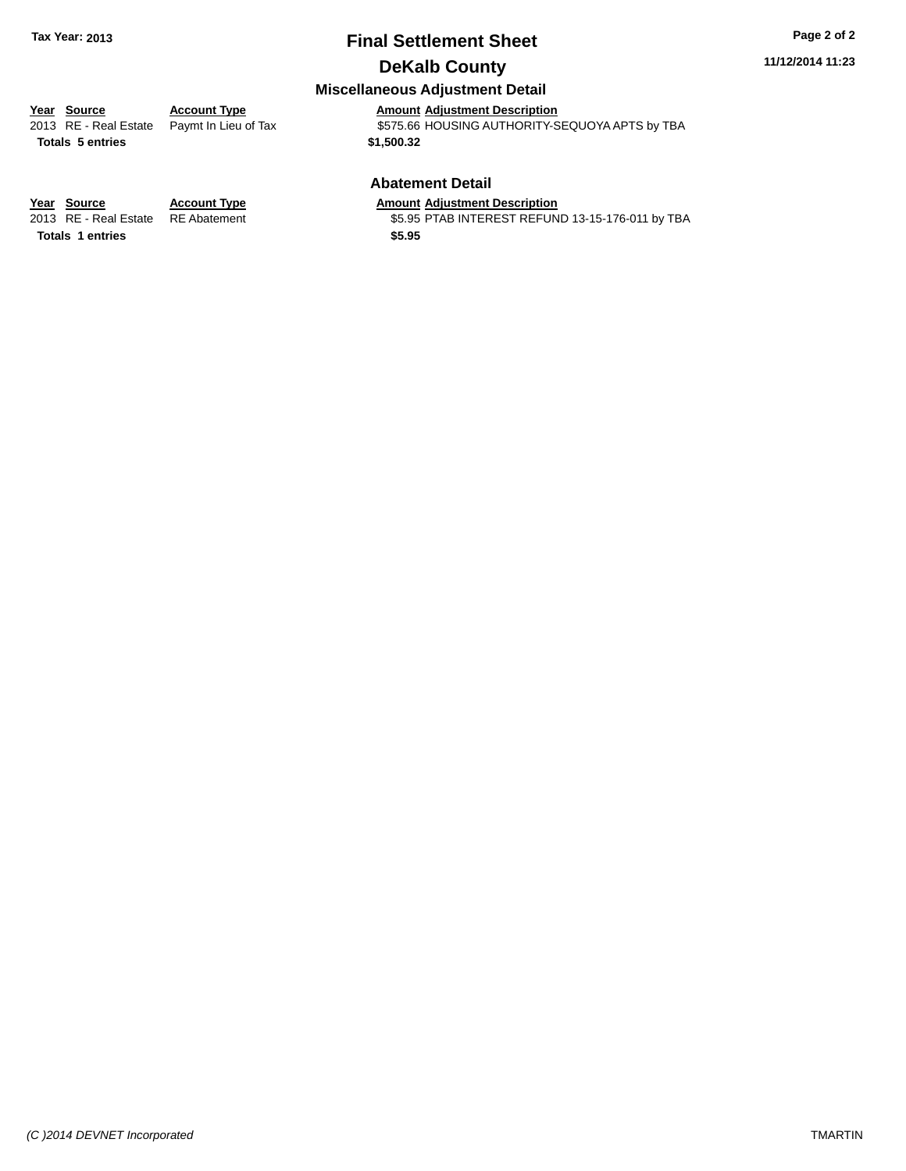### **Final Settlement Sheet Tax Year: 2013 Page 2 of 2**

### **DeKalb County**

**11/12/2014 11:23**

### **Miscellaneous Adjustment Detail**

**Totals \$1,500.32 5 entries**

**Year** Source **Account Type And Amount Adjustment Description** 

2013 RE - Real Estate Paymt In Lieu of Tax **\$575.66 HOUSING AUTHORITY-SEQUOYA APTS by TBA** 

### **Abatement Detail**

\$5.95 PTAB INTEREST REFUND 13-15-176-011 by TBA

**Year Source Account Type Amount Adjustment Description Totals \$5.95 1 entries**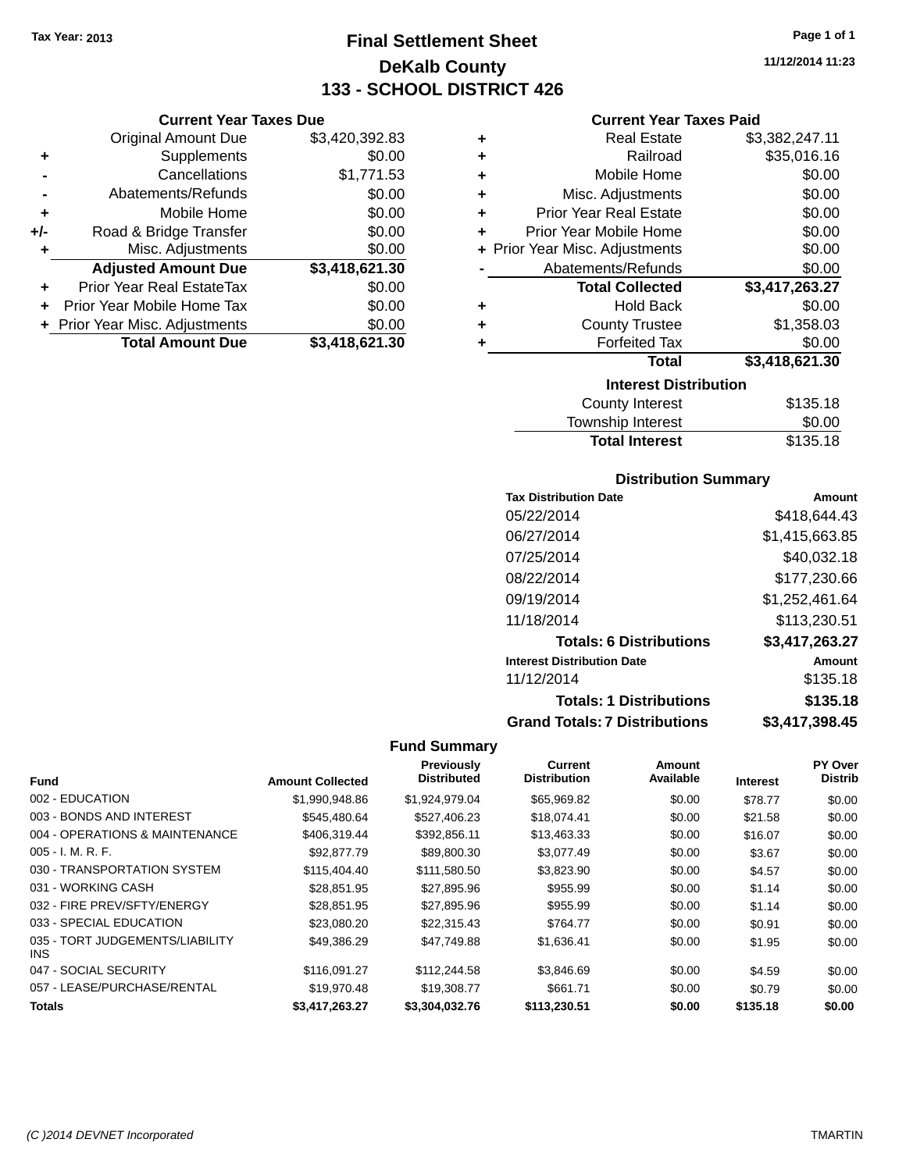**Current Year Taxes Due** Original Amount Due \$3,420,392.83

**Adjusted Amount Due \$3,418,621.30**

**Total Amount Due \$3,418,621.30**

**+** Supplements \$0.00 **-** Cancellations \$1,771.53 **-** Abatements/Refunds \$0.00 **+** Mobile Home \$0.00 **+/-** Road & Bridge Transfer \$0.00 **+** Misc. Adjustments \$0.00

**+** Prior Year Real EstateTax \$0.00 **+** Prior Year Mobile Home Tax \$0.00 **+ Prior Year Misc. Adjustments**  $$0.00$ 

### **Final Settlement Sheet Tax Year: 2013 Page 1 of 1 DeKalb County 133 - SCHOOL DISTRICT 426**

**11/12/2014 11:23**

### **Current Year Taxes Paid**

| ٠ | <b>Real Estate</b>             | \$3,382,247.11 |
|---|--------------------------------|----------------|
| ÷ | Railroad                       | \$35,016.16    |
| ÷ | Mobile Home                    | \$0.00         |
| ÷ | Misc. Adjustments              | \$0.00         |
| ÷ | <b>Prior Year Real Estate</b>  | \$0.00         |
| ÷ | Prior Year Mobile Home         | \$0.00         |
|   | + Prior Year Misc. Adjustments | \$0.00         |
|   | Abatements/Refunds             | \$0.00         |
|   | <b>Total Collected</b>         | \$3,417,263.27 |
| ٠ | <b>Hold Back</b>               | \$0.00         |
| ٠ | <b>County Trustee</b>          | \$1,358.03     |
| ٠ | <b>Forfeited Tax</b>           | \$0.00         |
|   | <b>Total</b>                   | \$3,418,621.30 |
|   | <b>Interest Distribution</b>   |                |
|   | <b>County Interest</b>         | \$135.18       |

| <b>County Interest</b> | \$135.18 |
|------------------------|----------|
| Township Interest      | \$0.00   |
| <b>Total Interest</b>  | \$135.18 |

### **Distribution Summary**

| <b>Tax Distribution Date</b>         | Amount         |
|--------------------------------------|----------------|
| 05/22/2014                           | \$418,644.43   |
| 06/27/2014                           | \$1,415,663.85 |
| 07/25/2014                           | \$40,032.18    |
| 08/22/2014                           | \$177,230.66   |
| 09/19/2014                           | \$1,252,461.64 |
| 11/18/2014                           | \$113,230.51   |
| <b>Totals: 6 Distributions</b>       | \$3,417,263.27 |
| <b>Interest Distribution Date</b>    | Amount         |
| 11/12/2014                           | \$135.18       |
| <b>Totals: 1 Distributions</b>       | \$135.18       |
| <b>Grand Totals: 7 Distributions</b> | \$3,417,398.45 |

|                                         |                         | <b>Previously</b>  | Current             | Amount    |                 | PY Over        |
|-----------------------------------------|-------------------------|--------------------|---------------------|-----------|-----------------|----------------|
| <b>Fund</b>                             | <b>Amount Collected</b> | <b>Distributed</b> | <b>Distribution</b> | Available | <b>Interest</b> | <b>Distrib</b> |
| 002 - EDUCATION                         | \$1,990,948.86          | \$1,924,979.04     | \$65,969.82         | \$0.00    | \$78.77         | \$0.00         |
| 003 - BONDS AND INTEREST                | \$545.480.64            | \$527,406.23       | \$18,074.41         | \$0.00    | \$21.58         | \$0.00         |
| 004 - OPERATIONS & MAINTENANCE          | \$406,319.44            | \$392,856.11       | \$13,463.33         | \$0.00    | \$16.07         | \$0.00         |
| $005 - I. M. R. F.$                     | \$92,877.79             | \$89,800.30        | \$3,077.49          | \$0.00    | \$3.67          | \$0.00         |
| 030 - TRANSPORTATION SYSTEM             | \$115,404.40            | \$111,580.50       | \$3,823.90          | \$0.00    | \$4.57          | \$0.00         |
| 031 - WORKING CASH                      | \$28.851.95             | \$27,895.96        | \$955.99            | \$0.00    | \$1.14          | \$0.00         |
| 032 - FIRE PREV/SFTY/ENERGY             | \$28.851.95             | \$27,895.96        | \$955.99            | \$0.00    | \$1.14          | \$0.00         |
| 033 - SPECIAL EDUCATION                 | \$23,080.20             | \$22,315.43        | \$764.77            | \$0.00    | \$0.91          | \$0.00         |
| 035 - TORT JUDGEMENTS/LIABILITY<br>INS. | \$49,386.29             | \$47,749.88        | \$1,636.41          | \$0.00    | \$1.95          | \$0.00         |
| 047 - SOCIAL SECURITY                   | \$116.091.27            | \$112,244.58       | \$3,846.69          | \$0.00    | \$4.59          | \$0.00         |
| 057 - LEASE/PURCHASE/RENTAL             | \$19,970.48             | \$19,308.77        | \$661.71            | \$0.00    | \$0.79          | \$0.00         |
| <b>Totals</b>                           | \$3,417,263,27          | \$3.304.032.76     | \$113,230.51        | \$0.00    | \$135.18        | \$0.00         |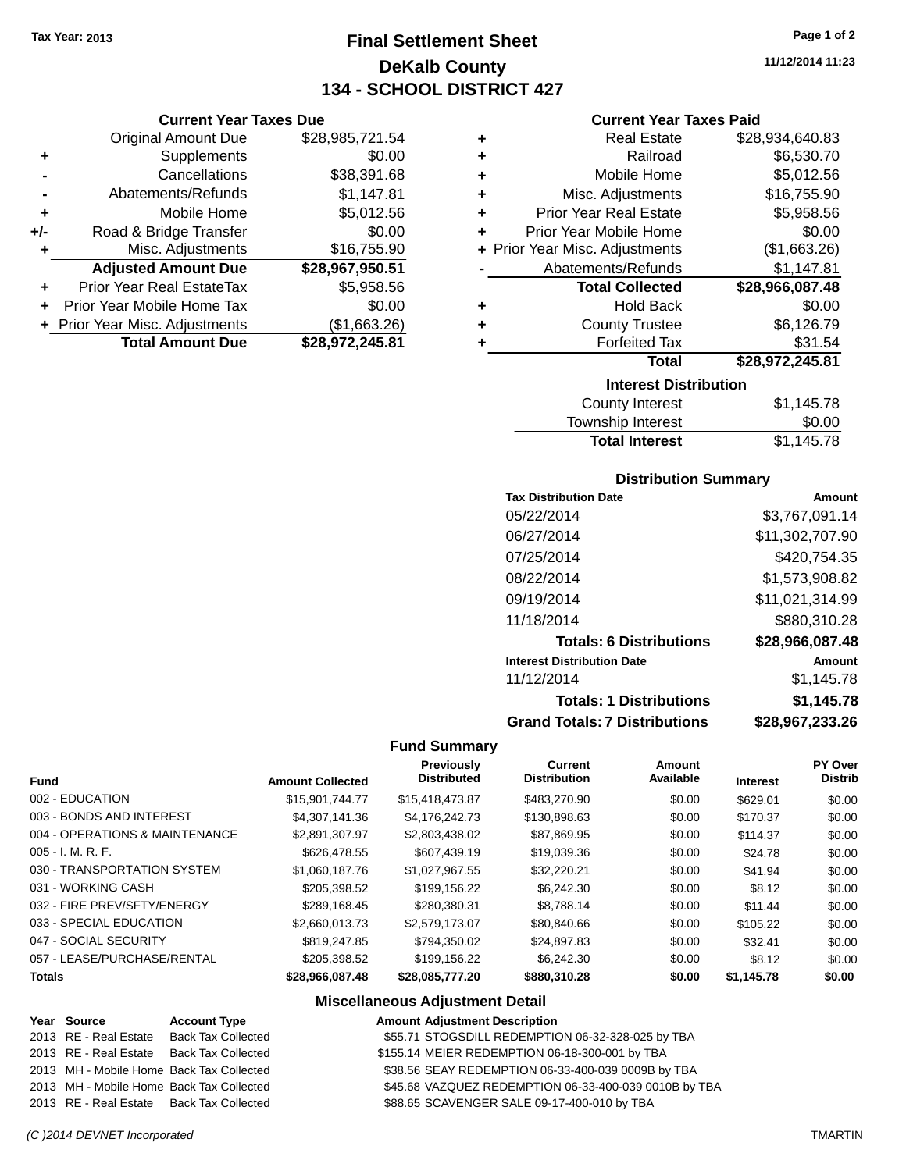**Current Year Taxes Due** Original Amount Due \$28,985,721.54

**Adjusted Amount Due \$28,967,950.51**

**Total Amount Due \$28,972,245.81**

**+** Supplements \$0.00 **-** Cancellations \$38,391.68 **-** Abatements/Refunds \$1,147.81 **+** Mobile Home \$5,012.56 **+/-** Road & Bridge Transfer \$0.00 **+** Misc. Adjustments \$16,755.90

**+** Prior Year Real EstateTax \$5,958.56 **+** Prior Year Mobile Home Tax \$0.00 **+** Prior Year Misc. Adjustments (\$1,663.26)

### **Final Settlement Sheet Tax Year: 2013 Page 1 of 2 DeKalb County 134 - SCHOOL DISTRICT 427**

**11/12/2014 11:23**

#### **Current Year Taxes Paid**

|   | <b>Interest Distribution</b>   |                 |
|---|--------------------------------|-----------------|
|   | <b>Total</b>                   | \$28,972,245.81 |
|   | <b>Forfeited Tax</b>           | \$31.54         |
| ٠ | <b>County Trustee</b>          | \$6,126.79      |
| ٠ | <b>Hold Back</b>               | \$0.00          |
|   | <b>Total Collected</b>         | \$28,966,087.48 |
|   | Abatements/Refunds             | \$1,147.81      |
|   | + Prior Year Misc. Adjustments | (\$1,663.26)    |
| ٠ | Prior Year Mobile Home         | \$0.00          |
| ٠ | <b>Prior Year Real Estate</b>  | \$5,958.56      |
| ٠ | Misc. Adjustments              | \$16,755.90     |
| ٠ | Mobile Home                    | \$5,012.56      |
| ٠ | Railroad                       | \$6,530.70      |
| ٠ | <b>Real Estate</b>             | \$28,934,640.83 |
|   |                                |                 |

| <b>County Interest</b> | \$1,145.78 |
|------------------------|------------|
| Township Interest      | \$0.00     |
| <b>Total Interest</b>  | \$1,145.78 |
|                        |            |

#### **Distribution Summary**

| <b>Tax Distribution Date</b>         | Amount          |
|--------------------------------------|-----------------|
| 05/22/2014                           | \$3,767,091.14  |
| 06/27/2014                           | \$11,302,707.90 |
| 07/25/2014                           | \$420.754.35    |
| 08/22/2014                           | \$1,573,908.82  |
| 09/19/2014                           | \$11,021,314.99 |
| 11/18/2014                           | \$880,310.28    |
| <b>Totals: 6 Distributions</b>       | \$28,966,087.48 |
| <b>Interest Distribution Date</b>    | Amount          |
| 11/12/2014                           | \$1,145.78      |
| <b>Totals: 1 Distributions</b>       | \$1,145.78      |
| <b>Grand Totals: 7 Distributions</b> | \$28,967,233.26 |

#### **Fund Summary**

| <b>Fund</b>                    | <b>Amount Collected</b> | <b>Previously</b><br><b>Distributed</b> | <b>Current</b><br><b>Distribution</b> | <b>Amount</b><br>Available | <b>Interest</b> | PY Over<br><b>Distrib</b> |
|--------------------------------|-------------------------|-----------------------------------------|---------------------------------------|----------------------------|-----------------|---------------------------|
| 002 - EDUCATION                | \$15,901,744.77         | \$15,418,473.87                         | \$483,270.90                          | \$0.00                     | \$629.01        | \$0.00                    |
| 003 - BONDS AND INTEREST       | \$4,307,141,36          | \$4.176.242.73                          | \$130,898.63                          | \$0.00                     | \$170.37        | \$0.00                    |
| 004 - OPERATIONS & MAINTENANCE | \$2,891,307.97          | \$2,803,438.02                          | \$87,869.95                           | \$0.00                     | \$114.37        | \$0.00                    |
| 005 - I. M. R. F.              | \$626,478.55            | \$607.439.19                            | \$19,039.36                           | \$0.00                     | \$24.78         | \$0.00                    |
| 030 - TRANSPORTATION SYSTEM    | \$1.060.187.76          | \$1.027.967.55                          | \$32,220.21                           | \$0.00                     | \$41.94         | \$0.00                    |
| 031 - WORKING CASH             | \$205,398.52            | \$199.156.22                            | \$6,242,30                            | \$0.00                     | \$8.12          | \$0.00                    |
| 032 - FIRE PREV/SFTY/ENERGY    | \$289.168.45            | \$280.380.31                            | \$8.788.14                            | \$0.00                     | \$11.44         | \$0.00                    |
| 033 - SPECIAL EDUCATION        | \$2,660,013,73          | \$2,579,173,07                          | \$80.840.66                           | \$0.00                     | \$105.22        | \$0.00                    |
| 047 - SOCIAL SECURITY          | \$819,247.85            | \$794.350.02                            | \$24.897.83                           | \$0.00                     | \$32.41         | \$0.00                    |
| 057 - LEASE/PURCHASE/RENTAL    | \$205,398.52            | \$199.156.22                            | \$6,242,30                            | \$0.00                     | \$8.12          | \$0.00                    |
| Totals                         | \$28,966,087.48         | \$28,085,777.20                         | \$880,310.28                          | \$0.00                     | \$1.145.78      | \$0.00                    |
|                                |                         |                                         |                                       |                            |                 |                           |

#### **Miscellaneous Adjustment Detail**

#### **Year Source Account Type Amount Adjustment Description** 2013 RE - Real Estate Back Tax Collected \$55.71 STOGSDILL REDEMPTION 06-32-328-025 by TBA 2013 RE - Real Estate Back Tax Collected \$155.14 MEIER REDEMPTION 06-18-300-001 by TBA 2013 MH - Mobile Home Back Tax Collected \$38.56 SEAY REDEMPTION 06-33-400-039 0009B by TBA 2013 MH - Mobile Home Back Tax Collected \$45.68 VAZQUEZ REDEMPTION 06-33-400-039 0010B by TBA 2013 RE - Real Estate Back Tax Collected \$88.65 SCAVENGER SALE 09-17-400-010 by TBA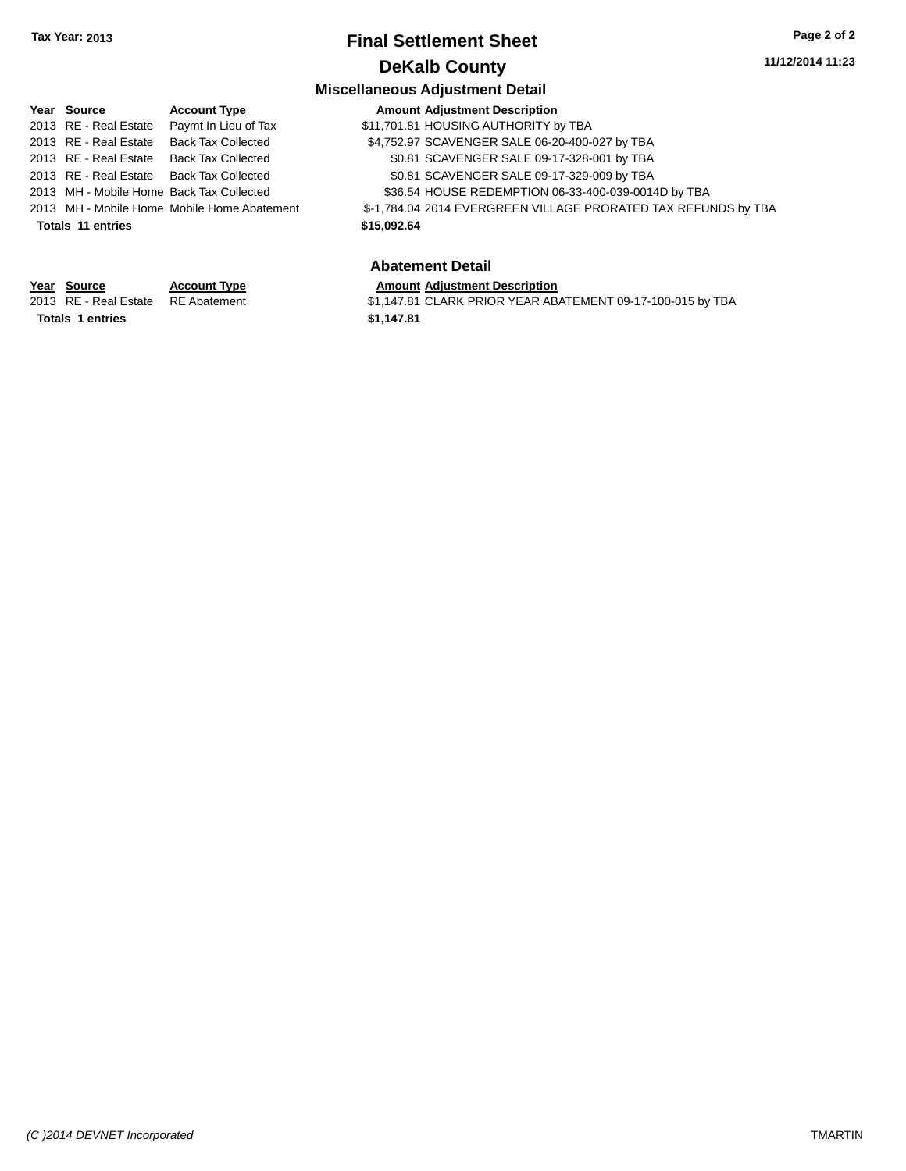### **Final Settlement Sheet Tax Year: 2013 Page 2 of 2 DeKalb County**

### **11/12/2014 11:23**

### **Miscellaneous Adjustment Detail**

| Year Source                              | <b>Account Type</b>                         |             | <b>Amount Adjustment Description</b>                           |
|------------------------------------------|---------------------------------------------|-------------|----------------------------------------------------------------|
| 2013 RE - Real Estate                    | Paymt In Lieu of Tax                        |             | \$11,701.81 HOUSING AUTHORITY by TBA                           |
| 2013 RE - Real Estate                    | Back Tax Collected                          |             | \$4,752.97 SCAVENGER SALE 06-20-400-027 by TBA                 |
| 2013 RE - Real Estate Back Tax Collected |                                             |             | \$0.81 SCAVENGER SALE 09-17-328-001 by TBA                     |
| 2013 RE - Real Estate Back Tax Collected |                                             |             | \$0.81 SCAVENGER SALE 09-17-329-009 by TBA                     |
| 2013 MH - Mobile Home Back Tax Collected |                                             |             | \$36.54 HOUSE REDEMPTION 06-33-400-039-0014D by TBA            |
|                                          | 2013 MH - Mobile Home Mobile Home Abatement |             | \$-1,784.04 2014 EVERGREEN VILLAGE PRORATED TAX REFUNDS by TBA |
| <b>Totals 11 entries</b>                 |                                             | \$15,092.64 |                                                                |
|                                          |                                             |             | <b>Abatement Detail</b>                                        |
| Year Source                              | <b>Account Type</b>                         |             | <b>Amount Adjustment Description</b>                           |
| 2013 RE - Real Estate                    | <b>RE</b> Abatement                         |             | \$1,147.81 CLARK PRIOR YEAR ABATEMENT 09-17-100-015 by TBA     |
|                                          |                                             |             |                                                                |

**Totals 1 entries** \$1,147.81

\$1,147.81 CLARK PRIOR YEAR ABATEMENT 09-17-100-015 by TBA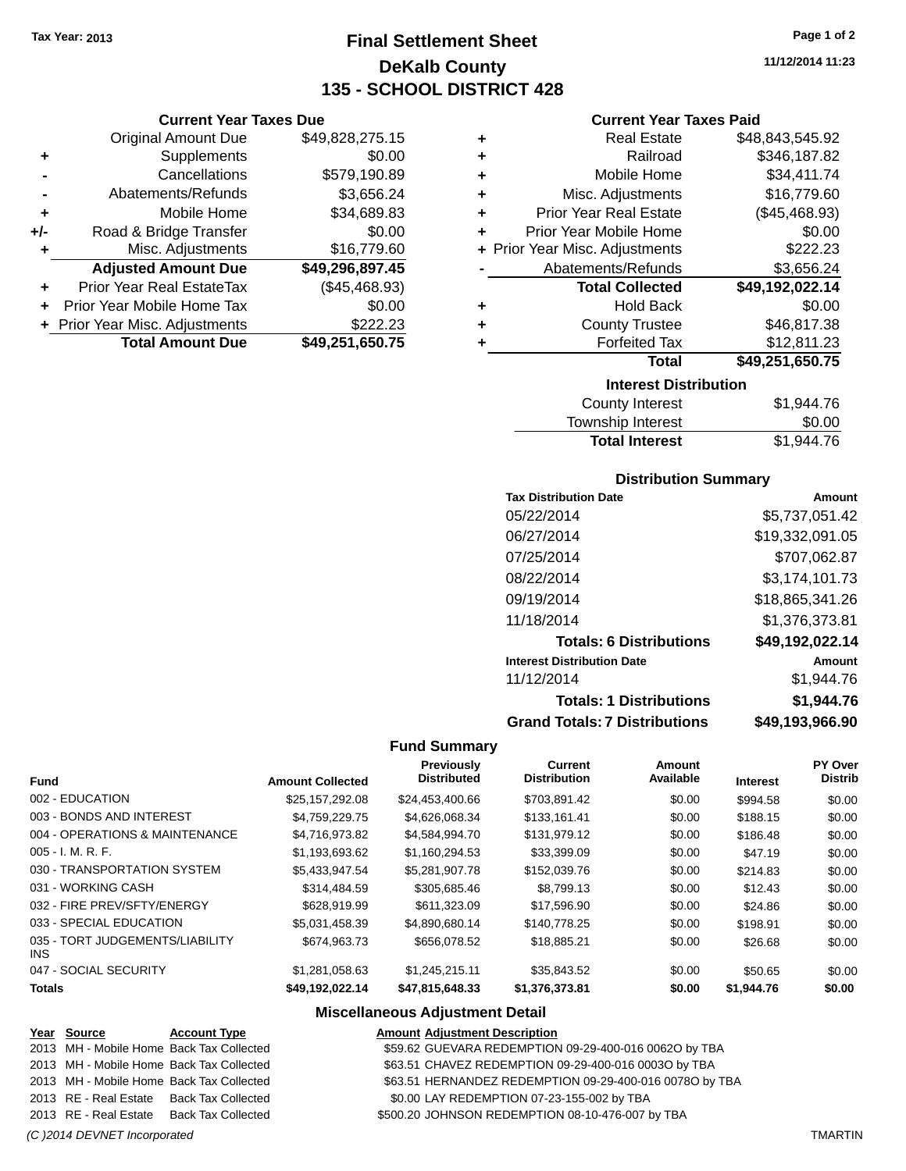**Current Year Taxes Due** Original Amount Due \$49,828,275.15

**Adjusted Amount Due \$49,296,897.45**

**Total Amount Due \$49,251,650.75**

**+** Supplements \$0.00 **-** Cancellations \$579,190.89 **-** Abatements/Refunds \$3,656.24 **+** Mobile Home \$34,689.83 **+/-** Road & Bridge Transfer \$0.00<br> **+** Misc. Adjustments \$16,779.60

**+** Prior Year Real EstateTax (\$45,468.93) **+** Prior Year Mobile Home Tax \$0.00 **+** Prior Year Misc. Adjustments \$222.23

**+** Misc. Adjustments

### **Final Settlement Sheet Tax Year: 2013 Page 1 of 2 DeKalb County 135 - SCHOOL DISTRICT 428**

**11/12/2014 11:23**

### **Current Year Taxes Paid**

|                              | <b>Real Estate</b>             | \$48,843,545.92 |  |  |
|------------------------------|--------------------------------|-----------------|--|--|
| ٠                            | Railroad                       | \$346,187.82    |  |  |
| ٠                            | Mobile Home                    | \$34,411.74     |  |  |
| ٠                            | Misc. Adjustments              | \$16,779.60     |  |  |
| ٠                            | <b>Prior Year Real Estate</b>  | (\$45,468.93)   |  |  |
| ÷                            | Prior Year Mobile Home         | \$0.00          |  |  |
|                              | + Prior Year Misc. Adjustments | \$222.23        |  |  |
|                              | Abatements/Refunds             | \$3,656.24      |  |  |
|                              | <b>Total Collected</b>         | \$49,192,022.14 |  |  |
| ٠                            | <b>Hold Back</b>               | \$0.00          |  |  |
| ٠                            | <b>County Trustee</b>          | \$46,817.38     |  |  |
|                              | <b>Forfeited Tax</b>           | \$12,811.23     |  |  |
|                              | Total                          | \$49,251,650.75 |  |  |
| <b>Interest Distribution</b> |                                |                 |  |  |

| \$1,944.76 |
|------------|
| \$0.00     |
| \$1,944.76 |
|            |

### **Distribution Summary**

| <b>Tax Distribution Date</b>         | Amount          |
|--------------------------------------|-----------------|
| 05/22/2014                           | \$5.737.051.42  |
| 06/27/2014                           | \$19,332,091.05 |
| 07/25/2014                           | \$707.062.87    |
| 08/22/2014                           | \$3,174,101.73  |
| 09/19/2014                           | \$18,865,341.26 |
| 11/18/2014                           | \$1,376,373.81  |
| <b>Totals: 6 Distributions</b>       | \$49,192,022.14 |
| <b>Interest Distribution Date</b>    | Amount          |
| 11/12/2014                           | \$1.944.76      |
| <b>Totals: 1 Distributions</b>       | \$1,944.76      |
| <b>Grand Totals: 7 Distributions</b> | \$49,193,966.90 |

#### **Fund Summary**

| <b>Fund</b>                             | <b>Amount Collected</b> | Previously<br><b>Distributed</b> | <b>Current</b><br><b>Distribution</b> | Amount<br>Available | <b>Interest</b> | <b>PY Over</b><br><b>Distrib</b> |
|-----------------------------------------|-------------------------|----------------------------------|---------------------------------------|---------------------|-----------------|----------------------------------|
| 002 - EDUCATION                         | \$25,157,292.08         | \$24,453,400.66                  | \$703.891.42                          | \$0.00              | \$994.58        | \$0.00                           |
| 003 - BONDS AND INTEREST                | \$4.759.229.75          | \$4.626.068.34                   | \$133,161.41                          | \$0.00              | \$188.15        | \$0.00                           |
| 004 - OPERATIONS & MAINTENANCE          | \$4,716,973.82          | \$4,584,994.70                   | \$131,979.12                          | \$0.00              | \$186.48        | \$0.00                           |
| 005 - I. M. R. F.                       | \$1,193,693.62          | \$1,160,294.53                   | \$33,399.09                           | \$0.00              | \$47.19         | \$0.00                           |
| 030 - TRANSPORTATION SYSTEM             | \$5,433,947.54          | \$5,281,907.78                   | \$152,039.76                          | \$0.00              | \$214.83        | \$0.00                           |
| 031 - WORKING CASH                      | \$314,484.59            | \$305,685.46                     | \$8,799.13                            | \$0.00              | \$12.43         | \$0.00                           |
| 032 - FIRE PREV/SFTY/ENERGY             | \$628,919.99            | \$611,323,09                     | \$17,596.90                           | \$0.00              | \$24.86         | \$0.00                           |
| 033 - SPECIAL EDUCATION                 | \$5.031.458.39          | \$4.890.680.14                   | \$140,778.25                          | \$0.00              | \$198.91        | \$0.00                           |
| 035 - TORT JUDGEMENTS/LIABILITY<br>INS. | \$674,963,73            | \$656,078.52                     | \$18,885.21                           | \$0.00              | \$26.68         | \$0.00                           |
| 047 - SOCIAL SECURITY                   | \$1,281,058.63          | \$1,245,215.11                   | \$35,843.52                           | \$0.00              | \$50.65         | \$0.00                           |
| <b>Totals</b>                           | \$49,192,022.14         | \$47,815,648.33                  | \$1,376,373.81                        | \$0.00              | \$1,944.76      | \$0.00                           |

### **Miscellaneous Adjustment Detail**

| Year Source                  | <b>Account Type</b>                      | <b>Amount Adjustment Description</b>                    |                |
|------------------------------|------------------------------------------|---------------------------------------------------------|----------------|
|                              | 2013 MH - Mobile Home Back Tax Collected | \$59.62 GUEVARA REDEMPTION 09-29-400-016 0062O by TBA   |                |
|                              | 2013 MH - Mobile Home Back Tax Collected | \$63.51 CHAVEZ REDEMPTION 09-29-400-016 0003O by TBA    |                |
|                              | 2013 MH - Mobile Home Back Tax Collected | \$63.51 HERNANDEZ REDEMPTION 09-29-400-016 0078O by TBA |                |
|                              | 2013 RE - Real Estate Back Tax Collected | \$0.00 LAY REDEMPTION 07-23-155-002 by TBA              |                |
|                              | 2013 RE - Real Estate Back Tax Collected | \$500.20 JOHNSON REDEMPTION 08-10-476-007 by TBA        |                |
| (C) 2014 DEVNET Incorporated |                                          |                                                         | <b>TMARTIN</b> |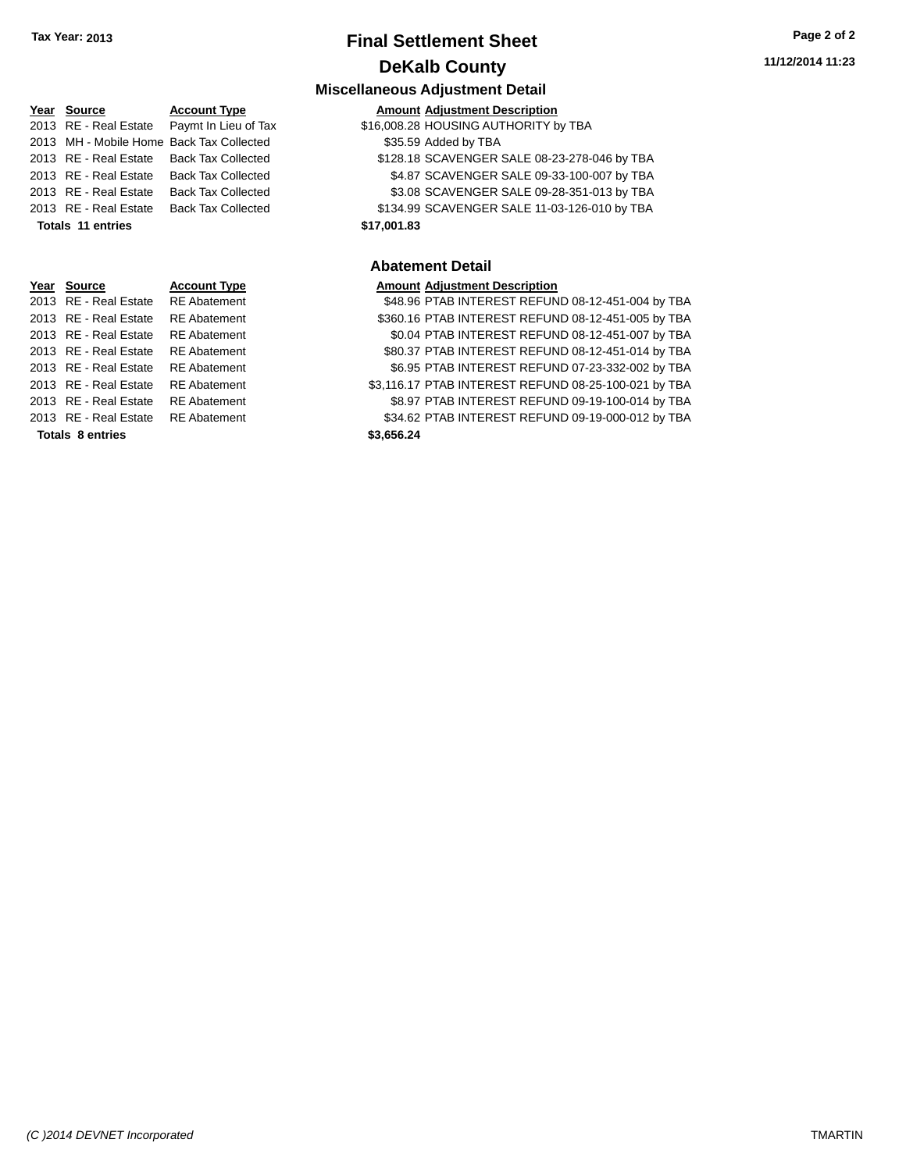### **Final Settlement Sheet Tax Year: 2013 Page 2 of 2 DeKalb County**

# **Year** Source **Account Type A** Account Adjustment Description 2013 MH - Mobile Home Back Tax Collected \$35.59 Added by TBA **Totals 11 entries \$17,001.83**

|                         | icai ovuite           | AGGOUIL TYP        |  |
|-------------------------|-----------------------|--------------------|--|
|                         | 2013 RE - Real Estate | <b>RE</b> Abateme  |  |
|                         | 2013 RE - Real Estate | <b>RE</b> Abateme  |  |
|                         | 2013 RE - Real Estate | <b>RE</b> Abatemer |  |
|                         | 2013 RE - Real Estate | <b>RE</b> Abatemer |  |
|                         | 2013 RE - Real Estate | <b>RE</b> Abatemer |  |
|                         | 2013 RE - Real Estate | <b>RE</b> Abatemer |  |
|                         | 2013 RE - Real Estate | <b>RE</b> Abatemer |  |
|                         | 2013 RE - Real Estate | <b>RE</b> Abateme  |  |
| <b>Totals 8 entries</b> |                       |                    |  |

**Miscellaneous Adjustment Detail** 2013 RE - Real Estate Paymt In Lieu of Tax  $$16,008.28$  HOUSING AUTHORITY by TBA 2013 RE - Real Estate Back Tax Collected \$128.18 SCAVENGER SALE 08-23-278-046 by TBA 2013 RE - Real Estate Back Tax Collected \$4.87 SCAVENGER SALE 09-33-100-007 by TBA 2013 RE - Real Estate Back Tax Collected \$3.08 SCAVENGER SALE 09-28-351-013 by TBA 2013 RE - Real Estate Back Tax Collected \$134.99 SCAVENGER SALE 11-03-126-010 by TBA

### **Abatement Detail**

### **Year Source Account Type Amount Adjustment Description**

nt 2013 848.96 PTAB INTEREST REFUND 08-12-451-004 by TBA 01 12-451 REFUND 08-12-451-005 by TBA 2013 REAL ESTATEMENT REFUND 08-12-451-007 by TBA 11 **2013 REAL ESTATE STATE REAL ESTATE REFUND** 08-12-451-014 by TBA 11 **2013 REAL ESTATE REGONAL EST** REFUND 07-23-332-002 by TBA 01 **33,116.17 PTAB INTEREST REFUND 08-25-100-021 by TBA** 0211 REAL ESTATEMENT REAL ESTATEMENT REFUND 09-19-100-014 by TBA 01 **2013 REAL ESTATE REAL ESTATE REFUND 09-19-000-012 by TBA Totals 8 entries \$3,656.24**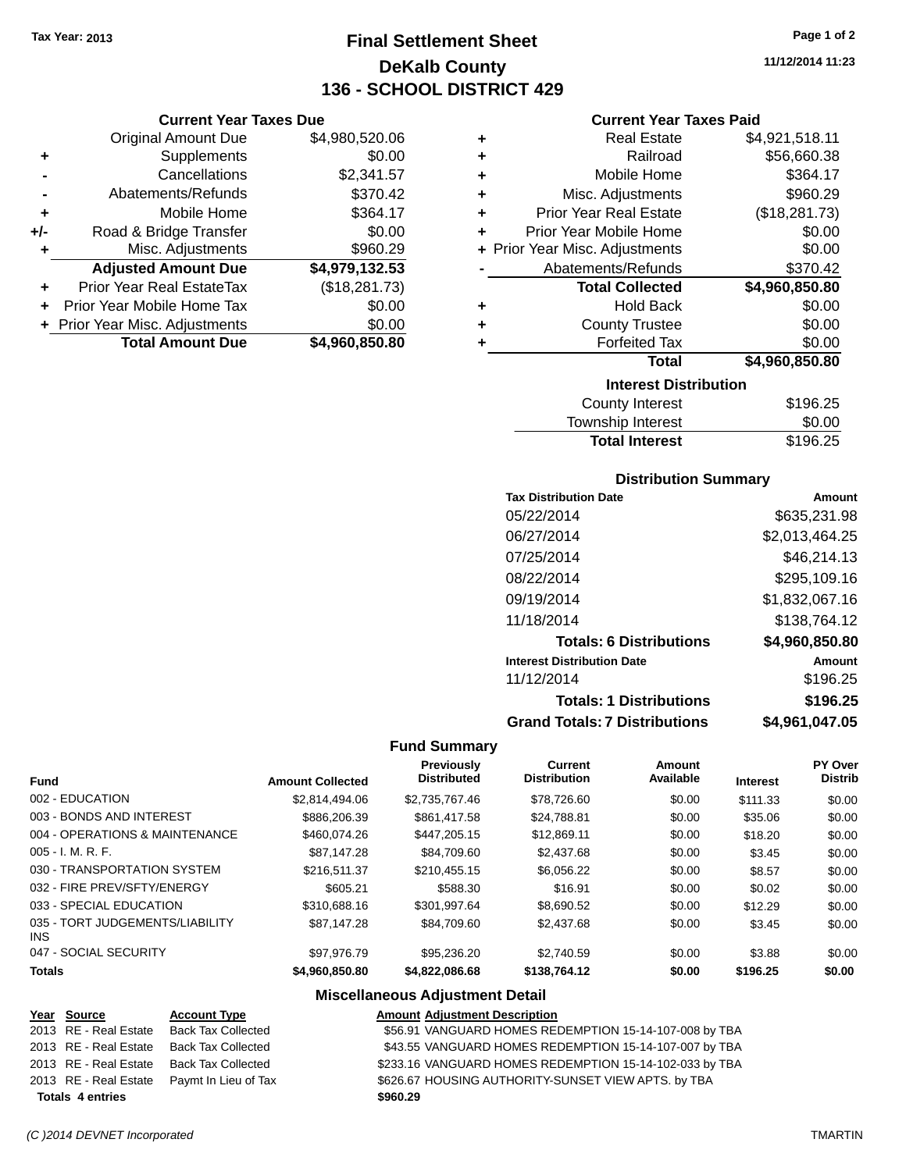**Current Year Taxes Due** Original Amount Due \$4,980,520.06

**Adjusted Amount Due \$4,979,132.53**

**+** Supplements \$0.00 **-** Cancellations \$2,341.57 **-** Abatements/Refunds \$370.42 **+** Mobile Home \$364.17 **+/-** Road & Bridge Transfer \$0.00 **+** Misc. Adjustments \$960.29

**+** Prior Year Real EstateTax (\$18,281.73) **+** Prior Year Mobile Home Tax \$0.00 **+** Prior Year Misc. Adjustments \$0.00<br> **Total Amount Due** \$4,960,850.80

**Total Amount Due** 

### **Final Settlement Sheet Tax Year: 2013 Page 1 of 2 DeKalb County 136 - SCHOOL DISTRICT 429**

**11/12/2014 11:23**

### **Current Year Taxes Paid**

| ٠ | <b>Real Estate</b>             | \$4,921,518.11 |  |  |
|---|--------------------------------|----------------|--|--|
| ٠ | Railroad                       | \$56,660.38    |  |  |
| ٠ | Mobile Home                    | \$364.17       |  |  |
| ٠ | Misc. Adjustments              | \$960.29       |  |  |
| ٠ | <b>Prior Year Real Estate</b>  | (\$18,281.73)  |  |  |
| ٠ | Prior Year Mobile Home         | \$0.00         |  |  |
|   | + Prior Year Misc. Adjustments | \$0.00         |  |  |
|   | Abatements/Refunds             | \$370.42       |  |  |
|   | <b>Total Collected</b>         | \$4,960,850.80 |  |  |
| ٠ | <b>Hold Back</b>               | \$0.00         |  |  |
| ٠ | <b>County Trustee</b>          | \$0.00         |  |  |
| ٠ | <b>Forfeited Tax</b>           | \$0.00         |  |  |
|   | Total                          | \$4,960,850.80 |  |  |
|   | <b>Interest Distribution</b>   |                |  |  |
|   | <b>County Interest</b>         | \$196.25       |  |  |

| <b>Total Interest</b> | \$196.25 |
|-----------------------|----------|
| Township Interest     | \$0.00   |
| County Interest       | \$196.25 |

### **Distribution Summary**

| <b>Tax Distribution Date</b>         | Amount         |
|--------------------------------------|----------------|
| 05/22/2014                           | \$635,231.98   |
| 06/27/2014                           | \$2,013,464.25 |
| 07/25/2014                           | \$46,214.13    |
| 08/22/2014                           | \$295,109.16   |
| 09/19/2014                           | \$1,832,067.16 |
| 11/18/2014                           | \$138,764.12   |
| <b>Totals: 6 Distributions</b>       | \$4,960,850.80 |
| <b>Interest Distribution Date</b>    | Amount         |
| 11/12/2014                           | \$196.25       |
| <b>Totals: 1 Distributions</b>       | \$196.25       |
| <b>Grand Totals: 7 Distributions</b> | \$4,961,047.05 |

#### **Fund Summary**

| <b>Fund</b>                             | <b>Amount Collected</b> | <b>Previously</b><br><b>Distributed</b> | <b>Current</b><br><b>Distribution</b> | Amount<br>Available | <b>Interest</b> | PY Over<br><b>Distrib</b> |
|-----------------------------------------|-------------------------|-----------------------------------------|---------------------------------------|---------------------|-----------------|---------------------------|
| 002 - EDUCATION                         | \$2.814.494.06          | \$2.735.767.46                          | \$78,726.60                           | \$0.00              | \$111.33        | \$0.00                    |
| 003 - BONDS AND INTEREST                | \$886,206.39            | \$861,417.58                            | \$24.788.81                           | \$0.00              | \$35.06         | \$0.00                    |
| 004 - OPERATIONS & MAINTENANCE          | \$460.074.26            | \$447,205.15                            | \$12,869.11                           | \$0.00              | \$18.20         | \$0.00                    |
| $005 - I. M. R. F.$                     | \$87.147.28             | \$84.709.60                             | \$2,437.68                            | \$0.00              | \$3.45          | \$0.00                    |
| 030 - TRANSPORTATION SYSTEM             | \$216,511,37            | \$210.455.15                            | \$6.056.22                            | \$0.00              | \$8.57          | \$0.00                    |
| 032 - FIRE PREV/SFTY/ENERGY             | \$605.21                | \$588.30                                | \$16.91                               | \$0.00              | \$0.02          | \$0.00                    |
| 033 - SPECIAL EDUCATION                 | \$310,688.16            | \$301.997.64                            | \$8.690.52                            | \$0.00              | \$12.29         | \$0.00                    |
| 035 - TORT JUDGEMENTS/LIABILITY<br>INS. | \$87.147.28             | \$84.709.60                             | \$2,437.68                            | \$0.00              | \$3.45          | \$0.00                    |
| 047 - SOCIAL SECURITY                   | \$97.976.79             | \$95,236.20                             | \$2.740.59                            | \$0.00              | \$3.88          | \$0.00                    |
| <b>Totals</b>                           | \$4,960,850.80          | \$4,822,086,68                          | \$138,764.12                          | \$0.00              | \$196.25        | \$0.00                    |

### **Miscellaneous Adjustment Detail**

| Year Source             | <b>Account Type</b>       | <b>Amount Adjustment Description</b>                    |
|-------------------------|---------------------------|---------------------------------------------------------|
| 2013 RE - Real Estate   | <b>Back Tax Collected</b> | \$56.91 VANGUARD HOMES REDEMPTION 15-14-107-008 by TBA  |
| 2013 RE - Real Estate   | <b>Back Tax Collected</b> | \$43.55 VANGUARD HOMES REDEMPTION 15-14-107-007 by TBA  |
| 2013 RE - Real Estate   | <b>Back Tax Collected</b> | \$233.16 VANGUARD HOMES REDEMPTION 15-14-102-033 by TBA |
| 2013 RE - Real Estate   | Paymt In Lieu of Tax      | \$626.67 HOUSING AUTHORITY-SUNSET VIEW APTS. by TBA     |
| <b>Totals 4 entries</b> |                           | \$960.29                                                |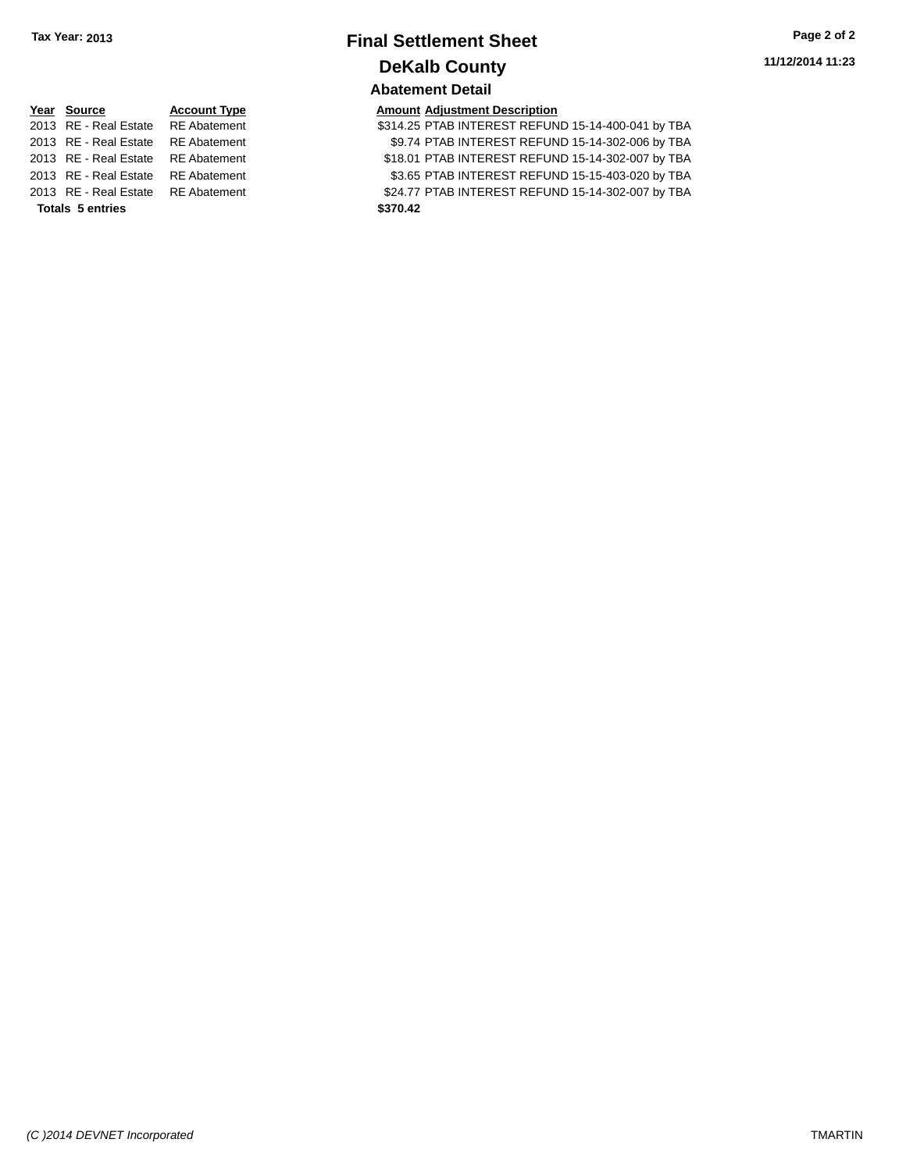### **Final Settlement Sheet Tax Year: 2013 Page 2 of 2 DeKalb County Abatement Detail**

**11/12/2014 11:23**

### **Year Source Account Type Amount Adjustment Description** 2013 RE - Real Estate RE Abatement 2013 RE - Real Estate RE Abatement 2013 RE - Real Estate RE Abatement 2013 RE - Real Estate RE Abatement **Totals 5 entries**

| Year Source                        | <b>Account Type</b> | <b>Amount Adjustment Description</b>               |
|------------------------------------|---------------------|----------------------------------------------------|
| 2013 RE - Real Estate RE Abatement |                     | \$314.25 PTAB INTEREST REFUND 15-14-400-041 by TBA |
| 2013 RE - Real Estate RE Abatement |                     | \$9.74 PTAB INTEREST REFUND 15-14-302-006 by TBA   |
| 2013 RE - Real Estate RE Abatement |                     | \$18.01 PTAB INTEREST REFUND 15-14-302-007 by TBA  |
| 2013 RE - Real Estate RE Abatement |                     | \$3.65 PTAB INTEREST REFUND 15-15-403-020 by TBA   |
| 2013 RE - Real Estate RE Abatement |                     | \$24.77 PTAB INTEREST REFUND 15-14-302-007 by TBA  |
| <b>Totals 5 entries</b>            |                     | \$370.42                                           |
|                                    |                     |                                                    |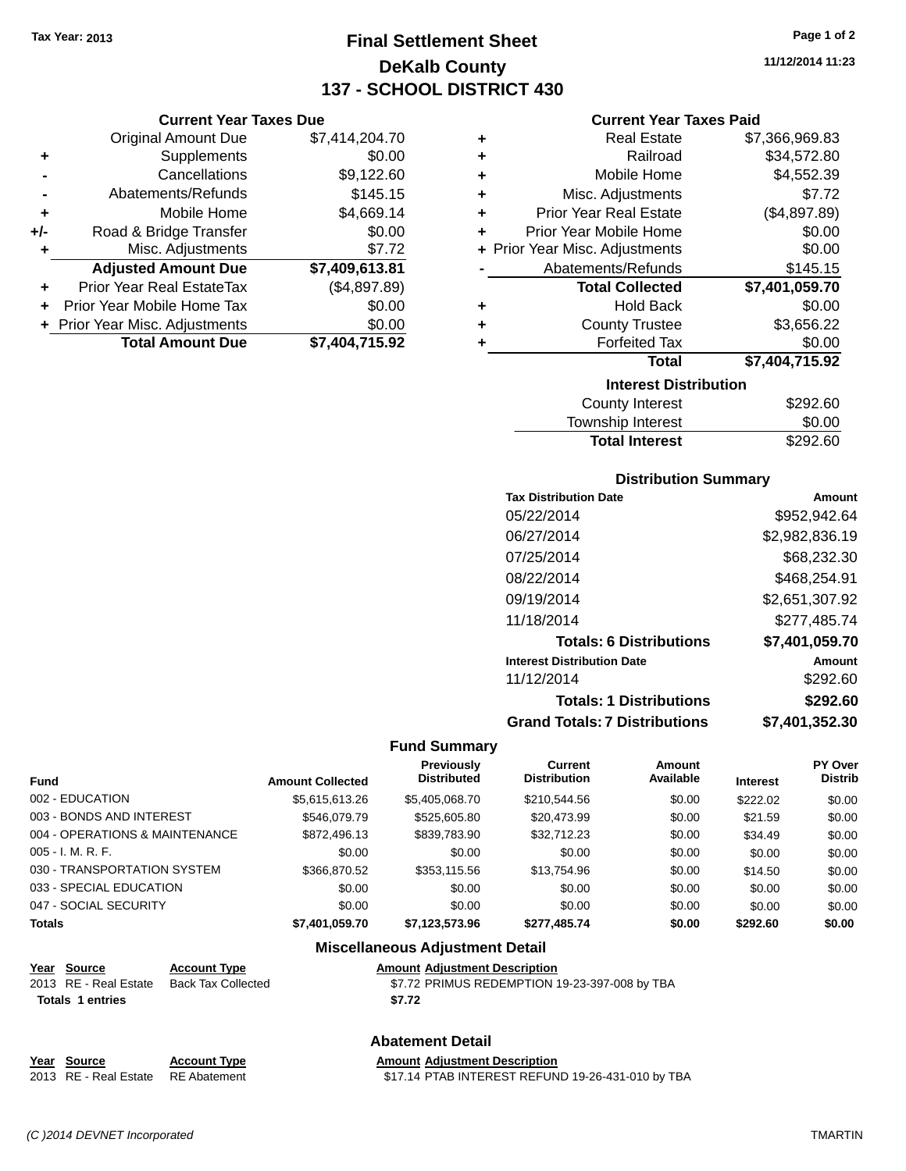**Current Year Taxes Due** Original Amount Due \$7,414,204.70

**Adjusted Amount Due \$7,409,613.81**

**Total Amount Due \$7,404,715.92**

**+** Supplements \$0.00 **-** Cancellations \$9,122.60 **-** Abatements/Refunds \$145.15 **+** Mobile Home \$4,669.14 **+/-** Road & Bridge Transfer \$0.00 **+** Misc. Adjustments \$7.72

**+** Prior Year Real EstateTax (\$4,897.89) **+** Prior Year Mobile Home Tax \$0.00 **+ Prior Year Misc. Adjustments**  $$0.00$ 

### **Final Settlement Sheet Tax Year: 2013 Page 1 of 2 DeKalb County 137 - SCHOOL DISTRICT 430**

**11/12/2014 11:23**

#### **Current Year Taxes Paid**

| ٠ | <b>Real Estate</b>             | \$7,366,969.83 |  |  |  |
|---|--------------------------------|----------------|--|--|--|
| ٠ | Railroad                       | \$34,572.80    |  |  |  |
| ÷ | Mobile Home                    | \$4,552.39     |  |  |  |
| ÷ | Misc. Adjustments              | \$7.72         |  |  |  |
| ÷ | <b>Prior Year Real Estate</b>  | (\$4,897.89)   |  |  |  |
| ٠ | Prior Year Mobile Home         | \$0.00         |  |  |  |
|   | + Prior Year Misc. Adjustments | \$0.00         |  |  |  |
|   | Abatements/Refunds             | \$145.15       |  |  |  |
|   | <b>Total Collected</b>         | \$7,401,059.70 |  |  |  |
| ٠ | <b>Hold Back</b>               | \$0.00         |  |  |  |
| ٠ | <b>County Trustee</b>          | \$3,656.22     |  |  |  |
| ٠ | <b>Forfeited Tax</b>           | \$0.00         |  |  |  |
|   | Total                          | \$7,404,715.92 |  |  |  |
|   | <b>Interest Distribution</b>   |                |  |  |  |
|   | County Interest                | \$292.60       |  |  |  |

| <b>County Interest</b> | \$292.60 |
|------------------------|----------|
| Township Interest      | \$0.00   |
| <b>Total Interest</b>  | \$292.60 |

### **Distribution Summary**

| <b>Tax Distribution Date</b>         | Amount         |
|--------------------------------------|----------------|
| 05/22/2014                           | \$952,942.64   |
| 06/27/2014                           | \$2,982,836.19 |
| 07/25/2014                           | \$68.232.30    |
| 08/22/2014                           | \$468,254.91   |
| 09/19/2014                           | \$2,651,307.92 |
| 11/18/2014                           | \$277,485.74   |
| <b>Totals: 6 Distributions</b>       | \$7,401,059.70 |
| <b>Interest Distribution Date</b>    | Amount         |
| 11/12/2014                           | \$292.60       |
| <b>Totals: 1 Distributions</b>       | \$292.60       |
| <b>Grand Totals: 7 Distributions</b> | \$7,401,352.30 |

#### **Fund Summary**

| <b>Fund</b>                    | <b>Amount Collected</b> | Previously<br><b>Distributed</b> | Current<br><b>Distribution</b> | Amount<br>Available | <b>Interest</b> | <b>PY Over</b><br><b>Distrib</b> |
|--------------------------------|-------------------------|----------------------------------|--------------------------------|---------------------|-----------------|----------------------------------|
| 002 - EDUCATION                | \$5,615,613.26          | \$5,405,068.70                   | \$210,544.56                   | \$0.00              | \$222.02        | \$0.00                           |
| 003 - BONDS AND INTEREST       | \$546,079.79            | \$525,605.80                     | \$20,473.99                    | \$0.00              | \$21.59         | \$0.00                           |
| 004 - OPERATIONS & MAINTENANCE | \$872,496.13            | \$839,783.90                     | \$32,712.23                    | \$0.00              | \$34.49         | \$0.00                           |
| 005 - I. M. R. F.              | \$0.00                  | \$0.00                           | \$0.00                         | \$0.00              | \$0.00          | \$0.00                           |
| 030 - TRANSPORTATION SYSTEM    | \$366,870.52            | \$353,115.56                     | \$13,754.96                    | \$0.00              | \$14.50         | \$0.00                           |
| 033 - SPECIAL EDUCATION        | \$0.00                  | \$0.00                           | \$0.00                         | \$0.00              | \$0.00          | \$0.00                           |
| 047 - SOCIAL SECURITY          | \$0.00                  | \$0.00                           | \$0.00                         | \$0.00              | \$0.00          | \$0.00                           |
| Totals                         | \$7,401,059.70          | \$7,123,573.96                   | \$277,485.74                   | \$0.00              | \$292.60        | \$0.00                           |

### **Miscellaneous Adjustment Detail**

|                  | Year Source           | <b>Account Type</b> | <b>Amount Adjustment Description</b>          |
|------------------|-----------------------|---------------------|-----------------------------------------------|
|                  | 2013 RE - Real Estate | Back Tax Collected  | \$7.72 PRIMUS REDEMPTION 19-23-397-008 by TBA |
| Totals 1 entries |                       |                     | \$7.72                                        |
|                  |                       |                     |                                               |

### **Abatement Detail**

| Year Source                        | <b>Account Type</b> | <b>Amount Adjustment Description</b>              |
|------------------------------------|---------------------|---------------------------------------------------|
| 2013 RE - Real Estate RE Abatement |                     | \$17.14 PTAB INTEREST REFUND 19-26-431-010 by TBA |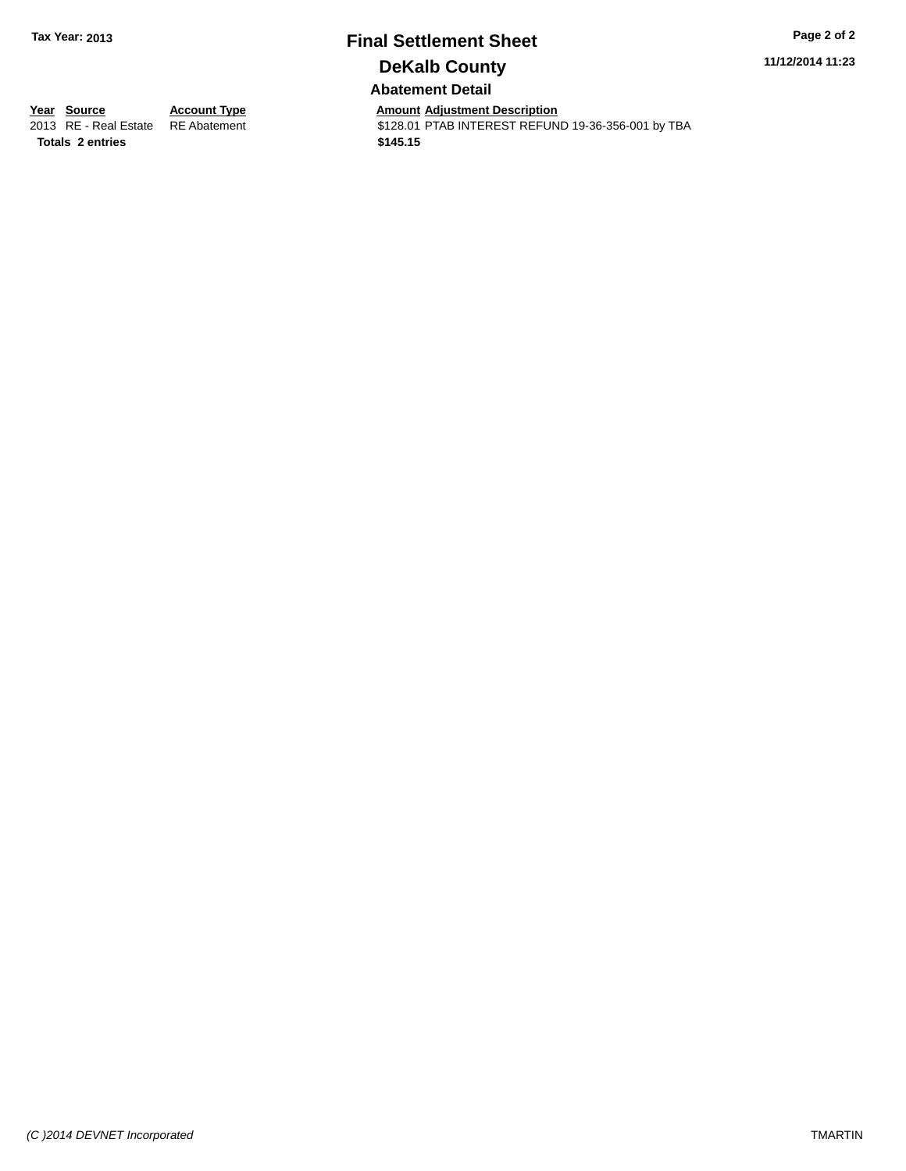# **Final Settlement Sheet Tax Year: 2013 Page 2 of 2 DeKalb County**

**11/12/2014 11:23**

**Abatement Detail**

**Totals \$145.15 2 entries**

**Year Source Account Type And Amount Adjustment Description**<br>
2013 RE - Real Estate RE Abatement **Adjustment** \$128.01 PTAB INTEREST REFUN \$128.01 PTAB INTEREST REFUND 19-36-356-001 by TBA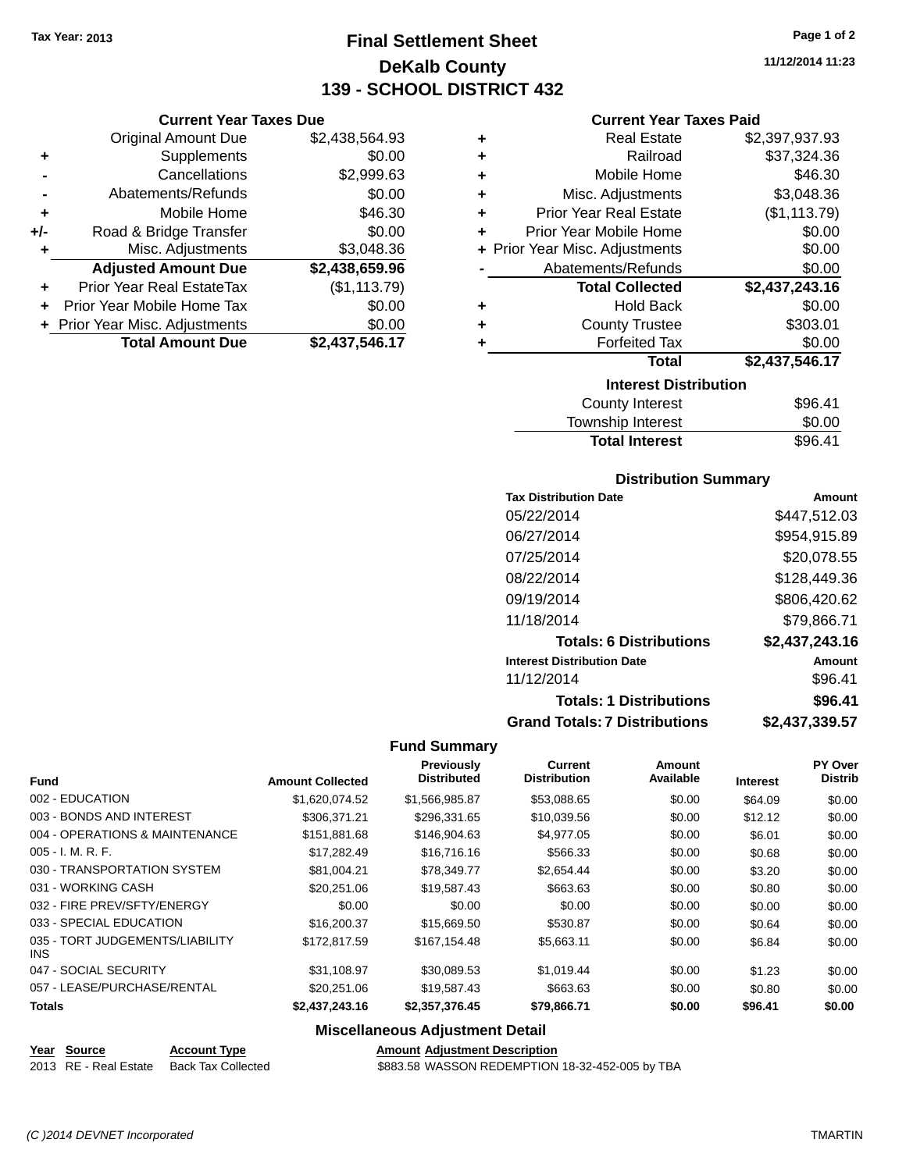**Current Year Taxes Due** Original Amount Due \$2,438,564.93

**Adjusted Amount Due \$2,438,659.96**

**Total Amount Due \$2,437,546.17**

**+** Supplements \$0.00 **-** Cancellations \$2,999.63 **-** Abatements/Refunds \$0.00 **+** Mobile Home \$46.30 **+/-** Road & Bridge Transfer \$0.00 **+** Misc. Adjustments \$3,048.36

**+** Prior Year Real EstateTax (\$1,113.79) **+** Prior Year Mobile Home Tax \$0.00 **+ Prior Year Misc. Adjustments**  $$0.00$ 

### **Final Settlement Sheet Tax Year: 2013 Page 1 of 2 DeKalb County 139 - SCHOOL DISTRICT 432**

**11/12/2014 11:23**

#### **Current Year Taxes Paid**

| ٠ | <b>Real Estate</b>             | \$2,397,937.93 |
|---|--------------------------------|----------------|
| ٠ | Railroad                       | \$37,324.36    |
| ÷ | Mobile Home                    | \$46.30        |
| ÷ | Misc. Adjustments              | \$3,048.36     |
| ÷ | <b>Prior Year Real Estate</b>  | (\$1,113.79)   |
| ٠ | Prior Year Mobile Home         | \$0.00         |
|   | + Prior Year Misc. Adjustments | \$0.00         |
|   | Abatements/Refunds             | \$0.00         |
|   | <b>Total Collected</b>         | \$2,437,243.16 |
| ٠ | <b>Hold Back</b>               | \$0.00         |
| ٠ | <b>County Trustee</b>          | \$303.01       |
| ٠ | <b>Forfeited Tax</b>           | \$0.00         |
|   | Total                          | \$2,437,546.17 |
|   | <b>Interest Distribution</b>   |                |
|   | <b>County Interest</b>         | \$96.41        |

| <b>Total Interest</b>  | \$96.41 |
|------------------------|---------|
| Township Interest      | \$0.00  |
| <b>County Interest</b> | \$96.41 |

#### **Distribution Summary**

| <b>Tax Distribution Date</b>         | Amount         |
|--------------------------------------|----------------|
| 05/22/2014                           | \$447.512.03   |
| 06/27/2014                           | \$954,915.89   |
| 07/25/2014                           | \$20,078.55    |
| 08/22/2014                           | \$128,449.36   |
| 09/19/2014                           | \$806,420.62   |
| 11/18/2014                           | \$79.866.71    |
| <b>Totals: 6 Distributions</b>       | \$2,437,243.16 |
| <b>Interest Distribution Date</b>    | Amount         |
| 11/12/2014                           | \$96.41        |
| <b>Totals: 1 Distributions</b>       | \$96.41        |
| <b>Grand Totals: 7 Distributions</b> | \$2,437,339.57 |

#### **Fund Summary**

| Fund                                    | <b>Amount Collected</b> | Previously<br><b>Distributed</b> | Current<br><b>Distribution</b> | Amount<br>Available | <b>Interest</b> | PY Over<br><b>Distrib</b> |
|-----------------------------------------|-------------------------|----------------------------------|--------------------------------|---------------------|-----------------|---------------------------|
|                                         |                         |                                  |                                |                     |                 |                           |
| 002 - EDUCATION                         | \$1,620,074.52          | \$1,566,985.87                   | \$53,088.65                    | \$0.00              | \$64.09         | \$0.00                    |
| 003 - BONDS AND INTEREST                | \$306.371.21            | \$296.331.65                     | \$10,039.56                    | \$0.00              | \$12.12         | \$0.00                    |
| 004 - OPERATIONS & MAINTENANCE          | \$151.881.68            | \$146,904.63                     | \$4.977.05                     | \$0.00              | \$6.01          | \$0.00                    |
| $005 - I. M. R. F.$                     | \$17,282.49             | \$16,716.16                      | \$566.33                       | \$0.00              | \$0.68          | \$0.00                    |
| 030 - TRANSPORTATION SYSTEM             | \$81.004.21             | \$78,349.77                      | \$2,654.44                     | \$0.00              | \$3.20          | \$0.00                    |
| 031 - WORKING CASH                      | \$20,251.06             | \$19,587.43                      | \$663.63                       | \$0.00              | \$0.80          | \$0.00                    |
| 032 - FIRE PREV/SFTY/ENERGY             | \$0.00                  | \$0.00                           | \$0.00                         | \$0.00              | \$0.00          | \$0.00                    |
| 033 - SPECIAL EDUCATION                 | \$16,200.37             | \$15,669.50                      | \$530.87                       | \$0.00              | \$0.64          | \$0.00                    |
| 035 - TORT JUDGEMENTS/LIABILITY<br>INS. | \$172.817.59            | \$167.154.48                     | \$5.663.11                     | \$0.00              | \$6.84          | \$0.00                    |
| 047 - SOCIAL SECURITY                   | \$31.108.97             | \$30.089.53                      | \$1.019.44                     | \$0.00              | \$1.23          | \$0.00                    |
| 057 - LEASE/PURCHASE/RENTAL             | \$20,251,06             | \$19.587.43                      | \$663.63                       | \$0.00              | \$0.80          | \$0.00                    |
| <b>Totals</b>                           | \$2,437,243.16          | \$2,357,376.45                   | \$79,866.71                    | \$0.00              | \$96.41         | \$0.00                    |

### **Miscellaneous Adjustment Detail**

**Year** Source **Account Type A**ccount **Account 1998 Amount Adjustment Description** 

2013 RE - Real Estate Back Tax Collected **\$883.58 WASSON REDEMPTION 18-32-452-005 by TBA**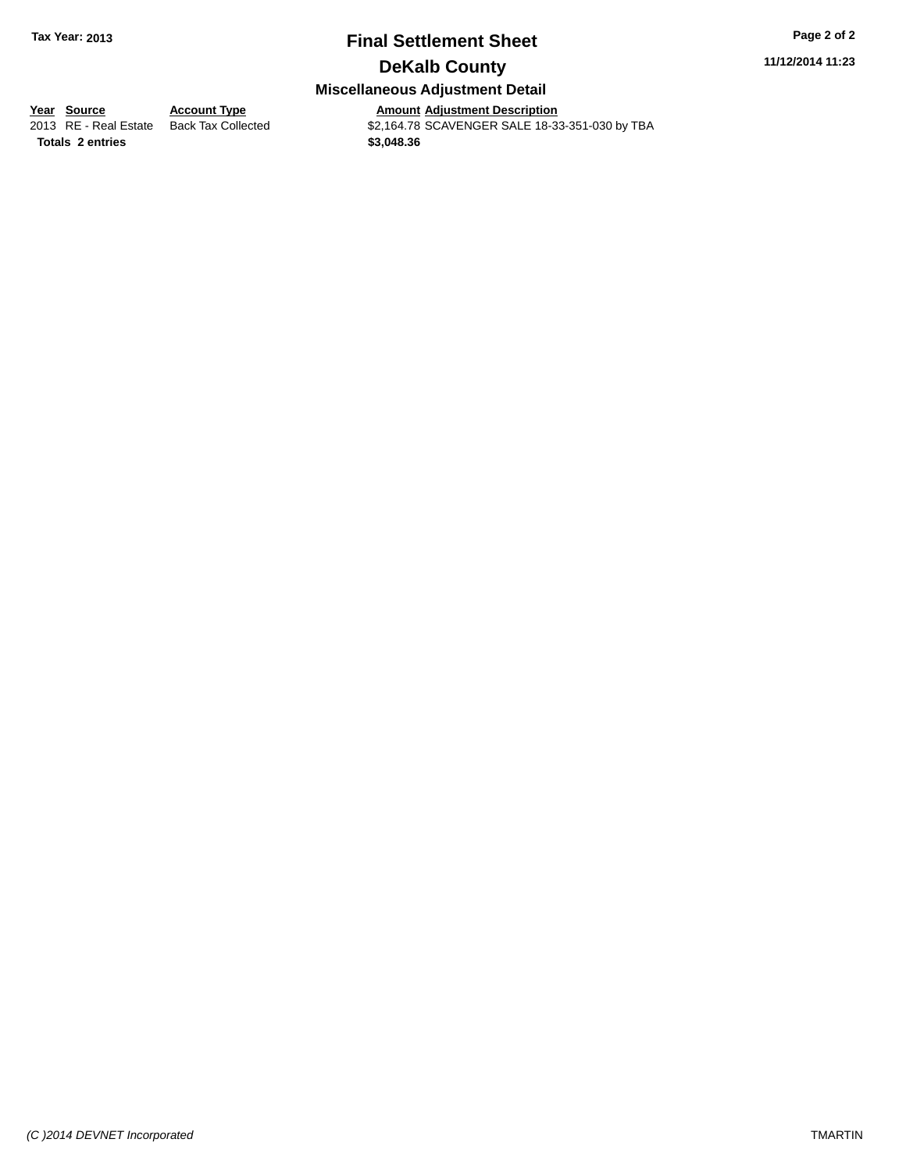### **Final Settlement Sheet Tax Year: 2013 Page 2 of 2 DeKalb County**

**11/12/2014 11:23**

## **Miscellaneous Adjustment Detail**

**<u>Year Source</u> <b>Account Type**<br>
2013 RE - Real Estate Back Tax Collected

Amount Adjustment Description<br>\$2,164.78 SCAVENGER SALE 18-33-351-030 by TBA **Totals \$3,048.36 2 entries**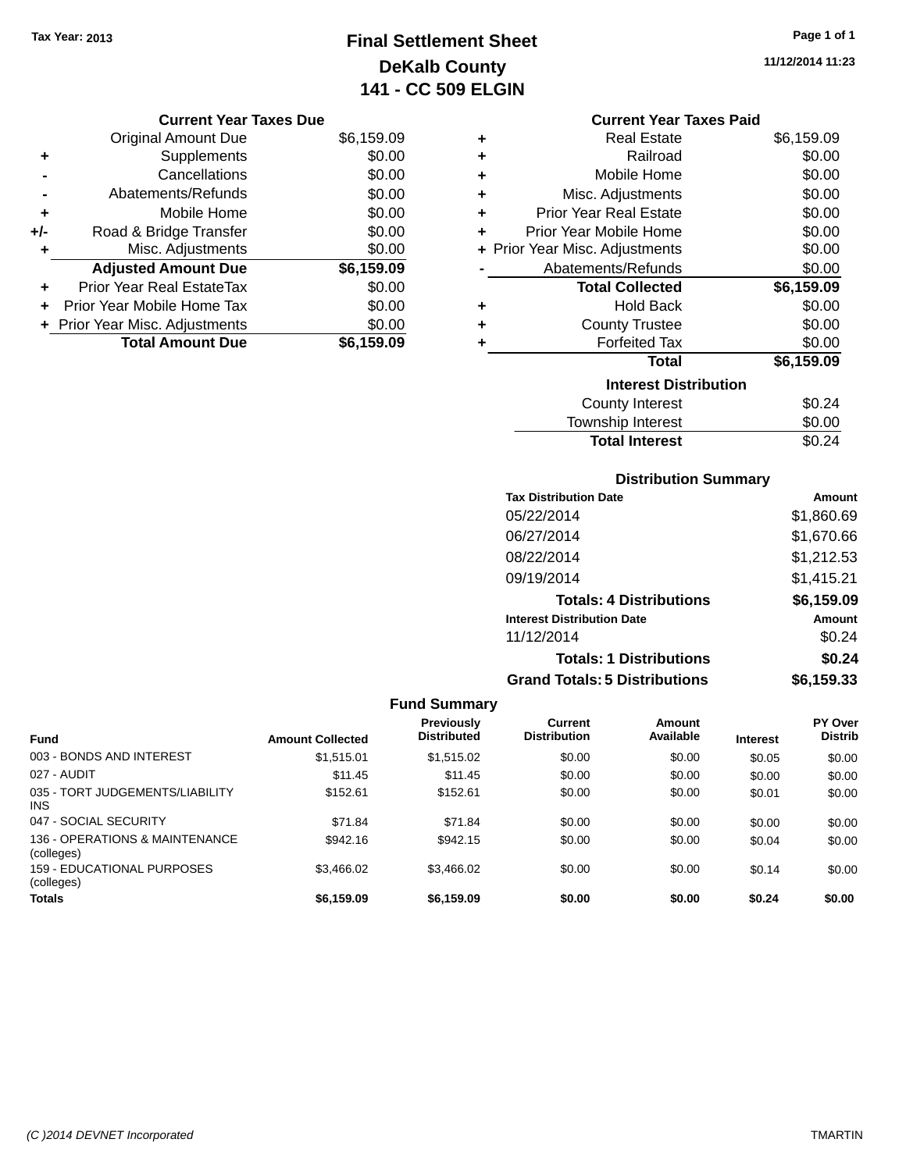## **Final Settlement Sheet Tax Year: 2013 Page 1 of 1 DeKalb County 141 - CC 509 ELGIN**

**11/12/2014 11:23**

#### **Current Year Taxes Due**

|     | <b>Original Amount Due</b>     | \$6,159.09 |
|-----|--------------------------------|------------|
| ٠   | Supplements                    | \$0.00     |
|     | Cancellations                  | \$0.00     |
|     | Abatements/Refunds             | \$0.00     |
| ٠   | Mobile Home                    | \$0.00     |
| +/- | Road & Bridge Transfer         | \$0.00     |
| ٠   | Misc. Adjustments              | \$0.00     |
|     | <b>Adjusted Amount Due</b>     | \$6,159.09 |
| ٠   | Prior Year Real EstateTax      | \$0.00     |
|     | Prior Year Mobile Home Tax     | \$0.00     |
|     | + Prior Year Misc. Adjustments | \$0.00     |
|     | <b>Total Amount Due</b>        | \$6,159.09 |

#### **Current Year Taxes Paid**

| ٠ | <b>Real Estate</b>             | \$6,159.09 |
|---|--------------------------------|------------|
| ÷ | Railroad                       | \$0.00     |
| ÷ | Mobile Home                    | \$0.00     |
| ٠ | Misc. Adjustments              | \$0.00     |
| ٠ | <b>Prior Year Real Estate</b>  | \$0.00     |
| ٠ | Prior Year Mobile Home         | \$0.00     |
|   | + Prior Year Misc. Adjustments | \$0.00     |
|   | Abatements/Refunds             | \$0.00     |
|   | <b>Total Collected</b>         | \$6,159.09 |
| ٠ | <b>Hold Back</b>               | \$0.00     |
| ٠ | <b>County Trustee</b>          | \$0.00     |
|   | <b>Forfeited Tax</b>           | \$0.00     |
|   | Total                          | \$6,159.09 |
|   | <b>Interest Distribution</b>   |            |
|   |                                |            |
|   | <b>County Interest</b>         | \$0.24     |

#### **Distribution Summary**

**Total Interest** \$0.24

| <b>Tax Distribution Date</b>         | Amount     |
|--------------------------------------|------------|
| 05/22/2014                           | \$1,860.69 |
| 06/27/2014                           | \$1,670.66 |
| 08/22/2014                           | \$1,212.53 |
| 09/19/2014                           | \$1,415.21 |
| <b>Totals: 4 Distributions</b>       | \$6,159.09 |
| <b>Interest Distribution Date</b>    | Amount     |
| 11/12/2014                           | \$0.24     |
| <b>Totals: 1 Distributions</b>       | \$0.24     |
| <b>Grand Totals: 5 Distributions</b> | \$6,159.33 |

#### **Fund Summary Fund Interest Amount Collected Distributed PY Over Distrib Amount Available Current Distribution Previously** 003 - BONDS AND INTEREST 60.00 \$1,515.01 \$1,515.02 \$0.00 \$0.00 \$0.00 \$0.00 \$0.00 027 - AUDIT \$11.45 \$11.45 \$0.00 \$0.00 \$0.00 \$0.00 035 - TORT JUDGEMENTS/LIABILITY INS \$152.61 \$152.61 \$0.00 \$0.00 \$0.01 \$0.00 047 - SOCIAL SECURITY 671.84 \$71.84 \$71.84 \$0.00 \$0.00 \$0.00 \$0.00 \$0.00 136 - OPERATIONS & MAINTENANCE (colleges) \$942.16 \$942.15 \$0.00 \$0.00 \$0.00 \$0.04 \$0.00 159 - EDUCATIONAL PURPOSES (colleges) \$3,466.02 \$3,466.02 \$0.00 \$0.00 \$0.14 \$0.00 **Totals \$6,159.09 \$6,159.09 \$0.00 \$0.00 \$0.24 \$0.00**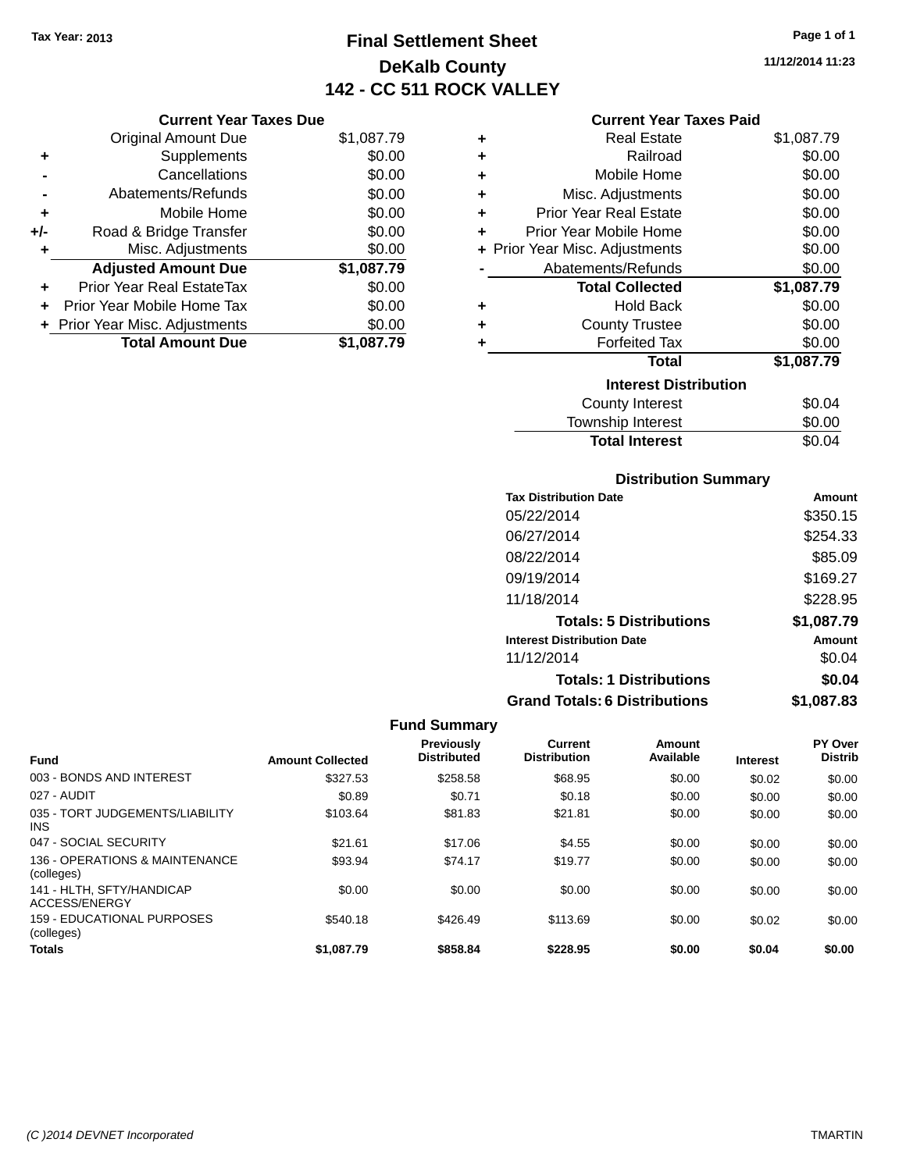## **Final Settlement Sheet Tax Year: 2013 Page 1 of 1 DeKalb County 142 - CC 511 ROCK VALLEY**

**11/12/2014 11:23**

### **Current Year Taxes Paid**

|     | <b>Current Year Taxes Due</b>  |            |
|-----|--------------------------------|------------|
|     | <b>Original Amount Due</b>     | \$1,087.79 |
| ٠   | Supplements                    | \$0.00     |
|     | Cancellations                  | \$0.00     |
|     | Abatements/Refunds             | \$0.00     |
| ٠   | Mobile Home                    | \$0.00     |
| +/- | Road & Bridge Transfer         | \$0.00     |
| ٠   | Misc. Adjustments              | \$0.00     |
|     | <b>Adjusted Amount Due</b>     | \$1,087.79 |
| ٠   | Prior Year Real EstateTax      | \$0.00     |
| ٠   | Prior Year Mobile Home Tax     | \$0.00     |
|     | + Prior Year Misc. Adjustments | \$0.00     |
|     | <b>Total Amount Due</b>        | \$1,087.79 |

| ٠ | <b>Real Estate</b>             | \$1,087.79 |
|---|--------------------------------|------------|
| ٠ | Railroad                       | \$0.00     |
| ٠ | Mobile Home                    | \$0.00     |
| ٠ | Misc. Adjustments              | \$0.00     |
| ٠ | <b>Prior Year Real Estate</b>  | \$0.00     |
| ٠ | Prior Year Mobile Home         | \$0.00     |
|   | + Prior Year Misc. Adjustments | \$0.00     |
|   | Abatements/Refunds             | \$0.00     |
|   | <b>Total Collected</b>         | \$1,087.79 |
| ٠ | <b>Hold Back</b>               | \$0.00     |
| ٠ | <b>County Trustee</b>          | \$0.00     |
| ٠ | <b>Forfeited Tax</b>           | \$0.00     |
|   | Total                          | \$1,087.79 |
|   | <b>Interest Distribution</b>   |            |
|   | County Interest                | \$0.04     |
|   | <b>Township Interest</b>       | \$0.00     |
|   | <b>Total Interest</b>          | \$0.04     |

### **Distribution Summary**

| <b>Tax Distribution Date</b>         | Amount     |
|--------------------------------------|------------|
| 05/22/2014                           | \$350.15   |
| 06/27/2014                           | \$254.33   |
| 08/22/2014                           | \$85.09    |
| 09/19/2014                           | \$169.27   |
| 11/18/2014                           | \$228.95   |
| <b>Totals: 5 Distributions</b>       | \$1,087.79 |
| <b>Interest Distribution Date</b>    | Amount     |
| 11/12/2014                           | \$0.04     |
| <b>Totals: 1 Distributions</b>       | \$0.04     |
| <b>Grand Totals: 6 Distributions</b> | \$1,087.83 |

| <b>Fund</b>                                   | <b>Amount Collected</b> | <b>Previously</b><br><b>Distributed</b> | Current<br><b>Distribution</b> | Amount<br>Available | <b>Interest</b> | PY Over<br><b>Distrib</b> |
|-----------------------------------------------|-------------------------|-----------------------------------------|--------------------------------|---------------------|-----------------|---------------------------|
| 003 - BONDS AND INTEREST                      | \$327.53                | \$258.58                                | \$68.95                        | \$0.00              | \$0.02          | \$0.00                    |
| 027 - AUDIT                                   | \$0.89                  | \$0.71                                  | \$0.18                         | \$0.00              | \$0.00          | \$0.00                    |
| 035 - TORT JUDGEMENTS/LIABILITY<br><b>INS</b> | \$103.64                | \$81.83                                 | \$21.81                        | \$0.00              | \$0.00          | \$0.00                    |
| 047 - SOCIAL SECURITY                         | \$21.61                 | \$17.06                                 | \$4.55                         | \$0.00              | \$0.00          | \$0.00                    |
| 136 - OPERATIONS & MAINTENANCE<br>(colleges)  | \$93.94                 | \$74.17                                 | \$19.77                        | \$0.00              | \$0.00          | \$0.00                    |
| 141 - HLTH, SFTY/HANDICAP<br>ACCESS/ENERGY    | \$0.00                  | \$0.00                                  | \$0.00                         | \$0.00              | \$0.00          | \$0.00                    |
| 159 - EDUCATIONAL PURPOSES<br>(colleges)      | \$540.18                | \$426.49                                | \$113.69                       | \$0.00              | \$0.02          | \$0.00                    |
| <b>Totals</b>                                 | \$1,087.79              | \$858.84                                | \$228.95                       | \$0.00              | \$0.04          | \$0.00                    |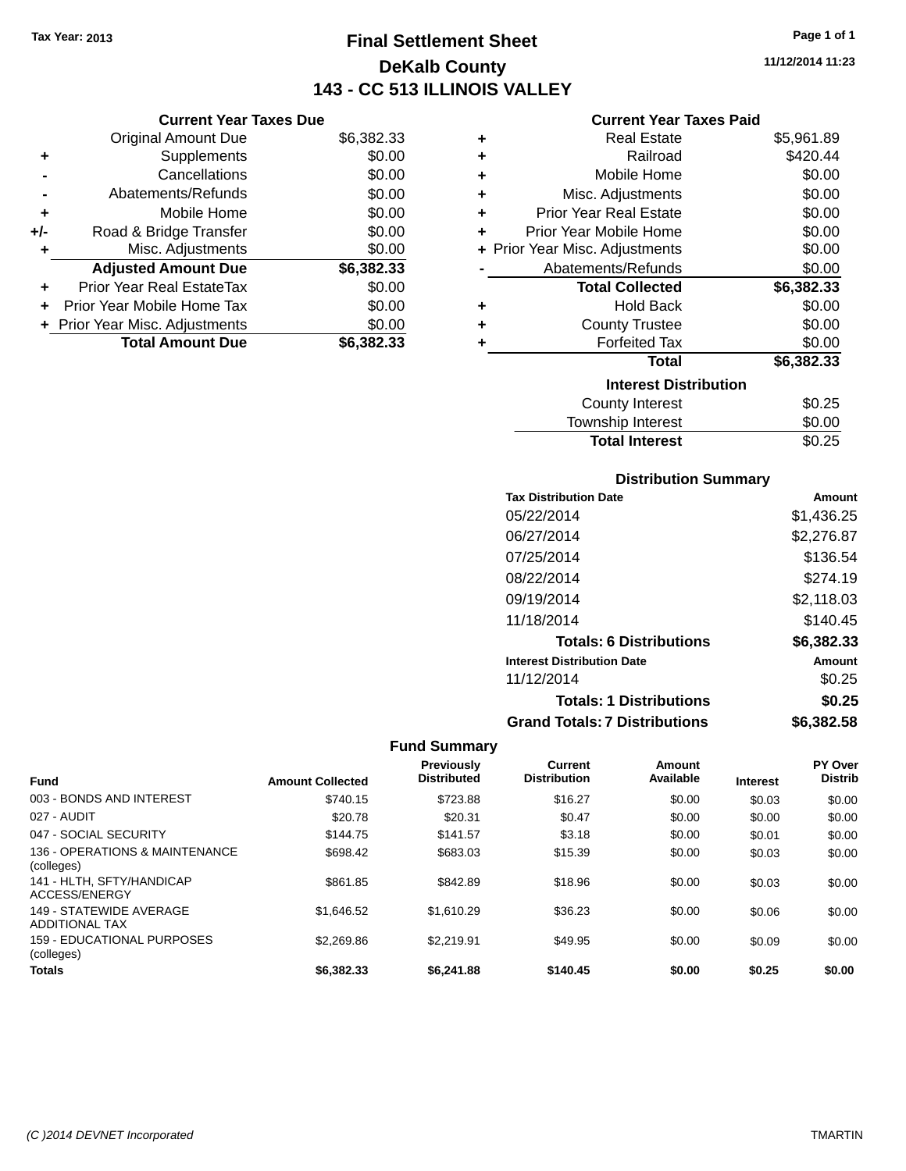### **Final Settlement Sheet Tax Year: 2013 Page 1 of 1 DeKalb County 143 - CC 513 ILLINOIS VALLEY**

**11/12/2014 11:23**

### **Current Year Taxes Paid**

|     | <b>Current Year Taxes Due</b>    |            |         |
|-----|----------------------------------|------------|---------|
|     | <b>Original Amount Due</b>       | \$6,382.33 | ٠       |
|     | <b>Supplements</b>               | \$0.00     | ٠       |
|     | Cancellations                    | \$0.00     | ٠       |
|     | Abatements/Refunds               | \$0.00     |         |
|     | Mobile Home                      | \$0.00     | ٠       |
| +/- | Road & Bridge Transfer           | \$0.00     |         |
|     | Misc. Adjustments                | \$0.00     | + Prior |
|     | <b>Adjusted Amount Due</b>       | \$6,382.33 |         |
|     | <b>Prior Year Real EstateTax</b> | \$0.00     |         |
|     | Prior Year Mobile Home Tax       | \$0.00     | ٠       |
|     | + Prior Year Misc. Adjustments   | \$0.00     |         |
|     | <b>Total Amount Due</b>          | \$6,382.33 |         |
|     |                                  |            |         |

| ٠ | <b>Real Estate</b>             | \$5,961.89 |
|---|--------------------------------|------------|
| ٠ | Railroad                       | \$420.44   |
| ٠ | Mobile Home                    | \$0.00     |
| ٠ | Misc. Adjustments              | \$0.00     |
| ٠ | <b>Prior Year Real Estate</b>  | \$0.00     |
| ٠ | Prior Year Mobile Home         | \$0.00     |
|   | + Prior Year Misc. Adjustments | \$0.00     |
|   | Abatements/Refunds             | \$0.00     |
|   | <b>Total Collected</b>         | \$6,382.33 |
| ٠ | <b>Hold Back</b>               | \$0.00     |
| ٠ | <b>County Trustee</b>          | \$0.00     |
| ٠ | <b>Forfeited Tax</b>           | \$0.00     |
|   | Total                          | \$6,382.33 |
|   | <b>Interest Distribution</b>   |            |
|   | County Interest                | \$0.25     |
|   | <b>Township Interest</b>       | \$0.00     |
|   | <b>Total Interest</b>          | \$0.25     |

### **Distribution Summary**

| <b>Tax Distribution Date</b>         | Amount     |
|--------------------------------------|------------|
| 05/22/2014                           | \$1.436.25 |
| 06/27/2014                           | \$2,276.87 |
| 07/25/2014                           | \$136.54   |
| 08/22/2014                           | \$274.19   |
| 09/19/2014                           | \$2.118.03 |
| 11/18/2014                           | \$140.45   |
| <b>Totals: 6 Distributions</b>       | \$6,382.33 |
| <b>Interest Distribution Date</b>    | Amount     |
| 11/12/2014                           | \$0.25     |
| <b>Totals: 1 Distributions</b>       | \$0.25     |
| <b>Grand Totals: 7 Distributions</b> | \$6,382.58 |

| Fund                                             | <b>Amount Collected</b> | <b>Previously</b><br><b>Distributed</b> | Current<br><b>Distribution</b> | Amount<br>Available | <b>Interest</b> | <b>PY Over</b><br><b>Distrib</b> |
|--------------------------------------------------|-------------------------|-----------------------------------------|--------------------------------|---------------------|-----------------|----------------------------------|
| 003 - BONDS AND INTEREST                         | \$740.15                | \$723.88                                | \$16.27                        | \$0.00              | \$0.03          | \$0.00                           |
| 027 - AUDIT                                      | \$20.78                 | \$20.31                                 | \$0.47                         | \$0.00              | \$0.00          | \$0.00                           |
| 047 - SOCIAL SECURITY                            | \$144.75                | \$141.57                                | \$3.18                         | \$0.00              | \$0.01          | \$0.00                           |
| 136 - OPERATIONS & MAINTENANCE<br>(colleges)     | \$698.42                | \$683.03                                | \$15.39                        | \$0.00              | \$0.03          | \$0.00                           |
| 141 - HLTH, SFTY/HANDICAP<br>ACCESS/ENERGY       | \$861.85                | \$842.89                                | \$18.96                        | \$0.00              | \$0.03          | \$0.00                           |
| 149 - STATEWIDE AVERAGE<br><b>ADDITIONAL TAX</b> | \$1.646.52              | \$1.610.29                              | \$36.23                        | \$0.00              | \$0.06          | \$0.00                           |
| <b>159 - EDUCATIONAL PURPOSES</b><br>(colleges)  | \$2,269.86              | \$2.219.91                              | \$49.95                        | \$0.00              | \$0.09          | \$0.00                           |
| <b>Totals</b>                                    | \$6,382,33              | \$6,241.88                              | \$140.45                       | \$0.00              | \$0.25          | \$0.00                           |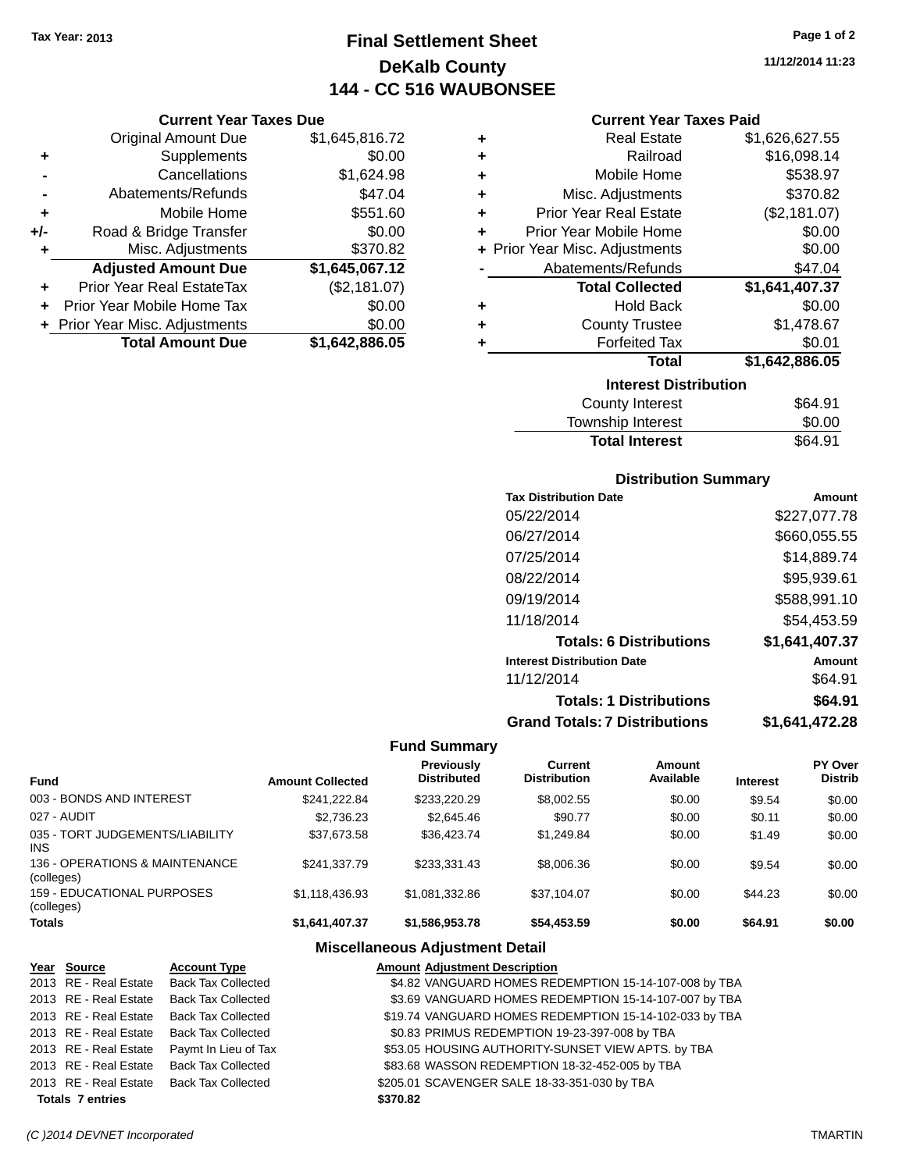### **Final Settlement Sheet Tax Year: 2013 Page 1 of 2 DeKalb County 144 - CC 516 WAUBONSEE**

**11/12/2014 11:23**

#### **Current Year Taxes Paid**

|     | <b>Current Year Taxes Due</b> |                |  |  |  |
|-----|-------------------------------|----------------|--|--|--|
|     | <b>Original Amount Due</b>    | \$1,645,816.72 |  |  |  |
| ٠   | Supplements                   | \$0.00         |  |  |  |
|     | Cancellations                 | \$1,624.98     |  |  |  |
|     | Abatements/Refunds            | \$47.04        |  |  |  |
| ٠   | Mobile Home                   | \$551.60       |  |  |  |
| +/- | Road & Bridge Transfer        | \$0.00         |  |  |  |
| ٠   | Misc. Adjustments             | \$370.82       |  |  |  |
|     | <b>Adjusted Amount Due</b>    | \$1,645,067.12 |  |  |  |
| ٠   | Prior Year Real EstateTax     | (\$2,181.07)   |  |  |  |
| ٠   | Prior Year Mobile Home Tax    | \$0.00         |  |  |  |
|     | Prior Year Misc. Adjustments  | \$0.00         |  |  |  |
|     | <b>Total Amount Due</b>       | \$1,642,886.05 |  |  |  |

| ٠ | <b>Real Estate</b>             | \$1,626,627.55 |
|---|--------------------------------|----------------|
| ÷ | Railroad                       | \$16,098.14    |
| ٠ | Mobile Home                    | \$538.97       |
| ٠ | Misc. Adjustments              | \$370.82       |
| ٠ | <b>Prior Year Real Estate</b>  | (\$2,181.07)   |
| ÷ | Prior Year Mobile Home         | \$0.00         |
|   | + Prior Year Misc. Adjustments | \$0.00         |
|   | Abatements/Refunds             | \$47.04        |
|   |                                |                |
|   | <b>Total Collected</b>         | \$1,641,407.37 |
| ٠ | <b>Hold Back</b>               | \$0.00         |
| ÷ | <b>County Trustee</b>          | \$1,478.67     |
| ٠ | <b>Forfeited Tax</b>           | \$0.01         |
|   | <b>Total</b>                   | \$1,642,886.05 |
|   | <b>Interest Distribution</b>   |                |
|   | County Interest                | \$64.91        |

## **Distribution Summary**

Total Interest \$64.91

| <b>Tax Distribution Date</b>         | Amount         |
|--------------------------------------|----------------|
| 05/22/2014                           | \$227,077.78   |
| 06/27/2014                           | \$660.055.55   |
| 07/25/2014                           | \$14,889.74    |
| 08/22/2014                           | \$95,939.61    |
| 09/19/2014                           | \$588,991.10   |
| 11/18/2014                           | \$54.453.59    |
| <b>Totals: 6 Distributions</b>       | \$1,641,407.37 |
| <b>Interest Distribution Date</b>    | Amount         |
| 11/12/2014                           | \$64.91        |
| <b>Totals: 1 Distributions</b>       | \$64.91        |
| <b>Grand Totals: 7 Distributions</b> | \$1.641.472.28 |

### **Fund Summary**

| <b>Fund</b>                                   | <b>Amount Collected</b> | Previously<br><b>Distributed</b> | Current<br><b>Distribution</b> | Amount<br>Available | <b>Interest</b> | <b>PY Over</b><br><b>Distrib</b> |
|-----------------------------------------------|-------------------------|----------------------------------|--------------------------------|---------------------|-----------------|----------------------------------|
| 003 - BONDS AND INTEREST                      | \$241.222.84            | \$233,220.29                     | \$8,002.55                     | \$0.00              | \$9.54          | \$0.00                           |
| 027 - AUDIT                                   | \$2.736.23              | \$2,645.46                       | \$90.77                        | \$0.00              | \$0.11          | \$0.00                           |
| 035 - TORT JUDGEMENTS/LIABILITY<br><b>INS</b> | \$37,673.58             | \$36.423.74                      | \$1.249.84                     | \$0.00              | \$1.49          | \$0.00                           |
| 136 - OPERATIONS & MAINTENANCE<br>(colleges)  | \$241.337.79            | \$233.331.43                     | \$8,006.36                     | \$0.00              | \$9.54          | \$0.00                           |
| 159 - EDUCATIONAL PURPOSES<br>(colleges)      | \$1.118.436.93          | \$1.081.332.86                   | \$37.104.07                    | \$0.00              | \$44.23         | \$0.00                           |
| <b>Totals</b>                                 | \$1,641,407.37          | \$1,586,953.78                   | \$54,453.59                    | \$0.00              | \$64.91         | \$0.00                           |

### **Miscellaneous Adjustment Detail**

| Year Source             | <b>Account Type</b>                      | <b>Amount Adjustment Description</b>                   |
|-------------------------|------------------------------------------|--------------------------------------------------------|
|                         | 2013 RE - Real Estate Back Tax Collected | \$4.82 VANGUARD HOMES REDEMPTION 15-14-107-008 by TBA  |
|                         | 2013 RE - Real Estate Back Tax Collected | \$3.69 VANGUARD HOMES REDEMPTION 15-14-107-007 by TBA  |
|                         | 2013 RE - Real Estate Back Tax Collected | \$19.74 VANGUARD HOMES REDEMPTION 15-14-102-033 by TBA |
|                         | 2013 RE - Real Estate Back Tax Collected | \$0.83 PRIMUS REDEMPTION 19-23-397-008 by TBA          |
| 2013 RE - Real Estate   | Paymt In Lieu of Tax                     | \$53.05 HOUSING AUTHORITY-SUNSET VIEW APTS. by TBA     |
| 2013 RE - Real Estate   | <b>Back Tax Collected</b>                | \$83.68 WASSON REDEMPTION 18-32-452-005 by TBA         |
|                         | 2013 RE - Real Estate Back Tax Collected | \$205.01 SCAVENGER SALE 18-33-351-030 by TBA           |
| <b>Totals 7 entries</b> |                                          | \$370.82                                               |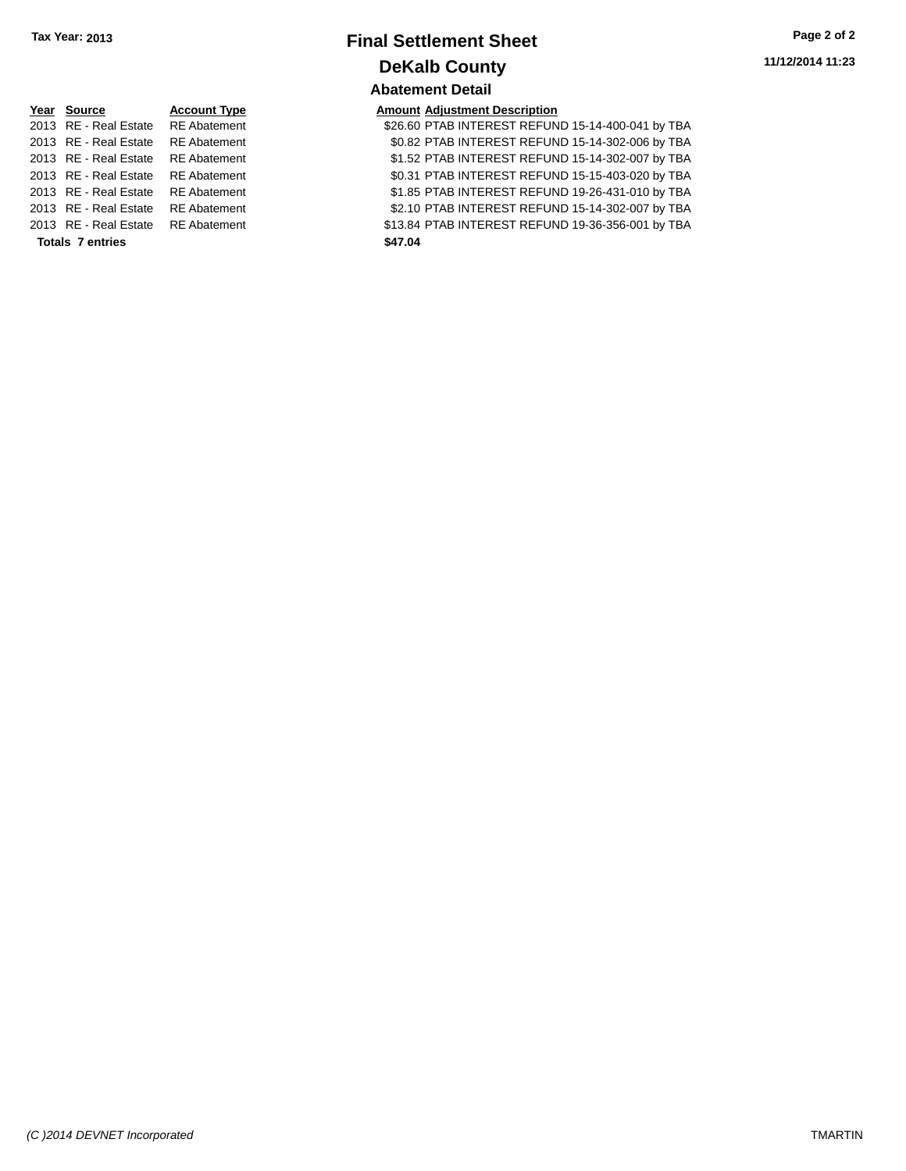| Tax Year: 2013 | <b>Final Settlement Sheet</b> | Page 2 of 2      |  |
|----------------|-------------------------------|------------------|--|
|                | <b>DeKalb County</b>          | 11/12/2014 11:23 |  |
|                | <b>Abatement Detail</b>       |                  |  |

2013 PTAB INTEREST REFUND 15-14-400-041 by TBA 2013 RE - Real Estate RE Abatement \$0.82 PTAB INTEREST REFUND 15-14-302-006 by TBA 2013 RE - Real Estate RE Abatement \$1.52 PTAB INTEREST REFUND 15-14-302-007 by TBA 2013 RE - Real Estate RE Abatement \$0.31 PTAB INTEREST REFUND 15-15-403-020 by TBA 2013 RE - Real Estate RE Abatement \$1.85 PTAB INTEREST REFUND 19-26-431-010 by TBA 2013 RE - Real Estate RE Abatement \$2.10 PTAB INTEREST REFUND 15-14-302-007 by TBA 2013 RE - Real Estate RE Abatement \$13.84 PTAB INTEREST REFUND 19-36-356-001 by TBA

| Year Source             | <b>Account Type</b> | <b>Amount Adjustment Description</b>                                                                                                                                                                                |
|-------------------------|---------------------|---------------------------------------------------------------------------------------------------------------------------------------------------------------------------------------------------------------------|
|                         |                     | \$26.60 PTAB INTEREST REFUN                                                                                                                                                                                         |
|                         |                     | \$0.82 PTAB INTEREST REFUN                                                                                                                                                                                          |
|                         |                     | \$1.52 PTAB INTEREST REFUN                                                                                                                                                                                          |
|                         |                     | \$0.31 PTAB INTEREST REFUN                                                                                                                                                                                          |
|                         | <b>RE</b> Abatement | \$1.85 PTAB INTEREST REFUN                                                                                                                                                                                          |
| 2013 RE - Real Estate   | <b>RE</b> Abatement | \$2.10 PTAB INTEREST REFUN                                                                                                                                                                                          |
|                         |                     | \$13.84 PTAB INTEREST REFUN                                                                                                                                                                                         |
| <b>Totals 7 entries</b> |                     | \$47.04                                                                                                                                                                                                             |
|                         |                     | 2013 RE - Real Estate RE Abatement<br>2013 RE - Real Estate RE Abatement<br>2013 RE - Real Estate RE Abatement<br>2013 RE - Real Estate RE Abatement<br>2013 RE - Real Estate<br>2013 RE - Real Estate RE Abatement |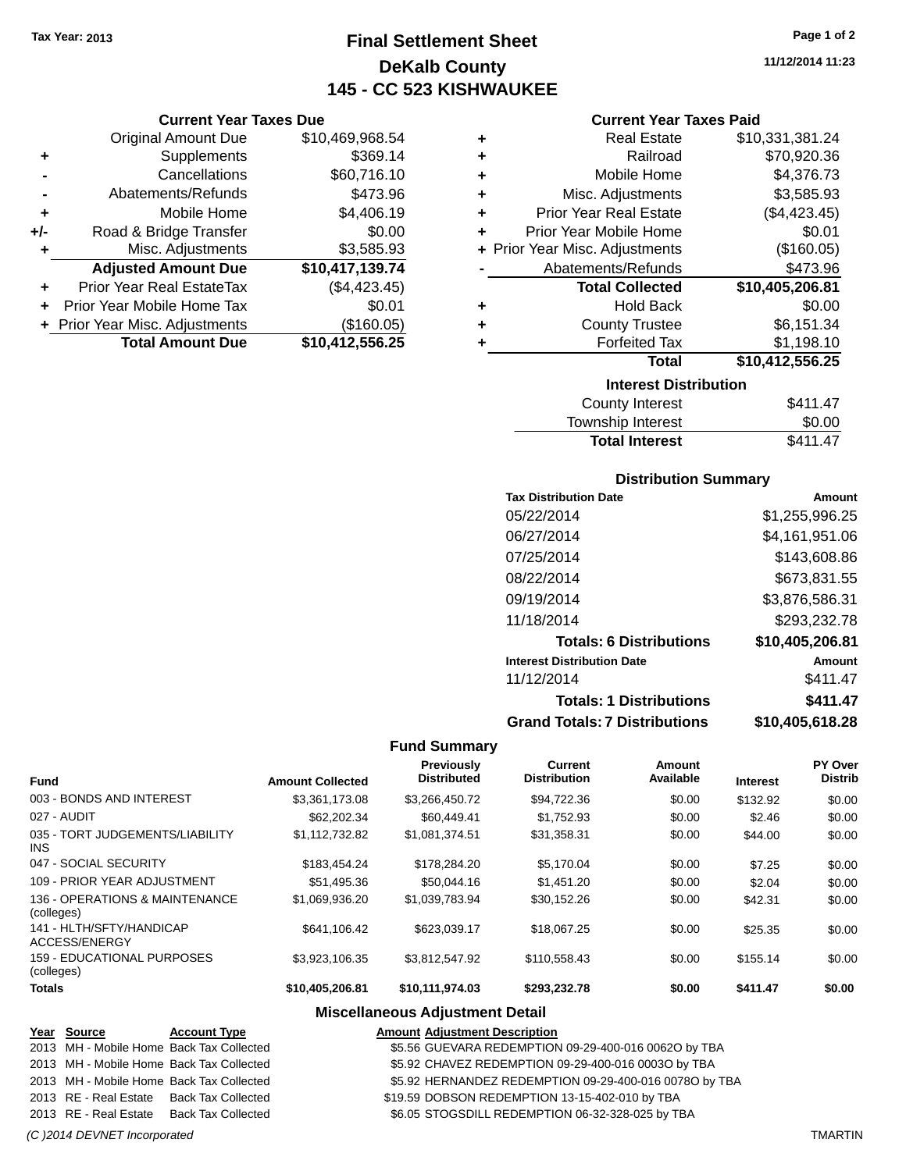**Current Year Taxes Due** Original Amount Due \$10,469,968.54

**Adjusted Amount Due \$10,417,139.74**

**Total Amount Due \$10,412,556.25**

**+** Supplements \$369.14 **-** Cancellations \$60,716.10 **-** Abatements/Refunds \$473.96 **+** Mobile Home \$4,406.19 **+/-** Road & Bridge Transfer \$0.00 **+** Misc. Adjustments \$3,585.93

**+** Prior Year Real EstateTax (\$4,423.45) **+** Prior Year Mobile Home Tax \$0.01 **+** Prior Year Misc. Adjustments (\$160.05)

### **Final Settlement Sheet Tax Year: 2013 Page 1 of 2 DeKalb County 145 - CC 523 KISHWAUKEE**

**11/12/2014 11:23**

### **Current Year Taxes Paid**

| ٠                               | <b>Real Estate</b>             | \$10,331,381.24 |  |  |
|---------------------------------|--------------------------------|-----------------|--|--|
| ٠                               | Railroad                       | \$70,920.36     |  |  |
| ٠                               | Mobile Home                    | \$4,376.73      |  |  |
| ÷                               | Misc. Adjustments              | \$3,585.93      |  |  |
| ÷                               | <b>Prior Year Real Estate</b>  | (\$4,423.45)    |  |  |
| ÷                               | Prior Year Mobile Home         | \$0.01          |  |  |
|                                 | + Prior Year Misc. Adjustments | (\$160.05)      |  |  |
|                                 | Abatements/Refunds             | \$473.96        |  |  |
|                                 | <b>Total Collected</b>         | \$10,405,206.81 |  |  |
| ٠                               | <b>Hold Back</b>               | \$0.00          |  |  |
| ٠                               | <b>County Trustee</b>          | \$6,151.34      |  |  |
| ٠                               | <b>Forfeited Tax</b>           | \$1,198.10      |  |  |
| \$10,412,556.25<br><b>Total</b> |                                |                 |  |  |
|                                 | <b>Interest Distribution</b>   |                 |  |  |
|                                 | .                              |                 |  |  |

| <b>County Interest</b><br>Township Interest | \$0.00   |
|---------------------------------------------|----------|
| <b>Total Interest</b>                       | \$411.47 |

### **Distribution Summary**

| <b>Tax Distribution Date</b>         | Amount          |
|--------------------------------------|-----------------|
| 05/22/2014                           | \$1,255,996.25  |
| 06/27/2014                           | \$4,161,951.06  |
| 07/25/2014                           | \$143,608.86    |
| 08/22/2014                           | \$673,831.55    |
| 09/19/2014                           | \$3,876,586.31  |
| 11/18/2014                           | \$293,232.78    |
| <b>Totals: 6 Distributions</b>       | \$10,405,206.81 |
| <b>Interest Distribution Date</b>    | Amount          |
| 11/12/2014                           | \$411.47        |
| <b>Totals: 1 Distributions</b>       | \$411.47        |
| <b>Grand Totals: 7 Distributions</b> | \$10,405,618.28 |

#### **Fund Summary**

| <b>Fund</b>                                   | <b>Amount Collected</b> | <b>Previously</b><br><b>Distributed</b> | <b>Current</b><br><b>Distribution</b> | Amount<br>Available | <b>Interest</b> | PY Over<br><b>Distrib</b> |
|-----------------------------------------------|-------------------------|-----------------------------------------|---------------------------------------|---------------------|-----------------|---------------------------|
| 003 - BONDS AND INTEREST                      | \$3,361,173.08          | \$3,266,450.72                          | \$94,722.36                           | \$0.00              | \$132.92        | \$0.00                    |
| 027 - AUDIT                                   | \$62,202.34             | \$60,449.41                             | \$1.752.93                            | \$0.00              | \$2.46          | \$0.00                    |
| 035 - TORT JUDGEMENTS/LIABILITY<br><b>INS</b> | \$1,112,732.82          | \$1,081,374.51                          | \$31,358.31                           | \$0.00              | \$44.00         | \$0.00                    |
| 047 - SOCIAL SECURITY                         | \$183.454.24            | \$178,284,20                            | \$5.170.04                            | \$0.00              | \$7.25          | \$0.00                    |
| 109 - PRIOR YEAR ADJUSTMENT                   | \$51,495.36             | \$50,044.16                             | \$1,451,20                            | \$0.00              | \$2.04          | \$0.00                    |
| 136 - OPERATIONS & MAINTENANCE<br>(colleges)  | \$1.069.936.20          | \$1.039.783.94                          | \$30,152.26                           | \$0.00              | \$42.31         | \$0.00                    |
| 141 - HLTH/SFTY/HANDICAP<br>ACCESS/ENERGY     | \$641.106.42            | \$623.039.17                            | \$18,067.25                           | \$0.00              | \$25.35         | \$0.00                    |
| 159 - EDUCATIONAL PURPOSES<br>(colleges)      | \$3,923,106.35          | \$3,812,547.92                          | \$110,558.43                          | \$0.00              | \$155.14        | \$0.00                    |
| <b>Totals</b>                                 | \$10,405,206.81         | \$10,111,974.03                         | \$293.232.78                          | \$0.00              | \$411.47        | \$0.00                    |

### **Miscellaneous Adjustment Detail**

| Year Source           | <b>Account Type</b>                      | <b>Amount Adjustment Description</b>                   |
|-----------------------|------------------------------------------|--------------------------------------------------------|
|                       | 2013 MH - Mobile Home Back Tax Collected | \$5.56 GUEVARA REDEMPTION 09-29-400-016 00620 by TBA   |
|                       | 2013 MH - Mobile Home Back Tax Collected | \$5.92 CHAVEZ REDEMPTION 09-29-400-016 0003O by TBA    |
|                       | 2013 MH - Mobile Home Back Tax Collected | \$5.92 HERNANDEZ REDEMPTION 09-29-400-016 0078O by TBA |
|                       | 2013 RE - Real Estate Back Tax Collected | \$19.59 DOBSON REDEMPTION 13-15-402-010 by TBA         |
| 2013 RE - Real Estate | Back Tax Collected                       | \$6.05 STOGSDILL REDEMPTION 06-32-328-025 by TBA       |
|                       |                                          |                                                        |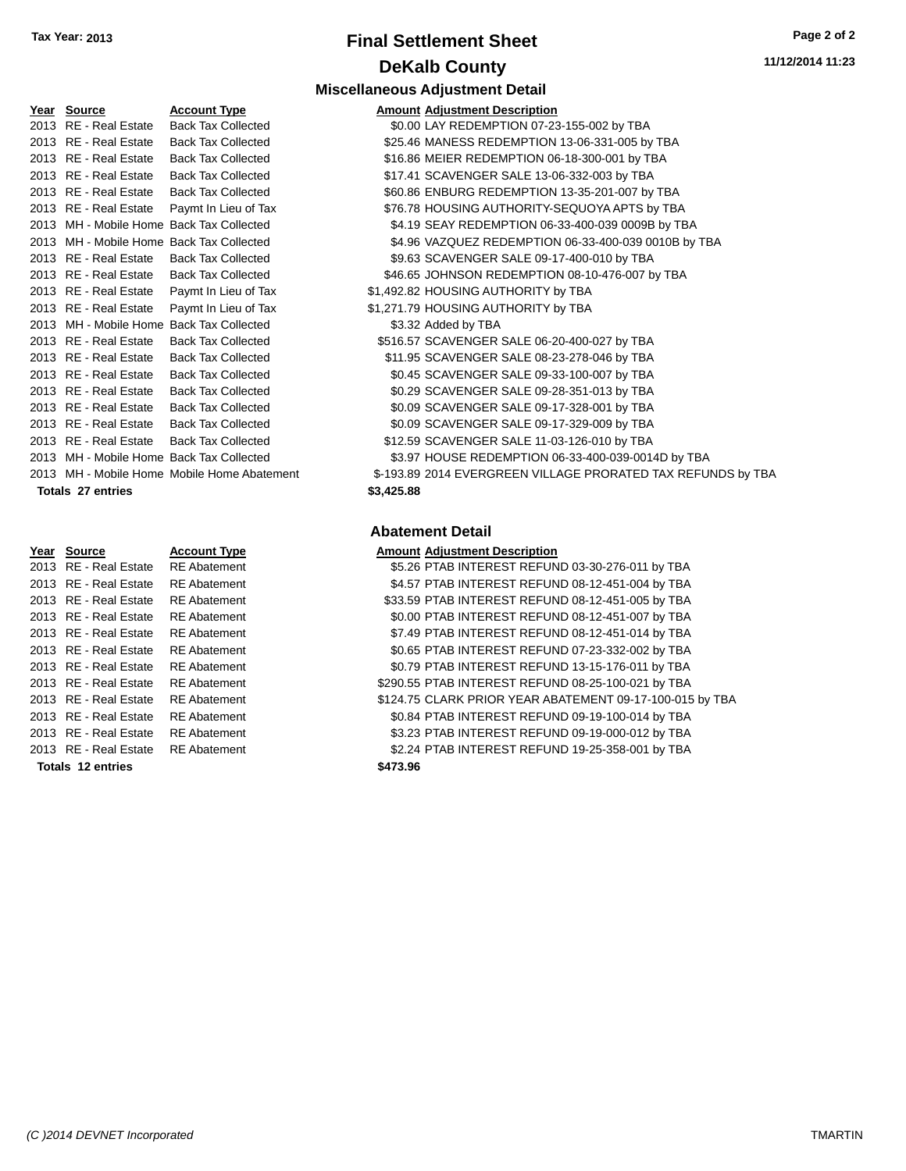## **Final Settlement Sheet Tax Year: 2013 Page 2 of 2 DeKalb County**

| Year Source              | <b>Account Type</b>                         |            | <b>Amount Adjustment Description</b> |
|--------------------------|---------------------------------------------|------------|--------------------------------------|
| 2013 RE - Real Estate    | <b>Back Tax Collected</b>                   |            | \$0.00 LAY REDEMPTION 07-23-155-0    |
| 2013 RE - Real Estate    | <b>Back Tax Collected</b>                   |            | \$25.46 MANESS REDEMPTION 13-06      |
| 2013 RE - Real Estate    | <b>Back Tax Collected</b>                   |            | \$16.86 MEIER REDEMPTION 06-18-30    |
| 2013 RE - Real Estate    | <b>Back Tax Collected</b>                   |            | \$17.41 SCAVENGER SALE 13-06-332-    |
| 2013 RE - Real Estate    | <b>Back Tax Collected</b>                   |            | \$60.86 ENBURG REDEMPTION 13-35      |
| 2013 RE - Real Estate    | Paymt In Lieu of Tax                        |            | \$76.78 HOUSING AUTHORITY-SEQUO      |
|                          | 2013 MH - Mobile Home Back Tax Collected    |            | \$4.19 SEAY REDEMPTION 06-33-400     |
|                          | 2013 MH - Mobile Home Back Tax Collected    |            | \$4.96 VAZQUEZ REDEMPTION 06-33      |
| 2013 RE - Real Estate    | <b>Back Tax Collected</b>                   |            | \$9.63 SCAVENGER SALE 09-17-400-     |
| 2013 RE - Real Estate    | <b>Back Tax Collected</b>                   |            | \$46.65 JOHNSON REDEMPTION 08-1      |
| 2013 RE - Real Estate    | Paymt In Lieu of Tax                        |            | \$1,492.82 HOUSING AUTHORITY by TBA  |
| 2013 RE - Real Estate    | Paymt In Lieu of Tax                        |            | \$1,271.79 HOUSING AUTHORITY by TBA  |
|                          | 2013 MH - Mobile Home Back Tax Collected    |            | \$3.32 Added by TBA                  |
| 2013 RE - Real Estate    | <b>Back Tax Collected</b>                   |            | \$516.57 SCAVENGER SALE 06-20-400-   |
| 2013 RE - Real Estate    | <b>Back Tax Collected</b>                   |            | \$11.95 SCAVENGER SALE 08-23-278-    |
| 2013 RE - Real Estate    | <b>Back Tax Collected</b>                   |            | \$0.45 SCAVENGER SALE 09-33-100-     |
| 2013 RE - Real Estate    | <b>Back Tax Collected</b>                   |            | \$0.29 SCAVENGER SALE 09-28-351-     |
| 2013 RE - Real Estate    | <b>Back Tax Collected</b>                   |            | \$0.09 SCAVENGER SALE 09-17-328-     |
| 2013 RE - Real Estate    | <b>Back Tax Collected</b>                   |            | \$0.09 SCAVENGER SALE 09-17-329-     |
| 2013 RE - Real Estate    | <b>Back Tax Collected</b>                   |            | \$12.59 SCAVENGER SALE 11-03-126-    |
|                          | 2013 MH - Mobile Home Back Tax Collected    |            | \$3.97 HOUSE REDEMPTION 06-33-4      |
|                          | 2013 MH - Mobile Home Mobile Home Abatement |            | \$-193.89 2014 EVERGREEN VILLAGE P   |
| <b>Totals 27 entries</b> |                                             | \$3,425.88 |                                      |

| Year | <b>Source</b>            | <b>Account Type</b> |
|------|--------------------------|---------------------|
| 2013 | <b>RE</b> - Real Estate  | RE Abatemen         |
| 2013 | <b>RE</b> - Real Estate  | <b>RE</b> Abatemen  |
| 2013 | <b>RE</b> - Real Estate  | <b>RE Abatemen</b>  |
| 2013 | <b>RE</b> - Real Estate  | RE Abatemen         |
| 2013 | RE - Real Estate         | <b>RE Abatemen</b>  |
| 2013 | <b>RE</b> - Real Estate  | <b>RE Abatemen</b>  |
| 2013 | <b>RE</b> - Real Estate  | <b>RE Abatemen</b>  |
| 2013 | RF - Real Estate         | <b>RE</b> Abatemen  |
| 2013 | <b>RE</b> - Real Estate  | <b>RE</b> Abatemen  |
| 2013 | <b>RE</b> - Real Estate  | <b>RE</b> Abatemen  |
| 2013 | <b>RE</b> - Real Estate  | <b>RE</b> Abatemen  |
| 2013 | <b>RE</b> - Real Estate  | <b>RE</b> Abatemen  |
|      | <b>Totals 12 entries</b> |                     |

### **Miscellaneous Adjustment Detail**

| <u>Year Source</u>                       | <b>Account Type</b>                         |            | <b>Amount Adjustment Description</b>                         |
|------------------------------------------|---------------------------------------------|------------|--------------------------------------------------------------|
| 2013 RE - Real Estate                    | <b>Back Tax Collected</b>                   |            | \$0.00 LAY REDEMPTION 07-23-155-002 by TBA                   |
| 2013 RE - Real Estate                    | <b>Back Tax Collected</b>                   |            | \$25.46 MANESS REDEMPTION 13-06-331-005 by TBA               |
| 2013 RE - Real Estate                    | <b>Back Tax Collected</b>                   |            | \$16.86 MEIER REDEMPTION 06-18-300-001 by TBA                |
| 2013 RE - Real Estate                    | <b>Back Tax Collected</b>                   |            | \$17.41 SCAVENGER SALE 13-06-332-003 by TBA                  |
| 2013 RE - Real Estate                    | <b>Back Tax Collected</b>                   |            | \$60.86 ENBURG REDEMPTION 13-35-201-007 by TBA               |
| 2013 RE - Real Estate                    | Paymt In Lieu of Tax                        |            | \$76.78 HOUSING AUTHORITY-SEQUOYA APTS by TBA                |
|                                          | 2013 MH - Mobile Home Back Tax Collected    |            | \$4.19 SEAY REDEMPTION 06-33-400-039 0009B by TBA            |
|                                          | 2013 MH - Mobile Home Back Tax Collected    |            | \$4.96 VAZQUEZ REDEMPTION 06-33-400-039 0010B by TBA         |
| 2013 RE - Real Estate                    | <b>Back Tax Collected</b>                   |            | \$9.63 SCAVENGER SALE 09-17-400-010 by TBA                   |
| 2013 RE - Real Estate                    | <b>Back Tax Collected</b>                   |            | \$46.65 JOHNSON REDEMPTION 08-10-476-007 by TBA              |
| 2013 RE - Real Estate                    | Paymt In Lieu of Tax                        |            | \$1,492.82 HOUSING AUTHORITY by TBA                          |
| 2013 RE - Real Estate                    | Paymt In Lieu of Tax                        |            | \$1,271.79 HOUSING AUTHORITY by TBA                          |
|                                          | 2013 MH - Mobile Home Back Tax Collected    |            | \$3.32 Added by TBA                                          |
| 2013 RE - Real Estate                    | <b>Back Tax Collected</b>                   |            | \$516.57 SCAVENGER SALE 06-20-400-027 by TBA                 |
| 2013 RE - Real Estate                    | <b>Back Tax Collected</b>                   |            | \$11.95 SCAVENGER SALE 08-23-278-046 by TBA                  |
| 2013 RE - Real Estate                    | <b>Back Tax Collected</b>                   |            | \$0.45 SCAVENGER SALE 09-33-100-007 by TBA                   |
| 2013 RE - Real Estate                    | <b>Back Tax Collected</b>                   |            | \$0.29 SCAVENGER SALE 09-28-351-013 by TBA                   |
| 2013 RE - Real Estate                    | <b>Back Tax Collected</b>                   |            | \$0.09 SCAVENGER SALE 09-17-328-001 by TBA                   |
| 2013 RE - Real Estate                    | <b>Back Tax Collected</b>                   |            | \$0.09 SCAVENGER SALE 09-17-329-009 by TBA                   |
| 2013 RE - Real Estate                    | <b>Back Tax Collected</b>                   |            | \$12.59 SCAVENGER SALE 11-03-126-010 by TBA                  |
| 2013 MH - Mobile Home Back Tax Collected |                                             |            | \$3.97 HOUSE REDEMPTION 06-33-400-039-0014D by TBA           |
|                                          | 2013 MH - Mobile Home Mobile Home Abatement |            | \$-193.89 2014 EVERGREEN VILLAGE PRORATED TAX REFUNDS by TBA |
| Totals 27 entries                        |                                             | \$3,425.88 |                                                              |
|                                          |                                             |            |                                                              |

### **Abatement Detail**

| Year Source              | <b>Account Type</b> | <b>Amount Adjustment Description</b>                     |
|--------------------------|---------------------|----------------------------------------------------------|
| 2013 RE - Real Estate    | <b>RE</b> Abatement | \$5.26 PTAB INTEREST REFUND 03-30-276-011 by TBA         |
| 2013 RE - Real Estate    | <b>RE</b> Abatement | \$4.57 PTAB INTEREST REFUND 08-12-451-004 by TBA         |
| 2013 RE - Real Estate    | <b>RE</b> Abatement | \$33.59 PTAB INTEREST REFUND 08-12-451-005 by TBA        |
| 2013 RE - Real Estate    | <b>RE</b> Abatement | \$0.00 PTAB INTEREST REFUND 08-12-451-007 by TBA         |
| 2013 RE - Real Estate    | <b>RE</b> Abatement | \$7.49 PTAB INTEREST REFUND 08-12-451-014 by TBA         |
| 2013 RE - Real Estate    | <b>RE</b> Abatement | \$0.65 PTAB INTEREST REFUND 07-23-332-002 by TBA         |
| 2013 RE - Real Estate    | <b>RE</b> Abatement | \$0.79 PTAB INTEREST REFUND 13-15-176-011 by TBA         |
| 2013 RE - Real Estate    | <b>RE</b> Abatement | \$290.55 PTAB INTEREST REFUND 08-25-100-021 by TBA       |
| 2013 RE - Real Estate    | <b>RE</b> Abatement | \$124.75 CLARK PRIOR YEAR ABATEMENT 09-17-100-015 by TBA |
| 2013 RE - Real Estate    | <b>RE</b> Abatement | \$0.84 PTAB INTEREST REFUND 09-19-100-014 by TBA         |
| 2013 RE - Real Estate    | <b>RE</b> Abatement | \$3.23 PTAB INTEREST REFUND 09-19-000-012 by TBA         |
| 2013 RE - Real Estate    | <b>RE</b> Abatement | \$2.24 PTAB INTEREST REFUND 19-25-358-001 by TBA         |
| <b>Totals 12 entries</b> |                     | \$473.96                                                 |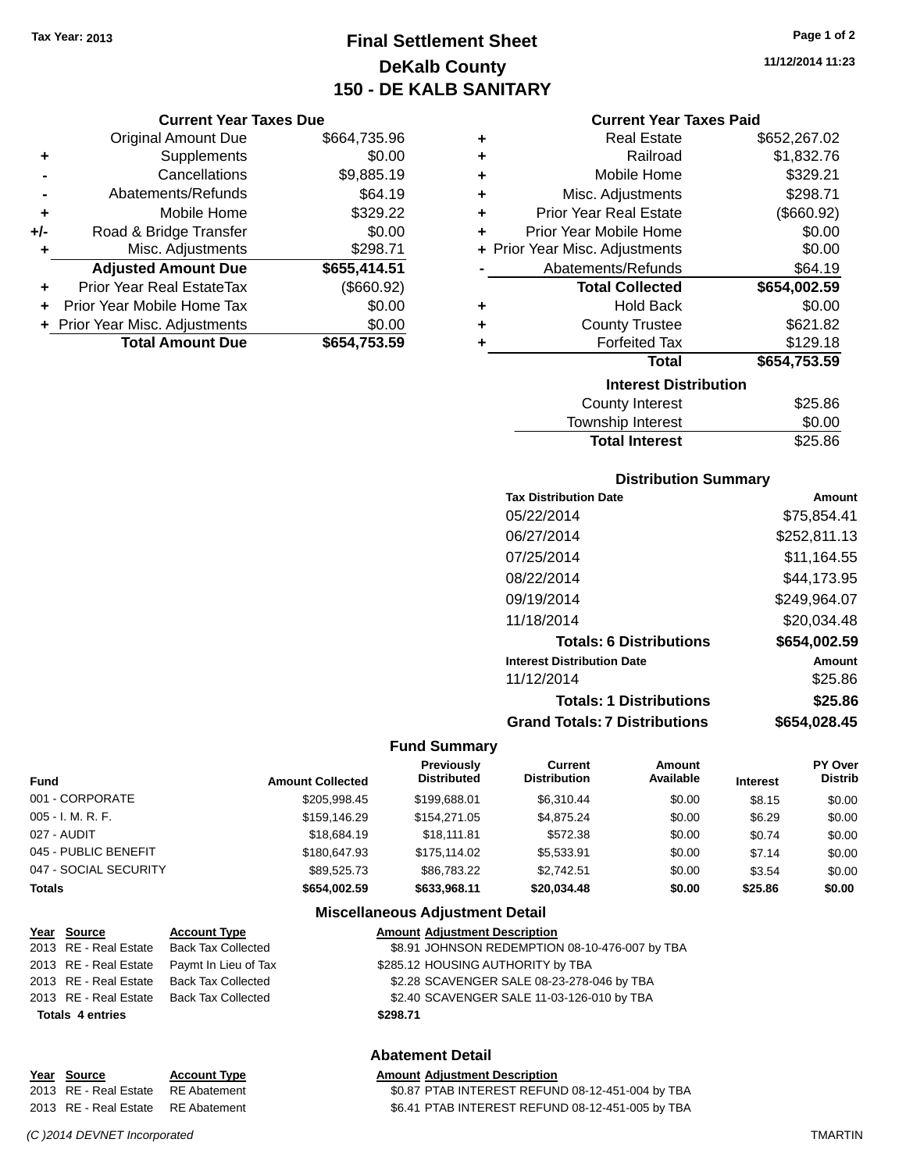**Current Year Taxes Due** Original Amount Due \$664,735.96

**Adjusted Amount Due \$655,414.51**

**Total Amount Due \$654,753.59**

**+** Supplements \$0.00 **-** Cancellations \$9,885.19 **-** Abatements/Refunds \$64.19 **+** Mobile Home \$329.22 **+/-** Road & Bridge Transfer \$0.00 **+** Misc. Adjustments \$298.71

**+** Prior Year Real EstateTax (\$660.92) **+** Prior Year Mobile Home Tax \$0.00 **+** Prior Year Misc. Adjustments  $$0.00$ 

## **Final Settlement Sheet Tax Year: 2013 Page 1 of 2 DeKalb County 150 - DE KALB SANITARY**

**11/12/2014 11:23**

### **Current Year Taxes Paid**

| ٠ | <b>Real Estate</b>             | \$652,267.02 |
|---|--------------------------------|--------------|
| ٠ | Railroad                       | \$1,832.76   |
| ٠ | Mobile Home                    | \$329.21     |
| ٠ | Misc. Adjustments              | \$298.71     |
| ٠ | <b>Prior Year Real Estate</b>  | (\$660.92)   |
| ٠ | Prior Year Mobile Home         | \$0.00       |
|   | + Prior Year Misc. Adjustments | \$0.00       |
|   | Abatements/Refunds             | \$64.19      |
|   | <b>Total Collected</b>         | \$654,002.59 |
| ٠ | <b>Hold Back</b>               | \$0.00       |
| ٠ | <b>County Trustee</b>          | \$621.82     |
| ٠ | <b>Forfeited Tax</b>           | \$129.18     |
|   | <b>Total</b>                   | \$654,753.59 |
|   | <b>Interest Distribution</b>   |              |
|   | <b>County Interest</b>         | \$25.86      |
|   | Townshin Interest              | ፍሰ ሰሰ        |

| \$0.00  |
|---------|
| \$25.86 |
|         |

#### **Distribution Summary**

| \$75,854.41  |
|--------------|
| \$252,811.13 |
| \$11.164.55  |
| \$44,173.95  |
| \$249,964.07 |
| \$20.034.48  |
| \$654,002.59 |
| Amount       |
| \$25.86      |
| \$25.86      |
| \$654,028.45 |
|              |

#### **Fund Summary**

| <b>Fund</b>           | <b>Amount Collected</b> | Previously<br><b>Distributed</b> | Current<br><b>Distribution</b> | Amount<br>Available | <b>Interest</b> | <b>PY Over</b><br><b>Distrib</b> |
|-----------------------|-------------------------|----------------------------------|--------------------------------|---------------------|-----------------|----------------------------------|
| 001 - CORPORATE       | \$205.998.45            | \$199,688.01                     | \$6.310.44                     | \$0.00              | \$8.15          | \$0.00                           |
| 005 - I. M. R. F.     | \$159,146.29            | \$154,271.05                     | \$4,875.24                     | \$0.00              | \$6.29          | \$0.00                           |
| 027 - AUDIT           | \$18,684.19             | \$18.111.81                      | \$572.38                       | \$0.00              | \$0.74          | \$0.00                           |
| 045 - PUBLIC BENEFIT  | \$180,647.93            | \$175.114.02                     | \$5.533.91                     | \$0.00              | \$7.14          | \$0.00                           |
| 047 - SOCIAL SECURITY | \$89.525.73             | \$86,783,22                      | \$2.742.51                     | \$0.00              | \$3.54          | \$0.00                           |
| Totals                | \$654,002.59            | \$633.968.11                     | \$20,034.48                    | \$0.00              | \$25.86         | \$0.00                           |

#### **Miscellaneous Adjustment Detail**

| Year Source             | <b>Account Type</b>       | <b>Amount Adjustment Description</b>           |
|-------------------------|---------------------------|------------------------------------------------|
| 2013 RE - Real Estate   | <b>Back Tax Collected</b> | \$8.91 JOHNSON REDEMPTION 08-10-476-007 by TBA |
| 2013 RE - Real Estate   | Paymt In Lieu of Tax      | \$285.12 HOUSING AUTHORITY by TBA              |
| 2013 RE - Real Estate   | <b>Back Tax Collected</b> | \$2.28 SCAVENGER SALE 08-23-278-046 by TBA     |
| 2013 RE - Real Estate   | Back Tax Collected        | \$2.40 SCAVENGER SALE 11-03-126-010 by TBA     |
| <b>Totals 4 entries</b> |                           | \$298.71                                       |
|                         |                           |                                                |
|                         |                           |                                                |

### **Abatement Detail**

#### **Year Source Account Type Amount Adjustment Description** 2013 RE - Real Estate RE Abatement \$0.87 PTAB INTEREST REFUND 08-12-451-004 by TBA

2013 RE - Real Estate RE Abatement \$6.41 PTAB INTEREST REFUND 08-12-451-005 by TBA

*(C )2014 DEVNET Incorporated* TMARTIN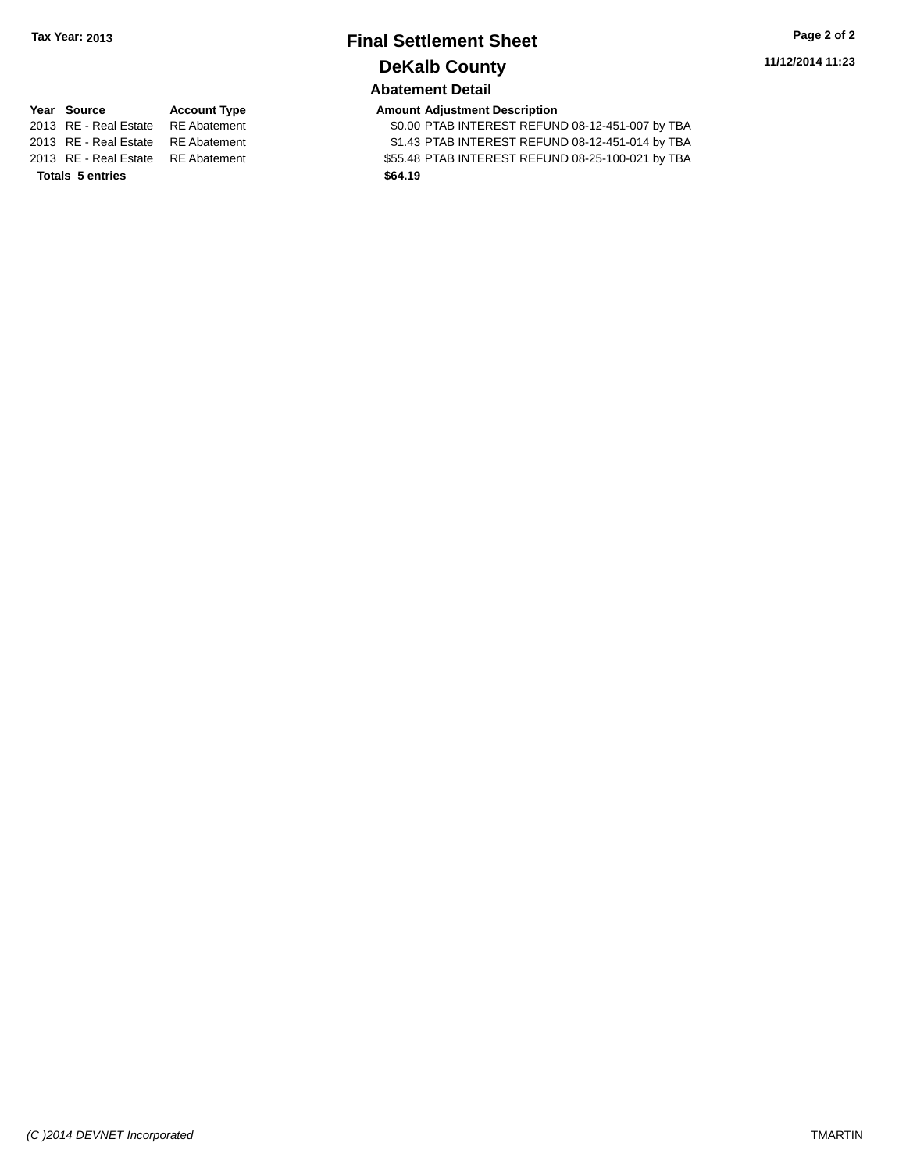# **Final Settlement Sheet Tax Year: 2013 Page 2 of 2 DeKalb County**

**11/12/2014 11:23**

### **Abatement Detail**

\$0.00 PTAB INTEREST REFUND 08-12-451-007 by TBA 2013 RE - Real Estate RE Abatement \$1.43 PTAB INTEREST REFUND 08-12-451-014 by TBA 2013 RE - Real Estate RE Abatement \$55.48 PTAB INTEREST REFUND 08-25-100-021 by TBA

|                                    |                     | <b>Abatement Detail</b>              |
|------------------------------------|---------------------|--------------------------------------|
| Year Source                        | <b>Account Type</b> | <b>Amount Adjustment Description</b> |
| 2013 RE - Real Estate RE Abatement |                     | \$0.00 PTAB INTEREST REFUN           |
| 2013 RE - Real Estate RE Abatement |                     | \$1.43 PTAB INTEREST REFUN           |
| 2012 BE Beel Fatate BE Abotement   |                     | <b>CEL 40 DTAD INTEDECT DEFINI</b>   |

**Totals 5 entries \$64.19**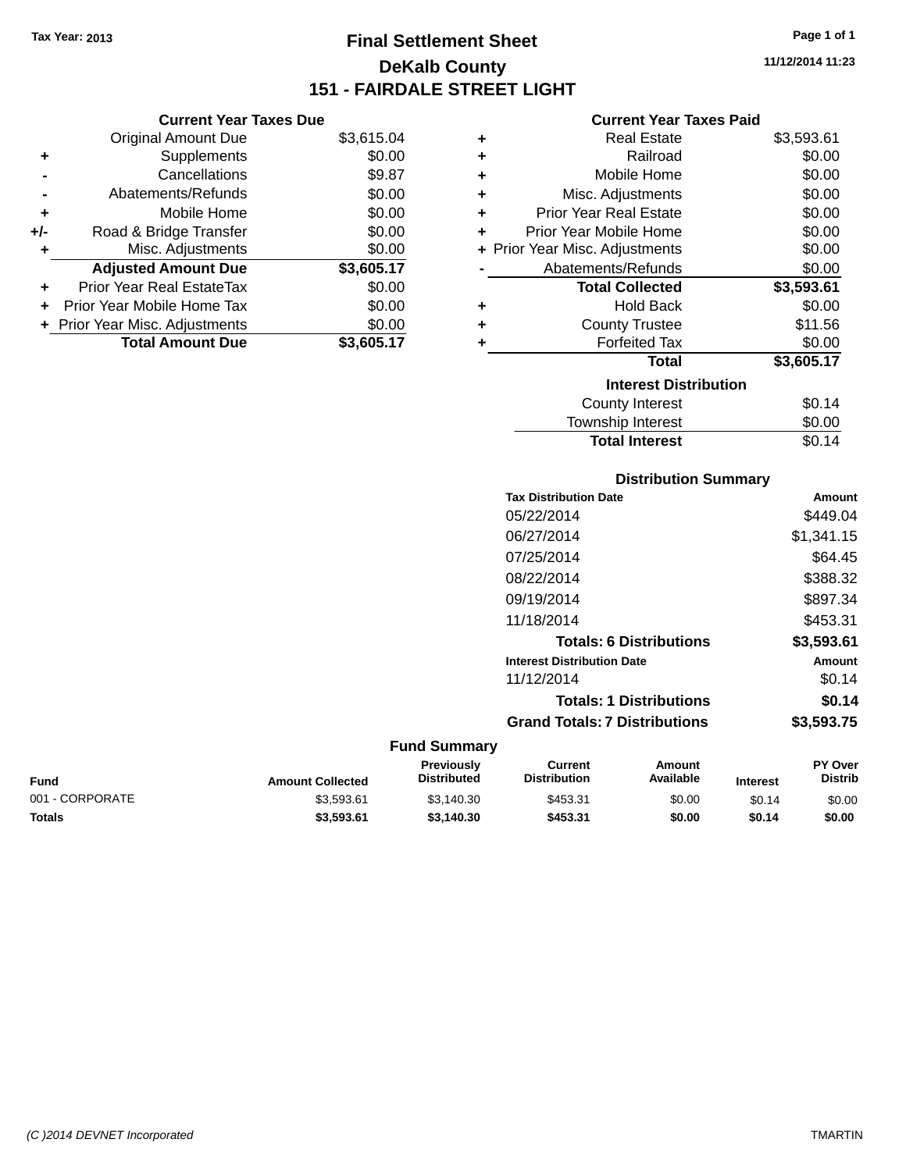## **Final Settlement Sheet Tax Year: 2013 Page 1 of 1 DeKalb County 151 - FAIRDALE STREET LIGHT**

**11/12/2014 11:23**

### **Current Year Taxes Paid**

|     | <b>Current Year Taxes Due</b>  |            |  |
|-----|--------------------------------|------------|--|
|     | <b>Original Amount Due</b>     | \$3,615.04 |  |
| ٠   | Supplements                    | \$0.00     |  |
|     | Cancellations                  | \$9.87     |  |
|     | Abatements/Refunds             | \$0.00     |  |
| ٠   | Mobile Home                    | \$0.00     |  |
| +/- | Road & Bridge Transfer         | \$0.00     |  |
| ٠   | Misc. Adjustments              | \$0.00     |  |
|     | <b>Adjusted Amount Due</b>     | \$3,605.17 |  |
| ٠   | Prior Year Real EstateTax      | \$0.00     |  |
|     | Prior Year Mobile Home Tax     | \$0.00     |  |
|     | + Prior Year Misc. Adjustments | \$0.00     |  |
|     | <b>Total Amount Due</b>        | \$3,605.17 |  |
|     |                                |            |  |

| ٠ | <b>Real Estate</b>             | \$3,593.61 |
|---|--------------------------------|------------|
| ٠ | Railroad                       | \$0.00     |
| ٠ | Mobile Home                    | \$0.00     |
| ٠ | Misc. Adjustments              | \$0.00     |
| ٠ | <b>Prior Year Real Estate</b>  | \$0.00     |
| ٠ | Prior Year Mobile Home         | \$0.00     |
|   | + Prior Year Misc. Adjustments | \$0.00     |
|   | Abatements/Refunds             | \$0.00     |
|   | <b>Total Collected</b>         | \$3,593.61 |
| ٠ | <b>Hold Back</b>               | \$0.00     |
| ٠ | <b>County Trustee</b>          | \$11.56    |
| ٠ | <b>Forfeited Tax</b>           | \$0.00     |
|   | <b>Total</b>                   | \$3,605.17 |
|   | <b>Interest Distribution</b>   |            |
|   | <b>County Interest</b>         | \$0.14     |
|   | <b>Township Interest</b>       | \$0.00     |
|   | <b>Total Interest</b>          | \$0.14     |

#### **Distribution Summary Tax Distribution Date Amount**

| Tax Distribution Date                | Amount     |
|--------------------------------------|------------|
| 05/22/2014                           | \$449.04   |
| 06/27/2014                           | \$1,341.15 |
| 07/25/2014                           | \$64.45    |
| 08/22/2014                           | \$388.32   |
| 09/19/2014                           | \$897.34   |
| 11/18/2014                           | \$453.31   |
| <b>Totals: 6 Distributions</b>       | \$3,593.61 |
| <b>Interest Distribution Date</b>    | Amount     |
| 11/12/2014                           | \$0.14     |
| <b>Totals: 1 Distributions</b>       | \$0.14     |
| <b>Grand Totals: 7 Distributions</b> | \$3,593,75 |
|                                      |            |

|                 |                         | <b>Previously</b>  | Current             | Amount    |                 | <b>PY Over</b> |
|-----------------|-------------------------|--------------------|---------------------|-----------|-----------------|----------------|
| Fund            | <b>Amount Collected</b> | <b>Distributed</b> | <b>Distribution</b> | Available | <b>Interest</b> | <b>Distrib</b> |
| 001 - CORPORATE | \$3.593.61              | \$3.140.30         | \$453.31            | \$0.00    | \$0.14          | \$0.00         |
| <b>Totals</b>   | \$3.593.61              | \$3.140.30         | \$453.31            | \$0.00    | \$0.14          | \$0.00         |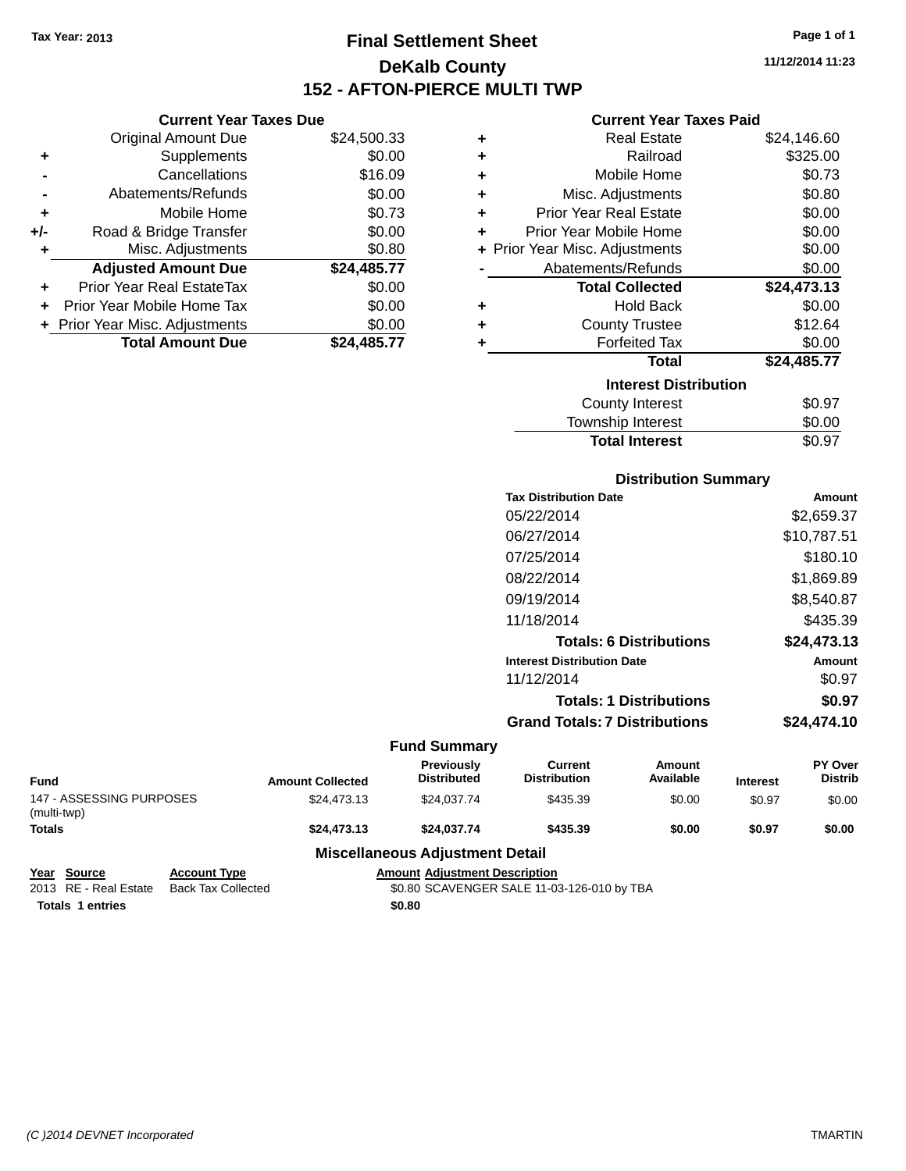**Current Year Taxes Due**

### **Final Settlement Sheet Tax Year: 2013 Page 1 of 1 DeKalb County 152 - AFTON-PIERCE MULTI TWP**

**11/12/2014 11:23**

### **Current Year Taxes Paid**

|                      | OUITUR TUUT TUAUJ DUU            |             |   | odhoni Ival Taxvo I did        |             |
|----------------------|----------------------------------|-------------|---|--------------------------------|-------------|
|                      | <b>Original Amount Due</b>       | \$24,500.33 | ٠ | <b>Real Estate</b>             | \$24,146.60 |
| ÷                    | <b>Supplements</b>               | \$0.00      | ٠ | Railroad                       | \$325.00    |
| $\blacksquare$       | Cancellations                    | \$16.09     | ٠ | Mobile Home                    | \$0.73      |
|                      | Abatements/Refunds               | \$0.00      | ٠ | Misc. Adjustments              | \$0.80      |
| ٠                    | Mobile Home                      | \$0.73      | ٠ | <b>Prior Year Real Estate</b>  | \$0.00      |
| I-                   | Road & Bridge Transfer           | \$0.00      | ÷ | Prior Year Mobile Home         | \$0.00      |
| ٠                    | Misc. Adjustments                | \$0.80      |   | + Prior Year Misc. Adjustments | \$0.00      |
|                      | <b>Adjusted Amount Due</b>       | \$24,485.77 |   | Abatements/Refunds             | \$0.00      |
| $\ddot{\phantom{1}}$ | <b>Prior Year Real EstateTax</b> | \$0.00      |   | <b>Total Collected</b>         | \$24,473.13 |
|                      | + Prior Year Mobile Home Tax     | \$0.00      | ٠ | <b>Hold Back</b>               | \$0.00      |
|                      | + Prior Year Misc. Adjustments   | \$0.00      | ٠ | <b>County Trustee</b>          | \$12.64     |
|                      | <b>Total Amount Due</b>          | \$24,485.77 |   | <b>Forfeited Tax</b>           | \$0.00      |
|                      |                                  |             |   | <b>Total</b>                   | \$24,485.77 |
|                      |                                  |             |   | <b>Interest Distribution</b>   |             |
|                      |                                  |             |   | County Interest                | \$0.97      |
|                      |                                  |             |   |                                |             |

### $$0.97$ Township Interest \$0.00 **Total Interest** \$0.97

### **Distribution Summary**

| <b>Tax Distribution Date</b>         | Amount      |
|--------------------------------------|-------------|
| 05/22/2014                           | \$2,659.37  |
| 06/27/2014                           | \$10,787.51 |
| 07/25/2014                           | \$180.10    |
| 08/22/2014                           | \$1.869.89  |
| 09/19/2014                           | \$8,540.87  |
| 11/18/2014                           | \$435.39    |
| <b>Totals: 6 Distributions</b>       | \$24.473.13 |
| <b>Interest Distribution Date</b>    | Amount      |
| 11/12/2014                           | \$0.97      |
| <b>Totals: 1 Distributions</b>       | \$0.97      |
| <b>Grand Totals: 7 Distributions</b> | \$24.474.10 |
|                                      |             |

|                                         |                     |                                      | <b>Fund Summary</b>                    |                                |                     |                 |                           |
|-----------------------------------------|---------------------|--------------------------------------|----------------------------------------|--------------------------------|---------------------|-----------------|---------------------------|
| Fund                                    |                     | <b>Amount Collected</b>              | Previously<br><b>Distributed</b>       | Current<br><b>Distribution</b> | Amount<br>Available | <b>Interest</b> | PY Over<br><b>Distrib</b> |
| 147 - ASSESSING PURPOSES<br>(multi-twp) |                     | \$24,473.13                          | \$24,037.74                            | \$435.39                       | \$0.00              | \$0.97          | \$0.00                    |
| <b>Totals</b>                           |                     | \$24.473.13                          | \$24.037.74                            | \$435.39                       | \$0.00              | \$0.97          | \$0.00                    |
|                                         |                     |                                      | <b>Miscellaneous Adjustment Detail</b> |                                |                     |                 |                           |
| <b>Source</b><br>Year                   | <b>Account Type</b> | <b>Amount Adjustment Description</b> |                                        |                                |                     |                 |                           |

# 2013 RE - Real Estate Back Tax Collected \$0.80 SCAVENGER SALE 11-03-126-010 by TBA

**Totals \$0.80 1 entries**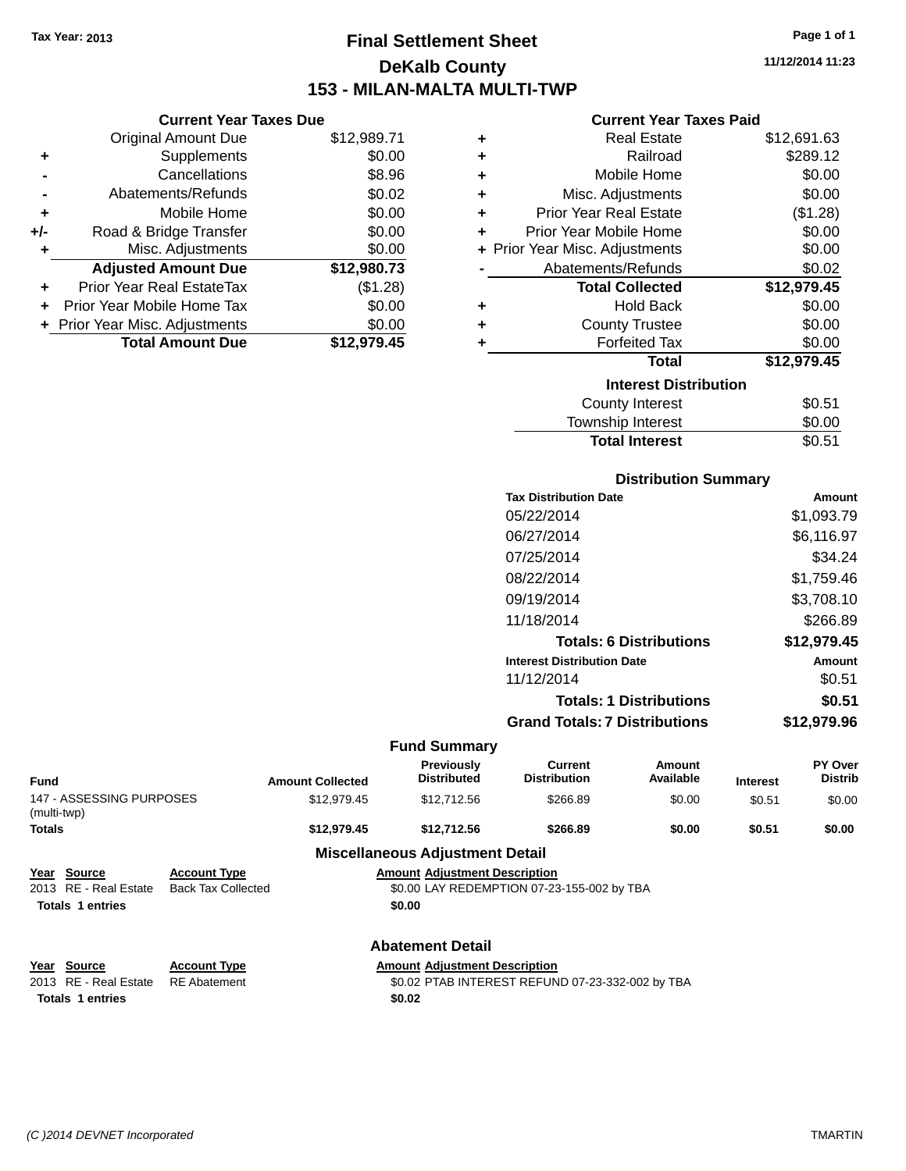### **Final Settlement Sheet Tax Year: 2013 Page 1 of 1 DeKalb County 153 - MILAN-MALTA MULTI-TWP**

**11/12/2014 11:23**

### **Current Year Taxes Paid**

|     | <b>Current Year Taxes Due</b> |             |
|-----|-------------------------------|-------------|
|     | <b>Original Amount Due</b>    | \$12,989.71 |
| ٠   | Supplements                   | \$0.00      |
|     | Cancellations                 | \$8.96      |
|     | Abatements/Refunds            | \$0.02      |
| ٠   | Mobile Home                   | \$0.00      |
| +/- | Road & Bridge Transfer        | \$0.00      |
| ٠   | Misc. Adjustments             | \$0.00      |
|     | <b>Adjusted Amount Due</b>    | \$12,980.73 |
| ٠   | Prior Year Real EstateTax     | (\$1.28)    |
| ÷   | Prior Year Mobile Home Tax    | \$0.00      |
|     | Prior Year Misc. Adjustments  | \$0.00      |
|     | <b>Total Amount Due</b>       | \$12.979.45 |
|     |                               |             |

| ٠ | <b>Real Estate</b>             | \$12,691.63 |
|---|--------------------------------|-------------|
| ٠ | Railroad                       | \$289.12    |
| ٠ | Mobile Home                    | \$0.00      |
| ٠ | Misc. Adjustments              | \$0.00      |
| ٠ | Prior Year Real Estate         | (\$1.28)    |
| ٠ | Prior Year Mobile Home         | \$0.00      |
|   | + Prior Year Misc. Adjustments | \$0.00      |
|   | Abatements/Refunds             | \$0.02      |
|   | <b>Total Collected</b>         | \$12,979.45 |
| ٠ | <b>Hold Back</b>               | \$0.00      |
| ٠ | <b>County Trustee</b>          | \$0.00      |
| ٠ | <b>Forfeited Tax</b>           | \$0.00      |
|   | <b>Total</b>                   | \$12,979.45 |
|   | <b>Interest Distribution</b>   |             |
|   | <b>County Interest</b>         | \$0.51      |
|   | <b>Township Interest</b>       | \$0.00      |
|   | <b>Total Interest</b>          | \$0.51      |

| <b>Distribution Summary</b>       |             |
|-----------------------------------|-------------|
| <b>Tax Distribution Date</b>      | Amount      |
| 05/22/2014                        | \$1,093.79  |
| 06/27/2014                        | \$6,116.97  |
| 07/25/2014                        | \$34.24     |
| 08/22/2014                        | \$1,759.46  |
| 09/19/2014                        | \$3,708.10  |
| 11/18/2014                        | \$266.89    |
| <b>Totals: 6 Distributions</b>    | \$12,979.45 |
| <b>Interest Distribution Date</b> | Amount      |
| 11/12/2014                        | \$0.51      |
| <b>Totals: 1 Distributions</b>    | \$0.51      |
|                                   |             |

|                                         |                         |                                         | <b>Grand Totals: 7 Distributions</b> |                               | \$12,979.96     |                                  |
|-----------------------------------------|-------------------------|-----------------------------------------|--------------------------------------|-------------------------------|-----------------|----------------------------------|
|                                         |                         | <b>Fund Summary</b>                     |                                      |                               |                 |                                  |
| Fund                                    | <b>Amount Collected</b> | <b>Previously</b><br><b>Distributed</b> | Current<br><b>Distribution</b>       | Amount<br>Available           | <b>Interest</b> | <b>PY Over</b><br><b>Distrib</b> |
| 147 - ASSESSING PURPOSES<br>(multi-twp) | \$12,979.45             | \$12,712.56                             | \$266.89                             | \$0.00                        | \$0.51          | \$0.00                           |
| - - -                                   | .                       | . <b>. .</b>                            |                                      | $\bullet$ $\bullet$ $\bullet$ | ----            | $\bullet$ $\bullet$ $\bullet$    |

| 147 - ASSESSING PURPOSES<br>(multi-twp)                         |                                                  | \$12.979.45                                                                                  | \$12,712.56                            | \$266.89 | \$0.00 | \$0.51 | \$0.00 |
|-----------------------------------------------------------------|--------------------------------------------------|----------------------------------------------------------------------------------------------|----------------------------------------|----------|--------|--------|--------|
| Totals                                                          |                                                  | \$12,979.45                                                                                  | \$12,712.56                            | \$266.89 | \$0.00 | \$0.51 | \$0.00 |
|                                                                 |                                                  |                                                                                              | <b>Miscellaneous Adjustment Detail</b> |          |        |        |        |
| Year Source<br>2013 RE - Real Estate<br><b>Totals 1 entries</b> | <b>Account Type</b><br><b>Back Tax Collected</b> | <b>Amount Adiustment Description</b><br>\$0.00 LAY REDEMPTION 07-23-155-002 by TBA<br>\$0.00 |                                        |          |        |        |        |
|                                                                 |                                                  |                                                                                              | <b>Abatement Detail</b>                |          |        |        |        |
| Year Source                                                     | <b>Account Type</b>                              |                                                                                              | <b>Amount Adiustment Description</b>   |          |        |        |        |
| 2013 RE - Real Estate                                           | <b>RE</b> Abatement                              | \$0.02 PTAB INTEREST REFUND 07-23-332-002 by TBA                                             |                                        |          |        |        |        |
| <b>Totals 1 entries</b>                                         |                                                  |                                                                                              | \$0.02                                 |          |        |        |        |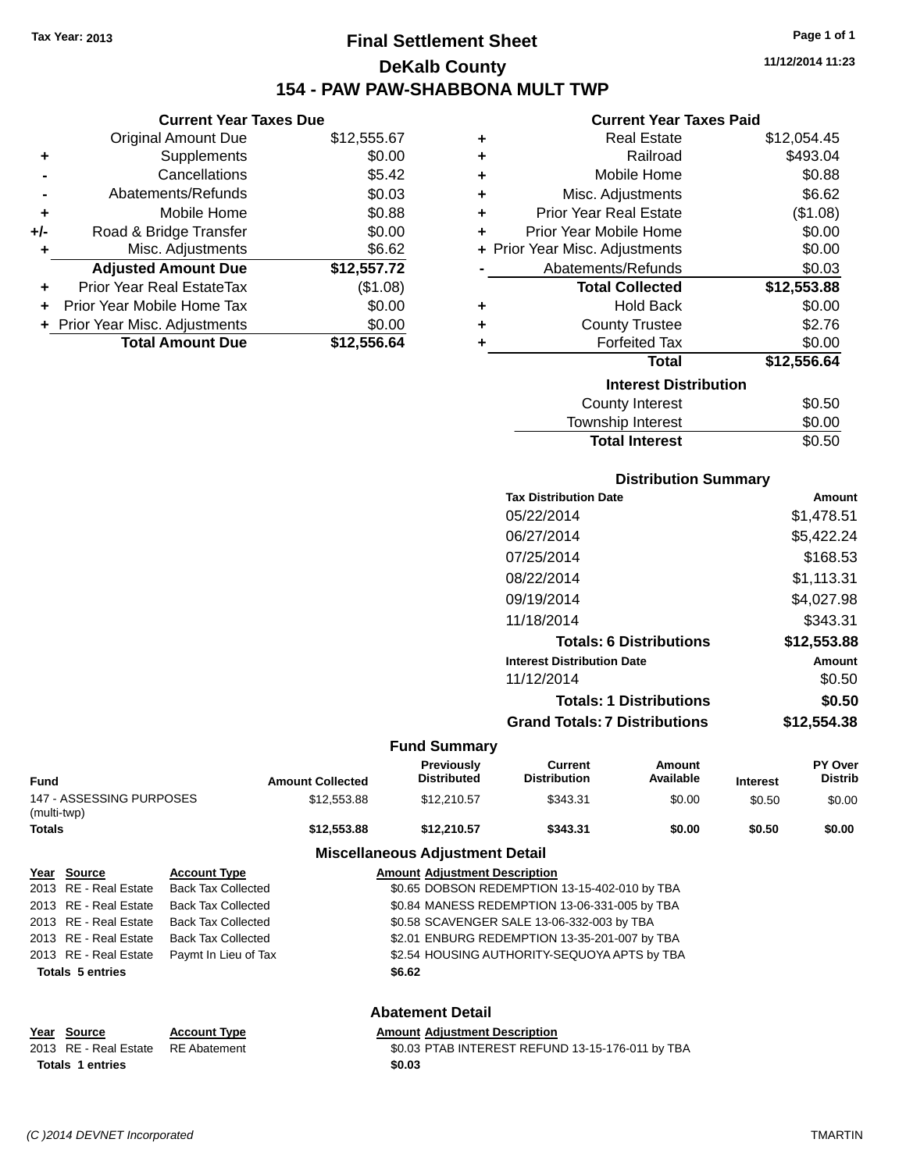### **Final Settlement Sheet Tax Year: 2013 Page 1 of 1 DeKalb County 154 - PAW PAW-SHABBONA MULT TWP**

**11/12/2014 11:23**

#### **Current Year Taxes Paid**

|     | <b>Current Year Taxes Due</b>  |             |
|-----|--------------------------------|-------------|
|     | <b>Original Amount Due</b>     | \$12,555.67 |
| ٠   | Supplements                    | \$0.00      |
|     | Cancellations                  | \$5.42      |
|     | Abatements/Refunds             | \$0.03      |
| ٠   | Mobile Home                    | \$0.88      |
| +/- | Road & Bridge Transfer         | \$0.00      |
| ٠   | Misc. Adjustments              | \$6.62      |
|     | <b>Adjusted Amount Due</b>     | \$12,557.72 |
| ٠   | Prior Year Real EstateTax      | (\$1.08)    |
|     | Prior Year Mobile Home Tax     | \$0.00      |
|     | + Prior Year Misc. Adjustments | \$0.00      |
|     | <b>Total Amount Due</b>        | \$12,556,64 |

| ٠ | <b>Real Estate</b>             | \$12,054.45 |
|---|--------------------------------|-------------|
| ÷ | Railroad                       | \$493.04    |
| ÷ | Mobile Home                    | \$0.88      |
| ÷ | Misc. Adjustments              | \$6.62      |
| ÷ | <b>Prior Year Real Estate</b>  | (\$1.08)    |
| ٠ | Prior Year Mobile Home         | \$0.00      |
|   | + Prior Year Misc. Adjustments | \$0.00      |
|   | Abatements/Refunds             | \$0.03      |
|   | <b>Total Collected</b>         | \$12,553.88 |
| ٠ | Hold Back                      | \$0.00      |
| ٠ | <b>County Trustee</b>          | \$2.76      |
| ٠ | <b>Forfeited Tax</b>           | \$0.00      |
|   | <b>Total</b>                   | \$12,556.64 |
|   | <b>Interest Distribution</b>   |             |
|   | County Interest                | \$0.50      |
|   | <b>Township Interest</b>       | \$0.00      |
|   | <b>Total Interest</b>          | \$0.50      |

| <b>Distribution Summary</b>            |             |
|----------------------------------------|-------------|
| <b>Tax Distribution Date</b>           | Amount      |
| 05/22/2014                             | \$1,478.51  |
| 06/27/2014                             | \$5,422.24  |
| 07/25/2014                             | \$168.53    |
| 08/22/2014                             | \$1,113.31  |
| 09/19/2014                             | \$4,027.98  |
| 11/18/2014                             | \$343.31    |
| <b>Totals: 6 Distributions</b>         | \$12,553.88 |
| <b>Interest Distribution Date</b>      | Amount      |
| 11/12/2014                             | \$0.50      |
| <b>Totals: 1 Distributions</b>         | \$0.50      |
| Associal Texteller T. Diferent control | 010 PP 400  |

### **Grand Totals: 7 Distributions \$12,554.38 Fund Summary**

| <b>Fund</b>                             | <b>Amount Collected</b> | <b>Previously</b><br><b>Distributed</b> | Current<br><b>Distribution</b> | Amount<br>Available | <b>Interest</b> | <b>PY Over</b><br><b>Distrib</b> |
|-----------------------------------------|-------------------------|-----------------------------------------|--------------------------------|---------------------|-----------------|----------------------------------|
| 147 - ASSESSING PURPOSES<br>(multi-twp) | \$12,553.88             | \$12,210.57                             | \$343.31                       | \$0.00              | \$0.50          | \$0.00                           |
| <b>Totals</b>                           | \$12,553,88             | \$12.210.57                             | \$343.31                       | \$0.00              | \$0.50          | \$0.00                           |
|                                         |                         | Micrallangous Adjustment Detail         |                                |                     |                 |                                  |

|                         |                           | <b>MISCERATEOUS AUJUSTRIER</b> DETAIL         |  |
|-------------------------|---------------------------|-----------------------------------------------|--|
| Year Source             | <b>Account Type</b>       | <b>Amount Adjustment Description</b>          |  |
| 2013 RE - Real Estate   | <b>Back Tax Collected</b> | \$0.65 DOBSON REDEMPTION 13-15-402-010 by TBA |  |
| 2013 RE - Real Estate   | <b>Back Tax Collected</b> | \$0.84 MANESS REDEMPTION 13-06-331-005 by TBA |  |
| 2013 RE - Real Estate   | <b>Back Tax Collected</b> | \$0.58 SCAVENGER SALE 13-06-332-003 by TBA    |  |
| 2013 RE - Real Estate   | <b>Back Tax Collected</b> | \$2.01 ENBURG REDEMPTION 13-35-201-007 by TBA |  |
| 2013 RE - Real Estate   | Paymt In Lieu of Tax      | \$2.54 HOUSING AUTHORITY-SEQUOYA APTS by TBA  |  |
| <b>Totals 5 entries</b> |                           | \$6.62                                        |  |
|                         |                           | <b>Abatement Detail</b>                       |  |
| Year Source             | <b>Account Type</b>       | <b>Amount Adjustment Description</b>          |  |

2013 RE - Real Estate RE Abatement \$0.03 PTAB INTEREST REFUND 13-15-176-011 by TBA **Totals \$0.03 1 entries**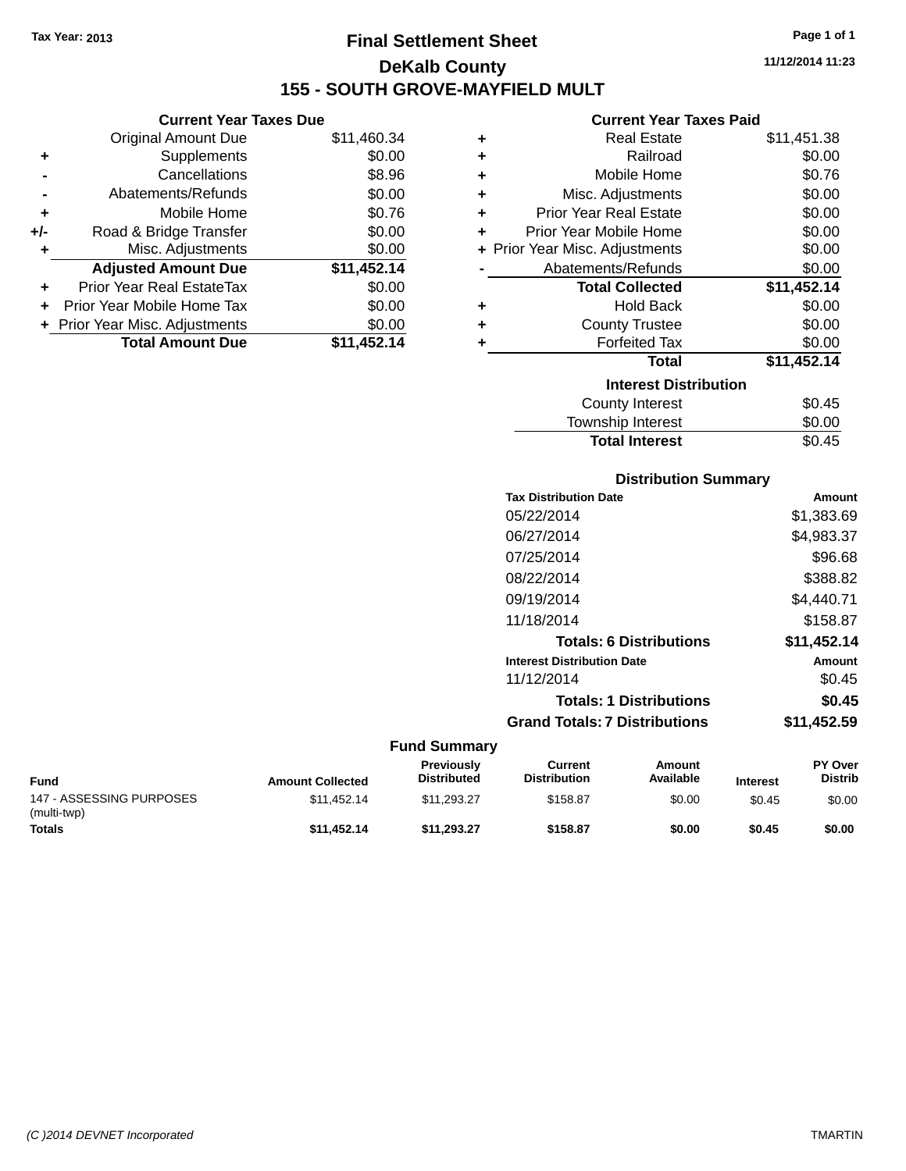### **Final Settlement Sheet Tax Year: 2013 Page 1 of 1 DeKalb County 155 - SOUTH GROVE-MAYFIELD MULT**

**11/12/2014 11:23**

#### **Current Year Taxes Paid**

|     | <b>Current Year Taxes Due</b>  |             |   |
|-----|--------------------------------|-------------|---|
|     | <b>Original Amount Due</b>     | \$11,460.34 | ٠ |
|     | Supplements                    | \$0.00      | ٠ |
|     | Cancellations                  | \$8.96      | ÷ |
|     | Abatements/Refunds             | \$0.00      | ٠ |
|     | Mobile Home                    | \$0.76      | ٠ |
| +/- | Road & Bridge Transfer         | \$0.00      | ٠ |
|     | Misc. Adjustments              | \$0.00      |   |
|     | <b>Adjusted Amount Due</b>     | \$11,452.14 |   |
| ٠   | Prior Year Real EstateTax      | \$0.00      |   |
|     | Prior Year Mobile Home Tax     | \$0.00      |   |
|     | + Prior Year Misc. Adjustments | \$0.00      |   |
|     | <b>Total Amount Due</b>        | \$11,452.14 |   |
|     |                                |             |   |

| ٠ | <b>Real Estate</b>             | \$11,451.38 |
|---|--------------------------------|-------------|
| ٠ | Railroad                       | \$0.00      |
| ÷ | Mobile Home                    | \$0.76      |
| ٠ | Misc. Adjustments              | \$0.00      |
| ٠ | <b>Prior Year Real Estate</b>  | \$0.00      |
| ÷ | Prior Year Mobile Home         | \$0.00      |
|   | + Prior Year Misc. Adjustments | \$0.00      |
|   | Abatements/Refunds             | \$0.00      |
|   | <b>Total Collected</b>         | \$11,452.14 |
| ٠ | <b>Hold Back</b>               | \$0.00      |
| ÷ | <b>County Trustee</b>          | \$0.00      |
| ٠ | <b>Forfeited Tax</b>           | \$0.00      |
|   | Total                          | \$11,452.14 |
|   | <b>Interest Distribution</b>   |             |
|   | County Interest                | \$0.45      |
|   | Township Interest              | \$0.00      |
|   | <b>Total Interest</b>          | \$0.45      |

| <b>Distribution Summary</b>          |             |
|--------------------------------------|-------------|
| <b>Tax Distribution Date</b>         | Amount      |
| 05/22/2014                           | \$1,383.69  |
| 06/27/2014                           | \$4,983.37  |
| 07/25/2014                           | \$96.68     |
| 08/22/2014                           | \$388.82    |
| 09/19/2014                           | \$4,440.71  |
| 11/18/2014                           | \$158.87    |
| <b>Totals: 6 Distributions</b>       | \$11,452.14 |
| <b>Interest Distribution Date</b>    | Amount      |
| 11/12/2014                           | \$0.45      |
| <b>Totals: 1 Distributions</b>       | \$0.45      |
| <b>Grand Totals: 7 Distributions</b> | \$11,452.59 |

| <b>Fund</b>                             | <b>Amount Collected</b> | <b>Previously</b><br><b>Distributed</b> | Current<br><b>Distribution</b> | Amount<br>Available | <b>Interest</b> | <b>PY Over</b><br><b>Distrib</b> |
|-----------------------------------------|-------------------------|-----------------------------------------|--------------------------------|---------------------|-----------------|----------------------------------|
| 147 - ASSESSING PURPOSES<br>(multi-twp) | \$11.452.14             | \$11.293.27                             | \$158.87                       | \$0.00              | \$0.45          | \$0.00                           |
| <b>Totals</b>                           | \$11.452.14             | \$11.293.27                             | \$158.87                       | \$0.00              | \$0.45          | \$0.00                           |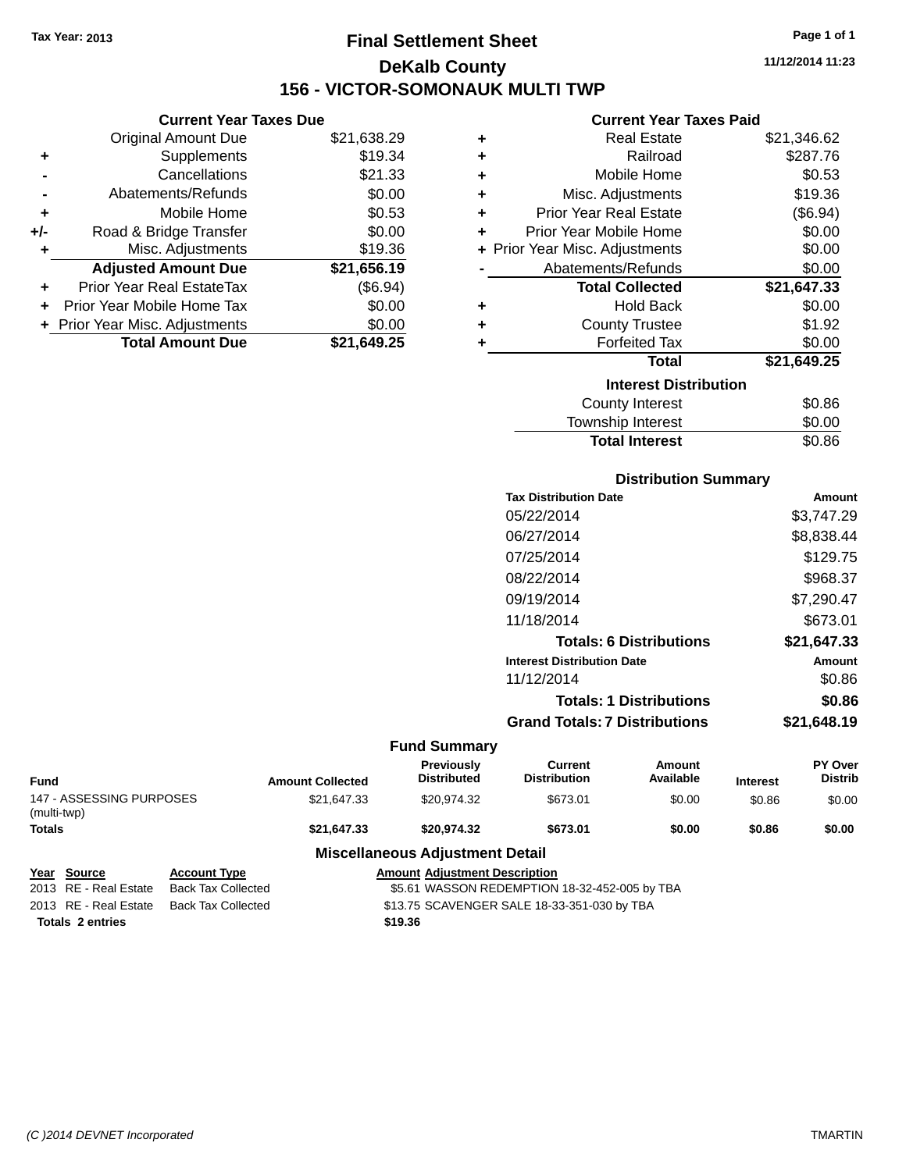## **Final Settlement Sheet Tax Year: 2013 Page 1 of 1 DeKalb County 156 - VICTOR-SOMONAUK MULTI TWP**

**11/12/2014 11:23**

### **Current Year Taxes Paid**

|     | <b>Current Year Taxes Due</b>  |             |
|-----|--------------------------------|-------------|
|     | <b>Original Amount Due</b>     | \$21,638.29 |
| ٠   | Supplements                    | \$19.34     |
|     | Cancellations                  | \$21.33     |
|     | Abatements/Refunds             | \$0.00      |
| ٠   | Mobile Home                    | \$0.53      |
| +/- | Road & Bridge Transfer         | \$0.00      |
| ٠   | Misc. Adjustments              | \$19.36     |
|     | <b>Adjusted Amount Due</b>     | \$21,656.19 |
| ٠   | Prior Year Real EstateTax      | (\$6.94)    |
| ÷   | Prior Year Mobile Home Tax     | \$0.00      |
|     | + Prior Year Misc. Adjustments | \$0.00      |
|     | <b>Total Amount Due</b>        | \$21.649.25 |

| ٠ | <b>Real Estate</b>             | \$21,346.62 |
|---|--------------------------------|-------------|
| ٠ | Railroad                       | \$287.76    |
| ٠ | Mobile Home                    | \$0.53      |
| ٠ | Misc. Adjustments              | \$19.36     |
| ٠ | Prior Year Real Estate         | (\$6.94)    |
| ٠ | Prior Year Mobile Home         | \$0.00      |
|   | + Prior Year Misc. Adjustments | \$0.00      |
|   | Abatements/Refunds             | \$0.00      |
|   | <b>Total Collected</b>         | \$21,647.33 |
| ٠ | <b>Hold Back</b>               | \$0.00      |
| ٠ | <b>County Trustee</b>          | \$1.92      |
| ٠ | <b>Forfeited Tax</b>           | \$0.00      |
|   | <b>Total</b>                   | \$21,649.25 |
|   | <b>Interest Distribution</b>   |             |
|   | <b>County Interest</b>         | \$0.86      |
|   | <b>Township Interest</b>       | \$0.00      |
|   | <b>Total Interest</b>          | \$0.86      |

### **Distribution Summary**

| Amount      |
|-------------|
| \$3,747.29  |
| \$8,838.44  |
| \$129.75    |
| \$968.37    |
| \$7,290.47  |
| \$673.01    |
| \$21,647.33 |
| Amount      |
| \$0.86      |
| \$0.86      |
| \$21.648.19 |
|             |

|                                         |                     |                         | <b>Fund Summary</b>                     |                                |                     |                 |                           |
|-----------------------------------------|---------------------|-------------------------|-----------------------------------------|--------------------------------|---------------------|-----------------|---------------------------|
| <b>Fund</b>                             |                     | <b>Amount Collected</b> | <b>Previously</b><br><b>Distributed</b> | Current<br><b>Distribution</b> | Amount<br>Available | <b>Interest</b> | PY Over<br><b>Distrib</b> |
| 147 - ASSESSING PURPOSES<br>(multi-twp) |                     | \$21.647.33             | \$20.974.32                             | \$673.01                       | \$0.00              | \$0.86          | \$0.00                    |
| <b>Totals</b>                           |                     | \$21,647.33             | \$20.974.32                             | \$673.01                       | \$0.00              | \$0.86          | \$0.00                    |
|                                         |                     |                         | <b>Miscellaneous Adjustment Detail</b>  |                                |                     |                 |                           |
| Year<br>Source                          | <b>Account Type</b> |                         | <b>Amount Adjustment Description</b>    |                                |                     |                 |                           |

| <b>IGAI JUULUG</b>      | <b>ACCOUNT IVPG</b> | Allivulli Au |  |
|-------------------------|---------------------|--------------|--|
| 2013 RE - Real Estate   | Back Tax Collected  | \$5.61 WA    |  |
| 2013 RE - Real Estate   | Back Tax Collected  | \$13.75 SC   |  |
| <b>Totals 2 entries</b> |                     | \$19.36      |  |

2013 REDEMPTION 18-32-452-005 by TBA 2015 AVENGER SALE 18-33-351-030 by TBA

*(C )2014 DEVNET Incorporated* TMARTIN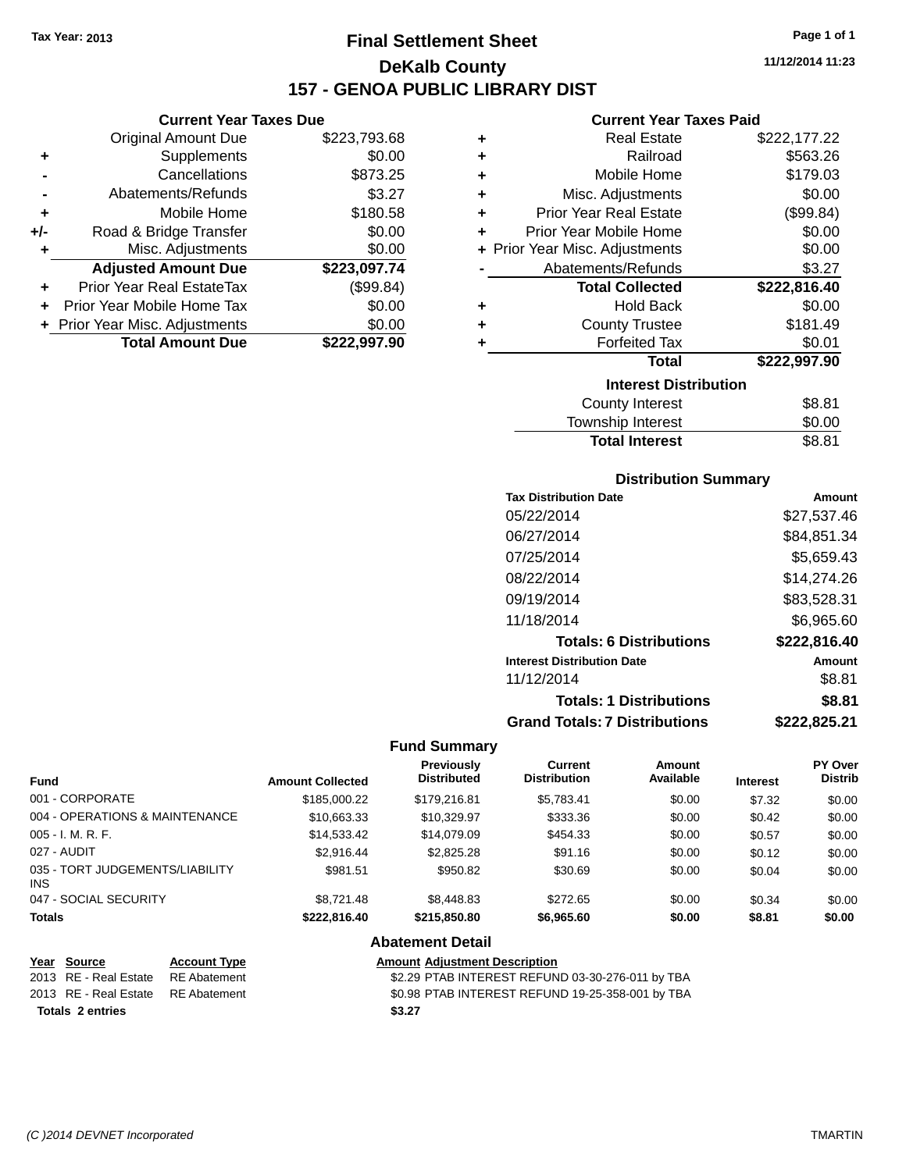**Current Year Taxes Due** Original Amount Due \$223,793.68

**Adjusted Amount Due \$223,097.74**

**Total Amount Due \$222,997.90**

**+** Supplements \$0.00 **-** Cancellations \$873.25 **-** Abatements/Refunds \$3.27 **+** Mobile Home \$180.58 **+/-** Road & Bridge Transfer \$0.00 **+** Misc. Adjustments \$0.00

**+** Prior Year Real EstateTax (\$99.84) **+** Prior Year Mobile Home Tax \$0.00 **+ Prior Year Misc. Adjustments**  $$0.00$ 

### **Final Settlement Sheet Tax Year: 2013 Page 1 of 1 DeKalb County 157 - GENOA PUBLIC LIBRARY DIST**

**11/12/2014 11:23**

### **Current Year Taxes Paid**

| ÷ | <b>Real Estate</b>             | \$222,177.22 |
|---|--------------------------------|--------------|
| ÷ | Railroad                       | \$563.26     |
| ÷ | Mobile Home                    | \$179.03     |
| ÷ | Misc. Adjustments              | \$0.00       |
| ÷ | <b>Prior Year Real Estate</b>  | (\$99.84)    |
| ÷ | Prior Year Mobile Home         | \$0.00       |
|   | + Prior Year Misc. Adjustments | \$0.00       |
|   | Abatements/Refunds             | \$3.27       |
|   | <b>Total Collected</b>         | \$222,816.40 |
| ٠ | <b>Hold Back</b>               | \$0.00       |
| ٠ | <b>County Trustee</b>          | \$181.49     |
| ٠ | <b>Forfeited Tax</b>           | \$0.01       |
|   | <b>Total</b>                   | \$222,997.90 |
|   | <b>Interest Distribution</b>   |              |
|   | <b>County Interest</b>         | \$8.81       |
|   |                                | ma as        |

### Township Interest \$0.00 Total Interest \$8.81

| <b>Distribution Summary</b>       |               |
|-----------------------------------|---------------|
| <b>Tax Distribution Date</b>      | <b>Amount</b> |
| 05/22/2014                        | \$27,537.46   |
| 06/27/2014                        | \$84,851.34   |
| 07/25/2014                        | \$5.659.43    |
| 08/22/2014                        | \$14,274.26   |
| 09/19/2014                        | \$83,528.31   |
| 11/18/2014                        | \$6,965.60    |
| <b>Totals: 6 Distributions</b>    | \$222,816.40  |
| <b>Interest Distribution Date</b> | Amount        |
| 11/12/2014                        | \$8.81        |
| <b>Totals: 1 Distributions</b>    | \$8.81        |
|                                   |               |

### **Grand Totals: 7 Distributions \$222,825.21**

#### **Fund Summary**

|                                         |                         | <b>Previously</b>  | <b>Current</b>      | Amount    |                 | <b>PY Over</b> |
|-----------------------------------------|-------------------------|--------------------|---------------------|-----------|-----------------|----------------|
| <b>Fund</b>                             | <b>Amount Collected</b> | <b>Distributed</b> | <b>Distribution</b> | Available | <b>Interest</b> | <b>Distrib</b> |
| 001 - CORPORATE                         | \$185,000.22            | \$179,216.81       | \$5.783.41          | \$0.00    | \$7.32          | \$0.00         |
| 004 - OPERATIONS & MAINTENANCE          | \$10,663.33             | \$10,329.97        | \$333.36            | \$0.00    | \$0.42          | \$0.00         |
| $005 - I. M. R. F.$                     | \$14.533.42             | \$14,079.09        | \$454.33            | \$0.00    | \$0.57          | \$0.00         |
| 027 - AUDIT                             | \$2.916.44              | \$2,825,28         | \$91.16             | \$0.00    | \$0.12          | \$0.00         |
| 035 - TORT JUDGEMENTS/LIABILITY<br>INS. | \$981.51                | \$950.82           | \$30.69             | \$0.00    | \$0.04          | \$0.00         |
| 047 - SOCIAL SECURITY                   | \$8.721.48              | \$8,448.83         | \$272.65            | \$0.00    | \$0.34          | \$0.00         |
| <b>Totals</b>                           | \$222.816.40            | \$215.850.80       | \$6,965.60          | \$0.00    | \$8.81          | \$0.00         |

#### **Abatement Detail**

| Year Source                        | <b>Account Type</b> | <b>Amount Adiustment Description</b>             |
|------------------------------------|---------------------|--------------------------------------------------|
| 2013 RE - Real Estate              | RE Abatement        | \$2.29 PTAB INTEREST REFUND 03-30-276-011 by TBA |
| 2013 RE - Real Estate RE Abatement |                     | \$0.98 PTAB INTEREST REFUND 19-25-358-001 by TBA |
| Totals 2 entries                   |                     | \$3.27                                           |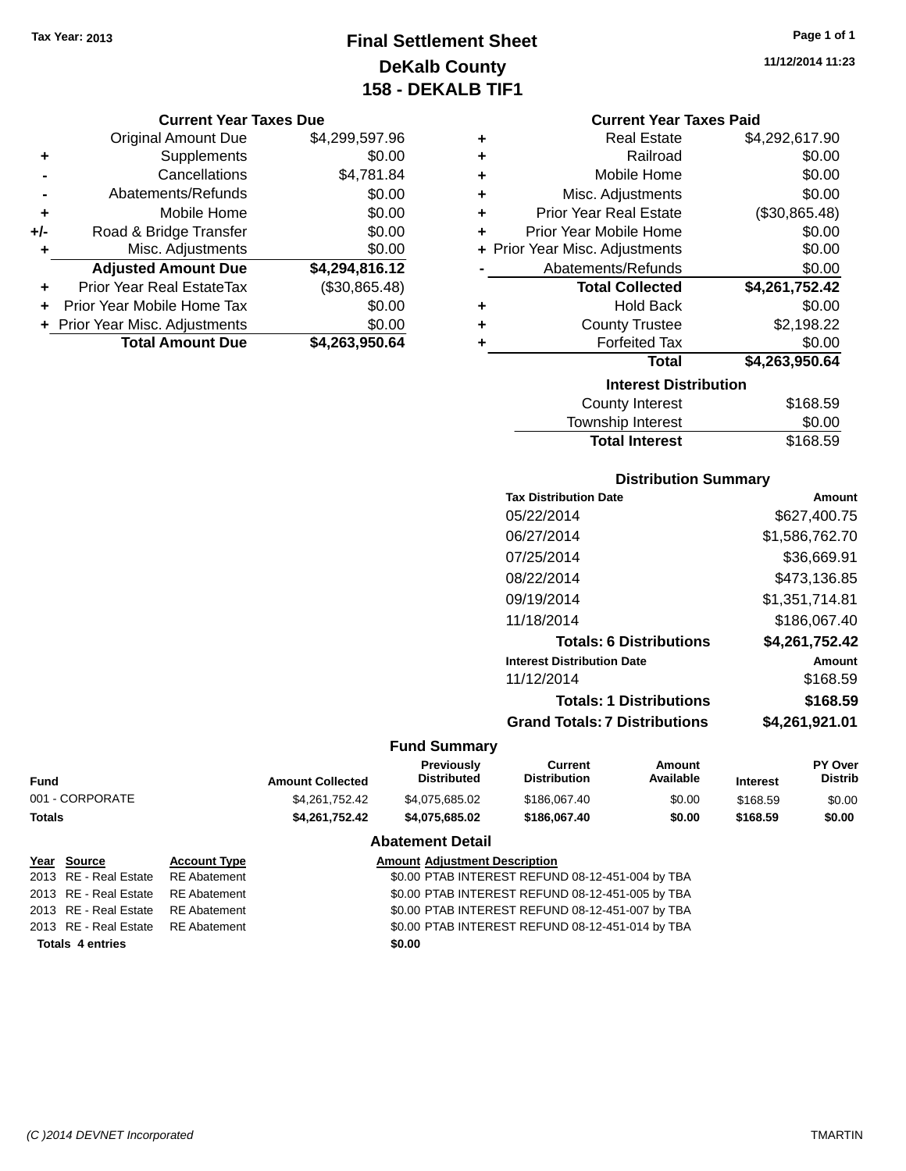### **Final Settlement Sheet Tax Year: 2013 Page 1 of 1 DeKalb County 158 - DEKALB TIF1**

**11/12/2014 11:23**

|   | <b>Current Year Taxes Due</b> |                |  |  |
|---|-------------------------------|----------------|--|--|
|   | <b>Original Amount Due</b>    | \$4,299,597.96 |  |  |
| ÷ | Supplements                   | \$0.00         |  |  |
|   | Cancellations                 | \$4,781.84     |  |  |
|   | Abatements/Refunds            | \$0.00         |  |  |
|   | Mobile Home                   | \$0.00         |  |  |
|   |                               |                |  |  |

|     | <b>Total Amount Due</b>          | \$4,263,950.64 |
|-----|----------------------------------|----------------|
|     | + Prior Year Misc. Adjustments   | \$0.00         |
| ÷.  | Prior Year Mobile Home Tax       | \$0.00         |
| ٠   | <b>Prior Year Real EstateTax</b> | (\$30,865.48)  |
|     | <b>Adjusted Amount Due</b>       | \$4,294,816.12 |
| ٠   | Misc. Adjustments                | \$0.00         |
| +/- | Road & Bridge Transfer           | \$0.00         |

| <b>Current Year Taxes Paid</b> |
|--------------------------------|
|                                |

|   | <b>Interest Distribution</b>   |                |  |  |  |  |
|---|--------------------------------|----------------|--|--|--|--|
|   | Total                          | \$4,263,950.64 |  |  |  |  |
| ٠ | <b>Forfeited Tax</b>           | \$0.00         |  |  |  |  |
| ٠ | <b>County Trustee</b>          | \$2,198.22     |  |  |  |  |
| ٠ | <b>Hold Back</b>               | \$0.00         |  |  |  |  |
|   | <b>Total Collected</b>         | \$4,261,752.42 |  |  |  |  |
|   | Abatements/Refunds             | \$0.00         |  |  |  |  |
|   | + Prior Year Misc. Adjustments | \$0.00         |  |  |  |  |
| ٠ | Prior Year Mobile Home         | \$0.00         |  |  |  |  |
| ٠ | <b>Prior Year Real Estate</b>  | (\$30,865.48)  |  |  |  |  |
| ٠ | Misc. Adjustments              | \$0.00         |  |  |  |  |
| ٠ | Mobile Home                    | \$0.00         |  |  |  |  |
| ÷ | Railroad                       | \$0.00         |  |  |  |  |
| ٠ | <b>Real Estate</b>             | \$4,292,617.90 |  |  |  |  |

| \$168.59 |
|----------|
| \$0.00   |
| \$168.59 |
|          |

### **Distribution Summary**

| <b>Tax Distribution Date</b>         | Amount         |
|--------------------------------------|----------------|
| 05/22/2014                           | \$627,400.75   |
| 06/27/2014                           | \$1,586,762.70 |
| 07/25/2014                           | \$36,669.91    |
| 08/22/2014                           | \$473.136.85   |
| 09/19/2014                           | \$1,351,714.81 |
| 11/18/2014                           | \$186,067.40   |
| <b>Totals: 6 Distributions</b>       | \$4,261,752.42 |
| <b>Interest Distribution Date</b>    | Amount         |
| 11/12/2014                           | \$168.59       |
| <b>Totals: 1 Distributions</b>       | \$168.59       |
| <b>Grand Totals: 7 Distributions</b> | \$4,261,921.01 |
|                                      |                |

### **Fund Summary**

| Fund            | <b>Amount Collected</b> | <b>Previously</b><br><b>Distributed</b> | Current<br><b>Distribution</b> | Amount<br>Available | <b>Interest</b> | <b>PY Over</b><br><b>Distrib</b> |
|-----------------|-------------------------|-----------------------------------------|--------------------------------|---------------------|-----------------|----------------------------------|
| 001 - CORPORATE | \$4.261.752.42          | \$4.075.685.02                          | \$186,067.40                   | \$0.00              | \$168.59        | \$0.00                           |
| Totals          | \$4.261.752.42          | \$4.075.685.02                          | \$186,067.40                   | \$0.00              | \$168.59        | \$0.00                           |
|                 |                         |                                         |                                |                     |                 |                                  |

### **Abatement Detail**

| Year Source                        | <b>Account Type</b> | <b>Amount Adjustment Description</b>             |
|------------------------------------|---------------------|--------------------------------------------------|
| 2013 RE - Real Estate              | RE Abatement        | \$0.00 PTAB INTEREST REFUND 08-12-451-004 by TBA |
| 2013 RE - Real Estate RE Abatement |                     | \$0.00 PTAB INTEREST REFUND 08-12-451-005 by TBA |
| 2013 RE - Real Estate RE Abatement |                     | \$0.00 PTAB INTEREST REFUND 08-12-451-007 by TBA |
| 2013 RE - Real Estate RE Abatement |                     | \$0.00 PTAB INTEREST REFUND 08-12-451-014 by TBA |
| <b>Totals 4 entries</b>            |                     | \$0.00                                           |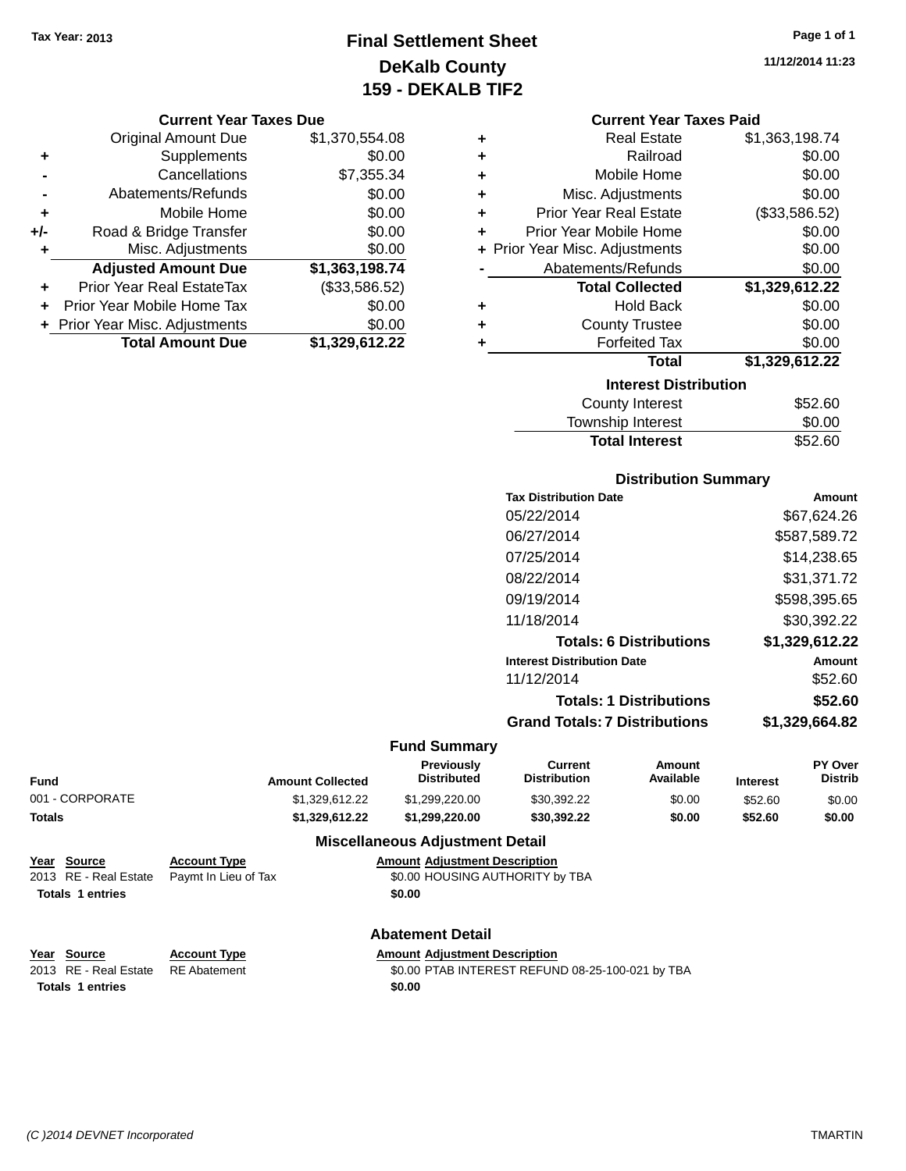### **Final Settlement Sheet Tax Year: 2013 Page 1 of 1 DeKalb County 159 - DEKALB TIF2**

#### **Current Year Taxes Due**

|       | <b>Original Amount Due</b>       | \$1,370,554.08 |
|-------|----------------------------------|----------------|
| ٠     | Supplements                      | \$0.00         |
|       | Cancellations                    | \$7,355.34     |
|       | Abatements/Refunds               | \$0.00         |
| ٠     | Mobile Home                      | \$0.00         |
| $+/-$ | Road & Bridge Transfer           | \$0.00         |
| ٠     | Misc. Adjustments                | \$0.00         |
|       | <b>Adjusted Amount Due</b>       | \$1,363,198.74 |
|       | <b>Prior Year Real EstateTax</b> | (\$33,586.52)  |
|       | Prior Year Mobile Home Tax       | \$0.00         |
|       | + Prior Year Misc. Adjustments   | \$0.00         |
|       | <b>Total Amount Due</b>          | \$1,329,612.22 |

#### **Current Year Taxes Paid**

|   | <b>Real Estate</b>             | \$1,363,198.74 |
|---|--------------------------------|----------------|
|   | Railroad                       | \$0.00         |
| ٠ | Mobile Home                    | \$0.00         |
|   | Misc. Adjustments              | \$0.00         |
| ٠ | <b>Prior Year Real Estate</b>  | (\$33,586.52)  |
| ÷ | Prior Year Mobile Home         | \$0.00         |
|   | + Prior Year Misc. Adjustments | \$0.00         |
|   | Abatements/Refunds             | \$0.00         |
|   | <b>Total Collected</b>         | \$1,329,612.22 |
| ٠ | <b>Hold Back</b>               | \$0.00         |
|   | <b>County Trustee</b>          | \$0.00         |
|   | <b>Forfeited Tax</b>           | \$0.00         |
|   | <b>Total</b>                   | \$1,329,612.22 |
|   | <b>Interest Distribution</b>   |                |
|   | <b>County Interest</b>         | \$52.60        |

| <b>Total Interest</b> | \$52.60 |
|-----------------------|---------|
| Township Interest     | \$0.00  |
| County Interest       | \$52.60 |

### **Distribution Summary**

| <b>Tax Distribution Date</b>         | Amount         |
|--------------------------------------|----------------|
| 05/22/2014                           | \$67.624.26    |
| 06/27/2014                           | \$587,589.72   |
| 07/25/2014                           | \$14.238.65    |
| 08/22/2014                           | \$31,371.72    |
| 09/19/2014                           | \$598,395.65   |
| 11/18/2014                           | \$30,392.22    |
| <b>Totals: 6 Distributions</b>       | \$1,329,612.22 |
| <b>Interest Distribution Date</b>    | Amount         |
| 11/12/2014                           | \$52.60        |
| <b>Totals: 1 Distributions</b>       | \$52.60        |
| <b>Grand Totals: 7 Distributions</b> | \$1.329.664.82 |
|                                      |                |

#### **Fund Summary**

| <b>Amount Collected</b> | <b>Previously</b><br><b>Distributed</b> | Current<br><b>Distribution</b> | Amount<br>Available | <b>Interest</b> | <b>PY Over</b><br><b>Distrib</b> |
|-------------------------|-----------------------------------------|--------------------------------|---------------------|-----------------|----------------------------------|
| \$1.329.612.22          | \$1.299.220.00                          | \$30.392.22                    | \$0.00              | \$52.60         | \$0.00                           |
| \$1.329.612.22          | \$1.299.220.00                          | \$30.392.22                    | \$0.00              | \$52.60         | \$0.00                           |
|                         |                                         |                                |                     |                 |                                  |

### **Miscellaneous Adjustment Detail**

| Year Source           | <b>Account Type</b>  | <b>Amount Adjustment Description</b> |
|-----------------------|----------------------|--------------------------------------|
| 2013 RE - Real Estate | Paymt In Lieu of Tax | \$0.00 HOUSING AUTHORITY by TBA      |
| Totals 1 entries      |                      | \$0.00                               |
|                       |                      |                                      |
|                       |                      |                                      |

**Year Source Account Type Amount Adjustment Description**<br>2013 RE - Real Estate RE Abatement \$0.00 PTAB INTEREST REFUN

**Abatement Detail**

\$0.00 PTAB INTEREST REFUND 08-25-100-021 by TBA **Totals 1 entries** \$0.00

 $\overline{\phantom{0}}$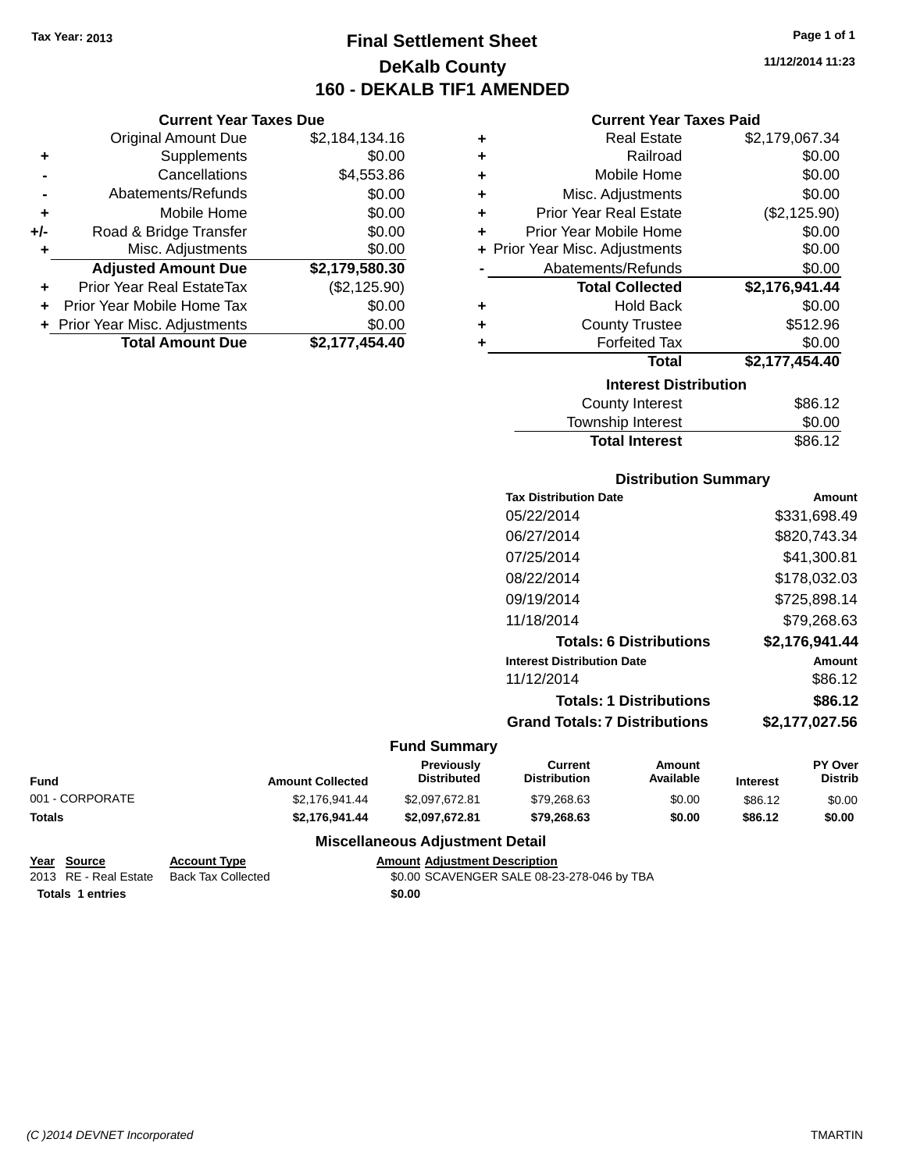**Current Year Taxes Due** Original Amount Due \$2,184,134.16

**Adjusted Amount Due \$2,179,580.30**

**Total Amount Due \$2,177,454.40**

**+** Supplements \$0.00 **-** Cancellations \$4,553.86 **-** Abatements/Refunds \$0.00 **+** Mobile Home \$0.00 **+/-** Road & Bridge Transfer \$0.00 **+** Misc. Adjustments \$0.00

**+** Prior Year Real EstateTax (\$2,125.90) **+** Prior Year Mobile Home Tax \$0.00 **+ Prior Year Misc. Adjustments**  $$0.00$ 

## **Final Settlement Sheet Tax Year: 2013 Page 1 of 1 DeKalb County 160 - DEKALB TIF1 AMENDED**

**11/12/2014 11:23**

### **Current Year Taxes Paid**

| ٠ | <b>Real Estate</b>             | \$2,179,067.34 |
|---|--------------------------------|----------------|
| ٠ | Railroad                       | \$0.00         |
| ٠ | Mobile Home                    | \$0.00         |
| ÷ | Misc. Adjustments              | \$0.00         |
| ٠ | <b>Prior Year Real Estate</b>  | (\$2,125.90)   |
| ٠ | Prior Year Mobile Home         | \$0.00         |
|   | + Prior Year Misc. Adjustments | \$0.00         |
|   | Abatements/Refunds             | \$0.00         |
|   | <b>Total Collected</b>         | \$2,176,941.44 |
| ٠ | <b>Hold Back</b>               | \$0.00         |
| ٠ | <b>County Trustee</b>          | \$512.96       |
| ٠ | <b>Forfeited Tax</b>           | \$0.00         |
|   | <b>Total</b>                   | \$2,177,454.40 |
|   | <b>Interest Distribution</b>   |                |
|   | <b>County Interest</b>         | \$86.12        |
|   | <b>Township Interest</b>       | \$0.00         |

# Total Interest \$86.12

|       | <b>Distribution Summary</b>          |                |
|-------|--------------------------------------|----------------|
|       | <b>Tax Distribution Date</b>         | Amount         |
|       | 05/22/2014                           | \$331,698.49   |
|       | 06/27/2014                           | \$820,743.34   |
|       | 07/25/2014                           | \$41,300.81    |
|       | 08/22/2014                           | \$178,032.03   |
|       | 09/19/2014                           | \$725,898.14   |
|       | 11/18/2014                           | \$79.268.63    |
|       | <b>Totals: 6 Distributions</b>       | \$2,176,941.44 |
|       | <b>Interest Distribution Date</b>    | Amount         |
|       | 11/12/2014                           | \$86.12        |
|       | <b>Totals: 1 Distributions</b>       | \$86.12        |
|       | <b>Grand Totals: 7 Distributions</b> | \$2.177.027.56 |
| יים ה |                                      |                |

#### **Fund Summary**

| <b>Fund</b>     | <b>Amount Collected</b> | <b>Previously</b><br><b>Distributed</b> | Current<br><b>Distribution</b> | Amount<br>Available | <b>Interest</b> | <b>PY Over</b><br><b>Distrib</b> |
|-----------------|-------------------------|-----------------------------------------|--------------------------------|---------------------|-----------------|----------------------------------|
| 001 - CORPORATE | \$2.176.941.44          | \$2.097.672.81                          | \$79.268.63                    | \$0.00              | \$86.12         | \$0.00                           |
| <b>Totals</b>   | \$2.176.941.44          | \$2.097.672.81                          | \$79.268.63                    | \$0.00              | \$86.12         | \$0.00                           |

### **Miscellaneous Adjustment Detail**

| Year Source             | <b>Account Type</b> | <b>Amount Adiustment Description</b>       |
|-------------------------|---------------------|--------------------------------------------|
| 2013 RE - Real Estate   | Back Tax Collected  | \$0.00 SCAVENGER SALE 08-23-278-046 by TBA |
| <b>Totals 1 entries</b> |                     | \$0.00                                     |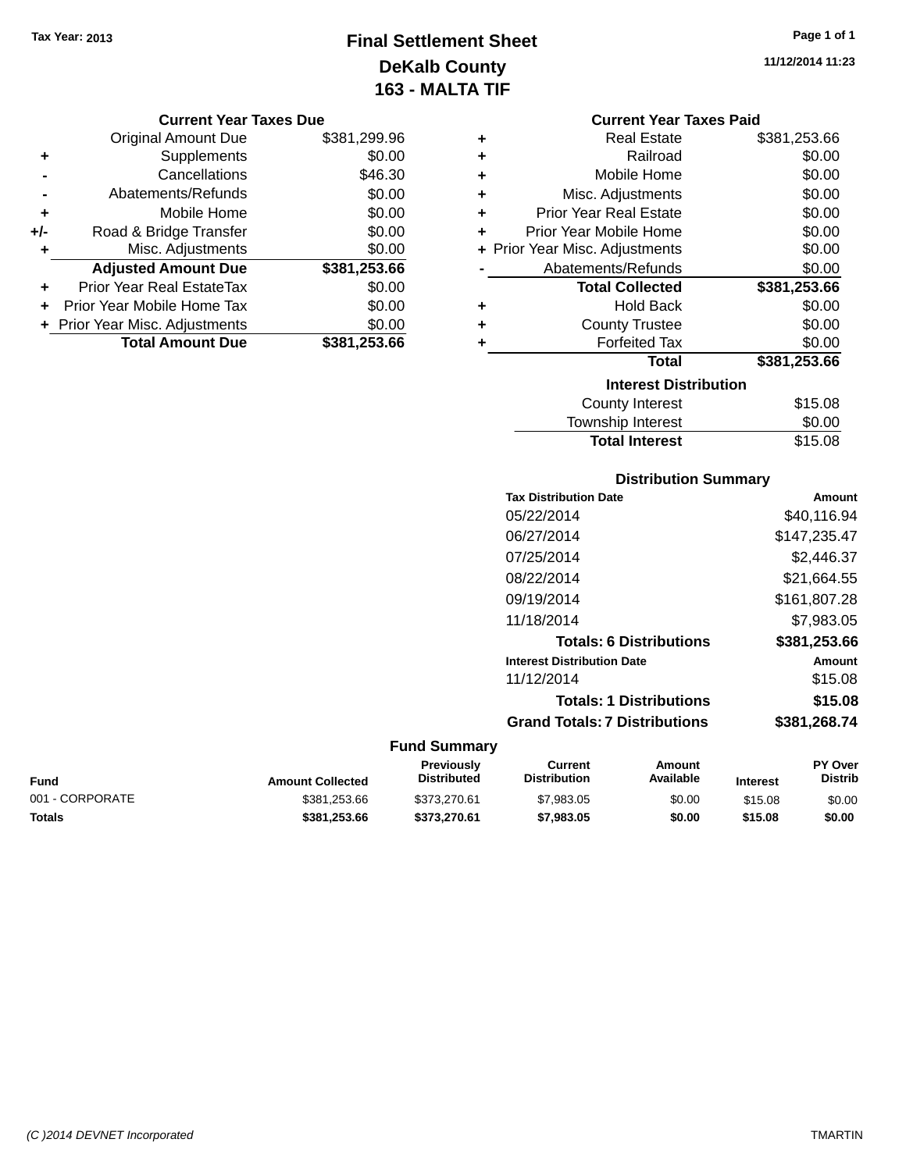### **Final Settlement Sheet Tax Year: 2013 Page 1 of 1 DeKalb County 163 - MALTA TIF**

**11/12/2014 11:23**

#### **Current Year Taxes Due**

|     | <b>Original Amount Due</b>       | \$381,299.96 |
|-----|----------------------------------|--------------|
| ٠   | Supplements                      | \$0.00       |
|     | Cancellations                    | \$46.30      |
|     | Abatements/Refunds               | \$0.00       |
| ÷   | Mobile Home                      | \$0.00       |
| +/- | Road & Bridge Transfer           | \$0.00       |
| ٠   | Misc. Adjustments                | \$0.00       |
|     | <b>Adjusted Amount Due</b>       | \$381,253.66 |
|     | <b>Prior Year Real EstateTax</b> | \$0.00       |
|     | Prior Year Mobile Home Tax       | \$0.00       |
|     | + Prior Year Misc. Adjustments   | \$0.00       |
|     | <b>Total Amount Due</b>          | \$381,253.66 |

|   | <b>Current Year Taxes Paid</b>     |              |  |  |  |  |
|---|------------------------------------|--------------|--|--|--|--|
| ٠ | Real Estate                        | \$381,253.66 |  |  |  |  |
| ٠ | Railroad                           | \$0.00       |  |  |  |  |
| ٠ | Mobile Home                        | \$0.00       |  |  |  |  |
| ٠ | Misc. Adjustments                  | \$0.00       |  |  |  |  |
| ٠ | <b>Prior Year Real Estate</b>      | \$0.00       |  |  |  |  |
| ÷ | Prior Year Mobile Home             | \$0.00       |  |  |  |  |
| ÷ | Prior Year Misc. Adjustments       | \$0.00       |  |  |  |  |
|   | Abatements/Refunds                 | \$0.00       |  |  |  |  |
|   | <b>Total Collected</b>             | \$381,253.66 |  |  |  |  |
| ٠ | <b>Hold Back</b>                   | \$0.00       |  |  |  |  |
| ÷ | <b>County Trustee</b>              | \$0.00       |  |  |  |  |
|   | <b>Forfeited Tax</b>               | \$0.00       |  |  |  |  |
|   | <b>Total</b>                       | \$381,253.66 |  |  |  |  |
|   | <b>Interest Distribution</b>       |              |  |  |  |  |
|   | <b>County Interest</b>             | \$15.08      |  |  |  |  |
|   | \$0.00<br><b>Township Interest</b> |              |  |  |  |  |
|   | <b>Total Interest</b>              | \$15.08      |  |  |  |  |

### **Distribution Summary**

| <b>Tax Distribution Date</b>         | Amount       |
|--------------------------------------|--------------|
| 05/22/2014                           | \$40,116.94  |
| 06/27/2014                           | \$147,235.47 |
| 07/25/2014                           | \$2,446.37   |
| 08/22/2014                           | \$21,664.55  |
| 09/19/2014                           | \$161,807.28 |
| 11/18/2014                           | \$7,983.05   |
| <b>Totals: 6 Distributions</b>       | \$381,253.66 |
| <b>Interest Distribution Date</b>    | Amount       |
| 11/12/2014                           | \$15.08      |
| <b>Totals: 1 Distributions</b>       | \$15.08      |
| <b>Grand Totals: 7 Distributions</b> | \$381,268.74 |
|                                      |              |

| Fund            | <b>Amount Collected</b> | Previously<br><b>Distributed</b> | Current<br><b>Distribution</b> | Amount<br>Available | <b>Interest</b> | <b>PY Over</b><br><b>Distrib</b> |
|-----------------|-------------------------|----------------------------------|--------------------------------|---------------------|-----------------|----------------------------------|
| 001 - CORPORATE | \$381,253.66            | \$373,270.61                     | \$7,983.05                     | \$0.00              | \$15.08         | \$0.00                           |
| Totals          | \$381.253.66            | \$373,270.61                     | \$7,983.05                     | \$0.00              | \$15.08         | \$0.00                           |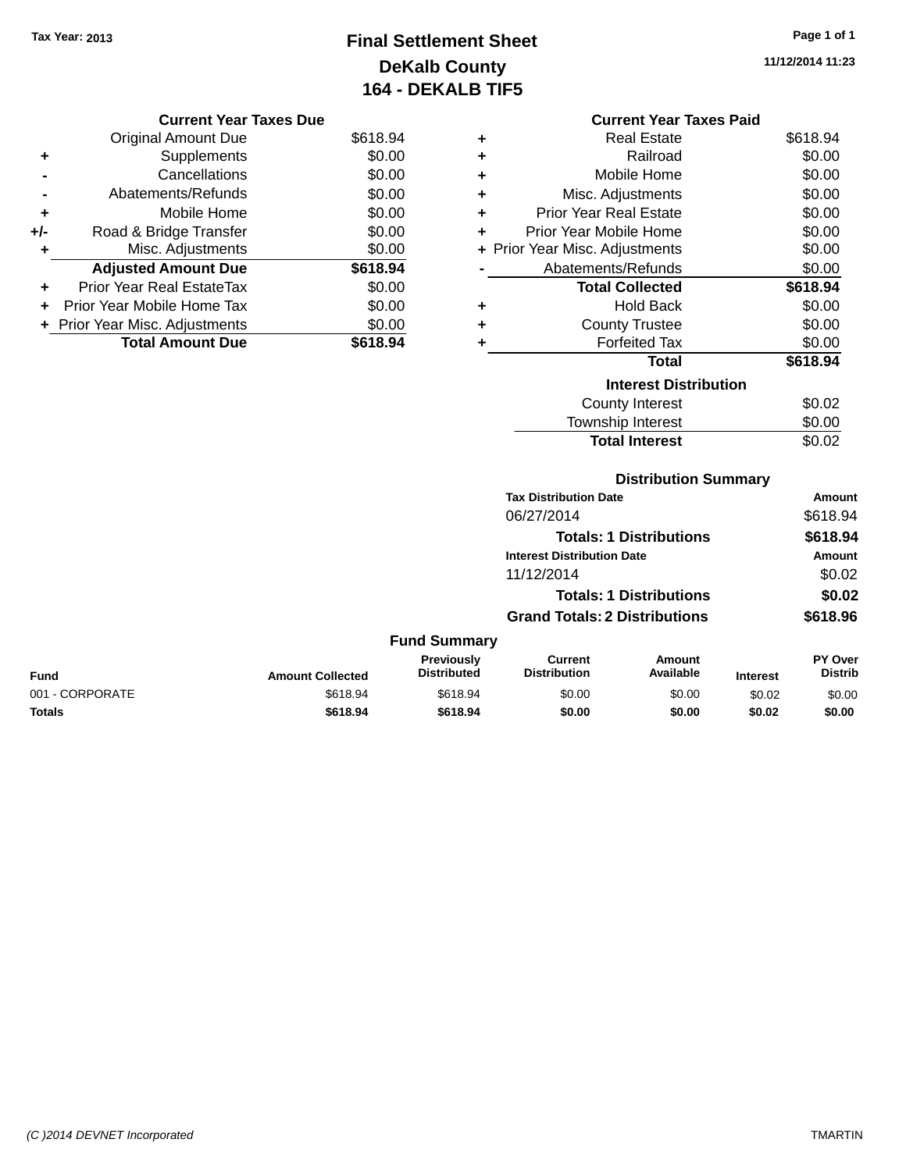## **Final Settlement Sheet Tax Year: 2013 Page 1 of 1 DeKalb County 164 - DEKALB TIF5**

**11/12/2014 11:23**

### **Current Year Taxes Due**

|       | <b>Original Amount Due</b>     | \$618.94 |
|-------|--------------------------------|----------|
| ٠     | Supplements                    | \$0.00   |
|       | Cancellations                  | \$0.00   |
|       | Abatements/Refunds             | \$0.00   |
| ٠     | Mobile Home                    | \$0.00   |
| $+/-$ | Road & Bridge Transfer         | \$0.00   |
| ۰     | Misc. Adjustments              | \$0.00   |
|       | <b>Adjusted Amount Due</b>     | \$618.94 |
| ÷     | Prior Year Real EstateTax      | \$0.00   |
|       | Prior Year Mobile Home Tax     | \$0.00   |
|       | + Prior Year Misc. Adjustments | \$0.00   |
|       | <b>Total Amount Due</b>        | \$618.94 |

|   | <b>Current Year Taxes Paid</b> |          |
|---|--------------------------------|----------|
| ٠ | <b>Real Estate</b>             | \$618.94 |
|   | Railroad                       | \$0.00   |
|   | Mobile Home                    | \$0.00   |
|   | Misc. Adjustments              | \$0.00   |
| ÷ | Prior Year Real Estate         | \$0.00   |
| ٠ | Prior Year Mobile Home         | \$0.00   |
| ÷ | Prior Year Misc. Adjustments   | \$0.00   |
|   | Abatements/Refunds             | \$0.00   |
|   | <b>Total Collected</b>         | \$618.94 |
|   | Hold Back                      | \$0.00   |
|   | <b>County Trustee</b>          | \$0.00   |
|   | <b>Forfeited Tax</b>           | \$0.00   |
|   | Total                          | \$618.94 |
|   | <b>Interest Distribution</b>   |          |
|   | <b>County Interest</b>         | \$0.02   |
|   | <b>Township Interest</b>       | \$0.00   |
|   | <b>Total Interest</b>          | \$0.02   |
|   |                                |          |
|   |                                |          |

### **Distribution Summary**

|                                                                                                                 | <b>Tax Distribution Date</b>         |                                | Amount        |
|-----------------------------------------------------------------------------------------------------------------|--------------------------------------|--------------------------------|---------------|
|                                                                                                                 | 06/27/2014                           |                                | \$618.94      |
|                                                                                                                 |                                      | <b>Totals: 1 Distributions</b> | \$618.94      |
|                                                                                                                 | <b>Interest Distribution Date</b>    |                                | <b>Amount</b> |
|                                                                                                                 | 11/12/2014                           |                                | \$0.02        |
|                                                                                                                 |                                      | <b>Totals: 1 Distributions</b> | \$0.02        |
|                                                                                                                 | <b>Grand Totals: 2 Distributions</b> |                                | \$618.96      |
| <b>Fund Summary</b>                                                                                             |                                      |                                |               |
| Product and the contract of the contract of the contract of the contract of the contract of the contract of the |                                      | $A - 1 = 1$                    | <b>AVA</b>    |

| <b>Fund</b>     | <b>Amount Collected</b> | Previously<br><b>Distributed</b> | Current<br><b>Distribution</b> | Amount<br>Available | <b>Interest</b> | <b>PY Over</b><br><b>Distrib</b> |
|-----------------|-------------------------|----------------------------------|--------------------------------|---------------------|-----------------|----------------------------------|
| 001 - CORPORATE | \$618.94                | \$618.94                         | \$0.00                         | \$0.00              | \$0.02          | \$0.00                           |
| Totals          | \$618.94                | \$618.94                         | \$0.00                         | \$0.00              | \$0.02          | \$0.00                           |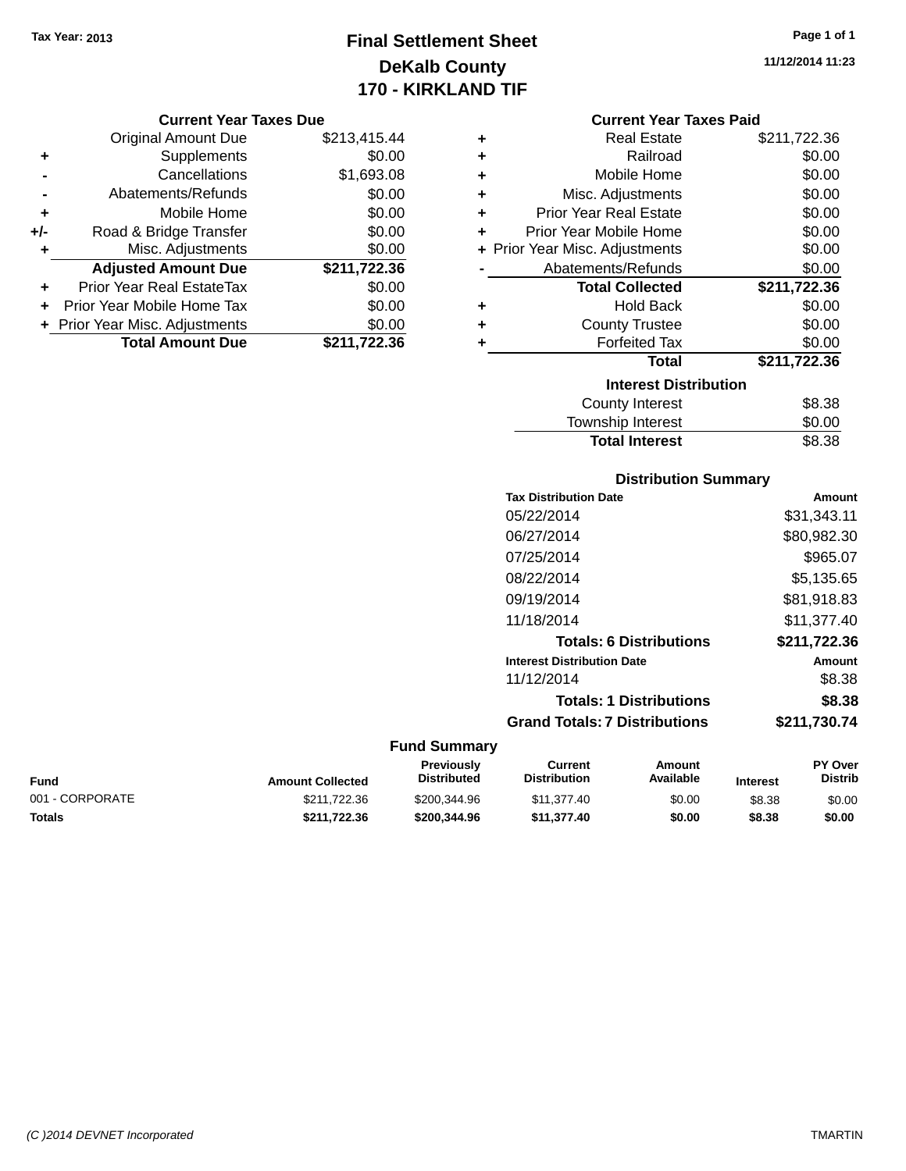## **Final Settlement Sheet Tax Year: 2013 Page 1 of 1 DeKalb County 170 - KIRKLAND TIF**

#### **Current Year Taxes Due**

|       | <b>Original Amount Due</b>       | \$213,415.44 |
|-------|----------------------------------|--------------|
| ٠     | Supplements                      | \$0.00       |
|       | Cancellations                    | \$1,693.08   |
|       | Abatements/Refunds               | \$0.00       |
| ٠     | Mobile Home                      | \$0.00       |
| $+/-$ | Road & Bridge Transfer           | \$0.00       |
| ٠     | Misc. Adjustments                | \$0.00       |
|       | <b>Adjusted Amount Due</b>       | \$211,722.36 |
| ÷     | <b>Prior Year Real EstateTax</b> | \$0.00       |
|       | Prior Year Mobile Home Tax       | \$0.00       |
|       | + Prior Year Misc. Adjustments   | \$0.00       |
|       | <b>Total Amount Due</b>          | \$211,722.36 |

**11/12/2014 11:23**

### **Current Year Taxes Paid**

| ٠ | <b>Real Estate</b>             | \$211,722.36 |
|---|--------------------------------|--------------|
| ٠ | Railroad                       | \$0.00       |
| ÷ | Mobile Home                    | \$0.00       |
| ÷ | Misc. Adjustments              | \$0.00       |
| ٠ | <b>Prior Year Real Estate</b>  | \$0.00       |
| ٠ | Prior Year Mobile Home         | \$0.00       |
|   | + Prior Year Misc. Adjustments | \$0.00       |
|   | Abatements/Refunds             | \$0.00       |
|   | <b>Total Collected</b>         | \$211,722.36 |
| ٠ | <b>Hold Back</b>               | \$0.00       |
| ٠ | <b>County Trustee</b>          | \$0.00       |
| ٠ | <b>Forfeited Tax</b>           | \$0.00       |
|   | <b>Total</b>                   | \$211,722.36 |
|   | <b>Interest Distribution</b>   |              |
|   | <b>County Interest</b>         | \$8.38       |
|   | Townshin Interest              | ፍሰ ሰሰ        |

### **Distribution Summary** Township Interest **50.00**<br>Total Interest \$8.38 **Total Interest**

| <b>Tax Distribution Date</b>         | Amount       |
|--------------------------------------|--------------|
| 05/22/2014                           | \$31,343.11  |
| 06/27/2014                           | \$80,982.30  |
| 07/25/2014                           | \$965.07     |
| 08/22/2014                           | \$5,135.65   |
| 09/19/2014                           | \$81.918.83  |
| 11/18/2014                           | \$11.377.40  |
| <b>Totals: 6 Distributions</b>       | \$211,722.36 |
| <b>Interest Distribution Date</b>    | Amount       |
| 11/12/2014                           | \$8.38       |
| <b>Totals: 1 Distributions</b>       | \$8.38       |
| <b>Grand Totals: 7 Distributions</b> | \$211.730.74 |

| Fund            | <b>Amount Collected</b> | Previously<br><b>Distributed</b> | Current<br>Distribution | Amount<br>Available | <b>Interest</b> | <b>PY Over</b><br><b>Distrib</b> |
|-----------------|-------------------------|----------------------------------|-------------------------|---------------------|-----------------|----------------------------------|
| 001 - CORPORATE | \$211,722,36            | \$200,344.96                     | \$11,377.40             | \$0.00              | \$8.38          | \$0.00                           |
| Totals          | \$211.722.36            | \$200,344.96                     | \$11.377.40             | \$0.00              | \$8.38          | \$0.00                           |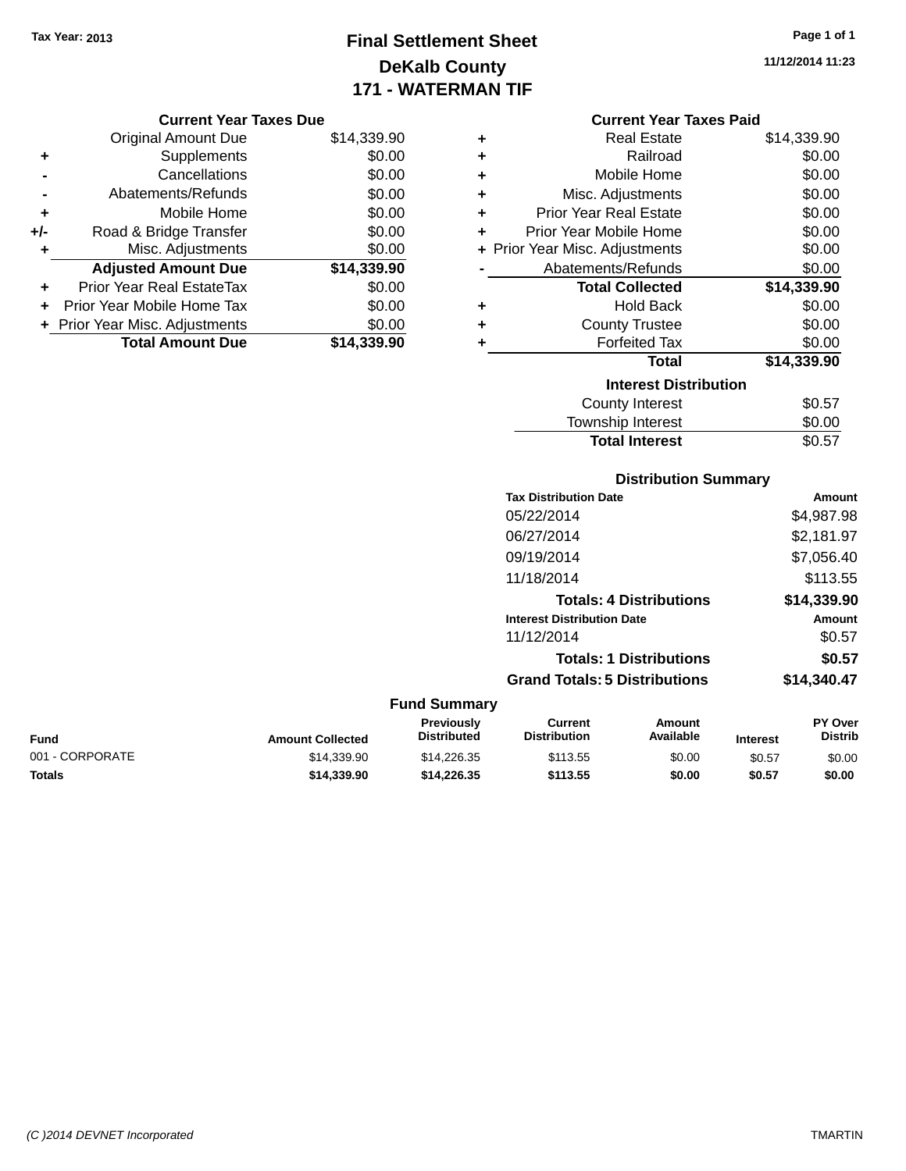## **Final Settlement Sheet Tax Year: 2013 Page 1 of 1 DeKalb County 171 - WATERMAN TIF**

**11/12/2014 11:23**

### **Current Year Taxes Due**

|       | <b>Original Amount Due</b>       | \$14,339.90 |
|-------|----------------------------------|-------------|
| ٠     | Supplements                      | \$0.00      |
|       | Cancellations                    | \$0.00      |
|       | Abatements/Refunds               | \$0.00      |
| ÷     | Mobile Home                      | \$0.00      |
| $+/-$ | Road & Bridge Transfer           | \$0.00      |
| ٠     | Misc. Adjustments                | \$0.00      |
|       | <b>Adjusted Amount Due</b>       | \$14,339.90 |
| ÷     | <b>Prior Year Real EstateTax</b> | \$0.00      |
|       | Prior Year Mobile Home Tax       | \$0.00      |
|       | + Prior Year Misc. Adjustments   | \$0.00      |
|       | <b>Total Amount Due</b>          | \$14.339.90 |

|   | <b>Current Year Taxes Paid</b> |             |  |  |  |  |  |
|---|--------------------------------|-------------|--|--|--|--|--|
| ٠ | <b>Real Estate</b>             | \$14,339.90 |  |  |  |  |  |
| ٠ | Railroad                       | \$0.00      |  |  |  |  |  |
| ٠ | Mobile Home                    | \$0.00      |  |  |  |  |  |
| ٠ | Misc. Adjustments              | \$0.00      |  |  |  |  |  |
| ÷ | <b>Prior Year Real Estate</b>  | \$0.00      |  |  |  |  |  |
| ÷ | Prior Year Mobile Home         | \$0.00      |  |  |  |  |  |
|   | + Prior Year Misc. Adjustments | \$0.00      |  |  |  |  |  |
|   | Abatements/Refunds             | \$0.00      |  |  |  |  |  |
|   | <b>Total Collected</b>         | \$14,339.90 |  |  |  |  |  |
| ٠ | <b>Hold Back</b>               | \$0.00      |  |  |  |  |  |
| ٠ | <b>County Trustee</b>          | \$0.00      |  |  |  |  |  |
| ÷ | <b>Forfeited Tax</b>           | \$0.00      |  |  |  |  |  |
|   | <b>Total</b>                   | \$14,339.90 |  |  |  |  |  |
|   | <b>Interest Distribution</b>   |             |  |  |  |  |  |
|   | <b>County Interest</b>         | \$0.57      |  |  |  |  |  |
|   | Township Interest              | \$0.00      |  |  |  |  |  |
|   | <b>Total Interest</b>          | \$0.57      |  |  |  |  |  |

### **Distribution Summary**

| <b>Tax Distribution Date</b>         | Amount      |
|--------------------------------------|-------------|
| 05/22/2014                           | \$4,987.98  |
| 06/27/2014                           | \$2,181.97  |
| 09/19/2014                           | \$7,056.40  |
| 11/18/2014                           | \$113.55    |
| <b>Totals: 4 Distributions</b>       | \$14,339.90 |
| <b>Interest Distribution Date</b>    | Amount      |
| 11/12/2014                           | \$0.57      |
| <b>Totals: 1 Distributions</b>       | \$0.57      |
| <b>Grand Totals: 5 Distributions</b> | \$14,340.47 |

| Fund            | <b>Amount Collected</b> | <b>Previously</b><br><b>Distributed</b> | Current<br><b>Distribution</b> | Amount<br>Available | <b>Interest</b> | <b>PY Over</b><br><b>Distrib</b> |
|-----------------|-------------------------|-----------------------------------------|--------------------------------|---------------------|-----------------|----------------------------------|
| 001 - CORPORATE | \$14,339.90             | \$14.226.35                             | \$113.55                       | \$0.00              | \$0.57          | \$0.00                           |
| Totals          | \$14,339,90             | \$14,226,35                             | \$113.55                       | \$0.00              | \$0.57          | \$0.00                           |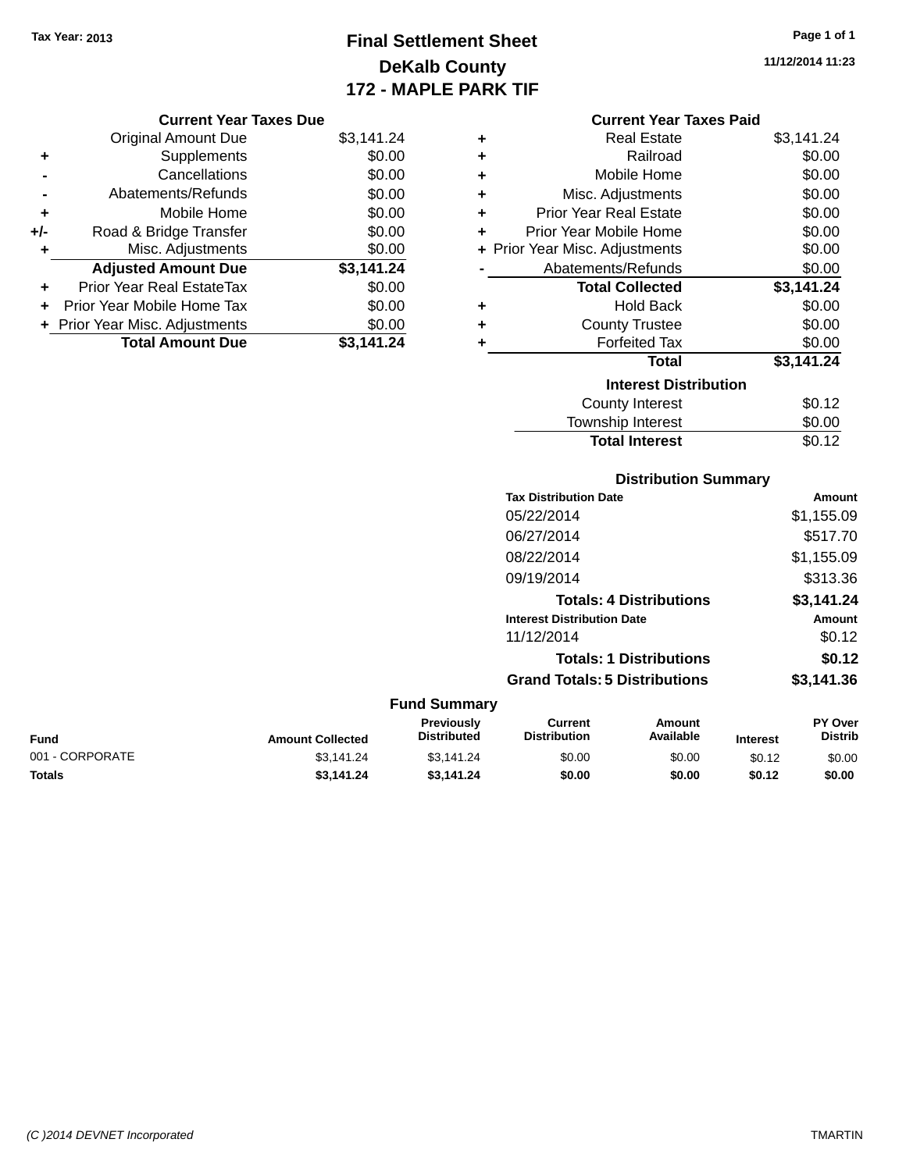## **Final Settlement Sheet Tax Year: 2013 Page 1 of 1 DeKalb County 172 - MAPLE PARK TIF**

**11/12/2014 11:23**

#### **Current Year Taxes Paid**

| ٠ | <b>Real Estate</b>             | \$3,141.24 |
|---|--------------------------------|------------|
| ٠ | Railroad                       | \$0.00     |
| ٠ | Mobile Home                    | \$0.00     |
| ٠ | Misc. Adjustments              | \$0.00     |
| ٠ | <b>Prior Year Real Estate</b>  | \$0.00     |
| ٠ | Prior Year Mobile Home         | \$0.00     |
|   | + Prior Year Misc. Adjustments | \$0.00     |
|   | Abatements/Refunds             | \$0.00     |
|   | <b>Total Collected</b>         | \$3,141.24 |
| ٠ | Hold Back                      | \$0.00     |
| ٠ | <b>County Trustee</b>          | \$0.00     |
| ٠ | <b>Forfeited Tax</b>           | \$0.00     |
|   | <b>Total</b>                   | \$3,141.24 |
|   | <b>Interest Distribution</b>   |            |
|   | County Interest                | \$0.12     |
|   | Township Interest              | \$0.00     |
|   | <b>Total Interest</b>          | \$0.12     |

|                 |                         | <b>Distribution Summary</b>             |                                       |                                |                 |                           |
|-----------------|-------------------------|-----------------------------------------|---------------------------------------|--------------------------------|-----------------|---------------------------|
|                 |                         |                                         | <b>Tax Distribution Date</b>          |                                |                 | Amount                    |
|                 |                         |                                         | 05/22/2014                            |                                |                 | \$1,155.09                |
|                 |                         |                                         | 06/27/2014                            |                                |                 | \$517.70                  |
|                 |                         |                                         | 08/22/2014                            |                                |                 | \$1,155.09                |
|                 |                         |                                         | 09/19/2014                            |                                |                 | \$313.36                  |
|                 |                         |                                         |                                       | <b>Totals: 4 Distributions</b> |                 | \$3,141.24                |
|                 |                         |                                         | <b>Interest Distribution Date</b>     |                                |                 | Amount                    |
|                 |                         |                                         | 11/12/2014                            |                                |                 | \$0.12                    |
|                 |                         |                                         |                                       | <b>Totals: 1 Distributions</b> |                 | \$0.12                    |
|                 |                         |                                         | <b>Grand Totals: 5 Distributions</b>  |                                |                 | \$3,141.36                |
|                 |                         | <b>Fund Summary</b>                     |                                       |                                |                 |                           |
| <b>Fund</b>     | <b>Amount Collected</b> | <b>Previously</b><br><b>Distributed</b> | <b>Current</b><br><b>Distribution</b> | <b>Amount</b><br>Available     | <b>Interest</b> | PY Over<br><b>Distrib</b> |
| 001 - CORPORATE | \$3,141.24              | \$3,141.24                              | \$0.00                                | \$0.00                         | \$0.12          | \$0.00                    |

**Totals \$3,141.24 \$3,141.24 \$0.00 \$0.00 \$0.12 \$0.00**

|     | <b>Current Year Taxes Due</b>    |            |
|-----|----------------------------------|------------|
|     | <b>Original Amount Due</b>       | \$3,141.24 |
|     | Supplements                      | \$0.00     |
|     | Cancellations                    | \$0.00     |
|     | Abatements/Refunds               | \$0.00     |
| ÷   | Mobile Home                      | \$0.00     |
| +/- | Road & Bridge Transfer           | \$0.00     |
| ٠   | Misc. Adjustments                | \$0.00     |
|     | <b>Adjusted Amount Due</b>       | \$3,141.24 |
| ٠   | <b>Prior Year Real EstateTax</b> | \$0.00     |
|     | Prior Year Mobile Home Tax       | \$0.00     |
|     | + Prior Year Misc. Adjustments   | \$0.00     |
|     | <b>Total Amount Due</b>          | \$3,141.24 |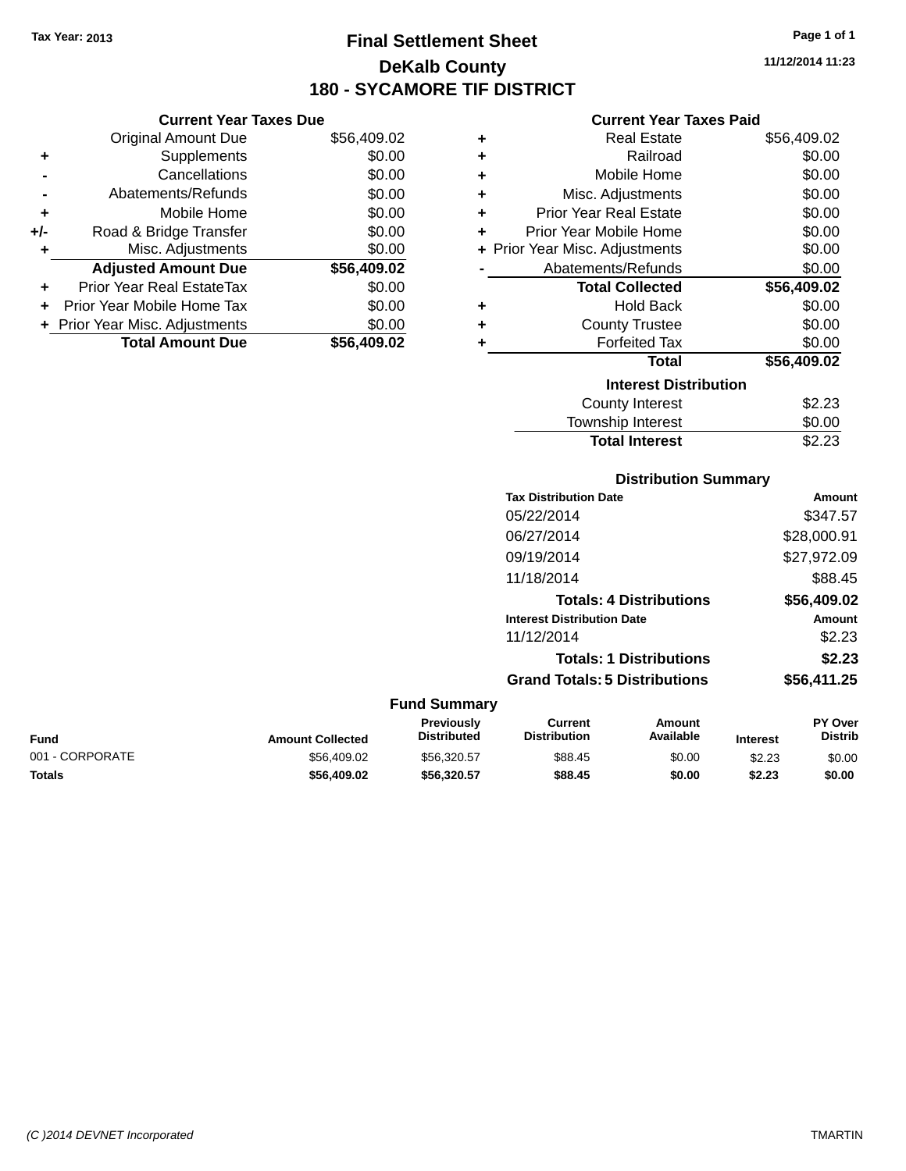### **Final Settlement Sheet Tax Year: 2013 Page 1 of 1 DeKalb County 180 - SYCAMORE TIF DISTRICT**

**11/12/2014 11:23**

### **Current Year Taxes Paid**

| ÷ | <b>Real Estate</b>             | \$56,409.02 |
|---|--------------------------------|-------------|
| ٠ | Railroad                       | \$0.00      |
| ÷ | Mobile Home                    | \$0.00      |
| ÷ | Misc. Adjustments              | \$0.00      |
| ÷ | <b>Prior Year Real Estate</b>  | \$0.00      |
| ÷ | Prior Year Mobile Home         | \$0.00      |
|   | + Prior Year Misc. Adjustments | \$0.00      |
|   | Abatements/Refunds             | \$0.00      |
|   | <b>Total Collected</b>         | \$56,409.02 |
| ÷ | <b>Hold Back</b>               | \$0.00      |
| ÷ | <b>County Trustee</b>          | \$0.00      |
| ٠ | <b>Forfeited Tax</b>           | \$0.00      |
|   | <b>Total</b>                   | \$56,409.02 |
|   | <b>Interest Distribution</b>   |             |
|   | <b>County Interest</b>         | \$2.23      |
|   | <b>Township Interest</b>       | \$0.00      |
|   | <b>Total Interest</b>          | \$2.23      |

|                 |                         |                                  | <b>Distribution Summary</b>           |                                |                 |                                  |
|-----------------|-------------------------|----------------------------------|---------------------------------------|--------------------------------|-----------------|----------------------------------|
|                 |                         |                                  | <b>Tax Distribution Date</b>          |                                |                 | <b>Amount</b>                    |
|                 |                         |                                  | 05/22/2014                            |                                |                 | \$347.57                         |
|                 |                         |                                  | 06/27/2014                            |                                |                 | \$28,000.91                      |
|                 |                         |                                  | 09/19/2014                            |                                |                 | \$27,972.09                      |
|                 |                         |                                  | 11/18/2014                            |                                |                 | \$88.45                          |
|                 |                         |                                  |                                       | <b>Totals: 4 Distributions</b> |                 | \$56,409.02                      |
|                 |                         |                                  | <b>Interest Distribution Date</b>     |                                |                 | <b>Amount</b>                    |
|                 |                         |                                  | 11/12/2014                            |                                |                 | \$2.23                           |
|                 |                         |                                  |                                       | <b>Totals: 1 Distributions</b> |                 | \$2.23                           |
|                 |                         |                                  | <b>Grand Totals: 5 Distributions</b>  |                                |                 | \$56,411.25                      |
|                 |                         | <b>Fund Summary</b>              |                                       |                                |                 |                                  |
| Fund            | <b>Amount Collected</b> | Previously<br><b>Distributed</b> | <b>Current</b><br><b>Distribution</b> | <b>Amount</b><br>Available     | <b>Interest</b> | <b>PY Over</b><br><b>Distrib</b> |
| 001 - CORPORATE | \$56,409.02             | \$56,320.57                      | \$88.45                               | \$0.00                         | \$2.23          | \$0.00                           |

**Totals \$56,409.02 \$56,320.57 \$88.45 \$0.00 \$2.23 \$0.00**

**+** Supplements \$0.00 **-** Cancellations \$0.00 **-** Abatements/Refunds \$0.00 **+** Mobile Home \$0.00 **+/-** Road & Bridge Transfer \$0.00 **+** Misc. Adjustments \$0.00 **Adjusted Amount Due \$56,409.02 +** Prior Year Real EstateTax \$0.00 **+** Prior Year Mobile Home Tax \$0.00 **+ Prior Year Misc. Adjustments**  $$0.00$ **Total Amount Due \$56,409.02**

**Current Year Taxes Due** Original Amount Due \$56,409.02

*(C )2014 DEVNET Incorporated* TMARTIN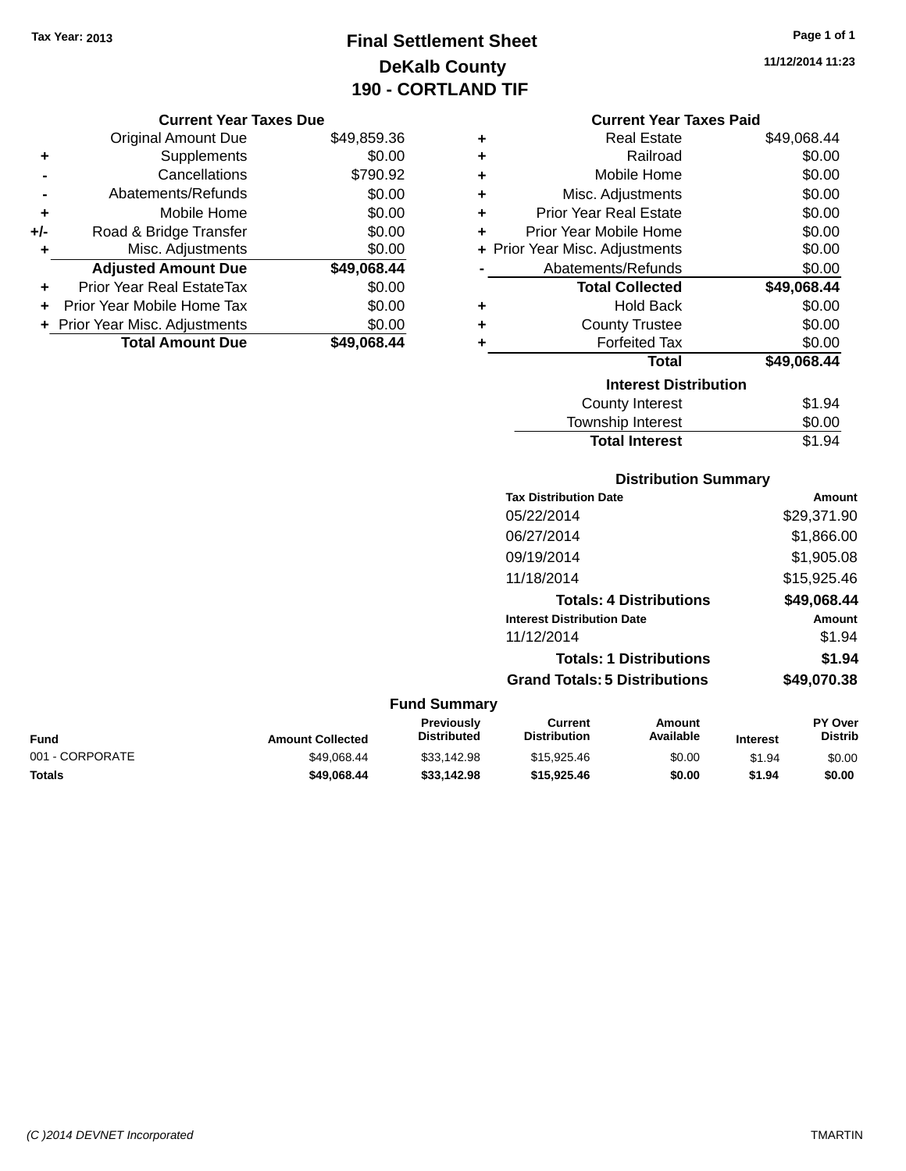## **Final Settlement Sheet Tax Year: 2013 Page 1 of 1 DeKalb County 190 - CORTLAND TIF**

**11/12/2014 11:23**

|  | <b>Current Year Taxes Due</b> |  |  |  |
|--|-------------------------------|--|--|--|
|--|-------------------------------|--|--|--|

|     | <b>Original Amount Due</b>       | \$49,859.36 |
|-----|----------------------------------|-------------|
| ٠   | Supplements                      | \$0.00      |
|     | Cancellations                    | \$790.92    |
|     | Abatements/Refunds               | \$0.00      |
| ٠   | Mobile Home                      | \$0.00      |
| +/- | Road & Bridge Transfer           | \$0.00      |
| ٠   | Misc. Adjustments                | \$0.00      |
|     | <b>Adjusted Amount Due</b>       | \$49,068.44 |
|     | <b>Prior Year Real EstateTax</b> | \$0.00      |
|     | Prior Year Mobile Home Tax       | \$0.00      |
|     | + Prior Year Misc. Adjustments   | \$0.00      |
|     | <b>Total Amount Due</b>          | \$49,068.44 |

| <b>Current Year Taxes Paid</b> |  |  |  |
|--------------------------------|--|--|--|
|--------------------------------|--|--|--|

| ٠ | <b>Real Estate</b>             | \$49,068.44 |
|---|--------------------------------|-------------|
| ÷ | Railroad                       | \$0.00      |
| ÷ | Mobile Home                    | \$0.00      |
| ÷ | Misc. Adjustments              | \$0.00      |
| ÷ | <b>Prior Year Real Estate</b>  | \$0.00      |
| ٠ | Prior Year Mobile Home         | \$0.00      |
|   | + Prior Year Misc. Adjustments | \$0.00      |
|   | Abatements/Refunds             | \$0.00      |
|   | <b>Total Collected</b>         | \$49,068.44 |
| ٠ | <b>Hold Back</b>               | \$0.00      |
| ÷ | <b>County Trustee</b>          | \$0.00      |
| ٠ | <b>Forfeited Tax</b>           | \$0.00      |
|   | <b>Total</b>                   | \$49,068.44 |
|   | <b>Interest Distribution</b>   |             |
|   | <b>County Interest</b>         | \$1.94      |
|   | <b>Township Interest</b>       | \$0.00      |
|   | <b>Total Interest</b>          | \$1.94      |

### **Distribution Summary**

| <b>Tax Distribution Date</b>         | Amount      |
|--------------------------------------|-------------|
| 05/22/2014                           | \$29,371.90 |
| 06/27/2014                           | \$1,866.00  |
| 09/19/2014                           | \$1,905.08  |
| 11/18/2014                           | \$15,925.46 |
| <b>Totals: 4 Distributions</b>       | \$49,068.44 |
| <b>Interest Distribution Date</b>    | Amount      |
| 11/12/2014                           | \$1.94      |
| <b>Totals: 1 Distributions</b>       | \$1.94      |
| <b>Grand Totals: 5 Distributions</b> | \$49,070,38 |

| Fund            | <b>Amount Collected</b> | <b>Previously</b><br><b>Distributed</b> | Current<br><b>Distribution</b> | Amount<br>Available | <b>Interest</b> | <b>PY Over</b><br>Distrib |
|-----------------|-------------------------|-----------------------------------------|--------------------------------|---------------------|-----------------|---------------------------|
| 001 - CORPORATE | \$49.068.44             | \$33,142.98                             | \$15,925.46                    | \$0.00              | \$1.94          | \$0.00                    |
| Totals          | \$49,068,44             | \$33,142.98                             | \$15,925.46                    | \$0.00              | \$1.94          | \$0.00                    |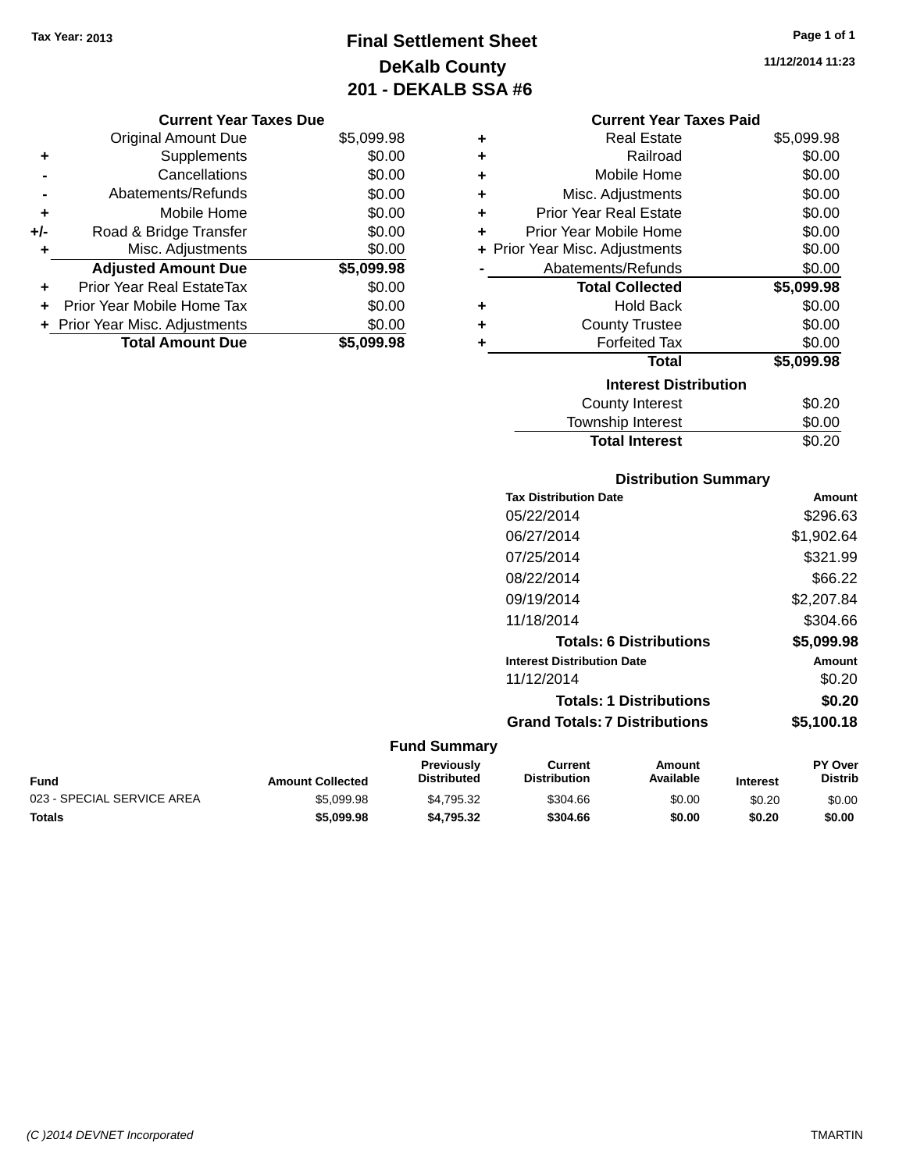## **Final Settlement Sheet Tax Year: 2013 Page 1 of 1 DeKalb County 201 - DEKALB SSA #6**

**11/12/2014 11:23**

### **Current Year Taxes Due**

|       | <b>Original Amount Due</b>     | \$5,099.98 |
|-------|--------------------------------|------------|
| ٠     | Supplements                    | \$0.00     |
|       | Cancellations                  | \$0.00     |
|       | Abatements/Refunds             | \$0.00     |
| ٠     | Mobile Home                    | \$0.00     |
| $+/-$ | Road & Bridge Transfer         | \$0.00     |
| ٠     | Misc. Adjustments              | \$0.00     |
|       | <b>Adjusted Amount Due</b>     | \$5,099.98 |
| ÷     | Prior Year Real EstateTax      | \$0.00     |
|       | Prior Year Mobile Home Tax     | \$0.00     |
|       | + Prior Year Misc. Adjustments | \$0.00     |
|       | <b>Total Amount Due</b>        | \$5,099.98 |

# **Current Year Taxes Paid**

| ÷ | <b>Real Estate</b>             | \$5,099.98 |
|---|--------------------------------|------------|
| ÷ | Railroad                       | \$0.00     |
| ÷ | Mobile Home                    | \$0.00     |
| ÷ | Misc. Adjustments              | \$0.00     |
| ÷ | <b>Prior Year Real Estate</b>  | \$0.00     |
| ٠ | Prior Year Mobile Home         | \$0.00     |
|   | + Prior Year Misc. Adjustments | \$0.00     |
|   | Abatements/Refunds             | \$0.00     |
|   | <b>Total Collected</b>         | \$5,099.98 |
| ٠ | <b>Hold Back</b>               | \$0.00     |
| ÷ | <b>County Trustee</b>          | \$0.00     |
| ٠ | <b>Forfeited Tax</b>           | \$0.00     |
|   | Total                          | \$5,099.98 |
|   | <b>Interest Distribution</b>   |            |
|   |                                |            |
|   | <b>County Interest</b>         | \$0.20     |

### **Distribution Summary**

Total Interest \$0.20

| <b>Tax Distribution Date</b>         | Amount     |
|--------------------------------------|------------|
| 05/22/2014                           | \$296.63   |
| 06/27/2014                           | \$1,902.64 |
| 07/25/2014                           | \$321.99   |
| 08/22/2014                           | \$66.22    |
| 09/19/2014                           | \$2,207.84 |
| 11/18/2014                           | \$304.66   |
| <b>Totals: 6 Distributions</b>       | \$5,099.98 |
| <b>Interest Distribution Date</b>    | Amount     |
| 11/12/2014                           | \$0.20     |
| <b>Totals: 1 Distributions</b>       | \$0.20     |
| <b>Grand Totals: 7 Distributions</b> | \$5,100.18 |
|                                      |            |

#### **Fund Summary Fund Interest Amount Collected Distributed PY Over Distrib Amount Available Current Distribution Previously** 023 - SPECIAL SERVICE AREA  $$5,099.98$   $$4,795.32$   $$304.66$   $$0.00$   $$0.20$   $$0.00$ **Totals \$5,099.98 \$4,795.32 \$304.66 \$0.00 \$0.20 \$0.00**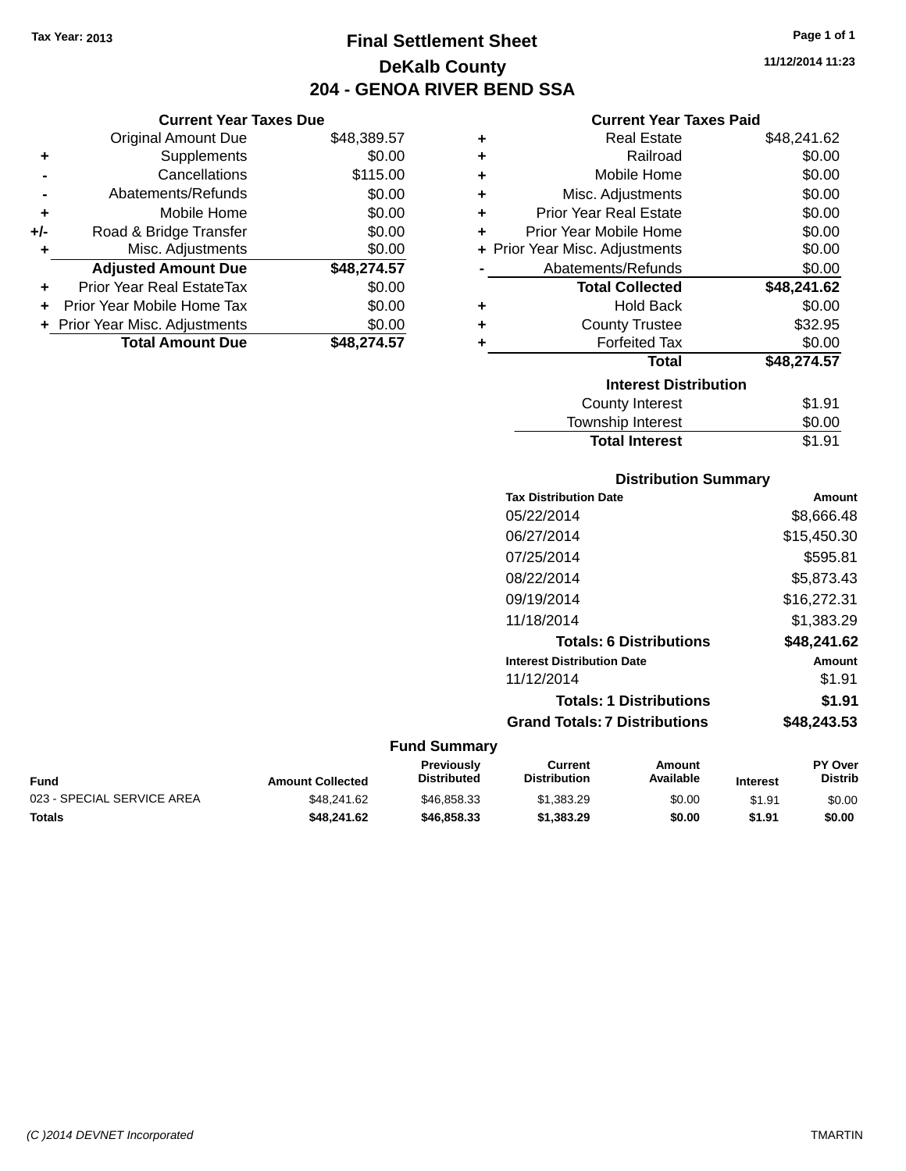**Current Year Taxes Due** Original Amount Due \$48,389.57

**Adjusted Amount Due \$48,274.57**

**Total Amount Due \$48,274.57**

**+** Supplements \$0.00 **-** Cancellations \$115.00 **-** Abatements/Refunds \$0.00 **+** Mobile Home \$0.00 **+/-** Road & Bridge Transfer \$0.00 **+** Misc. Adjustments \$0.00

**+** Prior Year Real EstateTax \$0.00 **+** Prior Year Mobile Home Tax \$0.00 **+ Prior Year Misc. Adjustments**  $$0.00$ 

## **Final Settlement Sheet Tax Year: 2013 Page 1 of 1 DeKalb County 204 - GENOA RIVER BEND SSA**

**11/12/2014 11:23**

### **Current Year Taxes Paid**

| ٠ | <b>Real Estate</b>             | \$48,241.62 |
|---|--------------------------------|-------------|
| ٠ | Railroad                       | \$0.00      |
| ÷ | Mobile Home                    | \$0.00      |
| ÷ | Misc. Adjustments              | \$0.00      |
| ÷ | <b>Prior Year Real Estate</b>  | \$0.00      |
| ÷ | Prior Year Mobile Home         | \$0.00      |
|   | + Prior Year Misc. Adjustments | \$0.00      |
|   | Abatements/Refunds             | \$0.00      |
|   | <b>Total Collected</b>         | \$48,241.62 |
| ٠ | <b>Hold Back</b>               | \$0.00      |
| ÷ | <b>County Trustee</b>          | \$32.95     |
| ٠ | <b>Forfeited Tax</b>           | \$0.00      |
|   | Total                          | \$48,274.57 |
|   | <b>Interest Distribution</b>   |             |
|   | County Interest                | \$1.91      |
|   | <b>Township Interest</b>       | \$0.00      |
|   | <b>Total Interest</b>          | \$1.91      |

| <b>Distribution Summary</b> |  |
|-----------------------------|--|
|                             |  |

|                     | <b>Tax Distribution Date</b>         | <b>Amount</b> |
|---------------------|--------------------------------------|---------------|
|                     | 05/22/2014                           | \$8,666.48    |
|                     | 06/27/2014                           | \$15,450.30   |
|                     | 07/25/2014                           | \$595.81      |
|                     | 08/22/2014                           | \$5,873.43    |
|                     | 09/19/2014                           | \$16,272.31   |
|                     | 11/18/2014                           | \$1,383.29    |
|                     | <b>Totals: 6 Distributions</b>       | \$48,241.62   |
|                     | <b>Interest Distribution Date</b>    | <b>Amount</b> |
|                     | 11/12/2014                           | \$1.91        |
|                     | <b>Totals: 1 Distributions</b>       | \$1.91        |
|                     | <b>Grand Totals: 7 Distributions</b> | \$48,243.53   |
| <b>Fund Summary</b> |                                      |               |

| Fund                       | <b>Amount Collected</b> | <b>Previously</b><br><b>Distributed</b> | Current<br><b>Distribution</b> | Amount<br>Available | <b>Interest</b> | <b>PY Over</b><br><b>Distrib</b> |
|----------------------------|-------------------------|-----------------------------------------|--------------------------------|---------------------|-----------------|----------------------------------|
| 023 - SPECIAL SERVICE AREA | \$48.241.62             | \$46,858,33                             | \$1,383.29                     | \$0.00              | \$1.91          | \$0.00                           |
| Totals                     | \$48.241.62             | \$46,858,33                             | \$1,383,29                     | \$0.00              | \$1.91          | \$0.00                           |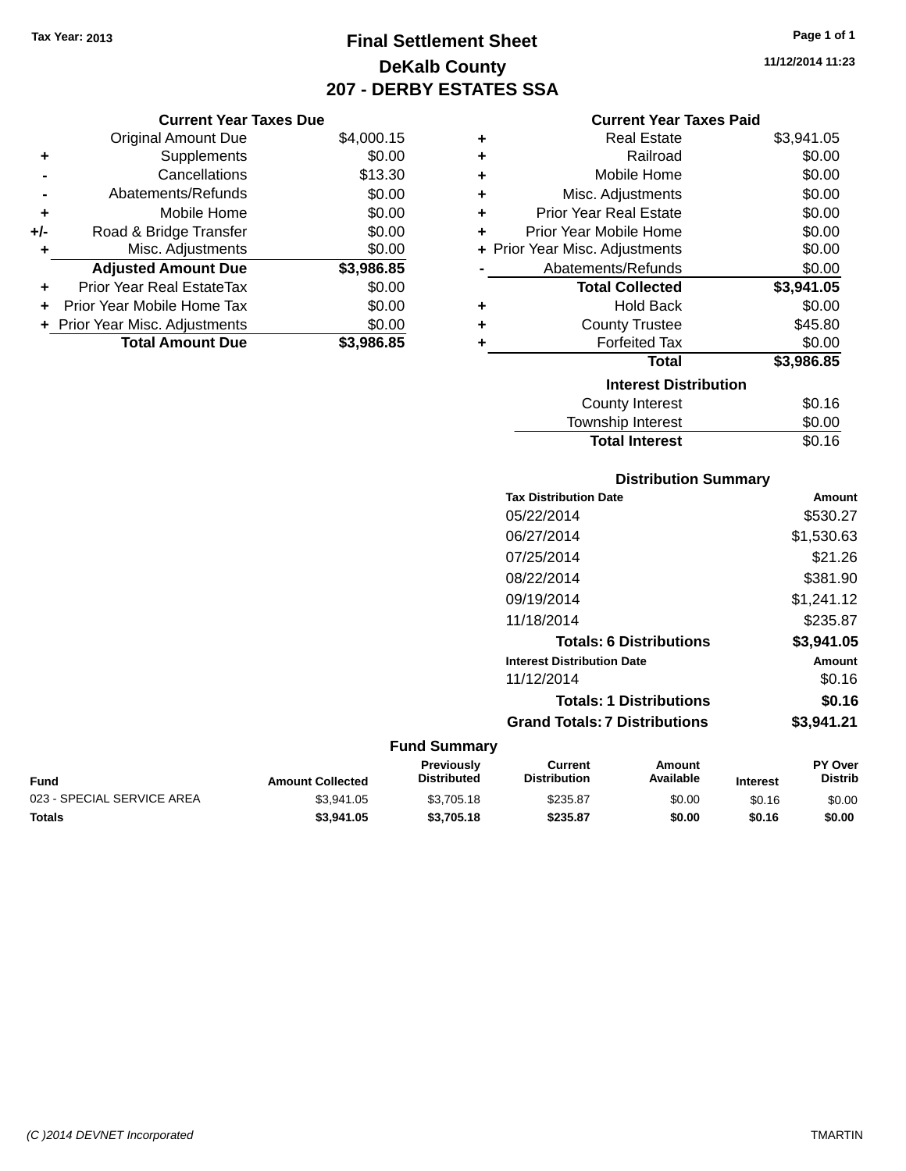**Current Year Taxes Due** Original Amount Due \$4,000.15

**Adjusted Amount Due \$3,986.85**

**Total Amount Due \$3,986.85**

**+** Supplements \$0.00 **-** Cancellations \$13.30 **-** Abatements/Refunds \$0.00 **+** Mobile Home \$0.00 **+/-** Road & Bridge Transfer \$0.00 **+** Misc. Adjustments \$0.00

**+** Prior Year Real EstateTax \$0.00 **+** Prior Year Mobile Home Tax \$0.00 **+ Prior Year Misc. Adjustments**  $$0.00$ 

## **Final Settlement Sheet Tax Year: 2013 Page 1 of 1 DeKalb County 207 - DERBY ESTATES SSA**

**11/12/2014 11:23**

#### **Current Year Taxes Paid**

| ٠ | <b>Real Estate</b>             | \$3,941.05 |
|---|--------------------------------|------------|
| ٠ | Railroad                       | \$0.00     |
| ÷ | Mobile Home                    | \$0.00     |
| ÷ | Misc. Adjustments              | \$0.00     |
| ÷ | Prior Year Real Estate         | \$0.00     |
| ٠ | Prior Year Mobile Home         | \$0.00     |
|   | + Prior Year Misc. Adjustments | \$0.00     |
|   | Abatements/Refunds             | \$0.00     |
|   | <b>Total Collected</b>         | \$3,941.05 |
| ٠ | <b>Hold Back</b>               | \$0.00     |
| ٠ | <b>County Trustee</b>          | \$45.80    |
| ٠ | <b>Forfeited Tax</b>           | \$0.00     |
|   | <b>Total</b>                   | \$3,986.85 |
|   | <b>Interest Distribution</b>   |            |
|   | <b>County Interest</b>         | \$0.16     |
|   |                                | \$0.00     |

# **Distribution Summary** Total Interest \$0.16

| <b>Tax Distribution Date</b>         | Amount     |
|--------------------------------------|------------|
| 05/22/2014                           | \$530.27   |
| 06/27/2014                           | \$1,530.63 |
| 07/25/2014                           | \$21.26    |
| 08/22/2014                           | \$381.90   |
| 09/19/2014                           | \$1,241.12 |
| 11/18/2014                           | \$235.87   |
| <b>Totals: 6 Distributions</b>       | \$3,941.05 |
| <b>Interest Distribution Date</b>    | Amount     |
| 11/12/2014                           | \$0.16     |
| <b>Totals: 1 Distributions</b>       | \$0.16     |
| <b>Grand Totals: 7 Distributions</b> | \$3.941.21 |
|                                      |            |

| Fund                       | <b>Amount Collected</b> | <b>Previously</b><br>Distributed | Current<br><b>Distribution</b> | Amount<br>Available | <b>Interest</b> | <b>PY Over</b><br><b>Distrib</b> |
|----------------------------|-------------------------|----------------------------------|--------------------------------|---------------------|-----------------|----------------------------------|
| 023 - SPECIAL SERVICE AREA | \$3.941.05              | \$3,705.18                       | \$235.87                       | \$0.00              | \$0.16          | \$0.00                           |
| Totals                     | \$3.941.05              | \$3,705.18                       | \$235.87                       | \$0.00              | \$0.16          | \$0.00                           |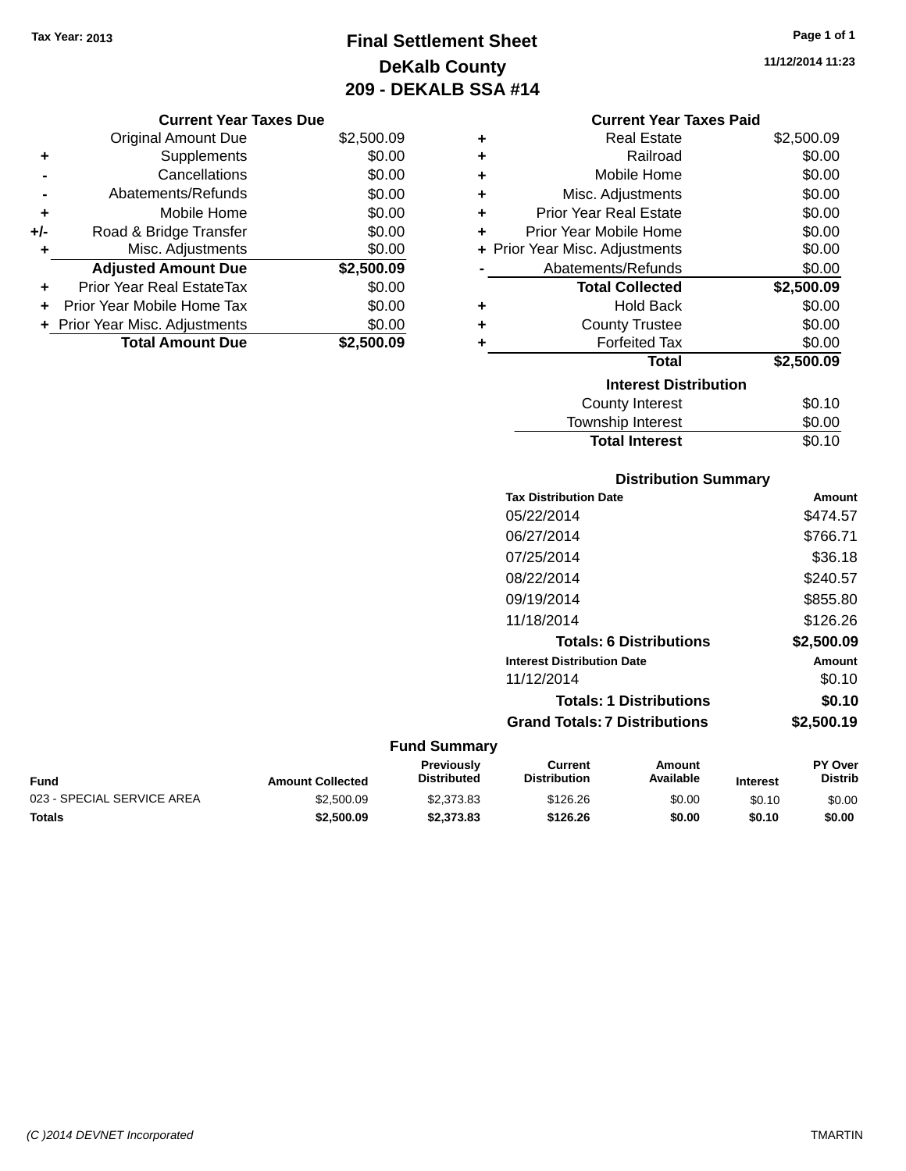## **Final Settlement Sheet Tax Year: 2013 Page 1 of 1 DeKalb County 209 - DEKALB SSA #14**

**11/12/2014 11:23**

|       | <b>Current Year Taxes Due</b>  |            |
|-------|--------------------------------|------------|
|       | <b>Original Amount Due</b>     | \$2,500.09 |
| ٠     | Supplements                    | \$0.00     |
|       | Cancellations                  | \$0.00     |
|       | Abatements/Refunds             | \$0.00     |
| ٠     | Mobile Home                    | \$0.00     |
| $+/-$ | Road & Bridge Transfer         | \$0.00     |
|       | Misc. Adjustments              | \$0.00     |
|       | <b>Adjusted Amount Due</b>     | \$2,500.09 |
| ٠     | Prior Year Real EstateTax      | \$0.00     |
|       | Prior Year Mobile Home Tax     | \$0.00     |
|       | + Prior Year Misc. Adjustments | \$0.00     |
|       | <b>Total Amount Due</b>        | \$2,500.09 |

|   | <b>Current Year Taxes Paid</b> |            |
|---|--------------------------------|------------|
| ٠ | Real Estate                    | \$2,500.09 |
| ٠ | Railroad                       | \$0.00     |
| ٠ | Mobile Home                    | \$0.00     |
| ٠ | Misc. Adjustments              | \$0.00     |
| ÷ | <b>Prior Year Real Estate</b>  | \$0.00     |
| ٠ | Prior Year Mobile Home         | \$0.00     |
|   | + Prior Year Misc. Adjustments | \$0.00     |
|   | Abatements/Refunds             | \$0.00     |
|   | <b>Total Collected</b>         | \$2,500.09 |
| ٠ | <b>Hold Back</b>               | \$0.00     |
| ٠ | <b>County Trustee</b>          | \$0.00     |
| ٠ | <b>Forfeited Tax</b>           | \$0.00     |
|   | Total                          |            |
|   |                                | \$2,500.09 |
|   | <b>Interest Distribution</b>   |            |
|   | <b>County Interest</b>         | \$0.10     |
|   | <b>Township Interest</b>       | \$0.00     |

### **Distribution Summary Tax Distribution Date Amount** 05/22/2014 \$474.57 06/27/2014 \$766.71 07/25/2014 \$36.18 08/22/2014 \$240.57 09/19/2014 \$855.80 11/18/2014 \$126.26 **Totals: 6 Distributions \$2,500.09 Interest Distribution Date Amount** 11/12/2014 \$0.10 **Totals: 1 Distributions \$0.10 Grand Totals: 7 Distributions \$2,500.19**

| Fund                       | <b>Amount Collected</b> | <b>Previously</b><br>Distributed | Current<br><b>Distribution</b> | Amount<br>Available | <b>Interest</b> | <b>PY Over</b><br><b>Distrib</b> |
|----------------------------|-------------------------|----------------------------------|--------------------------------|---------------------|-----------------|----------------------------------|
| 023 - SPECIAL SERVICE AREA | \$2,500.09              | \$2,373.83                       | \$126.26                       | \$0.00              | \$0.10          | \$0.00                           |
| Totals                     | \$2,500.09              | \$2,373,83                       | \$126.26                       | \$0.00              | \$0.10          | \$0.00                           |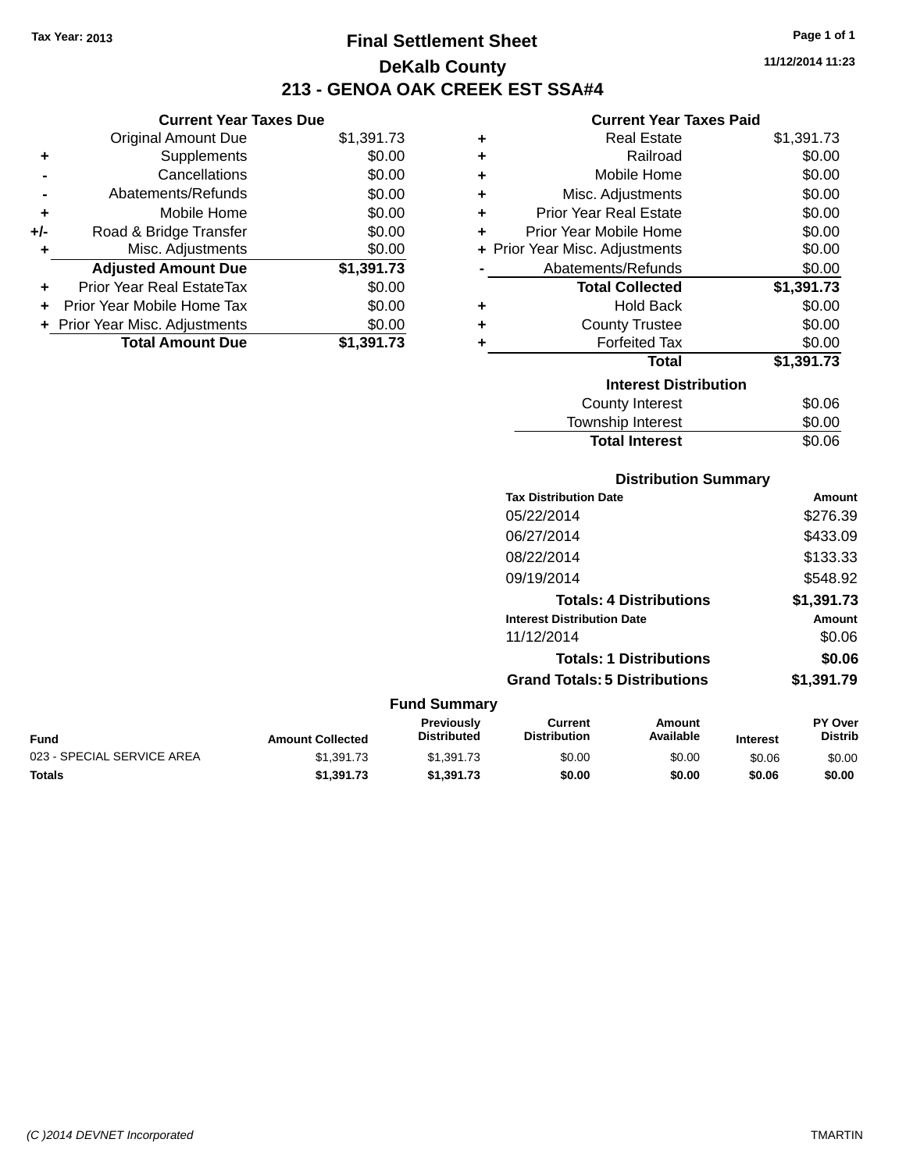**Current Year Taxes Due** Original Amount Due \$1,391.73

**Adjusted Amount Due \$1,391.73**

**Total Amount Due \$1,391.73**

**+** Supplements \$0.00 **-** Cancellations \$0.00 **-** Abatements/Refunds \$0.00 **+** Mobile Home \$0.00 **+/-** Road & Bridge Transfer \$0.00 **+** Misc. Adjustments \$0.00

**+** Prior Year Real EstateTax \$0.00 **+** Prior Year Mobile Home Tax \$0.00 **+ Prior Year Misc. Adjustments**  $$0.00$ 

## **Final Settlement Sheet Tax Year: 2013 Page 1 of 1 DeKalb County 213 - GENOA OAK CREEK EST SSA#4**

### **Current Year Taxes Paid**

| ٠ | <b>Real Estate</b>             | \$1,391.73 |
|---|--------------------------------|------------|
| ٠ | Railroad                       | \$0.00     |
| ٠ | Mobile Home                    | \$0.00     |
| ٠ | Misc. Adjustments              | \$0.00     |
| ٠ | <b>Prior Year Real Estate</b>  | \$0.00     |
| ٠ | Prior Year Mobile Home         | \$0.00     |
|   | + Prior Year Misc. Adjustments | \$0.00     |
|   | Abatements/Refunds             | \$0.00     |
|   | <b>Total Collected</b>         | \$1,391.73 |
| ٠ | <b>Hold Back</b>               | \$0.00     |
| ٠ | <b>County Trustee</b>          | \$0.00     |
| ٠ | <b>Forfeited Tax</b>           | \$0.00     |
|   | <b>Total</b>                   | \$1,391.73 |
|   | <b>Interest Distribution</b>   |            |
|   | <b>County Interest</b>         | \$0.06     |
|   | <b>Township Interest</b>       | \$0.00     |

# **Distribution Summary Tax Distribution Date Amount** Township Interest  $$0.00$ Total Interest \$0.06

| 05/22/2014                           | \$276.39   |
|--------------------------------------|------------|
| 06/27/2014                           | \$433.09   |
| 08/22/2014                           | \$133.33   |
| 09/19/2014                           | \$548.92   |
| <b>Totals: 4 Distributions</b>       | \$1,391.73 |
| <b>Interest Distribution Date</b>    | Amount     |
| 11/12/2014                           | \$0.06     |
| <b>Totals: 1 Distributions</b>       | \$0.06     |
| <b>Grand Totals: 5 Distributions</b> | \$1,391.79 |

| <b>Fund Summary</b>        |                         |                                         |                                |                     |                 |                           |
|----------------------------|-------------------------|-----------------------------------------|--------------------------------|---------------------|-----------------|---------------------------|
| Fund                       | <b>Amount Collected</b> | <b>Previously</b><br><b>Distributed</b> | Current<br><b>Distribution</b> | Amount<br>Available | <b>Interest</b> | PY Over<br><b>Distrib</b> |
| 023 - SPECIAL SERVICE AREA | \$1,391.73              | \$1,391.73                              | \$0.00                         | \$0.00              | \$0.06          | \$0.00                    |
| Totals                     | \$1,391.73              | \$1,391.73                              | \$0.00                         | \$0.00              | \$0.06          | \$0.00                    |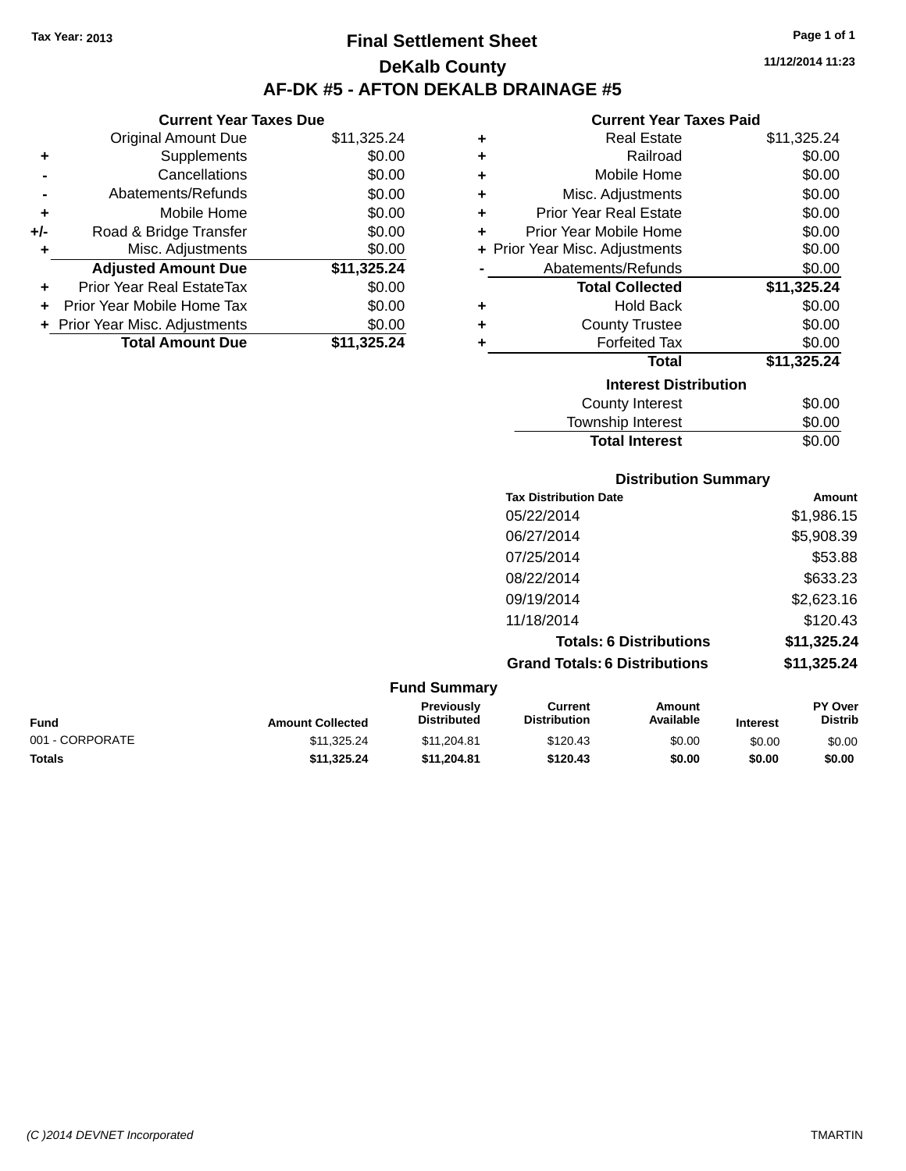### **Final Settlement Sheet Tax Year: 2013 Page 1 of 1 DeKalb County AF-DK #5 - AFTON DEKALB DRAINAGE #5**

**11/12/2014 11:23**

### **Current Year Taxes Paid**

|       | <b>Current Year Taxes Due</b>  |             |
|-------|--------------------------------|-------------|
|       | <b>Original Amount Due</b>     | \$11,325.24 |
| ٠     | Supplements                    | \$0.00      |
|       | Cancellations                  | \$0.00      |
|       | Abatements/Refunds             | \$0.00      |
| ٠     | Mobile Home                    | \$0.00      |
| $+/-$ | Road & Bridge Transfer         | \$0.00      |
| ٠     | Misc. Adjustments              | \$0.00      |
|       | <b>Adjusted Amount Due</b>     | \$11,325.24 |
| ÷     | Prior Year Real EstateTax      | \$0.00      |
|       | Prior Year Mobile Home Tax     | \$0.00      |
|       | + Prior Year Misc. Adjustments | \$0.00      |
|       | <b>Total Amount Due</b>        | \$11.325.24 |
|       |                                |             |

| ٠ | <b>Real Estate</b>             | \$11,325.24 |
|---|--------------------------------|-------------|
| ÷ | Railroad                       | \$0.00      |
| ÷ | Mobile Home                    | \$0.00      |
| ÷ | Misc. Adjustments              | \$0.00      |
| ÷ | <b>Prior Year Real Estate</b>  | \$0.00      |
| ÷ | Prior Year Mobile Home         | \$0.00      |
|   | + Prior Year Misc. Adjustments | \$0.00      |
|   | Abatements/Refunds             | \$0.00      |
|   | <b>Total Collected</b>         | \$11,325.24 |
| ٠ | <b>Hold Back</b>               | \$0.00      |
| ٠ | <b>County Trustee</b>          | \$0.00      |
| ٠ | <b>Forfeited Tax</b>           | \$0.00      |
|   | <b>Total</b>                   | \$11,325.24 |
|   | <b>Interest Distribution</b>   |             |
|   | County Interest                | \$0.00      |
|   | <b>Township Interest</b>       | \$0.00      |
|   | <b>Total Interest</b>          | \$0.00      |

| <b>Distribution Summary</b>          |             |
|--------------------------------------|-------------|
| <b>Tax Distribution Date</b>         | Amount      |
| 05/22/2014                           | \$1,986.15  |
| 06/27/2014                           | \$5,908.39  |
| 07/25/2014                           | \$53.88     |
| 08/22/2014                           | \$633.23    |
| 09/19/2014                           | \$2,623.16  |
| 11/18/2014                           | \$120.43    |
| <b>Totals: 6 Distributions</b>       | \$11,325.24 |
| <b>Grand Totals: 6 Distributions</b> | \$11,325.24 |

| <b>Fund Summary</b> |                         |                                  |                                |                     |                 |                                  |
|---------------------|-------------------------|----------------------------------|--------------------------------|---------------------|-----------------|----------------------------------|
| <b>Fund</b>         | <b>Amount Collected</b> | Previously<br><b>Distributed</b> | Current<br><b>Distribution</b> | Amount<br>Available | <b>Interest</b> | <b>PY Over</b><br><b>Distrib</b> |
| 001 - CORPORATE     | \$11,325.24             | \$11,204.81                      | \$120.43                       | \$0.00              | \$0.00          | \$0.00                           |
| <b>Totals</b>       | \$11,325.24             | \$11,204.81                      | \$120.43                       | \$0.00              | \$0.00          | \$0.00                           |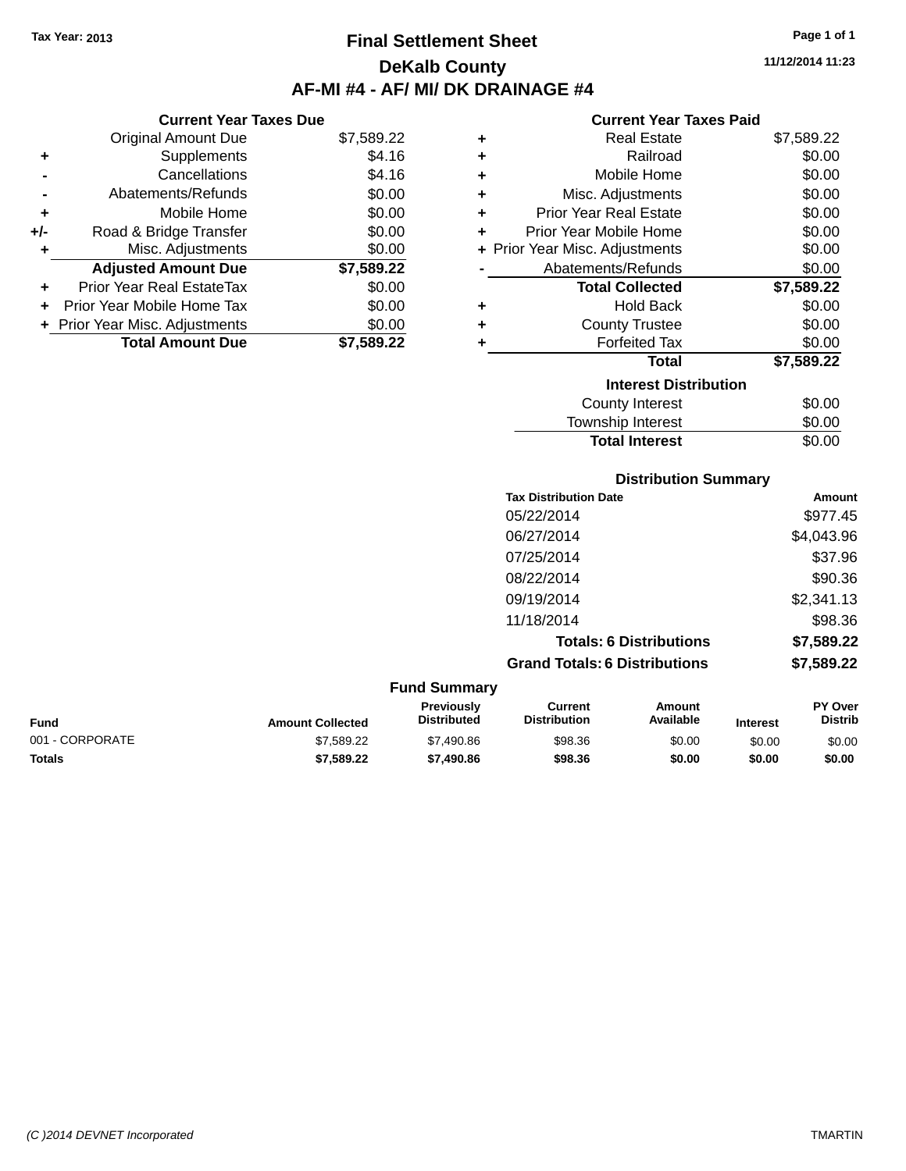## **Final Settlement Sheet Tax Year: 2013 Page 1 of 1 DeKalb County AF-MI #4 - AF/ MI/ DK DRAINAGE #4**

**11/12/2014 11:23**

### **Current Year Taxes Paid**

|     | <b>Current Year Taxes Due</b>    |            |
|-----|----------------------------------|------------|
|     | <b>Original Amount Due</b>       | \$7,589.22 |
| ÷   | Supplements                      | \$4.16     |
|     | Cancellations                    | \$4.16     |
|     | Abatements/Refunds               | \$0.00     |
| ÷   | Mobile Home                      | \$0.00     |
| +/- | Road & Bridge Transfer           | \$0.00     |
| ٠   | Misc. Adjustments                | \$0.00     |
|     | <b>Adjusted Amount Due</b>       | \$7,589.22 |
|     | <b>Prior Year Real EstateTax</b> | \$0.00     |
|     | Prior Year Mobile Home Tax       | \$0.00     |
|     | + Prior Year Misc. Adjustments   | \$0.00     |
|     | <b>Total Amount Due</b>          | \$7,589.22 |

| ٠                            | <b>Real Estate</b>             | \$7,589.22 |  |  |
|------------------------------|--------------------------------|------------|--|--|
| ÷                            | Railroad                       | \$0.00     |  |  |
| ٠                            | Mobile Home                    | \$0.00     |  |  |
| ÷                            | Misc. Adjustments              | \$0.00     |  |  |
| ٠                            | <b>Prior Year Real Estate</b>  | \$0.00     |  |  |
| ٠                            | Prior Year Mobile Home         | \$0.00     |  |  |
|                              | + Prior Year Misc. Adjustments | \$0.00     |  |  |
|                              | Abatements/Refunds             | \$0.00     |  |  |
|                              | <b>Total Collected</b>         | \$7,589.22 |  |  |
| ٠                            | Hold Back                      | \$0.00     |  |  |
| ٠                            | <b>County Trustee</b>          | \$0.00     |  |  |
| ٠                            | <b>Forfeited Tax</b>           | \$0.00     |  |  |
|                              | <b>Total</b>                   | \$7,589.22 |  |  |
| <b>Interest Distribution</b> |                                |            |  |  |
|                              | County Interest                | \$0.00     |  |  |
|                              | <b>Township Interest</b>       | \$0.00     |  |  |
|                              | <b>Total Interest</b>          | \$0.00     |  |  |

| <b>Distribution Summary</b>          |            |
|--------------------------------------|------------|
| <b>Tax Distribution Date</b>         | Amount     |
| 05/22/2014                           | \$977.45   |
| 06/27/2014                           | \$4,043.96 |
| 07/25/2014                           | \$37.96    |
| 08/22/2014                           | \$90.36    |
| 09/19/2014                           | \$2,341.13 |
| 11/18/2014                           | \$98.36    |
| <b>Totals: 6 Distributions</b>       | \$7,589.22 |
| <b>Grand Totals: 6 Distributions</b> | \$7,589.22 |

| <b>Fund Summary</b> |                         |                                  |                                |                     |                 |                                  |
|---------------------|-------------------------|----------------------------------|--------------------------------|---------------------|-----------------|----------------------------------|
| <b>Fund</b>         | <b>Amount Collected</b> | <b>Previously</b><br>Distributed | Current<br><b>Distribution</b> | Amount<br>Available | <b>Interest</b> | <b>PY Over</b><br><b>Distrib</b> |
| 001 - CORPORATE     | \$7,589.22              | \$7,490.86                       | \$98.36                        | \$0.00              | \$0.00          | \$0.00                           |
| <b>Totals</b>       | \$7,589.22              | \$7,490.86                       | \$98.36                        | \$0.00              | \$0.00          | \$0.00                           |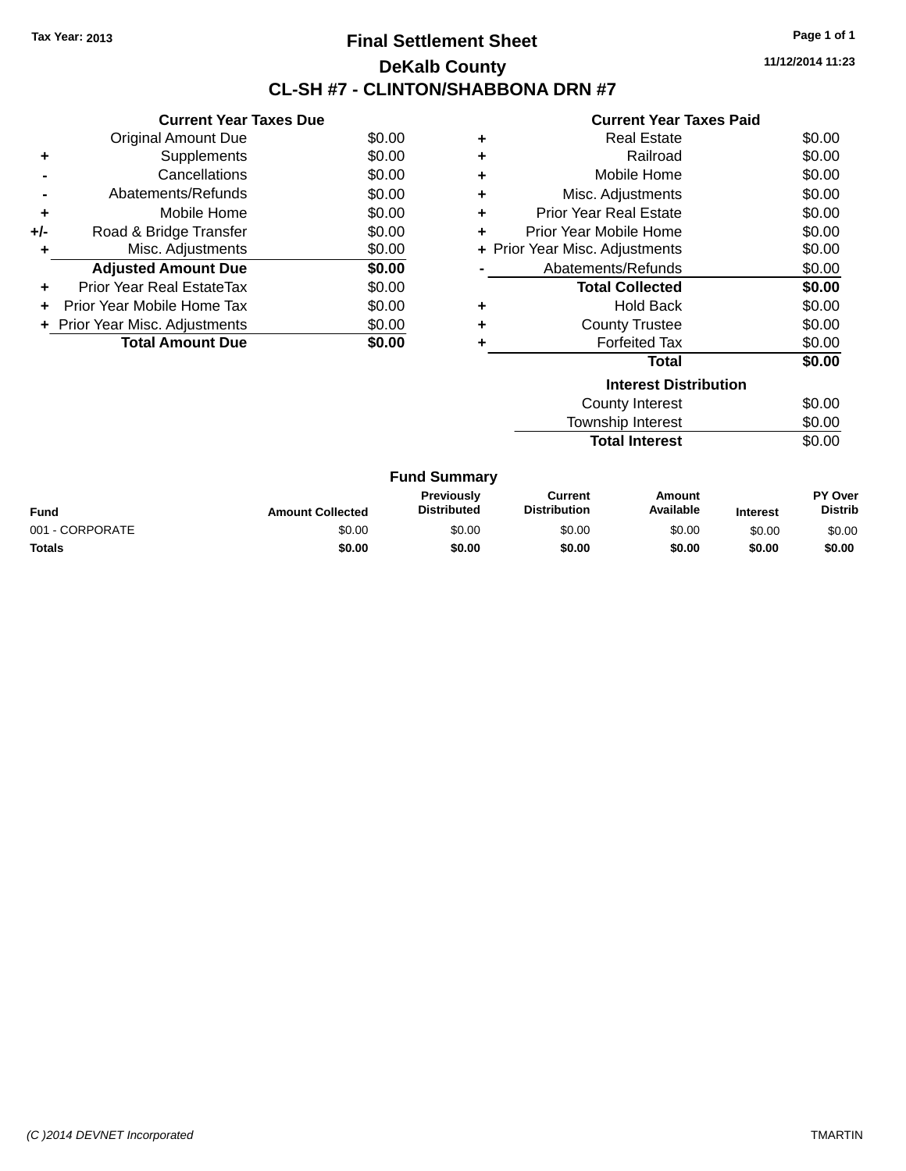# **Final Settlement Sheet Tax Year: 2013 Page 1 of 1 DeKalb County CL-SH #7 - CLINTON/SHABBONA DRN #7**

**11/12/2014 11:23**

### **Current Year Taxes Paid**

|     | <b>Current Year Taxes Due</b>     |        |
|-----|-----------------------------------|--------|
|     | <b>Original Amount Due</b>        | \$0.00 |
| ÷   | Supplements                       | \$0.00 |
|     | Cancellations                     | \$0.00 |
|     | Abatements/Refunds                | \$0.00 |
| ٠   | Mobile Home                       | \$0.00 |
| +/- | Road & Bridge Transfer            | \$0.00 |
| ٠   | Misc. Adjustments                 | \$0.00 |
|     | <b>Adjusted Amount Due</b>        | \$0.00 |
| ٠   | Prior Year Real EstateTax         | \$0.00 |
| ÷   | <b>Prior Year Mobile Home Tax</b> | \$0.00 |
|     | + Prior Year Misc. Adjustments    | \$0.00 |
|     | <b>Total Amount Due</b>           | \$0.00 |

| ٠ | Real Estate                    | \$0.00 |
|---|--------------------------------|--------|
| ÷ | Railroad                       | \$0.00 |
| ٠ | Mobile Home                    | \$0.00 |
| ٠ | Misc. Adjustments              | \$0.00 |
| ٠ | Prior Year Real Estate         | \$0.00 |
| ٠ | Prior Year Mobile Home         | \$0.00 |
|   | + Prior Year Misc. Adjustments | \$0.00 |
|   | Abatements/Refunds             | \$0.00 |
|   |                                |        |
|   | <b>Total Collected</b>         | \$0.00 |
| ٠ | <b>Hold Back</b>               | \$0.00 |
| ٠ | <b>County Trustee</b>          | \$0.00 |
| ٠ | <b>Forfeited Tax</b>           | \$0.00 |
|   | <b>Total</b>                   | \$0.00 |
|   | <b>Interest Distribution</b>   |        |
|   | <b>County Interest</b>         | \$0.00 |

**Total Interest** \$0.00

| <b>Fund Summary</b> |                         |                                         |                                |                     |                 |                                  |
|---------------------|-------------------------|-----------------------------------------|--------------------------------|---------------------|-----------------|----------------------------------|
| <b>Fund</b>         | <b>Amount Collected</b> | <b>Previously</b><br><b>Distributed</b> | Current<br><b>Distribution</b> | Amount<br>Available | <b>Interest</b> | <b>PY Over</b><br><b>Distrib</b> |
| 001 - CORPORATE     | \$0.00                  | \$0.00                                  | \$0.00                         | \$0.00              | \$0.00          | \$0.00                           |
| <b>Totals</b>       | \$0.00                  | \$0.00                                  | \$0.00                         | \$0.00              | \$0.00          | \$0.00                           |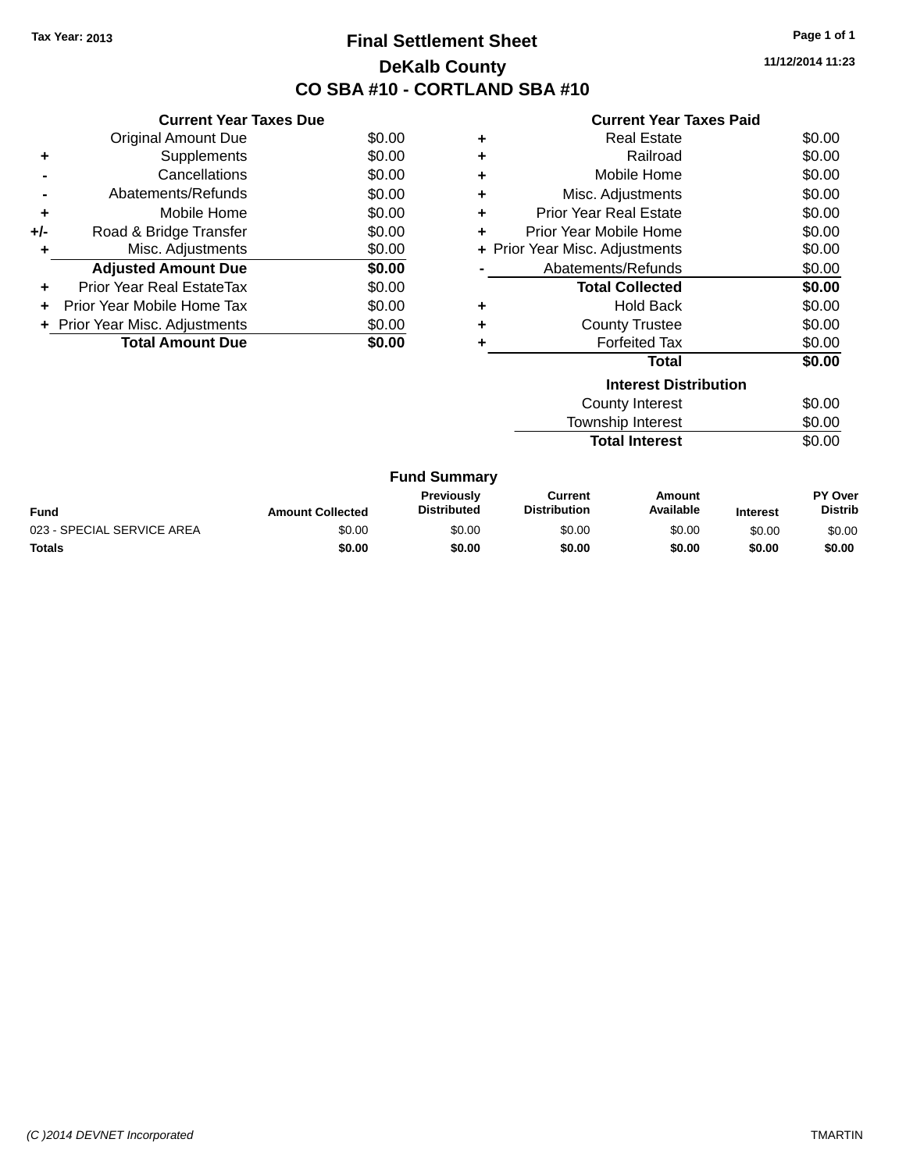# **Final Settlement Sheet Tax Year: 2013 Page 1 of 1 DeKalb County CO SBA #10 - CORTLAND SBA #10**

**11/12/2014 11:23**

| <b>Current Year Taxes Paid</b> |  |  |
|--------------------------------|--|--|
|                                |  |  |

|     | <b>Current Year Taxes Due</b>  |        |
|-----|--------------------------------|--------|
|     | <b>Original Amount Due</b>     | \$0.00 |
| ٠   | Supplements                    | \$0.00 |
|     | Cancellations                  | \$0.00 |
|     | Abatements/Refunds             | \$0.00 |
| ٠   | Mobile Home                    | \$0.00 |
| +/- | Road & Bridge Transfer         | \$0.00 |
|     | Misc. Adjustments              | \$0.00 |
|     | <b>Adjusted Amount Due</b>     | \$0.00 |
| ÷   | Prior Year Real EstateTax      | \$0.00 |
|     | Prior Year Mobile Home Tax     | \$0.00 |
|     | + Prior Year Misc. Adjustments | \$0.00 |
|     | <b>Total Amount Due</b>        | \$0.00 |

| ٠ | Real Estate                    | \$0.00 |
|---|--------------------------------|--------|
| ÷ | Railroad                       | \$0.00 |
| ٠ | Mobile Home                    | \$0.00 |
| ٠ | Misc. Adjustments              | \$0.00 |
| ٠ | Prior Year Real Estate         | \$0.00 |
| ٠ | Prior Year Mobile Home         | \$0.00 |
|   | + Prior Year Misc. Adjustments | \$0.00 |
|   | Abatements/Refunds             | \$0.00 |
|   |                                |        |
|   | <b>Total Collected</b>         | \$0.00 |
| ٠ | <b>Hold Back</b>               | \$0.00 |
| ٠ | <b>County Trustee</b>          | \$0.00 |
| ٠ | <b>Forfeited Tax</b>           | \$0.00 |
|   | <b>Total</b>                   | \$0.00 |
|   | <b>Interest Distribution</b>   |        |
|   | <b>County Interest</b>         | \$0.00 |

**Total Interest** \$0.00

| <b>Fund Summary</b>        |                         |                                         |                                |                     |                 |                           |
|----------------------------|-------------------------|-----------------------------------------|--------------------------------|---------------------|-----------------|---------------------------|
| <b>Fund</b>                | <b>Amount Collected</b> | <b>Previously</b><br><b>Distributed</b> | Current<br><b>Distribution</b> | Amount<br>Available | <b>Interest</b> | PY Over<br><b>Distrib</b> |
| 023 - SPECIAL SERVICE AREA | \$0.00                  | \$0.00                                  | \$0.00                         | \$0.00              | \$0.00          | \$0.00                    |
| <b>Totals</b>              | \$0.00                  | \$0.00                                  | \$0.00                         | \$0.00              | \$0.00          | \$0.00                    |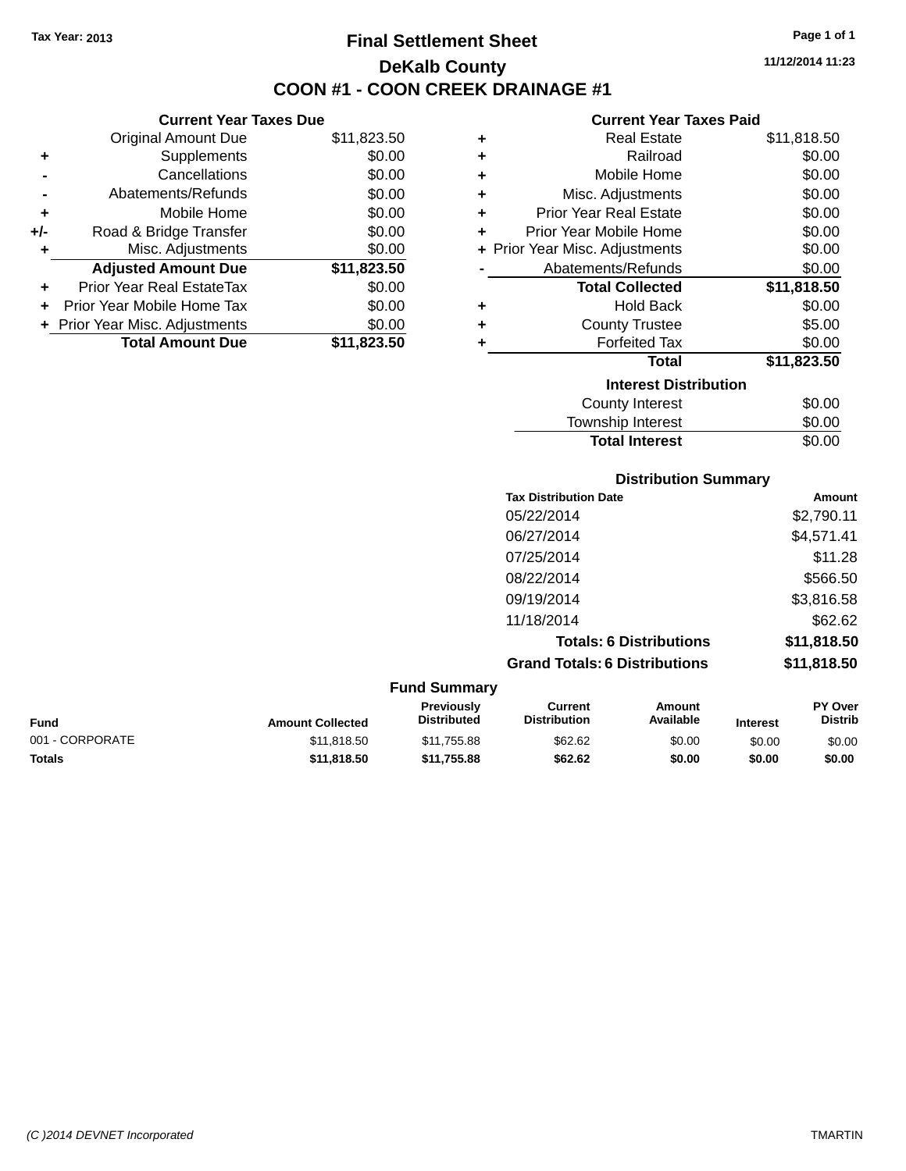# **Final Settlement Sheet Tax Year: 2013 Page 1 of 1 DeKalb County COON #1 - COON CREEK DRAINAGE #1**

**11/12/2014 11:23**

### **Current Year Taxes Paid**

|     | <b>Current Year Taxes Due</b>  |             |     |
|-----|--------------------------------|-------------|-----|
|     | <b>Original Amount Due</b>     | \$11,823.50 | ٠   |
|     | Supplements                    | \$0.00      |     |
|     | Cancellations                  | \$0.00      | ٠   |
|     | Abatements/Refunds             | \$0.00      |     |
|     | Mobile Home                    | \$0.00      |     |
| +/- | Road & Bridge Transfer         | \$0.00      | ٠   |
|     | Misc. Adjustments              | \$0.00      | + P |
|     | <b>Adjusted Amount Due</b>     | \$11,823.50 |     |
|     | Prior Year Real EstateTax      | \$0.00      |     |
|     | Prior Year Mobile Home Tax     | \$0.00      |     |
|     | + Prior Year Misc. Adjustments | \$0.00      |     |
|     | <b>Total Amount Due</b>        | \$11,823.50 |     |
|     |                                |             |     |

| ٠ | <b>Real Estate</b>             | \$11,818.50 |
|---|--------------------------------|-------------|
| ٠ | Railroad                       | \$0.00      |
| ٠ | Mobile Home                    | \$0.00      |
| ٠ | Misc. Adjustments              | \$0.00      |
| ٠ | <b>Prior Year Real Estate</b>  | \$0.00      |
| ٠ | Prior Year Mobile Home         | \$0.00      |
|   | + Prior Year Misc. Adjustments | \$0.00      |
|   | Abatements/Refunds             | \$0.00      |
|   | <b>Total Collected</b>         | \$11,818.50 |
| ٠ | <b>Hold Back</b>               | \$0.00      |
| ٠ | <b>County Trustee</b>          | \$5.00      |
| ٠ | <b>Forfeited Tax</b>           | \$0.00      |
|   | <b>Total</b>                   | \$11,823.50 |
|   | <b>Interest Distribution</b>   |             |
|   | County Interest                | \$0.00      |
|   | <b>Township Interest</b>       | \$0.00      |
|   | <b>Total Interest</b>          | \$0.00      |

| <b>Distribution Summary</b>          |             |  |  |  |  |
|--------------------------------------|-------------|--|--|--|--|
| <b>Tax Distribution Date</b>         | Amount      |  |  |  |  |
| 05/22/2014                           | \$2,790.11  |  |  |  |  |
| 06/27/2014                           | \$4,571.41  |  |  |  |  |
| 07/25/2014                           | \$11.28     |  |  |  |  |
| 08/22/2014                           | \$566.50    |  |  |  |  |
| 09/19/2014                           | \$3,816.58  |  |  |  |  |
| 11/18/2014                           | \$62.62     |  |  |  |  |
| <b>Totals: 6 Distributions</b>       | \$11,818.50 |  |  |  |  |
| <b>Grand Totals: 6 Distributions</b> | \$11,818.50 |  |  |  |  |

| <b>Fund Summary</b> |                         |                                         |                                |                     |                 |                                  |
|---------------------|-------------------------|-----------------------------------------|--------------------------------|---------------------|-----------------|----------------------------------|
| <b>Fund</b>         | <b>Amount Collected</b> | <b>Previously</b><br><b>Distributed</b> | Current<br><b>Distribution</b> | Amount<br>Available | <b>Interest</b> | <b>PY Over</b><br><b>Distrib</b> |
| 001 - CORPORATE     | \$11,818,50             | \$11.755.88                             | \$62.62                        | \$0.00              | \$0.00          | \$0.00                           |
| <b>Totals</b>       | \$11.818.50             | \$11.755.88                             | \$62.62                        | \$0.00              | \$0.00          | \$0.00                           |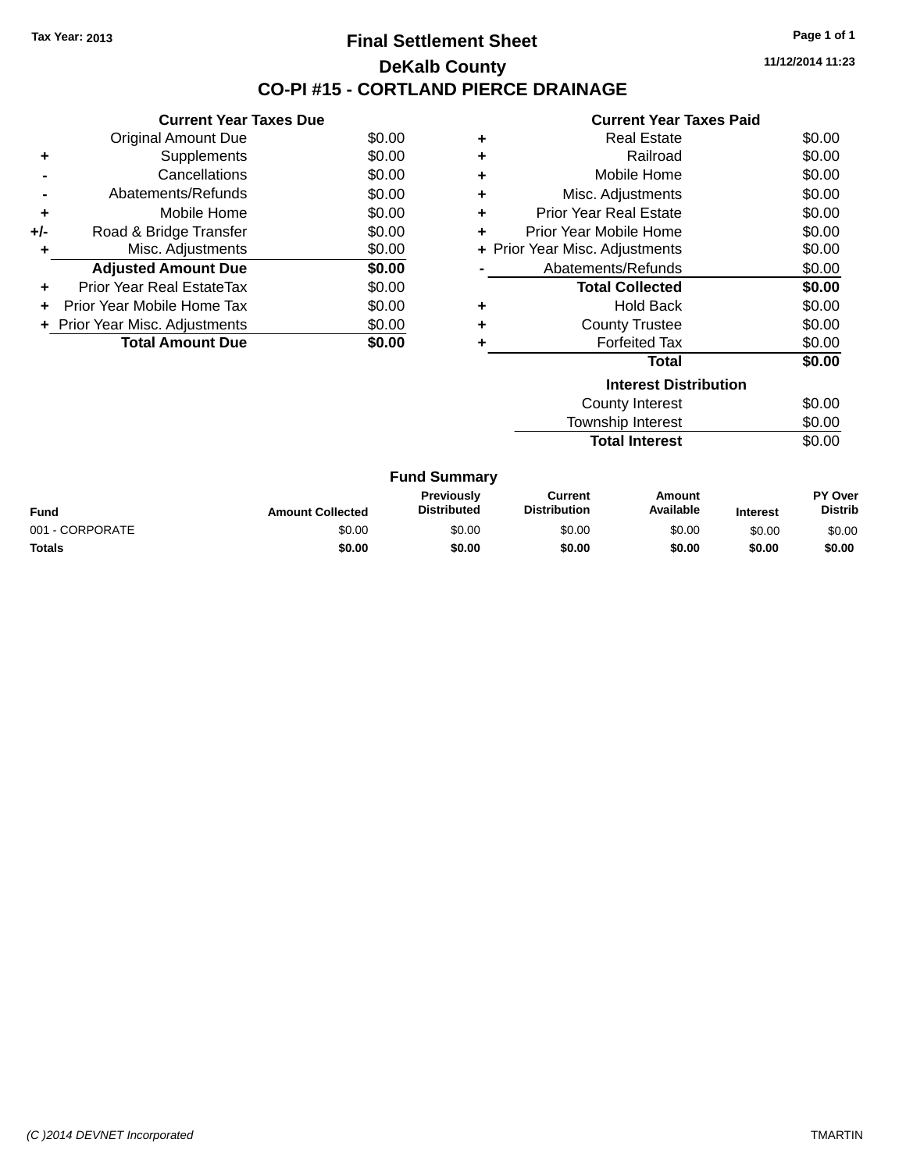### **Final Settlement Sheet Tax Year: 2013 Page 1 of 1 DeKalb County CO-PI #15 - CORTLAND PIERCE DRAINAGE**

**11/12/2014 11:23**

|     | <b>Current Year Taxes Due</b>  |        |
|-----|--------------------------------|--------|
|     | <b>Original Amount Due</b>     | \$0.00 |
| ٠   | Supplements                    | \$0.00 |
|     | Cancellations                  | \$0.00 |
|     | Abatements/Refunds             | \$0.00 |
| ٠   | Mobile Home                    | \$0.00 |
| +/- | Road & Bridge Transfer         | \$0.00 |
| ٠   | Misc. Adjustments              | \$0.00 |
|     | <b>Adjusted Amount Due</b>     | \$0.00 |
| ٠   | Prior Year Real EstateTax      | \$0.00 |
|     | Prior Year Mobile Home Tax     | \$0.00 |
|     | + Prior Year Misc. Adjustments | \$0.00 |
|     | <b>Total Amount Due</b>        | \$0.00 |
|     |                                |        |

|   | <b>Current Year Taxes Paid</b> |        |
|---|--------------------------------|--------|
| ٠ | <b>Real Estate</b>             | \$0.00 |
| ٠ | Railroad                       | \$0.00 |
| ٠ | Mobile Home                    | \$0.00 |
| ٠ | Misc. Adjustments              | \$0.00 |
| ٠ | <b>Prior Year Real Estate</b>  | \$0.00 |
| ٠ | Prior Year Mobile Home         | \$0.00 |
|   | + Prior Year Misc. Adjustments | \$0.00 |
|   | Abatements/Refunds             | \$0.00 |
|   | <b>Total Collected</b>         | \$0.00 |
| ٠ | <b>Hold Back</b>               | \$0.00 |
| ٠ | <b>County Trustee</b>          | \$0.00 |
| ٠ | <b>Forfeited Tax</b>           | \$0.00 |
|   | <b>Total</b>                   | \$0.00 |
|   | <b>Interest Distribution</b>   |        |
|   | <b>County Interest</b>         | \$0.00 |

**Total Interest** 

Township Interest \$0.00<br>
Total Interest \$0.00

| <b>Fund Summary</b> |                         |                                         |                                |                     |                 |                           |
|---------------------|-------------------------|-----------------------------------------|--------------------------------|---------------------|-----------------|---------------------------|
| <b>Fund</b>         | <b>Amount Collected</b> | <b>Previously</b><br><b>Distributed</b> | Current<br><b>Distribution</b> | Amount<br>Available | <b>Interest</b> | PY Over<br><b>Distrib</b> |
| 001 - CORPORATE     | \$0.00                  | \$0.00                                  | \$0.00                         | \$0.00              | \$0.00          | \$0.00                    |
| Totals              | \$0.00                  | \$0.00                                  | \$0.00                         | \$0.00              | \$0.00          | \$0.00                    |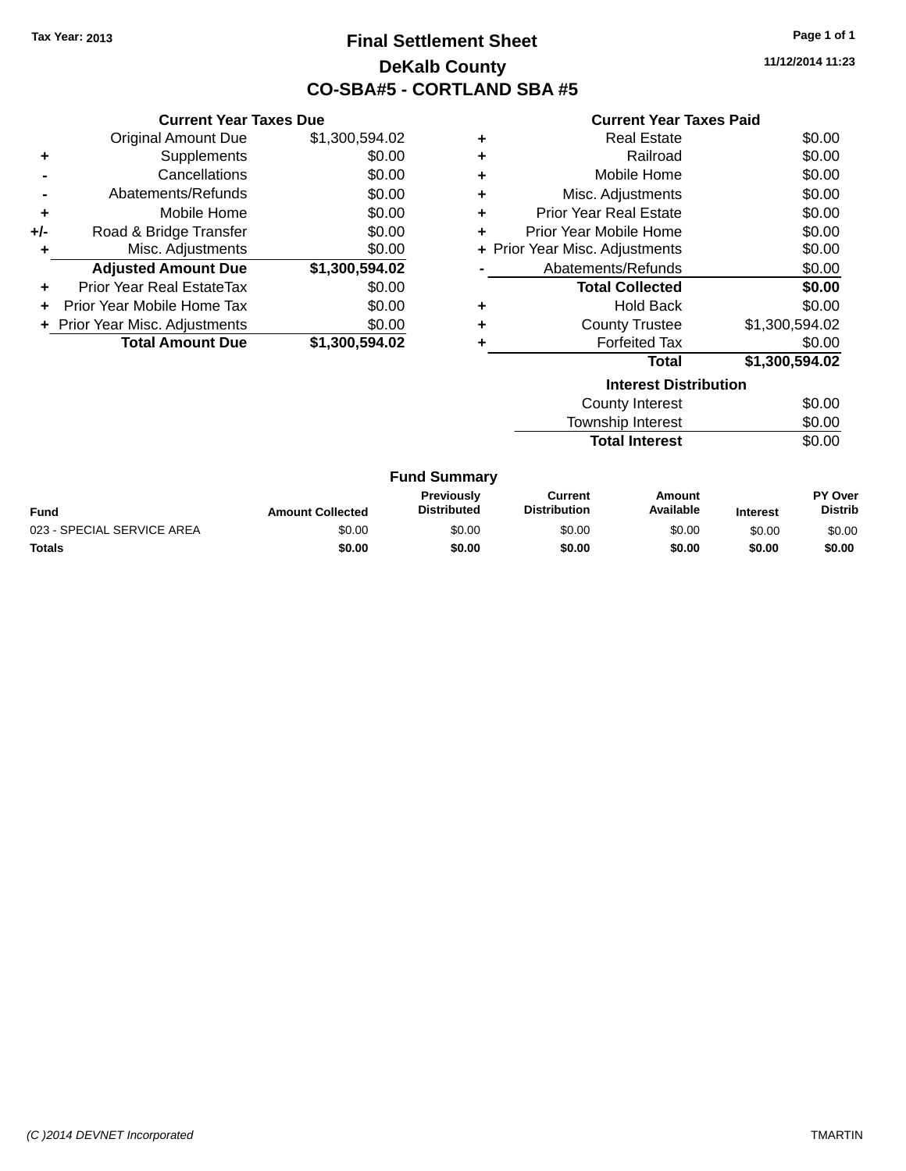# **Final Settlement Sheet Tax Year: 2013 Page 1 of 1 DeKalb County CO-SBA#5 - CORTLAND SBA #5**

**11/12/2014 11:23**

#### **Current Year Taxes Paid**

|     | <b>Current Year Taxes Due</b>  |                |  |  |  |  |
|-----|--------------------------------|----------------|--|--|--|--|
|     | <b>Original Amount Due</b>     | \$1,300,594.02 |  |  |  |  |
| ٠   | Supplements                    | \$0.00         |  |  |  |  |
|     | Cancellations                  | \$0.00         |  |  |  |  |
|     | Abatements/Refunds             | \$0.00         |  |  |  |  |
| ٠   | Mobile Home                    | \$0.00         |  |  |  |  |
| +/- | Road & Bridge Transfer         | \$0.00         |  |  |  |  |
|     | Misc. Adjustments              | \$0.00         |  |  |  |  |
|     | <b>Adjusted Amount Due</b>     | \$1,300,594.02 |  |  |  |  |
| ÷   | Prior Year Real EstateTax      | \$0.00         |  |  |  |  |
|     | Prior Year Mobile Home Tax     | \$0.00         |  |  |  |  |
|     | + Prior Year Misc. Adjustments | \$0.00         |  |  |  |  |
|     | <b>Total Amount Due</b>        | \$1,300,594.02 |  |  |  |  |

| <b>Real Estate</b>            | \$0.00                         |
|-------------------------------|--------------------------------|
| Railroad                      | \$0.00                         |
| Mobile Home                   | \$0.00                         |
| Misc. Adjustments             | \$0.00                         |
| <b>Prior Year Real Estate</b> | \$0.00                         |
| Prior Year Mobile Home        | \$0.00                         |
|                               | \$0.00                         |
| Abatements/Refunds            | \$0.00                         |
| <b>Total Collected</b>        | \$0.00                         |
| <b>Hold Back</b>              | \$0.00                         |
| <b>County Trustee</b>         | \$1,300,594.02                 |
| <b>Forfeited Tax</b>          | \$0.00                         |
| Total                         | \$1,300,594.02                 |
|                               | + Prior Year Misc. Adjustments |

| \$0.00 |
|--------|
| \$0.00 |
| \$0.00 |
|        |

| <b>Fund</b>                | <b>Amount Collected</b> | <b>Previously</b><br><b>Distributed</b> | Current<br><b>Distribution</b> | Amount<br>Available | <b>Interest</b> | PY Over<br><b>Distrib</b> |
|----------------------------|-------------------------|-----------------------------------------|--------------------------------|---------------------|-----------------|---------------------------|
| 023 - SPECIAL SERVICE AREA | \$0.00                  | \$0.00                                  | \$0.00                         | \$0.00              | \$0.00          | \$0.00                    |
| <b>Totals</b>              | \$0.00                  | \$0.00                                  | \$0.00                         | \$0.00              | \$0.00          | \$0.00                    |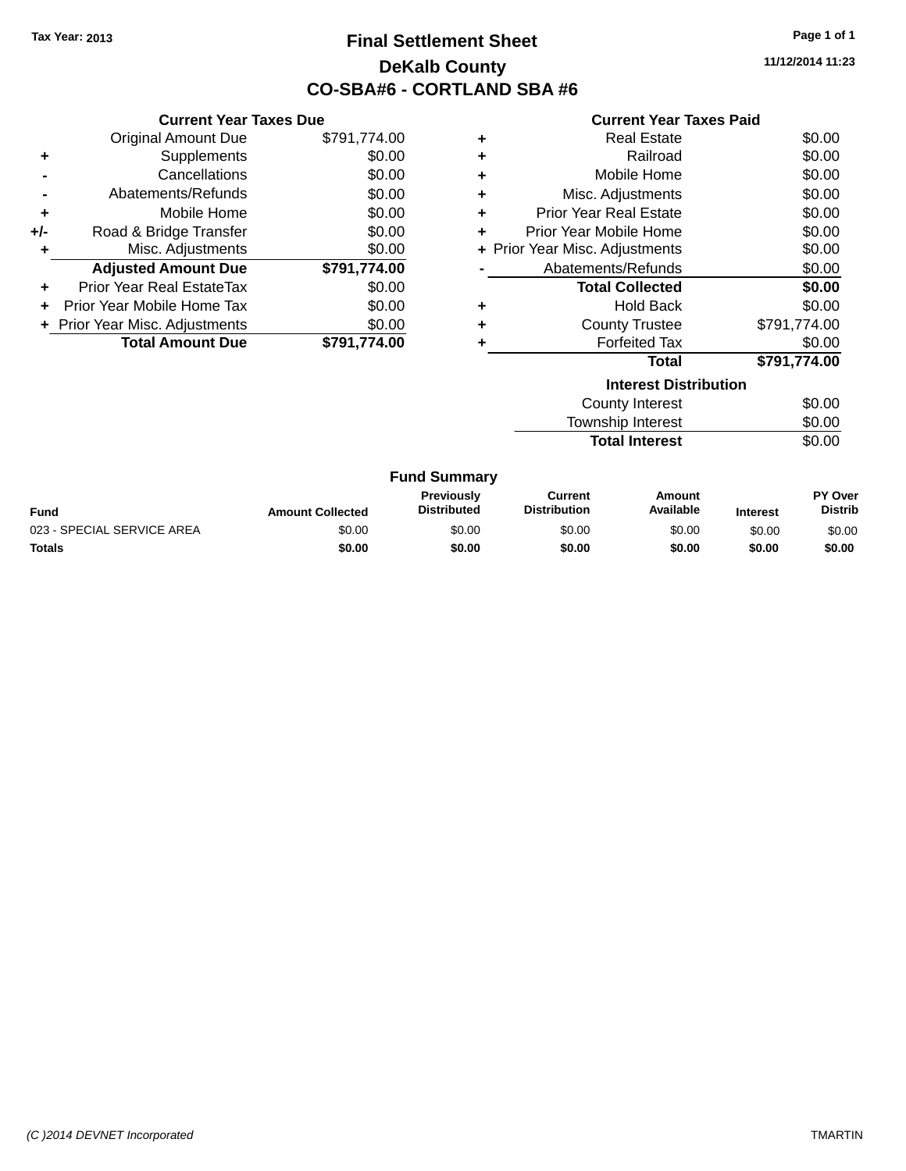# **Final Settlement Sheet Tax Year: 2013 Page 1 of 1 DeKalb County CO-SBA#6 - CORTLAND SBA #6**

**11/12/2014 11:23**

#### **Current Year Taxes Paid**

|     | <b>Current Year Taxes Due</b>     |              |
|-----|-----------------------------------|--------------|
|     | <b>Original Amount Due</b>        | \$791,774.00 |
| ÷   | Supplements                       | \$0.00       |
|     | Cancellations                     | \$0.00       |
|     | Abatements/Refunds                | \$0.00       |
| ٠   | Mobile Home                       | \$0.00       |
| +/- | Road & Bridge Transfer            | \$0.00       |
| ٠   | Misc. Adjustments                 | \$0.00       |
|     | <b>Adjusted Amount Due</b>        | \$791,774.00 |
| ÷   | <b>Prior Year Real EstateTax</b>  | \$0.00       |
| ÷   | <b>Prior Year Mobile Home Tax</b> | \$0.00       |
|     | + Prior Year Misc. Adjustments    | \$0.00       |
|     | <b>Total Amount Due</b>           | \$791,774.00 |

|   | ويملك بطاواته والمفارق والمتحافظ |              |
|---|----------------------------------|--------------|
|   | Total                            | \$791,774.00 |
|   | <b>Forfeited Tax</b>             | \$0.00       |
| ٠ | <b>County Trustee</b>            | \$791,774.00 |
| ٠ | <b>Hold Back</b>                 | \$0.00       |
|   | <b>Total Collected</b>           | \$0.00       |
|   | Abatements/Refunds               | \$0.00       |
|   | + Prior Year Misc. Adjustments   | \$0.00       |
| ٠ | Prior Year Mobile Home           | \$0.00       |
| ٠ | <b>Prior Year Real Estate</b>    | \$0.00       |
| ٠ | Misc. Adjustments                | \$0.00       |
| ٠ | Mobile Home                      | \$0.00       |
| ÷ | Railroad                         | \$0.00       |
|   | <b>Real Estate</b>               | \$0.00       |

| \$0.00 |
|--------|
| \$0.00 |
| \$0.00 |
|        |

| <b>Fund Summary</b> |  |
|---------------------|--|
|---------------------|--|

| <b>Fund</b>                | <b>Amount Collected</b> | <b>Previously</b><br><b>Distributed</b> | Current<br><b>Distribution</b> | Amount<br>Available | <b>Interest</b> | <b>PY Over</b><br><b>Distrib</b> |
|----------------------------|-------------------------|-----------------------------------------|--------------------------------|---------------------|-----------------|----------------------------------|
| 023 - SPECIAL SERVICE AREA | \$0.00                  | \$0.00                                  | \$0.00                         | \$0.00              | \$0.00          | \$0.00                           |
| Totals                     | \$0.00                  | \$0.00                                  | \$0.00                         | \$0.00              | \$0.00          | \$0.00                           |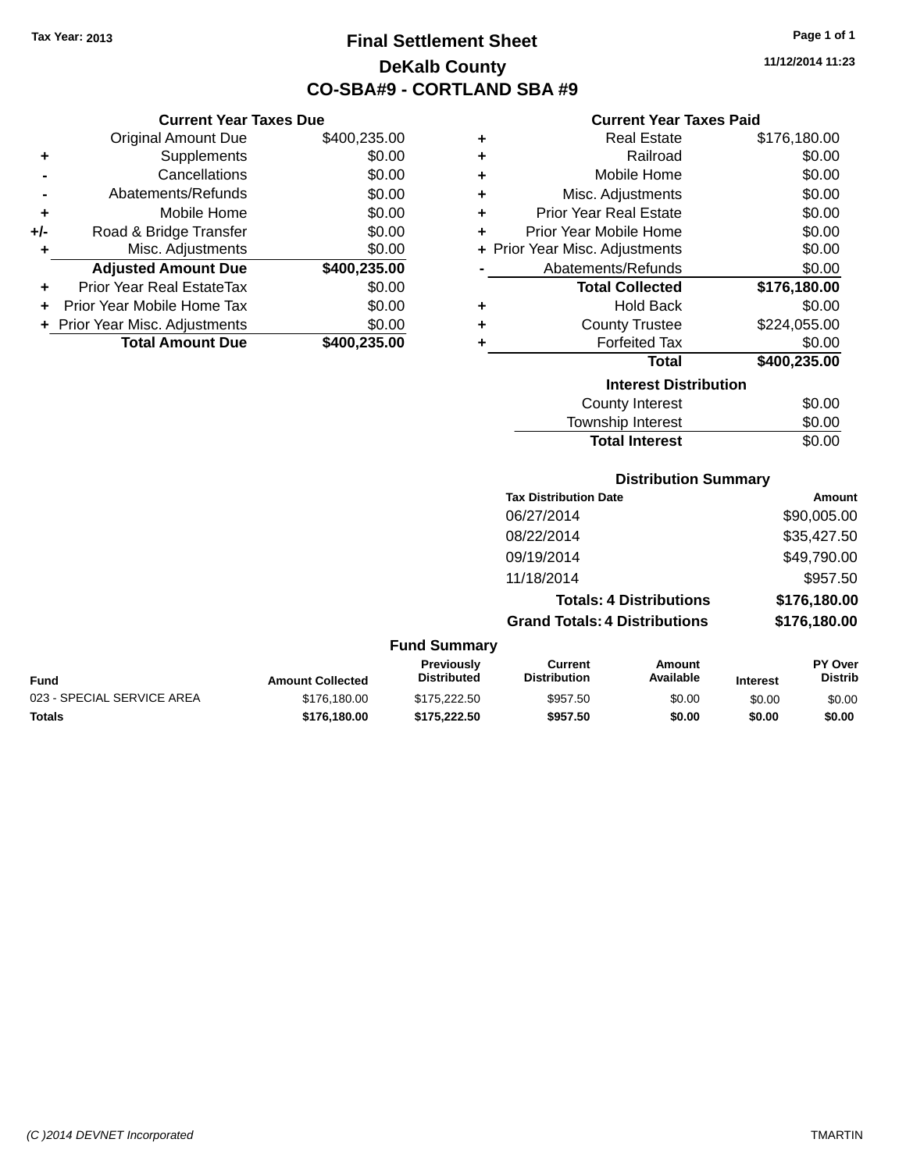**+** Supplements

**Current Year Taxes Due**

**-** Cancellations \$0.00 **-** Abatements/Refunds \$0.00 **+** Mobile Home \$0.00 **+/-** Road & Bridge Transfer \$0.00 **+** Misc. Adjustments \$0.00

**+** Prior Year Real EstateTax \$0.00 **+** Prior Year Mobile Home Tax \$0.00 **+ Prior Year Misc. Adjustments**  $$0.00$ 

Original Amount Due \$400,235.00<br>Supplements \$0.00

**Adjusted Amount Due \$400,235.00**

**Total Amount Due \$400,235.00**

# **Final Settlement Sheet Tax Year: 2013 Page 1 of 1 DeKalb County CO-SBA#9 - CORTLAND SBA #9**

**11/12/2014 11:23**

### **Current Year Taxes Paid**

| ٠ | <b>Real Estate</b>             | \$176,180.00 |
|---|--------------------------------|--------------|
| ٠ | Railroad                       | \$0.00       |
| ÷ | Mobile Home                    | \$0.00       |
| ٠ | Misc. Adjustments              | \$0.00       |
| ٠ | <b>Prior Year Real Estate</b>  | \$0.00       |
| ÷ | Prior Year Mobile Home         | \$0.00       |
|   | + Prior Year Misc. Adjustments | \$0.00       |
|   | Abatements/Refunds             | \$0.00       |
|   | <b>Total Collected</b>         | \$176,180.00 |
| ٠ | <b>Hold Back</b>               | \$0.00       |
| ٠ | <b>County Trustee</b>          | \$224,055.00 |
| ٠ | <b>Forfeited Tax</b>           | \$0.00       |
|   | <b>Total</b>                   | \$400,235.00 |
|   | <b>Interest Distribution</b>   |              |
|   | <b>County Interest</b>         | \$0.00       |
|   |                                |              |

### Township Interest \$0.00 Total Interest \$0.00

### **Distribution Summary**

| <b>Tax Distribution Date</b>         | Amount       |
|--------------------------------------|--------------|
| 06/27/2014                           | \$90,005.00  |
| 08/22/2014                           | \$35,427.50  |
| 09/19/2014                           | \$49,790.00  |
| 11/18/2014                           | \$957.50     |
| <b>Totals: 4 Distributions</b>       | \$176,180.00 |
| <b>Grand Totals: 4 Distributions</b> | \$176,180.00 |
|                                      |              |

| Fund                       | <b>Amount Collected</b> | <b>Previously</b><br><b>Distributed</b> | Current<br>Distribution | Amount<br>Available | <b>Interest</b> | <b>PY Over</b><br>Distrib |
|----------------------------|-------------------------|-----------------------------------------|-------------------------|---------------------|-----------------|---------------------------|
| 023 - SPECIAL SERVICE AREA | \$176,180,00            | \$175.222.50                            | \$957.50                | \$0.00              | \$0.00          | \$0.00                    |
| Totals                     | \$176.180.00            | \$175.222.50                            | \$957.50                | \$0.00              | \$0.00          | \$0.00                    |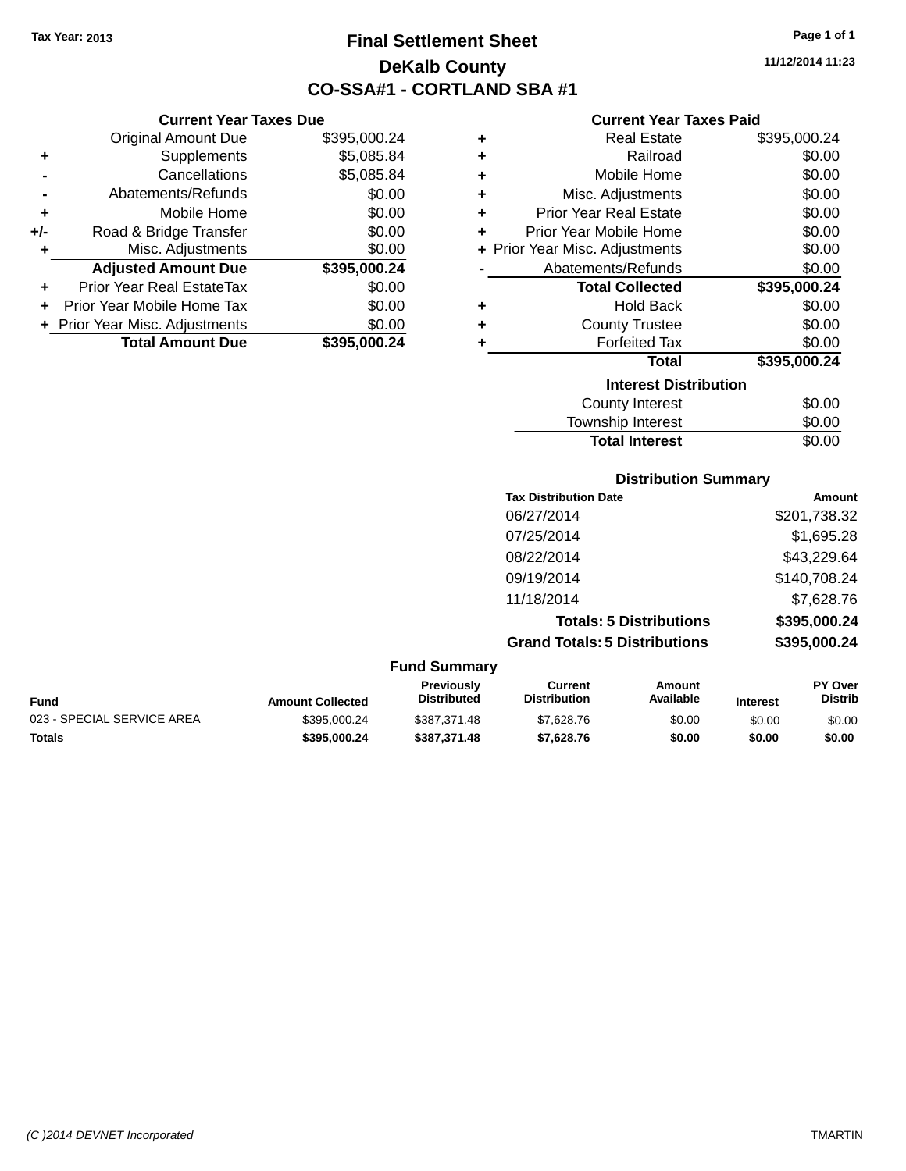**Current Year Taxes Due** Original Amount Due \$395,000.24

**Adjusted Amount Due \$395,000.24**

**Total Amount Due \$395,000.24**

**+** Supplements \$5,085.84 **-** Cancellations \$5,085.84 **-** Abatements/Refunds \$0.00 **+** Mobile Home \$0.00 **+/-** Road & Bridge Transfer \$0.00 **+** Misc. Adjustments \$0.00

**+** Prior Year Real EstateTax \$0.00 **+** Prior Year Mobile Home Tax \$0.00 **+ Prior Year Misc. Adjustments**  $$0.00$ 

# **Final Settlement Sheet Tax Year: 2013 Page 1 of 1 DeKalb County CO-SSA#1 - CORTLAND SBA #1**

**11/12/2014 11:23**

### **Current Year Taxes Paid**

| ٠ | <b>Real Estate</b>             | \$395,000.24 |
|---|--------------------------------|--------------|
| ٠ | Railroad                       | \$0.00       |
| ٠ | Mobile Home                    | \$0.00       |
| ٠ | Misc. Adjustments              | \$0.00       |
| ٠ | <b>Prior Year Real Estate</b>  | \$0.00       |
| ÷ | Prior Year Mobile Home         | \$0.00       |
|   | + Prior Year Misc. Adjustments | \$0.00       |
|   | Abatements/Refunds             | \$0.00       |
|   | <b>Total Collected</b>         | \$395,000.24 |
| ٠ | <b>Hold Back</b>               | \$0.00       |
| ٠ | <b>County Trustee</b>          | \$0.00       |
| ÷ | <b>Forfeited Tax</b>           | \$0.00       |
|   | <b>Total</b>                   | \$395,000.24 |
|   | <b>Interest Distribution</b>   |              |
|   | <b>County Interest</b>         | \$0.00       |
|   | Tauwalahin lutawaat            | ጦ ለለ         |

### Township Interest  $$0.00$ Total Interest \$0.00

### **Distribution Summary**

| <b>Tax Distribution Date</b>         | Amount       |
|--------------------------------------|--------------|
| 06/27/2014                           | \$201,738.32 |
| 07/25/2014                           | \$1,695.28   |
| 08/22/2014                           | \$43,229.64  |
| 09/19/2014                           | \$140,708.24 |
| 11/18/2014                           | \$7,628.76   |
| <b>Totals: 5 Distributions</b>       | \$395,000.24 |
| <b>Grand Totals: 5 Distributions</b> | \$395,000.24 |
|                                      |              |

| Fund                       | <b>Amount Collected</b> | <b>Previously</b><br>Distributed | Current<br><b>Distribution</b> | Amount<br>Available | <b>Interest</b> | <b>PY Over</b><br><b>Distrib</b> |
|----------------------------|-------------------------|----------------------------------|--------------------------------|---------------------|-----------------|----------------------------------|
| 023 - SPECIAL SERVICE AREA | \$395,000.24            | \$387.371.48                     | \$7,628.76                     | \$0.00              | \$0.00          | \$0.00                           |
| Totals                     | \$395.000.24            | \$387.371.48                     | \$7.628.76                     | \$0.00              | \$0.00          | \$0.00                           |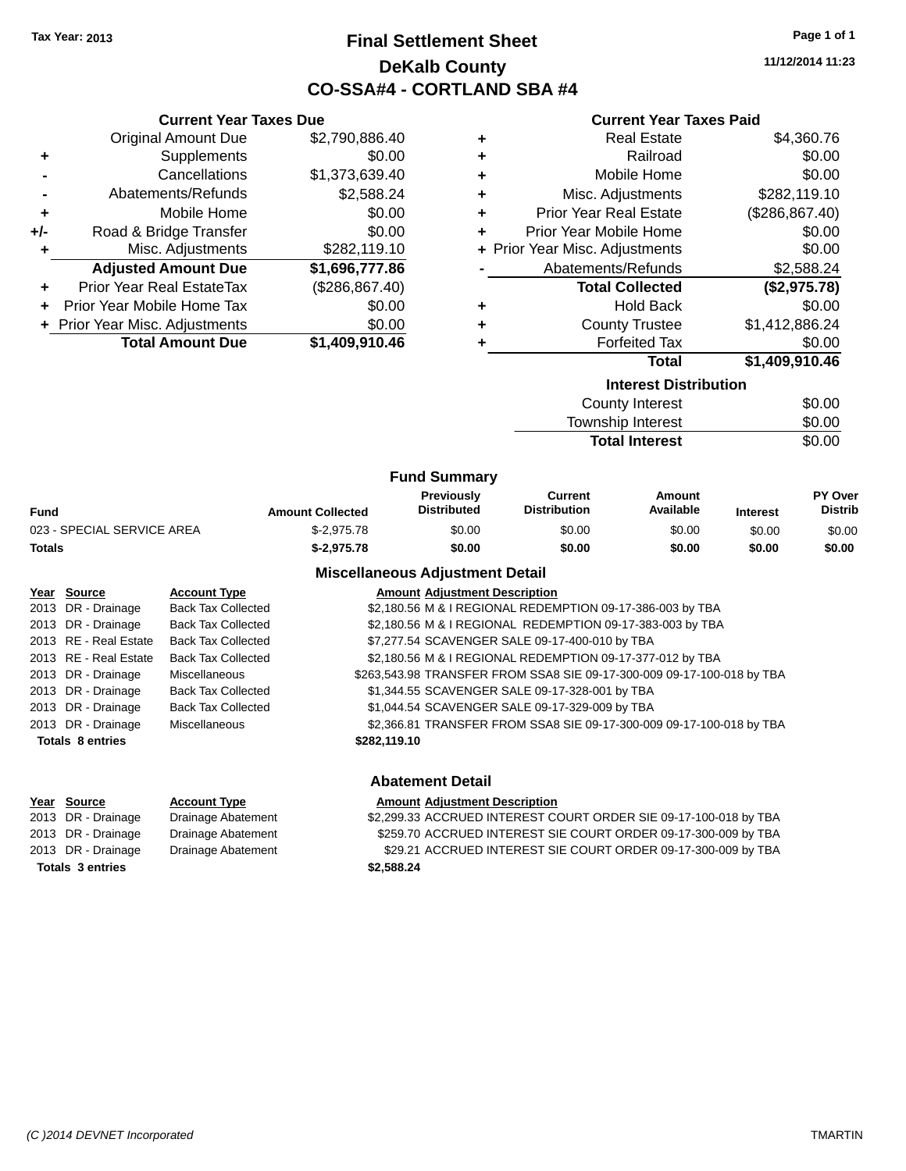# **Final Settlement Sheet Tax Year: 2013 Page 1 of 1 DeKalb County CO-SSA#4 - CORTLAND SBA #4**

**11/12/2014 11:23**

| <b>Current Year Taxes Due</b> |                                |                 |   | <b>Current Year Taxes Paid</b> |                 |
|-------------------------------|--------------------------------|-----------------|---|--------------------------------|-----------------|
|                               | <b>Original Amount Due</b>     | \$2,790,886.40  | ٠ | <b>Real Estate</b>             | \$4,360.76      |
| ٠                             | Supplements                    | \$0.00          | ٠ | Railroad                       | \$0.00          |
|                               | Cancellations                  | \$1,373,639.40  | ٠ | Mobile Home                    | \$0.00          |
|                               | Abatements/Refunds             | \$2,588.24      | ٠ | Misc. Adjustments              | \$282,119.10    |
| ٠                             | Mobile Home                    | \$0.00          | ٠ | <b>Prior Year Real Estate</b>  | (\$286, 867.40) |
| +/-                           | Road & Bridge Transfer         | \$0.00          | ٠ | Prior Year Mobile Home         | \$0.00          |
| ٠                             | Misc. Adjustments              | \$282,119.10    |   | + Prior Year Misc. Adjustments | \$0.00          |
|                               | <b>Adjusted Amount Due</b>     | \$1,696,777.86  |   | Abatements/Refunds             | \$2,588.24      |
|                               | Prior Year Real EstateTax      | (\$286, 867.40) |   | <b>Total Collected</b>         | (\$2,975.78)    |
|                               | Prior Year Mobile Home Tax     | \$0.00          | ٠ | <b>Hold Back</b>               | \$0.00          |
|                               | + Prior Year Misc. Adjustments | \$0.00          | ٠ | <b>County Trustee</b>          | \$1,412,886.24  |
|                               | <b>Total Amount Due</b>        | \$1,409,910.46  |   | <b>Forfeited Tax</b>           | \$0.00          |
|                               |                                |                 |   | Total                          | \$1,409,910.46  |
|                               |                                |                 |   | <b>Interest Distribution</b>   |                 |
|                               |                                |                 |   | <b>County Interest</b>         | \$0.00          |
|                               |                                |                 |   | Township Interest              | \$0.00          |
|                               |                                |                 |   | <b>Total Interest</b>          | \$0.00          |

|                            |                         | <b>Fund Summary</b>                     |                                       |                     |                 |                           |
|----------------------------|-------------------------|-----------------------------------------|---------------------------------------|---------------------|-----------------|---------------------------|
| Fund                       | <b>Amount Collected</b> | <b>Previously</b><br><b>Distributed</b> | <b>Current</b><br><b>Distribution</b> | Amount<br>Available | <b>Interest</b> | PY Over<br><b>Distrib</b> |
| 023 - SPECIAL SERVICE AREA | $$-2.975.78$            | \$0.00                                  | \$0.00                                | \$0.00              | \$0.00          | \$0.00                    |
| Totals                     | $$-2.975.78$            | \$0.00                                  | \$0.00                                | \$0.00              | \$0.00          | \$0.00                    |

| Year Source             | <b>Account Type</b>       | <b>Amount Adjustment Description</b>                                   |
|-------------------------|---------------------------|------------------------------------------------------------------------|
| 2013 DR - Drainage      | <b>Back Tax Collected</b> | \$2,180.56 M & I REGIONAL REDEMPTION 09-17-386-003 by TBA              |
| 2013 DR - Drainage      | <b>Back Tax Collected</b> | \$2,180.56 M & I REGIONAL REDEMPTION 09-17-383-003 by TBA              |
| 2013 RE - Real Estate   | <b>Back Tax Collected</b> | \$7,277.54 SCAVENGER SALE 09-17-400-010 by TBA                         |
| 2013 RE - Real Estate   | <b>Back Tax Collected</b> | \$2,180.56 M & I REGIONAL REDEMPTION 09-17-377-012 by TBA              |
| 2013 DR - Drainage      | Miscellaneous             | \$263,543.98 TRANSFER FROM SSA8 SIE 09-17-300-009 09-17-100-018 by TBA |
| 2013 DR - Drainage      | <b>Back Tax Collected</b> | \$1,344.55 SCAVENGER SALE 09-17-328-001 by TBA                         |
| 2013 DR - Drainage      | <b>Back Tax Collected</b> | \$1,044.54 SCAVENGER SALE 09-17-329-009 by TBA                         |
| 2013 DR - Drainage      | Miscellaneous             | \$2,366.81 TRANSFER FROM SSA8 SIE 09-17-300-009 09-17-100-018 by TBA   |
| <b>Totals 8 entries</b> |                           | \$282,119.10                                                           |
|                         |                           |                                                                        |

| <b>Abatement Detail</b> |                     |                                                                  |  |  |
|-------------------------|---------------------|------------------------------------------------------------------|--|--|
| Year Source             | <b>Account Type</b> | <b>Amount Adjustment Description</b>                             |  |  |
| 2013 DR - Drainage      | Drainage Abatement  | \$2,299.33 ACCRUED INTEREST COURT ORDER SIE 09-17-100-018 by TBA |  |  |
| 2013 DR - Drainage      | Drainage Abatement  | \$259.70 ACCRUED INTEREST SIE COURT ORDER 09-17-300-009 by TBA   |  |  |
| 2013 DR - Drainage      | Drainage Abatement  | \$29.21 ACCRUED INTEREST SIE COURT ORDER 09-17-300-009 by TBA    |  |  |
| <b>Totals 3 entries</b> |                     | \$2,588,24                                                       |  |  |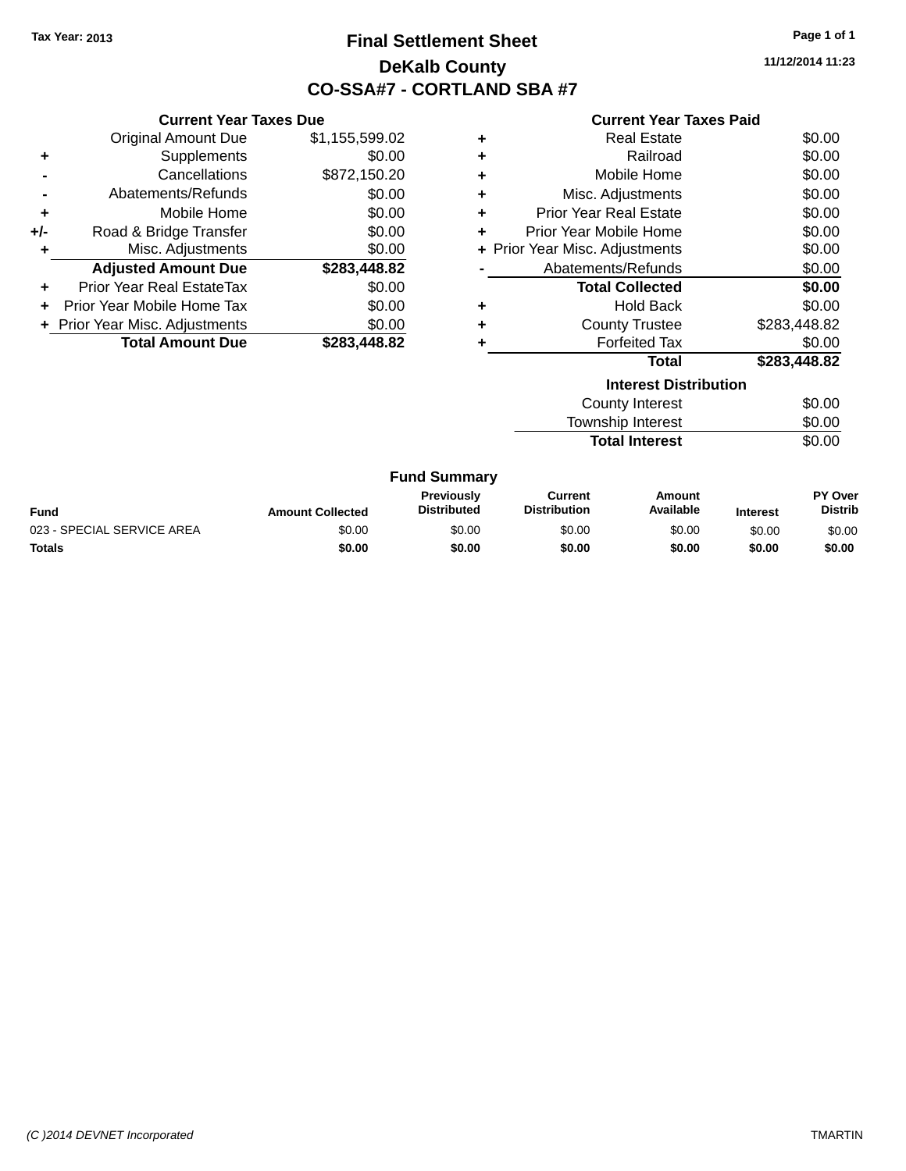# **Final Settlement Sheet Tax Year: 2013 Page 1 of 1 DeKalb County CO-SSA#7 - CORTLAND SBA #7**

**11/12/2014 11:23**

#### **Current Year Taxes Paid**

|     | <b>Current Year Taxes Due</b>  |                |  |  |  |  |
|-----|--------------------------------|----------------|--|--|--|--|
|     | <b>Original Amount Due</b>     | \$1,155,599.02 |  |  |  |  |
| ٠   | Supplements                    | \$0.00         |  |  |  |  |
|     | Cancellations                  | \$872,150.20   |  |  |  |  |
|     | Abatements/Refunds             | \$0.00         |  |  |  |  |
| ٠   | Mobile Home                    | \$0.00         |  |  |  |  |
| +/- | Road & Bridge Transfer         | \$0.00         |  |  |  |  |
|     | \$0.00<br>Misc. Adjustments    |                |  |  |  |  |
|     | <b>Adjusted Amount Due</b>     | \$283,448.82   |  |  |  |  |
| ÷   | Prior Year Real EstateTax      | \$0.00         |  |  |  |  |
|     | Prior Year Mobile Home Tax     | \$0.00         |  |  |  |  |
|     | + Prior Year Misc. Adjustments | \$0.00         |  |  |  |  |
|     | <b>Total Amount Due</b>        | \$283.448.82   |  |  |  |  |

|   | <b>Total</b>                   | \$283,448.82 |
|---|--------------------------------|--------------|
|   | <b>Forfeited Tax</b>           | \$0.00       |
| ÷ | <b>County Trustee</b>          | \$283,448.82 |
| ٠ | <b>Hold Back</b>               | \$0.00       |
|   | <b>Total Collected</b>         | \$0.00       |
|   | Abatements/Refunds             | \$0.00       |
|   | + Prior Year Misc. Adjustments | \$0.00       |
| ٠ | Prior Year Mobile Home         | \$0.00       |
| ٠ | <b>Prior Year Real Estate</b>  | \$0.00       |
| ٠ | Misc. Adjustments              | \$0.00       |
| ٠ | Mobile Home                    | \$0.00       |
| ٠ | Railroad                       | \$0.00       |
|   | <b>Real Estate</b>             | \$0.00       |

| <b>Interest Distribution</b> |        |
|------------------------------|--------|
| County Interest              | \$0.00 |
| Township Interest            | \$0.00 |
| <b>Total Interest</b>        | \$0.00 |

| <b>Fund</b>                | <b>Amount Collected</b> | Previously<br><b>Distributed</b> | Current<br><b>Distribution</b> | Amount<br>Available | Interest | <b>PY Over</b><br><b>Distrib</b> |
|----------------------------|-------------------------|----------------------------------|--------------------------------|---------------------|----------|----------------------------------|
| 023 - SPECIAL SERVICE AREA | \$0.00                  | \$0.00                           | \$0.00                         | \$0.00              | \$0.00   | \$0.00                           |
| <b>Totals</b>              | \$0.00                  | \$0.00                           | \$0.00                         | \$0.00              | \$0.00   | \$0.00                           |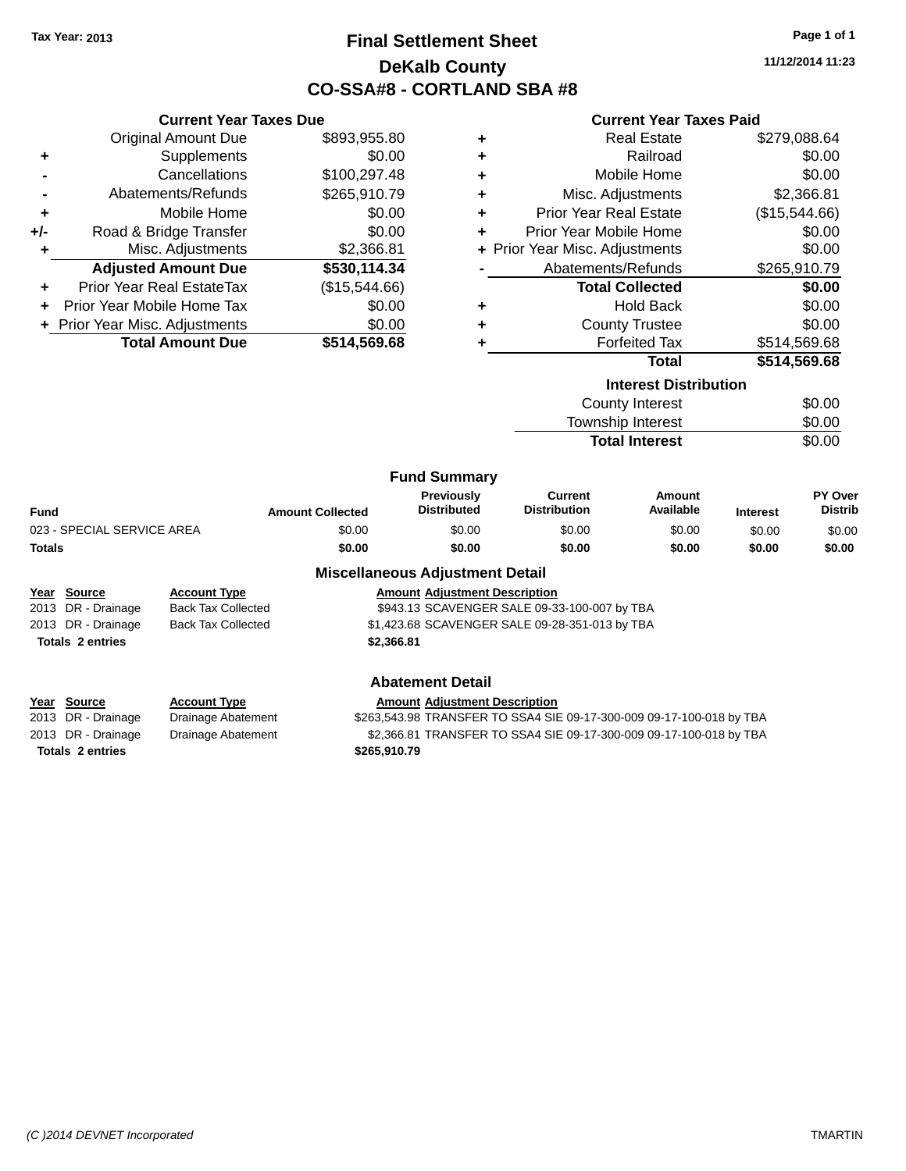**Current Year Taxes Due** Original Amount Due \$893,955.80

**Adjusted Amount Due \$530,114.34**

**Total Amount Due \$514,569.68**

**+** Supplements \$0.00 **-** Cancellations \$100,297.48 **-** Abatements/Refunds \$265,910.79 **+** Mobile Home \$0.00 **+/-** Road & Bridge Transfer \$0.00 **+** Misc. Adjustments \$2,366.81

**+** Prior Year Real EstateTax (\$15,544.66) **+** Prior Year Mobile Home Tax \$0.00 **+** Prior Year Misc. Adjustments  $$0.00$ 

# **Final Settlement Sheet Tax Year: 2013 Page 1 of 1 DeKalb County CO-SSA#8 - CORTLAND SBA #8**

**11/12/2014 11:23**

|    | <b>Current Year Taxes Paid</b> |               |
|----|--------------------------------|---------------|
| ÷  | <b>Real Estate</b>             | \$279,088.64  |
| Ŧ. | Railroad                       | \$0.00        |
| Ŧ. | Mobile Home                    | \$0.00        |
| ÷. | Misc. Adjustments              | \$2,366.81    |
| ÷  | <b>Prior Year Real Estate</b>  | (\$15,544.66) |
| ÷  | Prior Year Mobile Home         | \$0.00        |
|    | + Prior Year Misc. Adjustments | \$0.00        |
|    | Abatements/Refunds             | \$265,910.79  |

|   | <b>Total Collected</b> | \$0.00       |
|---|------------------------|--------------|
| ٠ | Hold Back              | \$0.00       |
| ٠ | County Trustee         | \$0.00       |
| ٠ | <b>Forfeited Tax</b>   | \$514,569.68 |
|   | Total                  | \$514 569 68 |

| ιυιαι                        | JJ14,JUJ.UO |
|------------------------------|-------------|
| <b>Interest Distribution</b> |             |
| <b>County Interest</b>       | \$0.00      |
| Township Interest            | \$0.00      |
| <b>Total Interest</b>        | \$0.00      |
|                              |             |

| <b>Fund Summary</b>        |                         |                                  |                                |                     |                 |                                  |
|----------------------------|-------------------------|----------------------------------|--------------------------------|---------------------|-----------------|----------------------------------|
| <b>Fund</b>                | <b>Amount Collected</b> | Previously<br><b>Distributed</b> | Current<br><b>Distribution</b> | Amount<br>Available | <b>Interest</b> | <b>PY Over</b><br><b>Distrib</b> |
| 023 - SPECIAL SERVICE AREA | \$0.00                  | \$0.00                           | \$0.00                         | \$0.00              | \$0.00          | \$0.00                           |
| <b>Totals</b>              | \$0.00                  | \$0.00                           | \$0.00                         | \$0.00              | \$0.00          | \$0.00                           |
|                            | ---<br>.                | .                                | .                              |                     |                 |                                  |

### **Miscellaneous Adjustment Detail Year Source Account Type Amount Adjustment Description** 2013 DR - Drainage Back Tax Collected \$943.13 SCAVENGER SALE 09-33-100-007 by TBA 2013 DR - Drainage Back Tax Collected \$1,423.68 SCAVENGER SALE 09-28-351-013 by TBA **Totals 2 entries \$2,366.81**

| <b>Abatement Detail</b> |                     |                                                                      |  |  |
|-------------------------|---------------------|----------------------------------------------------------------------|--|--|
| Year Source             | <b>Account Type</b> | <b>Amount Adjustment Description</b>                                 |  |  |
| 2013 DR - Drainage      | Drainage Abatement  | \$263,543.98 TRANSFER TO SSA4 SIE 09-17-300-009 09-17-100-018 by TBA |  |  |
| 2013 DR - Drainage      | Drainage Abatement  | \$2,366.81 TRANSFER TO SSA4 SIE 09-17-300-009 09-17-100-018 by TBA   |  |  |
| <b>Totals 2 entries</b> |                     | \$265,910.79                                                         |  |  |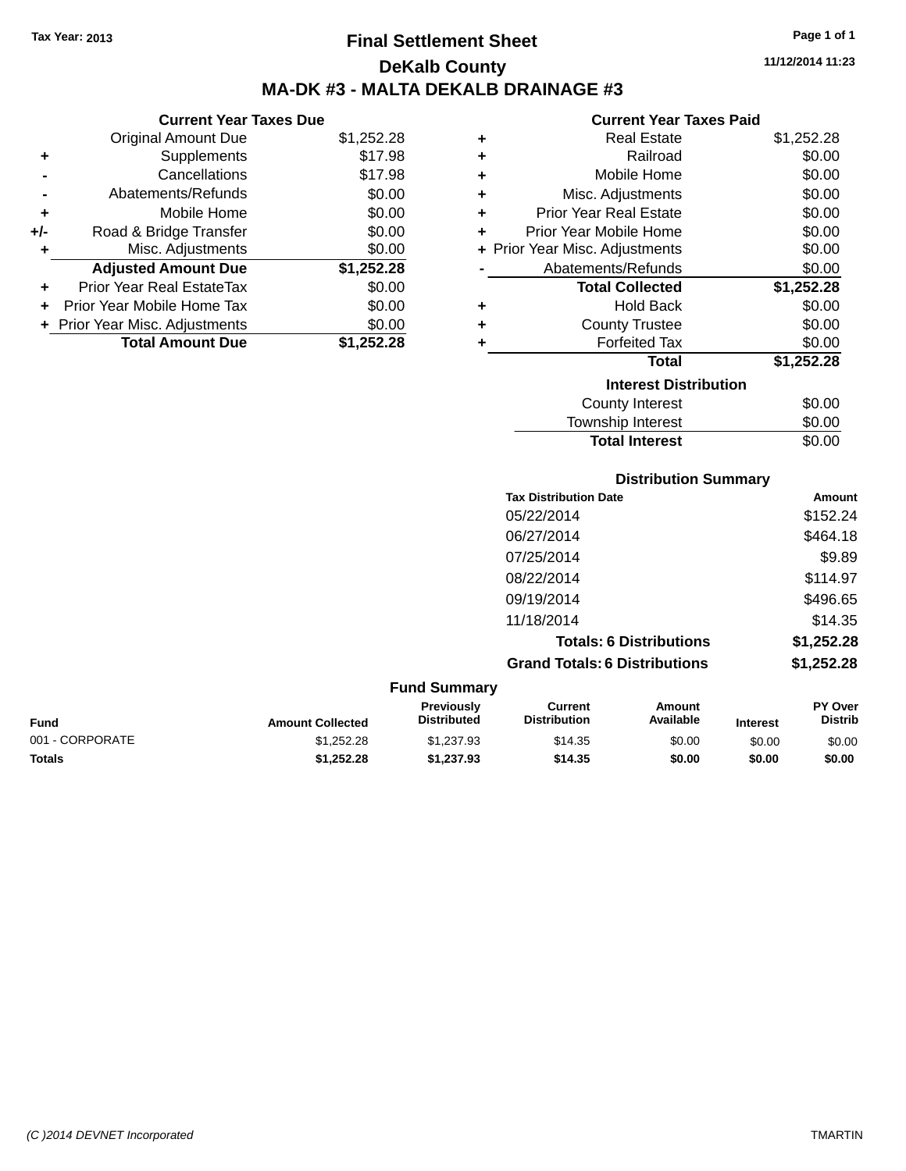**Current Year Taxes Due** Original Amount Due \$1,252.28

**Adjusted Amount Due \$1,252.28**

**Total Amount Due \$1,252.28**

**+** Supplements \$17.98 **-** Cancellations \$17.98 **-** Abatements/Refunds \$0.00 **+** Mobile Home \$0.00 **+/-** Road & Bridge Transfer \$0.00<br> **+** Misc. Adjustments \$0.00

**+** Prior Year Real EstateTax \$0.00 **+** Prior Year Mobile Home Tax \$0.00 **+ Prior Year Misc. Adjustments**  $$0.00$ 

**+** Misc. Adjustments

# **Final Settlement Sheet Tax Year: 2013 Page 1 of 1 DeKalb County MA-DK #3 - MALTA DEKALB DRAINAGE #3**

**11/12/2014 11:23**

#### **Current Year Taxes Paid**

Total Interest \$0.00

| ٠ | <b>Real Estate</b>             | \$1,252.28 |
|---|--------------------------------|------------|
| ٠ | Railroad                       | \$0.00     |
| ÷ | Mobile Home                    | \$0.00     |
| ÷ | Misc. Adjustments              | \$0.00     |
| ÷ | <b>Prior Year Real Estate</b>  | \$0.00     |
| ٠ | Prior Year Mobile Home         | \$0.00     |
|   | + Prior Year Misc. Adjustments | \$0.00     |
|   | Abatements/Refunds             | \$0.00     |
|   | <b>Total Collected</b>         | \$1,252.28 |
| ÷ | <b>Hold Back</b>               | \$0.00     |
| ٠ | <b>County Trustee</b>          | \$0.00     |
| ٠ | <b>Forfeited Tax</b>           | \$0.00     |
|   | <b>Total</b>                   | \$1,252.28 |
|   | <b>Interest Distribution</b>   |            |
|   | <b>County Interest</b>         | \$0.00     |
|   | <b>Township Interest</b>       | \$0.00     |

|                     | <b>Distribution Summary</b>          |            |
|---------------------|--------------------------------------|------------|
|                     | <b>Tax Distribution Date</b>         | Amount     |
|                     | 05/22/2014                           | \$152.24   |
|                     | 06/27/2014                           | \$464.18   |
|                     | 07/25/2014                           | \$9.89     |
|                     | 08/22/2014                           | \$114.97   |
|                     | 09/19/2014                           | \$496.65   |
|                     | 11/18/2014                           | \$14.35    |
|                     | <b>Totals: 6 Distributions</b>       | \$1,252.28 |
|                     | <b>Grand Totals: 6 Distributions</b> | \$1,252.28 |
| <b>Fund Summary</b> |                                      |            |
|                     |                                      |            |

| Fund            | <b>Amount Collected</b> | <b>Previously</b><br><b>Distributed</b> | Current<br><b>Distribution</b> | Amount<br>Available | <b>Interest</b> | <b>PY Over</b><br><b>Distrib</b> |
|-----------------|-------------------------|-----------------------------------------|--------------------------------|---------------------|-----------------|----------------------------------|
| 001 - CORPORATE | \$1.252.28              | \$1.237.93                              | \$14.35                        | \$0.00              | \$0.00          | \$0.00                           |
| Totals          | \$1,252,28              | \$1.237.93                              | \$14.35                        | \$0.00              | \$0.00          | \$0.00                           |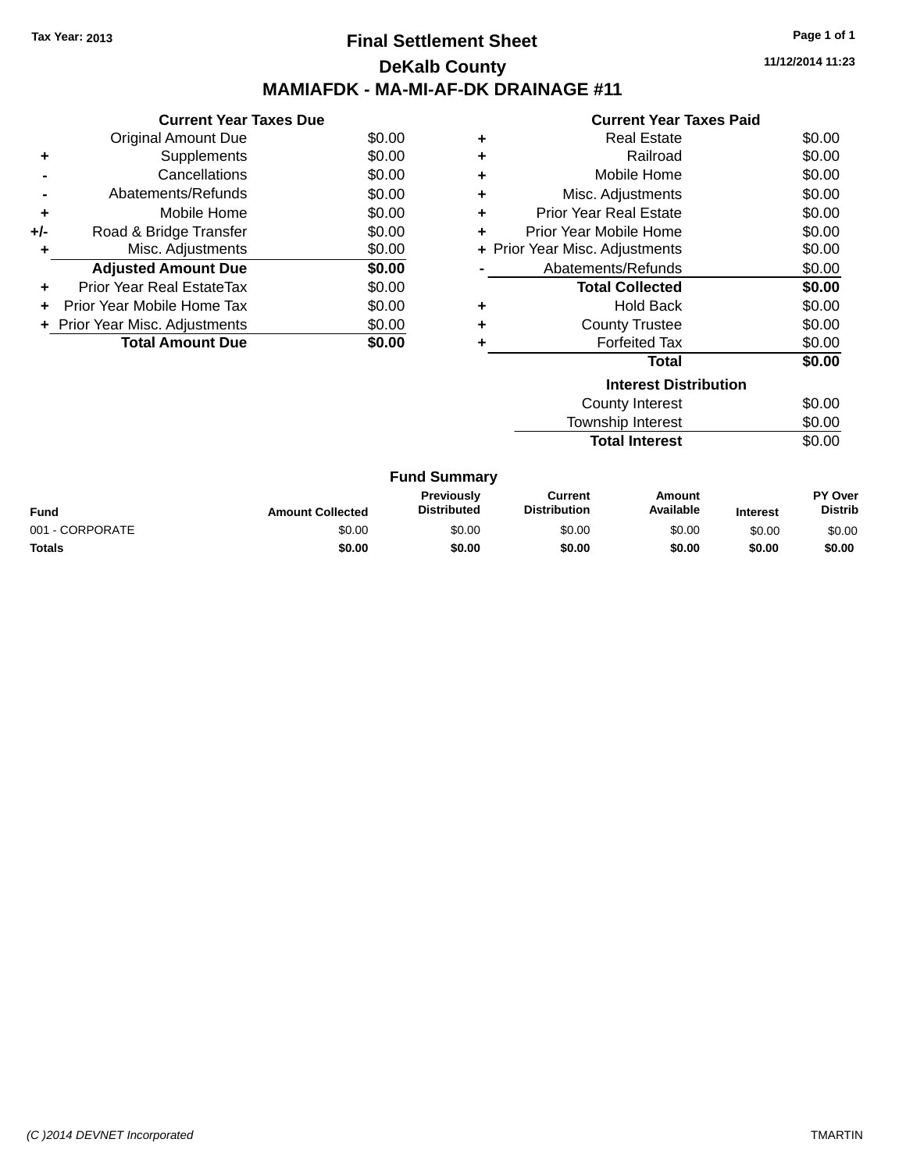### **Final Settlement Sheet Tax Year: 2013 Page 1 of 1 DeKalb County MAMIAFDK - MA-MI-AF-DK DRAINAGE #11**

**11/12/2014 11:23**

|     | <b>Current Year Taxes Due</b>  |        |
|-----|--------------------------------|--------|
|     | Original Amount Due            | \$0.00 |
| ٠   | Supplements                    | \$0.00 |
|     | Cancellations                  | \$0.00 |
|     | Abatements/Refunds             | \$0.00 |
| ٠   | Mobile Home                    | \$0.00 |
| +/- | Road & Bridge Transfer         | \$0.00 |
| ٠   | Misc. Adjustments              | \$0.00 |
|     | <b>Adjusted Amount Due</b>     | \$0.00 |
| ٠   | Prior Year Real EstateTax      | \$0.00 |
|     | Prior Year Mobile Home Tax     | \$0.00 |
|     | + Prior Year Misc. Adjustments | \$0.00 |
|     | <b>Total Amount Due</b>        | \$0.00 |
|     |                                |        |

|   | <b>Current Year Taxes Paid</b> |        |
|---|--------------------------------|--------|
| ٠ | Real Estate                    | \$0.00 |
| ٠ | Railroad                       | \$0.00 |
| ٠ | Mobile Home                    | \$0.00 |
| ٠ | Misc. Adjustments              | \$0.00 |
| ÷ | <b>Prior Year Real Estate</b>  | \$0.00 |
| ÷ | Prior Year Mobile Home         | \$0.00 |
|   | + Prior Year Misc. Adjustments | \$0.00 |
|   | Abatements/Refunds             | \$0.00 |
|   | <b>Total Collected</b>         | \$0.00 |
| ٠ | <b>Hold Back</b>               | \$0.00 |
| ÷ | <b>County Trustee</b>          | \$0.00 |
| ٠ | <b>Forfeited Tax</b>           | \$0.00 |
|   | Total                          | \$0.00 |
|   | <b>Interest Distribution</b>   |        |
|   | County Interest                | \$0.00 |
|   | <b>Township Interest</b>       | \$0.00 |
|   | <b>Total Interest</b>          | \$0.00 |

| <b>Fund Summary</b> |                         |                                         |                                |                     |                 |                                  |
|---------------------|-------------------------|-----------------------------------------|--------------------------------|---------------------|-----------------|----------------------------------|
| <b>Fund</b>         | <b>Amount Collected</b> | <b>Previously</b><br><b>Distributed</b> | Current<br><b>Distribution</b> | Amount<br>Available | <b>Interest</b> | <b>PY Over</b><br><b>Distrib</b> |
| 001 - CORPORATE     | \$0.00                  | \$0.00                                  | \$0.00                         | \$0.00              | \$0.00          | \$0.00                           |
| Totals              | \$0.00                  | \$0.00                                  | \$0.00                         | \$0.00              | \$0.00          | \$0.00                           |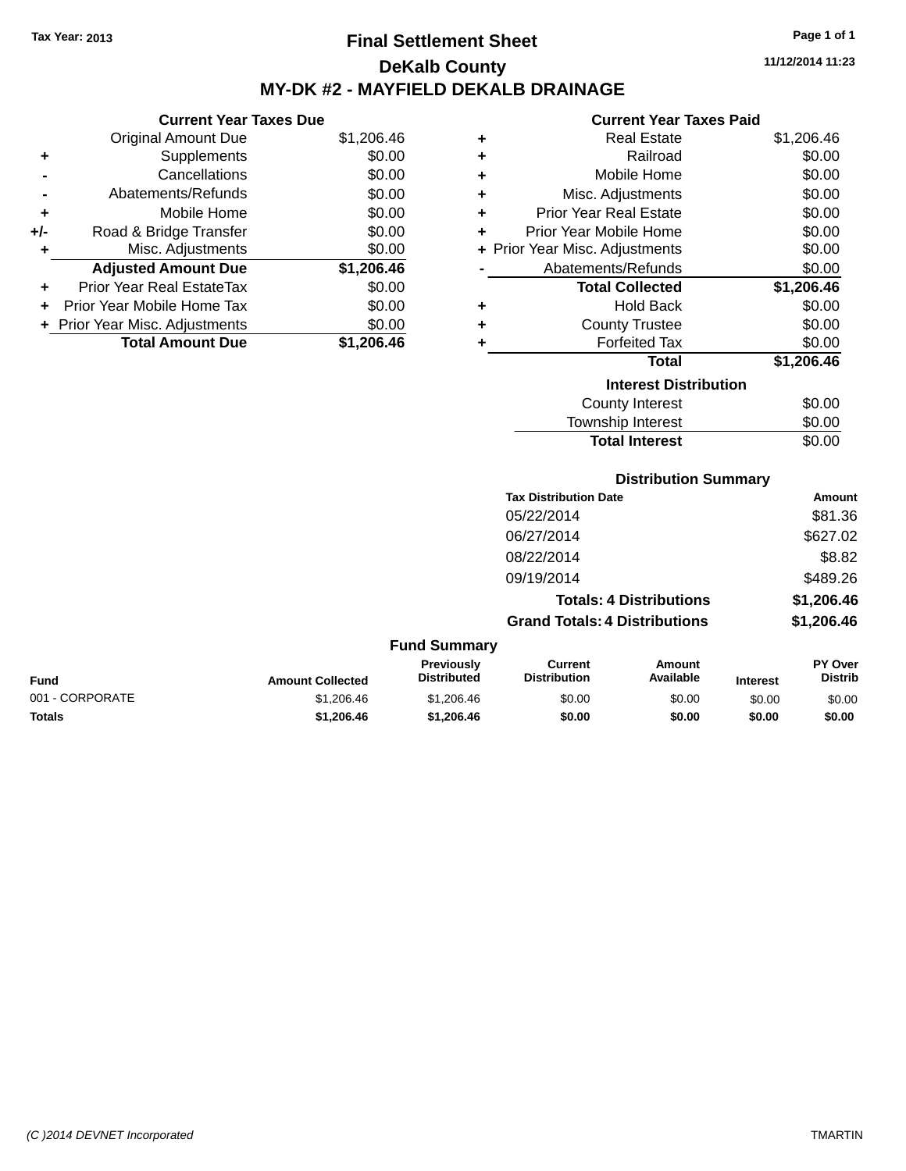# **Final Settlement Sheet Tax Year: 2013 Page 1 of 1 DeKalb County MY-DK #2 - MAYFIELD DEKALB DRAINAGE**

**11/12/2014 11:23**

#### **Current Year Taxes Paid**

|     | <b>Current Year Taxes Due</b>  |            |  |  |  |
|-----|--------------------------------|------------|--|--|--|
|     | <b>Original Amount Due</b>     | \$1,206.46 |  |  |  |
| ٠   | Supplements                    | \$0.00     |  |  |  |
|     | Cancellations                  | \$0.00     |  |  |  |
|     | Abatements/Refunds             | \$0.00     |  |  |  |
| ٠   | Mobile Home                    | \$0.00     |  |  |  |
| +/- | Road & Bridge Transfer         | \$0.00     |  |  |  |
| ٠   | Misc. Adjustments              | \$0.00     |  |  |  |
|     | <b>Adjusted Amount Due</b>     | \$1,206.46 |  |  |  |
| ٠   | Prior Year Real EstateTax      | \$0.00     |  |  |  |
| ٠   | Prior Year Mobile Home Tax     | \$0.00     |  |  |  |
|     | + Prior Year Misc. Adjustments | \$0.00     |  |  |  |
|     | <b>Total Amount Due</b>        | \$1,206.46 |  |  |  |

| ٠ | <b>Real Estate</b>             | \$1,206.46 |
|---|--------------------------------|------------|
| ٠ | Railroad                       | \$0.00     |
| ٠ | Mobile Home                    | \$0.00     |
| ٠ | Misc. Adjustments              | \$0.00     |
| ٠ | <b>Prior Year Real Estate</b>  | \$0.00     |
| ٠ | Prior Year Mobile Home         | \$0.00     |
|   | + Prior Year Misc. Adjustments | \$0.00     |
|   | Abatements/Refunds             | \$0.00     |
|   | <b>Total Collected</b>         | \$1,206.46 |
| ٠ | <b>Hold Back</b>               | \$0.00     |
| ٠ | <b>County Trustee</b>          | \$0.00     |
| ٠ | <b>Forfeited Tax</b>           | \$0.00     |
|   | <b>Total</b>                   | \$1,206.46 |
|   | <b>Interest Distribution</b>   |            |
|   | <b>County Interest</b>         | \$0.00     |
|   | <b>Township Interest</b>       | \$0.00     |
|   | <b>Total Interest</b>          | \$0.00     |

### **Distribution Summary**

| <b>Tax Distribution Date</b>         | Amount     |
|--------------------------------------|------------|
| 05/22/2014                           | \$81.36    |
| 06/27/2014                           | \$627.02   |
| 08/22/2014                           | \$8.82     |
| 09/19/2014                           | \$489.26   |
| <b>Totals: 4 Distributions</b>       | \$1,206.46 |
| <b>Grand Totals: 4 Distributions</b> | \$1,206.46 |

#### **Fund Summary Fund Interest Amount Collected Distributed PY Over Distrib Amount Available Current Distribution Previously** 001 - CORPORATE 6 \$1,206.46 \$0.00 \$0.00 \$0.00 \$0.00 \$0.00 \$0.00 \$0.00 \$0.00 \$0.00 \$0.00 \$0.00 \$0.00 \$0.00 \$0.00 \$0 **Totals \$1,206.46 \$1,206.46 \$0.00 \$0.00 \$0.00 \$0.00**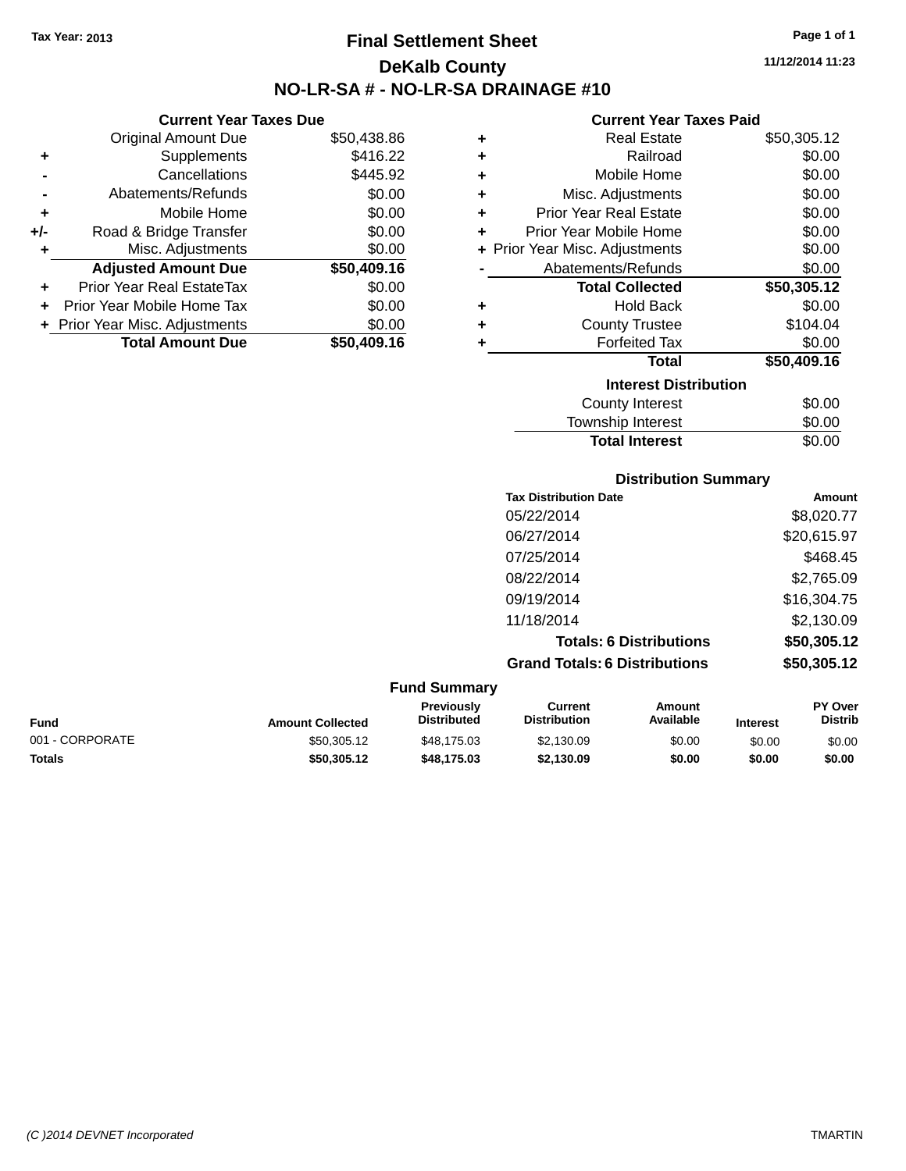**Current Year Taxes Due** Original Amount Due \$50,438.86

**Adjusted Amount Due \$50,409.16**

**Total Amount Due \$50,409.16**

**+** Supplements \$416.22 **-** Cancellations \$445.92 **-** Abatements/Refunds \$0.00 **+** Mobile Home \$0.00 **+/-** Road & Bridge Transfer \$0.00 **+** Misc. Adjustments \$0.00

**+** Prior Year Real EstateTax \$0.00 **+** Prior Year Mobile Home Tax \$0.00 **+ Prior Year Misc. Adjustments**  $$0.00$ 

# **Final Settlement Sheet Tax Year: 2013 Page 1 of 1 DeKalb County NO-LR-SA # - NO-LR-SA DRAINAGE #10**

**11/12/2014 11:23**

#### **Current Year Taxes Paid**

| ٠ | <b>Real Estate</b>             | \$50,305.12 |
|---|--------------------------------|-------------|
| ÷ | Railroad                       | \$0.00      |
| ÷ | Mobile Home                    | \$0.00      |
| ÷ | Misc. Adjustments              | \$0.00      |
| ÷ | <b>Prior Year Real Estate</b>  | \$0.00      |
| ÷ | Prior Year Mobile Home         | \$0.00      |
|   | + Prior Year Misc. Adjustments | \$0.00      |
|   | Abatements/Refunds             | \$0.00      |
|   | <b>Total Collected</b>         | \$50,305.12 |
|   |                                |             |
| ÷ | <b>Hold Back</b>               | \$0.00      |
| ÷ | <b>County Trustee</b>          | \$104.04    |
| ÷ | <b>Forfeited Tax</b>           | \$0.00      |
|   | Total                          | \$50,409.16 |
|   | <b>Interest Distribution</b>   |             |
|   | <b>County Interest</b>         | \$0.00      |

| <b>Distribution Summary</b>  |             |
|------------------------------|-------------|
| <b>Tax Distribution Date</b> | Amount      |
| 05/22/2014                   | \$8,020.77  |
| 06/27/2014                   | \$20,615.97 |
| 07/25/2014                   | \$468.45    |
|                              |             |

**Total Interest** \$0.00

| סושט ווטאנווטשוט גוש                 | <b>AUVULL</b> |
|--------------------------------------|---------------|
| 05/22/2014                           | \$8,020.77    |
| 06/27/2014                           | \$20,615.97   |
| 07/25/2014                           | \$468.45      |
| 08/22/2014                           | \$2,765.09    |
| 09/19/2014                           | \$16,304.75   |
| 11/18/2014                           | \$2,130.09    |
| <b>Totals: 6 Distributions</b>       | \$50,305.12   |
| <b>Grand Totals: 6 Distributions</b> | \$50,305.12   |
|                                      |               |

#### **Fund Summary Fund Interest Amount Collected Distributed PY Over Distrib Amount Available Current Distribution Previously** 001 - CORPORATE \$50,305.12 \$48,175.03 \$2,130.09 \$0.00 \$0.00 \$0.00 **Totals \$50,305.12 \$48,175.03 \$2,130.09 \$0.00 \$0.00 \$0.00**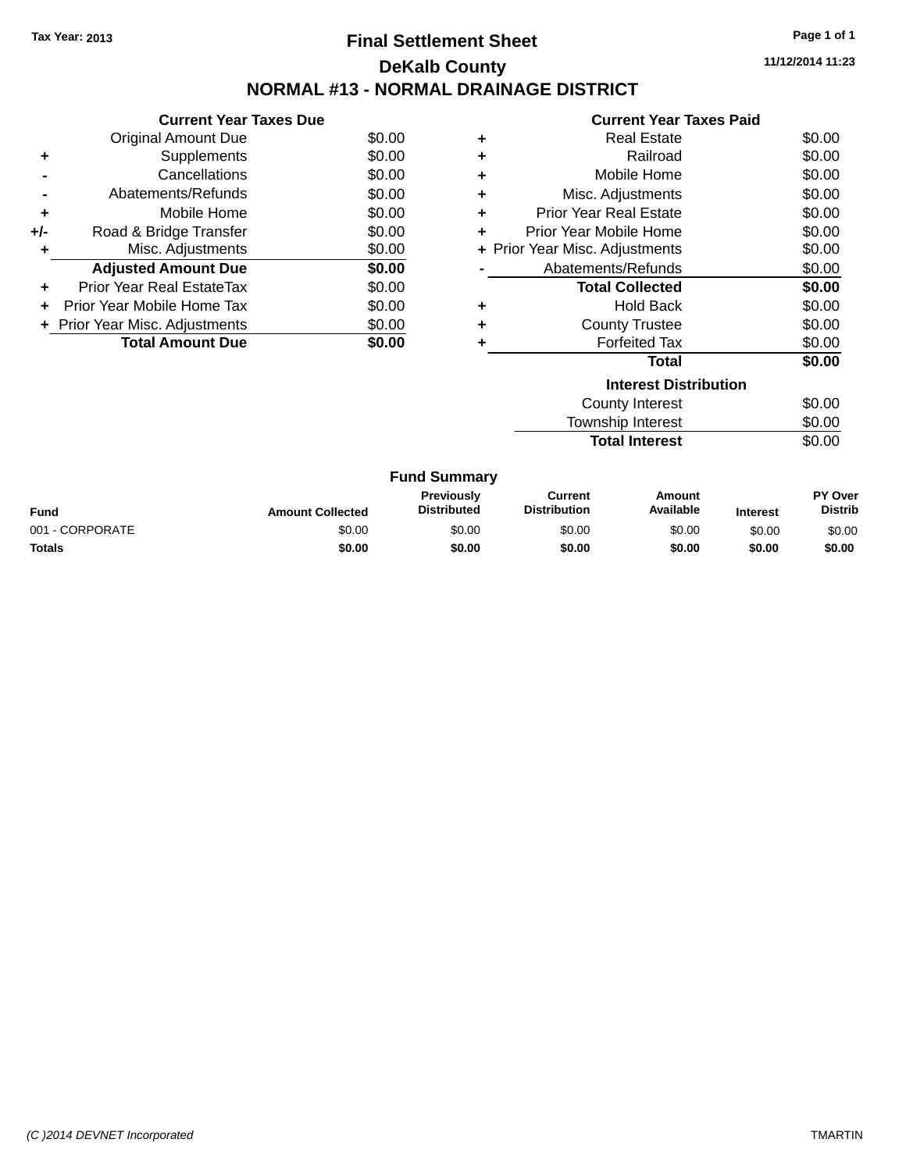# **Final Settlement Sheet Tax Year: 2013 Page 1 of 1 DeKalb County NORMAL #13 - NORMAL DRAINAGE DISTRICT**

**11/12/2014 11:23**

|     | <b>Current Year Taxes Due</b>  |        |
|-----|--------------------------------|--------|
|     | Original Amount Due            | \$0.00 |
| ٠   | Supplements                    | \$0.00 |
|     | Cancellations                  | \$0.00 |
|     | Abatements/Refunds             | \$0.00 |
| ٠   | Mobile Home                    | \$0.00 |
| +/- | Road & Bridge Transfer         | \$0.00 |
| ٠   | Misc. Adjustments              | \$0.00 |
|     | <b>Adjusted Amount Due</b>     | \$0.00 |
| ÷   | Prior Year Real EstateTax      | \$0.00 |
| ÷   | Prior Year Mobile Home Tax     | \$0.00 |
|     | + Prior Year Misc. Adjustments | \$0.00 |
|     | <b>Total Amount Due</b>        | \$0.00 |
|     |                                |        |

|   | Gurrent fear Taxes Palu        |        |
|---|--------------------------------|--------|
| ٠ | Real Estate                    | \$0.00 |
| ٠ | Railroad                       | \$0.00 |
| ÷ | Mobile Home                    | \$0.00 |
| ÷ | Misc. Adjustments              | \$0.00 |
| ÷ | Prior Year Real Estate         | \$0.00 |
| ٠ | Prior Year Mobile Home         | \$0.00 |
|   | + Prior Year Misc. Adjustments | \$0.00 |
|   | Abatements/Refunds             | \$0.00 |
|   | <b>Total Collected</b>         | \$0.00 |
| ٠ | <b>Hold Back</b>               | \$0.00 |
| ٠ | <b>County Trustee</b>          | \$0.00 |
| ٠ | <b>Forfeited Tax</b>           | \$0.00 |
|   | Total                          | \$0.00 |
|   | <b>Interest Distribution</b>   |        |
|   | County Interest                | \$0.00 |
|   | <b>Township Interest</b>       | \$0.00 |
|   | <b>Total Interest</b>          | \$0.00 |

| <b>Fund Summary</b> |                         |                                         |                                |                     |                 |                           |
|---------------------|-------------------------|-----------------------------------------|--------------------------------|---------------------|-----------------|---------------------------|
| <b>Fund</b>         | <b>Amount Collected</b> | <b>Previously</b><br><b>Distributed</b> | Current<br><b>Distribution</b> | Amount<br>Available | <b>Interest</b> | PY Over<br><b>Distrib</b> |
| 001 - CORPORATE     | \$0.00                  | \$0.00                                  | \$0.00                         | \$0.00              | \$0.00          | \$0.00                    |
| Totals              | \$0.00                  | \$0.00                                  | \$0.00                         | \$0.00              | \$0.00          | \$0.00                    |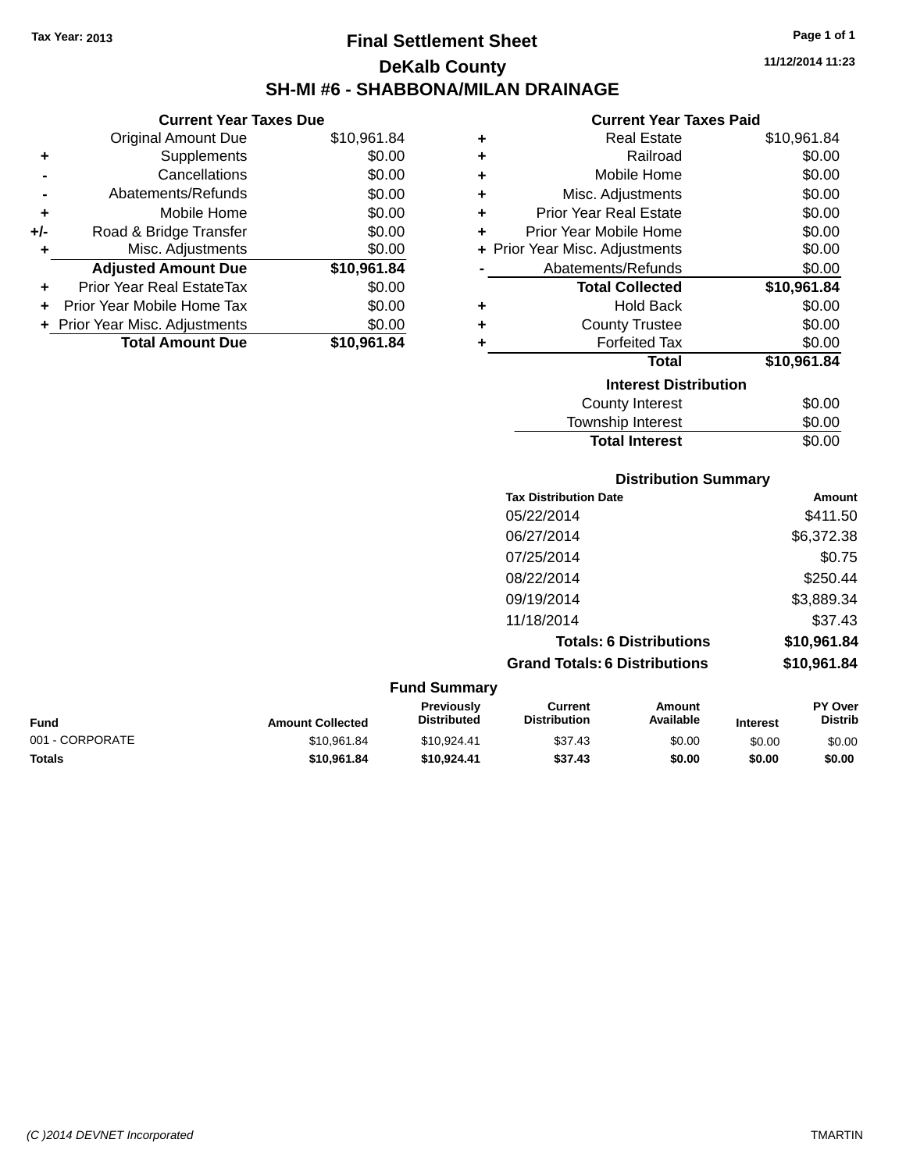**+** Supplements **-** Cancellations **-** Abatements/Refunds **+** Mobile Home **+/-** Road & Bridge Transfer **+** Misc. Adjustments

**+** Prior Year Real EstateTax \$0.00 **+** Prior Year Mobile Home Tax **+** Prior Year Misc. Adjustments

**Current Year Taxes Due**

# **Final Settlement Sheet Tax Year: 2013 Page 1 of 1 DeKalb County SH-MI #6 - SHABBONA/MILAN DRAINAGE**

**11/12/2014 11:23**

#### **Current Year Taxes Paid**

| OUITUIN TUUT TUAUS DUU     |             |   | oanon ivar iaxos raig          |             |
|----------------------------|-------------|---|--------------------------------|-------------|
| <b>Original Amount Due</b> | \$10,961.84 | ٠ | <b>Real Estate</b>             | \$10,961.84 |
| Supplements                | \$0.00      | ٠ | Railroad                       | \$0.00      |
| Cancellations              | \$0.00      | ٠ | Mobile Home                    | \$0.00      |
| Abatements/Refunds         | \$0.00      | ٠ | Misc. Adjustments              | \$0.00      |
| Mobile Home                | \$0.00      | ٠ | <b>Prior Year Real Estate</b>  | \$0.00      |
| Road & Bridge Transfer     | \$0.00      | ٠ | Prior Year Mobile Home         | \$0.00      |
| Misc. Adjustments          | \$0.00      |   | + Prior Year Misc. Adjustments | \$0.00      |
| <b>Adjusted Amount Due</b> | \$10,961.84 |   | Abatements/Refunds             | \$0.00      |
| rior Year Real EstateTax   | \$0.00      |   | <b>Total Collected</b>         | \$10,961.84 |
| r Year Mobile Home Tax     | \$0.00      | ٠ | <b>Hold Back</b>               | \$0.00      |
| Year Misc. Adjustments     | \$0.00      | ٠ | <b>County Trustee</b>          | \$0.00      |
| <b>Total Amount Due</b>    | \$10,961.84 |   | <b>Forfeited Tax</b>           | \$0.00      |
|                            |             |   | <b>Total</b>                   | \$10,961.84 |
|                            |             |   | <b>Interest Distribution</b>   |             |
|                            |             |   | <b>County Interest</b>         | \$0.00      |
|                            |             |   | <b>Township Interest</b>       | \$0.00      |

### **Distribution Summary Tax Distribution Date Amount** 05/22/2014 \$411.50 06/27/2014 \$6,372.38 07/25/2014 \$0.75 08/22/2014 \$250.44 09/19/2014 \$3,889.34 11/18/2014 \$37.43 **Totals: 6 Distributions \$10,961.84 Grand Totals: 6 Distributions \$10,961.84 Fund Summary Total Interest** \$0.00

| <b>Fund</b>     | <b>Amount Collected</b> | <b>Previously</b><br><b>Distributed</b> | Current<br><b>Distribution</b> | Amount<br>Available | <b>Interest</b> | <b>PY Over</b><br><b>Distrib</b> |  |
|-----------------|-------------------------|-----------------------------------------|--------------------------------|---------------------|-----------------|----------------------------------|--|
| 001 - CORPORATE | \$10.961.84             | \$10.924.41                             | \$37.43                        | \$0.00              | \$0.00          | \$0.00                           |  |
| <b>Totals</b>   | \$10,961.84             | \$10.924.41                             | \$37.43                        | \$0.00              | \$0.00          | \$0.00                           |  |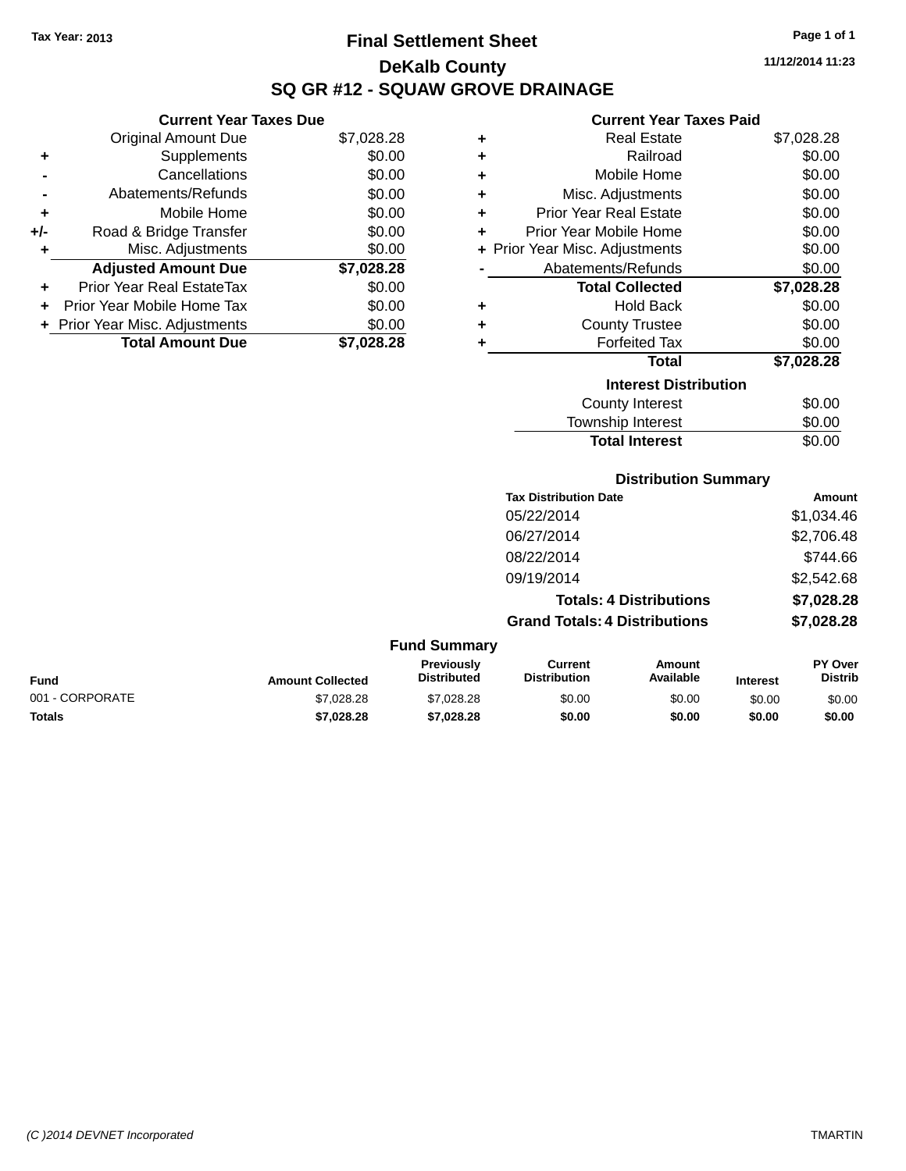# **Final Settlement Sheet Tax Year: 2013 Page 1 of 1 DeKalb County SQ GR #12 - SQUAW GROVE DRAINAGE**

**11/12/2014 11:23**

### **Current Year Taxes Paid**

|     | Current rear laxes Due         |            |
|-----|--------------------------------|------------|
|     | <b>Original Amount Due</b>     | \$7,028.28 |
| ٠   | Supplements                    | \$0.00     |
|     | Cancellations                  | \$0.00     |
|     | Abatements/Refunds             | \$0.00     |
| ٠   | Mobile Home                    | \$0.00     |
| +/- | Road & Bridge Transfer         | \$0.00     |
| ٠   | Misc. Adjustments              | \$0.00     |
|     | <b>Adjusted Amount Due</b>     | \$7,028.28 |
| ٠   | Prior Year Real EstateTax      | \$0.00     |
|     | Prior Year Mobile Home Tax     | \$0.00     |
|     | + Prior Year Misc. Adjustments | \$0.00     |
|     | <b>Total Amount Due</b>        | \$7.028.28 |
|     |                                |            |

**Current Year Taxes Due**

| ٠ | <b>Real Estate</b>             | \$7,028.28 |
|---|--------------------------------|------------|
| ٠ | Railroad                       | \$0.00     |
| ٠ | Mobile Home                    | \$0.00     |
| ٠ | Misc. Adjustments              | \$0.00     |
| ٠ | <b>Prior Year Real Estate</b>  | \$0.00     |
| ÷ | Prior Year Mobile Home         | \$0.00     |
|   | + Prior Year Misc. Adjustments | \$0.00     |
|   | Abatements/Refunds             | \$0.00     |
|   | <b>Total Collected</b>         | \$7,028.28 |
| ٠ | <b>Hold Back</b>               | \$0.00     |
| ٠ | <b>County Trustee</b>          | \$0.00     |
| ٠ | <b>Forfeited Tax</b>           | \$0.00     |
|   | <b>Total</b>                   | \$7,028.28 |
|   | <b>Interest Distribution</b>   |            |
|   | <b>County Interest</b>         | \$0.00     |
|   | Township Interest              | \$0.00     |
|   | <b>Total Interest</b>          | \$0.00     |

### **Distribution Summary**

| Amount     |
|------------|
| \$1,034.46 |
| \$2,706.48 |
| \$744.66   |
| \$2,542.68 |
| \$7,028.28 |
| \$7,028.28 |
|            |

#### **Fund Summary Fund Interest Amount Collected Distributed PY Over Distrib Amount Available Current Distribution Previously** 001 - CORPORATE \$7,028.28 \$7,028.28 \$0.00 \$0.00 \$0.00 \$0.00 **Totals \$7,028.28 \$7,028.28 \$0.00 \$0.00 \$0.00 \$0.00**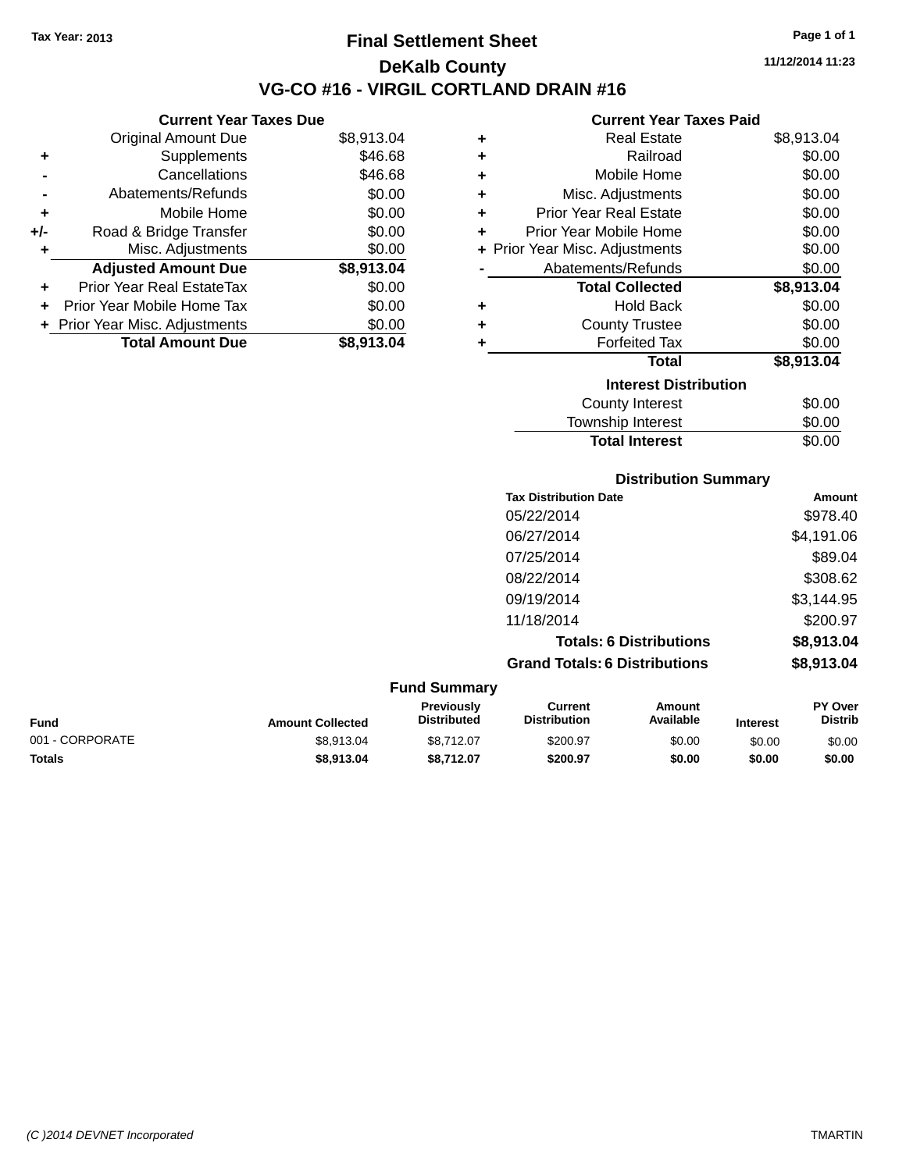**Current Year Taxes Due** Original Amount Due \$8,913.04

**Adjusted Amount Due \$8,913.04**

**Total Amount Due \$8,913.04**

**+** Supplements \$46.68 **-** Cancellations \$46.68 **-** Abatements/Refunds \$0.00 **+** Mobile Home \$0.00 **+/-** Road & Bridge Transfer \$0.00 **+** Misc. Adjustments \$0.00

**+** Prior Year Real EstateTax \$0.00 **+** Prior Year Mobile Home Tax \$0.00 **+** Prior Year Misc. Adjustments  $$0.00$ 

## **Final Settlement Sheet Tax Year: 2013 Page 1 of 1 DeKalb County VG-CO #16 - VIRGIL CORTLAND DRAIN #16**

**11/12/2014 11:23**

#### **Current Year Taxes Paid**

| ٠ | <b>Real Estate</b>             | \$8,913.04 |
|---|--------------------------------|------------|
| ٠ | Railroad                       | \$0.00     |
| ٠ | Mobile Home                    | \$0.00     |
| ٠ | Misc. Adjustments              | \$0.00     |
| ÷ | <b>Prior Year Real Estate</b>  | \$0.00     |
| ٠ | Prior Year Mobile Home         | \$0.00     |
|   | + Prior Year Misc. Adjustments | \$0.00     |
|   | Abatements/Refunds             | \$0.00     |
|   | <b>Total Collected</b>         | \$8,913.04 |
| ٠ | <b>Hold Back</b>               | \$0.00     |
| ٠ | <b>County Trustee</b>          | \$0.00     |
| ٠ | <b>Forfeited Tax</b>           | \$0.00     |
|   | <b>Total</b>                   | \$8,913.04 |
|   | <b>Interest Distribution</b>   |            |
|   | County Interest                | \$0.00     |
|   | <b>Township Interest</b>       | \$0.00     |

| <b>Total Interest</b>        | \$0.00     |
|------------------------------|------------|
| <b>Distribution Summary</b>  |            |
| <b>Tax Distribution Date</b> | Amount     |
| 05/22/2014                   | \$978.40   |
| 06/27/2014                   | \$4,191.06 |
| 07/25/2014                   | \$89.04    |
| 08/22/2014                   | \$308.62   |
| 09/19/2014                   | \$3,144.95 |
| 11/18/2014                   | \$200.97   |

**Totals: 6 Distributions \$8,913.04**

**Grand Totals: 6 Distributions \$8,913.04**

**Fund Summary Fund Interest Amount Collected Distributed PY Over Distrib Amount Available Current Distribution Previously** 001 - CORPORATE \$8,913.04 \$8,712.07 \$200.97 \$0.00 \$0.00 \$0.00 **Totals \$8,913.04 \$8,712.07 \$200.97 \$0.00 \$0.00 \$0.00**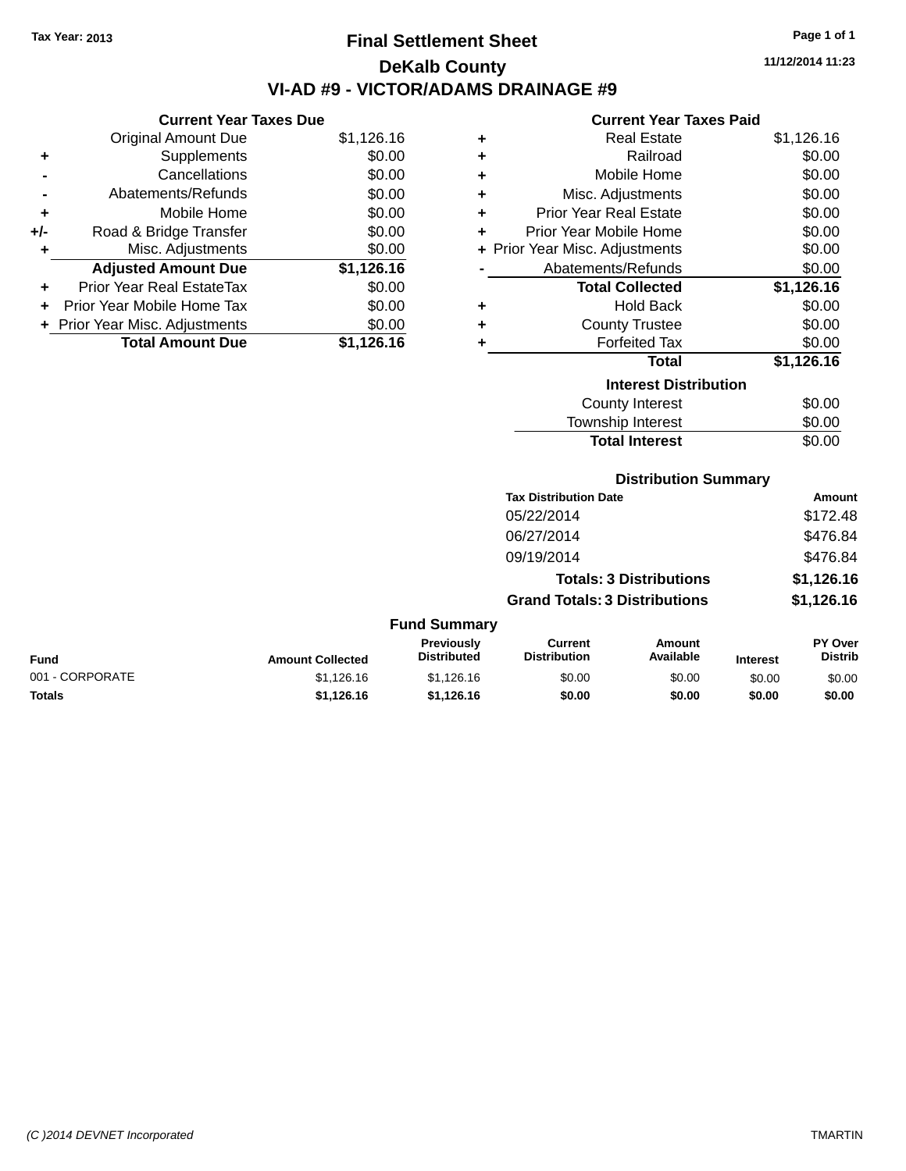# **Final Settlement Sheet Tax Year: 2013 Page 1 of 1 DeKalb County VI-AD #9 - VICTOR/ADAMS DRAINAGE #9**

**11/12/2014 11:23**

#### **Current Year Taxes Paid**

|       | <b>Current Year Taxes Due</b>  |            |
|-------|--------------------------------|------------|
|       | <b>Original Amount Due</b>     | \$1,126.16 |
| ٠     | Supplements                    | \$0.00     |
|       | Cancellations                  | \$0.00     |
|       | Abatements/Refunds             | \$0.00     |
| ٠     | Mobile Home                    | \$0.00     |
| $+/-$ | Road & Bridge Transfer         | \$0.00     |
| ÷     | Misc. Adjustments              | \$0.00     |
|       | <b>Adjusted Amount Due</b>     | \$1,126.16 |
| ÷     | Prior Year Real EstateTax      | \$0.00     |
| ÷     | Prior Year Mobile Home Tax     | \$0.00     |
|       | + Prior Year Misc. Adjustments | \$0.00     |
|       | <b>Total Amount Due</b>        | \$1.126.16 |

| ٠ | <b>Real Estate</b>             | \$1,126.16 |
|---|--------------------------------|------------|
| ٠ | Railroad                       | \$0.00     |
| ٠ | Mobile Home                    | \$0.00     |
| ٠ | Misc. Adjustments              | \$0.00     |
| ٠ | Prior Year Real Estate         | \$0.00     |
| ٠ | Prior Year Mobile Home         | \$0.00     |
|   | + Prior Year Misc. Adjustments | \$0.00     |
|   | Abatements/Refunds             | \$0.00     |
|   | <b>Total Collected</b>         | \$1,126.16 |
| ٠ | Hold Back                      | \$0.00     |
| ٠ | <b>County Trustee</b>          | \$0.00     |
| ٠ | <b>Forfeited Tax</b>           | \$0.00     |
|   | <b>Total</b>                   | \$1,126.16 |
|   | <b>Interest Distribution</b>   |            |
|   | <b>County Interest</b>         | \$0.00     |
|   | <b>Township Interest</b>       | \$0.00     |
|   | <b>Total Interest</b>          | \$0.00     |

| <b>Distribution Summary</b>  |          |
|------------------------------|----------|
| <b>Tax Distribution Date</b> | Amount   |
| 05/22/2014                   | \$172.48 |

| 06/27/2014                           | \$476.84   |
|--------------------------------------|------------|
| 09/19/2014                           | \$476.84   |
| <b>Totals: 3 Distributions</b>       | \$1,126.16 |
| <b>Grand Totals: 3 Distributions</b> | \$1,126.16 |

| <b>Fund</b>     | <b>Amount Collected</b> | <b>Previously</b><br><b>Distributed</b> | Current<br><b>Distribution</b> | Amount<br>Available | <b>Interest</b> | PY Over<br><b>Distrib</b> |
|-----------------|-------------------------|-----------------------------------------|--------------------------------|---------------------|-----------------|---------------------------|
| 001 - CORPORATE | \$1,126,16              | \$1,126,16                              | \$0.00                         | \$0.00              | \$0.00          | \$0.00                    |
| <b>Totals</b>   | \$1.126.16              | \$1.126.16                              | \$0.00                         | \$0.00              | \$0.00          | \$0.00                    |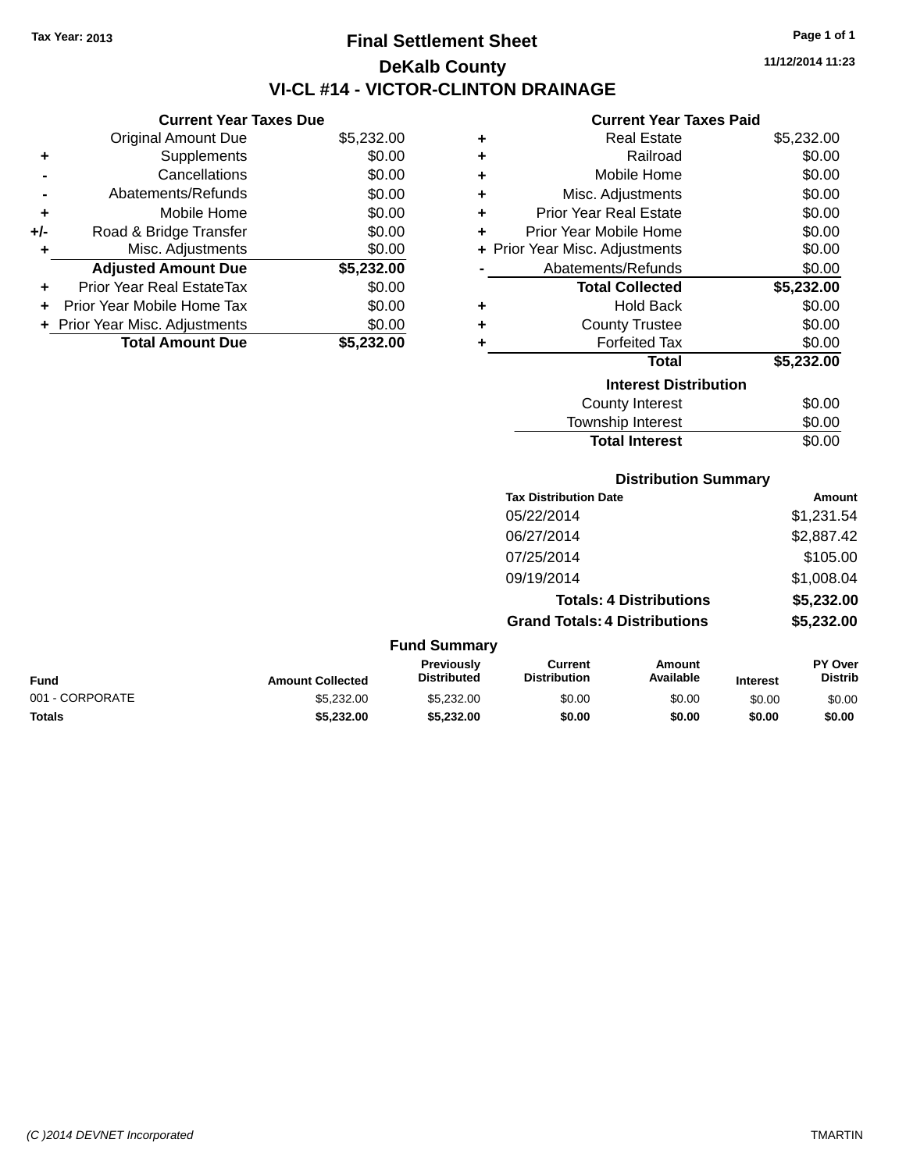# **Final Settlement Sheet Tax Year: 2013 Page 1 of 1 DeKalb County VI-CL #14 - VICTOR-CLINTON DRAINAGE**

**11/12/2014 11:23**

#### **Current Year Taxes Paid**

|     | Gurrent rear Taxes Due         |            |
|-----|--------------------------------|------------|
|     | <b>Original Amount Due</b>     | \$5,232.00 |
| ٠   | Supplements                    | \$0.00     |
|     | Cancellations                  | \$0.00     |
|     | Abatements/Refunds             | \$0.00     |
| ٠   | Mobile Home                    | \$0.00     |
| +/- | Road & Bridge Transfer         | \$0.00     |
| ٠   | Misc. Adjustments              | \$0.00     |
|     | <b>Adjusted Amount Due</b>     | \$5,232.00 |
| ٠   | Prior Year Real EstateTax      | \$0.00     |
|     | Prior Year Mobile Home Tax     | \$0.00     |
|     | + Prior Year Misc. Adjustments | \$0.00     |
|     | <b>Total Amount Due</b>        | \$5.232.00 |
|     |                                |            |

**Current Year Taxes Due**

| ٠                            | <b>Real Estate</b>             | \$5,232.00 |  |  |  |
|------------------------------|--------------------------------|------------|--|--|--|
| ٠                            | Railroad                       | \$0.00     |  |  |  |
| ÷                            | Mobile Home                    | \$0.00     |  |  |  |
| ÷                            | Misc. Adjustments              | \$0.00     |  |  |  |
| ÷                            | <b>Prior Year Real Estate</b>  | \$0.00     |  |  |  |
| ٠                            | Prior Year Mobile Home         | \$0.00     |  |  |  |
|                              | + Prior Year Misc. Adjustments | \$0.00     |  |  |  |
|                              | Abatements/Refunds             | \$0.00     |  |  |  |
|                              | <b>Total Collected</b>         | \$5,232.00 |  |  |  |
| ٠                            | <b>Hold Back</b>               | \$0.00     |  |  |  |
| ٠                            | <b>County Trustee</b>          | \$0.00     |  |  |  |
| ٠                            | <b>Forfeited Tax</b>           | \$0.00     |  |  |  |
|                              | <b>Total</b>                   | \$5,232.00 |  |  |  |
| <b>Interest Distribution</b> |                                |            |  |  |  |
|                              | <b>County Interest</b>         | \$0.00     |  |  |  |
|                              | <b>Township Interest</b>       | \$0.00     |  |  |  |
|                              | <b>Total Interest</b>          | \$0.00     |  |  |  |

### **Distribution Summary**

| <b>Tax Distribution Date</b>         | Amount     |
|--------------------------------------|------------|
| 05/22/2014                           | \$1,231.54 |
| 06/27/2014                           | \$2,887.42 |
| 07/25/2014                           | \$105.00   |
| 09/19/2014                           | \$1,008.04 |
| <b>Totals: 4 Distributions</b>       | \$5,232.00 |
| <b>Grand Totals: 4 Distributions</b> | \$5,232.00 |

#### **Fund Summary Fund Interest Amount Collected Distributed PY Over Distrib Amount Available Current Distribution Previously** 001 - CORPORATE \$5,232.00 \$5,232.00 \$0.00 \$0.00 \$0.00 \$0.00 **Totals \$5,232.00 \$5,232.00 \$0.00 \$0.00 \$0.00 \$0.00**